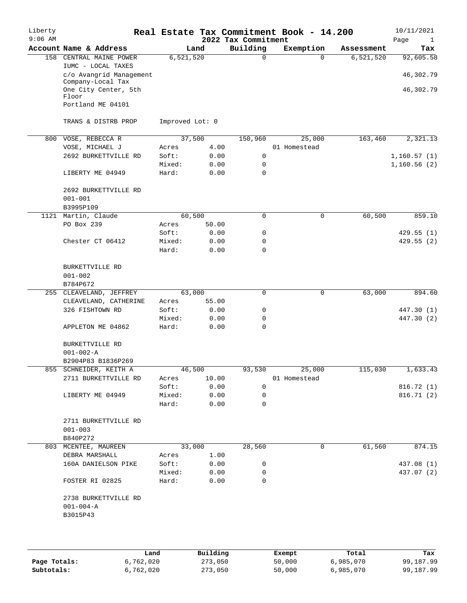| Liberty<br>$9:06$ AM |                                               |                 |        | 2022 Tax Commitment | Real Estate Tax Commitment Book - 14.200 |             | 10/11/2021<br>Page<br>$\mathbf{1}$ |
|----------------------|-----------------------------------------------|-----------------|--------|---------------------|------------------------------------------|-------------|------------------------------------|
|                      | Account Name & Address                        |                 | Land   | Building            | Exemption                                | Assessment  | Tax                                |
| 158                  | CENTRAL MAINE POWER                           | 6, 521, 520     |        | 0                   | $\Omega$                                 | 6, 521, 520 | 92,605.58                          |
|                      | IUMC - LOCAL TAXES<br>c/o Avangrid Management |                 |        |                     |                                          |             | 46,302.79                          |
|                      | Company-Local Tax<br>One City Center, 5th     |                 |        |                     |                                          |             | 46,302.79                          |
|                      | Floor<br>Portland ME 04101                    |                 |        |                     |                                          |             |                                    |
|                      | TRANS & DISTRB PROP                           | Improved Lot: 0 |        |                     |                                          |             |                                    |
| 800                  | VOSE, REBECCA R                               |                 | 37,500 | 150,960             | 25,000                                   | 163,460     | 2,321.13                           |
|                      | VOSE, MICHAEL J                               | Acres           | 4.00   |                     | 01 Homestead                             |             |                                    |
|                      | 2692 BURKETTVILLE RD                          | Soft:           | 0.00   | 0                   |                                          |             | 1,160.57(1)                        |
|                      |                                               | Mixed:          | 0.00   | 0                   |                                          |             | 1,160.56(2)                        |
|                      | LIBERTY ME 04949                              | Hard:           | 0.00   | $\mathbf 0$         |                                          |             |                                    |
|                      | 2692 BURKETTVILLE RD                          |                 |        |                     |                                          |             |                                    |
|                      | $001 - 001$                                   |                 |        |                     |                                          |             |                                    |
|                      | B3995P109                                     |                 |        |                     |                                          |             |                                    |
|                      |                                               |                 |        |                     |                                          |             |                                    |
| 1121                 | Martin, Claude                                |                 | 60,500 | 0                   | 0                                        | 60,500      | 859.10                             |
|                      | PO Box 239                                    | Acres           | 50.00  |                     |                                          |             |                                    |
|                      |                                               | Soft:           | 0.00   | 0                   |                                          |             | 429.55(1)                          |
|                      | Chester CT 06412                              | Mixed:          | 0.00   | $\mathbf 0$         |                                          |             | 429.55 (2)                         |
|                      |                                               | Hard:           | 0.00   | $\Omega$            |                                          |             |                                    |
|                      | BURKETTVILLE RD                               |                 |        |                     |                                          |             |                                    |
|                      | $001 - 002$                                   |                 |        |                     |                                          |             |                                    |
|                      | B784P672                                      |                 |        |                     |                                          |             |                                    |
|                      | 255 CLEAVELAND, JEFFREY                       |                 | 63,000 | 0                   | 0                                        | 63,000      | 894.60                             |
|                      | CLEAVELAND, CATHERINE                         | Acres           | 55.00  |                     |                                          |             |                                    |
|                      | 326 FISHTOWN RD                               | Soft:           | 0.00   | 0                   |                                          |             | 447.30 (1)                         |
|                      |                                               | Mixed:          | 0.00   | 0                   |                                          |             | 447.30 (2)                         |
|                      | APPLETON ME 04862                             | Hard:           | 0.00   | $\mathbf 0$         |                                          |             |                                    |
|                      | BURKETTVILLE RD                               |                 |        |                     |                                          |             |                                    |
|                      | $001 - 002 - A$                               |                 |        |                     |                                          |             |                                    |
|                      | B2904P83 B1836P269                            |                 |        |                     |                                          |             |                                    |
|                      | 855 SCHNEIDER, KEITH A                        | 46,500          |        |                     | 93,530 25,000                            | 115,030     | 1,633.43                           |
|                      | 2711 BURKETTVILLE RD                          | Acres           | 10.00  |                     | 01 Homestead                             |             |                                    |
|                      |                                               | Soft:           | 0.00   | $\Omega$            |                                          |             | 816.72 (1)                         |
|                      | LIBERTY ME 04949                              | Mixed:          | 0.00   | 0                   |                                          |             | 816.71 (2)                         |
|                      |                                               | Hard:           | 0.00   | $\Omega$            |                                          |             |                                    |
|                      | 2711 BURKETTVILLE RD                          |                 |        |                     |                                          |             |                                    |
|                      | $001 - 003$                                   |                 |        |                     |                                          |             |                                    |
|                      | B840P272                                      |                 |        |                     |                                          |             |                                    |
|                      | 803 MCENTEE, MAUREEN                          |                 | 33,000 | 28,560              | 0                                        | 61,560      | 874.15                             |
|                      | DEBRA MARSHALL                                | Acres           | 1.00   |                     |                                          |             |                                    |
|                      | 160A DANIELSON PIKE                           | Soft:           | 0.00   | 0                   |                                          |             | 437.08 (1)                         |
|                      |                                               | Mixed:          | 0.00   | 0                   |                                          |             | 437.07 (2)                         |
|                      | FOSTER RI 02825                               | Hard:           | 0.00   | 0                   |                                          |             |                                    |
|                      | 2738 BURKETTVILLE RD                          |                 |        |                     |                                          |             |                                    |
|                      | $001 - 004 - A$                               |                 |        |                     |                                          |             |                                    |
|                      | B3015P43                                      |                 |        |                     |                                          |             |                                    |
|                      |                                               |                 |        |                     |                                          |             |                                    |
|                      |                                               |                 |        |                     |                                          |             |                                    |
|                      |                                               |                 |        |                     |                                          |             |                                    |
|                      |                                               |                 |        |                     |                                          |             |                                    |

|              | Land      | Building | Exempt | Total     | Tax       |
|--------------|-----------|----------|--------|-----------|-----------|
| Page Totals: | 6.762.020 | 273,050  | 50,000 | 6,985,070 | 99,187.99 |
| Subtotals:   | 6,762,020 | 273,050  | 50,000 | 6,985,070 | 99,187.99 |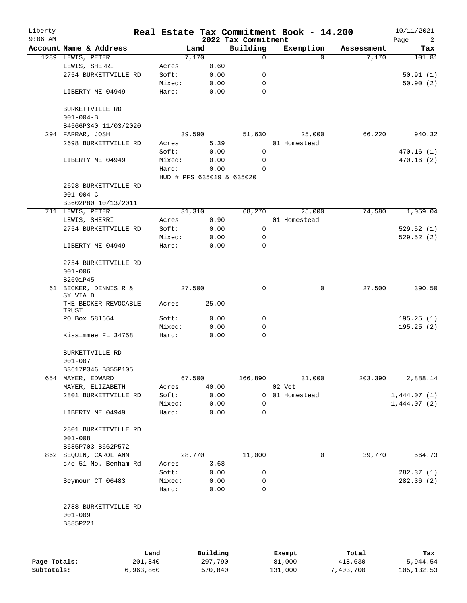| Liberty<br>$9:06$ AM |                                                 |                |                           | 2022 Tax Commitment | Real Estate Tax Commitment Book - 14.200 |            | 10/11/2021<br>Page<br>2 |
|----------------------|-------------------------------------------------|----------------|---------------------------|---------------------|------------------------------------------|------------|-------------------------|
|                      | Account Name & Address                          |                | Land                      | Building            | Exemption                                | Assessment | Tax                     |
|                      | 1289 LEWIS, PETER                               |                | 7,170                     | 0                   | $\Omega$                                 | 7,170      | 101.81                  |
|                      | LEWIS, SHERRI                                   | Acres          | 0.60                      |                     |                                          |            |                         |
|                      | 2754 BURKETTVILLE RD                            | Soft:          | 0.00                      | 0                   |                                          |            | 50.91(1)                |
|                      |                                                 | Mixed:         | 0.00                      | 0                   |                                          |            | 50.90(2)                |
|                      | LIBERTY ME 04949                                | Hard:          | 0.00                      | 0                   |                                          |            |                         |
|                      | BURKETTVILLE RD<br>$001 - 004 - B$              |                |                           |                     |                                          |            |                         |
|                      | B4566P340 11/03/2020                            |                |                           |                     |                                          |            |                         |
|                      | 294 FARRAR, JOSH                                |                | 39,590                    | 51,630              | 25,000                                   | 66,220     | 940.32                  |
|                      | 2698 BURKETTVILLE RD                            | Acres          | 5.39                      |                     | 01 Homestead                             |            |                         |
|                      |                                                 | Soft:          | 0.00                      | 0                   |                                          |            | 470.16(1)               |
|                      | LIBERTY ME 04949                                | Mixed:         | 0.00                      | 0                   |                                          |            | 470.16(2)               |
|                      |                                                 | Hard:          | 0.00                      | 0                   |                                          |            |                         |
|                      |                                                 |                | HUD # PFS 635019 & 635020 |                     |                                          |            |                         |
|                      | 2698 BURKETTVILLE RD                            |                |                           |                     |                                          |            |                         |
|                      | $001 - 004 - C$<br>B3602P80 10/13/2011          |                |                           |                     |                                          |            |                         |
|                      | 711 LEWIS, PETER                                |                | 31,310                    | 68,270              | 25,000                                   | 74,580     | 1,059.04                |
|                      |                                                 |                | 0.90                      |                     | 01 Homestead                             |            |                         |
|                      | LEWIS, SHERRI                                   | Acres<br>Soft: |                           | 0                   |                                          |            |                         |
|                      | 2754 BURKETTVILLE RD                            | Mixed:         | 0.00                      | 0                   |                                          |            | 529.52(1)               |
|                      | LIBERTY ME 04949                                | Hard:          | 0.00<br>0.00              | $\Omega$            |                                          |            | 529.52(2)               |
|                      |                                                 |                |                           |                     |                                          |            |                         |
|                      | 2754 BURKETTVILLE RD                            |                |                           |                     |                                          |            |                         |
|                      | $001 - 006$                                     |                |                           |                     |                                          |            |                         |
|                      | B2691P45                                        |                |                           |                     |                                          |            |                         |
|                      | 61 BECKER, DENNIS R &<br>SYLVIA D               |                | 27,500                    | 0                   | 0                                        | 27,500     | 390.50                  |
|                      | THE BECKER REVOCABLE<br>TRUST                   | Acres          | 25.00                     |                     |                                          |            |                         |
|                      | PO Box 581664                                   | Soft:          | 0.00                      | 0                   |                                          |            | 195.25(1)               |
|                      |                                                 | Mixed:         | 0.00                      | 0                   |                                          |            | 195.25(2)               |
|                      | Kissimmee FL 34758                              | Hard:          | 0.00                      | 0                   |                                          |            |                         |
|                      | BURKETTVILLE RD                                 |                |                           |                     |                                          |            |                         |
|                      | $001 - 007$                                     |                |                           |                     |                                          |            |                         |
|                      | B3617P346 B855P105                              |                |                           |                     |                                          |            |                         |
|                      | 654 MAYER, EDWARD                               |                | 67,500                    | 166,890             | 31,000                                   | 203,390    | 2,888.14                |
|                      | MAYER, ELIZABETH                                | Acres          | 40.00                     |                     | 02 Vet                                   |            |                         |
|                      | 2801 BURKETTVILLE RD                            | Soft:          | 0.00                      | 0                   | 01 Homestead                             |            | 1,444.07(1)             |
|                      |                                                 | Mixed:         | 0.00                      | 0                   |                                          |            | 1,444.07(2)             |
|                      | LIBERTY ME 04949                                | Hard:          | 0.00                      | 0                   |                                          |            |                         |
|                      | 2801 BURKETTVILLE RD                            |                |                           |                     |                                          |            |                         |
|                      | $001 - 008$                                     |                |                           |                     |                                          |            |                         |
|                      | B685P703 B662P572                               |                |                           |                     |                                          |            |                         |
|                      | 862 SEQUIN, CAROL ANN                           |                | 28,770                    | 11,000              | $\mathbf 0$                              | 39,770     | 564.73                  |
|                      | c/o 51 No. Benham Rd                            | Acres          | 3.68                      |                     |                                          |            |                         |
|                      |                                                 | Soft:          | 0.00                      | 0                   |                                          |            | 282.37 (1)              |
|                      | Seymour CT 06483                                | Mixed:         | 0.00                      | 0                   |                                          |            | 282.36(2)               |
|                      |                                                 | Hard:          | 0.00                      | 0                   |                                          |            |                         |
|                      | 2788 BURKETTVILLE RD<br>$001 - 009$<br>B885P221 |                |                           |                     |                                          |            |                         |
|                      |                                                 |                |                           |                     |                                          |            |                         |
|                      |                                                 | Land           | Building                  |                     | Exempt                                   | Total      | Tax                     |
| Page Totals:         |                                                 | 201,840        | 297,790                   |                     | 81,000                                   | 418,630    | 5,944.54                |

**Subtotals:** 6,963,860 570,840 131,000 7,403,700 105,132.53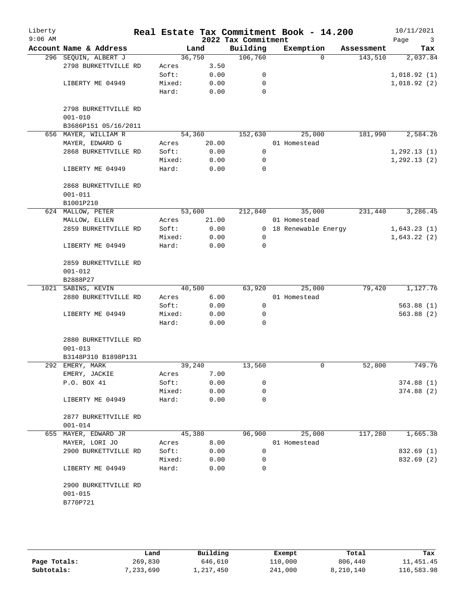| Liberty<br>$9:06$ AM |                        |                 |              | 2022 Tax Commitment | Real Estate Tax Commitment Book - 14.200 |            | 10/11/2021<br>Page<br>3 |
|----------------------|------------------------|-----------------|--------------|---------------------|------------------------------------------|------------|-------------------------|
|                      | Account Name & Address | Land            |              | Building            | Exemption                                | Assessment | Tax                     |
|                      | 296 SEQUIN, ALBERT J   | 36,750          |              | 106,760             | $\Omega$                                 | 143,510    | 2,037.84                |
|                      | 2798 BURKETTVILLE RD   | Acres           | 3.50         |                     |                                          |            |                         |
|                      |                        | Soft:           | 0.00         | 0                   |                                          |            | 1,018.92(1)             |
|                      | LIBERTY ME 04949       | Mixed:          | 0.00         | $\mathbf 0$         |                                          |            | 1,018.92(2)             |
|                      |                        | Hard:           | 0.00         | 0                   |                                          |            |                         |
|                      |                        |                 |              |                     |                                          |            |                         |
|                      | 2798 BURKETTVILLE RD   |                 |              |                     |                                          |            |                         |
|                      | $001 - 010$            |                 |              |                     |                                          |            |                         |
|                      | B3686P151 05/16/2011   |                 |              |                     |                                          |            |                         |
| 656                  | MAYER, WILLIAM R       | 54,360          |              | 152,630             | 25,000                                   | 181,990    | 2,584.26                |
|                      | MAYER, EDWARD G        | Acres           | 20.00        |                     | 01 Homestead                             |            |                         |
|                      | 2868 BURKETTVILLE RD   | Soft:           | 0.00         | $\mathbf 0$         |                                          |            | 1, 292.13(1)            |
|                      |                        | Mixed:          | 0.00         | 0                   |                                          |            | 1, 292.13(2)            |
|                      | LIBERTY ME 04949       | Hard:           | 0.00         | 0                   |                                          |            |                         |
|                      | 2868 BURKETTVILLE RD   |                 |              |                     |                                          |            |                         |
|                      | $001 - 011$            |                 |              |                     |                                          |            |                         |
|                      | B1001P210              |                 |              |                     |                                          |            |                         |
|                      | 624 MALLOW, PETER      | 53,600          |              | 212,840             | 35,000                                   | 231,440    | 3,286.45                |
|                      | MALLOW, ELLEN          | Acres           | 21.00        |                     | 01 Homestead                             |            |                         |
|                      | 2859 BURKETTVILLE RD   | Soft:           | 0.00         |                     | 0 18 Renewable Energy                    |            | 1,643.23(1)             |
|                      |                        | Mixed:          | 0.00         | 0                   |                                          |            | 1,643.22(2)             |
|                      | LIBERTY ME 04949       | Hard:           | 0.00         | $\mathbf 0$         |                                          |            |                         |
|                      |                        |                 |              |                     |                                          |            |                         |
|                      | 2859 BURKETTVILLE RD   |                 |              |                     |                                          |            |                         |
|                      | $001 - 012$            |                 |              |                     |                                          |            |                         |
|                      | B2888P27               |                 |              |                     |                                          |            |                         |
|                      | 1021 SABINS, KEVIN     | 40,500          |              | 63,920              | 25,000                                   | 79,420     | 1,127.76                |
|                      | 2880 BURKETTVILLE RD   | Acres           | 6.00         |                     | 01 Homestead                             |            |                         |
|                      |                        | Soft:           | 0.00         | 0                   |                                          |            | 563.88(1)               |
|                      | LIBERTY ME 04949       | Mixed:          | 0.00         | 0                   |                                          |            | 563.88(2)               |
|                      |                        | Hard:           | 0.00         | $\Omega$            |                                          |            |                         |
|                      |                        |                 |              |                     |                                          |            |                         |
|                      | 2880 BURKETTVILLE RD   |                 |              |                     |                                          |            |                         |
|                      | $001 - 013$            |                 |              |                     |                                          |            |                         |
|                      | B3148P310 B1898P131    |                 |              |                     |                                          |            |                         |
|                      | 292 EMERY, MARK        | 39,240          |              | 13,560              | 0                                        | 52,800     | 749.76                  |
|                      | EMERY, JACKIE          | Acres           | 7.00         |                     |                                          |            |                         |
|                      | P.O. BOX 41            | Soft:           | 0.00         | 0                   |                                          |            | 374.88(1)               |
|                      |                        | Mixed:          | 0.00         | 0                   |                                          |            | 374.88(2)               |
|                      | LIBERTY ME 04949       | Hard:           | 0.00         | 0                   |                                          |            |                         |
|                      |                        |                 |              |                     |                                          |            |                         |
|                      | 2877 BURKETTVILLE RD   |                 |              |                     |                                          |            |                         |
|                      | $001 - 014$            |                 |              |                     |                                          |            |                         |
|                      | 655 MAYER, EDWARD JR   | 45,380          |              | 96,900              | 25,000                                   | 117,280    | 1,665.38                |
|                      | MAYER, LORI JO         | Acres           | 8.00         |                     | 01 Homestead                             |            |                         |
|                      | 2900 BURKETTVILLE RD   | Soft:           | 0.00         | 0                   |                                          |            | 832.69 (1)              |
|                      |                        | Mixed:<br>Hard: | 0.00<br>0.00 | 0<br>0              |                                          |            | 832.69 (2)              |
|                      | LIBERTY ME 04949       |                 |              |                     |                                          |            |                         |
|                      | 2900 BURKETTVILLE RD   |                 |              |                     |                                          |            |                         |
|                      | $001 - 015$            |                 |              |                     |                                          |            |                         |
|                      | B770P721               |                 |              |                     |                                          |            |                         |
|                      |                        |                 |              |                     |                                          |            |                         |
|                      |                        |                 |              |                     |                                          |            |                         |
|                      |                        |                 |              |                     |                                          |            |                         |

|              | Land      | Building  | Exempt  | Total     | Tax        |
|--------------|-----------|-----------|---------|-----------|------------|
| Page Totals: | 269,830   | 646,610   | 110,000 | 806,440   | 11, 451.45 |
| Subtotals:   | 7,233,690 | 1,217,450 | 241,000 | 8,210,140 | 116,583.98 |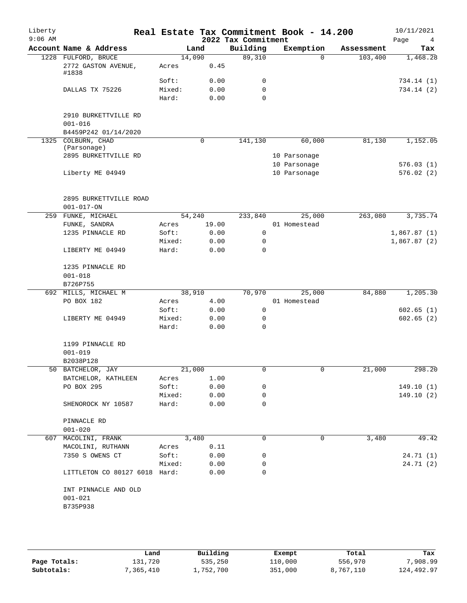| Liberty<br>$9:06$ AM |                                            | Real Estate Tax Commitment Book - 14.200 |        | 2022 Tax Commitment |              |            | 10/11/2021<br>Page<br>4 |
|----------------------|--------------------------------------------|------------------------------------------|--------|---------------------|--------------|------------|-------------------------|
|                      | Account Name & Address                     |                                          | Land   | Building            | Exemption    | Assessment | Tax                     |
|                      | 1228 FULFORD, BRUCE                        |                                          | 14,090 | 89,310              | $\Omega$     | 103,400    | 1,468.28                |
|                      | 2772 GASTON AVENUE,<br>#1838               | Acres                                    | 0.45   |                     |              |            |                         |
|                      |                                            | Soft:                                    | 0.00   | 0                   |              |            | 734.14 (1)              |
|                      | DALLAS TX 75226                            | Mixed:                                   | 0.00   | $\mathbf 0$         |              |            | 734.14 (2)              |
|                      |                                            | Hard:                                    | 0.00   | $\Omega$            |              |            |                         |
|                      | 2910 BURKETTVILLE RD<br>$001 - 016$        |                                          |        |                     |              |            |                         |
|                      | B4459P242 01/14/2020                       |                                          |        |                     |              |            |                         |
|                      | 1325 COLBURN, CHAD                         |                                          | 0      | 141,130             | 60,000       | 81,130     | 1,152.05                |
|                      | (Parsonage)                                |                                          |        |                     |              |            |                         |
|                      | 2895 BURKETTVILLE RD                       |                                          |        |                     | 10 Parsonage |            |                         |
|                      |                                            |                                          |        |                     | 10 Parsonage |            | 576.03(1)               |
|                      | Liberty ME 04949                           |                                          |        |                     | 10 Parsonage |            | 576.02(2)               |
|                      | 2895 BURKETTVILLE ROAD<br>$001 - 017 - ON$ |                                          |        |                     |              |            |                         |
| 259                  | FUNKE, MICHAEL                             |                                          | 54,240 | 233,840             | 25,000       | 263,080    | 3,735.74                |
|                      | FUNKE, SANDRA                              | Acres                                    | 19.00  |                     | 01 Homestead |            |                         |
|                      | 1235 PINNACLE RD                           | Soft:                                    | 0.00   | 0                   |              |            | 1,867.87(1)             |
|                      |                                            | Mixed:                                   | 0.00   | 0                   |              |            | 1,867.87(2)             |
|                      |                                            |                                          |        | $\Omega$            |              |            |                         |
|                      | LIBERTY ME 04949                           | Hard:                                    | 0.00   |                     |              |            |                         |
|                      | 1235 PINNACLE RD                           |                                          |        |                     |              |            |                         |
|                      | $001 - 018$                                |                                          |        |                     |              |            |                         |
|                      | B726P755                                   |                                          |        |                     |              |            |                         |
|                      | 692 MILLS, MICHAEL M                       |                                          | 38,910 | 70,970              | 25,000       | 84,880     | 1,205.30                |
|                      | PO BOX 182                                 | Acres                                    | 4.00   |                     | 01 Homestead |            |                         |
|                      |                                            | Soft:                                    | 0.00   | $\mathbf 0$         |              |            | 602.65(1)               |
|                      | LIBERTY ME 04949                           | Mixed:                                   | 0.00   | 0                   |              |            | 602.65(2)               |
|                      |                                            | Hard:                                    | 0.00   | 0                   |              |            |                         |
|                      | 1199 PINNACLE RD                           |                                          |        |                     |              |            |                         |
|                      | $001 - 019$                                |                                          |        |                     |              |            |                         |
|                      | B2038P128                                  |                                          |        |                     |              |            |                         |
|                      | 50 BATCHELOR, JAY                          |                                          | 21,000 | 0                   | 0            | 21,000     | 298.20                  |
|                      | BATCHELOR, KATHLEEN                        | Acres                                    | 1.00   |                     |              |            |                         |
|                      | PO BOX 295                                 | Soft:                                    | 0.00   | 0                   |              |            | 149.10(1)               |
|                      |                                            | Mixed:                                   | 0.00   | 0                   |              |            | 149.10(2)               |
|                      | SHENOROCK NY 10587                         | Hard:                                    | 0.00   | 0                   |              |            |                         |
|                      | PINNACLE RD                                |                                          |        |                     |              |            |                         |
|                      | $001 - 020$                                |                                          |        |                     |              |            |                         |
|                      | 607 MACOLINI, FRANK                        |                                          | 3,480  | 0                   | 0            | 3,480      | 49.42                   |
|                      | MACOLINI, RUTHANN                          | Acres                                    | 0.11   |                     |              |            |                         |
|                      | 7350 S OWENS CT                            | Soft:                                    | 0.00   | 0                   |              |            | 24.71(1)                |
|                      |                                            | Mixed:                                   | 0.00   | 0                   |              |            | 24.71(2)                |
|                      | LITTLETON CO 80127 6018 Hard:              |                                          | 0.00   | 0                   |              |            |                         |
|                      |                                            |                                          |        |                     |              |            |                         |
|                      | INT PINNACLE AND OLD                       |                                          |        |                     |              |            |                         |
|                      | $001 - 021$                                |                                          |        |                     |              |            |                         |

|              | Land      | Building  | Exempt  | Total     | Tax        |
|--------------|-----------|-----------|---------|-----------|------------|
| Page Totals: | 131,720   | 535,250   | 110,000 | 556,970   | 7,908.99   |
| Subtotals:   | 7,365,410 | 1,752,700 | 351,000 | 8,767,110 | 124,492.97 |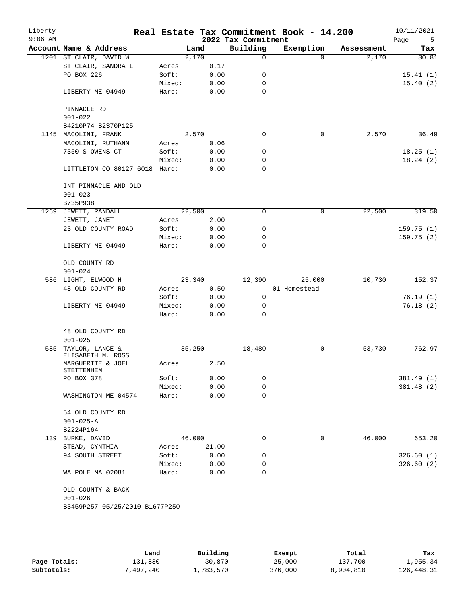| Liberty<br>$9:06$ AM |                                               |        |        |       | 2022 Tax Commitment | Real Estate Tax Commitment Book - 14.200 |            | 10/11/2021<br>Page<br>5 |
|----------------------|-----------------------------------------------|--------|--------|-------|---------------------|------------------------------------------|------------|-------------------------|
|                      | Account Name & Address                        |        | Land   |       | Building            | Exemption                                | Assessment | Tax                     |
|                      | 1201 ST CLAIR, DAVID W                        |        | 2,170  |       | 0                   | $\Omega$                                 | 2,170      | 30.81                   |
|                      | ST CLAIR, SANDRA L                            | Acres  |        | 0.17  |                     |                                          |            |                         |
|                      | PO BOX 226                                    | Soft:  |        | 0.00  | 0                   |                                          |            | 15.41(1)                |
|                      |                                               | Mixed: |        | 0.00  | 0                   |                                          |            | 15.40(2)                |
|                      | LIBERTY ME 04949                              | Hard:  |        | 0.00  | $\mathbf 0$         |                                          |            |                         |
|                      | PINNACLE RD                                   |        |        |       |                     |                                          |            |                         |
|                      | $001 - 022$                                   |        |        |       |                     |                                          |            |                         |
|                      | B4210P74 B2370P125                            |        |        |       |                     |                                          |            |                         |
|                      | 1145 MACOLINI, FRANK                          |        | 2,570  |       | 0                   | $\mathbf 0$                              | 2,570      | 36.49                   |
|                      | MACOLINI, RUTHANN                             | Acres  |        | 0.06  |                     |                                          |            |                         |
|                      | 7350 S OWENS CT                               | Soft:  |        | 0.00  | 0                   |                                          |            | 18.25(1)                |
|                      |                                               | Mixed: |        | 0.00  | 0                   |                                          |            | 18.24(2)                |
|                      | LITTLETON CO 80127 6018 Hard:                 |        |        | 0.00  | 0                   |                                          |            |                         |
|                      | INT PINNACLE AND OLD                          |        |        |       |                     |                                          |            |                         |
|                      | $001 - 023$                                   |        |        |       |                     |                                          |            |                         |
|                      | B735P938                                      |        |        |       |                     |                                          |            |                         |
| 1269                 | JEWETT, RANDALL                               |        | 22,500 |       | 0                   | 0                                        | 22,500     | 319.50                  |
|                      | JEWETT, JANET                                 | Acres  |        | 2.00  |                     |                                          |            |                         |
|                      | 23 OLD COUNTY ROAD                            | Soft:  |        | 0.00  | 0                   |                                          |            | 159.75(1)               |
|                      |                                               | Mixed: |        | 0.00  | 0                   |                                          |            | 159.75(2)               |
|                      | LIBERTY ME 04949                              | Hard:  |        | 0.00  | 0                   |                                          |            |                         |
|                      | OLD COUNTY RD<br>$001 - 024$                  |        |        |       |                     |                                          |            |                         |
|                      | 586 LIGHT, ELWOOD H                           |        | 23,340 |       | 12,390              | 25,000                                   | 10,730     | 152.37                  |
|                      | 48 OLD COUNTY RD                              | Acres  |        | 0.50  |                     | 01 Homestead                             |            |                         |
|                      |                                               | Soft:  |        | 0.00  | 0                   |                                          |            | 76.19(1)                |
|                      | LIBERTY ME 04949                              | Mixed: |        | 0.00  | 0                   |                                          |            | 76.18(2)                |
|                      |                                               | Hard:  |        | 0.00  | $\Omega$            |                                          |            |                         |
|                      | 48 OLD COUNTY RD                              |        |        |       |                     |                                          |            |                         |
|                      | $001 - 025$                                   |        |        |       |                     |                                          |            |                         |
| 585                  | TAYLOR, LANCE &<br>ELISABETH M. ROSS          |        | 35,250 |       | 18,480              | 0                                        | 53,730     | 762.97                  |
|                      | MARGUERITE & JOEL<br>STETTENHEM               | Acres  |        | 2.50  |                     |                                          |            |                         |
|                      | PO BOX 378                                    | Soft:  |        | 0.00  | 0                   |                                          |            | 381.49 (1)              |
|                      |                                               | Mixed: |        | 0.00  | 0                   |                                          |            | 381.48 (2)              |
|                      | WASHINGTON ME 04574                           | Hard:  |        | 0.00  | 0                   |                                          |            |                         |
|                      | 54 OLD COUNTY RD                              |        |        |       |                     |                                          |            |                         |
|                      | $001 - 025 - A$                               |        |        |       |                     |                                          |            |                         |
|                      | B2224P164                                     |        |        |       |                     |                                          |            |                         |
|                      | 139 BURKE, DAVID                              |        | 46,000 |       | 0                   | $\mathbf 0$                              | 46,000     | 653.20                  |
|                      | STEAD, CYNTHIA                                | Acres  |        | 21.00 |                     |                                          |            |                         |
|                      | 94 SOUTH STREET                               | Soft:  |        | 0.00  | 0                   |                                          |            | 326.60(1)               |
|                      |                                               | Mixed: |        | 0.00  | 0                   |                                          |            | 326.60(2)               |
|                      | WALPOLE MA 02081                              | Hard:  |        | 0.00  | 0                   |                                          |            |                         |
|                      | OLD COUNTY & BACK                             |        |        |       |                     |                                          |            |                         |
|                      |                                               |        |        |       |                     |                                          |            |                         |
|                      | $001 - 026$<br>B3459P257 05/25/2010 B1677P250 |        |        |       |                     |                                          |            |                         |

|              | Land      | Building  | Exempt  | Total     | Tax        |
|--------------|-----------|-----------|---------|-----------|------------|
| Page Totals: | ⊥31,830   | 30,870    | 25,000  | 137,700   | 1,955.34   |
| Subtotals:   | 7,497,240 | 1,783,570 | 376,000 | 8,904,810 | 126,448.31 |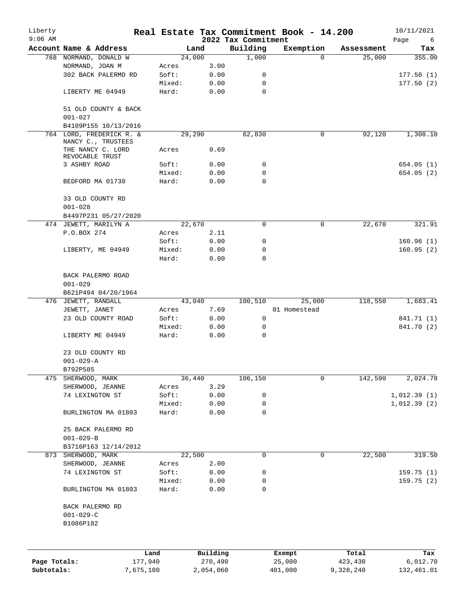| Liberty      |                                                         |           |        |           |                     | Real Estate Tax Commitment Book - 14.200 |            | 10/11/2021  |
|--------------|---------------------------------------------------------|-----------|--------|-----------|---------------------|------------------------------------------|------------|-------------|
| $9:06$ AM    |                                                         |           |        |           | 2022 Tax Commitment |                                          |            | Page<br>6   |
|              | Account Name & Address                                  |           |        | Land      | Building            | Exemption                                | Assessment | Tax         |
|              | 768 NORMAND, DONALD W                                   |           |        | 24,000    | 1,000               | $\Omega$                                 | 25,000     | 355.00      |
|              | NORMAND, JOAN M                                         |           | Acres  | 3.00      |                     |                                          |            |             |
|              | 302 BACK PALERMO RD                                     |           | Soft:  | 0.00      | 0                   |                                          |            | 177.50(1)   |
|              |                                                         |           | Mixed: | 0.00      | 0                   |                                          |            | 177.50(2)   |
|              | LIBERTY ME 04949                                        |           | Hard:  | 0.00      | 0                   |                                          |            |             |
|              | 51 OLD COUNTY & BACK<br>$001 - 027$                     |           |        |           |                     |                                          |            |             |
|              | B4109P155 10/13/2016                                    |           |        |           |                     |                                          |            |             |
|              | 764 LORD, FREDERICK R. &<br>NANCY C., TRUSTEES          |           |        | 29,290    | 62,830              | $\mathbf 0$                              | 92,120     | 1,308.10    |
|              | THE NANCY C. LORD<br>REVOCABLE TRUST                    |           | Acres  | 0.69      |                     |                                          |            |             |
|              | 3 ASHBY ROAD                                            |           | Soft:  | 0.00      | 0                   |                                          |            | 654.05(1)   |
|              |                                                         |           | Mixed: | 0.00      | 0                   |                                          |            | 654.05(2)   |
|              | BEDFORD MA 01730                                        |           | Hard:  | 0.00      | $\mathbf 0$         |                                          |            |             |
|              | 33 OLD COUNTY RD<br>$001 - 028$                         |           |        |           |                     |                                          |            |             |
|              | B4497P231 05/27/2020                                    |           |        |           |                     |                                          |            |             |
|              | 474 JEWETT, MARILYN A                                   |           |        | 22,670    | 0                   | 0                                        | 22,670     | 321.91      |
|              | P.O.BOX 274                                             |           | Acres  | 2.11      |                     |                                          |            |             |
|              |                                                         |           | Soft:  | 0.00      | 0                   |                                          |            | 160.96(1)   |
|              | LIBERTY, ME 04949                                       |           | Mixed: | 0.00      | 0                   |                                          |            | 160.95(2)   |
|              |                                                         |           | Hard:  | 0.00      | $\mathbf 0$         |                                          |            |             |
|              | BACK PALERMO ROAD<br>$001 - 029$<br>B621P494 04/20/1964 |           |        |           |                     |                                          |            |             |
|              | 476 JEWETT, RANDALL                                     |           |        | 43,040    | 100,510             | 25,000                                   | 118,550    | 1,683.41    |
|              | JEWETT, JANET                                           |           | Acres  | 7.69      |                     | 01 Homestead                             |            |             |
|              | 23 OLD COUNTY ROAD                                      |           | Soft:  | 0.00      | 0                   |                                          |            | 841.71 (1)  |
|              |                                                         |           | Mixed: | 0.00      | 0                   |                                          |            | 841.70 (2)  |
|              | LIBERTY ME 04949                                        |           | Hard:  | 0.00      | 0                   |                                          |            |             |
|              | 23 OLD COUNTY RD<br>$001 - 029 - A$                     |           |        |           |                     |                                          |            |             |
|              | B792P585                                                |           |        |           |                     |                                          |            |             |
| 475          | SHERWOOD, MARK                                          |           |        | 36,440    | 106,150             | 0                                        | 142,590    | 2,024.78    |
|              | SHERWOOD, JEANNE                                        |           | Acres  | 3.29      |                     |                                          |            |             |
|              | 74 LEXINGTON ST                                         |           | Soft:  | 0.00      | 0                   |                                          |            | 1,012.39(1) |
|              |                                                         |           | Mixed: | 0.00      | 0                   |                                          |            | 1,012.39(2) |
|              | BURLINGTON MA 01803                                     |           | Hard:  | 0.00      | 0                   |                                          |            |             |
|              | 25 BACK PALERMO RD<br>$001 - 029 - B$                   |           |        |           |                     |                                          |            |             |
|              | B3716P163 12/14/2012                                    |           |        |           |                     |                                          |            |             |
| 873          | SHERWOOD, MARK                                          |           |        | 22,500    | 0                   | $\mathbf 0$                              | 22,500     | 319.50      |
|              | SHERWOOD, JEANNE                                        |           | Acres  | 2.00      |                     |                                          |            |             |
|              | 74 LEXINGTON ST                                         |           | Soft:  | 0.00      | 0                   |                                          |            | 159.75(1)   |
|              |                                                         |           | Mixed: | 0.00      | 0                   |                                          |            | 159.75(2)   |
|              | BURLINGTON MA 01803                                     |           | Hard:  | 0.00      | 0                   |                                          |            |             |
|              | BACK PALERMO RD                                         |           |        |           |                     |                                          |            |             |
|              | $001 - 029 - C$                                         |           |        |           |                     |                                          |            |             |
|              | B1086P182                                               |           |        |           |                     |                                          |            |             |
|              |                                                         |           |        |           |                     |                                          |            |             |
|              |                                                         | Land      |        | Building  |                     | Exempt                                   | Total      | Tax         |
| Page Totals: |                                                         | 177,940   |        | 270,490   |                     | 25,000                                   | 423,430    | 6,012.70    |
| Subtotals:   |                                                         | 7,675,180 |        | 2,054,060 |                     | 401,000                                  | 9,328,240  | 132,461.01  |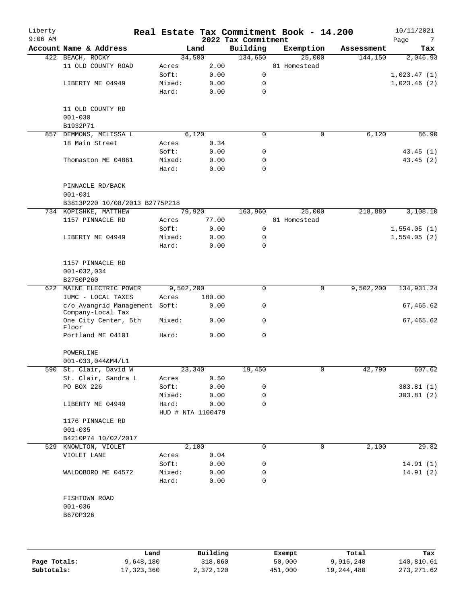| Liberty<br>$9:06$ AM |                                                    |        |                   |      | Real Estate Tax Commitment Book - 14.200<br>2022 Tax Commitment |              |            | 10/11/2021<br>Page<br>7 |
|----------------------|----------------------------------------------------|--------|-------------------|------|-----------------------------------------------------------------|--------------|------------|-------------------------|
|                      | Account Name & Address                             |        | Land              |      | Building                                                        | Exemption    | Assessment | Tax                     |
|                      | 422 BEACH, ROCKY                                   |        | 34,500            |      | 134,650                                                         | 25,000       | 144,150    | 2,046.93                |
|                      | 11 OLD COUNTY ROAD                                 | Acres  |                   | 2.00 |                                                                 | 01 Homestead |            |                         |
|                      |                                                    | Soft:  | 0.00              |      | $\mathbf 0$                                                     |              |            | 1,023.47(1)             |
|                      | LIBERTY ME 04949                                   | Mixed: |                   | 0.00 | 0                                                               |              |            | 1,023.46(2)             |
|                      |                                                    | Hard:  |                   | 0.00 | 0                                                               |              |            |                         |
|                      | 11 OLD COUNTY RD                                   |        |                   |      |                                                                 |              |            |                         |
|                      | $001 - 030$                                        |        |                   |      |                                                                 |              |            |                         |
|                      | B1932P71                                           |        |                   |      |                                                                 |              |            |                         |
| 857                  | DEMMONS, MELISSA L                                 |        | 6,120             |      | $\mathbf 0$                                                     | $\mathbf 0$  | 6,120      | 86.90                   |
|                      | 18 Main Street                                     | Acres  | 0.34              |      |                                                                 |              |            |                         |
|                      |                                                    | Soft:  |                   | 0.00 | 0                                                               |              |            | 43.45(1)                |
|                      | Thomaston ME 04861                                 | Mixed: | 0.00              |      | 0                                                               |              |            | 43.45 (2)               |
|                      |                                                    | Hard:  |                   | 0.00 | $\mathbf 0$                                                     |              |            |                         |
|                      | PINNACLE RD/BACK                                   |        |                   |      |                                                                 |              |            |                         |
|                      | $001 - 031$                                        |        |                   |      |                                                                 |              |            |                         |
|                      | B3813P220 10/08/2013 B2775P218                     |        |                   |      |                                                                 |              |            |                         |
|                      | 734 KOPISHKE, MATTHEW                              |        | 79,920            |      | 163,960                                                         | 25,000       | 218,880    | 3,108.10                |
|                      | 1157 PINNACLE RD                                   | Acres  | 77.00             |      |                                                                 | 01 Homestead |            |                         |
|                      |                                                    | Soft:  | 0.00              |      | 0                                                               |              |            | 1,554.05(1)             |
|                      | LIBERTY ME 04949                                   | Mixed: |                   | 0.00 | 0                                                               |              |            | 1,554.05(2)             |
|                      |                                                    | Hard:  |                   | 0.00 | $\mathbf 0$                                                     |              |            |                         |
|                      | 1157 PINNACLE RD                                   |        |                   |      |                                                                 |              |            |                         |
|                      | $001 - 032, 034$                                   |        |                   |      |                                                                 |              |            |                         |
|                      | B2750P260                                          |        |                   |      |                                                                 |              |            |                         |
|                      | 622 MAINE ELECTRIC POWER                           |        | 9,502,200         |      | $\mathbf 0$                                                     | 0            | 9,502,200  | 134,931.24              |
|                      | IUMC - LOCAL TAXES                                 | Acres  | 180.00            |      |                                                                 |              |            |                         |
|                      | c/o Avangrid Management Soft:<br>Company-Local Tax |        |                   | 0.00 | 0                                                               |              |            | 67,465.62               |
|                      | One City Center, 5th<br>Floor                      | Mixed: |                   | 0.00 | 0                                                               |              |            | 67,465.62               |
|                      | Portland ME 04101                                  | Hard:  |                   | 0.00 | 0                                                               |              |            |                         |
|                      | POWERLINE                                          |        |                   |      |                                                                 |              |            |                         |
|                      | $001 - 033, 044$ &M4/L1                            |        |                   |      |                                                                 |              |            |                         |
|                      | 590 St. Clair, David W                             |        | 23,340            |      | 19,450                                                          | 0            | 42,790     | 607.62                  |
|                      | St. Clair, Sandra L                                | Acres  |                   | 0.50 |                                                                 |              |            |                         |
|                      | PO BOX 226                                         | Soft:  | 0.00              |      | 0                                                               |              |            | 303.81(1)               |
|                      |                                                    | Mixed: | 0.00              |      | 0                                                               |              |            | 303.81(2)               |
|                      | LIBERTY ME 04949                                   | Hard:  |                   | 0.00 | 0                                                               |              |            |                         |
|                      |                                                    |        | HUD # NTA 1100479 |      |                                                                 |              |            |                         |
|                      | 1176 PINNACLE RD                                   |        |                   |      |                                                                 |              |            |                         |
|                      | $001 - 035$                                        |        |                   |      |                                                                 |              |            |                         |
|                      | B4210P74 10/02/2017                                |        |                   |      |                                                                 |              |            |                         |
|                      | 529 KNOWLTON, VIOLET                               |        | 2,100             |      | 0                                                               | 0            | 2,100      | 29.82                   |
|                      | VIOLET LANE                                        | Acres  | 0.04              |      |                                                                 |              |            |                         |
|                      |                                                    | Soft:  | 0.00              |      | 0                                                               |              |            | 14.91(1)                |
|                      | WALDOBORO ME 04572                                 | Mixed: | 0.00              |      | 0                                                               |              |            | 14.91(2)                |
|                      |                                                    | Hard:  |                   | 0.00 | 0                                                               |              |            |                         |
|                      | FISHTOWN ROAD                                      |        |                   |      |                                                                 |              |            |                         |
|                      | $001 - 036$                                        |        |                   |      |                                                                 |              |            |                         |
|                      | B670P326                                           |        |                   |      |                                                                 |              |            |                         |
|                      |                                                    |        |                   |      |                                                                 |              |            |                         |
|                      |                                                    |        |                   |      |                                                                 |              |            |                         |
|                      |                                                    |        |                   |      |                                                                 |              |            |                         |

|              | Land       | Building  | Exempt  | Total      | Tax          |
|--------------|------------|-----------|---------|------------|--------------|
| Page Totals: | 9,648,180  | 318,060   | 50,000  | 9,916,240  | 140,810.61   |
| Subtotals:   | 17,323,360 | 2,372,120 | 451,000 | 19,244,480 | 273, 271, 62 |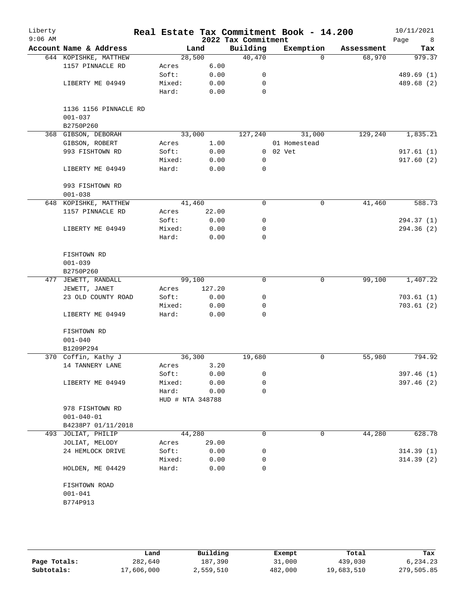| Liberty<br>$9:06$ AM |                        |                  |        | 2022 Tax Commitment | Real Estate Tax Commitment Book - 14.200 |            | 10/11/2021<br>Page<br>8 |
|----------------------|------------------------|------------------|--------|---------------------|------------------------------------------|------------|-------------------------|
|                      | Account Name & Address |                  | Land   | Building            | Exemption                                | Assessment | Tax                     |
|                      | 644 KOPISHKE, MATTHEW  | 28,500           |        | 40,470              | $\Omega$                                 | 68,970     | 979.37                  |
|                      | 1157 PINNACLE RD       | Acres            | 6.00   |                     |                                          |            |                         |
|                      |                        | Soft:            | 0.00   | 0                   |                                          |            | 489.69 (1)              |
|                      | LIBERTY ME 04949       | Mixed:           | 0.00   | 0                   |                                          |            | 489.68 (2)              |
|                      |                        | Hard:            | 0.00   | $\mathbf 0$         |                                          |            |                         |
|                      | 1136 1156 PINNACLE RD  |                  |        |                     |                                          |            |                         |
|                      | $001 - 037$            |                  |        |                     |                                          |            |                         |
|                      | B2750P260              |                  |        |                     |                                          |            |                         |
|                      | 368 GIBSON, DEBORAH    | 33,000           |        | 127,240             | 31,000                                   | 129,240    | 1,835.21                |
|                      | GIBSON, ROBERT         | Acres            | 1.00   |                     | 01 Homestead                             |            |                         |
|                      | 993 FISHTOWN RD        | Soft:            | 0.00   |                     | 0 02 Vet                                 |            | 917.61(1)               |
|                      |                        | Mixed:           | 0.00   | 0                   |                                          |            | 917.60(2)               |
|                      | LIBERTY ME 04949       | Hard:            | 0.00   | 0                   |                                          |            |                         |
|                      | 993 FISHTOWN RD        |                  |        |                     |                                          |            |                         |
|                      | $001 - 038$            |                  |        |                     |                                          |            |                         |
|                      | 648 KOPISHKE, MATTHEW  | 41,460           |        | $\mathbf 0$         | 0                                        | 41,460     | 588.73                  |
|                      | 1157 PINNACLE RD       | Acres            | 22.00  |                     |                                          |            |                         |
|                      |                        | Soft:            | 0.00   | 0                   |                                          |            | 294.37 (1)              |
|                      | LIBERTY ME 04949       | Mixed:           | 0.00   | 0                   |                                          |            | 294.36(2)               |
|                      |                        | Hard:            | 0.00   | 0                   |                                          |            |                         |
|                      | FISHTOWN RD            |                  |        |                     |                                          |            |                         |
|                      | $001 - 039$            |                  |        |                     |                                          |            |                         |
|                      | B2750P260              |                  |        |                     |                                          |            |                         |
| 477                  | JEWETT, RANDALL        | 99,100           |        | $\mathbf 0$         | 0                                        | 99,100     | 1,407.22                |
|                      | JEWETT, JANET          | Acres            | 127.20 |                     |                                          |            |                         |
|                      | 23 OLD COUNTY ROAD     | Soft:            | 0.00   | 0                   |                                          |            | 703.61(1)               |
|                      |                        | Mixed:           | 0.00   | 0                   |                                          |            | 703.61(2)               |
|                      | LIBERTY ME 04949       | Hard:            | 0.00   | $\Omega$            |                                          |            |                         |
|                      | FISHTOWN RD            |                  |        |                     |                                          |            |                         |
|                      | $001 - 040$            |                  |        |                     |                                          |            |                         |
|                      | B1209P294              |                  |        |                     |                                          |            |                         |
|                      | 370 Coffin, Kathy J    | 36,300           |        | 19,680              | 0                                        | 55,980     | 794.92                  |
|                      | 14 TANNERY LANE        | Acres            | 3.20   |                     |                                          |            |                         |
|                      |                        | Soft:            | 0.00   | 0                   |                                          |            | 397.46 (1)              |
|                      | LIBERTY ME 04949       | Mixed:           | 0.00   | 0                   |                                          |            | 397.46(2)               |
|                      |                        | Hard:            | 0.00   | 0                   |                                          |            |                         |
|                      |                        | HUD # NTA 348788 |        |                     |                                          |            |                         |
|                      | 978 FISHTOWN RD        |                  |        |                     |                                          |            |                         |
|                      | $001 - 040 - 01$       |                  |        |                     |                                          |            |                         |
|                      | B4238P7 01/11/2018     |                  |        |                     |                                          |            |                         |
|                      | 493 JOLIAT, PHILIP     | 44,280           |        | 0                   | 0                                        | 44,280     | 628.78                  |
|                      | JOLIAT, MELODY         | Acres            | 29.00  |                     |                                          |            |                         |
|                      | 24 HEMLOCK DRIVE       | Soft:            | 0.00   | 0                   |                                          |            | 314.39(1)               |
|                      |                        | Mixed:           | 0.00   | 0                   |                                          |            | 314.39(2)               |
|                      | HOLDEN, ME 04429       | Hard:            | 0.00   | 0                   |                                          |            |                         |
|                      | FISHTOWN ROAD          |                  |        |                     |                                          |            |                         |
|                      | $001 - 041$            |                  |        |                     |                                          |            |                         |
|                      | B774P913               |                  |        |                     |                                          |            |                         |
|                      |                        |                  |        |                     |                                          |            |                         |

|              | Land       | Building  | Exempt  | Total      | Tax        |
|--------------|------------|-----------|---------|------------|------------|
| Page Totals: | 282,640    | 187,390   | 31,000  | 439,030    | 6,234.23   |
| Subtotals:   | 17,606,000 | 2,559,510 | 482,000 | 19,683,510 | 279,505.85 |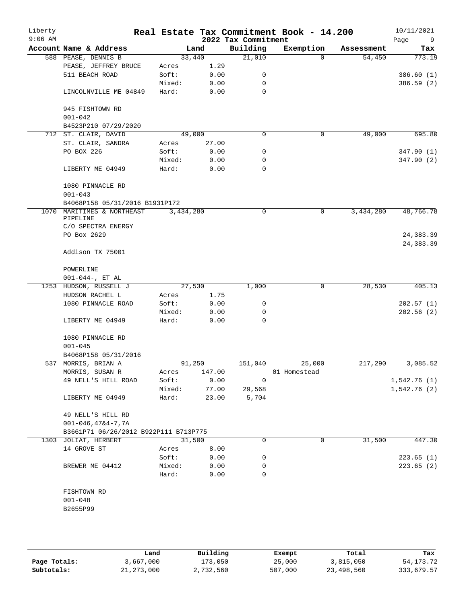| Liberty<br>$9:06$ AM |                                       |                 |              | 2022 Tax Commitment | Real Estate Tax Commitment Book - 14.200 |            | 10/11/2021<br>Page<br>9 |
|----------------------|---------------------------------------|-----------------|--------------|---------------------|------------------------------------------|------------|-------------------------|
|                      | Account Name & Address                |                 | Land         | Building            | Exemption                                | Assessment | Tax                     |
|                      | 588 PEASE, DENNIS B                   |                 | 33,440       | 21,010              | $\Omega$                                 | 54,450     | 773.19                  |
|                      | PEASE, JEFFREY BRUCE                  | Acres           | 1.29         |                     |                                          |            |                         |
|                      | 511 BEACH ROAD                        | Soft:           | 0.00         | 0                   |                                          |            | 386.60(1)               |
|                      |                                       | Mixed:          | 0.00         | 0                   |                                          |            | 386.59 (2)              |
|                      | LINCOLNVILLE ME 04849                 | Hard:           | 0.00         | $\mathbf 0$         |                                          |            |                         |
|                      | 945 FISHTOWN RD<br>$001 - 042$        |                 |              |                     |                                          |            |                         |
|                      | B4523P210 07/29/2020                  |                 |              |                     |                                          |            |                         |
|                      | 712 ST. CLAIR, DAVID                  |                 | 49,000       | $\mathbf 0$         | 0                                        | 49,000     | 695.80                  |
|                      | ST. CLAIR, SANDRA                     | Acres           | 27.00        |                     |                                          |            |                         |
|                      | PO BOX 226                            | Soft:           | 0.00         | 0                   |                                          |            | 347.90 (1)              |
|                      |                                       | Mixed:          | 0.00         | 0                   |                                          |            | 347.90 (2)              |
|                      | LIBERTY ME 04949                      | Hard:           | 0.00         | 0                   |                                          |            |                         |
|                      | 1080 PINNACLE RD                      |                 |              |                     |                                          |            |                         |
|                      | $001 - 043$                           |                 |              |                     |                                          |            |                         |
|                      | B4068P158 05/31/2016 B1931P172        |                 |              |                     |                                          |            |                         |
| 1070                 | MARITIMES & NORTHEAST<br>PIPELINE     | 3,434,280       |              | 0                   | 0                                        | 3,434,280  | 48,766.78               |
|                      | C/O SPECTRA ENERGY                    |                 |              |                     |                                          |            |                         |
|                      | PO Box 2629                           |                 |              |                     |                                          |            | 24, 383.39              |
|                      |                                       |                 |              |                     |                                          |            | 24, 383.39              |
|                      | Addison TX 75001                      |                 |              |                     |                                          |            |                         |
|                      | POWERLINE                             |                 |              |                     |                                          |            |                         |
|                      | $001-044-$ , ET AL                    |                 |              |                     |                                          |            |                         |
|                      | 1253 HUDSON, RUSSELL J                |                 | 27,530       | 1,000               | $\mathbf 0$                              | 28,530     | 405.13                  |
|                      | HUDSON RACHEL L                       | Acres           | 1.75         |                     |                                          |            |                         |
|                      | 1080 PINNACLE ROAD                    | Soft:           | 0.00         | 0                   |                                          |            | 202.57(1)               |
|                      |                                       | Mixed:          | 0.00         | 0                   |                                          |            | 202.56(2)               |
|                      | LIBERTY ME 04949                      | Hard:           | 0.00         | 0                   |                                          |            |                         |
|                      | 1080 PINNACLE RD                      |                 |              |                     |                                          |            |                         |
|                      | $001 - 045$                           |                 |              |                     |                                          |            |                         |
|                      | B4068P158 05/31/2016                  |                 |              |                     |                                          |            |                         |
|                      | 537 MORRIS, BRIAN A                   |                 | 91,250       | 151,040             | 25,000                                   | 217,290    | 3,085.52                |
|                      | MORRIS, SUSAN R                       | Acres           | 147.00       |                     | 01 Homestead                             |            |                         |
|                      | 49 NELL'S HILL ROAD                   | Soft:           | 0.00         | 0                   |                                          |            | 1,542.76(1)             |
|                      |                                       | Mixed:          | 77.00        | 29,568              |                                          |            | 1,542.76(2)             |
|                      | LIBERTY ME 04949                      | Hard:           | 23.00        | 5,704               |                                          |            |                         |
|                      | 49 NELL'S HILL RD                     |                 |              |                     |                                          |            |                         |
|                      | $001 - 046, 47&4 - 7, 7A$             |                 |              |                     |                                          |            |                         |
|                      | B3661P71 06/26/2012 B922P111 B713P775 |                 | 31,500       | 0                   | 0                                        | 31,500     | 447.30                  |
|                      | 1303 JOLIAT, HERBERT<br>14 GROVE ST   |                 |              |                     |                                          |            |                         |
|                      |                                       | Acres           | 8.00         |                     |                                          |            |                         |
|                      |                                       | Soft:           | 0.00         | 0                   |                                          |            | 223.65(1)               |
|                      | BREWER ME 04412                       | Mixed:<br>Hard: | 0.00<br>0.00 | 0<br>0              |                                          |            | 223.65(2)               |
|                      | FISHTOWN RD                           |                 |              |                     |                                          |            |                         |
|                      | $001 - 048$                           |                 |              |                     |                                          |            |                         |
|                      | B2655P99                              |                 |              |                     |                                          |            |                         |
|                      |                                       |                 |              |                     |                                          |            |                         |
|                      |                                       |                 |              |                     |                                          |            |                         |
|                      |                                       |                 |              |                     |                                          |            |                         |

|              | Land         | Building  | Exempt  | Total      | Tax         |
|--------------|--------------|-----------|---------|------------|-------------|
| Page Totals: | 3,667,000    | 173,050   | 25,000  | 3,815,050  | 54, 173. 72 |
| Subtotals:   | 21, 273, 000 | 2,732,560 | 507,000 | 23,498,560 | 333,679.57  |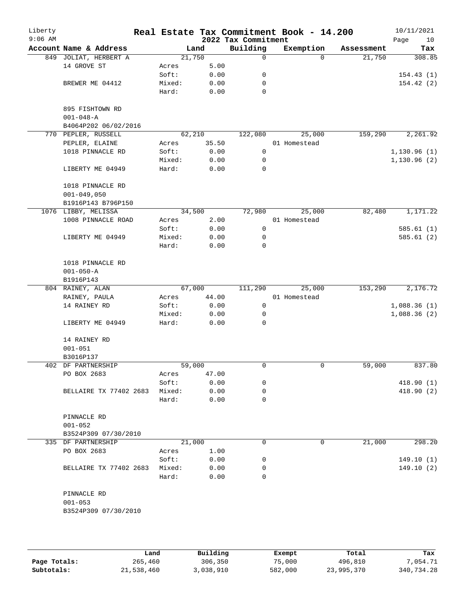| Liberty<br>$9:06$ AM |                                       |        |        | 2022 Tax Commitment | Real Estate Tax Commitment Book - 14.200 |            | 10/11/2021<br>Page<br>10 |
|----------------------|---------------------------------------|--------|--------|---------------------|------------------------------------------|------------|--------------------------|
|                      | Account Name & Address                |        | Land   | Building            | Exemption                                | Assessment | Tax                      |
|                      | 849 JOLIAT, HERBERT A                 |        | 21,750 | 0                   | $\Omega$                                 | 21,750     | 308.85                   |
|                      | 14 GROVE ST                           | Acres  | 5.00   |                     |                                          |            |                          |
|                      |                                       | Soft:  | 0.00   | 0                   |                                          |            | 154.43(1)                |
|                      | BREWER ME 04412                       | Mixed: | 0.00   | 0                   |                                          |            | 154.42(2)                |
|                      |                                       | Hard:  | 0.00   | $\mathbf 0$         |                                          |            |                          |
|                      |                                       |        |        |                     |                                          |            |                          |
|                      | 895 FISHTOWN RD                       |        |        |                     |                                          |            |                          |
|                      | $001 - 048 - A$                       |        |        |                     |                                          |            |                          |
|                      | B4064P202 06/02/2016                  |        | 62,210 |                     |                                          | 159,290    |                          |
|                      | 770 PEPLER, RUSSELL<br>PEPLER, ELAINE | Acres  | 35.50  | 122,080             | 25,000<br>01 Homestead                   |            | 2,261.92                 |
|                      | 1018 PINNACLE RD                      | Soft:  | 0.00   | 0                   |                                          |            | 1,130.96(1)              |
|                      |                                       | Mixed: | 0.00   | 0                   |                                          |            | 1,130.96(2)              |
|                      | LIBERTY ME 04949                      | Hard:  | 0.00   | $\mathbf 0$         |                                          |            |                          |
|                      |                                       |        |        |                     |                                          |            |                          |
|                      | 1018 PINNACLE RD                      |        |        |                     |                                          |            |                          |
|                      | $001 - 049,050$                       |        |        |                     |                                          |            |                          |
|                      | B1916P143 B796P150                    |        |        |                     |                                          |            |                          |
|                      | 1076 LIBBY, MELISSA                   |        | 34,500 | 72,980              | 25,000                                   | 82,480     | 1,171.22                 |
|                      | 1008 PINNACLE ROAD                    | Acres  | 2.00   |                     | 01 Homestead                             |            |                          |
|                      |                                       | Soft:  | 0.00   | 0                   |                                          |            | 585.61(1)                |
|                      | LIBERTY ME 04949                      | Mixed: | 0.00   | 0                   |                                          |            | 585.61 (2)               |
|                      |                                       | Hard:  | 0.00   | 0                   |                                          |            |                          |
|                      |                                       |        |        |                     |                                          |            |                          |
|                      | 1018 PINNACLE RD                      |        |        |                     |                                          |            |                          |
|                      | $001 - 050 - A$<br>B1916P143          |        |        |                     |                                          |            |                          |
|                      | 804 RAINEY, ALAN                      |        | 67,000 | 111,290             | 25,000                                   | 153,290    | 2,176.72                 |
|                      | RAINEY, PAULA                         | Acres  | 44.00  |                     | 01 Homestead                             |            |                          |
|                      | 14 RAINEY RD                          | Soft:  | 0.00   | $\mathbf 0$         |                                          |            | 1,088.36(1)              |
|                      |                                       | Mixed: | 0.00   | 0                   |                                          |            | 1,088.36(2)              |
|                      | LIBERTY ME 04949                      | Hard:  | 0.00   | 0                   |                                          |            |                          |
|                      |                                       |        |        |                     |                                          |            |                          |
|                      | 14 RAINEY RD                          |        |        |                     |                                          |            |                          |
|                      | $001 - 051$                           |        |        |                     |                                          |            |                          |
|                      | B3016P137                             |        |        |                     |                                          |            |                          |
|                      | 402 DF PARTNERSHIP                    |        | 59,000 | 0                   | 0                                        | 59,000     | 837.80                   |
|                      | PO BOX 2683                           | Acres  | 47.00  |                     |                                          |            |                          |
|                      |                                       | Soft:  | 0.00   | 0                   |                                          |            | 418.90 (1)               |
|                      | <b>BELLAIRE TX 77402 2683</b>         | Mixed: | 0.00   | 0                   |                                          |            | 418.90 (2)               |
|                      |                                       | Hard:  | 0.00   | 0                   |                                          |            |                          |
|                      | PINNACLE RD                           |        |        |                     |                                          |            |                          |
|                      | $001 - 052$                           |        |        |                     |                                          |            |                          |
|                      | B3524P309 07/30/2010                  |        |        |                     |                                          |            |                          |
|                      | 335 DF PARTNERSHIP                    |        | 21,000 | 0                   | 0                                        | 21,000     | 298.20                   |
|                      | PO BOX 2683                           | Acres  | 1.00   |                     |                                          |            |                          |
|                      |                                       | Soft:  | 0.00   | 0                   |                                          |            | 149.10(1)                |
|                      | BELLAIRE TX 77402 2683                | Mixed: | 0.00   | 0                   |                                          |            | 149.10(2)                |
|                      |                                       | Hard:  | 0.00   | $\Omega$            |                                          |            |                          |
|                      |                                       |        |        |                     |                                          |            |                          |
|                      | PINNACLE RD                           |        |        |                     |                                          |            |                          |
|                      | $001 - 053$                           |        |        |                     |                                          |            |                          |
|                      | B3524P309 07/30/2010                  |        |        |                     |                                          |            |                          |
|                      |                                       |        |        |                     |                                          |            |                          |

|              | Land       | Building  | Exempt  | Total      | Tax        |
|--------------|------------|-----------|---------|------------|------------|
| Page Totals: | 265,460    | 306,350   | 75,000  | 496,810    | 7,054.71   |
| Subtotals:   | 21,538,460 | 3,038,910 | 582,000 | 23,995,370 | 340,734.28 |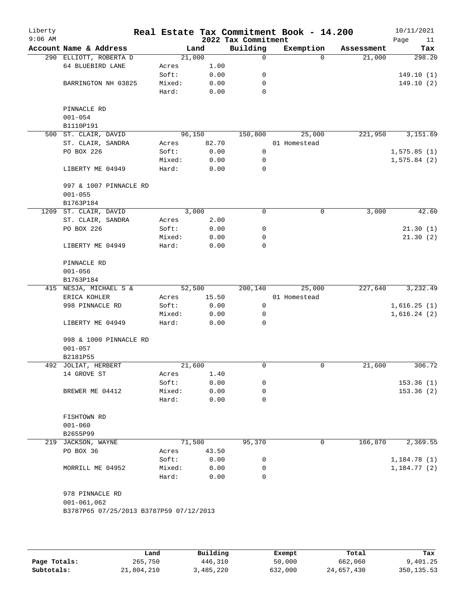| Liberty<br>$9:06$ AM |                                         |        |        | 2022 Tax Commitment | Real Estate Tax Commitment Book - 14.200 |            | 10/11/2021<br>Page<br>11 |
|----------------------|-----------------------------------------|--------|--------|---------------------|------------------------------------------|------------|--------------------------|
|                      | Account Name & Address                  |        | Land   | Building            | Exemption                                | Assessment | Tax                      |
|                      | 290 ELLIOTT, ROBERTA D                  |        | 21,000 | 0                   | $\Omega$                                 | 21,000     | 298.20                   |
|                      | 64 BLUEBIRD LANE                        | Acres  | 1.00   |                     |                                          |            |                          |
|                      |                                         | Soft:  | 0.00   | 0                   |                                          |            | 149.10(1)                |
|                      | BARRINGTON NH 03825                     | Mixed: | 0.00   | 0                   |                                          |            | 149.10(2)                |
|                      |                                         | Hard:  | 0.00   | 0                   |                                          |            |                          |
|                      | PINNACLE RD                             |        |        |                     |                                          |            |                          |
|                      | $001 - 054$                             |        |        |                     |                                          |            |                          |
|                      | B1110P191                               |        |        |                     |                                          |            |                          |
|                      | 500 ST. CLAIR, DAVID                    |        | 96,150 | 150,800             | 25,000                                   | 221,950    | 3,151.69                 |
|                      | ST. CLAIR, SANDRA                       | Acres  | 82.70  |                     | 01 Homestead                             |            |                          |
|                      | PO BOX 226                              | Soft:  | 0.00   | $\mathsf{O}$        |                                          |            | 1,575.85(1)              |
|                      |                                         | Mixed: | 0.00   | 0                   |                                          |            | 1,575.84(2)              |
|                      | LIBERTY ME 04949                        | Hard:  | 0.00   | 0                   |                                          |            |                          |
|                      | 997 & 1007 PINNACLE RD                  |        |        |                     |                                          |            |                          |
|                      | $001 - 055$                             |        |        |                     |                                          |            |                          |
|                      | B1763P184                               |        |        |                     |                                          |            |                          |
| 1209                 | ST. CLAIR, DAVID                        |        | 3,000  | 0                   | 0                                        | 3,000      | 42.60                    |
|                      | ST. CLAIR, SANDRA                       | Acres  | 2.00   |                     |                                          |            |                          |
|                      | PO BOX 226                              | Soft:  | 0.00   | 0                   |                                          |            | 21.30(1)                 |
|                      |                                         | Mixed: | 0.00   | 0                   |                                          |            | 21.30(2)                 |
|                      | LIBERTY ME 04949                        | Hard:  | 0.00   | 0                   |                                          |            |                          |
|                      | PINNACLE RD                             |        |        |                     |                                          |            |                          |
|                      | $001 - 056$                             |        |        |                     |                                          |            |                          |
|                      | B1763P184                               |        |        |                     |                                          |            |                          |
|                      | 415 NESJA, MICHAEL S &                  |        | 52,500 | 200,140             | 25,000                                   | 227,640    | 3,232.49                 |
|                      | ERICA KOHLER                            | Acres  | 15.50  |                     | 01 Homestead                             |            |                          |
|                      | 998 PINNACLE RD                         | Soft:  | 0.00   | $\mathbf 0$         |                                          |            | 1,616.25(1)              |
|                      |                                         | Mixed: | 0.00   | 0                   |                                          |            | 1,616.24(2)              |
|                      | LIBERTY ME 04949                        | Hard:  | 0.00   | 0                   |                                          |            |                          |
|                      | 998 & 1000 PINNACLE RD                  |        |        |                     |                                          |            |                          |
|                      | $001 - 057$                             |        |        |                     |                                          |            |                          |
|                      | B2181P55                                |        |        |                     |                                          |            |                          |
|                      | 492 JOLIAT, HERBERT                     |        | 21,600 | 0                   | 0                                        | 21,600     | 306.72                   |
|                      | 14 GROVE ST                             | Acres  | 1.40   |                     |                                          |            |                          |
|                      |                                         | Soft:  | 0.00   | 0                   |                                          |            | 153.36(1)                |
|                      | BREWER ME 04412                         | Mixed: | 0.00   | 0                   |                                          |            | 153.36(2)                |
|                      |                                         | Hard:  | 0.00   | 0                   |                                          |            |                          |
|                      | FISHTOWN RD                             |        |        |                     |                                          |            |                          |
|                      | $001 - 060$                             |        |        |                     |                                          |            |                          |
|                      | B2655P99                                |        |        |                     |                                          |            |                          |
|                      | 219 JACKSON, WAYNE                      |        | 71,500 | 95,370              | 0                                        | 166,870    | 2,369.55                 |
|                      | PO BOX 36                               | Acres  | 43.50  |                     |                                          |            |                          |
|                      |                                         | Soft:  | 0.00   | 0                   |                                          |            | 1,184.78 (1)             |
|                      | MORRILL ME 04952                        | Mixed: | 0.00   | 0                   |                                          |            | 1,184.77(2)              |
|                      |                                         | Hard:  | 0.00   | 0                   |                                          |            |                          |
|                      | 978 PINNACLE RD                         |        |        |                     |                                          |            |                          |
|                      | $001 - 061,062$                         |        |        |                     |                                          |            |                          |
|                      | B3787P65 07/25/2013 B3787P59 07/12/2013 |        |        |                     |                                          |            |                          |
|                      |                                         |        |        |                     |                                          |            |                          |
|                      |                                         |        |        |                     |                                          |            |                          |
|                      |                                         |        |        |                     |                                          |            |                          |

|              | Land       | Building  | Exempt  | Total      | Tax         |
|--------------|------------|-----------|---------|------------|-------------|
| Page Totals: | 265,750    | 446,310   | 50,000  | 662,060    | 9,401.25    |
| Subtotals:   | 21,804,210 | 3,485,220 | 632,000 | 24,657,430 | 350, 135.53 |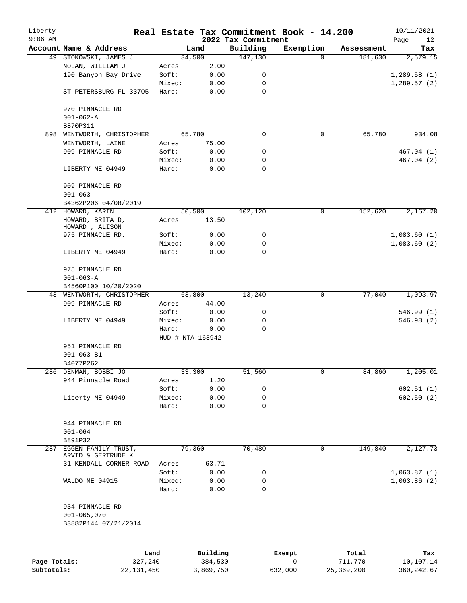| Liberty<br>$9:06$ AM |                                           |        |                     | 2022 Tax Commitment | Real Estate Tax Commitment Book - 14.200 |                  | 10/11/2021<br>Page<br>12 |
|----------------------|-------------------------------------------|--------|---------------------|---------------------|------------------------------------------|------------------|--------------------------|
|                      | Account Name & Address                    |        | Land                | Building            | Exemption                                | Assessment       | Tax                      |
|                      | 49 STOKOWSKI, JAMES J                     |        | 34,500              | 147,130             | $\Omega$                                 | 181,630          | 2,579.15                 |
|                      | NOLAN, WILLIAM J                          | Acres  | 2.00                |                     |                                          |                  |                          |
|                      | 190 Banyon Bay Drive                      | Soft:  | 0.00                | 0                   |                                          |                  | 1,289.58(1)              |
|                      |                                           | Mixed: | 0.00                | 0                   |                                          |                  | 1,289.57(2)              |
|                      | ST PETERSBURG FL 33705                    | Hard:  | 0.00                | 0                   |                                          |                  |                          |
|                      | 970 PINNACLE RD                           |        |                     |                     |                                          |                  |                          |
|                      | $001 - 062 - A$                           |        |                     |                     |                                          |                  |                          |
|                      | B870P311                                  |        |                     |                     |                                          |                  |                          |
| 898                  | WENTWORTH, CHRISTOPHER                    |        | 65,780              | 0                   | 0                                        | 65,780           | 934.08                   |
|                      | WENTWORTH, LAINE                          | Acres  | 75.00               |                     |                                          |                  |                          |
|                      | 909 PINNACLE RD                           | Soft:  | 0.00                | 0                   |                                          |                  | 467.04 (1)               |
|                      |                                           | Mixed: | 0.00                | 0                   |                                          |                  | 467.04(2)                |
|                      | LIBERTY ME 04949                          | Hard:  | 0.00                | 0                   |                                          |                  |                          |
|                      | 909 PINNACLE RD<br>$001 - 063$            |        |                     |                     |                                          |                  |                          |
|                      | B4362P206 04/08/2019                      |        |                     |                     |                                          |                  |                          |
|                      | 412 HOWARD, KARIN                         |        | 50,500              | 102,120             | 0                                        | 152,620          | 2,167.20                 |
|                      | HOWARD, BRITA D,<br>HOWARD, ALISON        | Acres  | 13.50               |                     |                                          |                  |                          |
|                      | 975 PINNACLE RD.                          | Soft:  | 0.00                | 0                   |                                          |                  | 1,083.60(1)              |
|                      |                                           | Mixed: | 0.00                | 0                   |                                          |                  | 1,083.60(2)              |
|                      | LIBERTY ME 04949                          | Hard:  | 0.00                | $\Omega$            |                                          |                  |                          |
|                      | 975 PINNACLE RD                           |        |                     |                     |                                          |                  |                          |
|                      | $001 - 063 - A$                           |        |                     |                     |                                          |                  |                          |
|                      | B4560P100 10/20/2020                      |        |                     |                     |                                          |                  |                          |
| 43                   | WENTWORTH, CHRISTOPHER                    |        | 63,800              | 13,240              | 0                                        | 77,040           | 1,093.97                 |
|                      | 909 PINNACLE RD                           | Acres  | 44.00               |                     |                                          |                  |                          |
|                      |                                           | Soft:  | 0.00                | 0                   |                                          |                  | 546.99(1)                |
|                      | LIBERTY ME 04949                          | Mixed: | 0.00                | 0                   |                                          |                  | 546.98(2)                |
|                      |                                           | Hard:  | 0.00                | $\mathbf 0$         |                                          |                  |                          |
|                      |                                           |        | HUD # NTA 163942    |                     |                                          |                  |                          |
|                      | 951 PINNACLE RD                           |        |                     |                     |                                          |                  |                          |
|                      | $001 - 063 - B1$                          |        |                     |                     |                                          |                  |                          |
|                      | B4077P262                                 |        |                     |                     |                                          |                  |                          |
|                      | 286 DENMAN, BOBBI JO                      |        | 33,300              | 51,560              | 0                                        | 84,860           | 1,205.01                 |
|                      | 944 Pinnacle Road                         | Acres  | 1.20                |                     |                                          |                  |                          |
|                      |                                           | Soft:  | 0.00                | 0                   |                                          |                  | 602.51(1)                |
|                      | Liberty ME 04949                          | Mixed: | 0.00                | 0                   |                                          |                  | 602.50(2)                |
|                      |                                           | Hard:  | 0.00                | 0                   |                                          |                  |                          |
|                      | 944 PINNACLE RD                           |        |                     |                     |                                          |                  |                          |
|                      | $001 - 064$                               |        |                     |                     |                                          |                  |                          |
|                      | B891P32                                   |        |                     |                     |                                          |                  |                          |
| 287                  | EGGEN FAMILY TRUST,<br>ARVID & GERTRUDE K |        | 79,360              | 70,480              | 0                                        | 149,840          | 2,127.73                 |
|                      | 31 KENDALL CORNER ROAD                    | Acres  | 63.71               |                     |                                          |                  |                          |
|                      |                                           | Soft:  | 0.00                | 0                   |                                          |                  | 1,063.87(1)              |
|                      | WALDO ME 04915                            | Mixed: | 0.00                | 0                   |                                          |                  | 1,063.86(2)              |
|                      |                                           | Hard:  | 0.00                | $\mathbf 0$         |                                          |                  |                          |
|                      | 934 PINNACLE RD<br>$001 - 065,070$        |        |                     |                     |                                          |                  |                          |
|                      | B3882P144 07/21/2014                      |        |                     |                     |                                          |                  |                          |
|                      |                                           |        |                     |                     |                                          |                  |                          |
| Page Totals:         | Land<br>327,240                           |        | Building<br>384,530 |                     | Exempt<br>0                              | Total<br>711,770 | Tax<br>10,107.14         |

**Subtotals:** 22,131,450 3,869,750 632,000 25,369,200 360,242.67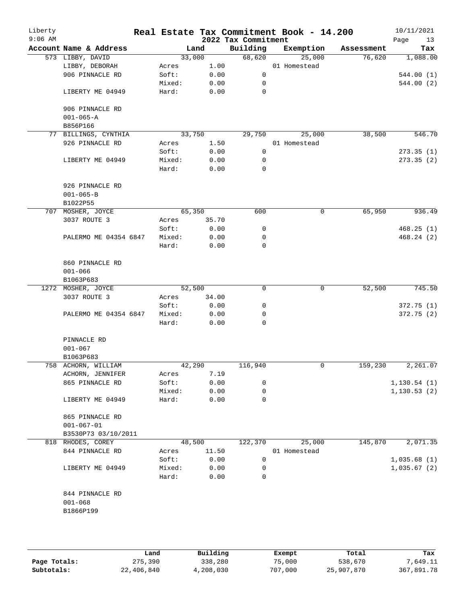| Liberty<br>$9:06$ AM |                             |        |        | 2022 Tax Commitment | Real Estate Tax Commitment Book - 14.200 |            | 10/11/2021<br>Page<br>13 |
|----------------------|-----------------------------|--------|--------|---------------------|------------------------------------------|------------|--------------------------|
|                      | Account Name & Address      |        | Land   | Building            | Exemption                                | Assessment | Tax                      |
|                      | 573 LIBBY, DAVID            |        | 33,000 | 68,620              | 25,000                                   | 76,620     | 1,088.00                 |
|                      | LIBBY, DEBORAH              | Acres  | 1.00   |                     | 01 Homestead                             |            |                          |
|                      | 906 PINNACLE RD             | Soft:  | 0.00   | $\mathsf{O}$        |                                          |            | 544.00(1)                |
|                      |                             | Mixed: | 0.00   | 0                   |                                          |            | 544.00 (2)               |
|                      | LIBERTY ME 04949            | Hard:  | 0.00   | 0                   |                                          |            |                          |
|                      | 906 PINNACLE RD             |        |        |                     |                                          |            |                          |
|                      | $001 - 065 - A$<br>B856P166 |        |        |                     |                                          |            |                          |
|                      | 77 BILLINGS, CYNTHIA        |        | 33,750 | 29,750              | 25,000                                   | 38,500     | 546.70                   |
|                      | 926 PINNACLE RD             | Acres  | 1.50   |                     | 01 Homestead                             |            |                          |
|                      |                             | Soft:  | 0.00   | 0                   |                                          |            | 273.35(1)                |
|                      | LIBERTY ME 04949            | Mixed: | 0.00   | 0                   |                                          |            | 273.35(2)                |
|                      |                             | Hard:  | 0.00   | 0                   |                                          |            |                          |
|                      | 926 PINNACLE RD             |        |        |                     |                                          |            |                          |
|                      | $001 - 065 - B$             |        |        |                     |                                          |            |                          |
|                      | B1022P55                    |        |        |                     |                                          |            |                          |
|                      | 707 MOSHER, JOYCE           |        | 65,350 | 600                 | 0                                        | 65,950     | 936.49                   |
|                      | 3037 ROUTE 3                |        | 35.70  |                     |                                          |            |                          |
|                      |                             | Acres  |        |                     |                                          |            |                          |
|                      |                             | Soft:  | 0.00   | 0                   |                                          |            | 468.25(1)                |
|                      | PALERMO ME 04354 6847       | Mixed: | 0.00   | 0                   |                                          |            | 468.24 (2)               |
|                      |                             | Hard:  | 0.00   | 0                   |                                          |            |                          |
|                      | 860 PINNACLE RD             |        |        |                     |                                          |            |                          |
|                      | $001 - 066$                 |        |        |                     |                                          |            |                          |
|                      | B1063P683                   |        |        |                     |                                          |            |                          |
|                      | 1272 MOSHER, JOYCE          |        | 52,500 | 0                   | $\mathbf 0$                              | 52,500     | 745.50                   |
|                      | 3037 ROUTE 3                | Acres  | 34.00  |                     |                                          |            |                          |
|                      |                             | Soft:  | 0.00   | 0                   |                                          |            | 372.75(1)                |
|                      | PALERMO ME 04354 6847       | Mixed: | 0.00   | 0                   |                                          |            | 372.75(2)                |
|                      |                             | Hard:  | 0.00   | 0                   |                                          |            |                          |
|                      | PINNACLE RD                 |        |        |                     |                                          |            |                          |
|                      | $001 - 067$                 |        |        |                     |                                          |            |                          |
|                      | B1063P683                   |        |        |                     |                                          |            |                          |
|                      | 758 ACHORN, WILLIAM         |        | 42,290 | 116,940             | 0                                        | 159,230    | 2,261.07                 |
|                      | ACHORN, JENNIFER            | Acres  | 7.19   |                     |                                          |            |                          |
|                      | 865 PINNACLE RD             | Soft:  | 0.00   | 0                   |                                          |            | 1, 130.54(1)             |
|                      |                             | Mixed: | 0.00   | 0                   |                                          |            | 1, 130.53(2)             |
|                      | LIBERTY ME 04949            | Hard:  | 0.00   | 0                   |                                          |            |                          |
|                      | 865 PINNACLE RD             |        |        |                     |                                          |            |                          |
|                      | $001 - 067 - 01$            |        |        |                     |                                          |            |                          |
|                      | B3530P73 03/10/2011         |        |        |                     |                                          |            |                          |
|                      | 818 RHODES, COREY           |        | 48,500 | 122,370             | 25,000                                   | 145,870    | 2,071.35                 |
|                      | 844 PINNACLE RD             | Acres  | 11.50  |                     | 01 Homestead                             |            |                          |
|                      |                             | Soft:  | 0.00   | 0                   |                                          |            | 1,035.68(1)              |
|                      | LIBERTY ME 04949            | Mixed: | 0.00   | 0                   |                                          |            | 1,035.67(2)              |
|                      |                             | Hard:  | 0.00   | 0                   |                                          |            |                          |
|                      | 844 PINNACLE RD             |        |        |                     |                                          |            |                          |
|                      | $001 - 068$                 |        |        |                     |                                          |            |                          |
|                      | B1866P199                   |        |        |                     |                                          |            |                          |
|                      |                             |        |        |                     |                                          |            |                          |
|                      |                             |        |        |                     |                                          |            |                          |
|                      |                             |        |        |                     |                                          |            |                          |

|              | Land       | Building  | Exempt  | Total      | Tax        |
|--------------|------------|-----------|---------|------------|------------|
| Page Totals: | 275,390    | 338,280   | 75,000  | 538,670    | 7,649.11   |
| Subtotals:   | 22,406,840 | 4,208,030 | 707,000 | 25,907,870 | 367,891.78 |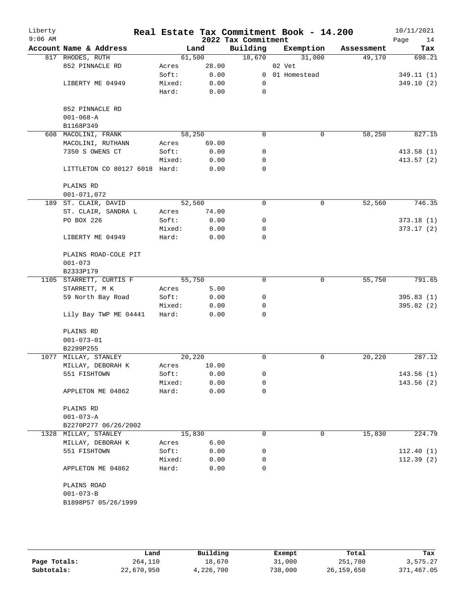| Liberty<br>$9:06$ AM |                               |        |        | 2022 Tax Commitment | Real Estate Tax Commitment Book - 14.200 |            | 10/11/2021<br>Page<br>14 |
|----------------------|-------------------------------|--------|--------|---------------------|------------------------------------------|------------|--------------------------|
|                      | Account Name & Address        |        | Land   | Building            | Exemption                                | Assessment | Tax                      |
|                      | 817 RHODES, RUTH              |        | 61,500 | 18,670              | 31,000                                   | 49,170     | 698.21                   |
|                      | 852 PINNACLE RD               | Acres  | 28.00  |                     | 02 Vet                                   |            |                          |
|                      |                               | Soft:  | 0.00   |                     | 0 01 Homestead                           |            | 349.11(1)                |
|                      | LIBERTY ME 04949              | Mixed: | 0.00   | 0                   |                                          |            | 349.10(2)                |
|                      |                               | Hard:  | 0.00   | 0                   |                                          |            |                          |
|                      | 852 PINNACLE RD               |        |        |                     |                                          |            |                          |
|                      | $001 - 068 - A$               |        |        |                     |                                          |            |                          |
|                      | B1168P349                     |        |        |                     |                                          |            |                          |
|                      | 608 MACOLINI, FRANK           |        | 58,250 | $\Omega$            | 0                                        | 58,250     | 827.15                   |
|                      | MACOLINI, RUTHANN             | Acres  | 69.00  |                     |                                          |            |                          |
|                      | 7350 S OWENS CT               | Soft:  | 0.00   | 0                   |                                          |            | 413.58(1)                |
|                      |                               | Mixed: | 0.00   | 0                   |                                          |            | 413.57(2)                |
|                      | LITTLETON CO 80127 6018 Hard: |        | 0.00   | $\mathbf 0$         |                                          |            |                          |
|                      | PLAINS RD                     |        |        |                     |                                          |            |                          |
|                      | $001 - 071,072$               |        |        |                     |                                          |            |                          |
|                      | 189 ST. CLAIR, DAVID          |        | 52,560 | 0                   | $\mathbf 0$                              | 52,560     | 746.35                   |
|                      | ST. CLAIR, SANDRA L           | Acres  | 74.00  |                     |                                          |            |                          |
|                      | PO BOX 226                    | Soft:  | 0.00   | 0                   |                                          |            | 373.18(1)                |
|                      |                               | Mixed: | 0.00   | 0                   |                                          |            | 373.17(2)                |
|                      | LIBERTY ME 04949              | Hard:  | 0.00   | 0                   |                                          |            |                          |
|                      | PLAINS ROAD-COLE PIT          |        |        |                     |                                          |            |                          |
|                      | $001 - 073$                   |        |        |                     |                                          |            |                          |
|                      | B2333P179                     |        |        |                     |                                          |            |                          |
|                      | 1105 STARRETT, CURTIS F       |        | 55,750 | $\Omega$            | 0                                        | 55,750     | 791.65                   |
|                      | STARRETT, M K                 | Acres  | 5.00   |                     |                                          |            |                          |
|                      | 59 North Bay Road             | Soft:  | 0.00   | 0                   |                                          |            | 395.83(1)                |
|                      |                               | Mixed: | 0.00   | 0                   |                                          |            | 395.82 (2)               |
|                      | Lily Bay TWP ME 04441         | Hard:  | 0.00   | $\Omega$            |                                          |            |                          |
|                      | PLAINS RD                     |        |        |                     |                                          |            |                          |
|                      | $001 - 073 - 01$              |        |        |                     |                                          |            |                          |
|                      | B2299P255                     |        |        |                     |                                          |            |                          |
|                      | 1077 MILLAY, STANLEY          |        | 20,220 | 0                   | 0                                        | 20,220     | 287.12                   |
|                      | MILLAY, DEBORAH K             | Acres  | 10.00  |                     |                                          |            |                          |
|                      | 551 FISHTOWN                  | Soft:  | 0.00   | 0                   |                                          |            | 143.56 (1)               |
|                      |                               | Mixed: | 0.00   | 0                   |                                          |            | 143.56(2)                |
|                      | APPLETON ME 04862             | Hard:  | 0.00   | 0                   |                                          |            |                          |
|                      | PLAINS RD                     |        |        |                     |                                          |            |                          |
|                      | $001 - 073 - A$               |        |        |                     |                                          |            |                          |
|                      | B2270P277 06/26/2002          |        |        |                     |                                          |            |                          |
|                      | 1328 MILLAY, STANLEY          |        | 15,830 | 0                   | 0                                        | 15,830     | 224.79                   |
|                      |                               |        |        |                     |                                          |            |                          |
|                      | MILLAY, DEBORAH K             | Acres  | 6.00   |                     |                                          |            |                          |
|                      | 551 FISHTOWN                  | Soft:  | 0.00   | 0                   |                                          |            | 112.40(1)                |
|                      |                               | Mixed: | 0.00   | 0                   |                                          |            | 112.39(2)                |
|                      | APPLETON ME 04862             | Hard:  | 0.00   | $\Omega$            |                                          |            |                          |
|                      | PLAINS ROAD                   |        |        |                     |                                          |            |                          |
|                      | $001 - 073 - B$               |        |        |                     |                                          |            |                          |
|                      | B1898P57 05/26/1999           |        |        |                     |                                          |            |                          |
|                      |                               |        |        |                     |                                          |            |                          |

|              | Land       | Building  | Exempt  | Total      | Tax        |
|--------------|------------|-----------|---------|------------|------------|
| Page Totals: | 264,110    | 18,670    | 31,000  | 251,780    | 3,575.27   |
| Subtotals:   | 22,670,950 | 4,226,700 | 738,000 | 26,159,650 | 371,467.05 |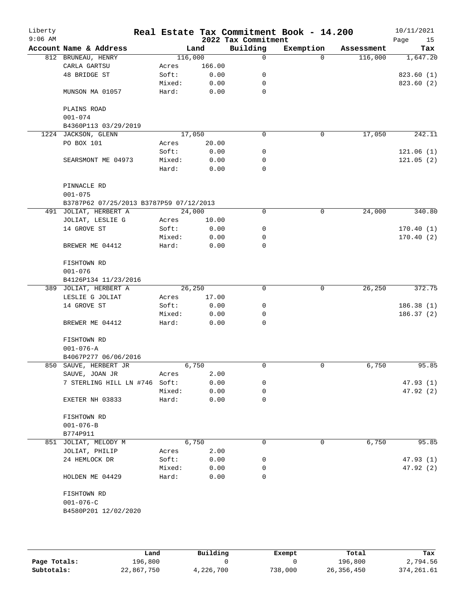| Liberty<br>$9:06$ AM |                                         |        |         | 2022 Tax Commitment | Real Estate Tax Commitment Book - 14.200 |            | 10/11/2021<br>Page<br>15 |
|----------------------|-----------------------------------------|--------|---------|---------------------|------------------------------------------|------------|--------------------------|
|                      | Account Name & Address                  |        | Land    | Building            | Exemption                                | Assessment | Tax                      |
|                      | 812 BRUNEAU, HENRY                      |        | 116,000 | 0                   | $\Omega$                                 | 116,000    | 1,647.20                 |
|                      | CARLA GARTSU                            | Acres  | 166.00  |                     |                                          |            |                          |
|                      | 48 BRIDGE ST                            | Soft:  | 0.00    | 0                   |                                          |            | 823.60 (1)               |
|                      |                                         | Mixed: | 0.00    | 0                   |                                          |            | 823.60 (2)               |
|                      | MUNSON MA 01057                         | Hard:  | 0.00    | 0                   |                                          |            |                          |
|                      | PLAINS ROAD                             |        |         |                     |                                          |            |                          |
|                      | $001 - 074$                             |        |         |                     |                                          |            |                          |
|                      | B4360P113 03/29/2019                    |        |         |                     |                                          |            |                          |
|                      | 1224 JACKSON, GLENN                     |        | 17,050  | $\mathbf 0$         | 0                                        | 17,050     | 242.11                   |
|                      | PO BOX 101                              | Acres  | 20.00   |                     |                                          |            |                          |
|                      |                                         | Soft:  | 0.00    | 0                   |                                          |            | 121.06(1)                |
|                      | SEARSMONT ME 04973                      | Mixed: | 0.00    | 0                   |                                          |            | 121.05(2)                |
|                      |                                         | Hard:  | 0.00    | $\Omega$            |                                          |            |                          |
|                      | PINNACLE RD<br>$001 - 075$              |        |         |                     |                                          |            |                          |
|                      | B3787P62 07/25/2013 B3787P59 07/12/2013 |        |         |                     |                                          |            |                          |
|                      | 491 JOLIAT, HERBERT A                   |        | 24,000  | 0                   | 0                                        | 24,000     | 340.80                   |
|                      | JOLIAT, LESLIE G                        | Acres  | 10.00   |                     |                                          |            |                          |
|                      | 14 GROVE ST                             | Soft:  | 0.00    | 0                   |                                          |            | 170.40(1)                |
|                      |                                         | Mixed: | 0.00    | 0                   |                                          |            | 170.40(2)                |
|                      | BREWER ME 04412                         | Hard:  | 0.00    | 0                   |                                          |            |                          |
|                      | FISHTOWN RD                             |        |         |                     |                                          |            |                          |
|                      | $001 - 076$                             |        |         |                     |                                          |            |                          |
|                      | B4126P134 11/23/2016                    |        |         |                     |                                          |            |                          |
|                      | 389 JOLIAT, HERBERT A                   |        | 26,250  | 0                   | 0                                        | 26,250     | 372.75                   |
|                      | LESLIE G JOLIAT                         | Acres  | 17.00   |                     |                                          |            |                          |
|                      | 14 GROVE ST                             | Soft:  | 0.00    | 0                   |                                          |            | 186.38(1)                |
|                      |                                         | Mixed: | 0.00    | 0                   |                                          |            | 186.37(2)                |
|                      | BREWER ME 04412                         | Hard:  | 0.00    | 0                   |                                          |            |                          |
|                      | FISHTOWN RD                             |        |         |                     |                                          |            |                          |
|                      | $001 - 076 - A$                         |        |         |                     |                                          |            |                          |
|                      | B4067P277 06/06/2016                    |        |         |                     |                                          |            |                          |
|                      | 850 SAUVE, HERBERT JR                   |        | 6,750   | 0                   | 0                                        | 6,750      | 95.85                    |
|                      | SAUVE, JOAN JR                          | Acres  | 2.00    |                     |                                          |            |                          |
|                      | 7 STERLING HILL LN #746 Soft:           |        | 0.00    | 0                   |                                          |            | 47.93(1)                 |
|                      |                                         | Mixed: | 0.00    | 0                   |                                          |            | 47.92(2)                 |
|                      | EXETER NH 03833                         | Hard:  | 0.00    | 0                   |                                          |            |                          |
|                      | FISHTOWN RD                             |        |         |                     |                                          |            |                          |
|                      | $001 - 076 - B$                         |        |         |                     |                                          |            |                          |
|                      | B774P911                                |        |         |                     |                                          |            |                          |
| 851                  | JOLIAT, MELODY M                        |        | 6,750   | 0                   | 0                                        | 6,750      | 95.85                    |
|                      | JOLIAT, PHILIP                          | Acres  | 2.00    |                     |                                          |            |                          |
|                      | 24 HEMLOCK DR                           | Soft:  | 0.00    | 0                   |                                          |            | 47.93(1)                 |
|                      |                                         | Mixed: | 0.00    | 0                   |                                          |            | 47.92(2)                 |
|                      | HOLDEN ME 04429                         | Hard:  | 0.00    | 0                   |                                          |            |                          |
|                      | FISHTOWN RD                             |        |         |                     |                                          |            |                          |
|                      | $001 - 076 - C$                         |        |         |                     |                                          |            |                          |
|                      | B4580P201 12/02/2020                    |        |         |                     |                                          |            |                          |
|                      |                                         |        |         |                     |                                          |            |                          |

|              | Land       | Building  | Exempt  | Total      | Tax         |
|--------------|------------|-----------|---------|------------|-------------|
| Page Totals: | 196,800    |           |         | 196.800    | 2,794.56    |
| Subtotals:   | 22,867,750 | 4,226,700 | 738,000 | 26,356,450 | 374, 261.61 |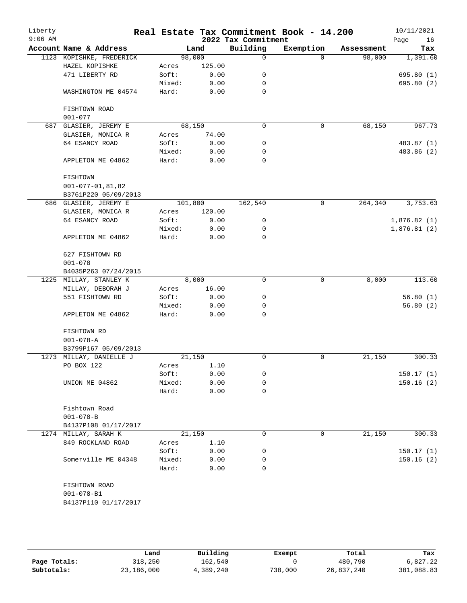| Liberty<br>$9:06$ AM |                          |         |        | 2022 Tax Commitment | Real Estate Tax Commitment Book - 14.200 |            | 10/11/2021<br>Page<br>16 |
|----------------------|--------------------------|---------|--------|---------------------|------------------------------------------|------------|--------------------------|
|                      | Account Name & Address   |         | Land   | Building            | Exemption                                | Assessment | Tax                      |
|                      | 1123 KOPISHKE, FREDERICK | 98,000  |        | 0                   | $\Omega$                                 | 98,000     | 1,391.60                 |
|                      | HAZEL KOPISHKE           | Acres   | 125.00 |                     |                                          |            |                          |
|                      | 471 LIBERTY RD           | Soft:   | 0.00   | 0                   |                                          |            | 695.80(1)                |
|                      |                          | Mixed:  | 0.00   | 0                   |                                          |            | 695.80 (2)               |
|                      | WASHINGTON ME 04574      | Hard:   | 0.00   | 0                   |                                          |            |                          |
|                      | FISHTOWN ROAD            |         |        |                     |                                          |            |                          |
|                      | $001 - 077$              |         |        |                     |                                          |            |                          |
|                      | 687 GLASIER, JEREMY E    | 68,150  |        | $\Omega$            | $\mathbf 0$                              | 68,150     | 967.73                   |
|                      | GLASIER, MONICA R        | Acres   | 74.00  |                     |                                          |            |                          |
|                      | 64 ESANCY ROAD           | Soft:   | 0.00   | 0                   |                                          |            | 483.87 (1)               |
|                      |                          | Mixed:  | 0.00   | 0                   |                                          |            | 483.86 (2)               |
|                      | APPLETON ME 04862        | Hard:   | 0.00   | 0                   |                                          |            |                          |
|                      | FISHTOWN                 |         |        |                     |                                          |            |                          |
|                      | $001 - 077 - 01, 81, 82$ |         |        |                     |                                          |            |                          |
|                      | B3761P220 05/09/2013     |         |        |                     |                                          |            |                          |
|                      |                          |         |        |                     |                                          |            |                          |
|                      | 686 GLASIER, JEREMY E    | 101,800 |        | 162,540             | $\mathsf{O}$                             | 264,340    | 3,753.63                 |
|                      | GLASIER, MONICA R        | Acres   | 120.00 |                     |                                          |            |                          |
|                      | 64 ESANCY ROAD           | Soft:   | 0.00   | 0                   |                                          |            | 1,876.82(1)              |
|                      |                          | Mixed:  | 0.00   | 0                   |                                          |            | 1,876.81(2)              |
|                      | APPLETON ME 04862        | Hard:   | 0.00   | 0                   |                                          |            |                          |
|                      | 627 FISHTOWN RD          |         |        |                     |                                          |            |                          |
|                      | $001 - 078$              |         |        |                     |                                          |            |                          |
|                      | B4035P263 07/24/2015     |         |        |                     |                                          |            |                          |
| 1225                 | MILLAY, STANLEY K        |         | 8,000  | $\Omega$            | 0                                        | 8,000      | 113.60                   |
|                      | MILLAY, DEBORAH J        | Acres   | 16.00  |                     |                                          |            |                          |
|                      | 551 FISHTOWN RD          | Soft:   | 0.00   | 0                   |                                          |            | 56.80(1)                 |
|                      |                          | Mixed:  | 0.00   | 0                   |                                          |            | 56.80(2)                 |
|                      | APPLETON ME 04862        | Hard:   | 0.00   | $\Omega$            |                                          |            |                          |
|                      | FISHTOWN RD              |         |        |                     |                                          |            |                          |
|                      | $001 - 078 - A$          |         |        |                     |                                          |            |                          |
|                      | B3799P167 05/09/2013     |         |        |                     |                                          |            |                          |
|                      | 1273 MILLAY, DANIELLE J  | 21,150  |        | 0                   | 0                                        | 21,150     | 300.33                   |
|                      | PO BOX 122               | Acres   | 1.10   |                     |                                          |            |                          |
|                      |                          | Soft:   | 0.00   | 0                   |                                          |            | 150.17(1)                |
|                      | UNION ME 04862           | Mixed:  | 0.00   | 0                   |                                          |            | 150.16(2)                |
|                      |                          | Hard:   | 0.00   | 0                   |                                          |            |                          |
|                      | Fishtown Road            |         |        |                     |                                          |            |                          |
|                      | $001 - 078 - B$          |         |        |                     |                                          |            |                          |
|                      | B4137P108 01/17/2017     |         |        |                     |                                          |            |                          |
|                      | 1274 MILLAY, SARAH K     | 21,150  |        | 0                   | 0                                        | 21,150     | 300.33                   |
|                      | 849 ROCKLAND ROAD        | Acres   | 1.10   |                     |                                          |            |                          |
|                      |                          | Soft:   | 0.00   | 0                   |                                          |            | 150.17(1)                |
|                      | Somerville ME 04348      | Mixed:  | 0.00   | 0                   |                                          |            | 150.16(2)                |
|                      |                          |         |        | 0                   |                                          |            |                          |
|                      |                          | Hard:   | 0.00   |                     |                                          |            |                          |
|                      | FISHTOWN ROAD            |         |        |                     |                                          |            |                          |
|                      | $001 - 078 - B1$         |         |        |                     |                                          |            |                          |
|                      | B4137P110 01/17/2017     |         |        |                     |                                          |            |                          |

|              | Land       | Building  | Exempt  | Total      | Tax        |
|--------------|------------|-----------|---------|------------|------------|
| Page Totals: | 318,250    | 162,540   |         | 480,790    | 6,827.22   |
| Subtotals:   | 23,186,000 | 4,389,240 | 738,000 | 26,837,240 | 381,088.83 |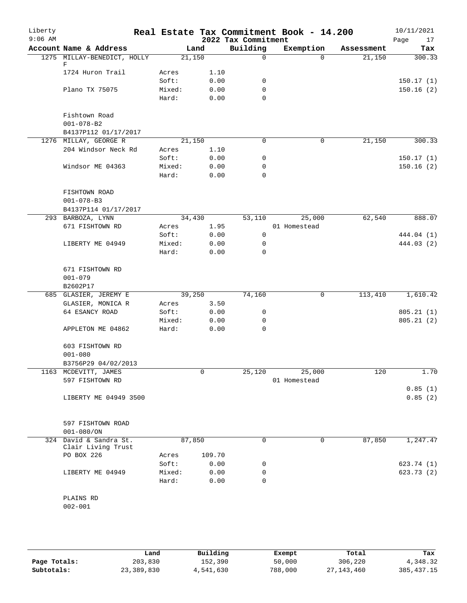| Liberty<br>$9:06$ AM |                             |        |        | 2022 Tax Commitment | Real Estate Tax Commitment Book - 14.200 |            | 10/11/2021<br>17<br>Page |
|----------------------|-----------------------------|--------|--------|---------------------|------------------------------------------|------------|--------------------------|
|                      | Account Name & Address      |        | Land   | Building            | Exemption                                | Assessment | Tax                      |
|                      | 1275 MILLAY-BENEDICT, HOLLY |        | 21,150 | $\Omega$            | $\Omega$                                 | 21,150     | 300.33                   |
|                      | F                           |        |        |                     |                                          |            |                          |
|                      | 1724 Huron Trail            | Acres  | 1.10   |                     |                                          |            |                          |
|                      |                             | Soft:  | 0.00   | 0                   |                                          |            | 150.17(1)                |
|                      | Plano TX 75075              | Mixed: | 0.00   | 0                   |                                          |            | 150.16(2)                |
|                      |                             | Hard:  | 0.00   | 0                   |                                          |            |                          |
|                      | Fishtown Road               |        |        |                     |                                          |            |                          |
|                      | $001 - 078 - B2$            |        |        |                     |                                          |            |                          |
|                      | B4137P112 01/17/2017        |        |        |                     |                                          |            |                          |
|                      | 1276 MILLAY, GEORGE R       |        | 21,150 | 0                   | $\mathbf 0$                              | 21,150     | 300.33                   |
|                      | 204 Windsor Neck Rd         | Acres  | 1.10   |                     |                                          |            |                          |
|                      |                             | Soft:  | 0.00   | 0                   |                                          |            | 150.17(1)                |
|                      | Windsor ME 04363            | Mixed: | 0.00   | 0                   |                                          |            | 150.16(2)                |
|                      |                             | Hard:  | 0.00   | 0                   |                                          |            |                          |
|                      |                             |        |        |                     |                                          |            |                          |
|                      | FISHTOWN ROAD               |        |        |                     |                                          |            |                          |
|                      | $001 - 078 - B3$            |        |        |                     |                                          |            |                          |
|                      | B4137P114 01/17/2017        |        |        |                     |                                          |            |                          |
|                      | 293 BARBOZA, LYNN           |        | 34,430 | 53,110              | 25,000                                   | 62,540     | 888.07                   |
|                      | 671 FISHTOWN RD             | Acres  | 1.95   |                     | 01 Homestead                             |            |                          |
|                      |                             | Soft:  | 0.00   | $\mathbf 0$         |                                          |            | 444.04 (1)               |
|                      | LIBERTY ME 04949            | Mixed: | 0.00   | 0                   |                                          |            | 444.03 (2)               |
|                      |                             | Hard:  | 0.00   | $\Omega$            |                                          |            |                          |
|                      | 671 FISHTOWN RD             |        |        |                     |                                          |            |                          |
|                      |                             |        |        |                     |                                          |            |                          |
|                      | $001 - 079$<br>B2602P17     |        |        |                     |                                          |            |                          |
|                      | 685 GLASIER, JEREMY E       |        | 39,250 | 74,160              | $\mathbf 0$                              | 113,410    | 1,610.42                 |
|                      | GLASIER, MONICA R           | Acres  | 3.50   |                     |                                          |            |                          |
|                      | 64 ESANCY ROAD              |        |        | 0                   |                                          |            |                          |
|                      |                             | Soft:  | 0.00   |                     |                                          |            | 805.21(1)                |
|                      |                             | Mixed: | 0.00   | 0                   |                                          |            | 805.21(2)                |
|                      | APPLETON ME 04862           | Hard:  | 0.00   | $\mathbf 0$         |                                          |            |                          |
|                      | 603 FISHTOWN RD             |        |        |                     |                                          |            |                          |
|                      | $001 - 080$                 |        |        |                     |                                          |            |                          |
|                      | B3756P29 04/02/2013         |        |        |                     |                                          |            |                          |
|                      | 1163 MCDEVITT, JAMES        |        | 0      | 25,120              | 25,000                                   | 120        | 1.70                     |
|                      | 597 FISHTOWN RD             |        |        |                     | 01 Homestead                             |            |                          |
|                      |                             |        |        |                     |                                          |            | 0.85(1)                  |
|                      | LIBERTY ME 04949 3500       |        |        |                     |                                          |            | 0.85(2)                  |
|                      |                             |        |        |                     |                                          |            |                          |
|                      |                             |        |        |                     |                                          |            |                          |
|                      | 597 FISHTOWN ROAD           |        |        |                     |                                          |            |                          |
|                      | $001 - 080 / ON$            |        |        |                     |                                          |            |                          |
|                      | 324 David & Sandra St.      |        | 87,850 | 0                   | 0                                        | 87,850     | 1,247.47                 |
|                      | Clair Living Trust          |        |        |                     |                                          |            |                          |
|                      | PO BOX 226                  | Acres  | 109.70 |                     |                                          |            |                          |
|                      |                             | Soft:  | 0.00   | 0                   |                                          |            | 623.74 (1)               |
|                      | LIBERTY ME 04949            | Mixed: | 0.00   | 0                   |                                          |            | 623.73 (2)               |
|                      |                             | Hard:  | 0.00   | 0                   |                                          |            |                          |
|                      |                             |        |        |                     |                                          |            |                          |
|                      | PLAINS RD                   |        |        |                     |                                          |            |                          |
|                      | $002 - 001$                 |        |        |                     |                                          |            |                          |
|                      |                             |        |        |                     |                                          |            |                          |

|              | Land       | Building  | Exempt  | Total        | Tax          |
|--------------|------------|-----------|---------|--------------|--------------|
| Page Totals: | 203,830    | 152,390   | 50,000  | 306,220      | 4,348.32     |
| Subtotals:   | 23,389,830 | 4,541,630 | 788,000 | 27, 143, 460 | 385, 437. 15 |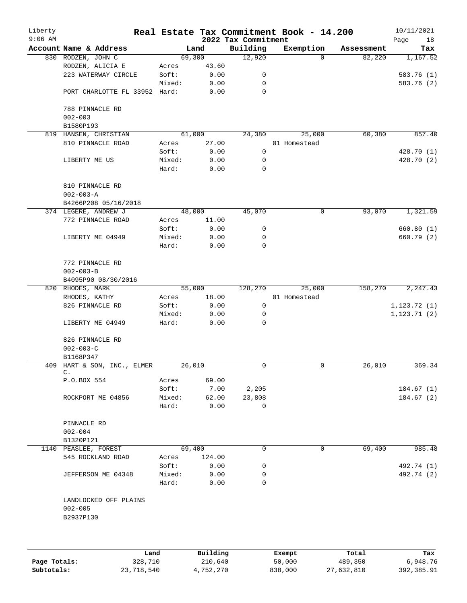| Liberty<br>$9:06$ AM |                                               |        |        | 2022 Tax Commitment | Real Estate Tax Commitment Book - 14.200 |            | 10/11/2021<br>Page<br>18 |
|----------------------|-----------------------------------------------|--------|--------|---------------------|------------------------------------------|------------|--------------------------|
|                      | Account Name & Address                        |        | Land   | Building            | Exemption                                | Assessment | Tax                      |
|                      | 830 RODZEN, JOHN C                            |        | 69,300 | 12,920              | $\Omega$                                 | 82,220     | 1,167.52                 |
|                      | RODZEN, ALICIA E                              | Acres  | 43.60  |                     |                                          |            |                          |
|                      | 223 WATERWAY CIRCLE                           | Soft:  | 0.00   | 0                   |                                          |            | 583.76 (1)               |
|                      |                                               | Mixed: | 0.00   | 0                   |                                          |            | 583.76 (2)               |
|                      | PORT CHARLOTTE FL 33952 Hard:                 |        | 0.00   | 0                   |                                          |            |                          |
|                      | 788 PINNACLE RD                               |        |        |                     |                                          |            |                          |
|                      | $002 - 003$                                   |        |        |                     |                                          |            |                          |
|                      | B1580P193                                     |        |        |                     |                                          |            |                          |
|                      | 819 HANSEN, CHRISTIAN                         |        | 61,000 | 24,380              | 25,000                                   | 60,380     | 857.40                   |
|                      | 810 PINNACLE ROAD                             | Acres  | 27.00  |                     | 01 Homestead                             |            |                          |
|                      |                                               | Soft:  | 0.00   | 0                   |                                          |            | 428.70 (1)               |
|                      | LIBERTY ME US                                 | Mixed: | 0.00   | 0                   |                                          |            | 428.70 (2)               |
|                      |                                               | Hard:  | 0.00   | 0                   |                                          |            |                          |
|                      | 810 PINNACLE RD                               |        |        |                     |                                          |            |                          |
|                      | $002 - 003 - A$                               |        |        |                     |                                          |            |                          |
|                      | B4266P208 05/16/2018                          |        |        |                     |                                          |            |                          |
|                      | 374 LEGERE, ANDREW J                          |        | 48,000 | 45,070              | 0                                        | 93,070     | 1,321.59                 |
|                      | 772 PINNACLE ROAD                             | Acres  | 11.00  |                     |                                          |            |                          |
|                      |                                               | Soft:  | 0.00   | 0                   |                                          |            | 660.80(1)                |
|                      | LIBERTY ME 04949                              | Mixed: | 0.00   | 0                   |                                          |            | 660.79 (2)               |
|                      |                                               | Hard:  | 0.00   | 0                   |                                          |            |                          |
|                      | 772 PINNACLE RD                               |        |        |                     |                                          |            |                          |
|                      | $002 - 003 - B$                               |        |        |                     |                                          |            |                          |
|                      | B4095P90 08/30/2016                           |        |        |                     |                                          |            |                          |
|                      | 820 RHODES, MARK                              |        | 55,000 | 128,270             | 25,000                                   | 158,270    | 2,247.43                 |
|                      | RHODES, KATHY                                 | Acres  | 18.00  |                     | 01 Homestead                             |            |                          |
|                      | 826 PINNACLE RD                               | Soft:  | 0.00   | $\mathsf{O}$        |                                          |            | 1, 123.72(1)             |
|                      |                                               | Mixed: | 0.00   | 0                   |                                          |            | 1, 123.71(2)             |
|                      | LIBERTY ME 04949                              | Hard:  | 0.00   | 0                   |                                          |            |                          |
|                      | 826 PINNACLE RD                               |        |        |                     |                                          |            |                          |
|                      | $002 - 003 - C$                               |        |        |                     |                                          |            |                          |
|                      | B1168P347                                     |        |        |                     |                                          |            |                          |
|                      | 409 HART & SON, INC., ELMER<br>$\mathsf{C}$ . |        | 26,010 | 0                   | 0                                        | 26,010     | 369.34                   |
|                      | P.O.BOX 554                                   | Acres  | 69.00  |                     |                                          |            |                          |
|                      |                                               | Soft:  | 7.00   | 2,205               |                                          |            | 184.67(1)                |
|                      | ROCKPORT ME 04856                             | Mixed: | 62.00  | 23,808              |                                          |            | 184.67(2)                |
|                      |                                               | Hard:  | 0.00   | 0                   |                                          |            |                          |
|                      | PINNACLE RD                                   |        |        |                     |                                          |            |                          |
|                      | $002 - 004$                                   |        |        |                     |                                          |            |                          |
|                      | B1320P121                                     |        |        |                     |                                          |            |                          |
|                      | 1140 PEASLEE, FOREST                          |        | 69,400 | 0                   | 0                                        | 69,400     | 985.48                   |
|                      | 545 ROCKLAND ROAD                             | Acres  | 124.00 |                     |                                          |            |                          |
|                      |                                               | Soft:  | 0.00   | 0                   |                                          |            | 492.74 (1)               |
|                      | JEFFERSON ME 04348                            | Mixed: | 0.00   | 0                   |                                          |            | 492.74 (2)               |
|                      |                                               | Hard:  | 0.00   | $\Omega$            |                                          |            |                          |
|                      | LANDLOCKED OFF PLAINS                         |        |        |                     |                                          |            |                          |
|                      | $002 - 005$<br>B2937P130                      |        |        |                     |                                          |            |                          |
|                      |                                               |        |        |                     |                                          |            |                          |
|                      |                                               |        |        |                     |                                          |            |                          |
|                      |                                               |        |        |                     |                                          |            |                          |

|              | Land       | Building  | Exempt  | Total      | Tax        |
|--------------|------------|-----------|---------|------------|------------|
| Page Totals: | 328,710    | 210,640   | 50,000  | 489,350    | 6,948.76   |
| Subtotals:   | 23,718,540 | 4,752,270 | 838,000 | 27,632,810 | 392,385.91 |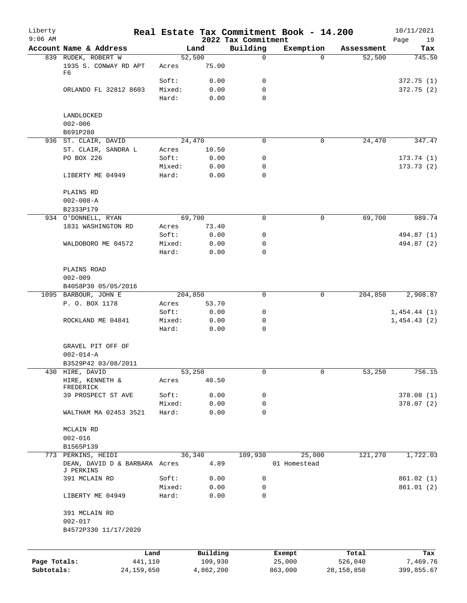| Liberty<br>$9:06$ AM |                                            |                 |           | 2022 Tax Commitment | Real Estate Tax Commitment Book - 14.200 |              | 10/11/2021<br>Page<br>19 |
|----------------------|--------------------------------------------|-----------------|-----------|---------------------|------------------------------------------|--------------|--------------------------|
|                      | Account Name & Address                     |                 | Land      | Building            | Exemption                                | Assessment   | Tax                      |
|                      | 839 RUDEK, ROBERT W                        |                 | 52,500    | 0                   | $\Omega$                                 | 52,500       | 745.50                   |
|                      | 1935 S. CONWAY RD APT<br>F6                | Acres           | 75.00     |                     |                                          |              |                          |
|                      |                                            | Soft:           | 0.00      | 0                   |                                          |              | 372.75(1)                |
|                      | ORLANDO FL 32812 8603                      | Mixed:          | 0.00      | 0                   |                                          |              | 372.75(2)                |
|                      |                                            | Hard:           | 0.00      | 0                   |                                          |              |                          |
|                      | LANDLOCKED                                 |                 |           |                     |                                          |              |                          |
|                      | $002 - 006$<br>B691P280                    |                 |           |                     |                                          |              |                          |
|                      | 936 ST. CLAIR, DAVID                       |                 | 24,470    | 0                   | 0                                        | 24,470       | 347.47                   |
|                      | ST. CLAIR, SANDRA L                        | Acres           | 10.50     |                     |                                          |              |                          |
|                      | PO BOX 226                                 | Soft:           | 0.00      | 0                   |                                          |              | 173.74(1)                |
|                      |                                            | Mixed:          | 0.00      | 0                   |                                          |              | 173.73(2)                |
|                      | LIBERTY ME 04949                           | Hard:           | 0.00      | 0                   |                                          |              |                          |
|                      | PLAINS RD                                  |                 |           |                     |                                          |              |                          |
|                      | $002 - 008 - A$                            |                 |           |                     |                                          |              |                          |
|                      | B2333P179                                  |                 |           |                     |                                          |              |                          |
|                      | 934 O'DONNELL, RYAN                        |                 | 69,700    | 0                   | $\mathsf{O}$                             | 69,700       | 989.74                   |
|                      | 1831 WASHINGTON RD                         | Acres           | 73.40     |                     |                                          |              |                          |
|                      |                                            | Soft:           | 0.00      | 0                   |                                          |              | 494.87 (1)               |
|                      | WALDOBORO ME 04572                         | Mixed:          | 0.00      | 0                   |                                          |              | 494.87 (2)               |
|                      |                                            | Hard:           | 0.00      | 0                   |                                          |              |                          |
|                      |                                            |                 |           |                     |                                          |              |                          |
|                      | PLAINS ROAD                                |                 |           |                     |                                          |              |                          |
|                      | $002 - 009$                                |                 |           |                     |                                          |              |                          |
|                      | B4058P30 05/05/2016                        |                 |           |                     |                                          |              |                          |
|                      | 1095 BARBOUR, JOHN E                       |                 | 204,850   | 0                   | 0                                        | 204,850      | 2,908.87                 |
|                      | P. O. BOX 1178                             | Acres           | 53.70     |                     |                                          |              |                          |
|                      |                                            | Soft:           | 0.00      | 0                   |                                          |              | 1,454.44(1)              |
|                      | ROCKLAND ME 04841                          | Mixed:          | 0.00      | 0                   |                                          |              | 1,454.43(2)              |
|                      |                                            | Hard:           | 0.00      | 0                   |                                          |              |                          |
|                      | GRAVEL PIT OFF OF<br>$002 - 014 - A$       |                 |           |                     |                                          |              |                          |
|                      | B3529P42 03/08/2011                        |                 |           |                     |                                          |              |                          |
|                      | 430 HIRE, DAVID                            |                 | 53,250    | 0                   | 0                                        |              | 756.15                   |
|                      | HIRE, KENNETH &                            | Acres           | 40.50     |                     |                                          | 53,250       |                          |
|                      | FREDERICK                                  |                 | 0.00      |                     |                                          |              |                          |
|                      | 39 PROSPECT ST AVE                         | Soft:<br>Mixed: |           | 0                   |                                          |              | 378.08(1)                |
|                      | WALTHAM MA 02453 3521                      |                 | 0.00      | 0<br>0              |                                          |              | 378.07(2)                |
|                      |                                            | Hard:           | 0.00      |                     |                                          |              |                          |
|                      | MCLAIN RD                                  |                 |           |                     |                                          |              |                          |
|                      | $002 - 016$                                |                 |           |                     |                                          |              |                          |
|                      | B1565P139                                  |                 |           |                     |                                          |              |                          |
|                      | 773 PERKINS, HEIDI                         |                 | 36,340    | 109,930             | 25,000                                   | 121,270      | 1,722.03                 |
|                      | DEAN, DAVID D & BARBARA Acres<br>J PERKINS |                 | 4.89      |                     | 01 Homestead                             |              |                          |
|                      | 391 MCLAIN RD                              | Soft:           | 0.00      | 0                   |                                          |              | 861.02(1)                |
|                      |                                            | Mixed:          | 0.00      | 0                   |                                          |              | 861.01(2)                |
|                      | LIBERTY ME 04949                           | Hard:           | 0.00      | $\Omega$            |                                          |              |                          |
|                      | 391 MCLAIN RD                              |                 |           |                     |                                          |              |                          |
|                      | $002 - 017$                                |                 |           |                     |                                          |              |                          |
|                      | B4572P330 11/17/2020                       |                 |           |                     |                                          |              |                          |
|                      |                                            |                 |           |                     |                                          |              |                          |
|                      | Land                                       |                 | Building  |                     | Exempt                                   | Total        | Tax                      |
| Page Totals:         | 441,110                                    |                 | 109,930   |                     | 25,000                                   | 526,040      | 7,469.76                 |
| Subtotals:           | 24,159,650                                 |                 | 4,862,200 |                     | 863,000                                  | 28, 158, 850 | 399,855.67               |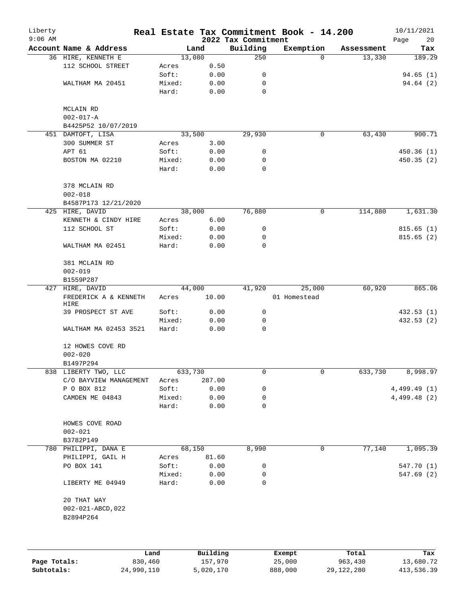| Liberty<br>$9:06$ AM |                               |        |          | 2022 Tax Commitment | Real Estate Tax Commitment Book - 14.200 |            | 10/11/2021<br>Page<br>20 |
|----------------------|-------------------------------|--------|----------|---------------------|------------------------------------------|------------|--------------------------|
|                      | Account Name & Address        |        | Land     | Building            | Exemption                                | Assessment | Tax                      |
|                      | 36 HIRE, KENNETH E            |        | 13,080   | 250                 | $\Omega$                                 | 13,330     | 189.29                   |
|                      | 112 SCHOOL STREET             | Acres  | 0.50     |                     |                                          |            |                          |
|                      |                               | Soft:  | 0.00     | 0                   |                                          |            | 94.65(1)                 |
|                      | WALTHAM MA 20451              | Mixed: | 0.00     | 0                   |                                          |            | 94.64 (2)                |
|                      |                               | Hard:  | 0.00     | $\mathbf 0$         |                                          |            |                          |
|                      | MCLAIN RD                     |        |          |                     |                                          |            |                          |
|                      | $002 - 017 - A$               |        |          |                     |                                          |            |                          |
|                      | B4425P52 10/07/2019           |        |          |                     |                                          |            |                          |
|                      | 451 DAMTOFT, LISA             |        | 33,500   | 29,930              | 0                                        | 63,430     | 900.71                   |
|                      | 300 SUMMER ST                 | Acres  | 3.00     |                     |                                          |            |                          |
|                      | APT 61                        | Soft:  | 0.00     | 0                   |                                          |            | 450.36(1)                |
|                      | BOSTON MA 02210               | Mixed: | 0.00     | 0                   |                                          |            | 450.35(2)                |
|                      |                               | Hard:  | 0.00     | 0                   |                                          |            |                          |
|                      | 378 MCLAIN RD<br>$002 - 018$  |        |          |                     |                                          |            |                          |
|                      | B4587P173 12/21/2020          |        |          |                     |                                          |            |                          |
|                      | 425 HIRE, DAVID               |        | 38,000   | 76,880              | 0                                        | 114,880    | 1,631.30                 |
|                      | KENNETH & CINDY HIRE          | Acres  | 6.00     |                     |                                          |            |                          |
|                      | 112 SCHOOL ST                 | Soft:  | 0.00     | 0                   |                                          |            | 815.65(1)                |
|                      |                               | Mixed: | 0.00     | 0                   |                                          |            | 815.65(2)                |
|                      | WALTHAM MA 02451              | Hard:  | 0.00     | 0                   |                                          |            |                          |
|                      | 381 MCLAIN RD                 |        |          |                     |                                          |            |                          |
|                      | $002 - 019$                   |        |          |                     |                                          |            |                          |
|                      | B1559P287                     |        |          |                     |                                          |            |                          |
|                      | 427 HIRE, DAVID               |        | 44,000   | 41,920              | 25,000                                   | 60,920     | 865.06                   |
|                      | FREDERICK A & KENNETH<br>HIRE | Acres  | 10.00    |                     | 01 Homestead                             |            |                          |
|                      | 39 PROSPECT ST AVE            | Soft:  | 0.00     | 0                   |                                          |            | 432.53 (1)               |
|                      |                               | Mixed: | 0.00     | 0                   |                                          |            | 432.53 (2)               |
|                      | WALTHAM MA 02453 3521         | Hard:  | 0.00     | 0                   |                                          |            |                          |
|                      | 12 HOWES COVE RD              |        |          |                     |                                          |            |                          |
|                      | $002 - 020$                   |        |          |                     |                                          |            |                          |
|                      | B1497P294                     |        |          |                     |                                          |            |                          |
|                      | 838 LIBERTY TWO, LLC          |        | 633,730  | 0                   | 0                                        | 633,730    | 8,998.97                 |
|                      | C/O BAYVIEW MANAGEMENT        | Acres  | 287.00   |                     |                                          |            |                          |
|                      | P O BOX 812                   | Soft:  | 0.00     | 0                   |                                          |            | 4,499.49(1)              |
|                      | CAMDEN ME 04843               | Mixed: | 0.00     | 0                   |                                          |            | 4,499.48 (2)             |
|                      |                               | Hard:  | 0.00     | 0                   |                                          |            |                          |
|                      | HOWES COVE ROAD               |        |          |                     |                                          |            |                          |
|                      | $002 - 021$                   |        |          |                     |                                          |            |                          |
|                      | B3782P149                     |        |          |                     |                                          |            |                          |
|                      | 780 PHILIPPI, DANA E          |        | 68,150   | 8,990               | 0                                        | 77,140     | 1,095.39                 |
|                      | PHILIPPI, GAIL H              | Acres  | 81.60    |                     |                                          |            |                          |
|                      | PO BOX 141                    | Soft:  | 0.00     | 0                   |                                          |            | 547.70 (1)               |
|                      |                               | Mixed: | 0.00     | 0                   |                                          |            | 547.69(2)                |
|                      | LIBERTY ME 04949              | Hard:  | 0.00     | 0                   |                                          |            |                          |
|                      | 20 THAT WAY                   |        |          |                     |                                          |            |                          |
|                      | 002-021-ABCD, 022             |        |          |                     |                                          |            |                          |
|                      | B2894P264                     |        |          |                     |                                          |            |                          |
|                      |                               |        |          |                     |                                          |            |                          |
|                      |                               | Land   | Building |                     | Exempt                                   | Total      | Tax                      |

**Page Totals:** 830,460 157,970 25,000 963,430 13,680.72 **Subtotals:** 24,990,110 5,020,170 888,000 29,122,280 413,536.39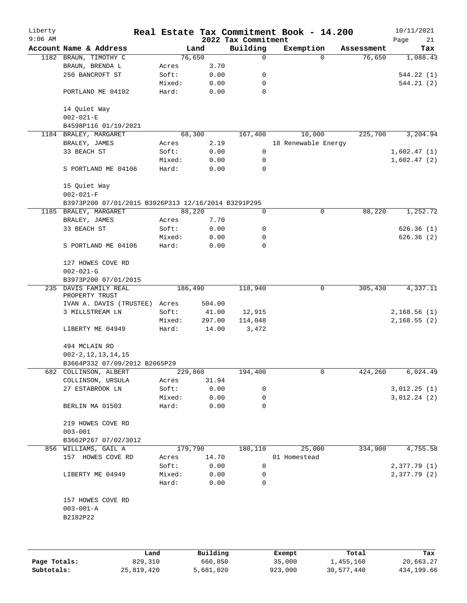| Liberty   |                                                     |                 |              |                     | Real Estate Tax Commitment Book - 14.200 |            | 10/11/2021                 |
|-----------|-----------------------------------------------------|-----------------|--------------|---------------------|------------------------------------------|------------|----------------------------|
| $9:06$ AM |                                                     |                 |              | 2022 Tax Commitment |                                          |            | Page<br>21                 |
|           | Account Name & Address                              |                 | Land         | Building            | Exemption                                | Assessment | Tax                        |
|           | 1182 BRAUN, TIMOTHY C                               |                 | 76,650       | 0                   | $\Omega$                                 | 76,650     | 1,088.43                   |
|           | BRAUN, BRENDA L<br>250 BANCROFT ST                  | Acres<br>Soft:  | 3.70<br>0.00 | 0                   |                                          |            | 544.22(1)                  |
|           |                                                     | Mixed:          | 0.00         | 0                   |                                          |            | 544.21(2)                  |
|           | PORTLAND ME 04102                                   | Hard:           | 0.00         | $\mathbf 0$         |                                          |            |                            |
|           | 14 Quiet Way<br>$002 - 021 - E$                     |                 |              |                     |                                          |            |                            |
|           | B4598P116 01/19/2021                                |                 |              |                     |                                          |            |                            |
|           | 1184 BRALEY, MARGARET                               |                 | 68,300       | 167,400             | 10,000                                   | 225,700    | 3,204.94                   |
|           | BRALEY, JAMES                                       | Acres           | 2.19         |                     | 18 Renewable Energy                      |            |                            |
|           | 33 BEACH ST                                         | Soft:           | 0.00         | 0                   |                                          |            | 1,602.47(1)                |
|           |                                                     | Mixed:          | 0.00         | 0                   |                                          |            | 1,602.47(2)                |
|           | S PORTLAND ME 04106                                 | Hard:           | 0.00         | 0                   |                                          |            |                            |
|           | 15 Quiet Way<br>$002 - 021 - F$                     |                 |              |                     |                                          |            |                            |
|           | B3973P200 07/01/2015 B3926P313 12/16/2014 B3291P295 |                 |              |                     |                                          |            |                            |
|           | 1185 BRALEY, MARGARET                               |                 | 88,220       | 0                   | 0                                        | 88,220     | 1,252.72                   |
|           | BRALEY, JAMES                                       | Acres           | 7.70         |                     |                                          |            |                            |
|           | 33 BEACH ST                                         | Soft:           | 0.00         | 0                   |                                          |            | 626.36(1)                  |
|           |                                                     | Mixed:          | 0.00         | 0                   |                                          |            | 626.36(2)                  |
|           | S PORTLAND ME 04106                                 | Hard:           | 0.00         | 0                   |                                          |            |                            |
|           | 127 HOWES COVE RD<br>$002 - 021 - G$                |                 |              |                     |                                          |            |                            |
|           | B3973P200 07/01/2015                                |                 |              |                     |                                          |            |                            |
|           | 235 DAVIS FAMILY REAL<br>PROPERTY TRUST             |                 | 186,490      | 118,940             | 0                                        | 305,430    | 4,337.11                   |
|           | IVAN A. DAVIS (TRUSTEE)                             | Acres           | 504.00       |                     |                                          |            |                            |
|           | 3 MILLSTREAM LN                                     | Soft:           | 41.00        | 12,915              |                                          |            | 2,168.56(1)                |
|           |                                                     | Mixed:          | 297.00       | 114,048             |                                          |            | 2,168.55(2)                |
|           | LIBERTY ME 04949                                    | Hard:           | 14.00        | 3,472               |                                          |            |                            |
|           | 494 MCLAIN RD                                       |                 |              |                     |                                          |            |                            |
|           | $002 - 2, 12, 13, 14, 15$                           |                 |              |                     |                                          |            |                            |
|           | B3664P332 07/09/2012 B2065P29                       |                 |              |                     |                                          |            |                            |
|           | 682 COLLINSON, ALBERT                               |                 | 229,860      | 194,400             | 0                                        | 424,260    | 6,024.49                   |
|           | COLLINSON, URSULA<br>27 ESTABROOK LN                | Acres           | 31.94        |                     |                                          |            |                            |
|           |                                                     | Soft:<br>Mixed: | 0.00<br>0.00 | 0<br>0              |                                          |            | 3,012.25(1)<br>3,012.24(2) |
|           | BERLIN MA 01503                                     | Hard:           | 0.00         | 0                   |                                          |            |                            |
|           | 219 HOWES COVE RD                                   |                 |              |                     |                                          |            |                            |
|           | $003 - 001$                                         |                 |              |                     |                                          |            |                            |
|           | B3662P267 07/02/3012                                |                 |              |                     |                                          |            |                            |
|           | 856 WILLIAMS, GAIL A                                |                 | 179,790      | 180,110             | 25,000                                   | 334,900    | 4,755.58                   |
|           | 157 HOWES COVE RD                                   | Acres           | 14.70        |                     | 01 Homestead                             |            |                            |
|           |                                                     | Soft:           | 0.00         | 0                   |                                          |            | 2,377.79 (1)               |
|           | LIBERTY ME 04949                                    | Mixed:          | 0.00         | 0                   |                                          |            | 2,377.79 (2)               |
|           |                                                     | Hard:           | 0.00         | 0                   |                                          |            |                            |
|           | 157 HOWES COVE RD                                   |                 |              |                     |                                          |            |                            |
|           | $003 - 001 - A$<br>B2182P22                         |                 |              |                     |                                          |            |                            |
|           |                                                     |                 |              |                     |                                          |            |                            |
|           |                                                     |                 |              |                     |                                          |            |                            |
|           |                                                     | Land            | Building     |                     | Exempt                                   | Total      | Tax                        |

**Page Totals:** 829,310 660,850 35,000 1,455,160 20,663.27<br>**Subtotals:** 25,819,420 5,681,020 923,000 30,577,440 434,199.66

**Subtotals:** 25,819,420 5,681,020 923,000 30,577,440 434,199.66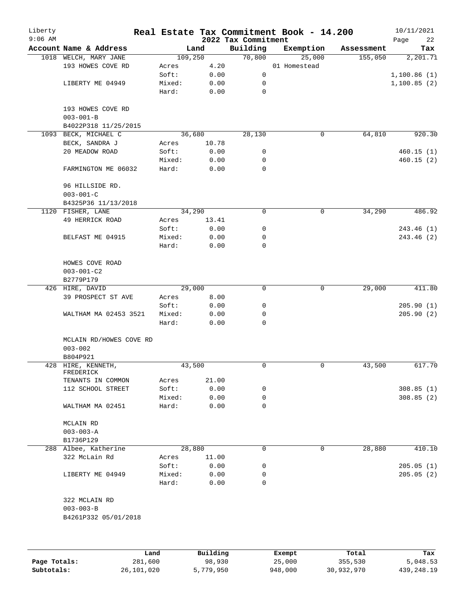| Liberty<br>$9:06$ AM |                                        |        |          | 2022 Tax Commitment | Real Estate Tax Commitment Book - 14.200 |            | 10/11/2021<br>Page<br>22 |
|----------------------|----------------------------------------|--------|----------|---------------------|------------------------------------------|------------|--------------------------|
|                      | Account Name & Address                 |        | Land     | Building            | Exemption                                | Assessment | Tax                      |
|                      | 1018 WELCH, MARY JANE                  |        | 109,250  | 70,800              | 25,000                                   | 155,050    | 2,201.71                 |
|                      | 193 HOWES COVE RD                      | Acres  | 4.20     |                     | 01 Homestead                             |            |                          |
|                      |                                        | Soft:  | 0.00     | 0                   |                                          |            | 1,100.86(1)              |
|                      | LIBERTY ME 04949                       | Mixed: | 0.00     | 0                   |                                          |            | 1,100.85(2)              |
|                      |                                        | Hard:  | 0.00     | 0                   |                                          |            |                          |
|                      | 193 HOWES COVE RD<br>$003 - 001 - B$   |        |          |                     |                                          |            |                          |
|                      | B4022P318 11/25/2015                   |        |          |                     |                                          |            |                          |
| 1093                 | BECK, MICHAEL C                        |        | 36,680   | 28,130              | 0                                        | 64,810     | 920.30                   |
|                      | BECK, SANDRA J                         | Acres  | 10.78    |                     |                                          |            |                          |
|                      | 20 MEADOW ROAD                         | Soft:  | 0.00     | 0                   |                                          |            | 460.15(1)                |
|                      |                                        | Mixed: | 0.00     | 0                   |                                          |            | 460.15(2)                |
|                      | FARMINGTON ME 06032                    | Hard:  | 0.00     | $\Omega$            |                                          |            |                          |
|                      | 96 HILLSIDE RD.<br>$003 - 001 - C$     |        |          |                     |                                          |            |                          |
|                      | B4325P36 11/13/2018                    |        |          |                     |                                          |            |                          |
|                      | 1120 FISHER, LANE                      |        | 34,290   | 0                   | 0                                        | 34,290     | 486.92                   |
|                      | 49 HERRICK ROAD                        | Acres  | 13.41    |                     |                                          |            |                          |
|                      |                                        | Soft:  | 0.00     | 0                   |                                          |            | 243.46 (1)               |
|                      | BELFAST ME 04915                       | Mixed: | 0.00     | 0                   |                                          |            | 243.46 (2)               |
|                      |                                        | Hard:  | 0.00     | 0                   |                                          |            |                          |
|                      | HOWES COVE ROAD                        |        |          |                     |                                          |            |                          |
|                      | $003 - 001 - C2$                       |        |          |                     |                                          |            |                          |
|                      | B2779P179                              |        |          |                     |                                          |            |                          |
|                      | 426 HIRE, DAVID                        |        | 29,000   | 0                   | $\mathbf 0$                              | 29,000     | 411.80                   |
|                      | 39 PROSPECT ST AVE                     | Acres  | 8.00     |                     |                                          |            |                          |
|                      |                                        | Soft:  | 0.00     | 0                   |                                          |            | 205.90(1)                |
|                      | WALTHAM MA 02453 3521                  | Mixed: | 0.00     | 0                   |                                          |            | 205.90(2)                |
|                      |                                        | Hard:  | 0.00     | 0                   |                                          |            |                          |
|                      | MCLAIN RD/HOWES COVE RD<br>$003 - 002$ |        |          |                     |                                          |            |                          |
|                      | B804P921                               |        |          |                     |                                          |            |                          |
|                      | 428 HIRE, KENNETH,                     |        | 43,500   | 0                   | 0                                        | 43,500     | 617.70                   |
|                      | FREDERICK                              |        |          |                     |                                          |            |                          |
|                      | TENANTS IN COMMON                      | Acres  | 21.00    |                     |                                          |            |                          |
|                      | 112 SCHOOL STREET                      | Soft:  | 0.00     | 0                   |                                          |            | 308.85(1)                |
|                      |                                        | Mixed: | 0.00     | 0                   |                                          |            | 308.85(2)                |
|                      | WALTHAM MA 02451                       | Hard:  | 0.00     | 0                   |                                          |            |                          |
|                      | MCLAIN RD                              |        |          |                     |                                          |            |                          |
|                      | $003 - 003 - A$                        |        |          |                     |                                          |            |                          |
|                      | B1736P129                              |        |          |                     |                                          |            |                          |
|                      | 288 Albee, Katherine                   |        | 28,880   | 0                   | $\mathbf 0$                              | 28,880     | 410.10                   |
|                      | 322 McLain Rd                          | Acres  | 11.00    |                     |                                          |            |                          |
|                      |                                        | Soft:  | 0.00     | 0                   |                                          |            | 205.05(1)                |
|                      | LIBERTY ME 04949                       | Mixed: | 0.00     | 0                   |                                          |            | 205.05(2)                |
|                      |                                        | Hard:  | 0.00     | 0                   |                                          |            |                          |
|                      | 322 MCLAIN RD                          |        |          |                     |                                          |            |                          |
|                      | $003 - 003 - B$                        |        |          |                     |                                          |            |                          |
|                      | B4261P332 05/01/2018                   |        |          |                     |                                          |            |                          |
|                      |                                        |        |          |                     |                                          |            |                          |
|                      |                                        | Land   | Building |                     | Exempt                                   | Total      | Tax                      |
|                      |                                        |        |          |                     |                                          |            |                          |

|              | ∟and       | Building  | Exempt  | Total      | тах          |
|--------------|------------|-----------|---------|------------|--------------|
| Page Totals: | 281,600    | 98,930    | 25,000  | 355,530    | 5,048.53     |
| Subtotals:   | 26,101,020 | 5,779,950 | 948,000 | 30,932,970 | 439, 248. 19 |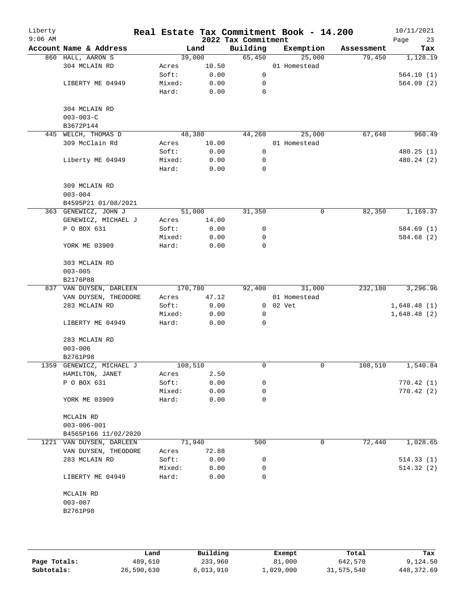| Liberty<br>$9:06$ AM |                                                  |                 |              | 2022 Tax Commitment | Real Estate Tax Commitment Book - 14.200 |            | 10/11/2021<br>23<br>Page |
|----------------------|--------------------------------------------------|-----------------|--------------|---------------------|------------------------------------------|------------|--------------------------|
|                      | Account Name & Address                           |                 | Land         | Building            | Exemption                                | Assessment | Tax                      |
|                      | 860 HALL, AARON S                                |                 | 39,000       | 65,450              | 25,000                                   | 79,450     | 1,128.19                 |
|                      | 304 MCLAIN RD                                    | Acres           | 10.50        |                     | 01 Homestead                             |            |                          |
|                      |                                                  | Soft:           | 0.00         | $\mathbf 0$         |                                          |            | 564.10(1)                |
|                      | LIBERTY ME 04949                                 | Mixed:          | 0.00         | 0                   |                                          |            | 564.09(2)                |
|                      |                                                  | Hard:           | 0.00         | 0                   |                                          |            |                          |
|                      | 304 MCLAIN RD                                    |                 |              |                     |                                          |            |                          |
|                      | $003 - 003 - C$                                  |                 |              |                     |                                          |            |                          |
|                      | B3672P144                                        |                 |              |                     |                                          |            |                          |
|                      | 445 WELCH, THOMAS D                              |                 | 48,380       | 44,260              | 25,000                                   | 67,640     | 960.49                   |
|                      | 309 McClain Rd                                   | Acres           | 10.00        |                     | 01 Homestead                             |            |                          |
|                      |                                                  | Soft:           | 0.00         | 0                   |                                          |            | 480.25 (1)               |
|                      | Liberty ME 04949                                 | Mixed:          | 0.00         | 0                   |                                          |            | 480.24 (2)               |
|                      |                                                  | Hard:           | 0.00         | $\mathbf 0$         |                                          |            |                          |
|                      |                                                  |                 |              |                     |                                          |            |                          |
|                      | 309 MCLAIN RD                                    |                 |              |                     |                                          |            |                          |
|                      | $003 - 004$                                      |                 |              |                     |                                          |            |                          |
|                      | B4595P21 01/08/2021                              |                 |              |                     |                                          |            |                          |
|                      | 363 GENEWICZ, JOHN J                             |                 | 51,000       | 31,350              | 0                                        | 82,350     | 1,169.37                 |
|                      | GENEWICZ, MICHAEL J                              | Acres           | 14.00        |                     |                                          |            |                          |
|                      | P O BOX 631                                      | Soft:           | 0.00         | 0                   |                                          |            | 584.69(1)                |
|                      |                                                  | Mixed:          | 0.00         | 0                   |                                          |            | 584.68 (2)               |
|                      | YORK ME 03909                                    | Hard:           | 0.00         | $\mathbf 0$         |                                          |            |                          |
|                      | 303 MCLAIN RD                                    |                 |              |                     |                                          |            |                          |
|                      | $003 - 005$                                      |                 |              |                     |                                          |            |                          |
|                      | B2176P88                                         |                 |              |                     |                                          |            |                          |
|                      | 837 VAN DUYSEN, DARLEEN                          |                 | 170,780      | 92,400              | 31,000                                   | 232,180    | 3,296.96                 |
|                      | VAN DUYSEN, THEODORE                             | Acres           | 47.12        |                     | 01 Homestead                             |            |                          |
|                      | 283 MCLAIN RD                                    | Soft:           | 0.00         |                     | 0 02 Vet                                 |            | 1,648.48(1)              |
|                      |                                                  | Mixed:          | 0.00         | 0                   |                                          |            | 1,648.48(2)              |
|                      | LIBERTY ME 04949                                 | Hard:           | 0.00         | $\mathbf 0$         |                                          |            |                          |
|                      | 283 MCLAIN RD                                    |                 |              |                     |                                          |            |                          |
|                      | $003 - 006$                                      |                 |              |                     |                                          |            |                          |
|                      | B2761P98                                         |                 |              |                     |                                          |            |                          |
|                      | 1359 GENEWICZ, MICHAEL J                         |                 | 108,510      | 0                   | 0                                        | 108,510    | 1,540.84                 |
|                      | HAMILTON, JANET                                  | Acres           | 2.50         |                     |                                          |            |                          |
|                      | P O BOX 631                                      | Soft:           | 0.00         | 0                   |                                          |            | 770.42(1)                |
|                      |                                                  | Mixed:          | 0.00         | 0                   |                                          |            | 770.42(2)                |
|                      | YORK ME 03909                                    | Hard:           | 0.00         | 0                   |                                          |            |                          |
|                      |                                                  |                 |              |                     |                                          |            |                          |
|                      | MCLAIN RD                                        |                 |              |                     |                                          |            |                          |
|                      | $003 - 006 - 001$                                |                 |              |                     |                                          |            |                          |
|                      | B4565P166 11/02/2020<br>1221 VAN DUYSEN, DARLEEN |                 | 71,940       | 500                 | 0                                        | 72,440     | 1,028.65                 |
|                      | VAN DUYSEN, THEODORE                             |                 |              |                     |                                          |            |                          |
|                      |                                                  | Acres           | 72.88        |                     |                                          |            |                          |
|                      | 283 MCLAIN RD                                    | Soft:           | 0.00<br>0.00 | 0<br>0              |                                          |            | 514.33(1)<br>514.32(2)   |
|                      | LIBERTY ME 04949                                 | Mixed:<br>Hard: | 0.00         | 0                   |                                          |            |                          |
|                      |                                                  |                 |              |                     |                                          |            |                          |
|                      | MCLAIN RD                                        |                 |              |                     |                                          |            |                          |
|                      | $003 - 007$                                      |                 |              |                     |                                          |            |                          |
|                      | B2761P98                                         |                 |              |                     |                                          |            |                          |
|                      |                                                  |                 |              |                     |                                          |            |                          |

|              | Land       | Building  | Exempt    | Total      | Tax          |
|--------------|------------|-----------|-----------|------------|--------------|
| Page Totals: | 489,610    | 233,960   | 81,000    | 642,570    | 9,124.50     |
| Subtotals:   | 26,590,630 | 6,013,910 | ⊥,029,000 | 31,575,540 | 448, 372, 69 |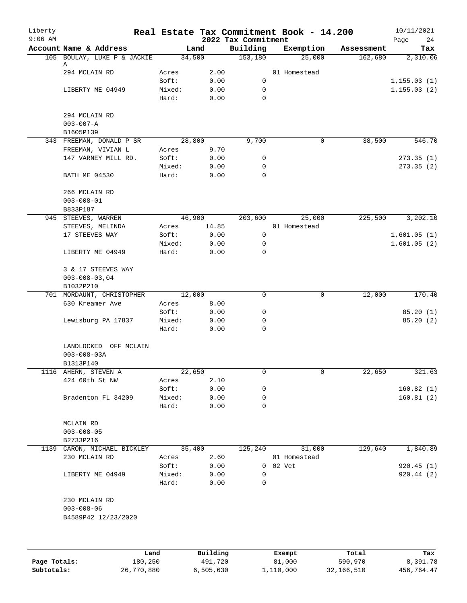| Liberty<br>$9:06$ AM |                                  |        |          | 2022 Tax Commitment |        | Real Estate Tax Commitment Book - 14.200 |            | 10/11/2021<br>Page<br>24 |
|----------------------|----------------------------------|--------|----------|---------------------|--------|------------------------------------------|------------|--------------------------|
|                      | Account Name & Address           |        | Land     | Building            |        | Exemption                                | Assessment | Tax                      |
|                      | 105 BOULAY, LUKE P & JACKIE      |        | 34,500   | 153,180             |        | 25,000                                   | 162,680    | 2,310.06                 |
|                      | Α<br>294 MCLAIN RD               | Acres  | 2.00     |                     |        | 01 Homestead                             |            |                          |
|                      |                                  | Soft:  | 0.00     | 0                   |        |                                          |            | 1, 155.03(1)             |
|                      | LIBERTY ME 04949                 | Mixed: | 0.00     | 0                   |        |                                          |            | 1, 155.03(2)             |
|                      |                                  | Hard:  | 0.00     | 0                   |        |                                          |            |                          |
|                      |                                  |        |          |                     |        |                                          |            |                          |
|                      | 294 MCLAIN RD<br>$003 - 007 - A$ |        |          |                     |        |                                          |            |                          |
|                      | B1605P139                        |        |          |                     |        |                                          |            |                          |
|                      | 343 FREEMAN, DONALD P SR         |        | 28,800   | 9,700               |        | 0                                        | 38,500     | 546.70                   |
|                      | FREEMAN, VIVIAN L                | Acres  | 9.70     |                     |        |                                          |            |                          |
|                      | 147 VARNEY MILL RD.              | Soft:  | 0.00     | 0                   |        |                                          |            | 273.35(1)                |
|                      |                                  | Mixed: | 0.00     | 0                   |        |                                          |            | 273.35(2)                |
|                      | <b>BATH ME 04530</b>             | Hard:  | 0.00     | 0                   |        |                                          |            |                          |
|                      | 266 MCLAIN RD                    |        |          |                     |        |                                          |            |                          |
|                      | $003 - 008 - 01$                 |        |          |                     |        |                                          |            |                          |
|                      | B833P187                         |        |          |                     |        |                                          |            |                          |
|                      | 945 STEEVES, WARREN              |        | 46,900   | 203,600             |        | 25,000                                   | 225,500    | 3,202.10                 |
|                      | STEEVES, MELINDA                 | Acres  | 14.85    |                     |        | 01 Homestead                             |            |                          |
|                      | 17 STEEVES WAY                   | Soft:  | 0.00     | 0                   |        |                                          |            | 1,601.05(1)              |
|                      |                                  | Mixed: | 0.00     | 0                   |        |                                          |            | 1,601.05(2)              |
|                      | LIBERTY ME 04949                 | Hard:  | 0.00     | 0                   |        |                                          |            |                          |
|                      | 3 & 17 STEEVES WAY               |        |          |                     |        |                                          |            |                          |
|                      | $003 - 008 - 03,04$              |        |          |                     |        |                                          |            |                          |
|                      | B1032P210                        |        |          |                     |        |                                          |            |                          |
|                      | 701 MORDAUNT, CHRISTOPHER        |        | 12,000   | 0                   |        | 0                                        | 12,000     | 170.40                   |
|                      | 630 Kreamer Ave                  | Acres  | 8.00     |                     |        |                                          |            |                          |
|                      |                                  | Soft:  | 0.00     | 0                   |        |                                          |            | 85.20(1)                 |
|                      | Lewisburg PA 17837               | Mixed: | 0.00     | 0                   |        |                                          |            | 85.20(2)                 |
|                      |                                  | Hard:  | 0.00     | 0                   |        |                                          |            |                          |
|                      | LANDLOCKED OFF MCLAIN            |        |          |                     |        |                                          |            |                          |
|                      | $003 - 008 - 03A$                |        |          |                     |        |                                          |            |                          |
|                      | B1313P140                        |        |          |                     |        |                                          |            |                          |
|                      | 1116 AHERN, STEVEN A             |        | 22,650   | 0                   |        | 0                                        | 22,650     | 321.63                   |
|                      | 424 60th St NW                   | Acres  | 2.10     |                     |        |                                          |            |                          |
|                      |                                  | Soft:  | 0.00     | 0                   |        |                                          |            | 160.82(1)                |
|                      | Bradenton FL 34209               | Mixed: | 0.00     | 0                   |        |                                          |            | 160.81(2)                |
|                      |                                  | Hard:  | 0.00     | 0                   |        |                                          |            |                          |
|                      | MCLAIN RD                        |        |          |                     |        |                                          |            |                          |
|                      | $003 - 008 - 05$                 |        |          |                     |        |                                          |            |                          |
|                      | B2733P216                        |        |          |                     |        |                                          |            |                          |
|                      | 1139 CARON, MICHAEL BICKLEY      |        | 35,400   | 125,240             |        | 31,000                                   | 129,640    | 1,840.89                 |
|                      | 230 MCLAIN RD                    | Acres  | 2.60     |                     |        | 01 Homestead                             |            |                          |
|                      |                                  | Soft:  | 0.00     | $\overline{0}$      | 02 Vet |                                          |            | 920.45(1)                |
|                      | LIBERTY ME 04949                 | Mixed: | 0.00     | 0                   |        |                                          |            | 920.44(2)                |
|                      |                                  | Hard:  | 0.00     | 0                   |        |                                          |            |                          |
|                      | 230 MCLAIN RD                    |        |          |                     |        |                                          |            |                          |
|                      | $003 - 008 - 06$                 |        |          |                     |        |                                          |            |                          |
|                      | B4589P42 12/23/2020              |        |          |                     |        |                                          |            |                          |
|                      |                                  |        |          |                     |        |                                          |            |                          |
|                      |                                  |        |          |                     |        |                                          |            |                          |
|                      |                                  | Land   | Building |                     | Exempt |                                          | Total      | Tax                      |

|              | and ا      | Building  | Exempt    | Total      | Tax        |
|--------------|------------|-----------|-----------|------------|------------|
| Page Totals: | 180.250    | 491,720   | 81,000    | 590,970    | 8,391.78   |
| Subtotals:   | 26,770,880 | 6,505,630 | 1,110,000 | 32,166,510 | 456,764.47 |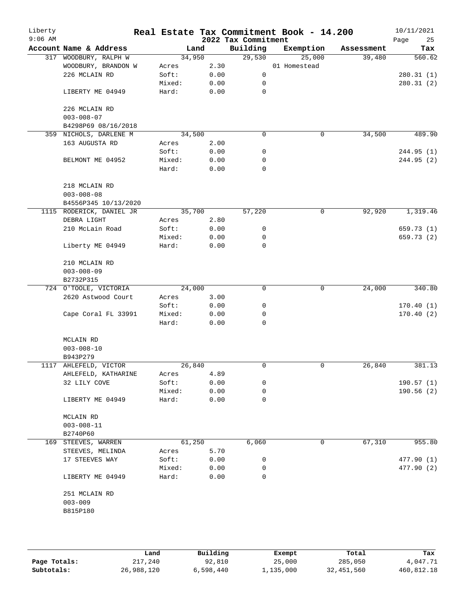| Liberty<br>$9:06$ AM |                                          |        |      | 2022 Tax Commitment | Real Estate Tax Commitment Book - 14.200 |            | 10/11/2021<br>Page<br>25 |
|----------------------|------------------------------------------|--------|------|---------------------|------------------------------------------|------------|--------------------------|
|                      | Account Name & Address                   | Land   |      | Building            | Exemption                                | Assessment | Tax                      |
|                      | 317 WOODBURY, RALPH W                    | 34,950 |      | 29,530              | 25,000                                   | 39,480     | 560.62                   |
|                      | WOODBURY, BRANDON W                      | Acres  | 2.30 |                     | 01 Homestead                             |            |                          |
|                      | 226 MCLAIN RD                            | Soft:  | 0.00 | 0                   |                                          |            | 280.31(1)                |
|                      |                                          | Mixed: | 0.00 | 0                   |                                          |            | 280.31(2)                |
|                      | LIBERTY ME 04949                         | Hard:  | 0.00 | $\mathbf 0$         |                                          |            |                          |
|                      | 226 MCLAIN RD                            |        |      |                     |                                          |            |                          |
|                      | $003 - 008 - 07$                         |        |      |                     |                                          |            |                          |
|                      | B4298P69 08/16/2018                      |        |      |                     |                                          |            |                          |
|                      | 359 NICHOLS, DARLENE M                   | 34,500 |      | 0                   | 0                                        | 34,500     | 489.90                   |
|                      | 163 AUGUSTA RD                           | Acres  | 2.00 |                     |                                          |            |                          |
|                      |                                          | Soft:  | 0.00 | 0                   |                                          |            | 244.95 (1)               |
|                      | BELMONT ME 04952                         | Mixed: | 0.00 | 0                   |                                          |            | 244.95 (2)               |
|                      |                                          | Hard:  | 0.00 | $\mathbf 0$         |                                          |            |                          |
|                      | 218 MCLAIN RD                            |        |      |                     |                                          |            |                          |
|                      | $003 - 008 - 08$<br>B4556P345 10/13/2020 |        |      |                     |                                          |            |                          |
|                      | 1115 RODERICK, DANIEL JR                 | 35,700 |      | 57,220              | 0                                        | 92,920     | 1,319.46                 |
|                      | DEBRA LIGHT                              | Acres  | 2.80 |                     |                                          |            |                          |
|                      | 210 McLain Road                          | Soft:  | 0.00 | 0                   |                                          |            | 659.73 (1)               |
|                      |                                          | Mixed: | 0.00 | 0                   |                                          |            | 659.73 (2)               |
|                      | Liberty ME 04949                         | Hard:  | 0.00 | $\mathbf 0$         |                                          |            |                          |
|                      | 210 MCLAIN RD                            |        |      |                     |                                          |            |                          |
|                      | $003 - 008 - 09$                         |        |      |                     |                                          |            |                          |
|                      | B2732P315                                |        |      |                     |                                          |            |                          |
|                      | 724 O'TOOLE, VICTORIA                    | 24,000 |      | $\mathbf 0$         | 0                                        | 24,000     | 340.80                   |
|                      | 2620 Astwood Court                       | Acres  | 3.00 |                     |                                          |            |                          |
|                      |                                          | Soft:  | 0.00 | 0                   |                                          |            | 170.40(1)                |
|                      | Cape Coral FL 33991                      | Mixed: | 0.00 | 0                   |                                          |            | 170.40(2)                |
|                      |                                          | Hard:  | 0.00 | $\mathbf 0$         |                                          |            |                          |
|                      | MCLAIN RD                                |        |      |                     |                                          |            |                          |
|                      | $003 - 008 - 10$                         |        |      |                     |                                          |            |                          |
|                      | B943P279                                 |        |      |                     |                                          |            |                          |
|                      | 1117 AHLEFELD, VICTOR                    | 26,840 |      | $\mathbf 0$         | 0                                        | 26,840     | 381.13                   |
|                      | AHLEFELD, KATHARINE                      | Acres  | 4.89 |                     |                                          |            |                          |
|                      | 32 LILY COVE                             | Soft:  | 0.00 | 0                   |                                          |            | 190.57(1)                |
|                      |                                          | Mixed: | 0.00 | 0                   |                                          |            | 190.56(2)                |
|                      | LIBERTY ME 04949                         | Hard:  | 0.00 | 0                   |                                          |            |                          |
|                      | MCLAIN RD                                |        |      |                     |                                          |            |                          |
|                      | $003 - 008 - 11$                         |        |      |                     |                                          |            |                          |
|                      | B2740P60                                 |        |      |                     |                                          |            |                          |
|                      | 169 STEEVES, WARREN                      | 61,250 |      | 6,060               | 0                                        | 67,310     | 955.80                   |
|                      | STEEVES, MELINDA                         | Acres  | 5.70 |                     |                                          |            |                          |
|                      | 17 STEEVES WAY                           | Soft:  | 0.00 | 0                   |                                          |            | 477.90 (1)               |
|                      |                                          | Mixed: | 0.00 | 0                   |                                          |            | 477.90 (2)               |
|                      | LIBERTY ME 04949                         | Hard:  | 0.00 | 0                   |                                          |            |                          |
|                      | 251 MCLAIN RD                            |        |      |                     |                                          |            |                          |
|                      | $003 - 009$                              |        |      |                     |                                          |            |                          |
|                      | B815P180                                 |        |      |                     |                                          |            |                          |
|                      |                                          |        |      |                     |                                          |            |                          |
|                      |                                          |        |      |                     |                                          |            |                          |
|                      |                                          |        |      |                     |                                          |            |                          |

|              | Land       | Building  | Exempt    | Total      | Tax        |
|--------------|------------|-----------|-----------|------------|------------|
| Page Totals: | 217,240    | 92,810    | 25,000    | 285,050    | 4,047.71   |
| Subtotals:   | 26,988,120 | 6,598,440 | 1,135,000 | 32,451,560 | 460,812.18 |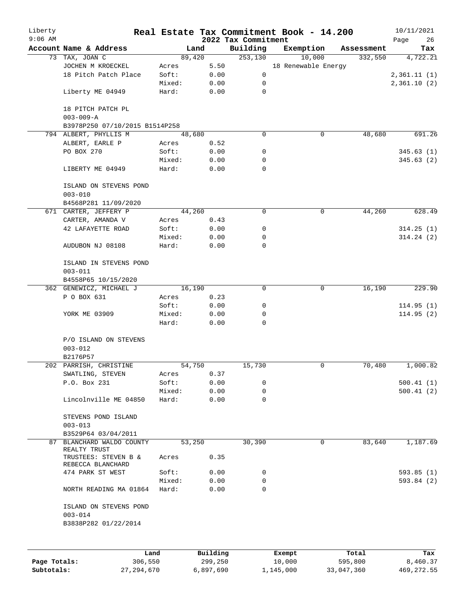| Liberty      |                                                  |                 |                |                      | Real Estate Tax Commitment Book - 14.200 |                       | 10/11/2021      |
|--------------|--------------------------------------------------|-----------------|----------------|----------------------|------------------------------------------|-----------------------|-----------------|
| $9:06$ AM    | Account Name & Address                           |                 |                | 2022 Tax Commitment  |                                          |                       | 26<br>Page      |
|              | 73 TAX, JOAN C                                   |                 | Land<br>89,420 | Building<br>253, 130 | Exemption<br>10,000                      | Assessment<br>332,550 | Tax<br>4,722.21 |
|              | JOCHEN M KROECKEL                                | Acres           | 5.50           |                      | 18 Renewable Energy                      |                       |                 |
|              | 18 Pitch Patch Place                             | Soft:           | 0.00           | 0                    |                                          |                       | 2,361.11(1)     |
|              |                                                  | Mixed:          | 0.00           | 0                    |                                          |                       | 2,361.10(2)     |
|              | Liberty ME 04949                                 | Hard:           | 0.00           | $\mathbf 0$          |                                          |                       |                 |
|              | 18 PITCH PATCH PL                                |                 |                |                      |                                          |                       |                 |
|              | $003 - 009 - A$                                  |                 |                |                      |                                          |                       |                 |
|              | B3978P250 07/10/2015 B1514P258                   |                 |                |                      |                                          |                       |                 |
|              | 794 ALBERT, PHYLLIS M                            |                 | 48,680         | 0                    | 0                                        | 48,680                | 691.26          |
|              | ALBERT, EARLE P                                  | Acres           | 0.52           |                      |                                          |                       |                 |
|              | PO BOX 270                                       | Soft:           | 0.00           | 0                    |                                          |                       | 345.63(1)       |
|              | LIBERTY ME 04949                                 | Mixed:<br>Hard: | 0.00<br>0.00   | 0<br>$\Omega$        |                                          |                       | 345.63 (2)      |
|              |                                                  |                 |                |                      |                                          |                       |                 |
|              | ISLAND ON STEVENS POND<br>$003 - 010$            |                 |                |                      |                                          |                       |                 |
|              | B4568P281 11/09/2020                             |                 |                |                      |                                          |                       |                 |
|              | 671 CARTER, JEFFERY P                            |                 | 44,260         | $\mathbf 0$          | $\mathsf{O}$                             | 44,260                | 628.49          |
|              | CARTER, AMANDA V                                 | Acres           | 0.43           |                      |                                          |                       |                 |
|              | 42 LAFAYETTE ROAD                                | Soft:           | 0.00           | 0                    |                                          |                       | 314.25(1)       |
|              |                                                  | Mixed:          | 0.00           | 0                    |                                          |                       | 314.24(2)       |
|              | AUDUBON NJ 08108                                 | Hard:           | 0.00           | 0                    |                                          |                       |                 |
|              | ISLAND IN STEVENS POND                           |                 |                |                      |                                          |                       |                 |
|              | $003 - 011$                                      |                 |                |                      |                                          |                       |                 |
|              | B4558P65 10/15/2020                              |                 |                |                      |                                          |                       |                 |
|              | 362 GENEWICZ, MICHAEL J                          |                 | 16,190         | $\Omega$             | $\mathbf 0$                              | 16,190                | 229.90          |
|              | P O BOX 631                                      | Acres           | 0.23           |                      |                                          |                       |                 |
|              |                                                  | Soft:           | 0.00           | 0                    |                                          |                       | 114.95(1)       |
|              | YORK ME 03909                                    | Mixed:          | 0.00           | 0                    |                                          |                       | 114.95(2)       |
|              |                                                  | Hard:           | 0.00           | 0                    |                                          |                       |                 |
|              | P/O ISLAND ON STEVENS<br>$003 - 012$<br>B2176P57 |                 |                |                      |                                          |                       |                 |
|              | 202 PARRISH, CHRISTINE                           |                 | 54,750         | 15,730               | 0                                        | 70,480                | 1,000.82        |
|              | SWATLING, STEVEN                                 | Acres           | 0.37           |                      |                                          |                       |                 |
|              | P.O. Box 231                                     | Soft:           | 0.00           | 0                    |                                          |                       | 500.41(1)       |
|              |                                                  | Mixed:          | 0.00           | 0                    |                                          |                       | 500.41(2)       |
|              | Lincolnville ME 04850                            | Hard:           | 0.00           | 0                    |                                          |                       |                 |
|              | STEVENS POND ISLAND                              |                 |                |                      |                                          |                       |                 |
|              | $003 - 013$                                      |                 |                |                      |                                          |                       |                 |
|              | B3529P64 03/04/2011                              |                 |                |                      |                                          |                       |                 |
| 87           | BLANCHARD WALDO COUNTY<br>REALTY TRUST           |                 | 53,250         | 30,390               | 0                                        | 83,640                | 1,187.69        |
|              | TRUSTEES: STEVEN B &<br>REBECCA BLANCHARD        | Acres           | 0.35           |                      |                                          |                       |                 |
|              | 474 PARK ST WEST                                 | Soft:           | 0.00           | 0                    |                                          |                       | 593.85(1)       |
|              |                                                  | Mixed:          | 0.00           | 0                    |                                          |                       | 593.84(2)       |
|              | NORTH READING MA 01864                           | Hard:           | 0.00           | 0                    |                                          |                       |                 |
|              | ISLAND ON STEVENS POND<br>$003 - 014$            |                 |                |                      |                                          |                       |                 |
|              | B3838P282 01/22/2014                             |                 |                |                      |                                          |                       |                 |
|              |                                                  |                 |                |                      |                                          |                       |                 |
|              | Land                                             |                 | Building       |                      | Exempt                                   | Total                 | Tax             |
| Page Totals: | 306,550                                          |                 | 299,250        |                      | 10,000                                   | 595,800               | 8,460.37        |

**Subtotals:** 27,294,670 6,897,690 1,145,000 33,047,360 469,272.55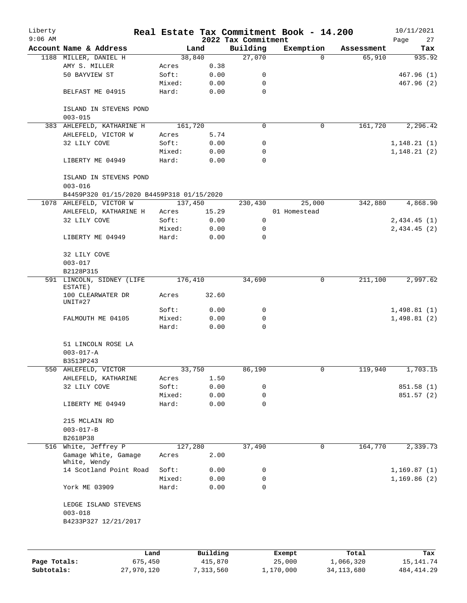| Liberty<br>$9:06$ AM |                                                    |                 |              | 2022 Tax Commitment | Real Estate Tax Commitment Book - 14.200 |            | 10/11/2021<br>Page<br>27 |
|----------------------|----------------------------------------------------|-----------------|--------------|---------------------|------------------------------------------|------------|--------------------------|
|                      | Account Name & Address                             |                 | Land         | Building            | Exemption                                | Assessment | Tax                      |
|                      | 1188 MILLER, DANIEL H                              |                 | 38,840       | 27,070              | $\Omega$                                 | 65,910     | 935.92                   |
|                      | AMY S. MILLER                                      | Acres           | 0.38         |                     |                                          |            |                          |
|                      | 50 BAYVIEW ST                                      | Soft:           | 0.00         | 0                   |                                          |            | 467.96(1)                |
|                      |                                                    | Mixed:          | 0.00         | 0                   |                                          |            | 467.96(2)                |
|                      | BELFAST ME 04915                                   | Hard:           | 0.00         | $\mathbf 0$         |                                          |            |                          |
|                      | ISLAND IN STEVENS POND<br>$003 - 015$              |                 |              |                     |                                          |            |                          |
|                      | 383 AHLEFELD, KATHARINE H                          | 161,720         |              | $\mathbf 0$         | 0                                        | 161,720    | 2, 296.42                |
|                      | AHLEFELD, VICTOR W                                 | Acres           | 5.74         |                     |                                          |            |                          |
|                      | 32 LILY COVE                                       | Soft:           | 0.00         | 0                   |                                          |            | 1,148.21(1)              |
|                      |                                                    | Mixed:          | 0.00         | 0                   |                                          |            | 1,148.21(2)              |
|                      | LIBERTY ME 04949                                   | Hard:           | 0.00         | 0                   |                                          |            |                          |
|                      | ISLAND IN STEVENS POND<br>$003 - 016$              |                 |              |                     |                                          |            |                          |
|                      | B4459P320 01/15/2020 B4459P318 01/15/2020          |                 |              |                     |                                          |            |                          |
|                      | 1078 AHLEFELD, VICTOR W                            | 137,450         |              | 230,430             | 25,000                                   | 342,880    | 4,868.90                 |
|                      | AHLEFELD, KATHARINE H                              | Acres           | 15.29        |                     | 01 Homestead                             |            |                          |
|                      | 32 LILY COVE                                       | Soft:           | 0.00         | 0                   |                                          |            | 2,434.45(1)              |
|                      |                                                    | Mixed:          | 0.00         | 0                   |                                          |            | 2,434.45(2)              |
|                      | LIBERTY ME 04949                                   | Hard:           | 0.00         | $\mathbf 0$         |                                          |            |                          |
|                      | 32 LILY COVE<br>$003 - 017$                        |                 |              |                     |                                          |            |                          |
|                      | B2128P315                                          |                 |              |                     |                                          |            |                          |
|                      | 591 LINCOLN, SIDNEY (LIFE<br>ESTATE)               | 176,410         |              | 34,690              | 0                                        | 211,100    | 2,997.62                 |
|                      | 100 CLEARWATER DR<br>UNIT#27                       | Acres           | 32.60        |                     |                                          |            |                          |
|                      |                                                    | Soft:           | 0.00         | 0                   |                                          |            | 1,498.81(1)              |
|                      | FALMOUTH ME 04105                                  | Mixed:          | 0.00         | 0                   |                                          |            | 1,498.81(2)              |
|                      |                                                    | Hard:           | 0.00         | $\mathbf 0$         |                                          |            |                          |
|                      | 51 LINCOLN ROSE LA<br>$003 - 017 - A$<br>B3513P243 |                 |              |                     |                                          |            |                          |
|                      | 550 AHLEFELD, VICTOR                               |                 | 33,750       | 86,190              |                                          | 119,940    | 1,703.15                 |
|                      | AHLEFELD, KATHARINE                                | Acres           | 1.50         |                     |                                          |            |                          |
|                      | 32 LILY COVE                                       | Soft:           | 0.00         | 0                   |                                          |            | 851.58 (1)               |
|                      |                                                    |                 |              | 0                   |                                          |            |                          |
|                      | LIBERTY ME 04949                                   | Mixed:<br>Hard: | 0.00<br>0.00 | 0                   |                                          |            | 851.57 (2)               |
|                      | 215 MCLAIN RD<br>$003 - 017 - B$                   |                 |              |                     |                                          |            |                          |
|                      | B2618P38                                           |                 |              |                     |                                          |            |                          |
|                      | 516 White, Jeffrey P                               | 127,280         |              | 37,490              | $\mathbf 0$                              | 164,770    | 2,339.73                 |
|                      | Gamage White, Gamage                               | Acres           | 2.00         |                     |                                          |            |                          |
|                      | White, Wendy<br>14 Scotland Point Road             | Soft:           | 0.00         | 0                   |                                          |            | 1,169.87(1)              |
|                      |                                                    | Mixed:          | 0.00         | 0                   |                                          |            | 1,169.86(2)              |
|                      | York ME 03909                                      | Hard:           | 0.00         | 0                   |                                          |            |                          |
|                      | LEDGE ISLAND STEVENS<br>$003 - 018$                |                 |              |                     |                                          |            |                          |
|                      | B4233P327 12/21/2017                               |                 |              |                     |                                          |            |                          |
|                      |                                                    |                 |              |                     |                                          |            |                          |
|                      | Land                                               |                 | Building     |                     | Exempt                                   | Total      | Tax                      |

|              | Land       | <b>Building</b> | Exempt    | тосат      | rax.        |
|--------------|------------|-----------------|-----------|------------|-------------|
| Page Totals: | 675,450    | 415,870         | 25,000    | 1,066,320  | 15,141.74   |
| Subtotals:   | 27,970,120 | 7,313,560       | 1,170,000 | 34,113,680 | 484, 414.29 |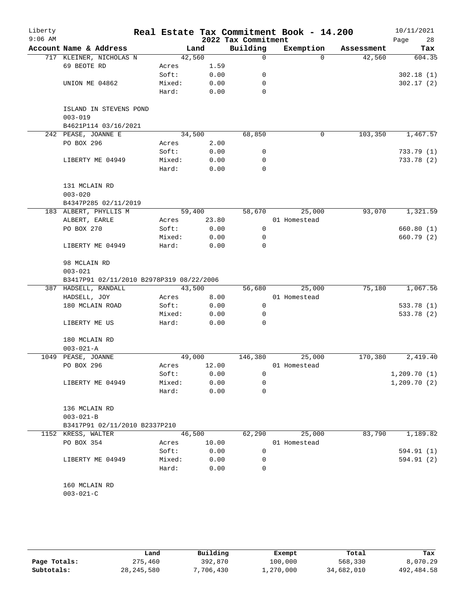| Liberty<br>$9:06$ AM |                                          |                 |              | 2022 Tax Commitment | Real Estate Tax Commitment Book - 14.200 |            | 10/11/2021<br>28<br>Page |
|----------------------|------------------------------------------|-----------------|--------------|---------------------|------------------------------------------|------------|--------------------------|
|                      | Account Name & Address                   | Land            |              | Building            | Exemption                                | Assessment | Tax                      |
|                      | 717 KLEINER, NICHOLAS N                  | 42,560          |              | $\Omega$            | $\Omega$                                 | 42,560     | 604.35                   |
|                      | 69 BEOTE RD                              | Acres           | 1.59         |                     |                                          |            |                          |
|                      |                                          | Soft:           | 0.00         | 0                   |                                          |            | 302.18(1)                |
|                      | UNION ME 04862                           | Mixed:          | 0.00         | 0                   |                                          |            | 302.17(2)                |
|                      |                                          | Hard:           | 0.00         | $\Omega$            |                                          |            |                          |
|                      | ISLAND IN STEVENS POND<br>$003 - 019$    |                 |              |                     |                                          |            |                          |
|                      | B4621P114 03/16/2021                     |                 |              |                     |                                          |            |                          |
|                      | 242 PEASE, JOANNE E                      | 34,500          |              | 68,850              | 0                                        | 103,350    | 1,467.57                 |
|                      | PO BOX 296                               | Acres           | 2.00         |                     |                                          |            |                          |
|                      |                                          | Soft:           | 0.00         | 0                   |                                          |            | 733.79(1)                |
|                      | LIBERTY ME 04949                         | Mixed:<br>Hard: | 0.00<br>0.00 | 0<br>0              |                                          |            | 733.78 (2)               |
|                      | 131 MCLAIN RD                            |                 |              |                     |                                          |            |                          |
|                      | $003 - 020$                              |                 |              |                     |                                          |            |                          |
|                      | B4347P285 02/11/2019                     |                 |              |                     |                                          |            |                          |
|                      | 183 ALBERT, PHYLLIS M                    | 59,400          |              | 58,670              | 25,000                                   | 93,070     | 1,321.59                 |
|                      | ALBERT, EARLE                            | Acres           | 23.80        |                     | 01 Homestead                             |            |                          |
|                      | PO BOX 270                               | Soft:           | 0.00         | 0                   |                                          |            | 660.80 (1)               |
|                      |                                          | Mixed:          | 0.00         | 0                   |                                          |            | 660.79(2)                |
|                      | LIBERTY ME 04949                         | Hard:           | 0.00         | 0                   |                                          |            |                          |
|                      | 98 MCLAIN RD                             |                 |              |                     |                                          |            |                          |
|                      | $003 - 021$                              |                 |              |                     |                                          |            |                          |
|                      | B3417P91 02/11/2010 B2978P319 08/22/2006 |                 |              |                     |                                          |            |                          |
|                      | 387 HADSELL, RANDALL                     | 43,500          |              | 56,680              | 25,000                                   | 75,180     | 1,067.56                 |
|                      | HADSELL, JOY                             | Acres           | 8.00         |                     | 01 Homestead                             |            |                          |
|                      | 180 MCLAIN ROAD                          | Soft:           | 0.00         | 0                   |                                          |            | 533.78 (1)               |
|                      |                                          | Mixed:          | 0.00         | 0                   |                                          |            | 533.78 (2)               |
|                      | LIBERTY ME US                            | Hard:           | 0.00         | $\Omega$            |                                          |            |                          |
|                      | 180 MCLAIN RD                            |                 |              |                     |                                          |            |                          |
|                      | $003 - 021 - A$                          |                 |              |                     |                                          |            |                          |
| 1049                 | PEASE, JOANNE                            | 49,000          |              | 146,380             | 25,000                                   | 170,380    | 2,419.40                 |
|                      | PO BOX 296                               | Acres           | 12.00        |                     | 01 Homestead                             |            |                          |
|                      |                                          | Soft:           | 0.00         | 0                   |                                          |            | 1,209.70(1)              |
|                      | LIBERTY ME 04949                         | Mixed:          | 0.00         | 0                   |                                          |            | 1,209.70(2)              |
|                      |                                          | Hard:           | 0.00         | 0                   |                                          |            |                          |
|                      | 136 MCLAIN RD                            |                 |              |                     |                                          |            |                          |
|                      | $003 - 021 - B$                          |                 |              |                     |                                          |            |                          |
|                      | B3417P91 02/11/2010 B2337P210            |                 |              |                     |                                          |            |                          |
|                      | 1152 KRESS, WALTER                       | 46,500          |              | 62,290              | 25,000                                   | 83,790     | 1,189.82                 |
|                      | PO BOX 354                               | Acres           | 10.00        |                     | 01 Homestead                             |            |                          |
|                      |                                          | Soft:           | 0.00         | 0                   |                                          |            | 594.91 (1)               |
|                      | LIBERTY ME 04949                         | Mixed:          | 0.00         | 0                   |                                          |            | 594.91 (2)               |
|                      |                                          | Hard:           | 0.00         | 0                   |                                          |            |                          |
|                      | 160 MCLAIN RD                            |                 |              |                     |                                          |            |                          |
|                      | $003 - 021 - C$                          |                 |              |                     |                                          |            |                          |
|                      |                                          |                 |              |                     |                                          |            |                          |

|              | Land         | Building | Exempt    | Total      | Tax        |
|--------------|--------------|----------|-----------|------------|------------|
| Page Totals: | 275,460      | 392,870  | 100,000   | 568,330    | 8,070.29   |
| Subtotals:   | 28, 245, 580 | .706.430 | 1,270,000 | 34,682,010 | 492,484.58 |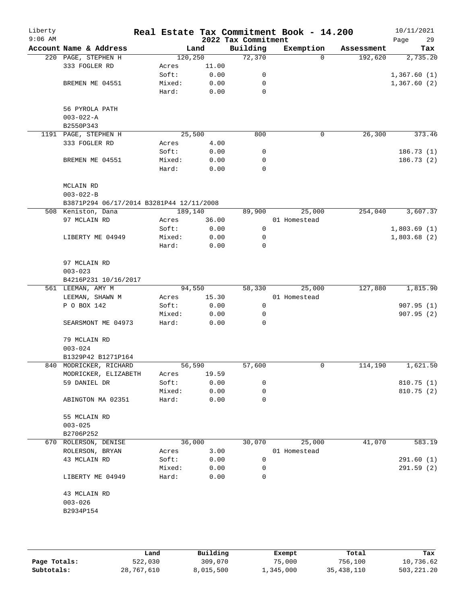| Liberty<br>$9:06$ AM |                                          |          |       | 2022 Tax Commitment | Real Estate Tax Commitment Book - 14.200 |            | 10/11/2021<br>29<br>Page |
|----------------------|------------------------------------------|----------|-------|---------------------|------------------------------------------|------------|--------------------------|
|                      | Account Name & Address                   |          | Land  | Building            | Exemption                                | Assessment | Tax                      |
|                      | 220 PAGE, STEPHEN H                      | 120, 250 |       | 72,370              | $\Omega$                                 | 192,620    | 2,735.20                 |
|                      | 333 FOGLER RD                            | Acres    | 11.00 |                     |                                          |            |                          |
|                      |                                          | Soft:    | 0.00  | 0                   |                                          |            | 1,367.60(1)              |
|                      | BREMEN ME 04551                          | Mixed:   | 0.00  | 0                   |                                          |            | 1,367.60(2)              |
|                      |                                          | Hard:    | 0.00  | $\mathbf 0$         |                                          |            |                          |
|                      | 56 PYROLA PATH                           |          |       |                     |                                          |            |                          |
|                      | $003 - 022 - A$                          |          |       |                     |                                          |            |                          |
|                      | B2550P343                                |          |       |                     |                                          |            |                          |
|                      | 1191 PAGE, STEPHEN H                     | 25,500   |       | 800                 | 0                                        | 26,300     | 373.46                   |
|                      | 333 FOGLER RD                            | Acres    | 4.00  |                     |                                          |            |                          |
|                      |                                          | Soft:    | 0.00  | 0                   |                                          |            | 186.73(1)                |
|                      | BREMEN ME 04551                          | Mixed:   | 0.00  | 0                   |                                          |            | 186.73(2)                |
|                      |                                          | Hard:    | 0.00  | $\mathbf 0$         |                                          |            |                          |
|                      | MCLAIN RD                                |          |       |                     |                                          |            |                          |
|                      | $003 - 022 - B$                          |          |       |                     |                                          |            |                          |
|                      | B3871P294 06/17/2014 B3281P44 12/11/2008 |          |       |                     |                                          |            |                          |
|                      | 508 Keniston, Dana                       | 189,140  |       | 89,900              | 25,000                                   | 254,040    | 3,607.37                 |
|                      | 97 MCLAIN RD                             | Acres    | 36.00 |                     | 01 Homestead                             |            |                          |
|                      |                                          | Soft:    | 0.00  | 0                   |                                          |            | 1,803.69(1)              |
|                      | LIBERTY ME 04949                         | Mixed:   | 0.00  | 0                   |                                          |            | 1,803.68(2)              |
|                      |                                          | Hard:    | 0.00  | $\mathbf 0$         |                                          |            |                          |
|                      | 97 MCLAIN RD                             |          |       |                     |                                          |            |                          |
|                      | $003 - 023$                              |          |       |                     |                                          |            |                          |
|                      | B4216P231 10/16/2017                     |          |       |                     |                                          |            |                          |
|                      | 561 LEEMAN, AMY M                        | 94,550   |       | 58,330              | 25,000                                   | 127,880    | 1,815.90                 |
|                      | LEEMAN, SHAWN M                          | Acres    | 15.30 |                     | 01 Homestead                             |            |                          |
|                      | P O BOX 142                              | Soft:    | 0.00  | 0                   |                                          |            | 907.95(1)                |
|                      |                                          | Mixed:   | 0.00  | 0                   |                                          |            | 907.95(2)                |
|                      | SEARSMONT ME 04973                       | Hard:    | 0.00  | $\Omega$            |                                          |            |                          |
|                      | 79 MCLAIN RD                             |          |       |                     |                                          |            |                          |
|                      | $003 - 024$                              |          |       |                     |                                          |            |                          |
|                      | B1329P42 B1271P164                       |          |       |                     |                                          |            |                          |
|                      | 840 MODRICKER, RICHARD                   | 56,590   |       | 57,600              | 0                                        | 114,190    | 1,621.50                 |
|                      | MODRICKER, ELIZABETH                     | Acres    | 19.59 |                     |                                          |            |                          |
|                      | 59 DANIEL DR                             | Soft:    | 0.00  | 0                   |                                          |            | 810.75(1)                |
|                      |                                          | Mixed:   | 0.00  | 0                   |                                          |            | 810.75(2)                |
|                      | ABINGTON MA 02351                        | Hard:    | 0.00  | 0                   |                                          |            |                          |
|                      | 55 MCLAIN RD                             |          |       |                     |                                          |            |                          |
|                      | $003 - 025$                              |          |       |                     |                                          |            |                          |
|                      | B2706P252                                |          |       |                     |                                          |            |                          |
|                      | 670 ROLERSON, DENISE                     | 36,000   |       | 30,070              | 25,000                                   | 41,070     | 583.19                   |
|                      | ROLERSON, BRYAN                          | Acres    | 3.00  |                     | 01 Homestead                             |            |                          |
|                      | 43 MCLAIN RD                             | Soft:    | 0.00  | $\mathbf 0$         |                                          |            | 291.60(1)                |
|                      |                                          | Mixed:   | 0.00  | 0                   |                                          |            | 291.59(2)                |
|                      | LIBERTY ME 04949                         | Hard:    | 0.00  | 0                   |                                          |            |                          |
|                      | 43 MCLAIN RD                             |          |       |                     |                                          |            |                          |
|                      | $003 - 026$                              |          |       |                     |                                          |            |                          |
|                      | B2934P154                                |          |       |                     |                                          |            |                          |
|                      |                                          |          |       |                     |                                          |            |                          |
|                      |                                          |          |       |                     |                                          |            |                          |
|                      |                                          |          |       |                     |                                          |            |                          |

|              | Land       | Building  | Exempt    | Total      | Tax          |
|--------------|------------|-----------|-----------|------------|--------------|
| Page Totals: | 522,030    | 309,070   | 75,000    | 756,100    | 10,736.62    |
| Subtotals:   | 28,767,610 | 8,015,500 | 1,345,000 | 35,438,110 | 503, 221, 20 |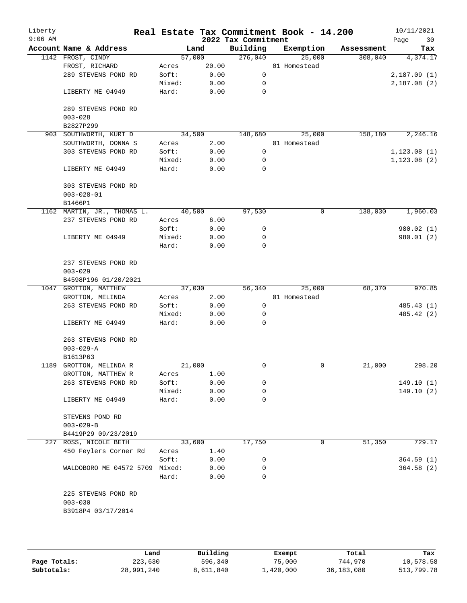| Liberty<br>$9:06$ AM |                             |        |        | 2022 Tax Commitment | Real Estate Tax Commitment Book - 14.200 |            | 10/11/2021<br>30<br>Page |
|----------------------|-----------------------------|--------|--------|---------------------|------------------------------------------|------------|--------------------------|
|                      | Account Name & Address      |        | Land   | Building            | Exemption                                | Assessment | Tax                      |
|                      | 1142 FROST, CINDY           |        | 57,000 | 276,040             | 25,000                                   | 308,040    | 4,374.17                 |
|                      | FROST, RICHARD              | Acres  | 20.00  |                     | 01 Homestead                             |            |                          |
|                      | 289 STEVENS POND RD         | Soft:  | 0.00   | $\mathbf 0$         |                                          |            | 2,187.09(1)              |
|                      |                             | Mixed: | 0.00   | 0                   |                                          |            | 2,187.08(2)              |
|                      | LIBERTY ME 04949            | Hard:  | 0.00   | 0                   |                                          |            |                          |
|                      | 289 STEVENS POND RD         |        |        |                     |                                          |            |                          |
|                      | $003 - 028$                 |        |        |                     |                                          |            |                          |
|                      | B2827P299                   |        |        |                     |                                          |            |                          |
|                      | 903 SOUTHWORTH, KURT D      |        | 34,500 | 148,680             | 25,000                                   | 158,180    | 2,246.16                 |
|                      | SOUTHWORTH, DONNA S         | Acres  | 2.00   |                     | 01 Homestead                             |            |                          |
|                      | 303 STEVENS POND RD         | Soft:  | 0.00   | 0                   |                                          |            | 1, 123.08(1)             |
|                      |                             | Mixed: | 0.00   | 0                   |                                          |            | 1, 123.08(2)             |
|                      | LIBERTY ME 04949            | Hard:  | 0.00   | 0                   |                                          |            |                          |
|                      | 303 STEVENS POND RD         |        |        |                     |                                          |            |                          |
|                      | $003 - 028 - 01$            |        |        |                     |                                          |            |                          |
|                      | B1466P1                     |        |        |                     |                                          |            |                          |
|                      | 1162 MARTIN, JR., THOMAS L. |        | 40,500 | 97,530              | 0                                        | 138,030    | 1,960.03                 |
|                      | 237 STEVENS POND RD         | Acres  | 6.00   |                     |                                          |            |                          |
|                      |                             | Soft:  | 0.00   | 0                   |                                          |            | 980.02 (1)               |
|                      | LIBERTY ME 04949            | Mixed: | 0.00   | 0                   |                                          |            | 980.01(2)                |
|                      |                             | Hard:  | 0.00   | $\Omega$            |                                          |            |                          |
|                      | 237 STEVENS POND RD         |        |        |                     |                                          |            |                          |
|                      | $003 - 029$                 |        |        |                     |                                          |            |                          |
|                      | B4598P196 01/20/2021        |        |        |                     |                                          |            |                          |
|                      | 1047 GROTTON, MATTHEW       |        | 37,030 | 56,340              | 25,000                                   | 68,370     | 970.85                   |
|                      | GROTTON, MELINDA            | Acres  | 2.00   |                     | 01 Homestead                             |            |                          |
|                      | 263 STEVENS POND RD         | Soft:  | 0.00   | 0                   |                                          |            | 485.43 (1)               |
|                      |                             | Mixed: | 0.00   | 0                   |                                          |            | 485.42 (2)               |
|                      | LIBERTY ME 04949            | Hard:  | 0.00   | $\Omega$            |                                          |            |                          |
|                      | 263 STEVENS POND RD         |        |        |                     |                                          |            |                          |
|                      | $003 - 029 - A$             |        |        |                     |                                          |            |                          |
|                      | B1613P63                    |        |        |                     |                                          |            |                          |
|                      | 1189 GROTTON, MELINDA R     |        | 21,000 | 0                   | $\mathbf 0$                              | 21,000     | 298.20                   |
|                      | GROTTON, MATTHEW R          | Acres  | 1.00   |                     |                                          |            |                          |
|                      | 263 STEVENS POND RD         | Soft:  | 0.00   | 0                   |                                          |            | 149.10(1)                |
|                      |                             | Mixed: | 0.00   | 0                   |                                          |            | 149.10(2)                |
|                      | LIBERTY ME 04949            | Hard:  | 0.00   | 0                   |                                          |            |                          |
|                      | STEVENS POND RD             |        |        |                     |                                          |            |                          |
|                      | $003 - 029 - B$             |        |        |                     |                                          |            |                          |
|                      | B4419P29 09/23/2019         |        |        |                     |                                          |            |                          |
|                      | 227 ROSS, NICOLE BETH       |        | 33,600 | 17,750              | $\mathbf 0$                              | 51,350     | 729.17                   |
|                      | 450 Feylers Corner Rd       | Acres  | 1.40   |                     |                                          |            |                          |
|                      |                             | Soft:  | 0.00   | 0                   |                                          |            | 364.59(1)                |
|                      | WALDOBORO ME 04572 5709     | Mixed: | 0.00   | 0                   |                                          |            | 364.58(2)                |
|                      |                             | Hard:  | 0.00   | 0                   |                                          |            |                          |
|                      | 225 STEVENS POND RD         |        |        |                     |                                          |            |                          |
|                      | $003 - 030$                 |        |        |                     |                                          |            |                          |
|                      | B3918P4 03/17/2014          |        |        |                     |                                          |            |                          |
|                      |                             |        |        |                     |                                          |            |                          |

|              | Land       | Building  | Exempt    | Total        | Tax        |
|--------------|------------|-----------|-----------|--------------|------------|
| Page Totals: | 223,630    | 596,340   | 75,000    | 744,970      | 10,578.58  |
| Subtotals:   | 28,991,240 | 8,611,840 | 1,420,000 | 36, 183, 080 | 513,799.78 |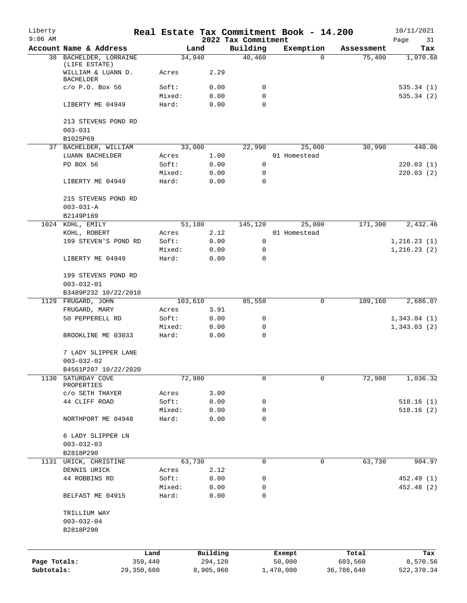| Liberty<br>$9:06$ AM |                                                         |                 |                     | 2022 Tax Commitment | Real Estate Tax Commitment Book - 14.200 |                  | 10/11/2021<br>Page<br>31 |
|----------------------|---------------------------------------------------------|-----------------|---------------------|---------------------|------------------------------------------|------------------|--------------------------|
|                      | Account Name & Address                                  |                 | Land                | Building            | Exemption                                | Assessment       | Tax                      |
|                      | 38 BACHELDER, LORRAINE                                  |                 | 34,940              | 40,460              | $\Omega$                                 | 75,400           | 1,070.68                 |
|                      | (LIFE ESTATE)<br>WILLIAM & LUANN D.<br><b>BACHELDER</b> | Acres           | 2.29                |                     |                                          |                  |                          |
|                      | $C/O$ P.O. Box 56                                       | Soft:           | 0.00                | 0                   |                                          |                  | 535.34(1)                |
|                      |                                                         | Mixed:          | 0.00                | 0                   |                                          |                  | 535.34(2)                |
|                      | LIBERTY ME 04949                                        | Hard:           | 0.00                | $\mathbf 0$         |                                          |                  |                          |
|                      | 213 STEVENS POND RD<br>$003 - 031$                      |                 |                     |                     |                                          |                  |                          |
|                      | B1025P69                                                |                 |                     |                     |                                          |                  |                          |
|                      | 37 BACHELDER, WILLIAM                                   |                 | 33,000              | 22,990              | 25,000                                   | 30,990           | 440.06                   |
|                      | LUANN BACHELDER                                         | Acres           | 1.00                |                     | 01 Homestead                             |                  |                          |
|                      | PO BOX 56                                               | Soft:           | 0.00                | 0                   |                                          |                  | 220.03(1)                |
|                      |                                                         | Mixed:          | 0.00                | 0                   |                                          |                  | 220.03(2)                |
|                      | LIBERTY ME 04949                                        | Hard:           | 0.00                | $\mathbf 0$         |                                          |                  |                          |
|                      | 215 STEVENS POND RD                                     |                 |                     |                     |                                          |                  |                          |
|                      | $003 - 031 - A$                                         |                 |                     |                     |                                          |                  |                          |
|                      | B2149P169                                               |                 |                     |                     |                                          |                  |                          |
|                      | 1024 KOHL, EMILY                                        |                 | 51,180              | 145,120             | 25,000<br>01 Homestead                   | 171,300          | 2,432.46                 |
|                      | KOHL, ROBERT<br>199 STEVEN'S POND RD                    | Acres<br>Soft:  | 2.12<br>0.00        | $\mathsf{O}$        |                                          |                  | 1, 216.23(1)             |
|                      |                                                         | Mixed:          | 0.00                | 0                   |                                          |                  | 1, 216.23(2)             |
|                      | LIBERTY ME 04949                                        | Hard:           | 0.00                | 0                   |                                          |                  |                          |
|                      | 199 STEVENS POND RD                                     |                 |                     |                     |                                          |                  |                          |
|                      | $003 - 032 - 01$                                        |                 |                     |                     |                                          |                  |                          |
|                      | B3489P232 10/22/2010                                    |                 |                     |                     |                                          |                  |                          |
|                      | 1129 FRUGARD, JOHN                                      |                 | 103,610             | 85,550              | 0                                        | 189,160          | 2,686.07                 |
|                      | FRUGARD, MARY                                           | Acres           | 3.91                |                     |                                          |                  |                          |
|                      | 50 PEPPERELL RD                                         | Soft:           | 0.00                | 0                   |                                          |                  | 1,343.04(1)              |
|                      |                                                         | Mixed:          | 0.00                | 0                   |                                          |                  | 1,343.03(2)              |
|                      | BROOKLINE ME 03033                                      | Hard:           | 0.00                | $\mathbf 0$         |                                          |                  |                          |
|                      | 7 LADY SLIPPER LANE<br>$003 - 032 - 02$                 |                 |                     |                     |                                          |                  |                          |
|                      | B4561P207 10/22/2020                                    |                 |                     |                     |                                          |                  |                          |
| 1130                 | SATURDAY COVE<br>PROPERTIES                             |                 | 72,980              | 0                   | 0                                        | 72,980           | 1,036.32                 |
|                      | C/O SETH THAYER                                         | Acres           | 3.00                |                     |                                          |                  |                          |
|                      | 44 CLIFF ROAD                                           | Soft:           | 0.00                | 0                   |                                          |                  | 518.16(1)                |
|                      |                                                         | Mixed:          | 0.00                | 0                   |                                          |                  | 518.16(2)                |
|                      | NORTHPORT ME 04948                                      | Hard:           | 0.00                | $\mathbf 0$         |                                          |                  |                          |
|                      | 6 LADY SLIPPER LN                                       |                 |                     |                     |                                          |                  |                          |
|                      | $003 - 032 - 03$                                        |                 |                     |                     |                                          |                  |                          |
|                      | B2818P290                                               |                 |                     |                     |                                          |                  |                          |
|                      | 1131 URICK, CHRISTINE                                   |                 | 63,730              | 0                   | 0                                        | 63,730           | 904.97                   |
|                      | DENNIS URICK<br>44 ROBBINS RD                           | Acres<br>Soft:  | 2.12<br>0.00        | 0                   |                                          |                  | 452.49 (1)               |
|                      |                                                         | Mixed:          | 0.00                | 0                   |                                          |                  | 452.48 (2)               |
|                      | BELFAST ME 04915                                        | Hard:           | 0.00                | $\mathbf 0$         |                                          |                  |                          |
|                      | TRILLIUM WAY                                            |                 |                     |                     |                                          |                  |                          |
|                      | $003 - 032 - 04$                                        |                 |                     |                     |                                          |                  |                          |
|                      | B2818P290                                               |                 |                     |                     |                                          |                  |                          |
|                      |                                                         |                 |                     |                     |                                          |                  |                          |
| Page Totals:         |                                                         | Land<br>359,440 | Building<br>294,120 |                     | Exempt<br>50,000                         | Total<br>603,560 | Tax<br>8,570.56          |
| Subtotals:           |                                                         | 29,350,680      | 8,905,960           |                     | 1,470,000                                | 36,786,640       | 522,370.34               |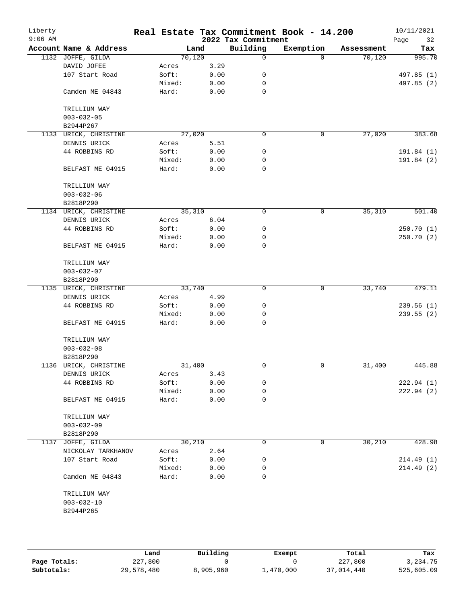| Liberty<br>$9:06$ AM |                        |        |        |      | 2022 Tax Commitment | Real Estate Tax Commitment Book - 14.200 |            | 10/11/2021<br>Page<br>32 |
|----------------------|------------------------|--------|--------|------|---------------------|------------------------------------------|------------|--------------------------|
|                      | Account Name & Address |        | Land   |      | Building            | Exemption                                | Assessment | Tax                      |
|                      | 1132 JOFFE, GILDA      |        | 70,120 |      | 0                   | $\Omega$                                 | 70,120     | 995.70                   |
|                      | DAVID JOFEE            | Acres  |        | 3.29 |                     |                                          |            |                          |
|                      | 107 Start Road         | Soft:  |        | 0.00 | 0                   |                                          |            | 497.85 (1)               |
|                      |                        | Mixed: |        | 0.00 | 0                   |                                          |            | 497.85 (2)               |
|                      | Camden ME 04843        | Hard:  |        | 0.00 | $\mathbf 0$         |                                          |            |                          |
|                      | TRILLIUM WAY           |        |        |      |                     |                                          |            |                          |
|                      | $003 - 032 - 05$       |        |        |      |                     |                                          |            |                          |
|                      | B2944P267              |        |        |      |                     |                                          |            |                          |
| 1133                 | URICK, CHRISTINE       |        | 27,020 |      | 0                   | $\mathbf 0$                              | 27,020     | 383.68                   |
|                      | DENNIS URICK           | Acres  |        | 5.51 |                     |                                          |            |                          |
|                      | 44 ROBBINS RD          | Soft:  |        | 0.00 | 0                   |                                          |            | 191.84(1)                |
|                      |                        | Mixed: |        | 0.00 | 0                   |                                          |            | 191.84 (2)               |
|                      | BELFAST ME 04915       | Hard:  |        | 0.00 | 0                   |                                          |            |                          |
|                      | TRILLIUM WAY           |        |        |      |                     |                                          |            |                          |
|                      | $003 - 032 - 06$       |        |        |      |                     |                                          |            |                          |
|                      | B2818P290              |        |        |      |                     |                                          |            |                          |
|                      | 1134 URICK, CHRISTINE  |        | 35,310 |      | 0                   | 0                                        | 35,310     | 501.40                   |
|                      | DENNIS URICK           | Acres  |        | 6.04 |                     |                                          |            |                          |
|                      | 44 ROBBINS RD          | Soft:  |        | 0.00 | 0                   |                                          |            | 250.70(1)                |
|                      |                        | Mixed: |        | 0.00 | 0                   |                                          |            | 250.70(2)                |
|                      | BELFAST ME 04915       | Hard:  |        | 0.00 | 0                   |                                          |            |                          |
|                      | TRILLIUM WAY           |        |        |      |                     |                                          |            |                          |
|                      | $003 - 032 - 07$       |        |        |      |                     |                                          |            |                          |
|                      | B2818P290              |        |        |      |                     |                                          |            |                          |
|                      | 1135 URICK, CHRISTINE  |        | 33,740 |      | $\mathbf 0$         | 0                                        | 33,740     | 479.11                   |
|                      | DENNIS URICK           | Acres  |        | 4.99 |                     |                                          |            |                          |
|                      | 44 ROBBINS RD          | Soft:  |        | 0.00 | 0                   |                                          |            | 239.56(1)                |
|                      |                        | Mixed: |        | 0.00 | 0                   |                                          |            | 239.55(2)                |
|                      | BELFAST ME 04915       | Hard:  |        | 0.00 | 0                   |                                          |            |                          |
|                      | TRILLIUM WAY           |        |        |      |                     |                                          |            |                          |
|                      | $003 - 032 - 08$       |        |        |      |                     |                                          |            |                          |
|                      | B2818P290              |        |        |      |                     |                                          |            |                          |
|                      | 1136 URICK, CHRISTINE  |        | 31,400 |      | 0                   | 0                                        | 31,400     | 445.88                   |
|                      | DENNIS URICK           | Acres  |        | 3.43 |                     |                                          |            |                          |
|                      | 44 ROBBINS RD          | Soft:  |        | 0.00 | 0                   |                                          |            | 222.94(1)                |
|                      |                        | Mixed: |        | 0.00 | 0                   |                                          |            | 222.94(2)                |
|                      | BELFAST ME 04915       | Hard:  |        | 0.00 | 0                   |                                          |            |                          |
|                      | TRILLIUM WAY           |        |        |      |                     |                                          |            |                          |
|                      | $003 - 032 - 09$       |        |        |      |                     |                                          |            |                          |
|                      | B2818P290              |        |        |      |                     |                                          |            |                          |
|                      | 1137 JOFFE, GILDA      |        | 30,210 |      | 0                   | 0                                        | 30,210     | 428.98                   |
|                      | NICKOLAY TARKHANOV     | Acres  |        | 2.64 |                     |                                          |            |                          |
|                      | 107 Start Road         | Soft:  |        | 0.00 | 0                   |                                          |            | 214.49(1)                |
|                      |                        | Mixed: |        | 0.00 | 0                   |                                          |            | 214.49(2)                |
|                      | Camden ME 04843        | Hard:  |        | 0.00 | $\Omega$            |                                          |            |                          |
|                      | TRILLIUM WAY           |        |        |      |                     |                                          |            |                          |
|                      | $003 - 032 - 10$       |        |        |      |                     |                                          |            |                          |
|                      | B2944P265              |        |        |      |                     |                                          |            |                          |
|                      |                        |        |        |      |                     |                                          |            |                          |

|              | Land       | Building  | Exempt    | Total      | Tax        |
|--------------|------------|-----------|-----------|------------|------------|
| Page Totals: | 227,800    |           |           | 227,800    | 3,234.75   |
| Subtotals:   | 29,578,480 | 8,905,960 | ⊥,470,000 | 37,014,440 | 525,605.09 |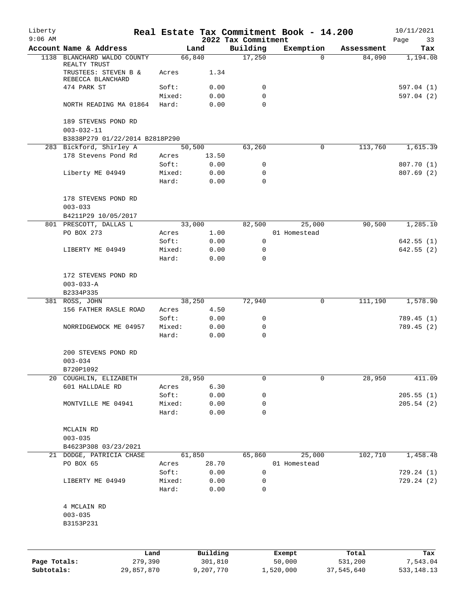| Liberty<br>$9:06$ AM |                                                     |                 |                 | 2022 Tax Commitment | Real Estate Tax Commitment Book - 14.200 |            | 10/11/2021<br>Page<br>33 |
|----------------------|-----------------------------------------------------|-----------------|-----------------|---------------------|------------------------------------------|------------|--------------------------|
|                      | Account Name & Address                              |                 | Land            | Building            | Exemption                                | Assessment | Tax                      |
|                      | 1138 BLANCHARD WALDO COUNTY<br>REALTY TRUST         |                 | 66,840          | 17,250              | $\Omega$                                 | 84,090     | 1,194.08                 |
|                      | TRUSTEES: STEVEN B &<br>REBECCA BLANCHARD           | Acres           | 1.34            |                     |                                          |            |                          |
|                      | 474 PARK ST                                         | Soft:           | 0.00            | 0                   |                                          |            | 597.04(1)                |
|                      |                                                     | Mixed:          | 0.00            | 0                   |                                          |            | 597.04 (2)               |
|                      | NORTH READING MA 01864                              | Hard:           | 0.00            | $\Omega$            |                                          |            |                          |
|                      | 189 STEVENS POND RD<br>$003 - 032 - 11$             |                 |                 |                     |                                          |            |                          |
|                      | B3838P279 01/22/2014 B2818P290                      |                 |                 |                     |                                          |            |                          |
|                      | 283 Bickford, Shirley A<br>178 Stevens Pond Rd      | Acres           | 50,500<br>13.50 | 63,260              | 0                                        | 113,760    | 1,615.39                 |
|                      |                                                     | Soft:           | 0.00            | 0                   |                                          |            | 807.70 (1)               |
|                      | Liberty ME 04949                                    | Mixed:          | 0.00            | 0                   |                                          |            | 807.69(2)                |
|                      |                                                     | Hard:           | 0.00            | $\Omega$            |                                          |            |                          |
|                      | 178 STEVENS POND RD                                 |                 |                 |                     |                                          |            |                          |
|                      | $003 - 033$<br>B4211P29 10/05/2017                  |                 |                 |                     |                                          |            |                          |
|                      | 801 PRESCOTT, DALLAS L                              |                 | 33,000          | 82,500              | 25,000                                   | 90,500     | 1,285.10                 |
|                      | PO BOX 273                                          | Acres           | 1.00            |                     | 01 Homestead                             |            |                          |
|                      |                                                     | Soft:           | 0.00            | $\mathbf 0$         |                                          |            | 642.55(1)                |
|                      | LIBERTY ME 04949                                    | Mixed:          | 0.00            | 0                   |                                          |            | 642.55(2)                |
|                      |                                                     | Hard:           | 0.00            | $\mathbf 0$         |                                          |            |                          |
|                      | 172 STEVENS POND RD<br>$003 - 033 - A$<br>B2334P335 |                 |                 |                     |                                          |            |                          |
|                      | 381 ROSS, JOHN                                      |                 | 38,250          | 72,940              | 0                                        | 111,190    | 1,578.90                 |
|                      | 156 FATHER RASLE ROAD                               | Acres           | 4.50            |                     |                                          |            |                          |
|                      |                                                     | Soft:           | 0.00            | 0                   |                                          |            | 789.45 (1)               |
|                      | NORRIDGEWOCK ME 04957                               | Mixed:<br>Hard: | 0.00<br>0.00    | 0<br>$\mathbf 0$    |                                          |            | 789.45(2)                |
|                      | 200 STEVENS POND RD<br>$003 - 034$                  |                 |                 |                     |                                          |            |                          |
|                      | B720P1092                                           |                 |                 |                     |                                          |            |                          |
|                      | 20 COUGHLIN, ELIZABETH                              |                 | 28,950          | 0                   | 0                                        | 28,950     | 411.09                   |
|                      | 601 HALLDALE RD                                     | Acres           | 6.30            |                     |                                          |            |                          |
|                      |                                                     | Soft:           | 0.00            | 0                   |                                          |            | 205.55(1)                |
|                      | MONTVILLE ME 04941                                  | Mixed:          | 0.00            | 0                   |                                          |            | 205.54(2)                |
|                      |                                                     | Hard:           | 0.00            | 0                   |                                          |            |                          |
|                      | MCLAIN RD                                           |                 |                 |                     |                                          |            |                          |
|                      | $003 - 035$                                         |                 |                 |                     |                                          |            |                          |
|                      | B4623P308 03/23/2021                                |                 |                 |                     |                                          |            |                          |
|                      | 21 DODGE, PATRICIA CHASE                            |                 | 61,850          | 65,860              | 25,000                                   | 102,710    | 1,458.48                 |
|                      | PO BOX 65                                           | Acres           | 28.70           |                     | 01 Homestead                             |            |                          |
|                      |                                                     | Soft:           | 0.00            | 0                   |                                          |            | 729.24(1)                |
|                      | LIBERTY ME 04949                                    | Mixed:<br>Hard: | 0.00<br>0.00    | 0<br>0              |                                          |            | 729.24(2)                |
|                      | 4 MCLAIN RD<br>$003 - 035$                          |                 |                 |                     |                                          |            |                          |
|                      | B3153P231                                           |                 |                 |                     |                                          |            |                          |
|                      |                                                     |                 |                 |                     |                                          |            |                          |
|                      |                                                     | Land            | Building        |                     | Exempt                                   | Total      | Tax                      |
| Page Totals:         |                                                     | 279,390         | 301,810         |                     | 50,000                                   | 531,200    | 7,543.04                 |

**Subtotals:** 29,857,870 9,207,770 1,520,000 37,545,640 533,148.13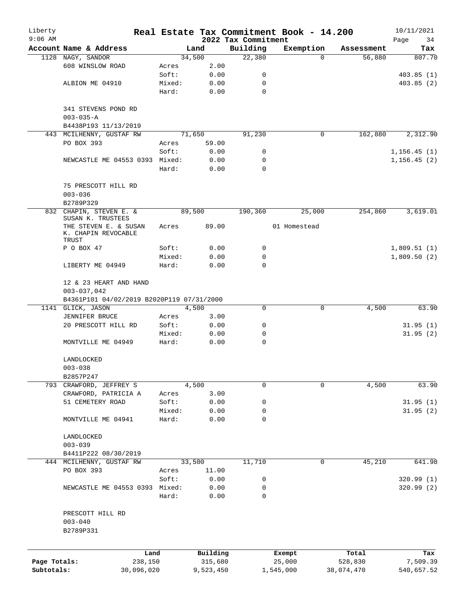| Liberty      |                                                       |                 |              |                     | Real Estate Tax Commitment Book - 14.200 |            | 10/11/2021   |
|--------------|-------------------------------------------------------|-----------------|--------------|---------------------|------------------------------------------|------------|--------------|
| $9:06$ AM    |                                                       |                 |              | 2022 Tax Commitment |                                          |            | Page<br>34   |
|              | Account Name & Address                                |                 | Land         | Building            | Exemption                                | Assessment | Tax          |
|              | 1128 NAGY, SANDOR                                     |                 | 34,500       | 22,380              | $\Omega$                                 | 56,880     | 807.70       |
|              | 608 WINSLOW ROAD                                      | Acres<br>Soft:  | 2.00         | 0                   |                                          |            |              |
|              | ALBION ME 04910                                       |                 | 0.00<br>0.00 | $\mathbf 0$         |                                          |            | 403.85(1)    |
|              |                                                       | Mixed:<br>Hard: | 0.00         | $\mathbf 0$         |                                          |            | 403.85 (2)   |
|              |                                                       |                 |              |                     |                                          |            |              |
|              | 341 STEVENS POND RD<br>$003 - 035 - A$                |                 |              |                     |                                          |            |              |
|              | B4438P193 11/13/2019                                  |                 |              |                     |                                          |            |              |
|              | 443 MCILHENNY, GUSTAF RW                              |                 | 71,650       | 91,230              | 0                                        | 162,880    | 2,312.90     |
|              | PO BOX 393                                            | Acres           | 59.00        |                     |                                          |            |              |
|              |                                                       | Soft:           | 0.00         | 0                   |                                          |            | 1, 156.45(1) |
|              | NEWCASTLE ME 04553 0393 Mixed:                        |                 | 0.00         | 0                   |                                          |            | 1, 156.45(2) |
|              |                                                       | Hard:           | 0.00         | $\Omega$            |                                          |            |              |
|              |                                                       |                 |              |                     |                                          |            |              |
|              | 75 PRESCOTT HILL RD                                   |                 |              |                     |                                          |            |              |
|              | $003 - 036$                                           |                 |              |                     |                                          |            |              |
|              | B2789P329                                             |                 |              |                     |                                          |            |              |
|              | 832 CHAPIN, STEVEN E. &<br>SUSAN K. TRUSTEES          |                 | 89,500       | 190,360             | 25,000                                   | 254,860    | 3,619.01     |
|              | THE STEVEN E. & SUSAN<br>K. CHAPIN REVOCABLE<br>TRUST | Acres           | 89.00        |                     | 01 Homestead                             |            |              |
|              | P O BOX 47                                            | Soft:           | 0.00         | 0                   |                                          |            | 1,809.51(1)  |
|              |                                                       | Mixed:          | 0.00         | 0                   |                                          |            | 1,809.50(2)  |
|              | LIBERTY ME 04949                                      | Hard:           | 0.00         | $\mathbf 0$         |                                          |            |              |
|              | 12 & 23 HEART AND HAND                                |                 |              |                     |                                          |            |              |
|              | $003 - 037,042$                                       |                 |              |                     |                                          |            |              |
|              | B4361P101 04/02/2019 B2020P119 07/31/2000             |                 |              | $\Omega$            |                                          |            |              |
|              | 1141 GLICK, JASON                                     |                 | 4,500        |                     | 0                                        | 4,500      | 63.90        |
|              | <b>JENNIFER BRUCE</b>                                 | Acres           | 3.00         |                     |                                          |            |              |
|              | 20 PRESCOTT HILL RD                                   | Soft:           | 0.00         | 0                   |                                          |            | 31.95(1)     |
|              | MONTVILLE ME 04949                                    | Mixed:<br>Hard: | 0.00<br>0.00 | 0<br>$\mathbf 0$    |                                          |            | 31.95(2)     |
|              |                                                       |                 |              |                     |                                          |            |              |
|              | LANDLOCKED                                            |                 |              |                     |                                          |            |              |
|              | $003 - 038$                                           |                 |              |                     |                                          |            |              |
|              | B2857P247                                             |                 |              |                     | $\Omega$                                 |            |              |
|              | 793 CRAWFORD, JEFFREY S<br>CRAWFORD, PATRICIA A       |                 | 4,500        | 0                   |                                          | 4,500      | 63.90        |
|              |                                                       | Acres           | 3.00         |                     |                                          |            |              |
|              | 51 CEMETERY ROAD                                      | Soft:           | 0.00         | 0                   |                                          |            | 31.95(1)     |
|              | MONTVILLE ME 04941                                    | Mixed:<br>Hard: | 0.00<br>0.00 | 0<br>$\mathbf 0$    |                                          |            | 31.95(2)     |
|              |                                                       |                 |              |                     |                                          |            |              |
|              | LANDLOCKED                                            |                 |              |                     |                                          |            |              |
|              | $003 - 039$                                           |                 |              |                     |                                          |            |              |
|              | B4411P222 08/30/2019                                  |                 |              |                     |                                          |            |              |
|              | 444 MCILHENNY, GUSTAF RW                              |                 | 33,500       | 11,710              | 0                                        | 45,210     | 641.98       |
|              | PO BOX 393                                            | Acres           | 11.00        |                     |                                          |            |              |
|              |                                                       | Soft:           | 0.00         | 0                   |                                          |            | 320.99(1)    |
|              | NEWCASTLE ME 04553 0393 Mixed:                        |                 | 0.00         | 0                   |                                          |            | 320.99(2)    |
|              |                                                       | Hard:           | 0.00         | $\mathbf 0$         |                                          |            |              |
|              | PRESCOTT HILL RD                                      |                 |              |                     |                                          |            |              |
|              | $003 - 040$                                           |                 |              |                     |                                          |            |              |
|              | B2789P331                                             |                 |              |                     |                                          |            |              |
|              |                                                       |                 |              |                     |                                          |            |              |
|              | Land                                                  |                 | Building     |                     | Exempt                                   | Total      | Tax          |
| Page Totals: | 238,150                                               |                 | 315,680      |                     | 25,000                                   | 528,830    | 7,509.39     |
| Subtotals:   | 30,096,020                                            |                 | 9,523,450    |                     | 1,545,000                                | 38,074,470 | 540,657.52   |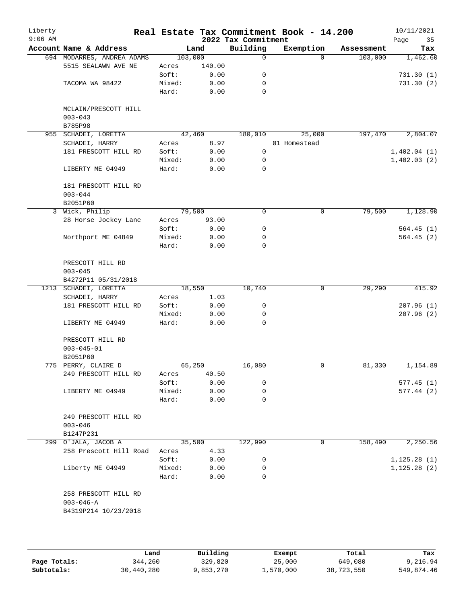| Liberty<br>$9:06$ AM |                            |                 |              | 2022 Tax Commitment | Real Estate Tax Commitment Book - 14.200 |            | 10/11/2021<br>35<br>Page |
|----------------------|----------------------------|-----------------|--------------|---------------------|------------------------------------------|------------|--------------------------|
|                      | Account Name & Address     |                 | Land         | Building            | Exemption                                | Assessment | Tax                      |
|                      | 694 MODARRES, ANDREA ADAMS | 103,000         |              | 0                   | $\Omega$                                 | 103,000    | 1,462.60                 |
|                      | 5515 SEALAWN AVE NE        | Acres           | 140.00       |                     |                                          |            |                          |
|                      |                            | Soft:           | 0.00         | 0                   |                                          |            | 731.30(1)                |
|                      | TACOMA WA 98422            | Mixed:          | 0.00         | 0                   |                                          |            | 731.30(2)                |
|                      |                            | Hard:           | 0.00         | 0                   |                                          |            |                          |
|                      | MCLAIN/PRESCOTT HILL       |                 |              |                     |                                          |            |                          |
|                      | $003 - 043$<br>B785P98     |                 |              |                     |                                          |            |                          |
| 955                  | SCHADEI, LORETTA           |                 | 42,460       | 180,010             | 25,000                                   | 197,470    | 2,804.07                 |
|                      | SCHADEI, HARRY             | Acres           | 8.97         |                     | 01 Homestead                             |            |                          |
|                      | 181 PRESCOTT HILL RD       | Soft:           | 0.00         | 0                   |                                          |            | 1,402.04(1)              |
|                      |                            | Mixed:          | 0.00         | 0                   |                                          |            | 1,402.03(2)              |
|                      | LIBERTY ME 04949           | Hard:           | 0.00         | 0                   |                                          |            |                          |
|                      | 181 PRESCOTT HILL RD       |                 |              |                     |                                          |            |                          |
|                      | $003 - 044$                |                 |              |                     |                                          |            |                          |
|                      | B2051P60                   |                 |              |                     |                                          |            |                          |
|                      | 3 Wick, Philip             |                 | 79,500       | 0                   | $\mathbf 0$                              | 79,500     | 1,128.90                 |
|                      | 28 Horse Jockey Lane       | Acres           | 93.00        |                     |                                          |            |                          |
|                      |                            | Soft:           | 0.00         | 0                   |                                          |            | 564.45(1)                |
|                      | Northport ME 04849         | Mixed:          | 0.00         | 0                   |                                          |            | 564.45(2)                |
|                      |                            | Hard:           | 0.00         | 0                   |                                          |            |                          |
|                      | PRESCOTT HILL RD           |                 |              |                     |                                          |            |                          |
|                      | $003 - 045$                |                 |              |                     |                                          |            |                          |
|                      | B4272P11 05/31/2018        |                 |              |                     |                                          |            |                          |
|                      | 1213 SCHADEI, LORETTA      |                 | 18,550       | 10,740              | 0                                        | 29,290     | 415.92                   |
|                      | SCHADEI, HARRY             | Acres           | 1.03         |                     |                                          |            |                          |
|                      | 181 PRESCOTT HILL RD       | Soft:           | 0.00         | 0                   |                                          |            | 207.96(1)                |
|                      | LIBERTY ME 04949           | Mixed:<br>Hard: | 0.00<br>0.00 | 0<br>$\Omega$       |                                          |            | 207.96(2)                |
|                      |                            |                 |              |                     |                                          |            |                          |
|                      | PRESCOTT HILL RD           |                 |              |                     |                                          |            |                          |
|                      | $003 - 045 - 01$           |                 |              |                     |                                          |            |                          |
|                      | B2051P60                   |                 |              |                     |                                          |            |                          |
|                      | 775 PERRY, CLAIRE D        |                 | 65,250       | 16,080              | 0                                        | 81,330     | 1,154.89                 |
|                      | 249 PRESCOTT HILL RD       | Acres           | 40.50        |                     |                                          |            |                          |
|                      |                            | Soft:           | 0.00         | 0                   |                                          |            | 577.45(1)                |
|                      | LIBERTY ME 04949           | Mixed:          | 0.00         | 0                   |                                          |            | 577.44(2)                |
|                      |                            | Hard:           | 0.00         | 0                   |                                          |            |                          |
|                      | 249 PRESCOTT HILL RD       |                 |              |                     |                                          |            |                          |
|                      | $003 - 046$                |                 |              |                     |                                          |            |                          |
|                      | B1247P231                  |                 |              |                     |                                          |            |                          |
|                      | 299 O'JALA, JACOB A        |                 | 35,500       | 122,990             | 0                                        | 158,490    | 2,250.56                 |
|                      | 258 Prescott Hill Road     | Acres           | 4.33         |                     |                                          |            |                          |
|                      |                            | Soft:           | 0.00         | 0                   |                                          |            | 1, 125.28(1)             |
|                      | Liberty ME 04949           | Mixed:          | 0.00         | 0                   |                                          |            | 1, 125.28(2)             |
|                      |                            | Hard:           | 0.00         | $\Omega$            |                                          |            |                          |
|                      | 258 PRESCOTT HILL RD       |                 |              |                     |                                          |            |                          |
|                      | $003 - 046 - A$            |                 |              |                     |                                          |            |                          |
|                      | B4319P214 10/23/2018       |                 |              |                     |                                          |            |                          |
|                      |                            |                 |              |                     |                                          |            |                          |
|                      |                            |                 |              |                     |                                          |            |                          |

|              | Land       | Building  | Exempt    | Total      | Tax        |
|--------------|------------|-----------|-----------|------------|------------|
| Page Totals: | 344,260    | 329,820   | 25,000    | 649,080    | 9,216.94   |
| Subtotals:   | 30,440,280 | 1,853,270 | 1,570,000 | 38,723,550 | 549,874.46 |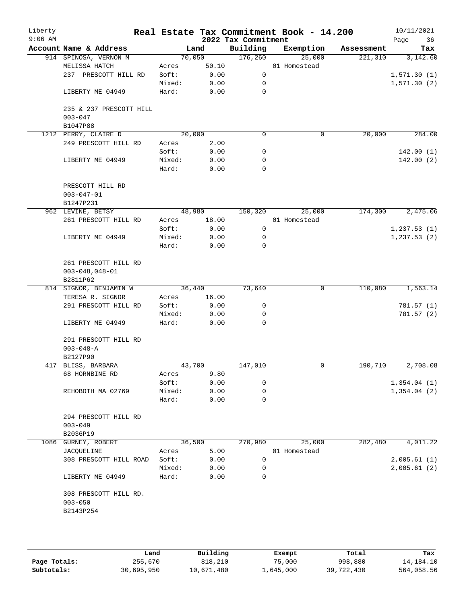| Liberty<br>$9:06$ AM |                                        |        |       | 2022 Tax Commitment | Real Estate Tax Commitment Book - 14.200 |                       | 10/11/2021<br>Page<br>36 |
|----------------------|----------------------------------------|--------|-------|---------------------|------------------------------------------|-----------------------|--------------------------|
|                      | Account Name & Address                 |        | Land  | Building            | Exemption                                | Assessment            | Tax                      |
|                      | 914 SPINOSA, VERNON M                  | 70,050 |       | 176,260             | 25,000                                   | 221,310               | 3,142.60                 |
|                      | MELISSA HATCH                          | Acres  | 50.10 |                     | 01 Homestead                             |                       |                          |
|                      | 237 PRESCOTT HILL RD                   | Soft:  | 0.00  | 0                   |                                          |                       | 1,571.30(1)              |
|                      |                                        | Mixed: | 0.00  | 0                   |                                          |                       | 1,571.30(2)              |
|                      |                                        |        |       | $\mathbf 0$         |                                          |                       |                          |
|                      | LIBERTY ME 04949                       | Hard:  | 0.00  |                     |                                          |                       |                          |
|                      | 235 & 237 PRESCOTT HILL<br>$003 - 047$ |        |       |                     |                                          |                       |                          |
|                      | B1047P88                               |        |       |                     |                                          |                       |                          |
|                      | 1212 PERRY, CLAIRE D                   | 20,000 |       | $\mathbf 0$         |                                          | 20,000<br>$\mathbf 0$ | 284.00                   |
|                      | 249 PRESCOTT HILL RD                   | Acres  | 2.00  |                     |                                          |                       |                          |
|                      |                                        | Soft:  | 0.00  | 0                   |                                          |                       | 142.00(1)                |
|                      | LIBERTY ME 04949                       | Mixed: | 0.00  | 0                   |                                          |                       | 142.00(2)                |
|                      |                                        | Hard:  | 0.00  | $\mathbf 0$         |                                          |                       |                          |
|                      |                                        |        |       |                     |                                          |                       |                          |
|                      |                                        |        |       |                     |                                          |                       |                          |
|                      | PRESCOTT HILL RD                       |        |       |                     |                                          |                       |                          |
|                      | $003 - 047 - 01$                       |        |       |                     |                                          |                       |                          |
|                      | B1247P231                              |        |       |                     |                                          |                       |                          |
|                      | 962 LEVINE, BETSY                      | 48,980 |       | 150,320             | 25,000                                   | 174,300               | 2,475.06                 |
|                      | 261 PRESCOTT HILL RD                   | Acres  | 18.00 |                     | 01 Homestead                             |                       |                          |
|                      |                                        | Soft:  | 0.00  | 0                   |                                          |                       | 1, 237.53(1)             |
|                      | LIBERTY ME 04949                       | Mixed: | 0.00  | 0                   |                                          |                       | 1, 237.53(2)             |
|                      |                                        | Hard:  | 0.00  | 0                   |                                          |                       |                          |
|                      |                                        |        |       |                     |                                          |                       |                          |
|                      | 261 PRESCOTT HILL RD                   |        |       |                     |                                          |                       |                          |
|                      | $003 - 048, 048 - 01$                  |        |       |                     |                                          |                       |                          |
|                      | B2811P62                               |        |       |                     |                                          |                       |                          |
|                      | 814 SIGNOR, BENJAMIN W                 | 36,440 |       | 73,640              |                                          | 110,080<br>0          | 1,563.14                 |
|                      |                                        |        | 16.00 |                     |                                          |                       |                          |
|                      | TERESA R. SIGNOR                       | Acres  |       |                     |                                          |                       |                          |
|                      | 291 PRESCOTT HILL RD                   | Soft:  | 0.00  | 0                   |                                          |                       | 781.57 (1)               |
|                      |                                        | Mixed: | 0.00  | 0                   |                                          |                       | 781.57 (2)               |
|                      | LIBERTY ME 04949                       | Hard:  | 0.00  | $\Omega$            |                                          |                       |                          |
|                      |                                        |        |       |                     |                                          |                       |                          |
|                      | 291 PRESCOTT HILL RD                   |        |       |                     |                                          |                       |                          |
|                      | $003 - 048 - A$                        |        |       |                     |                                          |                       |                          |
|                      | B2127P90                               |        |       |                     |                                          |                       |                          |
|                      | 417 BLISS, BARBARA                     | 43,700 |       | 147,010             |                                          | 190,710<br>0          | 2,708.08                 |
|                      | 68 HORNBINE RD                         | Acres  | 9.80  |                     |                                          |                       |                          |
|                      |                                        | Soft:  | 0.00  | 0                   |                                          |                       | 1,354.04(1)              |
|                      | REHOBOTH MA 02769                      | Mixed: | 0.00  | 0                   |                                          |                       | 1,354.04(2)              |
|                      |                                        | Hard:  | 0.00  | 0                   |                                          |                       |                          |
|                      |                                        |        |       |                     |                                          |                       |                          |
|                      | 294 PRESCOTT HILL RD                   |        |       |                     |                                          |                       |                          |
|                      | $003 - 049$                            |        |       |                     |                                          |                       |                          |
|                      |                                        |        |       |                     |                                          |                       |                          |
|                      | B2036P19                               |        |       |                     |                                          |                       |                          |
| 1086                 | GURNEY, ROBERT                         | 36,500 |       | 270,980             | 25,000                                   | 282,480               | 4,011.22                 |
|                      | JACQUELINE                             | Acres  | 5.00  |                     | 01 Homestead                             |                       |                          |
|                      | 308 PRESCOTT HILL ROAD                 | Soft:  | 0.00  | 0                   |                                          |                       | 2,005.61(1)              |
|                      |                                        | Mixed: | 0.00  | 0                   |                                          |                       | 2,005.61(2)              |
|                      | LIBERTY ME 04949                       | Hard:  | 0.00  | $\Omega$            |                                          |                       |                          |
|                      |                                        |        |       |                     |                                          |                       |                          |
|                      | 308 PRESCOTT HILL RD.                  |        |       |                     |                                          |                       |                          |
|                      | $003 - 050$                            |        |       |                     |                                          |                       |                          |
|                      | B2143P254                              |        |       |                     |                                          |                       |                          |
|                      |                                        |        |       |                     |                                          |                       |                          |
|                      |                                        |        |       |                     |                                          |                       |                          |
|                      |                                        |        |       |                     |                                          |                       |                          |

|              | Land       | Building   | Exempt    | Total      | Tax        |
|--------------|------------|------------|-----------|------------|------------|
| Page Totals: | 255,670    | 818,210    | 75,000    | 998,880    | 14,184.10  |
| Subtotals:   | 30,695,950 | 10,671,480 | 1,645,000 | 39,722,430 | 564,058.56 |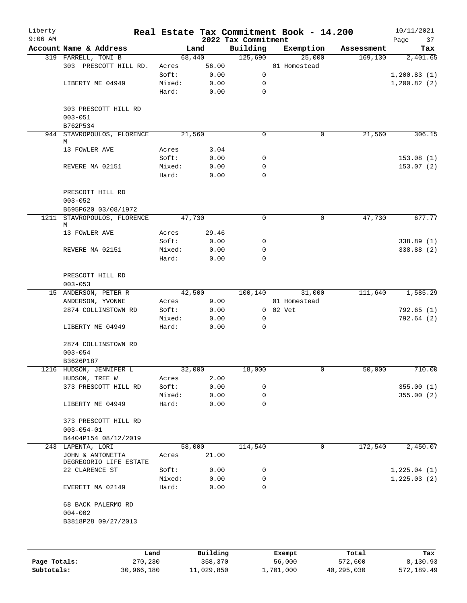| Liberty<br>$9:06$ AM |                                       |                 |                 | 2022 Tax Commitment | Real Estate Tax Commitment Book - 14.200 |            | 10/11/2021<br>Page<br>37 |
|----------------------|---------------------------------------|-----------------|-----------------|---------------------|------------------------------------------|------------|--------------------------|
|                      | Account Name & Address                |                 | Land            | Building            | Exemption                                | Assessment | Tax                      |
|                      | 319 FARRELL, TONI B                   |                 | 68,440          | 125,690             | 25,000                                   | 169,130    | 2,401.65                 |
|                      | 303 PRESCOTT HILL RD.                 | Acres           | 56.00           |                     | 01 Homestead                             |            |                          |
|                      |                                       | Soft:           | 0.00            | 0                   |                                          |            | 1, 200.83(1)             |
|                      | LIBERTY ME 04949                      | Mixed:          | 0.00            | 0                   |                                          |            | 1,200.82(2)              |
|                      |                                       | Hard:           | 0.00            | 0                   |                                          |            |                          |
|                      | 303 PRESCOTT HILL RD                  |                 |                 |                     |                                          |            |                          |
|                      | $003 - 051$<br>B762P534               |                 |                 |                     |                                          |            |                          |
|                      | 944 STAVROPOULOS, FLORENCE            |                 | 21,560          | $\Omega$            | $\mathbf 0$                              | 21,560     | 306.15                   |
|                      | М                                     |                 |                 |                     |                                          |            |                          |
|                      | 13 FOWLER AVE                         | Acres           | 3.04            |                     |                                          |            |                          |
|                      |                                       | Soft:           | 0.00            | 0                   |                                          |            | 153.08(1)                |
|                      | REVERE MA 02151                       | Mixed:          | 0.00            | 0                   |                                          |            | 153.07(2)                |
|                      |                                       | Hard:           | 0.00            | $\Omega$            |                                          |            |                          |
|                      | PRESCOTT HILL RD<br>$003 - 052$       |                 |                 |                     |                                          |            |                          |
|                      | B695P620 03/08/1972                   |                 |                 |                     |                                          |            |                          |
|                      | 1211 STAVROPOULOS, FLORENCE<br>М      |                 | 47,730          | 0                   | $\mathbf 0$                              | 47,730     | 677.77                   |
|                      | 13 FOWLER AVE                         | Acres           | 29.46           |                     |                                          |            |                          |
|                      |                                       | Soft:           | 0.00            | 0                   |                                          |            | 338.89(1)                |
|                      | REVERE MA 02151                       | Mixed:          | 0.00            | $\mathbf 0$         |                                          |            | 338.88 (2)               |
|                      |                                       | Hard:           | 0.00            | $\mathbf 0$         |                                          |            |                          |
|                      | PRESCOTT HILL RD<br>$003 - 053$       |                 |                 |                     |                                          |            |                          |
|                      | 15 ANDERSON, PETER R                  |                 | 42,500          | 100,140             | 31,000                                   | 111,640    | 1,585.29                 |
|                      | ANDERSON, YVONNE                      | Acres           | 9.00            |                     | 01 Homestead                             |            |                          |
|                      | 2874 COLLINSTOWN RD                   | Soft:           | 0.00            |                     | 0 02 Vet                                 |            | 792.65(1)                |
|                      |                                       | Mixed:          | 0.00            | 0                   |                                          |            | 792.64 (2)               |
|                      | LIBERTY ME 04949                      | Hard:           | 0.00            | 0                   |                                          |            |                          |
|                      | 2874 COLLINSTOWN RD<br>$003 - 054$    |                 |                 |                     |                                          |            |                          |
|                      | B3626P187                             |                 |                 |                     |                                          |            |                          |
|                      | 1216 HUDSON, JENNIFER L               |                 | 32,000          | 18,000              |                                          | 50,000     | 710.00                   |
|                      | HUDSON, TREE W                        | Acres           | 2.00            |                     |                                          |            |                          |
|                      | 373 PRESCOTT HILL RD                  | Soft:           | 0.00            | 0                   |                                          |            | 355.00(1)                |
|                      |                                       | Mixed:          | 0.00            | 0                   |                                          |            | 355.00(2)                |
|                      | LIBERTY ME 04949                      | Hard:           | 0.00            | 0                   |                                          |            |                          |
|                      | 373 PRESCOTT HILL RD                  |                 |                 |                     |                                          |            |                          |
|                      | $003 - 054 - 01$                      |                 |                 |                     |                                          |            |                          |
|                      | B4404P154 08/12/2019                  |                 |                 |                     |                                          |            |                          |
|                      | 243 LAPENTA, LORI<br>JOHN & ANTONETTA | Acres           | 58,000<br>21.00 | 114,540             | $\mathbf 0$                              | 172,540    | 2,450.07                 |
|                      | DEGREGORIO LIFE ESTATE                |                 |                 |                     |                                          |            |                          |
|                      | 22 CLARENCE ST                        | Soft:           | 0.00            | 0                   |                                          |            | 1,225.04(1)              |
|                      | EVERETT MA 02149                      | Mixed:<br>Hard: | 0.00<br>0.00    | 0<br>0              |                                          |            | 1, 225.03(2)             |
|                      | 68 BACK PALERMO RD                    |                 |                 |                     |                                          |            |                          |
|                      | $004 - 002$                           |                 |                 |                     |                                          |            |                          |
|                      | B3818P28 09/27/2013                   |                 |                 |                     |                                          |            |                          |
|                      |                                       |                 |                 |                     |                                          |            |                          |
|                      | Land                                  |                 | Building        |                     | Exempt                                   | Total      | Tax                      |
| Page Totals:         | 270,230                               |                 | 358,370         |                     | 56,000                                   | 572,600    | 8,130.93                 |

**Subtotals:** 30,966,180 11,029,850 1,701,000 40,295,030 572,189.49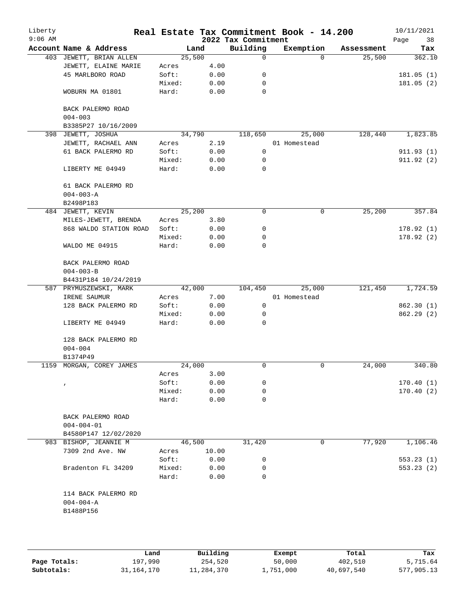| Liberty<br>$9:06$ AM |                          |        |       | 2022 Tax Commitment | Real Estate Tax Commitment Book - 14.200 |            | 10/11/2021<br>Page<br>38 |
|----------------------|--------------------------|--------|-------|---------------------|------------------------------------------|------------|--------------------------|
|                      | Account Name & Address   | Land   |       | Building            | Exemption                                | Assessment | Tax                      |
|                      | 403 JEWETT, BRIAN ALLEN  | 25,500 |       | 0                   | $\Omega$                                 | 25,500     | 362.10                   |
|                      | JEWETT, ELAINE MARIE     | Acres  | 4.00  |                     |                                          |            |                          |
|                      | 45 MARLBORO ROAD         | Soft:  | 0.00  | 0                   |                                          |            | 181.05(1)                |
|                      |                          | Mixed: | 0.00  | 0                   |                                          |            | 181.05(2)                |
|                      | WOBURN MA 01801          | Hard:  | 0.00  | $\mathbf 0$         |                                          |            |                          |
|                      | BACK PALERMO ROAD        |        |       |                     |                                          |            |                          |
|                      | $004 - 003$              |        |       |                     |                                          |            |                          |
|                      | B3385P27 10/16/2009      |        |       |                     |                                          |            |                          |
|                      | 398 JEWETT, JOSHUA       | 34,790 |       | 118,650             | 25,000                                   | 128,440    | 1,823.85                 |
|                      | JEWETT, RACHAEL ANN      | Acres  | 2.19  |                     | 01 Homestead                             |            |                          |
|                      | 61 BACK PALERMO RD       | Soft:  | 0.00  | $\mathbf 0$         |                                          |            | 911.93(1)                |
|                      |                          | Mixed: | 0.00  | 0                   |                                          |            | 911.92 (2)               |
|                      | LIBERTY ME 04949         | Hard:  | 0.00  | 0                   |                                          |            |                          |
|                      | 61 BACK PALERMO RD       |        |       |                     |                                          |            |                          |
|                      | $004 - 003 - A$          |        |       |                     |                                          |            |                          |
|                      | B2498P183                |        |       |                     |                                          |            |                          |
|                      | 484 JEWETT, KEVIN        | 25,200 |       | 0                   | 0                                        | 25,200     | 357.84                   |
|                      | MILES-JEWETT, BRENDA     | Acres  | 3.80  |                     |                                          |            |                          |
|                      | 868 WALDO STATION ROAD   | Soft:  | 0.00  | 0                   |                                          |            | 178.92(1)                |
|                      |                          | Mixed: | 0.00  | 0                   |                                          |            | 178.92(2)                |
|                      | WALDO ME 04915           | Hard:  | 0.00  | 0                   |                                          |            |                          |
|                      | BACK PALERMO ROAD        |        |       |                     |                                          |            |                          |
|                      | $004 - 003 - B$          |        |       |                     |                                          |            |                          |
|                      | B4431P184 10/24/2019     |        |       |                     |                                          |            |                          |
|                      |                          | 42,000 |       | 104,450             | 25,000                                   | 121,450    | 1,724.59                 |
|                      | 587 PRYMUSZEWSKI, MARK   |        |       |                     |                                          |            |                          |
|                      | IRENE SAUMUR             | Acres  | 7.00  |                     | 01 Homestead                             |            |                          |
|                      | 128 BACK PALERMO RD      | Soft:  | 0.00  | 0                   |                                          |            | 862.30 (1)               |
|                      |                          | Mixed: | 0.00  | 0                   |                                          |            | 862.29(2)                |
|                      | LIBERTY ME 04949         | Hard:  | 0.00  | 0                   |                                          |            |                          |
|                      | 128 BACK PALERMO RD      |        |       |                     |                                          |            |                          |
|                      | $004 - 004$              |        |       |                     |                                          |            |                          |
|                      | B1374P49                 |        |       |                     |                                          |            |                          |
|                      | 1159 MORGAN, COREY JAMES | 24,000 |       | 0                   | 0                                        | 24,000     | 340.80                   |
|                      |                          | Acres  | 3.00  |                     |                                          |            |                          |
|                      | $\pmb{\prime}$           | Soft:  | 0.00  | 0                   |                                          |            | 170.40(1)                |
|                      |                          | Mixed: | 0.00  | 0                   |                                          |            | 170.40(2)                |
|                      |                          | Hard:  | 0.00  | 0                   |                                          |            |                          |
|                      | BACK PALERMO ROAD        |        |       |                     |                                          |            |                          |
|                      | $004 - 004 - 01$         |        |       |                     |                                          |            |                          |
|                      | B4580P147 12/02/2020     |        |       |                     |                                          |            |                          |
|                      | 983 BISHOP, JEANNIE M    | 46,500 |       | 31,420              | 0                                        | 77,920     | 1,106.46                 |
|                      | 7309 2nd Ave. NW         | Acres  | 10.00 |                     |                                          |            |                          |
|                      |                          | Soft:  | 0.00  | 0                   |                                          |            | 553.23(1)                |
|                      | Bradenton FL 34209       | Mixed: | 0.00  | 0                   |                                          |            | 553.23(2)                |
|                      |                          | Hard:  | 0.00  | 0                   |                                          |            |                          |
|                      | 114 BACK PALERMO RD      |        |       |                     |                                          |            |                          |
|                      | $004 - 004 - A$          |        |       |                     |                                          |            |                          |
|                      | B1488P156                |        |       |                     |                                          |            |                          |
|                      |                          |        |       |                     |                                          |            |                          |
|                      |                          |        |       |                     |                                          |            |                          |
|                      |                          |        |       |                     |                                          |            |                          |

|              | Land       | Building   | Exempt    | Total      | Tax        |
|--------------|------------|------------|-----------|------------|------------|
| Page Totals: | 197,990    | 254,520    | 50,000    | 402,510    | 5,715.64   |
| Subtotals:   | 31,164,170 | 11,284,370 | 1,751,000 | 40,697,540 | 577,905.13 |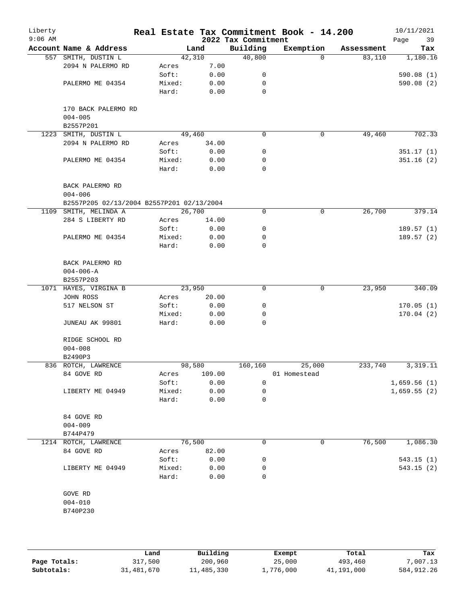| Liberty<br>$9:06$ AM |                                           |        |        | 2022 Tax Commitment | Real Estate Tax Commitment Book - 14.200 |            | 10/11/2021<br>Page<br>39 |
|----------------------|-------------------------------------------|--------|--------|---------------------|------------------------------------------|------------|--------------------------|
|                      | Account Name & Address                    |        | Land   | Building            | Exemption                                | Assessment | Tax                      |
|                      | 557 SMITH, DUSTIN L                       | 42,310 |        | 40,800              | $\Omega$                                 | 83,110     | 1,180.16                 |
|                      | 2094 N PALERMO RD                         | Acres  | 7.00   |                     |                                          |            |                          |
|                      |                                           | Soft:  | 0.00   | 0                   |                                          |            | 590.08(1)                |
|                      | PALERMO ME 04354                          | Mixed: | 0.00   | 0                   |                                          |            | 590.08(2)                |
|                      |                                           | Hard:  | 0.00   | 0                   |                                          |            |                          |
|                      | 170 BACK PALERMO RD                       |        |        |                     |                                          |            |                          |
|                      | $004 - 005$                               |        |        |                     |                                          |            |                          |
| 1223                 | B2557P201<br>SMITH, DUSTIN L              | 49,460 |        | $\Omega$            | 0                                        | 49,460     | 702.33                   |
|                      | 2094 N PALERMO RD                         | Acres  | 34.00  |                     |                                          |            |                          |
|                      |                                           | Soft:  | 0.00   | 0                   |                                          |            | 351.17(1)                |
|                      | PALERMO ME 04354                          | Mixed: | 0.00   | 0                   |                                          |            | 351.16(2)                |
|                      |                                           | Hard:  | 0.00   | 0                   |                                          |            |                          |
|                      | BACK PALERMO RD                           |        |        |                     |                                          |            |                          |
|                      | $004 - 006$                               |        |        |                     |                                          |            |                          |
|                      | B2557P205 02/13/2004 B2557P201 02/13/2004 |        |        |                     |                                          |            |                          |
|                      | 1109 SMITH, MELINDA A                     | 26,700 |        | 0                   | $\mathbf 0$                              | 26,700     | 379.14                   |
|                      | 284 S LIBERTY RD                          | Acres  | 14.00  |                     |                                          |            |                          |
|                      |                                           | Soft:  | 0.00   | 0                   |                                          |            | 189.57(1)                |
|                      | PALERMO ME 04354                          | Mixed: | 0.00   | 0                   |                                          |            | 189.57(2)                |
|                      |                                           | Hard:  | 0.00   | 0                   |                                          |            |                          |
|                      |                                           |        |        |                     |                                          |            |                          |
|                      | BACK PALERMO RD<br>$004 - 006 - A$        |        |        |                     |                                          |            |                          |
|                      | B2557P203                                 |        |        |                     |                                          |            |                          |
|                      | 1071 HAYES, VIRGINA B                     | 23,950 |        | $\mathbf 0$         | $\mathbf 0$                              | 23,950     | 340.09                   |
|                      | JOHN ROSS                                 | Acres  | 20.00  |                     |                                          |            |                          |
|                      | 517 NELSON ST                             | Soft:  | 0.00   | 0                   |                                          |            | 170.05(1)                |
|                      |                                           | Mixed: | 0.00   | 0                   |                                          |            | 170.04(2)                |
|                      | JUNEAU AK 99801                           | Hard:  | 0.00   | 0                   |                                          |            |                          |
|                      | RIDGE SCHOOL RD                           |        |        |                     |                                          |            |                          |
|                      | $004 - 008$                               |        |        |                     |                                          |            |                          |
|                      | B2490P3                                   |        |        |                     |                                          |            |                          |
|                      | 836 ROTCH, LAWRENCE                       | 98,580 |        | 160,160             | 25,000                                   | 233,740    | 3,319.11                 |
|                      | 84 GOVE RD                                | Acres  | 109.00 |                     | 01 Homestead                             |            |                          |
|                      |                                           | Soft:  | 0.00   | 0                   |                                          |            | 1,659.56(1)              |
|                      | LIBERTY ME 04949                          | Mixed: | 0.00   | 0                   |                                          |            | 1,659.55(2)              |
|                      |                                           | Hard:  | 0.00   | 0                   |                                          |            |                          |
|                      | 84 GOVE RD                                |        |        |                     |                                          |            |                          |
|                      | $004 - 009$                               |        |        |                     |                                          |            |                          |
|                      | B744P479                                  |        |        |                     |                                          |            |                          |
|                      | 1214 ROTCH, LAWRENCE                      | 76,500 |        | 0                   | 0                                        | 76,500     | 1,086.30                 |
|                      | 84 GOVE RD                                | Acres  | 82.00  |                     |                                          |            |                          |
|                      |                                           | Soft:  | 0.00   | 0                   |                                          |            | 543.15(1)                |
|                      | LIBERTY ME 04949                          | Mixed: | 0.00   | 0                   |                                          |            | 543.15(2)                |
|                      |                                           | Hard:  | 0.00   | 0                   |                                          |            |                          |
|                      | GOVE RD                                   |        |        |                     |                                          |            |                          |
|                      | $004 - 010$                               |        |        |                     |                                          |            |                          |
|                      | B740P230                                  |        |        |                     |                                          |            |                          |
|                      |                                           |        |        |                     |                                          |            |                          |
|                      |                                           |        |        |                     |                                          |            |                          |
|                      |                                           |        |        |                     |                                          |            |                          |

|              | Land       | Building   | Exempt    | Total      | Tax        |
|--------------|------------|------------|-----------|------------|------------|
| Page Totals: | 317,500    | 200,960    | 25,000    | 493,460    | 7,007.13   |
| Subtotals:   | 31,481,670 | 11,485,330 | 1,776,000 | 41,191,000 | 584,912.26 |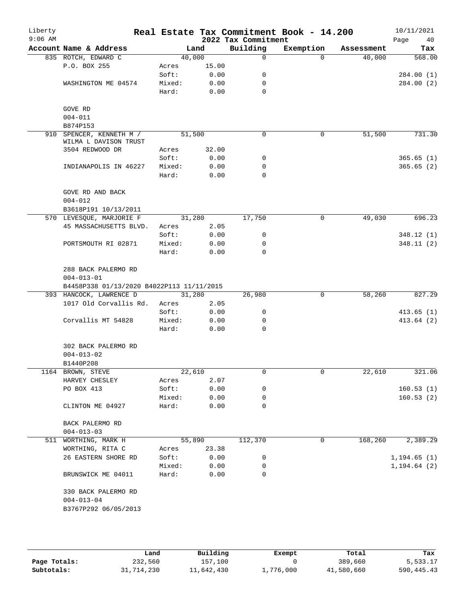| Liberty<br>$9:06$ AM |                                           |        |        | 2022 Tax Commitment | Real Estate Tax Commitment Book - 14.200 |            | 10/11/2021<br>Page<br>40 |
|----------------------|-------------------------------------------|--------|--------|---------------------|------------------------------------------|------------|--------------------------|
|                      | Account Name & Address                    |        | Land   | Building            | Exemption                                | Assessment | Tax                      |
|                      | 835 ROTCH, EDWARD C                       |        | 40,000 | 0                   | $\Omega$                                 | 40,000     | 568.00                   |
|                      | P.O. BOX 255                              | Acres  | 15.00  |                     |                                          |            |                          |
|                      |                                           | Soft:  | 0.00   | 0                   |                                          |            | 284.00 (1)               |
|                      | WASHINGTON ME 04574                       | Mixed: | 0.00   | 0                   |                                          |            | 284.00 (2)               |
|                      |                                           | Hard:  | 0.00   | 0                   |                                          |            |                          |
|                      | GOVE RD                                   |        |        |                     |                                          |            |                          |
|                      | $004 - 011$                               |        |        |                     |                                          |            |                          |
|                      | B874P153                                  |        |        |                     |                                          |            |                          |
| 910                  | SPENCER, KENNETH M /                      |        | 51,500 | 0                   | $\mathbf 0$                              | 51,500     | 731.30                   |
|                      | WILMA L DAVISON TRUST                     |        |        |                     |                                          |            |                          |
|                      | 3504 REDWOOD DR                           | Acres  | 32.00  |                     |                                          |            |                          |
|                      |                                           | Soft:  | 0.00   | 0                   |                                          |            | 365.65(1)                |
|                      | INDIANAPOLIS IN 46227                     | Mixed: | 0.00   | 0                   |                                          |            | 365.65(2)                |
|                      |                                           | Hard:  | 0.00   | $\Omega$            |                                          |            |                          |
|                      | GOVE RD AND BACK                          |        |        |                     |                                          |            |                          |
|                      | $004 - 012$                               |        |        |                     |                                          |            |                          |
|                      | B3618P191 10/13/2011                      |        |        |                     |                                          |            |                          |
|                      | 570 LEVESQUE, MARJORIE F                  |        | 31,280 | 17,750              | 0                                        | 49,030     | 696.23                   |
|                      | 45 MASSACHUSETTS BLVD.                    | Acres  | 2.05   |                     |                                          |            |                          |
|                      |                                           | Soft:  | 0.00   | 0                   |                                          |            | 348.12 (1)               |
|                      | PORTSMOUTH RI 02871                       | Mixed: | 0.00   | 0                   |                                          |            | 348.11(2)                |
|                      |                                           | Hard:  | 0.00   | $\Omega$            |                                          |            |                          |
|                      | 288 BACK PALERMO RD                       |        |        |                     |                                          |            |                          |
|                      | $004 - 013 - 01$                          |        |        |                     |                                          |            |                          |
|                      | B4458P338 01/13/2020 B4022P113 11/11/2015 |        |        |                     |                                          |            |                          |
|                      | 393 HANCOCK, LAWRENCE D                   |        | 31,280 | 26,980              | $\mathbf 0$                              | 58,260     | 827.29                   |
|                      | 1017 Old Corvallis Rd.                    | Acres  | 2.05   |                     |                                          |            |                          |
|                      |                                           | Soft:  | 0.00   | 0                   |                                          |            | 413.65(1)                |
|                      | Corvallis MT 54828                        | Mixed: | 0.00   | 0                   |                                          |            | 413.64(2)                |
|                      |                                           | Hard:  | 0.00   | $\mathbf 0$         |                                          |            |                          |
|                      | 302 BACK PALERMO RD                       |        |        |                     |                                          |            |                          |
|                      | $004 - 013 - 02$                          |        |        |                     |                                          |            |                          |
|                      | B1440P208                                 |        |        |                     |                                          |            |                          |
|                      | 1164 BROWN, STEVE                         |        | 22,610 | 0                   | 0                                        | 22,610     | 321.06                   |
|                      | HARVEY CHESLEY                            | Acres  | 2.07   |                     |                                          |            |                          |
|                      | PO BOX 413                                | Soft:  | 0.00   | 0                   |                                          |            | 160.53(1)                |
|                      |                                           | Mixed: | 0.00   | 0                   |                                          |            | 160.53(2)                |
|                      | CLINTON ME 04927                          | Hard:  | 0.00   | 0                   |                                          |            |                          |
|                      | BACK PALERMO RD                           |        |        |                     |                                          |            |                          |
|                      | $004 - 013 - 03$                          |        |        |                     |                                          |            |                          |
|                      | 511 WORTHING, MARK H                      |        | 55,890 | 112,370             | 0                                        | 168,260    | 2,389.29                 |
|                      | WORTHING, RITA C                          | Acres  | 23.38  |                     |                                          |            |                          |
|                      | 26 EASTERN SHORE RD                       | Soft:  | 0.00   | 0                   |                                          |            | 1, 194.65(1)             |
|                      |                                           | Mixed: | 0.00   | 0                   |                                          |            | 1, 194.64(2)             |
|                      | BRUNSWICK ME 04011                        | Hard:  | 0.00   | 0                   |                                          |            |                          |
|                      | 330 BACK PALERMO RD                       |        |        |                     |                                          |            |                          |
|                      | $004 - 013 - 04$                          |        |        |                     |                                          |            |                          |
|                      | B3767P292 06/05/2013                      |        |        |                     |                                          |            |                          |
|                      |                                           |        |        |                     |                                          |            |                          |

|              | Land       | Building   | Exempt    | Total      | Tax        |
|--------------|------------|------------|-----------|------------|------------|
| Page Totals: | 232,560    | 157,100    |           | 389,660    | 5,533.17   |
| Subtotals:   | 31,714,230 | 11,642,430 | ⊥,776,000 | 41,580,660 | 590,445.43 |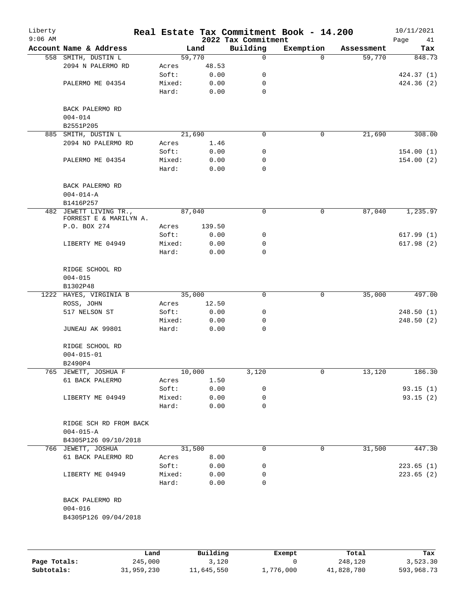| Liberty<br>$9:06$ AM |                                                  |                 |        |              | 2022 Tax Commitment | Real Estate Tax Commitment Book - 14.200 |            | 10/11/2021<br>Page<br>41 |
|----------------------|--------------------------------------------------|-----------------|--------|--------------|---------------------|------------------------------------------|------------|--------------------------|
|                      | Account Name & Address                           |                 |        | Land         | Building            | Exemption                                | Assessment | Tax                      |
|                      | 558 SMITH, DUSTIN L                              |                 | 59,770 |              | $\mathsf{O}$        | $\Omega$                                 | 59,770     | 848.73                   |
|                      | 2094 N PALERMO RD                                | Acres           |        | 48.53        |                     |                                          |            |                          |
|                      |                                                  | Soft:           |        | 0.00         | 0                   |                                          |            | 424.37 (1)               |
|                      | PALERMO ME 04354                                 | Mixed:          |        | 0.00         | 0                   |                                          |            | 424.36 (2)               |
|                      |                                                  | Hard:           |        | 0.00         | $\mathbf 0$         |                                          |            |                          |
|                      | BACK PALERMO RD                                  |                 |        |              |                     |                                          |            |                          |
|                      | $004 - 014$                                      |                 |        |              |                     |                                          |            |                          |
|                      | B2551P205                                        |                 |        |              |                     |                                          |            |                          |
|                      | 885 SMITH, DUSTIN L                              |                 | 21,690 |              | $\mathbf 0$         | $\mathbf 0$                              | 21,690     | 308.00                   |
|                      | 2094 NO PALERMO RD                               | Acres           |        | 1.46         |                     |                                          |            |                          |
|                      |                                                  | Soft:           |        | 0.00         | 0                   |                                          |            | 154.00(1)                |
|                      | PALERMO ME 04354                                 | Mixed:          |        | 0.00         | 0                   |                                          |            | 154.00(2)                |
|                      |                                                  | Hard:           |        | 0.00         | $\mathbf 0$         |                                          |            |                          |
|                      | BACK PALERMO RD<br>$004 - 014 - A$               |                 |        |              |                     |                                          |            |                          |
|                      | B1416P257                                        |                 |        |              |                     |                                          |            |                          |
|                      | 482 JEWETT LIVING TR.,<br>FORREST E & MARILYN A. |                 | 87,040 |              | 0                   | 0                                        | 87,040     | 1,235.97                 |
|                      | P.O. BOX 274                                     | Acres           |        | 139.50       |                     |                                          |            |                          |
|                      |                                                  |                 |        | 0.00         | 0                   |                                          |            |                          |
|                      |                                                  | Soft:           |        |              |                     |                                          |            | 617.99(1)                |
|                      | LIBERTY ME 04949                                 | Mixed:          |        | 0.00         | 0                   |                                          |            | 617.98(2)                |
|                      |                                                  | Hard:           |        | 0.00         | $\mathbf 0$         |                                          |            |                          |
|                      | RIDGE SCHOOL RD                                  |                 |        |              |                     |                                          |            |                          |
|                      | $004 - 015$                                      |                 |        |              |                     |                                          |            |                          |
|                      | B1302P48                                         |                 |        |              |                     |                                          |            |                          |
|                      | 1222 HAYES, VIRGINIA B                           |                 | 35,000 |              | $\mathbf 0$         | 0                                        | 35,000     | 497.00                   |
|                      | ROSS, JOHN                                       | Acres           |        | 12.50        |                     |                                          |            |                          |
|                      | 517 NELSON ST                                    | Soft:           |        | 0.00         | 0                   |                                          |            | 248.50(1)                |
|                      |                                                  | Mixed:          |        | 0.00         | 0                   |                                          |            | 248.50(2)                |
|                      | JUNEAU AK 99801                                  | Hard:           |        | 0.00         | 0                   |                                          |            |                          |
|                      | RIDGE SCHOOL RD                                  |                 |        |              |                     |                                          |            |                          |
|                      | $004 - 015 - 01$                                 |                 |        |              |                     |                                          |            |                          |
|                      | B2490P4                                          |                 |        |              |                     |                                          |            |                          |
|                      | 765 JEWETT, JOSHUA F                             |                 | 10,000 |              | 3,120               | 0                                        | 13,120     | 186.30                   |
|                      | 61 BACK PALERMO                                  | Acres           |        | 1.50         |                     |                                          |            |                          |
|                      |                                                  | Soft:           |        | 0.00         | 0                   |                                          |            | 93.15(1)                 |
|                      | LIBERTY ME 04949                                 | Mixed:          |        | 0.00         | 0                   |                                          |            | 93.15(2)                 |
|                      |                                                  | Hard:           |        | 0.00         | 0                   |                                          |            |                          |
|                      | RIDGE SCH RD FROM BACK                           |                 |        |              |                     |                                          |            |                          |
|                      | $004 - 015 - A$                                  |                 |        |              |                     |                                          |            |                          |
|                      | B4305P126 09/10/2018                             |                 |        |              |                     |                                          |            |                          |
|                      | 766 JEWETT, JOSHUA                               |                 | 31,500 |              | 0                   | 0                                        | 31,500     | 447.30                   |
|                      | 61 BACK PALERMO RD                               | Acres           |        | 8.00         |                     |                                          |            |                          |
|                      |                                                  | Soft:           |        | 0.00         | 0                   |                                          |            | 223.65(1)                |
|                      | LIBERTY ME 04949                                 | Mixed:<br>Hard: |        | 0.00<br>0.00 | 0<br>0              |                                          |            | 223.65(2)                |
|                      | BACK PALERMO RD                                  |                 |        |              |                     |                                          |            |                          |
|                      | $004 - 016$                                      |                 |        |              |                     |                                          |            |                          |
|                      | B4305P126 09/04/2018                             |                 |        |              |                     |                                          |            |                          |
|                      |                                                  |                 |        |              |                     |                                          |            |                          |
|                      |                                                  |                 |        |              |                     |                                          |            |                          |
|                      |                                                  |                 |        |              |                     |                                          |            |                          |
|                      |                                                  |                 |        |              |                     |                                          |            |                          |

|              | Land       | Building   | Exempt    | Total      | Tax        |
|--------------|------------|------------|-----------|------------|------------|
| Page Totals: | 245,000    | 3,120      |           | 248,120    | 3.523.30   |
| Subtotals:   | 31,959,230 | 11,645,550 | 1,776,000 | 41,828,780 | 593,968.73 |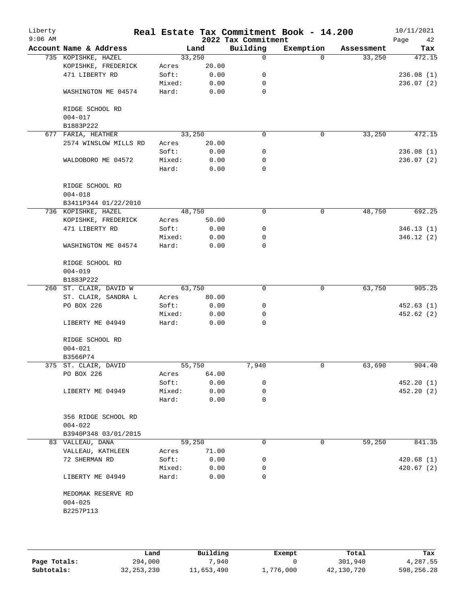|  | Account Name & Address   |        |        |             |           |            | Page<br>42 |
|--|--------------------------|--------|--------|-------------|-----------|------------|------------|
|  |                          |        | Land   | Building    | Exemption | Assessment | Tax        |
|  | 735 KOPISHKE, HAZEL      |        | 33,250 | 0           | $\Omega$  | 33,250     | 472.15     |
|  | KOPISHKE, FREDERICK      | Acres  | 20.00  |             |           |            |            |
|  | 471 LIBERTY RD           | Soft:  | 0.00   | 0           |           |            | 236.08(1)  |
|  |                          | Mixed: | 0.00   | 0           |           |            | 236.07(2)  |
|  | WASHINGTON ME 04574      | Hard:  | 0.00   | $\mathbf 0$ |           |            |            |
|  | RIDGE SCHOOL RD          |        |        |             |           |            |            |
|  | $004 - 017$<br>B1883P222 |        |        |             |           |            |            |
|  | 677 FARIA, HEATHER       |        | 33,250 | $\Omega$    | 0         | 33,250     | 472.15     |
|  | 2574 WINSLOW MILLS RD    | Acres  | 20.00  |             |           |            |            |
|  |                          | Soft:  | 0.00   | 0           |           |            | 236.08(1)  |
|  | WALDOBORO ME 04572       | Mixed: | 0.00   | 0           |           |            | 236.07(2)  |
|  |                          | Hard:  | 0.00   | 0           |           |            |            |
|  | RIDGE SCHOOL RD          |        |        |             |           |            |            |
|  | $004 - 018$              |        |        |             |           |            |            |
|  | B3411P344 01/22/2010     |        |        |             |           |            |            |
|  | 736 KOPISHKE, HAZEL      |        | 48,750 | 0           | 0         | 48,750     | 692.25     |
|  | KOPISHKE, FREDERICK      | Acres  | 50.00  |             |           |            |            |
|  | 471 LIBERTY RD           | Soft:  | 0.00   | 0           |           |            | 346.13(1)  |
|  |                          | Mixed: | 0.00   | 0           |           |            | 346.12(2)  |
|  | WASHINGTON ME 04574      | Hard:  | 0.00   | 0           |           |            |            |
|  | RIDGE SCHOOL RD          |        |        |             |           |            |            |
|  | $004 - 019$              |        |        |             |           |            |            |
|  | B1883P222                |        |        |             |           |            |            |
|  | 260 ST. CLAIR, DAVID W   |        | 63,750 | $\mathbf 0$ | 0         | 63,750     | 905.25     |
|  | ST. CLAIR, SANDRA L      | Acres  | 80.00  |             |           |            |            |
|  | PO BOX 226               | Soft:  | 0.00   | 0           |           |            | 452.63(1)  |
|  |                          | Mixed: | 0.00   | 0           |           |            | 452.62(2)  |
|  | LIBERTY ME 04949         | Hard:  | 0.00   | 0           |           |            |            |
|  | RIDGE SCHOOL RD          |        |        |             |           |            |            |
|  | $004 - 021$              |        |        |             |           |            |            |
|  | B3566P74                 |        |        |             |           |            |            |
|  | 375 ST. CLAIR, DAVID     |        | 55,750 | 7,940       | 0         | 63,690     | 904.40     |
|  | PO BOX 226               | Acres  | 64.00  |             |           |            |            |
|  |                          | Soft:  | 0.00   | 0           |           |            | 452.20(1)  |
|  | LIBERTY ME 04949         | Mixed: | 0.00   | 0           |           |            | 452.20(2)  |
|  |                          | Hard:  | 0.00   | 0           |           |            |            |
|  | 356 RIDGE SCHOOL RD      |        |        |             |           |            |            |
|  | $004 - 022$              |        |        |             |           |            |            |
|  | B3940P348 03/01/2015     |        |        |             |           |            |            |
|  | 83 VALLEAU, DANA         |        | 59,250 | 0           | 0         | 59,250     | 841.35     |
|  | VALLEAU, KATHLEEN        | Acres  | 71.00  |             |           |            |            |
|  | 72 SHERMAN RD            | Soft:  | 0.00   | 0           |           |            | 420.68(1)  |
|  |                          | Mixed: | 0.00   | 0           |           |            | 420.67(2)  |
|  | LIBERTY ME 04949         | Hard:  | 0.00   | 0           |           |            |            |
|  | MEDOMAK RESERVE RD       |        |        |             |           |            |            |
|  | $004 - 025$              |        |        |             |           |            |            |
|  | B2257P113                |        |        |             |           |            |            |
|  |                          |        |        |             |           |            |            |

|              | Land         | Building   | Exempt    | Total      | Tax        |
|--------------|--------------|------------|-----------|------------|------------|
| Page Totals: | 294,000      | .940       |           | 301,940    | 4,287.55   |
| Subtotals:   | 32, 253, 230 | 11,653,490 | 1,776,000 | 42,130,720 | 598,256.28 |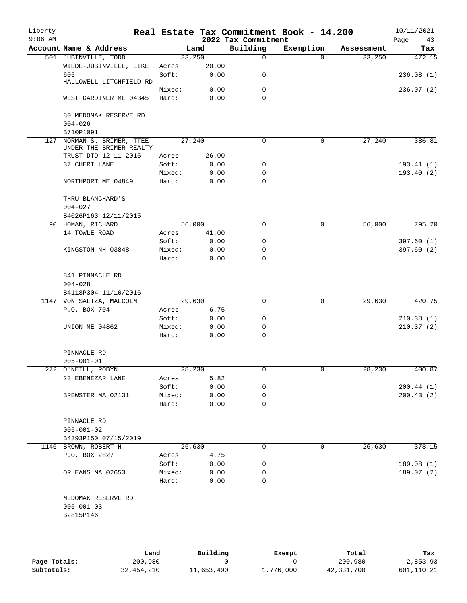| Liberty<br>$9:06$ AM |                               |                 |        | 2022 Tax Commitment | Real Estate Tax Commitment Book - 14.200 |            | 10/11/2021<br>Page<br>43 |
|----------------------|-------------------------------|-----------------|--------|---------------------|------------------------------------------|------------|--------------------------|
|                      | Account Name & Address        |                 | Land   | Building            | Exemption                                | Assessment | Tax                      |
|                      | 501 JUBINVILLE, TODD          |                 | 33,250 | $\mathbf 0$         | $\Omega$                                 | 33,250     | 472.15                   |
|                      |                               |                 | 20.00  |                     |                                          |            |                          |
|                      | WIEDE-JUBINVILLE, EIKE<br>605 | Acres<br>Soft:  | 0.00   |                     |                                          |            | 236.08(1)                |
|                      | HALLOWELL-LITCHFIELD RD       |                 |        | 0                   |                                          |            |                          |
|                      |                               | Mixed:          | 0.00   | $\mathbf 0$         |                                          |            | 236.07(2)                |
|                      | WEST GARDINER ME 04345        | Hard:           | 0.00   | $\Omega$            |                                          |            |                          |
|                      |                               |                 |        |                     |                                          |            |                          |
|                      | 80 MEDOMAK RESERVE RD         |                 |        |                     |                                          |            |                          |
|                      | $004 - 026$                   |                 |        |                     |                                          |            |                          |
|                      | B710P1091                     |                 |        |                     |                                          |            |                          |
| 127                  | NORMAN S. BRIMER, TTEE        |                 | 27,240 | 0                   | 0                                        | 27,240     | 386.81                   |
|                      | UNDER THE BRIMER REALTY       |                 |        |                     |                                          |            |                          |
|                      | TRUST DTD 12-11-2015          | Acres           | 26.00  |                     |                                          |            |                          |
|                      | 37 CHERI LANE                 | Soft:           | 0.00   | 0                   |                                          |            | 193.41(1)                |
|                      |                               | Mixed:          | 0.00   | $\mathbf 0$         |                                          |            | 193.40(2)                |
|                      | NORTHPORT ME 04849            | Hard:           | 0.00   | $\mathbf 0$         |                                          |            |                          |
|                      |                               |                 |        |                     |                                          |            |                          |
|                      | THRU BLANCHARD'S              |                 |        |                     |                                          |            |                          |
|                      | $004 - 027$                   |                 |        |                     |                                          |            |                          |
|                      | B4026P163 12/11/2015          |                 |        |                     |                                          |            |                          |
|                      | 90 HOMAN, RICHARD             |                 | 56,000 | 0                   | 0                                        | 56,000     | 795.20                   |
|                      | 14 TOWLE ROAD                 | Acres           | 41.00  |                     |                                          |            |                          |
|                      |                               | Soft:           | 0.00   | 0                   |                                          |            | 397.60(1)                |
|                      | KINGSTON NH 03848             | Mixed:          | 0.00   | 0                   |                                          |            | 397.60(2)                |
|                      |                               | Hard:           | 0.00   | $\Omega$            |                                          |            |                          |
|                      |                               |                 |        |                     |                                          |            |                          |
|                      | 841 PINNACLE RD               |                 |        |                     |                                          |            |                          |
|                      | $004 - 028$                   |                 |        |                     |                                          |            |                          |
|                      | B4118P304 11/10/2016          |                 |        |                     |                                          |            |                          |
|                      | 1147 VON SALTZA, MALCOLM      |                 | 29,630 | 0                   | 0                                        | 29,630     | 420.75                   |
|                      | P.O. BOX 704                  | Acres           | 6.75   |                     |                                          |            |                          |
|                      |                               | Soft:           | 0.00   | 0                   |                                          |            | 210.38(1)                |
|                      | UNION ME 04862                | Mixed:<br>Hard: | 0.00   | 0<br>0              |                                          |            | 210.37(2)                |
|                      |                               |                 | 0.00   |                     |                                          |            |                          |
|                      | PINNACLE RD                   |                 |        |                     |                                          |            |                          |
|                      | $005 - 001 - 01$              |                 |        |                     |                                          |            |                          |
|                      | 272 O'NEILL, ROBYN            |                 | 28,230 | 0                   | 0                                        | 28,230     | 400.87                   |
|                      | 23 EBENEZAR LANE              | Acres           | 5.82   |                     |                                          |            |                          |
|                      |                               | Soft:           | 0.00   | 0                   |                                          |            | 200.44(1)                |
|                      | BREWSTER MA 02131             | Mixed:          | 0.00   | 0                   |                                          |            | 200.43(2)                |
|                      |                               | Hard:           | 0.00   | 0                   |                                          |            |                          |
|                      |                               |                 |        |                     |                                          |            |                          |
|                      | PINNACLE RD                   |                 |        |                     |                                          |            |                          |
|                      | $005 - 001 - 02$              |                 |        |                     |                                          |            |                          |
|                      | B4393P150 07/15/2019          |                 |        |                     |                                          |            |                          |
|                      | 1146 BROWN, ROBERT H          |                 | 26,630 | 0                   | 0                                        | 26,630     | 378.15                   |
|                      | P.O. BOX 2827                 | Acres           | 4.75   |                     |                                          |            |                          |
|                      |                               | Soft:           | 0.00   | 0                   |                                          |            | 189.08 (1)               |
|                      | ORLEANS MA 02653              | Mixed:          | 0.00   | 0                   |                                          |            | 189.07(2)                |
|                      |                               | Hard:           | 0.00   | 0                   |                                          |            |                          |
|                      |                               |                 |        |                     |                                          |            |                          |
|                      | MEDOMAK RESERVE RD            |                 |        |                     |                                          |            |                          |
|                      | $005 - 001 - 03$              |                 |        |                     |                                          |            |                          |
|                      | B2815P146                     |                 |        |                     |                                          |            |                          |
|                      |                               |                 |        |                     |                                          |            |                          |
|                      |                               |                 |        |                     |                                          |            |                          |
|                      |                               |                 |        |                     |                                          |            |                          |

|              | Land       | Building   | Exempt    | Total      | Tax        |
|--------------|------------|------------|-----------|------------|------------|
| Page Totals: | 200,980    |            |           | 200,980    | 2,853.93   |
| Subtotals:   | 32,454,210 | 11,653,490 | 1,776,000 | 42,331,700 | 601,110.21 |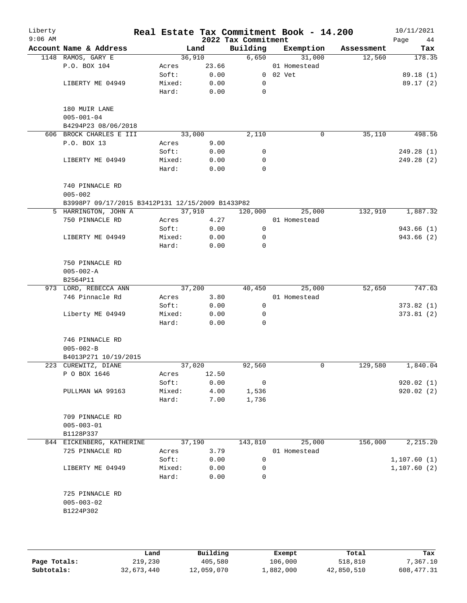| Liberty<br>$9:06$ AM |                                                  |        |        | 2022 Tax Commitment | Real Estate Tax Commitment Book - 14.200 |            | 10/11/2021<br>Page<br>44 |
|----------------------|--------------------------------------------------|--------|--------|---------------------|------------------------------------------|------------|--------------------------|
|                      | Account Name & Address                           |        | Land   | Building            | Exemption                                | Assessment | Tax                      |
|                      | 1148 RAMOS, GARY E                               |        | 36,910 | 6,650               | 31,000                                   | 12,560     | 178.35                   |
|                      | P.O. BOX 104                                     | Acres  | 23.66  |                     | 01 Homestead                             |            |                          |
|                      |                                                  | Soft:  | 0.00   |                     | $0$ $02$ $Vet$                           |            | 89.18 (1)                |
|                      | LIBERTY ME 04949                                 | Mixed: | 0.00   | 0                   |                                          |            | 89.17(2)                 |
|                      |                                                  | Hard:  | 0.00   | 0                   |                                          |            |                          |
|                      | 180 MUIR LANE                                    |        |        |                     |                                          |            |                          |
|                      | $005 - 001 - 04$                                 |        |        |                     |                                          |            |                          |
|                      | B4294P23 08/06/2018                              |        |        |                     |                                          |            |                          |
|                      | 606 BROCK CHARLES E III                          |        | 33,000 | 2,110               | 0                                        | 35,110     | 498.56                   |
|                      | P.O. BOX 13                                      | Acres  | 9.00   |                     |                                          |            |                          |
|                      |                                                  | Soft:  | 0.00   | 0                   |                                          |            | 249.28 (1)               |
|                      | LIBERTY ME 04949                                 | Mixed: | 0.00   | 0                   |                                          |            | 249.28 (2)               |
|                      |                                                  | Hard:  | 0.00   | 0                   |                                          |            |                          |
|                      | 740 PINNACLE RD                                  |        |        |                     |                                          |            |                          |
|                      | $005 - 002$                                      |        |        |                     |                                          |            |                          |
|                      | B3998P7 09/17/2015 B3412P131 12/15/2009 B1433P82 |        |        |                     |                                          |            |                          |
|                      | 5 HARRINGTON, JOHN A                             |        | 37,910 | 120,000             | 25,000                                   | 132,910    | 1,887.32                 |
|                      | 750 PINNACLE RD                                  | Acres  | 4.27   |                     | 01 Homestead                             |            |                          |
|                      |                                                  | Soft:  | 0.00   | 0                   |                                          |            | 943.66 (1)               |
|                      | LIBERTY ME 04949                                 | Mixed: | 0.00   | 0                   |                                          |            | 943.66 (2)               |
|                      |                                                  | Hard:  | 0.00   | $\Omega$            |                                          |            |                          |
|                      | 750 PINNACLE RD                                  |        |        |                     |                                          |            |                          |
|                      | $005 - 002 - A$                                  |        |        |                     |                                          |            |                          |
|                      | B2564P11                                         |        |        |                     |                                          |            |                          |
|                      | 973 LORD, REBECCA ANN                            |        | 37,200 | 40,450              | 25,000                                   | 52,650     | 747.63                   |
|                      | 746 Pinnacle Rd                                  | Acres  | 3.80   |                     | 01 Homestead                             |            |                          |
|                      |                                                  | Soft:  | 0.00   | $\mathsf{O}$        |                                          |            | 373.82(1)                |
|                      | Liberty ME 04949                                 | Mixed: | 0.00   | $\mathbf 0$         |                                          |            | 373.81(2)                |
|                      |                                                  | Hard:  | 0.00   | 0                   |                                          |            |                          |
|                      | 746 PINNACLE RD                                  |        |        |                     |                                          |            |                          |
|                      | $005 - 002 - B$                                  |        |        |                     |                                          |            |                          |
|                      | B4013P271 10/19/2015                             |        |        |                     |                                          |            |                          |
|                      | 223 CUREWITZ, DIANE                              |        | 37,020 | 92,560              | 0                                        | 129,580    | 1,840.04                 |
|                      | P O BOX 1646                                     | Acres  | 12.50  |                     |                                          |            |                          |
|                      |                                                  | Soft:  | 0.00   | 0                   |                                          |            | 920.02(1)                |
|                      | PULLMAN WA 99163                                 | Mixed: | 4.00   | 1,536               |                                          |            | 920.02(2)                |
|                      |                                                  | Hard:  | 7.00   | 1,736               |                                          |            |                          |
|                      | 709 PINNACLE RD                                  |        |        |                     |                                          |            |                          |
|                      | $005 - 003 - 01$                                 |        |        |                     |                                          |            |                          |
|                      | B1128P337                                        |        |        |                     |                                          |            |                          |
|                      | 844 EICKENBERG, KATHERINE                        |        | 37,190 | 143,810             | 25,000                                   | 156,000    | 2,215.20                 |
|                      | 725 PINNACLE RD                                  | Acres  | 3.79   |                     | 01 Homestead                             |            |                          |
|                      |                                                  | Soft:  | 0.00   | 0                   |                                          |            | 1,107.60(1)              |
|                      | LIBERTY ME 04949                                 | Mixed: | 0.00   | 0                   |                                          |            | 1, 107.60(2)             |
|                      |                                                  | Hard:  | 0.00   | 0                   |                                          |            |                          |
|                      | 725 PINNACLE RD                                  |        |        |                     |                                          |            |                          |
|                      | $005 - 003 - 02$                                 |        |        |                     |                                          |            |                          |
|                      | B1224P302                                        |        |        |                     |                                          |            |                          |
|                      |                                                  |        |        |                     |                                          |            |                          |
|                      |                                                  |        |        |                     |                                          |            |                          |
|                      |                                                  |        |        |                     |                                          |            |                          |

|              | Land       | Building   | Exempt    | Total      | Tax         |
|--------------|------------|------------|-----------|------------|-------------|
| Page Totals: | 219,230    | 405,580    | 106,000   | 518,810    | 7,367.10    |
| Subtotals:   | 32,673,440 | 12,059,070 | 1,882,000 | 42,850,510 | 608, 477.31 |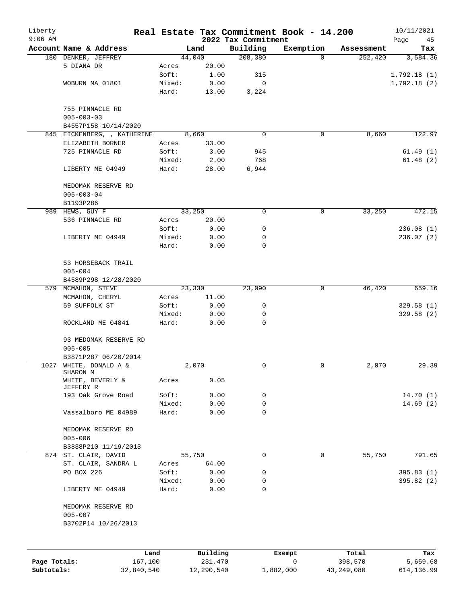| Liberty<br>$9:06$ AM |                                                |                 |               | 2022 Tax Commitment | Real Estate Tax Commitment Book - 14.200 |            | 10/11/2021<br>Page<br>45 |
|----------------------|------------------------------------------------|-----------------|---------------|---------------------|------------------------------------------|------------|--------------------------|
|                      | Account Name & Address                         |                 | Land          | Building            | Exemption                                | Assessment | Tax                      |
|                      | 180 DENKER, JEFFREY                            |                 | 44,040        | 208,380             | $\Omega$                                 | 252,420    | 3,584.36                 |
|                      | 5 DIANA DR                                     | Acres           | 20.00         |                     |                                          |            |                          |
|                      |                                                | Soft:           | 1.00          | 315                 |                                          |            | 1,792.18(1)              |
|                      | WOBURN MA 01801                                | Mixed:          | 0.00          | 0                   |                                          |            | 1,792.18(2)              |
|                      |                                                | Hard:           | 13.00         | 3,224               |                                          |            |                          |
|                      | 755 PINNACLE RD<br>$005 - 003 - 03$            |                 |               |                     |                                          |            |                          |
|                      | B4557P158 10/14/2020                           |                 |               |                     |                                          |            |                          |
|                      | 845 EICKENBERG, , KATHERINE                    |                 | 8,660         | 0                   | 0                                        | 8,660      | 122.97                   |
|                      | ELIZABETH BORNER                               | Acres           | 33.00         |                     |                                          |            |                          |
|                      | 725 PINNACLE RD                                | Soft:           | 3.00          | 945                 |                                          |            | 61.49(1)                 |
|                      | LIBERTY ME 04949                               | Mixed:<br>Hard: | 2.00<br>28.00 | 768<br>6,944        |                                          |            | 61.48(2)                 |
|                      |                                                |                 |               |                     |                                          |            |                          |
|                      | MEDOMAK RESERVE RD                             |                 |               |                     |                                          |            |                          |
|                      | $005 - 003 - 04$                               |                 |               |                     |                                          |            |                          |
|                      | B1193P286                                      |                 |               |                     |                                          |            |                          |
|                      | 989 HEWS, GUY F                                |                 | 33,250        | 0                   | $\mathbf 0$                              | 33,250     | 472.15                   |
|                      | 536 PINNACLE RD                                | Acres           | 20.00         |                     |                                          |            |                          |
|                      |                                                | Soft:           | 0.00          | 0                   |                                          |            | 236.08 (1)               |
|                      | LIBERTY ME 04949                               | Mixed:          | 0.00          | 0                   |                                          |            | 236.07(2)                |
|                      |                                                | Hard:           | 0.00          | $\mathbf 0$         |                                          |            |                          |
|                      | 53 HORSEBACK TRAIL                             |                 |               |                     |                                          |            |                          |
|                      | $005 - 004$                                    |                 |               |                     |                                          |            |                          |
|                      | B4589P298 12/28/2020                           |                 |               |                     |                                          |            |                          |
|                      | 579 MCMAHON, STEVE                             |                 | 23,330        | 23,090              | $\mathbf 0$                              | 46,420     | 659.16                   |
|                      | MCMAHON, CHERYL                                | Acres           | 11.00         |                     |                                          |            |                          |
|                      | 59 SUFFOLK ST                                  | Soft:           | 0.00          | 0                   |                                          |            | 329.58(1)                |
|                      |                                                | Mixed:          | 0.00          | 0                   |                                          |            | 329.58(2)                |
|                      | ROCKLAND ME 04841                              | Hard:           | 0.00          | 0                   |                                          |            |                          |
|                      | 93 MEDOMAK RESERVE RD<br>$005 - 005$           |                 |               |                     |                                          |            |                          |
|                      | B3871P287 06/20/2014<br>1027 WHITE, DONALD A & |                 | 2,070         | 0                   | 0                                        | 2,070      | 29.39                    |
|                      | SHARON M                                       |                 |               |                     |                                          |            |                          |
|                      | WHITE, BEVERLY &<br>JEFFERY R                  | Acres           | 0.05          |                     |                                          |            |                          |
|                      | 193 Oak Grove Road                             | Soft:           | 0.00          | 0                   |                                          |            | 14.70(1)                 |
|                      |                                                | Mixed:          | 0.00          | 0                   |                                          |            | 14.69(2)                 |
|                      | Vassalboro ME 04989                            | Hard:           | 0.00          | $\mathbf 0$         |                                          |            |                          |
|                      | MEDOMAK RESERVE RD<br>$005 - 006$              |                 |               |                     |                                          |            |                          |
|                      | B3838P210 11/19/2013                           |                 |               |                     |                                          |            |                          |
|                      | 874 ST. CLAIR, DAVID                           |                 | 55,750        | $\mathbf 0$         | $\mathbf 0$                              | 55,750     | 791.65                   |
|                      | ST. CLAIR, SANDRA L                            | Acres           | 64.00         |                     |                                          |            |                          |
|                      | PO BOX 226                                     | Soft:           | 0.00          | 0                   |                                          |            | 395.83(1)                |
|                      |                                                | Mixed:          | 0.00          | 0                   |                                          |            | 395.82(2)                |
|                      | LIBERTY ME 04949                               | Hard:           | 0.00          | 0                   |                                          |            |                          |
|                      | MEDOMAK RESERVE RD<br>$005 - 007$              |                 |               |                     |                                          |            |                          |
|                      | B3702P14 10/26/2013                            |                 |               |                     |                                          |            |                          |
|                      |                                                |                 |               |                     |                                          |            |                          |
|                      |                                                | Land            | Building      |                     | Exempt                                   | Total      | Tax                      |
| Page Totals:         | 167,100                                        |                 | 231,470       |                     | 0                                        | 398,570    | 5,659.68                 |

**Subtotals:** 32,840,540 12,290,540 1,882,000 43,249,080 614,136.99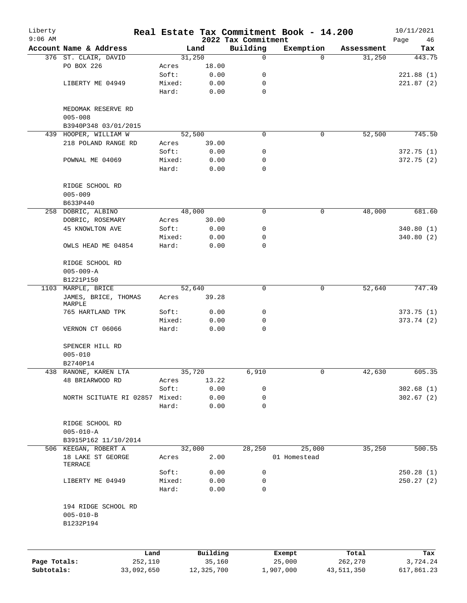| Liberty      |                                                     |                |                |                                 | Real Estate Tax Commitment Book - 14.200 |            | 10/11/2021        |
|--------------|-----------------------------------------------------|----------------|----------------|---------------------------------|------------------------------------------|------------|-------------------|
| $9:06$ AM    | Account Name & Address                              |                | Land           | 2022 Tax Commitment<br>Building | Exemption                                | Assessment | Page<br>46<br>Tax |
|              | 376 ST. CLAIR, DAVID                                |                | 31,250         | 0                               | $\Omega$                                 | 31,250     | 443.75            |
|              | PO BOX 226                                          | Acres          | 18.00          |                                 |                                          |            |                   |
|              |                                                     | Soft:          | 0.00           | 0                               |                                          |            | 221.88(1)         |
|              | LIBERTY ME 04949                                    | Mixed:         | 0.00           | 0                               |                                          |            | 221.87(2)         |
|              |                                                     | Hard:          | 0.00           | 0                               |                                          |            |                   |
|              | MEDOMAK RESERVE RD<br>$005 - 008$                   |                |                |                                 |                                          |            |                   |
|              | B3940P348 03/01/2015<br>439 HOOPER, WILLIAM W       |                | 52,500         | 0                               | 0                                        | 52,500     | 745.50            |
|              | 218 POLAND RANGE RD                                 | Acres          | 39.00          |                                 |                                          |            |                   |
|              |                                                     | Soft:          | 0.00           | 0                               |                                          |            | 372.75(1)         |
|              | POWNAL ME 04069                                     | Mixed:         | 0.00           | 0                               |                                          |            | 372.75 (2)        |
|              |                                                     | Hard:          | 0.00           | 0                               |                                          |            |                   |
|              | RIDGE SCHOOL RD<br>$005 - 009$                      |                |                |                                 |                                          |            |                   |
|              | B633P440                                            |                | 48,000         |                                 |                                          |            |                   |
|              | 258 DOBRIC, ALBINO                                  |                |                | 0                               | 0                                        | 48,000     | 681.60            |
|              | DOBRIC, ROSEMARY                                    | Acres          | 30.00          |                                 |                                          |            |                   |
|              | <b>45 KNOWLTON AVE</b>                              | Soft:          | 0.00           | 0                               |                                          |            | 340.80(1)         |
|              |                                                     | Mixed:         | 0.00           | 0                               |                                          |            | 340.80(2)         |
|              | OWLS HEAD ME 04854                                  | Hard:          | 0.00           | 0                               |                                          |            |                   |
|              | RIDGE SCHOOL RD                                     |                |                |                                 |                                          |            |                   |
|              | $005 - 009 - A$                                     |                |                |                                 |                                          |            |                   |
|              | B1221P150                                           |                |                |                                 |                                          |            |                   |
|              | 1103 MARPLE, BRICE                                  |                | 52,640         | 0                               | $\mathbf 0$                              | 52,640     | 747.49            |
|              | JAMES, BRICE, THOMAS<br>MARPLE                      | Acres          | 39.28          |                                 |                                          |            |                   |
|              | 765 HARTLAND TPK                                    | Soft:          | 0.00           | 0                               |                                          |            | 373.75(1)         |
|              |                                                     | Mixed:         | 0.00           | 0                               |                                          |            | 373.74 (2)        |
|              | VERNON CT 06066                                     | Hard:          | 0.00           | 0                               |                                          |            |                   |
|              | SPENCER HILL RD                                     |                |                |                                 |                                          |            |                   |
|              | $005 - 010$                                         |                |                |                                 |                                          |            |                   |
|              | B2740P14                                            |                |                |                                 |                                          |            |                   |
|              | 438 RANONE, KAREN LTA                               |                | 35,720         | 6,910                           | 0                                        | 42,630     | 605.35            |
|              | 48 BRIARWOOD RD                                     | Acres<br>Soft: | 13.22          |                                 |                                          |            |                   |
|              | NORTH SCITUATE RI 02857 Mixed:                      |                | 0.00<br>0.00   | 0<br>$\mathbf 0$                |                                          |            | 302.68(1)         |
|              |                                                     | Hard:          |                | 0                               |                                          |            | 302.67(2)         |
|              |                                                     |                | 0.00           |                                 |                                          |            |                   |
|              | RIDGE SCHOOL RD<br>$005 - 010 - A$                  |                |                |                                 |                                          |            |                   |
|              | B3915P162 11/10/2014                                |                |                |                                 |                                          |            |                   |
|              | 506 KEEGAN, ROBERT A<br>18 LAKE ST GEORGE           | Acres          | 32,000<br>2.00 | 28,250                          | 25,000<br>01 Homestead                   | 35,250     | 500.55            |
|              | TERRACE                                             |                |                |                                 |                                          |            |                   |
|              |                                                     | Soft:          | 0.00           | 0                               |                                          |            | 250.28(1)         |
|              | LIBERTY ME 04949                                    | Mixed:         | 0.00           | 0                               |                                          |            | 250.27(2)         |
|              |                                                     | Hard:          | 0.00           | $\mathsf{O}$                    |                                          |            |                   |
|              | 194 RIDGE SCHOOL RD<br>$005 - 010 - B$<br>B1232P194 |                |                |                                 |                                          |            |                   |
|              |                                                     |                |                |                                 |                                          |            |                   |
|              | Land                                                |                | Building       |                                 | Exempt                                   | Total      | Tax               |
| Page Totals: | 252,110                                             |                | 35,160         |                                 | 25,000                                   | 262,270    | 3,724.24          |

**Subtotals:** 33,092,650 12,325,700 1,907,000 43,511,350 617,861.23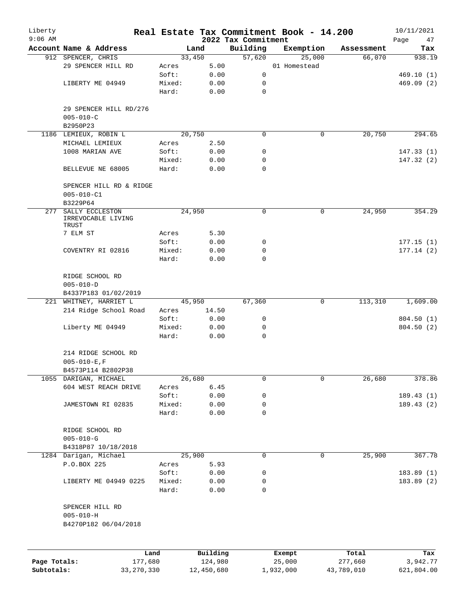| Liberty      |                                             |         |                |                     | Real Estate Tax Commitment Book - 14.200 |            | 10/11/2021 |
|--------------|---------------------------------------------|---------|----------------|---------------------|------------------------------------------|------------|------------|
| $9:06$ AM    |                                             |         |                | 2022 Tax Commitment |                                          |            | Page<br>47 |
|              | Account Name & Address                      |         | Land           | Building            | Exemption                                | Assessment | Tax        |
|              | 912 SPENCER, CHRIS<br>29 SPENCER HILL RD    | Acres   | 33,450<br>5.00 | 57,620              | 25,000<br>01 Homestead                   | 66,070     | 938.19     |
|              |                                             | Soft:   | 0.00           | 0                   |                                          |            | 469.10(1)  |
|              | LIBERTY ME 04949                            | Mixed:  | 0.00           | 0                   |                                          |            | 469.09(2)  |
|              |                                             | Hard:   | 0.00           | $\mathbf 0$         |                                          |            |            |
|              |                                             |         |                |                     |                                          |            |            |
|              | 29 SPENCER HILL RD/276                      |         |                |                     |                                          |            |            |
|              | $005 - 010 - C$                             |         |                |                     |                                          |            |            |
|              | B2950P23                                    |         |                |                     |                                          |            |            |
|              | 1186 LEMIEUX, ROBIN L                       |         | 20,750         | 0                   | 0                                        | 20,750     | 294.65     |
|              | MICHAEL LEMIEUX                             | Acres   | 2.50           |                     |                                          |            |            |
|              | 1008 MARIAN AVE                             | Soft:   | 0.00           | 0                   |                                          |            | 147.33(1)  |
|              |                                             | Mixed:  | 0.00           | 0                   |                                          |            | 147.32 (2) |
|              | BELLEVUE NE 68005                           | Hard:   | 0.00           | $\Omega$            |                                          |            |            |
|              |                                             |         |                |                     |                                          |            |            |
|              | SPENCER HILL RD & RIDGE                     |         |                |                     |                                          |            |            |
|              | $005 - 010 - C1$                            |         |                |                     |                                          |            |            |
|              | B3229P64                                    |         |                |                     |                                          |            |            |
| 277          | SALLY ECCLESTON<br>IRREVOCABLE LIVING       |         | 24,950         | 0                   | 0                                        | 24,950     | 354.29     |
|              | TRUST                                       |         |                |                     |                                          |            |            |
|              | 7 ELM ST                                    | Acres   | 5.30           |                     |                                          |            |            |
|              |                                             | Soft:   | 0.00           | 0                   |                                          |            | 177.15(1)  |
|              | COVENTRY RI 02816                           | Mixed:  | 0.00           | $\mathbf 0$         |                                          |            | 177.14(2)  |
|              |                                             | Hard:   | 0.00           | $\Omega$            |                                          |            |            |
|              |                                             |         |                |                     |                                          |            |            |
|              | RIDGE SCHOOL RD                             |         |                |                     |                                          |            |            |
|              | $005 - 010 - D$                             |         |                |                     |                                          |            |            |
|              | B4337P183 01/02/2019                        |         |                |                     |                                          |            |            |
|              | 221 WHITNEY, HARRIET L                      |         | 45,950         | 67,360              | 0                                        | 113,310    | 1,609.00   |
|              | 214 Ridge School Road                       | Acres   | 14.50          |                     |                                          |            |            |
|              |                                             | Soft:   | 0.00           | 0                   |                                          |            | 804.50(1)  |
|              | Liberty ME 04949                            | Mixed:  | 0.00           | 0                   |                                          |            | 804.50 (2) |
|              |                                             | Hard:   | 0.00           | $\mathbf 0$         |                                          |            |            |
|              |                                             |         |                |                     |                                          |            |            |
|              | 214 RIDGE SCHOOL RD                         |         |                |                     |                                          |            |            |
|              | $005 - 010 - E$ , F                         |         |                |                     |                                          |            |            |
|              | B4573P114 B2802P38<br>1055 DARIGAN, MICHAEL |         | 26,680         | 0                   | $\mathbf 0$                              | 26,680     | 378.86     |
|              | 604 WEST REACH DRIVE                        | Acres   | 6.45           |                     |                                          |            |            |
|              |                                             | Soft:   | 0.00           | 0                   |                                          |            | 189.43(1)  |
|              | JAMESTOWN RI 02835                          | Mixed:  | 0.00           | 0                   |                                          |            | 189.43(2)  |
|              |                                             | Hard:   | 0.00           | 0                   |                                          |            |            |
|              |                                             |         |                |                     |                                          |            |            |
|              | RIDGE SCHOOL RD                             |         |                |                     |                                          |            |            |
|              | $005 - 010 - G$                             |         |                |                     |                                          |            |            |
|              | B4318P87 10/18/2018                         |         |                |                     |                                          |            |            |
|              | 1284 Darigan, Michael                       |         | 25,900         | 0                   | 0                                        | 25,900     | 367.78     |
|              | P.O.BOX 225                                 | Acres   | 5.93           |                     |                                          |            |            |
|              |                                             | Soft:   | 0.00           | 0                   |                                          |            | 183.89(1)  |
|              | LIBERTY ME 04949 0225                       | Mixed:  | 0.00           | 0                   |                                          |            | 183.89(2)  |
|              |                                             | Hard:   | 0.00           | 0                   |                                          |            |            |
|              |                                             |         |                |                     |                                          |            |            |
|              | SPENCER HILL RD                             |         |                |                     |                                          |            |            |
|              | $005 - 010 - H$                             |         |                |                     |                                          |            |            |
|              | B4270P182 06/04/2018                        |         |                |                     |                                          |            |            |
|              |                                             |         |                |                     |                                          |            |            |
|              |                                             | Land    | Building       |                     | Exempt                                   | Total      | Tax        |
| Page Totals: |                                             | 177,680 | 124,980        |                     | 25,000                                   | 277,660    | 3,942.77   |
| Subtotals:   | 33, 270, 330                                |         | 12,450,680     |                     | 1,932,000                                | 43,789,010 | 621,804.00 |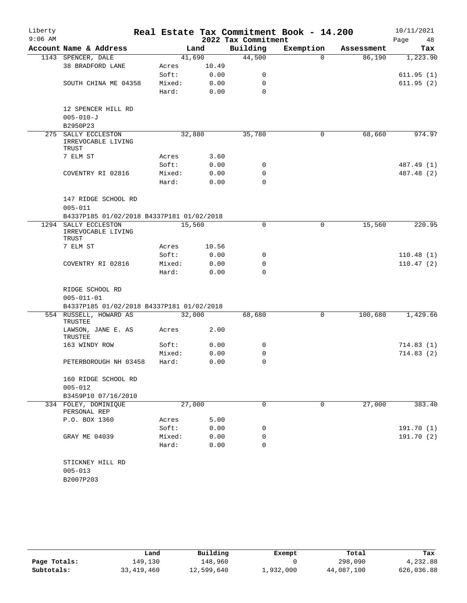| Liberty<br>$9:06$ AM |                                                    |        |        | 2022 Tax Commitment | Real Estate Tax Commitment Book - 14.200 |            | 10/11/2021<br>Page<br>48 |
|----------------------|----------------------------------------------------|--------|--------|---------------------|------------------------------------------|------------|--------------------------|
|                      | Account Name & Address                             |        | Land   | Building            | Exemption                                | Assessment | Tax                      |
|                      | 1143 SPENCER, DALE                                 |        | 41,690 | 44,500              | $\Omega$                                 | 86,190     | 1,223.90                 |
|                      | 38 BRADFORD LANE                                   | Acres  | 10.49  |                     |                                          |            |                          |
|                      |                                                    | Soft:  | 0.00   | 0                   |                                          |            | 611.95(1)                |
|                      | SOUTH CHINA ME 04358                               | Mixed: | 0.00   | $\mathbf 0$         |                                          |            | 611.95(2)                |
|                      |                                                    | Hard:  | 0.00   | $\Omega$            |                                          |            |                          |
|                      |                                                    |        |        |                     |                                          |            |                          |
|                      | 12 SPENCER HILL RD                                 |        |        |                     |                                          |            |                          |
|                      | $005 - 010 - J$                                    |        |        |                     |                                          |            |                          |
|                      | B2950P23                                           |        |        |                     |                                          |            |                          |
|                      | 275 SALLY ECCLESTON<br>IRREVOCABLE LIVING<br>TRUST |        | 32,880 | 35,780              | 0                                        | 68,660     | 974.97                   |
|                      | 7 ELM ST                                           | Acres  | 3.60   |                     |                                          |            |                          |
|                      |                                                    | Soft:  | 0.00   | 0                   |                                          |            | 487.49 (1)               |
|                      | COVENTRY RI 02816                                  | Mixed: | 0.00   | 0                   |                                          |            | 487.48 (2)               |
|                      |                                                    | Hard:  | 0.00   | $\mathbf 0$         |                                          |            |                          |
|                      |                                                    |        |        |                     |                                          |            |                          |
|                      | 147 RIDGE SCHOOL RD                                |        |        |                     |                                          |            |                          |
|                      | $005 - 011$                                        |        |        |                     |                                          |            |                          |
|                      | B4337P185 01/02/2018 B4337P181 01/02/2018          |        |        |                     |                                          |            |                          |
| 1294                 | SALLY ECCLESTON<br>IRREVOCABLE LIVING<br>TRUST     |        | 15,560 | $\mathbf 0$         | $\mathsf{O}$                             | 15,560     | 220.95                   |
|                      | 7 ELM ST                                           | Acres  | 10.56  |                     |                                          |            |                          |
|                      |                                                    | Soft:  | 0.00   | 0                   |                                          |            | 110.48(1)                |
|                      | COVENTRY RI 02816                                  | Mixed: | 0.00   | 0                   |                                          |            | 110.47(2)                |
|                      |                                                    | Hard:  | 0.00   | $\Omega$            |                                          |            |                          |
|                      |                                                    |        |        |                     |                                          |            |                          |
|                      | RIDGE SCHOOL RD                                    |        |        |                     |                                          |            |                          |
|                      | $005 - 011 - 01$                                   |        |        |                     |                                          |            |                          |
|                      | B4337P185 01/02/2018 B4337P181 01/02/2018          |        |        |                     |                                          |            |                          |
|                      | 554 RUSSELL, HOWARD AS<br><b>TRUSTEE</b>           |        | 32,000 | 68,680              | 0                                        | 100,680    | 1,429.66                 |
|                      | LAWSON, JANE E. AS<br>TRUSTEE                      | Acres  | 2.00   |                     |                                          |            |                          |
|                      | 163 WINDY ROW                                      | Soft:  | 0.00   | 0                   |                                          |            | 714.83 (1)               |
|                      |                                                    | Mixed: | 0.00   | 0                   |                                          |            | 714.83(2)                |
|                      | PETERBOROUGH NH 03458                              | Hard:  | 0.00   | 0                   |                                          |            |                          |
|                      | 160 RIDGE SCHOOL RD                                |        |        |                     |                                          |            |                          |
|                      | $005 - 012$                                        |        |        |                     |                                          |            |                          |
|                      | B3459P10 07/16/2010                                |        |        |                     |                                          |            |                          |
|                      | 334 FOLEY, DOMINIQUE<br>PERSONAL REP               |        | 27,000 | 0                   | 0                                        | 27,000     | 383.40                   |
|                      | P.O. BOX 1360                                      | Acres  | 5.00   |                     |                                          |            |                          |
|                      |                                                    | Soft:  | 0.00   | 0                   |                                          |            | 191.70 (1)               |
|                      | GRAY ME 04039                                      | Mixed: | 0.00   | 0                   |                                          |            | 191.70 (2)               |
|                      |                                                    | Hard:  | 0.00   | 0                   |                                          |            |                          |
|                      | STICKNEY HILL RD                                   |        |        |                     |                                          |            |                          |
|                      | $005 - 013$                                        |        |        |                     |                                          |            |                          |
|                      | B2007P203                                          |        |        |                     |                                          |            |                          |
|                      |                                                    |        |        |                     |                                          |            |                          |

|              | Land         | Building   | Exempt    | Total      | Tax        |
|--------------|--------------|------------|-----------|------------|------------|
| Page Totals: | 149.130      | 148,960    |           | 298,090    | 4,232.88   |
| Subtotals:   | 33, 419, 460 | 12,599,640 | 1,932,000 | 44,087,100 | 626,036.88 |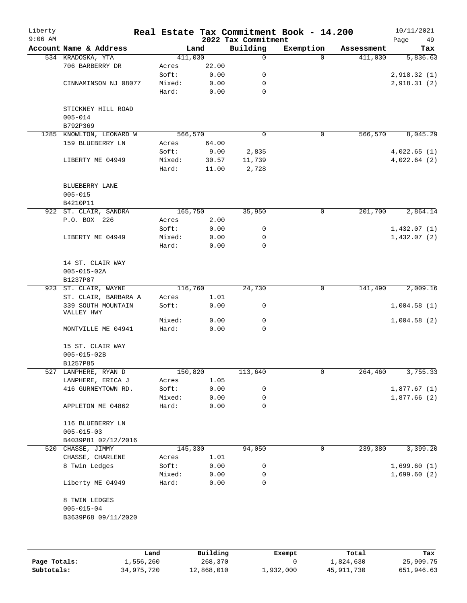| 2022 Tax Commitment<br>Page<br>Building<br>Exemption<br>Account Name & Address<br>Land<br>Assessment<br>534 KRADOSKA, YTA<br>411,030<br>$\mathsf{O}$<br>411,030<br>$\Omega$<br>22.00<br>706 BARBERRY DR<br>Acres<br>Soft:<br>0.00<br>0<br>0.00<br>CINNAMINSON NJ 08077<br>Mixed:<br>0<br>Hard:<br>$\mathbf 0$<br>0.00<br>STICKNEY HILL ROAD<br>$005 - 014$<br>B792P369<br>566,570<br>$\mathbf 0$<br>0<br>566,570<br>KNOWLTON, LEONARD W<br>1285<br>159 BLUEBERRY LN<br>64.00<br>Acres<br>Soft:<br>9.00<br>2,835<br>LIBERTY ME 04949<br>Mixed:<br>30.57<br>11,739<br>Hard:<br>11.00<br>2,728<br>BLUEBERRY LANE<br>$005 - 015$<br>B4210P11<br>922 ST. CLAIR, SANDRA<br>165,750<br>35,950<br>201,700<br>0<br>P.O. BOX 226<br>2.00<br>Acres<br>Soft:<br>0.00<br>0<br>LIBERTY ME 04949<br>Mixed:<br>0.00<br>0<br>$\mathbf 0$<br>Hard:<br>0.00<br>14 ST. CLAIR WAY<br>$005 - 015 - 02A$<br>B1237P87<br>116,760<br>24,730<br>0<br>141,490<br>923 ST. CLAIR, WAYNE<br>ST. CLAIR, BARBARA A<br>1.01<br>Acres<br>0.00<br>339 SOUTH MOUNTAIN<br>Soft:<br>0<br>VALLEY HWY<br>Mixed:<br>0.00<br>0<br>Hard:<br>0.00<br>0<br>MONTVILLE ME 04941<br>15 ST. CLAIR WAY<br>$005 - 015 - 02B$<br>B1257P85<br>527 LANPHERE, RYAN D<br>150,820<br>113,640<br>0<br>264,460<br>LANPHERE, ERICA J<br>1.05<br>Acres<br>416 GURNEYTOWN RD.<br>Soft:<br>0.00<br>0<br>Mixed:<br>0.00<br>0<br>Hard:<br>0.00<br>0<br>APPLETON ME 04862<br>116 BLUEBERRY LN<br>$005 - 015 - 03$ | 49<br>Tax                   |
|-------------------------------------------------------------------------------------------------------------------------------------------------------------------------------------------------------------------------------------------------------------------------------------------------------------------------------------------------------------------------------------------------------------------------------------------------------------------------------------------------------------------------------------------------------------------------------------------------------------------------------------------------------------------------------------------------------------------------------------------------------------------------------------------------------------------------------------------------------------------------------------------------------------------------------------------------------------------------------------------------------------------------------------------------------------------------------------------------------------------------------------------------------------------------------------------------------------------------------------------------------------------------------------------------------------------------------------------------------------------------------------------------------------------------------------------------|-----------------------------|
|                                                                                                                                                                                                                                                                                                                                                                                                                                                                                                                                                                                                                                                                                                                                                                                                                                                                                                                                                                                                                                                                                                                                                                                                                                                                                                                                                                                                                                                 | 5,836.63                    |
|                                                                                                                                                                                                                                                                                                                                                                                                                                                                                                                                                                                                                                                                                                                                                                                                                                                                                                                                                                                                                                                                                                                                                                                                                                                                                                                                                                                                                                                 | 2,918.32(1)<br>2,918.31 (2) |
|                                                                                                                                                                                                                                                                                                                                                                                                                                                                                                                                                                                                                                                                                                                                                                                                                                                                                                                                                                                                                                                                                                                                                                                                                                                                                                                                                                                                                                                 |                             |
|                                                                                                                                                                                                                                                                                                                                                                                                                                                                                                                                                                                                                                                                                                                                                                                                                                                                                                                                                                                                                                                                                                                                                                                                                                                                                                                                                                                                                                                 |                             |
|                                                                                                                                                                                                                                                                                                                                                                                                                                                                                                                                                                                                                                                                                                                                                                                                                                                                                                                                                                                                                                                                                                                                                                                                                                                                                                                                                                                                                                                 |                             |
|                                                                                                                                                                                                                                                                                                                                                                                                                                                                                                                                                                                                                                                                                                                                                                                                                                                                                                                                                                                                                                                                                                                                                                                                                                                                                                                                                                                                                                                 |                             |
|                                                                                                                                                                                                                                                                                                                                                                                                                                                                                                                                                                                                                                                                                                                                                                                                                                                                                                                                                                                                                                                                                                                                                                                                                                                                                                                                                                                                                                                 |                             |
|                                                                                                                                                                                                                                                                                                                                                                                                                                                                                                                                                                                                                                                                                                                                                                                                                                                                                                                                                                                                                                                                                                                                                                                                                                                                                                                                                                                                                                                 |                             |
|                                                                                                                                                                                                                                                                                                                                                                                                                                                                                                                                                                                                                                                                                                                                                                                                                                                                                                                                                                                                                                                                                                                                                                                                                                                                                                                                                                                                                                                 | 8,045.29                    |
|                                                                                                                                                                                                                                                                                                                                                                                                                                                                                                                                                                                                                                                                                                                                                                                                                                                                                                                                                                                                                                                                                                                                                                                                                                                                                                                                                                                                                                                 |                             |
|                                                                                                                                                                                                                                                                                                                                                                                                                                                                                                                                                                                                                                                                                                                                                                                                                                                                                                                                                                                                                                                                                                                                                                                                                                                                                                                                                                                                                                                 | 4,022.65(1)                 |
|                                                                                                                                                                                                                                                                                                                                                                                                                                                                                                                                                                                                                                                                                                                                                                                                                                                                                                                                                                                                                                                                                                                                                                                                                                                                                                                                                                                                                                                 | 4,022.64(2)                 |
|                                                                                                                                                                                                                                                                                                                                                                                                                                                                                                                                                                                                                                                                                                                                                                                                                                                                                                                                                                                                                                                                                                                                                                                                                                                                                                                                                                                                                                                 |                             |
|                                                                                                                                                                                                                                                                                                                                                                                                                                                                                                                                                                                                                                                                                                                                                                                                                                                                                                                                                                                                                                                                                                                                                                                                                                                                                                                                                                                                                                                 |                             |
|                                                                                                                                                                                                                                                                                                                                                                                                                                                                                                                                                                                                                                                                                                                                                                                                                                                                                                                                                                                                                                                                                                                                                                                                                                                                                                                                                                                                                                                 |                             |
|                                                                                                                                                                                                                                                                                                                                                                                                                                                                                                                                                                                                                                                                                                                                                                                                                                                                                                                                                                                                                                                                                                                                                                                                                                                                                                                                                                                                                                                 |                             |
|                                                                                                                                                                                                                                                                                                                                                                                                                                                                                                                                                                                                                                                                                                                                                                                                                                                                                                                                                                                                                                                                                                                                                                                                                                                                                                                                                                                                                                                 | 2,864.14                    |
|                                                                                                                                                                                                                                                                                                                                                                                                                                                                                                                                                                                                                                                                                                                                                                                                                                                                                                                                                                                                                                                                                                                                                                                                                                                                                                                                                                                                                                                 |                             |
|                                                                                                                                                                                                                                                                                                                                                                                                                                                                                                                                                                                                                                                                                                                                                                                                                                                                                                                                                                                                                                                                                                                                                                                                                                                                                                                                                                                                                                                 | 1,432.07(1)                 |
|                                                                                                                                                                                                                                                                                                                                                                                                                                                                                                                                                                                                                                                                                                                                                                                                                                                                                                                                                                                                                                                                                                                                                                                                                                                                                                                                                                                                                                                 | 1,432.07(2)                 |
|                                                                                                                                                                                                                                                                                                                                                                                                                                                                                                                                                                                                                                                                                                                                                                                                                                                                                                                                                                                                                                                                                                                                                                                                                                                                                                                                                                                                                                                 |                             |
|                                                                                                                                                                                                                                                                                                                                                                                                                                                                                                                                                                                                                                                                                                                                                                                                                                                                                                                                                                                                                                                                                                                                                                                                                                                                                                                                                                                                                                                 |                             |
|                                                                                                                                                                                                                                                                                                                                                                                                                                                                                                                                                                                                                                                                                                                                                                                                                                                                                                                                                                                                                                                                                                                                                                                                                                                                                                                                                                                                                                                 |                             |
|                                                                                                                                                                                                                                                                                                                                                                                                                                                                                                                                                                                                                                                                                                                                                                                                                                                                                                                                                                                                                                                                                                                                                                                                                                                                                                                                                                                                                                                 |                             |
|                                                                                                                                                                                                                                                                                                                                                                                                                                                                                                                                                                                                                                                                                                                                                                                                                                                                                                                                                                                                                                                                                                                                                                                                                                                                                                                                                                                                                                                 | 2,009.16                    |
|                                                                                                                                                                                                                                                                                                                                                                                                                                                                                                                                                                                                                                                                                                                                                                                                                                                                                                                                                                                                                                                                                                                                                                                                                                                                                                                                                                                                                                                 |                             |
|                                                                                                                                                                                                                                                                                                                                                                                                                                                                                                                                                                                                                                                                                                                                                                                                                                                                                                                                                                                                                                                                                                                                                                                                                                                                                                                                                                                                                                                 | 1,004.58(1)                 |
|                                                                                                                                                                                                                                                                                                                                                                                                                                                                                                                                                                                                                                                                                                                                                                                                                                                                                                                                                                                                                                                                                                                                                                                                                                                                                                                                                                                                                                                 | 1,004.58(2)                 |
|                                                                                                                                                                                                                                                                                                                                                                                                                                                                                                                                                                                                                                                                                                                                                                                                                                                                                                                                                                                                                                                                                                                                                                                                                                                                                                                                                                                                                                                 |                             |
|                                                                                                                                                                                                                                                                                                                                                                                                                                                                                                                                                                                                                                                                                                                                                                                                                                                                                                                                                                                                                                                                                                                                                                                                                                                                                                                                                                                                                                                 |                             |
|                                                                                                                                                                                                                                                                                                                                                                                                                                                                                                                                                                                                                                                                                                                                                                                                                                                                                                                                                                                                                                                                                                                                                                                                                                                                                                                                                                                                                                                 |                             |
|                                                                                                                                                                                                                                                                                                                                                                                                                                                                                                                                                                                                                                                                                                                                                                                                                                                                                                                                                                                                                                                                                                                                                                                                                                                                                                                                                                                                                                                 | 3,755.33                    |
|                                                                                                                                                                                                                                                                                                                                                                                                                                                                                                                                                                                                                                                                                                                                                                                                                                                                                                                                                                                                                                                                                                                                                                                                                                                                                                                                                                                                                                                 |                             |
|                                                                                                                                                                                                                                                                                                                                                                                                                                                                                                                                                                                                                                                                                                                                                                                                                                                                                                                                                                                                                                                                                                                                                                                                                                                                                                                                                                                                                                                 | 1,877.67(1)                 |
|                                                                                                                                                                                                                                                                                                                                                                                                                                                                                                                                                                                                                                                                                                                                                                                                                                                                                                                                                                                                                                                                                                                                                                                                                                                                                                                                                                                                                                                 | 1,877.66(2)                 |
|                                                                                                                                                                                                                                                                                                                                                                                                                                                                                                                                                                                                                                                                                                                                                                                                                                                                                                                                                                                                                                                                                                                                                                                                                                                                                                                                                                                                                                                 |                             |
|                                                                                                                                                                                                                                                                                                                                                                                                                                                                                                                                                                                                                                                                                                                                                                                                                                                                                                                                                                                                                                                                                                                                                                                                                                                                                                                                                                                                                                                 |                             |
| B4039P81 02/12/2016                                                                                                                                                                                                                                                                                                                                                                                                                                                                                                                                                                                                                                                                                                                                                                                                                                                                                                                                                                                                                                                                                                                                                                                                                                                                                                                                                                                                                             |                             |
| 239,380<br>520 CHASSE, JIMMY<br>145,330<br>94,050<br>0                                                                                                                                                                                                                                                                                                                                                                                                                                                                                                                                                                                                                                                                                                                                                                                                                                                                                                                                                                                                                                                                                                                                                                                                                                                                                                                                                                                          | 3,399.20                    |
| CHASSE, CHARLENE<br>1.01<br>Acres                                                                                                                                                                                                                                                                                                                                                                                                                                                                                                                                                                                                                                                                                                                                                                                                                                                                                                                                                                                                                                                                                                                                                                                                                                                                                                                                                                                                               |                             |
| 8 Twin Ledges<br>Soft:<br>0.00<br>0                                                                                                                                                                                                                                                                                                                                                                                                                                                                                                                                                                                                                                                                                                                                                                                                                                                                                                                                                                                                                                                                                                                                                                                                                                                                                                                                                                                                             | 1,699.60(1)                 |
| Mixed:<br>0.00<br>0                                                                                                                                                                                                                                                                                                                                                                                                                                                                                                                                                                                                                                                                                                                                                                                                                                                                                                                                                                                                                                                                                                                                                                                                                                                                                                                                                                                                                             | 1,699.60(2)                 |
| Liberty ME 04949<br>0.00<br>0<br>Hard:                                                                                                                                                                                                                                                                                                                                                                                                                                                                                                                                                                                                                                                                                                                                                                                                                                                                                                                                                                                                                                                                                                                                                                                                                                                                                                                                                                                                          |                             |
| 8 TWIN LEDGES                                                                                                                                                                                                                                                                                                                                                                                                                                                                                                                                                                                                                                                                                                                                                                                                                                                                                                                                                                                                                                                                                                                                                                                                                                                                                                                                                                                                                                   |                             |
| $005 - 015 - 04$                                                                                                                                                                                                                                                                                                                                                                                                                                                                                                                                                                                                                                                                                                                                                                                                                                                                                                                                                                                                                                                                                                                                                                                                                                                                                                                                                                                                                                |                             |
| B3639P68 09/11/2020                                                                                                                                                                                                                                                                                                                                                                                                                                                                                                                                                                                                                                                                                                                                                                                                                                                                                                                                                                                                                                                                                                                                                                                                                                                                                                                                                                                                                             |                             |
|                                                                                                                                                                                                                                                                                                                                                                                                                                                                                                                                                                                                                                                                                                                                                                                                                                                                                                                                                                                                                                                                                                                                                                                                                                                                                                                                                                                                                                                 |                             |
|                                                                                                                                                                                                                                                                                                                                                                                                                                                                                                                                                                                                                                                                                                                                                                                                                                                                                                                                                                                                                                                                                                                                                                                                                                                                                                                                                                                                                                                 |                             |

|              | Land       | Building   | Exempt    | Total      | Tax        |
|--------------|------------|------------|-----------|------------|------------|
| Page Totals: | 1,556,260  | 268,370    |           | 1,824,630  | 25,909.75  |
| Subtotals:   | 34,975,720 | 12,868,010 | 1,932,000 | 45,911,730 | 651,946.63 |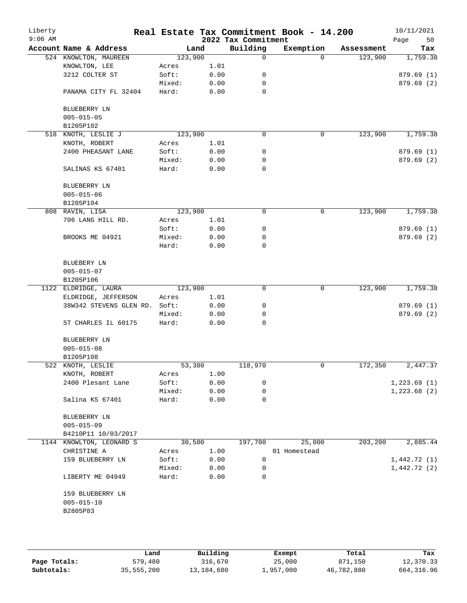| Liberty<br>$9:06$ AM |                         |         |      | 2022 Tax Commitment | Real Estate Tax Commitment Book - 14.200 |            | 10/11/2021<br>Page<br>50 |
|----------------------|-------------------------|---------|------|---------------------|------------------------------------------|------------|--------------------------|
|                      | Account Name & Address  | Land    |      | Building            | Exemption                                | Assessment | Tax                      |
|                      | 524 KNOWLTON, MAUREEN   | 123,900 |      | $\mathbf 0$         | $\Omega$                                 | 123,900    | 1,759.38                 |
|                      | KNOWLTON, LEE           | Acres   | 1.01 |                     |                                          |            |                          |
|                      | 3212 COLTER ST          | Soft:   | 0.00 | 0                   |                                          |            | 879.69(1)                |
|                      |                         | Mixed:  | 0.00 | 0                   |                                          |            | 879.69(2)                |
|                      | PANAMA CITY FL 32404    | Hard:   | 0.00 | $\mathbf 0$         |                                          |            |                          |
|                      | BLUEBERRY LN            |         |      |                     |                                          |            |                          |
|                      | $005 - 015 - 05$        |         |      |                     |                                          |            |                          |
|                      | B1205P102               |         |      |                     |                                          |            |                          |
| 518                  | KNOTH, LESLIE J         | 123,900 |      | 0                   | 0                                        | 123,900    | 1,759.38                 |
|                      | KNOTH, ROBERT           | Acres   | 1.01 |                     |                                          |            |                          |
|                      | 2400 PHEASANT LANE      | Soft:   | 0.00 | 0                   |                                          |            | 879.69(1)                |
|                      |                         | Mixed:  | 0.00 | 0                   |                                          |            | 879.69 (2)               |
|                      | SALINAS KS 67401        | Hard:   | 0.00 | $\mathbf 0$         |                                          |            |                          |
|                      | BLUEBERRY LN            |         |      |                     |                                          |            |                          |
|                      | $005 - 015 - 06$        |         |      |                     |                                          |            |                          |
|                      | B1205P104               |         |      |                     |                                          |            |                          |
|                      | 808 RAVIN, LISA         | 123,900 |      | 0                   | $\mathbf 0$                              | 123,900    | 1,759.38                 |
|                      | 706 LANG HILL RD.       | Acres   | 1.01 |                     |                                          |            |                          |
|                      |                         | Soft:   | 0.00 | 0                   |                                          |            | 879.69(1)                |
|                      | BROOKS ME 04921         | Mixed:  | 0.00 | 0                   |                                          |            | 879.69(2)                |
|                      |                         | Hard:   | 0.00 | $\mathbf 0$         |                                          |            |                          |
|                      | BLUEBERY LN             |         |      |                     |                                          |            |                          |
|                      | $005 - 015 - 07$        |         |      |                     |                                          |            |                          |
|                      | B1205P106               |         |      |                     |                                          |            |                          |
|                      | 1122 ELDRIDGE, LAURA    | 123,900 |      | $\mathbf 0$         | 0                                        | 123,900    | 1,759.38                 |
|                      | ELDRIDGE, JEFFERSON     | Acres   | 1.01 |                     |                                          |            |                          |
|                      | 38W342 STEVENS GLEN RD. | Soft:   | 0.00 | 0                   |                                          |            | 879.69(1)                |
|                      |                         | Mixed:  | 0.00 | 0                   |                                          |            | 879.69 (2)               |
|                      | ST CHARLES IL 60175     | Hard:   | 0.00 | 0                   |                                          |            |                          |
|                      | BLUEBERRY LN            |         |      |                     |                                          |            |                          |
|                      | $005 - 015 - 08$        |         |      |                     |                                          |            |                          |
|                      | B1205P108               |         |      |                     |                                          |            |                          |
|                      | 522 KNOTH, LESLIE       | 53,380  |      | 118,970             | 0                                        | 172,350    | 2,447.37                 |
|                      | KNOTH, ROBERT           | Acres   | 1.00 |                     |                                          |            |                          |
|                      | 2400 Plesant Lane       | Soft:   | 0.00 | 0                   |                                          |            | 1,223.69(1)              |
|                      |                         | Mixed:  | 0.00 | 0                   |                                          |            | 1,223.68(2)              |
|                      | Salina KS 67401         | Hard:   | 0.00 | 0                   |                                          |            |                          |
|                      | BLUEBERRY LN            |         |      |                     |                                          |            |                          |
|                      | $005 - 015 - 09$        |         |      |                     |                                          |            |                          |
|                      | B4210P11 10/03/2017     |         |      |                     |                                          |            |                          |
| 1144                 | KNOWLTON, LEONARD S     | 30,500  |      | 197,700             | 25,000                                   | 203,200    | 2,885.44                 |
|                      | CHRISTINE A             | Acres   | 1.00 |                     | 01 Homestead                             |            |                          |
|                      | 159 BLUEBERRY LN        | Soft:   | 0.00 | 0                   |                                          |            | 1,442.72(1)              |
|                      |                         | Mixed:  | 0.00 | 0                   |                                          |            | 1,442.72(2)              |
|                      | LIBERTY ME 04949        | Hard:   | 0.00 | 0                   |                                          |            |                          |
|                      | 159 BLUEBERRY LN        |         |      |                     |                                          |            |                          |
|                      | $005 - 015 - 10$        |         |      |                     |                                          |            |                          |
|                      | B2805P83                |         |      |                     |                                          |            |                          |
|                      |                         |         |      |                     |                                          |            |                          |
|                      |                         |         |      |                     |                                          |            |                          |
|                      |                         |         |      |                     |                                          |            |                          |

|              | Land       | Building   | Exempt    | Total      | Tax          |
|--------------|------------|------------|-----------|------------|--------------|
| Page Totals: | 579,480    | 316,670    | 25,000    | 871,150    | 12,370.33    |
| Subtotals:   | 35,555,200 | 13,184,680 | 1,957,000 | 46,782,880 | 664, 316, 96 |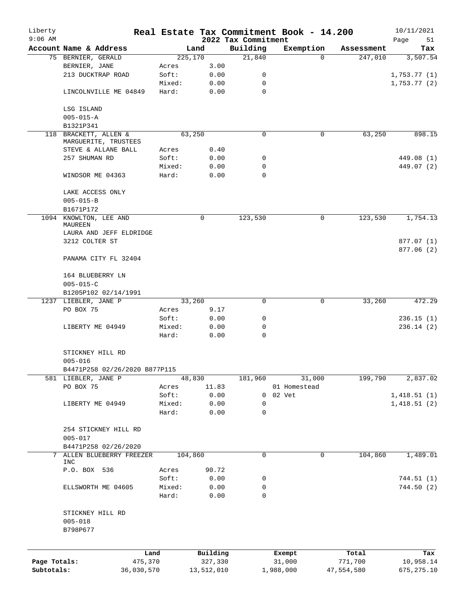| Liberty<br>$9:06$ AM       |                               |         |                       | 2022 Tax Commitment | Real Estate Tax Commitment Book - 14.200 |                       | 10/11/2021<br>Page<br>51 |
|----------------------------|-------------------------------|---------|-----------------------|---------------------|------------------------------------------|-----------------------|--------------------------|
|                            | Account Name & Address        |         | Land                  | Building            | Exemption                                | Assessment            | Tax                      |
|                            | 75 BERNIER, GERALD            | 225,170 |                       | 21,840              | $\Omega$                                 | 247,010               | 3,507.54                 |
|                            | BERNIER, JANE                 | Acres   | 3.00                  |                     |                                          |                       |                          |
|                            | 213 DUCKTRAP ROAD             | Soft:   | 0.00                  | 0                   |                                          |                       | 1,753.77(1)              |
|                            |                               | Mixed:  | 0.00                  | 0                   |                                          |                       | 1,753.77(2)              |
|                            | LINCOLNVILLE ME 04849         | Hard:   | 0.00                  | 0                   |                                          |                       |                          |
|                            | LSG ISLAND                    |         |                       |                     |                                          |                       |                          |
|                            | $005 - 015 - A$               |         |                       |                     |                                          |                       |                          |
|                            | B1321P341                     |         |                       |                     |                                          |                       |                          |
| 118                        | BRACKETT, ALLEN &             |         | 63,250                | $\mathbf 0$         | 0                                        | 63,250                | 898.15                   |
|                            | MARGUERITE, TRUSTEES          |         |                       |                     |                                          |                       |                          |
|                            | STEVE & ALLANE BALL           | Acres   | 0.40                  |                     |                                          |                       |                          |
|                            | 257 SHUMAN RD                 | Soft:   | 0.00                  | 0                   |                                          |                       | 449.08 (1)               |
|                            |                               | Mixed:  | 0.00                  | 0                   |                                          |                       | 449.07 (2)               |
|                            | WINDSOR ME 04363              | Hard:   | 0.00                  | $\Omega$            |                                          |                       |                          |
|                            | LAKE ACCESS ONLY              |         |                       |                     |                                          |                       |                          |
|                            | $005 - 015 - B$               |         |                       |                     |                                          |                       |                          |
|                            | B1671P172                     |         |                       |                     |                                          |                       |                          |
|                            | 1094 KNOWLTON, LEE AND        |         | 0                     | 123,530             | 0                                        | 123, 530              | 1,754.13                 |
|                            | <b>MAUREEN</b>                |         |                       |                     |                                          |                       |                          |
|                            | LAURA AND JEFF ELDRIDGE       |         |                       |                     |                                          |                       |                          |
|                            | 3212 COLTER ST                |         |                       |                     |                                          |                       | 877.07 (1)               |
|                            | PANAMA CITY FL 32404          |         |                       |                     |                                          |                       | 877.06(2)                |
|                            | 164 BLUEBERRY LN              |         |                       |                     |                                          |                       |                          |
|                            | $005 - 015 - C$               |         |                       |                     |                                          |                       |                          |
|                            | B1205P102 02/14/1991          |         |                       |                     |                                          |                       |                          |
|                            | 1237 LIEBLER, JANE P          |         | 33,260                | 0                   | 0                                        | 33,260                | 472.29                   |
|                            | PO BOX 75                     | Acres   | 9.17                  |                     |                                          |                       |                          |
|                            |                               | Soft:   | 0.00                  | 0                   |                                          |                       | 236.15(1)                |
|                            | LIBERTY ME 04949              | Mixed:  | 0.00                  | 0                   |                                          |                       | 236.14(2)                |
|                            |                               | Hard:   | 0.00                  | 0                   |                                          |                       |                          |
|                            | STICKNEY HILL RD              |         |                       |                     |                                          |                       |                          |
|                            | $005 - 016$                   |         |                       |                     |                                          |                       |                          |
|                            | B4471P258 02/26/2020 B877P115 |         |                       |                     |                                          |                       |                          |
|                            | 581 LIEBLER, JANE P           |         | 48,830                | 181,960             | 31,000                                   | 199,790               | 2,837.02                 |
|                            | PO BOX 75                     | Acres   | 11.83                 |                     | 01 Homestead                             |                       |                          |
|                            |                               | Soft:   | 0.00                  | 0                   | 02 Vet                                   |                       | 1,418.51(1)              |
|                            | LIBERTY ME 04949              | Mixed:  | 0.00                  | 0                   |                                          |                       | 1,418.51(2)              |
|                            |                               | Hard:   | 0.00                  | 0                   |                                          |                       |                          |
|                            |                               |         |                       |                     |                                          |                       |                          |
|                            | 254 STICKNEY HILL RD          |         |                       |                     |                                          |                       |                          |
|                            | $005 - 017$                   |         |                       |                     |                                          |                       |                          |
|                            | B4471P258 02/26/2020          |         |                       |                     |                                          |                       |                          |
| 7                          | ALLEN BLUEBERRY FREEZER       | 104,860 |                       | 0                   | $\mathbf 0$                              | 104,860               | 1,489.01                 |
|                            | INC                           |         |                       |                     |                                          |                       |                          |
|                            | P.O. BOX 536                  | Acres   | 90.72                 |                     |                                          |                       |                          |
|                            |                               | Soft:   | 0.00                  | 0                   |                                          |                       | 744.51(1)                |
|                            | ELLSWORTH ME 04605            | Mixed:  | 0.00                  | 0                   |                                          |                       | 744.50(2)                |
|                            |                               | Hard:   | 0.00                  | $\mathbf 0$         |                                          |                       |                          |
|                            | STICKNEY HILL RD              |         |                       |                     |                                          |                       |                          |
|                            | $005 - 018$                   |         |                       |                     |                                          |                       |                          |
|                            | B798P677                      |         |                       |                     |                                          |                       |                          |
|                            |                               |         |                       |                     |                                          |                       |                          |
|                            | Land                          |         | Building              |                     | Exempt                                   | Total                 | Tax                      |
| Page Totals:<br>Subtotals: | 475,370<br>36,030,570         |         | 327,330<br>13,512,010 |                     | 31,000<br>1,988,000                      | 771,700<br>47,554,580 | 10,958.14<br>675, 275.10 |
|                            |                               |         |                       |                     |                                          |                       |                          |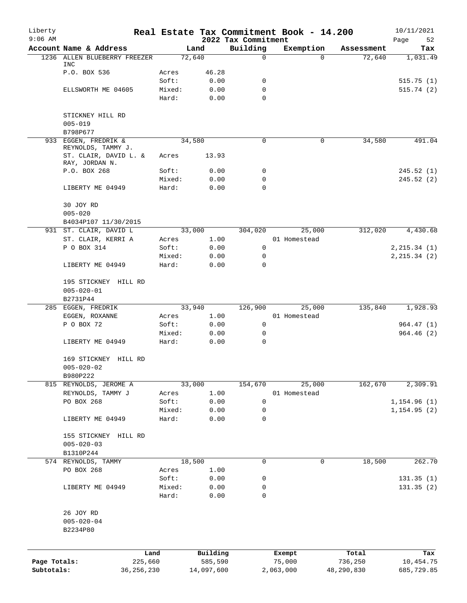| Liberty<br>$9:06$ AM       |                                                |                 |                       | 2022 Tax Commitment | Real Estate Tax Commitment Book - 14.200 |                       | 10/11/2021<br>Page<br>52 |
|----------------------------|------------------------------------------------|-----------------|-----------------------|---------------------|------------------------------------------|-----------------------|--------------------------|
|                            | Account Name & Address                         |                 | Land                  | Building            | Exemption                                | Assessment            | Tax                      |
|                            | 1236 ALLEN BLUEBERRY FREEZER                   |                 | 72,640                | $\mathbf 0$         | $\Omega$                                 | 72,640                | 1,031.49                 |
|                            | <b>INC</b><br>P.O. BOX 536                     | Acres           | 46.28                 |                     |                                          |                       |                          |
|                            |                                                | Soft:           | 0.00                  | 0                   |                                          |                       | 515.75(1)                |
|                            | ELLSWORTH ME 04605                             | Mixed:          | 0.00                  | 0                   |                                          |                       | 515.74(2)                |
|                            |                                                | Hard:           | 0.00                  | $\Omega$            |                                          |                       |                          |
|                            | STICKNEY HILL RD                               |                 |                       |                     |                                          |                       |                          |
|                            | $005 - 019$<br>B798P677                        |                 |                       |                     |                                          |                       |                          |
|                            | 933 EGGEN, FREDRIK &                           |                 | 34,580                | 0                   | 0                                        | 34,580                | 491.04                   |
|                            | REYNOLDS, TAMMY J.                             |                 |                       |                     |                                          |                       |                          |
|                            | ST. CLAIR, DAVID L. &<br>RAY, JORDAN N.        | Acres           | 13.93                 |                     |                                          |                       |                          |
|                            | P.O. BOX 268                                   | Soft:           | 0.00                  | 0                   |                                          |                       | 245.52(1)                |
|                            |                                                | Mixed:          | 0.00                  | 0                   |                                          |                       | 245.52 (2)               |
|                            | LIBERTY ME 04949                               | Hard:           | 0.00                  | $\mathbf 0$         |                                          |                       |                          |
|                            | 30 JOY RD                                      |                 |                       |                     |                                          |                       |                          |
|                            | $005 - 020$                                    |                 |                       |                     |                                          |                       |                          |
|                            | B4034P107 11/30/2015<br>931 ST. CLAIR, DAVID L |                 |                       |                     |                                          |                       |                          |
|                            | ST. CLAIR, KERRI A                             |                 | 33,000<br>1.00        | 304,020             | 25,000<br>01 Homestead                   | 312,020               | 4,430.68                 |
|                            | P O BOX 314                                    | Acres           |                       |                     |                                          |                       |                          |
|                            |                                                | Soft:           | 0.00                  | 0                   |                                          |                       | 2, 215.34 (1)            |
|                            | LIBERTY ME 04949                               | Mixed:<br>Hard: | 0.00<br>0.00          | 0<br>$\mathbf 0$    |                                          |                       | 2, 215.34 (2)            |
|                            |                                                |                 |                       |                     |                                          |                       |                          |
|                            | 195 STICKNEY HILL RD                           |                 |                       |                     |                                          |                       |                          |
|                            | $005 - 020 - 01$                               |                 |                       |                     |                                          |                       |                          |
|                            | B2731P44                                       |                 |                       |                     |                                          |                       |                          |
|                            | 285 EGGEN, FREDRIK                             |                 | 33,940                | 126,900             | 25,000                                   | 135,840               | 1,928.93                 |
|                            | EGGEN, ROXANNE                                 | Acres           | 1.00                  |                     | 01 Homestead                             |                       |                          |
|                            | P O BOX 72                                     | Soft:           | 0.00                  | 0                   |                                          |                       | 964.47(1)                |
|                            | LIBERTY ME 04949                               | Mixed:<br>Hard: | 0.00<br>0.00          | 0<br>$\mathbf 0$    |                                          |                       | 964.46(2)                |
|                            |                                                |                 |                       |                     |                                          |                       |                          |
|                            | 169 STICKNEY HILL RD<br>$005 - 020 - 02$       |                 |                       |                     |                                          |                       |                          |
|                            | B980P222                                       |                 |                       |                     |                                          |                       |                          |
|                            | 815 REYNOLDS, JEROME A                         |                 | 33,000                | 154,670             | 25,000                                   | 162,670               | 2,309.91                 |
|                            | REYNOLDS, TAMMY J                              | Acres           | 1.00                  |                     | 01 Homestead                             |                       |                          |
|                            | PO BOX 268                                     | Soft:           | 0.00                  | 0                   |                                          |                       | 1, 154.96(1)             |
|                            |                                                | Mixed:          | 0.00                  | 0                   |                                          |                       | 1, 154.95(2)             |
|                            | LIBERTY ME 04949                               | Hard:           | 0.00                  | $\mathbf 0$         |                                          |                       |                          |
|                            | 155 STICKNEY HILL RD                           |                 |                       |                     |                                          |                       |                          |
|                            | $005 - 020 - 03$                               |                 |                       |                     |                                          |                       |                          |
|                            | B1310P244                                      |                 |                       |                     |                                          |                       |                          |
|                            | 574 REYNOLDS, TAMMY                            |                 | 18,500                | 0                   | 0                                        | 18,500                | 262.70                   |
|                            | PO BOX 268                                     | Acres           | 1.00                  |                     |                                          |                       |                          |
|                            |                                                | Soft:           | 0.00                  | 0                   |                                          |                       | 131.35(1)                |
|                            | LIBERTY ME 04949                               | Mixed:          | 0.00                  | 0                   |                                          |                       | 131.35(2)                |
|                            |                                                | Hard:           | 0.00                  | 0                   |                                          |                       |                          |
|                            | 26 JOY RD                                      |                 |                       |                     |                                          |                       |                          |
|                            | $005 - 020 - 04$                               |                 |                       |                     |                                          |                       |                          |
|                            | B2234P80                                       |                 |                       |                     |                                          |                       |                          |
|                            |                                                |                 |                       |                     |                                          |                       |                          |
|                            | Land                                           |                 | Building              |                     | Exempt                                   | Total                 | Tax                      |
| Page Totals:<br>Subtotals: | 225,660<br>36, 256, 230                        |                 | 585,590<br>14,097,600 |                     | 75,000<br>2,063,000                      | 736,250<br>48,290,830 | 10,454.75<br>685,729.85  |
|                            |                                                |                 |                       |                     |                                          |                       |                          |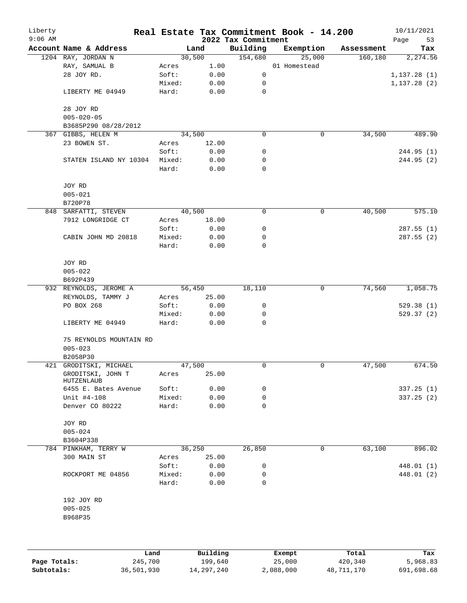| Liberty<br>$9:06$ AM |                                 |        |          | 2022 Tax Commitment | Real Estate Tax Commitment Book - 14.200 |            | 10/11/2021<br>Page<br>53 |
|----------------------|---------------------------------|--------|----------|---------------------|------------------------------------------|------------|--------------------------|
|                      | Account Name & Address          |        | Land     | Building            | Exemption                                | Assessment | Tax                      |
|                      | 1204 RAY, JORDAN N              |        | 30,500   | 154,680             | 25,000                                   | 160, 180   | 2,274.56                 |
|                      | RAY, SAMUAL B                   | Acres  | 1.00     |                     | 01 Homestead                             |            |                          |
|                      | 28 JOY RD.                      | Soft:  | 0.00     | 0                   |                                          |            | 1, 137.28(1)             |
|                      |                                 | Mixed: | 0.00     | 0                   |                                          |            | 1, 137.28(2)             |
|                      | LIBERTY ME 04949                | Hard:  | 0.00     | $\mathbf 0$         |                                          |            |                          |
|                      | 28 JOY RD                       |        |          |                     |                                          |            |                          |
|                      | $005 - 020 - 05$                |        |          |                     |                                          |            |                          |
|                      | B3685P290 08/28/2012            |        |          |                     |                                          |            |                          |
|                      | 367 GIBBS, HELEN M              |        | 34,500   | 0                   | 0                                        | 34,500     | 489.90                   |
|                      | 23 BOWEN ST.                    | Acres  | 12.00    |                     |                                          |            |                          |
|                      |                                 | Soft:  | 0.00     | 0                   |                                          |            | 244.95(1)                |
|                      | STATEN ISLAND NY 10304          | Mixed: | 0.00     | 0                   |                                          |            | 244.95 (2)               |
|                      |                                 | Hard:  | 0.00     | $\mathbf 0$         |                                          |            |                          |
|                      | JOY RD                          |        |          |                     |                                          |            |                          |
|                      | $005 - 021$                     |        |          |                     |                                          |            |                          |
|                      | B720P78                         |        |          |                     |                                          |            |                          |
|                      | 848 SARFATTI, STEVEN            |        | 40,500   | 0                   | 0                                        | 40,500     | 575.10                   |
|                      | 7912 LONGRIDGE CT               | Acres  | 18.00    |                     |                                          |            |                          |
|                      |                                 | Soft:  | 0.00     | $\mathsf 0$         |                                          |            | 287.55 (1)               |
|                      | CABIN JOHN MD 20818             | Mixed: | 0.00     | 0                   |                                          |            | 287.55 (2)               |
|                      |                                 | Hard:  | 0.00     | 0                   |                                          |            |                          |
|                      | JOY RD                          |        |          |                     |                                          |            |                          |
|                      | $005 - 022$                     |        |          |                     |                                          |            |                          |
|                      | B692P439                        |        |          |                     |                                          |            |                          |
|                      | 932 REYNOLDS, JEROME A          |        | 56,450   | 18,110              | 0                                        | 74,560     | 1,058.75                 |
|                      | REYNOLDS, TAMMY J               | Acres  | 25.00    |                     |                                          |            |                          |
|                      | PO BOX 268                      | Soft:  | 0.00     | 0                   |                                          |            | 529.38(1)                |
|                      |                                 | Mixed: | 0.00     | 0                   |                                          |            | 529.37(2)                |
|                      | LIBERTY ME 04949                | Hard:  | 0.00     | 0                   |                                          |            |                          |
|                      | 75 REYNOLDS MOUNTAIN RD         |        |          |                     |                                          |            |                          |
|                      | $005 - 023$                     |        |          |                     |                                          |            |                          |
|                      | B2058P30                        |        |          |                     |                                          |            |                          |
|                      | 421 GRODITSKI, MICHAEL          |        | 47,500   | 0                   | 0                                        | 47,500     | 674.50                   |
|                      | GRODITSKI, JOHN T<br>HUTZENLAUB | Acres  | 25.00    |                     |                                          |            |                          |
|                      | 6455 E. Bates Avenue            | Soft:  | 0.00     | 0                   |                                          |            | 337.25(1)                |
|                      | Unit #4-108                     | Mixed: | 0.00     | 0                   |                                          |            | 337.25(2)                |
|                      | Denver CO 80222                 | Hard:  | 0.00     | $\mathbf 0$         |                                          |            |                          |
|                      | JOY RD                          |        |          |                     |                                          |            |                          |
|                      | $005 - 024$                     |        |          |                     |                                          |            |                          |
|                      | B3604P338                       |        |          |                     |                                          |            |                          |
|                      | 784 PINKHAM, TERRY W            |        | 36,250   | 26,850              | 0                                        | 63,100     | 896.02                   |
|                      | 300 MAIN ST                     | Acres  | 25.00    |                     |                                          |            |                          |
|                      |                                 | Soft:  | 0.00     | 0                   |                                          |            | 448.01 (1)               |
|                      | ROCKPORT ME 04856               | Mixed: | 0.00     | 0                   |                                          |            | 448.01 (2)               |
|                      |                                 | Hard:  | 0.00     | $\mathbf 0$         |                                          |            |                          |
|                      | 192 JOY RD                      |        |          |                     |                                          |            |                          |
|                      | $005 - 025$<br>B968P35          |        |          |                     |                                          |            |                          |
|                      |                                 |        |          |                     |                                          |            |                          |
|                      |                                 |        |          |                     |                                          |            |                          |
|                      |                                 | Land   | Building |                     | Exempt                                   | Total      | Tax                      |

**Page Totals:** 245,700 199,640 25,000 420,340 5,968.83 **Subtotals:** 36,501,930 14,297,240 2,088,000 48,711,170 691,698.68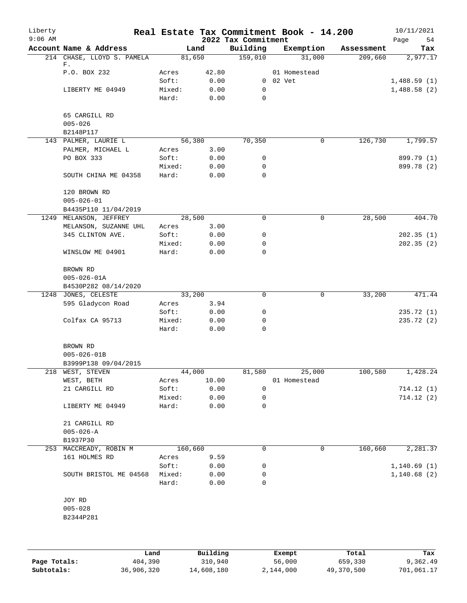| Liberty<br>$9:06$ AM |                               |                 |              | 2022 Tax Commitment | Real Estate Tax Commitment Book - 14.200 |            | 10/11/2021<br>Page<br>54 |
|----------------------|-------------------------------|-----------------|--------------|---------------------|------------------------------------------|------------|--------------------------|
|                      | Account Name & Address        |                 | Land         | Building            | Exemption                                | Assessment | Tax                      |
|                      | 214 CHASE, LLOYD S. PAMELA    |                 | 81,650       | 159,010             | 31,000                                   | 209,660    | 2,977.17                 |
|                      | F.<br>P.O. BOX 232            | Acres           | 42.80        |                     | 01 Homestead                             |            |                          |
|                      |                               | Soft:           | 0.00         |                     | 0 02 Vet                                 |            | 1,488.59(1)              |
|                      | LIBERTY ME 04949              | Mixed:          | 0.00         | 0                   |                                          |            | 1,488.58(2)              |
|                      |                               | Hard:           | 0.00         | 0                   |                                          |            |                          |
|                      | 65 CARGILL RD<br>$005 - 026$  |                 |              |                     |                                          |            |                          |
|                      | B2148P117                     |                 |              |                     |                                          |            |                          |
|                      | 143 PALMER, LAURIE L          |                 | 56,380       | 70,350              | 0                                        | 126,730    | 1,799.57                 |
|                      | PALMER, MICHAEL L             | Acres           | 3.00         |                     |                                          |            |                          |
|                      | PO BOX 333                    | Soft:           | 0.00         | 0                   |                                          |            | 899.79 (1)               |
|                      |                               | Mixed:          | 0.00         | 0                   |                                          |            | 899.78 (2)               |
|                      | SOUTH CHINA ME 04358          | Hard:           | 0.00         | 0                   |                                          |            |                          |
|                      | 120 BROWN RD                  |                 |              |                     |                                          |            |                          |
|                      | $005 - 026 - 01$              |                 |              |                     |                                          |            |                          |
|                      | B4435P110 11/04/2019          |                 |              |                     |                                          |            |                          |
| 1249                 | MELANSON, JEFFREY             |                 | 28,500       | 0                   | 0                                        | 28,500     | 404.70                   |
|                      | MELANSON, SUZANNE UHL         | Acres           | 3.00         |                     |                                          |            |                          |
|                      | 345 CLINTON AVE.              | Soft:           | 0.00         | 0                   |                                          |            | 202.35(1)                |
|                      |                               | Mixed:          | 0.00         | 0                   |                                          |            | 202.35(2)                |
|                      | WINSLOW ME 04901              | Hard:           | 0.00         | 0                   |                                          |            |                          |
|                      | BROWN RD<br>$005 - 026 - 01A$ |                 |              |                     |                                          |            |                          |
|                      | B4530P282 08/14/2020          |                 |              |                     |                                          |            |                          |
|                      | 1248 JONES, CELESTE           |                 | 33,200       | 0                   | 0                                        | 33,200     | 471.44                   |
|                      | 595 Gladycon Road             | Acres           | 3.94         |                     |                                          |            |                          |
|                      |                               | Soft:           | 0.00         | 0                   |                                          |            | 235.72(1)                |
|                      | Colfax CA 95713               | Mixed:          | 0.00         | 0                   |                                          |            | 235.72 (2)               |
|                      |                               | Hard:           | 0.00         | 0                   |                                          |            |                          |
|                      | BROWN RD                      |                 |              |                     |                                          |            |                          |
|                      | $005 - 026 - 01B$             |                 |              |                     |                                          |            |                          |
|                      | B3999P138 09/04/2015          |                 |              |                     |                                          |            |                          |
|                      | 218 WEST, STEVEN              |                 | 44,000       | 81,580              | 25,000                                   | 100,580    | 1,428.24                 |
|                      | WEST, BETH                    | Acres           | 10.00        |                     | 01 Homestead                             |            |                          |
|                      | 21 CARGILL RD                 | Soft:           | 0.00         | 0                   |                                          |            | 714.12(1)                |
|                      |                               |                 |              |                     |                                          |            | 714.12(2)                |
|                      | LIBERTY ME 04949              | Mixed:<br>Hard: | 0.00<br>0.00 | 0<br>0              |                                          |            |                          |
|                      |                               |                 |              |                     |                                          |            |                          |
|                      | 21 CARGILL RD                 |                 |              |                     |                                          |            |                          |
|                      | $005 - 026 - A$               |                 |              |                     |                                          |            |                          |
|                      | B1937P30                      |                 |              |                     |                                          |            |                          |
|                      | 253 MACCREADY, ROBIN M        |                 | 160,660      | 0                   | 0                                        | 160,660    | 2,281.37                 |
|                      | 161 HOLMES RD                 | Acres           | 9.59         |                     |                                          |            |                          |
|                      |                               | Soft:           | 0.00         | 0                   |                                          |            | 1,140.69(1)              |
|                      | SOUTH BRISTOL ME 04568        | Mixed:          | 0.00         | 0                   |                                          |            | 1,140.68(2)              |
|                      |                               | Hard:           | 0.00         | 0                   |                                          |            |                          |
|                      | JOY RD                        |                 |              |                     |                                          |            |                          |
|                      | $005 - 028$                   |                 |              |                     |                                          |            |                          |
|                      | B2344P281                     |                 |              |                     |                                          |            |                          |
|                      |                               |                 |              |                     |                                          |            |                          |
|                      |                               |                 |              |                     |                                          |            |                          |
|                      |                               |                 |              |                     |                                          |            |                          |

|              | Land       | Building   | Exempt    | Total      | Tax        |
|--------------|------------|------------|-----------|------------|------------|
| Page Totals: | 404,390    | 310,940    | 56,000    | 659,330    | 9,362.49   |
| Subtotals:   | 36,906,320 | 14,608,180 | 2,144,000 | 49,370,500 | 701,061.17 |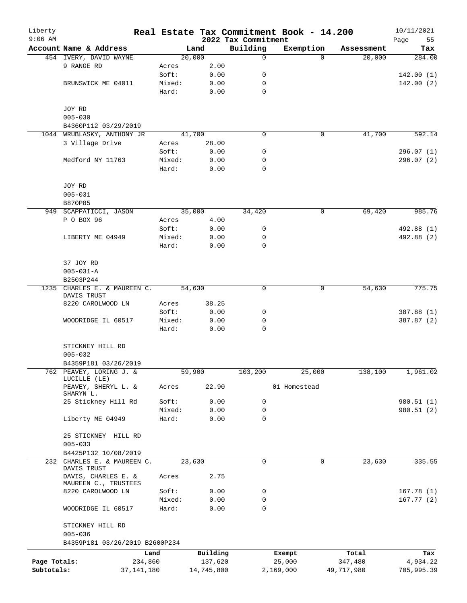| Liberty<br>$9:06$ AM |                                         |                 |              |                                 | Real Estate Tax Commitment Book - 14.200 |            | 10/11/2021        |
|----------------------|-----------------------------------------|-----------------|--------------|---------------------------------|------------------------------------------|------------|-------------------|
|                      | Account Name & Address                  |                 | Land         | 2022 Tax Commitment<br>Building | Exemption                                | Assessment | Page<br>55<br>Tax |
|                      | 454 IVERY, DAVID WAYNE                  |                 | 20,000       | $\mathbf 0$                     | $\Omega$                                 | 20,000     | 284.00            |
|                      | 9 RANGE RD                              | Acres           | 2.00         |                                 |                                          |            |                   |
|                      |                                         | Soft:           | 0.00         | 0                               |                                          |            | 142.00(1)         |
|                      | BRUNSWICK ME 04011                      | Mixed:          | 0.00         | 0                               |                                          |            | 142.00(2)         |
|                      |                                         | Hard:           | 0.00         | $\mathbf 0$                     |                                          |            |                   |
|                      | JOY RD                                  |                 |              |                                 |                                          |            |                   |
|                      | $005 - 030$                             |                 |              |                                 |                                          |            |                   |
|                      | B4360P112 03/29/2019                    |                 |              |                                 |                                          |            |                   |
|                      | 1044 WRUBLASKY, ANTHONY JR              |                 | 41,700       | 0                               | 0                                        | 41,700     | 592.14            |
|                      | 3 Village Drive                         | Acres           | 28.00        |                                 |                                          |            |                   |
|                      |                                         | Soft:           | 0.00         | 0                               |                                          |            | 296.07(1)         |
|                      | Medford NY 11763                        | Mixed:<br>Hard: | 0.00<br>0.00 | 0<br>$\mathbf 0$                |                                          |            | 296.07(2)         |
|                      |                                         |                 |              |                                 |                                          |            |                   |
|                      | JOY RD<br>$005 - 031$                   |                 |              |                                 |                                          |            |                   |
|                      | B870P85                                 |                 |              |                                 |                                          |            |                   |
|                      | 949 SCAPPATICCI, JASON                  |                 | 35,000       | 34,420                          | 0                                        | 69,420     | 985.76            |
|                      | P O BOX 96                              | Acres           | 4.00         |                                 |                                          |            |                   |
|                      |                                         | Soft:           | 0.00         | 0                               |                                          |            | 492.88 (1)        |
|                      | LIBERTY ME 04949                        | Mixed:          | 0.00         | 0                               |                                          |            | 492.88 (2)        |
|                      |                                         | Hard:           | 0.00         | $\mathbf 0$                     |                                          |            |                   |
|                      | 37 JOY RD                               |                 |              |                                 |                                          |            |                   |
|                      | $005 - 031 - A$                         |                 |              |                                 |                                          |            |                   |
|                      | B2503P244                               |                 |              |                                 |                                          |            |                   |
|                      | 1235 CHARLES E. & MAUREEN C.            |                 | 54,630       | $\mathbf 0$                     | $\mathbf 0$                              | 54,630     | 775.75            |
|                      | DAVIS TRUST                             |                 |              |                                 |                                          |            |                   |
|                      | 8220 CAROLWOOD LN                       | Acres           | 38.25        |                                 |                                          |            |                   |
|                      |                                         | Soft:           | 0.00         | 0                               |                                          |            | 387.88 (1)        |
|                      | WOODRIDGE IL 60517                      | Mixed:          | 0.00         | 0                               |                                          |            | 387.87 (2)        |
|                      |                                         | Hard:           | 0.00         | $\mathbf 0$                     |                                          |            |                   |
|                      | STICKNEY HILL RD                        |                 |              |                                 |                                          |            |                   |
|                      | $005 - 032$                             |                 |              |                                 |                                          |            |                   |
|                      | B4359P181 03/26/2019                    |                 |              |                                 |                                          |            |                   |
|                      | 762 PEAVEY, LORING J. &<br>LUCILLE (LE) |                 | 59,900       | 103,200                         | 25,000                                   | 138,100    | 1,961.02          |
|                      | PEAVEY, SHERYL L. &<br>SHARYN L.        | Acres           | 22.90        |                                 | 01 Homestead                             |            |                   |
|                      | 25 Stickney Hill Rd                     | Soft:           | 0.00         | 0                               |                                          |            | 980.51 (1)        |
|                      |                                         | Mixed:          | 0.00         | $\mathbf 0$                     |                                          |            | 980.51 (2)        |
|                      | Liberty ME 04949                        | Hard:           | 0.00         | $\mathbf 0$                     |                                          |            |                   |
|                      | 25 STICKNEY HILL RD<br>$005 - 033$      |                 |              |                                 |                                          |            |                   |
|                      | B4425P132 10/08/2019                    |                 |              |                                 |                                          |            |                   |
|                      | 232 CHARLES E. & MAUREEN C.             |                 | 23,630       | 0                               | 0                                        | 23,630     | 335.55            |
|                      | DAVIS TRUST<br>DAVIS, CHARLES E. &      | Acres           | 2.75         |                                 |                                          |            |                   |
|                      | MAUREEN C., TRUSTEES                    |                 |              |                                 |                                          |            |                   |
|                      | 8220 CAROLWOOD LN                       | Soft:           | 0.00         | 0                               |                                          |            | 167.78(1)         |
|                      | WOODRIDGE IL 60517                      | Mixed:<br>Hard: | 0.00<br>0.00 | 0<br>0                          |                                          |            | 167.77(2)         |
|                      |                                         |                 |              |                                 |                                          |            |                   |
|                      | STICKNEY HILL RD<br>$005 - 036$         |                 |              |                                 |                                          |            |                   |
|                      | B4359P181 03/26/2019 B2600P234          |                 |              |                                 |                                          |            |                   |
|                      |                                         | Land            | Building     |                                 | Exempt                                   | Total      | Tax               |
| Page Totals:         |                                         | 234,860         | 137,620      |                                 | 25,000                                   | 347,480    | 4,934.22          |
| Subtotals:           | 37,141,180                              |                 | 14,745,800   |                                 | 2,169,000                                | 49,717,980 | 705,995.39        |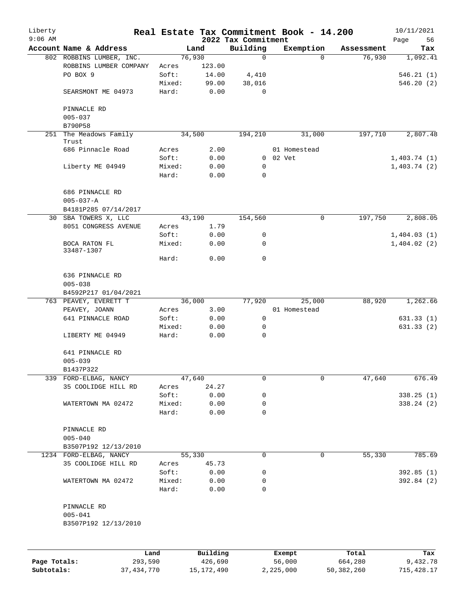| Liberty<br>$9:06$ AM |                                                    |                 |                     | 2022 Tax Commitment | Real Estate Tax Commitment Book - 14.200 |                        | 10/11/2021<br>Page<br>56 |
|----------------------|----------------------------------------------------|-----------------|---------------------|---------------------|------------------------------------------|------------------------|--------------------------|
|                      | Account Name & Address                             |                 | Land                | Building            | Exemption                                | Assessment             | Tax                      |
|                      | 802 ROBBINS LUMBER, INC.                           |                 | 76,930              | $\mathbf 0$         |                                          | 76,930<br>$\Omega$     | 1,092.41                 |
|                      | ROBBINS LUMBER COMPANY                             | Acres           | 123.00              |                     |                                          |                        |                          |
|                      | PO BOX 9                                           | Soft:           | 14.00               | 4,410               |                                          |                        | 546.21(1)                |
|                      |                                                    | Mixed:          | 99.00               | 38,016              |                                          |                        | 546.20(2)                |
|                      | SEARSMONT ME 04973                                 | Hard:           | 0.00                | 0                   |                                          |                        |                          |
|                      | PINNACLE RD                                        |                 |                     |                     |                                          |                        |                          |
|                      | $005 - 037$                                        |                 |                     |                     |                                          |                        |                          |
|                      | B790P58                                            |                 |                     |                     |                                          |                        |                          |
| 251                  | The Meadows Family<br>Trust                        |                 | 34,500              | 194,210             | 31,000                                   | 197,710                | 2,807.48                 |
|                      | 686 Pinnacle Road                                  | Acres           | 2.00                |                     | 01 Homestead                             |                        |                          |
|                      |                                                    | Soft:           | 0.00                | $\overline{0}$      | 02 Vet                                   |                        | 1,403.74(1)              |
|                      | Liberty ME 04949                                   | Mixed:          | 0.00                | 0                   |                                          |                        | 1,403.74(2)              |
|                      |                                                    | Hard:           | 0.00                | 0                   |                                          |                        |                          |
|                      | 686 PINNACLE RD<br>$005 - 037 - A$                 |                 |                     |                     |                                          |                        |                          |
|                      | B4181P285 07/14/2017                               |                 |                     |                     |                                          |                        |                          |
| 30                   | SBA TOWERS X, LLC                                  |                 | 43,190              | 154,560             |                                          | 197,750<br>$\mathbf 0$ | 2,808.05                 |
|                      | 8051 CONGRESS AVENUE                               | Acres           | 1.79                |                     |                                          |                        |                          |
|                      |                                                    | Soft:           | 0.00                | 0                   |                                          |                        | 1,404.03(1)              |
|                      | BOCA RATON FL<br>33487-1307                        | Mixed:          | 0.00                | 0                   |                                          |                        | 1,404.02(2)              |
|                      |                                                    | Hard:           | 0.00                | 0                   |                                          |                        |                          |
|                      | 636 PINNACLE RD<br>$005 - 038$                     |                 |                     |                     |                                          |                        |                          |
|                      | B4592P217 01/04/2021                               |                 |                     |                     |                                          |                        |                          |
|                      | 763 PEAVEY, EVERETT T                              |                 | 36,000              | 77,920              | 25,000                                   | 88,920                 | 1,262.66                 |
|                      | PEAVEY, JOANN                                      | Acres           | 3.00                |                     | 01 Homestead                             |                        |                          |
|                      | 641 PINNACLE ROAD                                  | Soft:           | 0.00                | 0                   |                                          |                        | 631.33(1)                |
|                      |                                                    | Mixed:          | 0.00                | 0                   |                                          |                        | 631.33(2)                |
|                      | LIBERTY ME 04949                                   | Hard:           | 0.00                | 0                   |                                          |                        |                          |
|                      | 641 PINNACLE RD                                    |                 |                     |                     |                                          |                        |                          |
|                      | $005 - 039$                                        |                 |                     |                     |                                          |                        |                          |
|                      | B1437P322                                          |                 |                     |                     |                                          |                        |                          |
| 339                  | FORD-ELBAG, NANCY                                  |                 | 47,640              | 0                   |                                          | 47,640<br>0            | 676.49                   |
|                      | 35 COOLIDGE HILL RD                                | Acres           | 24.27               |                     |                                          |                        |                          |
|                      |                                                    | Soft:           | 0.00                | 0                   |                                          |                        | 338.25 (1)               |
|                      | WATERTOWN MA 02472                                 | Mixed:          | 0.00                | 0                   |                                          |                        | 338.24(2)                |
|                      |                                                    | Hard:           | 0.00                | 0                   |                                          |                        |                          |
|                      | PINNACLE RD<br>$005 - 040$                         |                 |                     |                     |                                          |                        |                          |
|                      | B3507P192 12/13/2010                               |                 |                     |                     |                                          |                        |                          |
|                      | 1234 FORD-ELBAG, NANCY                             |                 | 55,330              | 0                   |                                          | 55,330<br>0            | 785.69                   |
|                      | 35 COOLIDGE HILL RD                                | Acres           | 45.73               |                     |                                          |                        |                          |
|                      |                                                    | Soft:           | 0.00                | 0                   |                                          |                        | 392.85(1)                |
|                      | WATERTOWN MA 02472                                 | Mixed:<br>Hard: | 0.00<br>0.00        | 0<br>0              |                                          |                        | 392.84 (2)               |
|                      | PINNACLE RD<br>$005 - 041$<br>B3507P192 12/13/2010 |                 |                     |                     |                                          |                        |                          |
|                      |                                                    |                 |                     |                     |                                          |                        |                          |
|                      |                                                    |                 |                     |                     |                                          |                        |                          |
| Page Totals:         | Land<br>293,590                                    |                 | Building<br>426,690 |                     | Exempt<br>56,000                         | Total<br>664,280       | Tax<br>9,432.78          |

**Subtotals:** 37,434,770 15,172,490 2,225,000 50,382,260 715,428.17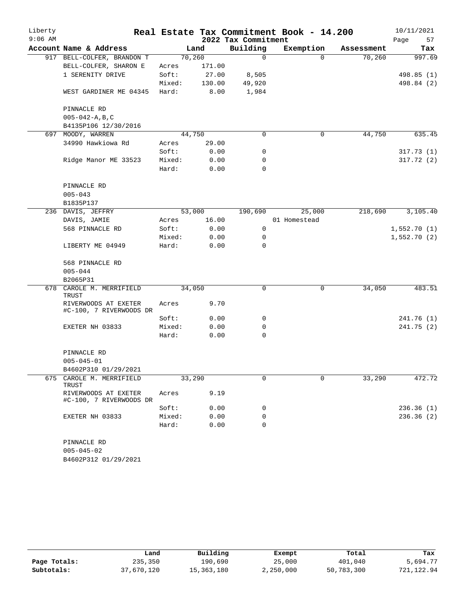| Liberty   |                                                 |        |        |                     | Real Estate Tax Commitment Book - 14.200 |            | 10/11/2021  |
|-----------|-------------------------------------------------|--------|--------|---------------------|------------------------------------------|------------|-------------|
| $9:06$ AM |                                                 |        |        | 2022 Tax Commitment |                                          |            | Page<br>57  |
|           | Account Name & Address                          |        | Land   | Building            | Exemption                                | Assessment | Tax         |
|           | 917 BELL-COLFER, BRANDON T                      | 70,260 |        | $\mathbf 0$         | $\Omega$                                 | 70,260     | 997.69      |
|           | BELL-COLFER, SHARON E                           | Acres  | 171.00 |                     |                                          |            |             |
|           | 1 SERENITY DRIVE                                | Soft:  | 27.00  | 8,505               |                                          |            | 498.85 (1)  |
|           |                                                 | Mixed: | 130.00 | 49,920              |                                          |            | 498.84 (2)  |
|           | WEST GARDINER ME 04345                          | Hard:  | 8.00   | 1,984               |                                          |            |             |
|           | PINNACLE RD                                     |        |        |                     |                                          |            |             |
|           | $005 - 042 - A, B, C$                           |        |        |                     |                                          |            |             |
|           | B4135P106 12/30/2016                            |        |        |                     |                                          |            |             |
|           | 697 MOODY, WARREN                               | 44,750 |        | $\Omega$            | 0                                        | 44,750     | 635.45      |
|           | 34990 Hawkiowa Rd                               | Acres  | 29.00  |                     |                                          |            |             |
|           |                                                 | Soft:  | 0.00   | 0                   |                                          |            | 317.73(1)   |
|           | Ridge Manor ME 33523                            | Mixed: | 0.00   | 0                   |                                          |            | 317.72(2)   |
|           |                                                 | Hard:  | 0.00   | $\mathbf 0$         |                                          |            |             |
|           | PINNACLE RD                                     |        |        |                     |                                          |            |             |
|           | $005 - 043$                                     |        |        |                     |                                          |            |             |
|           | B1835P137                                       |        |        |                     |                                          |            |             |
|           | 236 DAVIS, JEFFRY                               |        | 53,000 | 190,690             | 25,000                                   | 218,690    | 3,105.40    |
|           | DAVIS, JAMIE                                    | Acres  | 16.00  |                     | 01 Homestead                             |            |             |
|           | 568 PINNACLE RD                                 | Soft:  | 0.00   | $\mathbf 0$         |                                          |            | 1,552.70(1) |
|           |                                                 | Mixed: | 0.00   | 0                   |                                          |            | 1,552.70(2) |
|           | LIBERTY ME 04949                                | Hard:  | 0.00   | $\Omega$            |                                          |            |             |
|           | 568 PINNACLE RD                                 |        |        |                     |                                          |            |             |
|           | $005 - 044$                                     |        |        |                     |                                          |            |             |
|           | B2065P31                                        |        |        |                     |                                          |            |             |
| 678       | CAROLE M. MERRIFIELD<br>TRUST                   | 34,050 |        | 0                   | 0                                        | 34,050     | 483.51      |
|           | RIVERWOODS AT EXETER<br>#C-100, 7 RIVERWOODS DR | Acres  | 9.70   |                     |                                          |            |             |
|           |                                                 | Soft:  | 0.00   | 0                   |                                          |            | 241.76 (1)  |
|           | EXETER NH 03833                                 | Mixed: | 0.00   | 0                   |                                          |            | 241.75(2)   |
|           |                                                 | Hard:  | 0.00   | 0                   |                                          |            |             |
|           | PINNACLE RD                                     |        |        |                     |                                          |            |             |
|           | $005 - 045 - 01$                                |        |        |                     |                                          |            |             |
|           | B4602P310 01/29/2021                            |        |        |                     |                                          |            |             |
| 675       | CAROLE M. MERRIFIELD                            | 33,290 |        | 0                   | 0                                        | 33,290     | 472.72      |
|           | TRUST<br>RIVERWOODS AT EXETER                   | Acres  | 9.19   |                     |                                          |            |             |
|           | #C-100, 7 RIVERWOODS DR                         |        |        |                     |                                          |            |             |
|           |                                                 | Soft:  | 0.00   | 0                   |                                          |            | 236.36 (1)  |
|           | EXETER NH 03833                                 | Mixed: | 0.00   | 0                   |                                          |            | 236.36(2)   |
|           |                                                 | Hard:  | 0.00   | 0                   |                                          |            |             |
|           | PINNACLE RD<br>$005 - 045 - 02$                 |        |        |                     |                                          |            |             |

B4602P312 01/29/2021

|              | Land       | Building   | Exempt    | Total      | Tax        |
|--------------|------------|------------|-----------|------------|------------|
| Page Totals: | 235,350    | 190,690    | 25,000    | 401,040    | 5,694.77   |
| Subtotals:   | 37,670,120 | 15,363,180 | 2,250,000 | 50,783,300 | 721,122.94 |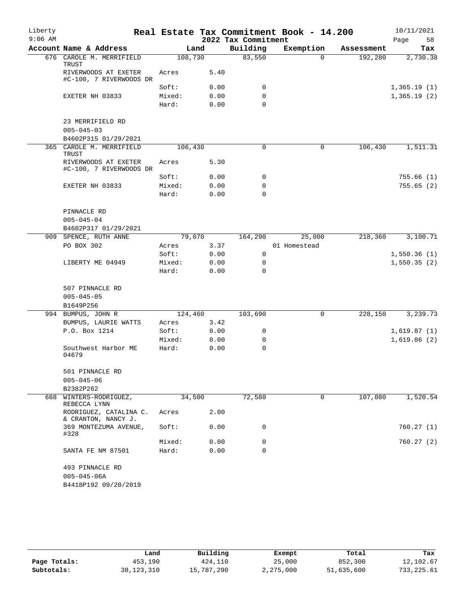| Liberty   |                                                 |                  |              |                     | Real Estate Tax Commitment Book - 14.200 |            | 10/11/2021  |
|-----------|-------------------------------------------------|------------------|--------------|---------------------|------------------------------------------|------------|-------------|
| $9:06$ AM |                                                 |                  |              | 2022 Tax Commitment |                                          |            | Page<br>58  |
|           | Account Name & Address                          | Land             |              | Building            | Exemption                                | Assessment | Tax         |
|           | 676 CAROLE M. MERRIFIELD<br>TRUST               | 108,730          |              | 83,550              | $\Omega$                                 | 192,280    | 2,730.38    |
|           | RIVERWOODS AT EXETER<br>#C-100, 7 RIVERWOODS DR | Acres            | 5.40         |                     |                                          |            |             |
|           |                                                 | Soft:            | 0.00         | 0                   |                                          |            | 1,365.19(1) |
|           | EXETER NH 03833                                 | Mixed:<br>Hard:  | 0.00<br>0.00 | 0<br>$\Omega$       |                                          |            | 1,365.19(2) |
|           | 23 MERRIFIELD RD                                |                  |              |                     |                                          |            |             |
|           | $005 - 045 - 03$                                |                  |              |                     |                                          |            |             |
| 365       | B4602P315 01/29/2021<br>CAROLE M. MERRIFIELD    | 106,430          |              | 0                   | $\mathbf 0$                              | 106,430    | 1,511.31    |
|           | TRUST<br>RIVERWOODS AT EXETER                   | Acres            | 5.30         |                     |                                          |            |             |
|           | #C-100, 7 RIVERWOODS DR                         | Soft:            | 0.00         | 0                   |                                          |            | 755.66(1)   |
|           | EXETER NH 03833                                 | Mixed:           | 0.00         | 0                   |                                          |            | 755.65(2)   |
|           |                                                 | Hard:            | 0.00         | $\Omega$            |                                          |            |             |
|           |                                                 |                  |              |                     |                                          |            |             |
|           | PINNACLE RD<br>$005 - 045 - 04$                 |                  |              |                     |                                          |            |             |
|           | B4602P317 01/29/2021                            |                  |              |                     |                                          |            |             |
|           | 909 SPENCE, RUTH ANNE                           | 79,070           |              | 164,290             | 25,000                                   | 218,360    | 3,100.71    |
|           | PO BOX 302                                      | Acres            | 3.37         |                     | 01 Homestead                             |            |             |
|           |                                                 | Soft:            | 0.00         | $\mathsf{O}$        |                                          |            | 1,550.36(1) |
|           | LIBERTY ME 04949                                | Mixed:           | 0.00         | $\mathbf 0$         |                                          |            | 1,550.35(2) |
|           |                                                 | Hard:            | 0.00         | $\Omega$            |                                          |            |             |
|           | 507 PINNACLE RD                                 |                  |              |                     |                                          |            |             |
|           | $005 - 045 - 05$                                |                  |              |                     |                                          |            |             |
|           | B1649P256<br>994 BUMPUS, JOHN R                 |                  |              |                     | 0                                        |            |             |
|           | BUMPUS, LAURIE WATTS                            | 124,460<br>Acres | 3.42         | 103,690             |                                          | 228,150    | 3,239.73    |
|           | P.O. Box 1214                                   | Soft:            | 0.00         | 0                   |                                          |            | 1,619.87(1) |
|           |                                                 | Mixed:           | 0.00         | 0                   |                                          |            | 1,619.86(2) |
|           | Southwest Harbor ME<br>04679                    | Hard:            | 0.00         | 0                   |                                          |            |             |
|           |                                                 |                  |              |                     |                                          |            |             |
|           | 501 PINNACLE RD<br>$005 - 045 - 06$             |                  |              |                     |                                          |            |             |
|           | B2382P262                                       |                  |              |                     |                                          |            |             |
| 668       | WINTERS-RODRIGUEZ,<br>REBECCA LYNN              | 34,500           |              | 72,580              | 0                                        | 107,080    | 1,520.54    |
|           | RODRIGUEZ, CATALINA C.<br>& CRANTON, NANCY J.   | Acres            | 2.00         |                     |                                          |            |             |
|           | 369 MONTEZUMA AVENUE,<br>#328                   | Soft:            | 0.00         | 0                   |                                          |            | 760.27 (1)  |
|           |                                                 | Mixed:           | 0.00         | 0                   |                                          |            | 760.27(2)   |
|           | SANTA FE NM 87501                               | Hard:            | 0.00         | 0                   |                                          |            |             |
|           | 493 PINNACLE RD<br>$005 - 045 - 06A$            |                  |              |                     |                                          |            |             |
|           | B4418P192 09/20/2019                            |                  |              |                     |                                          |            |             |

|              | Land       | Building   | Exempt    | Total      | Tax         |
|--------------|------------|------------|-----------|------------|-------------|
| Page Totals: | 453,190    | 424,110    | 25,000    | 852,300    | 12,102.67   |
| Subtotals:   | 38,123,310 | 15,787,290 | 2,275,000 | 51,635,600 | 733, 225.61 |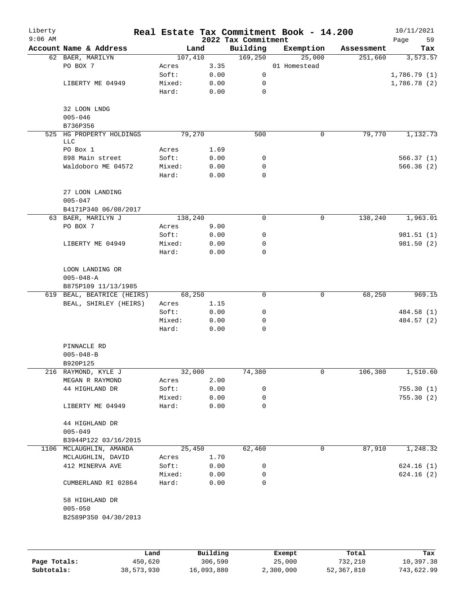| Liberty<br>$9:06$ AM |                                    |                 |              | 2022 Tax Commitment | Real Estate Tax Commitment Book - 14.200 |            | 10/11/2021<br>Page<br>59 |
|----------------------|------------------------------------|-----------------|--------------|---------------------|------------------------------------------|------------|--------------------------|
|                      | Account Name & Address             |                 | Land         | Building            | Exemption                                | Assessment | Tax                      |
|                      | 62 BAER, MARILYN                   | 107,410         |              | 169,250             | 25,000                                   | 251,660    | 3,573.57                 |
|                      | PO BOX 7                           | Acres           | 3.35         |                     | 01 Homestead                             |            |                          |
|                      |                                    | Soft:           | 0.00         | 0                   |                                          |            | 1,786.79(1)              |
|                      | LIBERTY ME 04949                   | Mixed:          | 0.00         | 0                   |                                          |            | 1,786.78(2)              |
|                      |                                    | Hard:           | 0.00         | 0                   |                                          |            |                          |
|                      | 32 LOON LNDG                       |                 |              |                     |                                          |            |                          |
|                      | $005 - 046$<br>B736P356            |                 |              |                     |                                          |            |                          |
|                      | 525 HG PROPERTY HOLDINGS           |                 | 79,270       | 500                 | 0                                        | 79,770     | 1,132.73                 |
|                      | <b>LLC</b>                         |                 |              |                     |                                          |            |                          |
|                      | PO Box 1                           | Acres           | 1.69         |                     |                                          |            |                          |
|                      | 898 Main street                    | Soft:           | 0.00         | 0                   |                                          |            | 566.37(1)                |
|                      | Waldoboro ME 04572                 | Mixed:          | 0.00         | 0                   |                                          |            | 566.36(2)                |
|                      |                                    | Hard:           | 0.00         | 0                   |                                          |            |                          |
|                      | 27 LOON LANDING<br>$005 - 047$     |                 |              |                     |                                          |            |                          |
|                      | B4171P340 06/08/2017               |                 |              |                     |                                          |            |                          |
|                      | 63 BAER, MARILYN J                 | 138,240         |              | 0                   | $\mathbf 0$                              | 138,240    | 1,963.01                 |
|                      | PO BOX 7                           | Acres           | 9.00         |                     |                                          |            |                          |
|                      |                                    | Soft:           | 0.00         | 0                   |                                          |            | 981.51 (1)               |
|                      | LIBERTY ME 04949                   | Mixed:          | 0.00         | 0                   |                                          |            | 981.50 (2)               |
|                      |                                    | Hard:           | 0.00         | 0                   |                                          |            |                          |
|                      | LOON LANDING OR<br>$005 - 048 - A$ |                 |              |                     |                                          |            |                          |
|                      | B875P109 11/13/1985                |                 |              |                     |                                          |            |                          |
|                      | 619 BEAL, BEATRICE (HEIRS)         |                 | 68,250       | 0                   | 0                                        | 68,250     | 969.15                   |
|                      | BEAL, SHIRLEY (HEIRS)              | Acres           | 1.15         |                     |                                          |            |                          |
|                      |                                    | Soft:           | 0.00         | 0                   |                                          |            | 484.58 (1)               |
|                      |                                    | Mixed:<br>Hard: | 0.00<br>0.00 | 0<br>0              |                                          |            | 484.57 (2)               |
|                      |                                    |                 |              |                     |                                          |            |                          |
|                      | PINNACLE RD                        |                 |              |                     |                                          |            |                          |
|                      | $005 - 048 - B$                    |                 |              |                     |                                          |            |                          |
|                      | B920P125                           |                 |              |                     |                                          |            |                          |
|                      | 216 RAYMOND, KYLE J                |                 | 32,000       | 74,380              | 0                                        | 106,380    | 1,510.60                 |
|                      | MEGAN R RAYMOND                    | Acres           | 2.00         |                     |                                          |            |                          |
|                      | 44 HIGHLAND DR                     | Soft:           | 0.00         | 0                   |                                          |            | 755.30(1)                |
|                      |                                    | Mixed:          | 0.00         | 0                   |                                          |            | 755.30(2)                |
|                      | LIBERTY ME 04949                   | Hard:           | 0.00         | 0                   |                                          |            |                          |
|                      | 44 HIGHLAND DR<br>$005 - 049$      |                 |              |                     |                                          |            |                          |
|                      | B3944P122 03/16/2015               |                 |              |                     |                                          |            |                          |
|                      | 1106 MCLAUGHLIN, AMANDA            |                 | 25,450       | 62,460              | 0                                        | 87,910     | 1,248.32                 |
|                      | MCLAUGHLIN, DAVID                  | Acres           | 1.70         |                     |                                          |            |                          |
|                      | 412 MINERVA AVE                    | Soft:           | 0.00         | 0                   |                                          |            | 624.16(1)                |
|                      |                                    | Mixed:          | 0.00         | 0                   |                                          |            | 624.16(2)                |
|                      | CUMBERLAND RI 02864                | Hard:           | 0.00         | 0                   |                                          |            |                          |
|                      | 58 HIGHLAND DR                     |                 |              |                     |                                          |            |                          |
|                      | $005 - 050$                        |                 |              |                     |                                          |            |                          |
|                      | B2589P350 04/30/2013               |                 |              |                     |                                          |            |                          |
|                      |                                    |                 |              |                     |                                          |            |                          |
|                      |                                    |                 |              |                     |                                          |            |                          |
|                      |                                    |                 |              |                     |                                          |            |                          |

|              | Land       | Building   | Exempt    | Total      | Tax        |
|--------------|------------|------------|-----------|------------|------------|
| Page Totals: | 450,620    | 306,590    | 25,000    | 732,210    | 10,397.38  |
| Subtotals:   | 38,573,930 | 16,093,880 | 2,300,000 | 52,367,810 | 743,622.99 |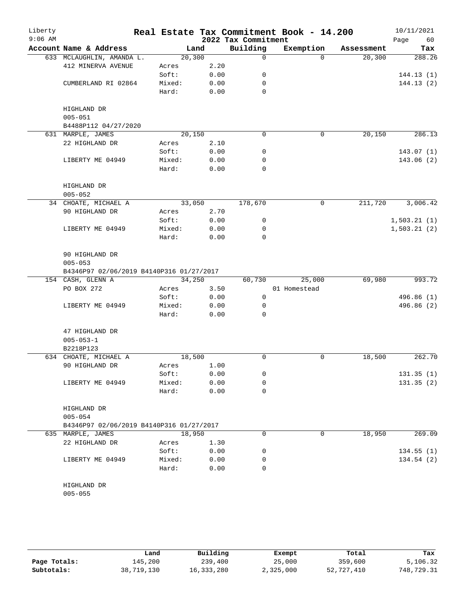| Liberty<br>$9:06$ AM |                                          |         |      | 2022 Tax Commitment | Real Estate Tax Commitment Book - 14.200 |            | 10/11/2021        |
|----------------------|------------------------------------------|---------|------|---------------------|------------------------------------------|------------|-------------------|
|                      | Account Name & Address                   | Land    |      | Building            | Exemption                                | Assessment | Page<br>60<br>Tax |
|                      | 633 MCLAUGHLIN, AMANDA L.                | 20, 300 |      | 0                   | $\Omega$                                 | 20,300     | 288.26            |
|                      | 412 MINERVA AVENUE                       | Acres   | 2.20 |                     |                                          |            |                   |
|                      |                                          | Soft:   | 0.00 | 0                   |                                          |            | 144.13(1)         |
|                      | CUMBERLAND RI 02864                      | Mixed:  | 0.00 | 0                   |                                          |            | 144.13(2)         |
|                      |                                          | Hard:   | 0.00 | $\Omega$            |                                          |            |                   |
|                      |                                          |         |      |                     |                                          |            |                   |
|                      | HIGHLAND DR                              |         |      |                     |                                          |            |                   |
|                      | $005 - 051$                              |         |      |                     |                                          |            |                   |
|                      | B4488P112 04/27/2020                     |         |      |                     |                                          |            |                   |
|                      | 631 MARPLE, JAMES                        | 20,150  |      | 0                   | 0                                        | 20,150     | 286.13            |
|                      | 22 HIGHLAND DR                           | Acres   | 2.10 |                     |                                          |            |                   |
|                      |                                          | Soft:   | 0.00 | 0                   |                                          |            | 143.07(1)         |
|                      | LIBERTY ME 04949                         | Mixed:  | 0.00 | 0                   |                                          |            | 143.06 (2)        |
|                      |                                          | Hard:   | 0.00 | $\Omega$            |                                          |            |                   |
|                      |                                          |         |      |                     |                                          |            |                   |
|                      | HIGHLAND DR                              |         |      |                     |                                          |            |                   |
|                      | $005 - 052$                              |         |      |                     |                                          |            |                   |
|                      | 34 CHOATE, MICHAEL A                     | 33,050  |      | 178,670             | $\mathbf 0$                              | 211,720    | 3,006.42          |
|                      | 90 HIGHLAND DR                           | Acres   | 2.70 |                     |                                          |            |                   |
|                      |                                          | Soft:   | 0.00 | 0                   |                                          |            | 1,503.21(1)       |
|                      | LIBERTY ME 04949                         | Mixed:  | 0.00 | $\mathbf 0$         |                                          |            | 1,503.21(2)       |
|                      |                                          | Hard:   | 0.00 | $\mathbf 0$         |                                          |            |                   |
|                      |                                          |         |      |                     |                                          |            |                   |
|                      | 90 HIGHLAND DR                           |         |      |                     |                                          |            |                   |
|                      | $005 - 053$                              |         |      |                     |                                          |            |                   |
|                      | B4346P97 02/06/2019 B4140P316 01/27/2017 |         |      |                     |                                          |            |                   |
|                      | 154 CASH, GLENN A                        | 34,250  |      | 60,730              | 25,000                                   | 69,980     | 993.72            |
|                      | PO BOX 272                               | Acres   | 3.50 |                     | 01 Homestead                             |            |                   |
|                      |                                          | Soft:   | 0.00 | 0                   |                                          |            | 496.86 (1)        |
|                      | LIBERTY ME 04949                         | Mixed:  | 0.00 | 0                   |                                          |            | 496.86 (2)        |
|                      |                                          | Hard:   | 0.00 | $\Omega$            |                                          |            |                   |
|                      |                                          |         |      |                     |                                          |            |                   |
|                      | 47 HIGHLAND DR                           |         |      |                     |                                          |            |                   |
|                      | $005 - 053 - 1$                          |         |      |                     |                                          |            |                   |
|                      | B2218P123                                |         |      |                     |                                          |            |                   |
|                      | 634 CHOATE, MICHAEL A                    | 18,500  |      | 0                   | 0                                        | 18,500     | 262.70            |
|                      | 90 HIGHLAND DR                           | Acres   | 1.00 |                     |                                          |            |                   |
|                      |                                          | Soft:   | 0.00 | 0                   |                                          |            | 131.35(1)         |
|                      | LIBERTY ME 04949                         | Mixed:  | 0.00 | 0                   |                                          |            | 131.35(2)         |
|                      |                                          | Hard:   | 0.00 | $\mathbf 0$         |                                          |            |                   |
|                      |                                          |         |      |                     |                                          |            |                   |
|                      | HIGHLAND DR                              |         |      |                     |                                          |            |                   |
|                      | $005 - 054$                              |         |      |                     |                                          |            |                   |
|                      | B4346P97 02/06/2019 B4140P316 01/27/2017 |         |      |                     |                                          |            |                   |
|                      | 635 MARPLE, JAMES                        | 18,950  |      | 0                   | 0                                        | 18,950     | 269.09            |
|                      | 22 HIGHLAND DR                           | Acres   | 1.30 |                     |                                          |            |                   |
|                      |                                          | Soft:   | 0.00 | 0                   |                                          |            | 134.55(1)         |
|                      | LIBERTY ME 04949                         | Mixed:  | 0.00 | 0                   |                                          |            | 134.54(2)         |
|                      |                                          | Hard:   | 0.00 | 0                   |                                          |            |                   |
|                      |                                          |         |      |                     |                                          |            |                   |
|                      | HIGHLAND DR                              |         |      |                     |                                          |            |                   |
|                      | $005 - 055$                              |         |      |                     |                                          |            |                   |
|                      |                                          |         |      |                     |                                          |            |                   |

|              | Land       | Building   | Exempt    | Total      | Tax        |
|--------------|------------|------------|-----------|------------|------------|
| Page Totals: | 145,200    | 239,400    | 25,000    | 359,600    | 5,106.32   |
| Subtotals:   | 38,719,130 | 16,333,280 | 2,325,000 | 52,727,410 | 748,729.31 |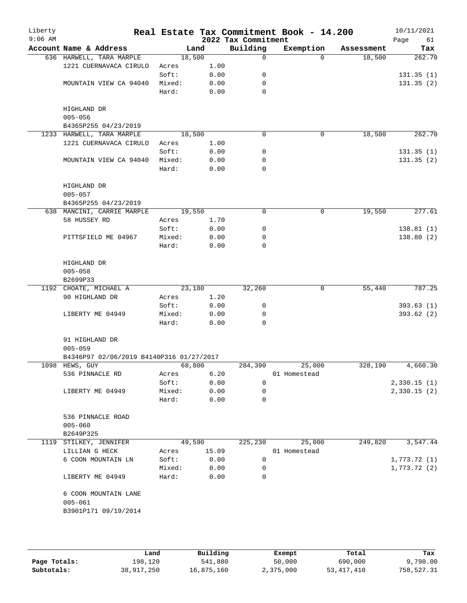| Liberty<br>$9:06$ AM |                                          |        |       | 2022 Tax Commitment | Real Estate Tax Commitment Book - 14.200 |            | 10/11/2021<br>61<br>Page |
|----------------------|------------------------------------------|--------|-------|---------------------|------------------------------------------|------------|--------------------------|
|                      | Account Name & Address                   |        | Land  | Building            | Exemption                                | Assessment | Tax                      |
|                      | 636 HARWELL, TARA MARPLE                 | 18,500 |       | 0                   | $\Omega$                                 | 18,500     | 262.70                   |
|                      | 1221 CUERNAVACA CIRULO                   | Acres  | 1.00  |                     |                                          |            |                          |
|                      |                                          | Soft:  | 0.00  | 0                   |                                          |            | 131.35(1)                |
|                      | MOUNTAIN VIEW CA 94040                   | Mixed: | 0.00  | 0                   |                                          |            | 131.35(2)                |
|                      |                                          | Hard:  | 0.00  | 0                   |                                          |            |                          |
|                      |                                          |        |       |                     |                                          |            |                          |
|                      | HIGHLAND DR                              |        |       |                     |                                          |            |                          |
|                      | $005 - 056$                              |        |       |                     |                                          |            |                          |
|                      | B4365P255 04/23/2019                     |        |       |                     |                                          |            |                          |
|                      | 1233 HARWELL, TARA MARPLE                | 18,500 |       | 0                   | 0                                        | 18,500     | 262.70                   |
|                      | 1221 CUERNAVACA CIRULO                   | Acres  | 1.00  |                     |                                          |            |                          |
|                      |                                          | Soft:  | 0.00  | 0                   |                                          |            | 131.35(1)                |
|                      | MOUNTAIN VIEW CA 94040                   | Mixed: | 0.00  | 0                   |                                          |            | 131.35(2)                |
|                      |                                          | Hard:  | 0.00  | 0                   |                                          |            |                          |
|                      |                                          |        |       |                     |                                          |            |                          |
|                      | HIGHLAND DR                              |        |       |                     |                                          |            |                          |
|                      | $005 - 057$                              |        |       |                     |                                          |            |                          |
|                      | B4365P255 04/23/2019                     |        |       |                     |                                          |            |                          |
|                      | 638 MANCINI, CARRIE MARPLE               | 19,550 |       | 0                   | 0                                        | 19,550     | 277.61                   |
|                      | 58 HUSSEY RD                             | Acres  | 1.70  |                     |                                          |            |                          |
|                      |                                          | Soft:  | 0.00  | 0                   |                                          |            | 138.81(1)                |
|                      | PITTSFIELD ME 04967                      | Mixed: | 0.00  | 0                   |                                          |            | 138.80(2)                |
|                      |                                          | Hard:  | 0.00  | $\Omega$            |                                          |            |                          |
|                      |                                          |        |       |                     |                                          |            |                          |
|                      | HIGHLAND DR                              |        |       |                     |                                          |            |                          |
|                      | $005 - 058$                              |        |       |                     |                                          |            |                          |
|                      | B2699P33                                 |        |       |                     |                                          |            |                          |
|                      | 1192 CHOATE, MICHAEL A                   | 23,180 |       | 32,260              | 0                                        | 55,440     | 787.25                   |
|                      | 90 HIGHLAND DR                           | Acres  | 1.20  |                     |                                          |            |                          |
|                      |                                          | Soft:  | 0.00  | 0                   |                                          |            | 393.63(1)                |
|                      | LIBERTY ME 04949                         | Mixed: | 0.00  | 0                   |                                          |            | 393.62(2)                |
|                      |                                          | Hard:  | 0.00  | $\Omega$            |                                          |            |                          |
|                      |                                          |        |       |                     |                                          |            |                          |
|                      | 91 HIGHLAND DR                           |        |       |                     |                                          |            |                          |
|                      | $005 - 059$                              |        |       |                     |                                          |            |                          |
|                      | B4346P97 02/06/2019 B4140P316 01/27/2017 |        |       |                     |                                          |            |                          |
|                      | 1098 HEWS, GUY                           | 68,800 |       | 284,390             | 25,000                                   | 328,190    | 4,660.30                 |
|                      | 536 PINNACLE RD                          | Acres  | 6.20  |                     | 01 Homestead                             |            |                          |
|                      |                                          | Soft:  | 0.00  | $\mathbf 0$         |                                          |            | 2,330.15(1)              |
|                      | LIBERTY ME 04949                         | Mixed: | 0.00  | 0                   |                                          |            | 2,330.15(2)              |
|                      |                                          | Hard:  | 0.00  | 0                   |                                          |            |                          |
|                      |                                          |        |       |                     |                                          |            |                          |
|                      | 536 PINNACLE ROAD                        |        |       |                     |                                          |            |                          |
|                      | $005 - 060$                              |        |       |                     |                                          |            |                          |
|                      | B2649P325                                |        |       |                     |                                          |            |                          |
|                      | 1119 STILKEY, JENNIFER                   | 49,590 |       | 225,230             | 25,000                                   | 249,820    | 3,547.44                 |
|                      | LILLIAN G HECK                           | Acres  | 15.09 |                     | 01 Homestead                             |            |                          |
|                      | 6 COON MOUNTAIN LN                       | Soft:  | 0.00  | 0                   |                                          |            | 1,773.72(1)              |
|                      |                                          | Mixed: | 0.00  | 0                   |                                          |            | 1,773.72(2)              |
|                      | LIBERTY ME 04949                         | Hard:  | 0.00  | $\Omega$            |                                          |            |                          |
|                      | 6 COON MOUNTAIN LANE                     |        |       |                     |                                          |            |                          |
|                      | $005 - 061$                              |        |       |                     |                                          |            |                          |
|                      |                                          |        |       |                     |                                          |            |                          |
|                      | B3901P171 09/19/2014                     |        |       |                     |                                          |            |                          |
|                      |                                          |        |       |                     |                                          |            |                          |
|                      |                                          |        |       |                     |                                          |            |                          |
|                      |                                          |        |       |                     |                                          |            |                          |

|              | Land       | Building   | Exempt    | Total      | Tax        |
|--------------|------------|------------|-----------|------------|------------|
| Page Totals: | 198.120    | 541,880    | 50,000    | 690,000    | 9,798.00   |
| Subtotals:   | 38,917,250 | 16,875,160 | 2,375,000 | 53,417,410 | 758,527.31 |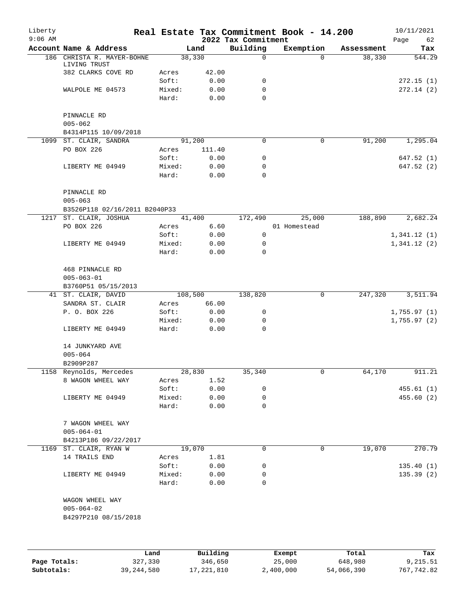| Liberty<br>$9:06$ AM |                                          |      |                 |              |                                 | Real Estate Tax Commitment Book - 14.200 |            | 10/11/2021        |
|----------------------|------------------------------------------|------|-----------------|--------------|---------------------------------|------------------------------------------|------------|-------------------|
|                      | Account Name & Address                   |      |                 | Land         | 2022 Tax Commitment<br>Building | Exemption                                | Assessment | Page<br>62<br>Tax |
|                      | 186 CHRISTA R. MAYER-BOHNE               |      | 38,330          |              | 0                               | $\Omega$                                 | 38,330     | 544.29            |
|                      | LIVING TRUST                             |      |                 |              |                                 |                                          |            |                   |
|                      | 382 CLARKS COVE RD                       |      | Acres           | 42.00        |                                 |                                          |            |                   |
|                      |                                          |      | Soft:           | 0.00<br>0.00 | 0<br>0                          |                                          |            | 272.15(1)         |
|                      | WALPOLE ME 04573                         |      | Mixed:<br>Hard: | 0.00         | $\Omega$                        |                                          |            | 272.14(2)         |
|                      |                                          |      |                 |              |                                 |                                          |            |                   |
|                      | PINNACLE RD                              |      |                 |              |                                 |                                          |            |                   |
|                      | $005 - 062$                              |      |                 |              |                                 |                                          |            |                   |
|                      | B4314P115 10/09/2018                     |      |                 |              |                                 |                                          |            |                   |
|                      | 1099 ST. CLAIR, SANDRA                   |      | 91,200          |              | $\Omega$                        | 0                                        | 91,200     | 1,295.04          |
|                      | PO BOX 226                               |      | Acres           | 111.40       |                                 |                                          |            |                   |
|                      |                                          |      | Soft:           | 0.00         | 0                               |                                          |            | 647.52 (1)        |
|                      | LIBERTY ME 04949                         |      | Mixed:<br>Hard: | 0.00<br>0.00 | 0<br>0                          |                                          |            | 647.52 (2)        |
|                      |                                          |      |                 |              |                                 |                                          |            |                   |
|                      | PINNACLE RD                              |      |                 |              |                                 |                                          |            |                   |
|                      | $005 - 063$                              |      |                 |              |                                 |                                          |            |                   |
|                      | B3526P118 02/16/2011 B2040P33            |      |                 |              |                                 |                                          |            |                   |
|                      | 1217 ST. CLAIR, JOSHUA                   |      | 41,400          |              | 172,490                         | 25,000                                   | 188,890    | 2,682.24          |
|                      | PO BOX 226                               |      | Acres           | 6.60         |                                 | 01 Homestead                             |            |                   |
|                      |                                          |      | Soft:           | 0.00         | 0                               |                                          |            | 1,341.12(1)       |
|                      | LIBERTY ME 04949                         |      | Mixed:          | 0.00         | 0                               |                                          |            | 1,341.12(2)       |
|                      |                                          |      | Hard:           | 0.00         | $\Omega$                        |                                          |            |                   |
|                      | 468 PINNACLE RD                          |      |                 |              |                                 |                                          |            |                   |
|                      | $005 - 063 - 01$                         |      |                 |              |                                 |                                          |            |                   |
|                      | B3760P51 05/15/2013                      |      |                 |              |                                 |                                          |            |                   |
|                      | 41 ST. CLAIR, DAVID                      |      | 108,500         |              | 138,820                         | 0                                        | 247,320    | 3,511.94          |
|                      | SANDRA ST. CLAIR                         |      | Acres           | 66.00        |                                 |                                          |            |                   |
|                      | P. O. BOX 226                            |      | Soft:           | 0.00         | 0                               |                                          |            | 1,755.97(1)       |
|                      |                                          |      | Mixed:          | 0.00         | 0                               |                                          |            | 1,755.97(2)       |
|                      | LIBERTY ME 04949                         |      | Hard:           | 0.00         | $\mathbf 0$                     |                                          |            |                   |
|                      | 14 JUNKYARD AVE                          |      |                 |              |                                 |                                          |            |                   |
|                      | $005 - 064$                              |      |                 |              |                                 |                                          |            |                   |
|                      | B2909P287                                |      |                 |              |                                 |                                          |            |                   |
|                      | 1158 Reynolds, Mercedes                  |      | 28,830          |              | 35,340                          | 0                                        | 64,170     | 911.21            |
|                      | 8 WAGON WHEEL WAY                        |      | Acres           | 1.52         |                                 |                                          |            |                   |
|                      |                                          |      | Soft:           | 0.00         | 0                               |                                          |            | 455.61(1)         |
|                      | LIBERTY ME 04949                         |      | Mixed:          | 0.00         | 0                               |                                          |            | 455.60(2)         |
|                      |                                          |      | Hard:           | 0.00         | 0                               |                                          |            |                   |
|                      |                                          |      |                 |              |                                 |                                          |            |                   |
|                      | 7 WAGON WHEEL WAY<br>$005 - 064 - 01$    |      |                 |              |                                 |                                          |            |                   |
|                      | B4213P186 09/22/2017                     |      |                 |              |                                 |                                          |            |                   |
|                      | 1169 ST. CLAIR, RYAN W                   |      | 19,070          |              | $\Omega$                        | 0                                        | 19,070     | 270.79            |
|                      | 14 TRAILS END                            |      | Acres           | 1.81         |                                 |                                          |            |                   |
|                      |                                          |      | Soft:           | 0.00         | 0                               |                                          |            | 135.40(1)         |
|                      | LIBERTY ME 04949                         |      | Mixed:          | 0.00         | 0                               |                                          |            | 135.39(2)         |
|                      |                                          |      | Hard:           | 0.00         | 0                               |                                          |            |                   |
|                      |                                          |      |                 |              |                                 |                                          |            |                   |
|                      | WAGON WHEEL WAY                          |      |                 |              |                                 |                                          |            |                   |
|                      | $005 - 064 - 02$<br>B4297P210 08/15/2018 |      |                 |              |                                 |                                          |            |                   |
|                      |                                          |      |                 |              |                                 |                                          |            |                   |
|                      |                                          |      |                 |              |                                 |                                          |            |                   |
|                      |                                          |      |                 |              |                                 |                                          |            |                   |
|                      |                                          | Land |                 | Building     |                                 | Exempt                                   | Total      | Tax               |

|              | Land         | Building   | Exempt    | Total      | Tax        |
|--------------|--------------|------------|-----------|------------|------------|
| Page Totals: | 327,330      | 346,650    | 25,000    | 648,980    | 9,215.51   |
| Subtotals:   | 39, 244, 580 | 17,221,810 | 2,400,000 | 54,066,390 | 767,742.82 |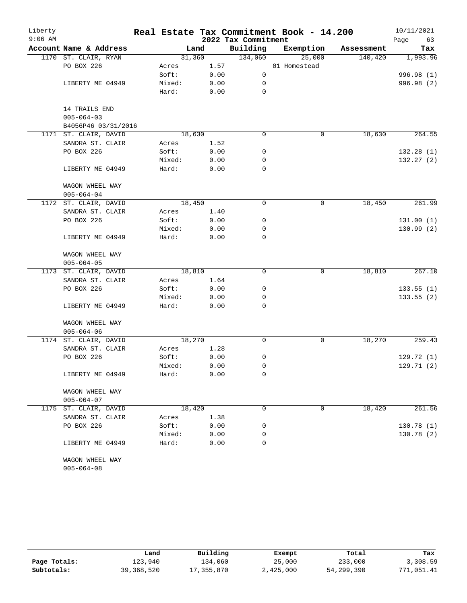| Liberty   |                        |        |        |                     | Real Estate Tax Commitment Book - 14.200 |            | 10/11/2021 |
|-----------|------------------------|--------|--------|---------------------|------------------------------------------|------------|------------|
| $9:06$ AM |                        |        |        | 2022 Tax Commitment |                                          |            | 63<br>Page |
|           | Account Name & Address |        | Land   | Building            | Exemption                                | Assessment | Tax        |
|           | 1170 ST. CLAIR, RYAN   |        | 31,360 | 134,060             | 25,000                                   | 140,420    | 1,993.96   |
|           | PO BOX 226             | Acres  | 1.57   |                     | 01 Homestead                             |            |            |
|           |                        | Soft:  | 0.00   | 0                   |                                          |            | 996.98 (1) |
|           | LIBERTY ME 04949       | Mixed: | 0.00   | 0                   |                                          |            | 996.98 (2) |
|           |                        | Hard:  | 0.00   | $\mathbf 0$         |                                          |            |            |
|           | 14 TRAILS END          |        |        |                     |                                          |            |            |
|           | $005 - 064 - 03$       |        |        |                     |                                          |            |            |
|           | B4056P46 03/31/2016    |        |        |                     |                                          |            |            |
|           | 1171 ST. CLAIR, DAVID  |        | 18,630 | $\mathbf 0$         | 0                                        | 18,630     | 264.55     |
|           | SANDRA ST. CLAIR       | Acres  | 1.52   |                     |                                          |            |            |
|           | PO BOX 226             | Soft:  | 0.00   | 0                   |                                          |            | 132.28(1)  |
|           | Mixed:                 | 0.00   | 0      |                     |                                          | 132.27(2)  |            |
|           | LIBERTY ME 04949       | Hard:  | 0.00   | $\mathbf 0$         |                                          |            |            |
|           | WAGON WHEEL WAY        |        |        |                     |                                          |            |            |
|           | $005 - 064 - 04$       |        |        |                     |                                          |            |            |
|           | 1172 ST. CLAIR, DAVID  |        | 18,450 | $\mathbf 0$         | 0                                        | 18,450     | 261.99     |
|           | SANDRA ST. CLAIR       | Acres  | 1.40   |                     |                                          |            |            |
|           | PO BOX 226             | Soft:  | 0.00   | 0                   |                                          |            | 131.00(1)  |
|           |                        | Mixed: | 0.00   | 0                   |                                          |            | 130.99(2)  |
|           | LIBERTY ME 04949       | Hard:  | 0.00   | $\mathbf 0$         |                                          |            |            |
|           | WAGON WHEEL WAY        |        |        |                     |                                          |            |            |
|           | $005 - 064 - 05$       |        |        |                     |                                          |            |            |
|           | 1173 ST. CLAIR, DAVID  |        | 18,810 | $\mathbf 0$         | 0                                        | 18,810     | 267.10     |
|           | SANDRA ST. CLAIR       | Acres  | 1.64   |                     |                                          |            |            |
|           | PO BOX 226             | Soft:  | 0.00   | 0                   |                                          |            | 133.55(1)  |
|           |                        | Mixed: | 0.00   | 0                   |                                          |            | 133.55(2)  |
|           | LIBERTY ME 04949       | Hard:  | 0.00   | $\mathbf 0$         |                                          |            |            |
|           | WAGON WHEEL WAY        |        |        |                     |                                          |            |            |
|           | $005 - 064 - 06$       |        |        |                     |                                          |            |            |
|           | 1174 ST. CLAIR, DAVID  |        | 18,270 | 0                   | 0                                        | 18,270     | 259.43     |
|           | SANDRA ST. CLAIR       | Acres  | 1.28   |                     |                                          |            |            |
|           | PO BOX 226             | Soft:  | 0.00   | 0                   |                                          |            | 129.72(1)  |
|           |                        | Mixed: | 0.00   | 0                   |                                          |            | 129.71(2)  |
|           | LIBERTY ME 04949       | Hard:  | 0.00   | 0                   |                                          |            |            |
|           | WAGON WHEEL WAY        |        |        |                     |                                          |            |            |
|           | $005 - 064 - 07$       |        |        |                     |                                          |            |            |
| 1175      | ST. CLAIR, DAVID       |        | 18,420 | 0                   | 0                                        | 18,420     | 261.56     |
|           | SANDRA ST. CLAIR       | Acres  | 1.38   |                     |                                          |            |            |
|           | PO BOX 226             | Soft:  | 0.00   | 0                   |                                          |            | 130.78(1)  |
|           |                        | Mixed: | 0.00   | 0                   |                                          |            | 130.78(2)  |
|           | LIBERTY ME 04949       | Hard:  | 0.00   | 0                   |                                          |            |            |
|           | WAGON WHEEL WAY        |        |        |                     |                                          |            |            |

005-064-08

|              | Land       | Building   | Exempt    | Total      | Tax        |
|--------------|------------|------------|-----------|------------|------------|
| Page Totals: | 123,940    | 134,060    | 25,000    | 233,000    | 3,308.59   |
| Subtotals:   | 39,368,520 | 17,355,870 | 2,425,000 | 54,299,390 | 771,051.41 |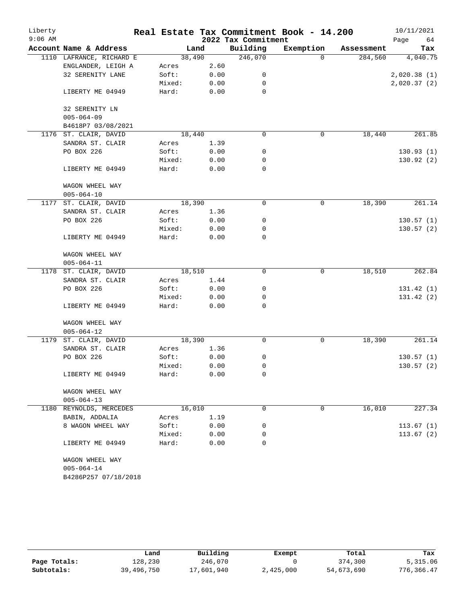| Liberty   |                          |        |      |                     | Real Estate Tax Commitment Book - 14.200 |            | 10/11/2021  |
|-----------|--------------------------|--------|------|---------------------|------------------------------------------|------------|-------------|
| $9:06$ AM |                          |        |      | 2022 Tax Commitment |                                          |            | 64<br>Page  |
|           | Account Name & Address   |        | Land | Building            | Exemption                                | Assessment | Tax         |
|           | 1110 LAFRANCE, RICHARD E | 38,490 |      | 246,070             | $\Omega$                                 | 284,560    | 4,040.75    |
|           | ENGLANDER, LEIGH A       | Acres  | 2.60 |                     |                                          |            |             |
|           | 32 SERENITY LANE         | Soft:  | 0.00 | 0                   |                                          |            | 2,020.38(1) |
|           |                          | Mixed: | 0.00 | 0                   |                                          |            | 2,020.37(2) |
|           | LIBERTY ME 04949         | Hard:  | 0.00 | 0                   |                                          |            |             |
|           | 32 SERENITY LN           |        |      |                     |                                          |            |             |
|           | $005 - 064 - 09$         |        |      |                     |                                          |            |             |
|           | B4618P7 03/08/2021       |        |      |                     |                                          |            |             |
|           | 1176 ST. CLAIR, DAVID    | 18,440 |      | $\mathbf 0$         | 0                                        | 18,440     | 261.85      |
|           | SANDRA ST. CLAIR         | Acres  | 1.39 |                     |                                          |            |             |
|           | PO BOX 226               | Soft:  | 0.00 | 0                   |                                          |            | 130.93(1)   |
|           |                          | Mixed: | 0.00 | 0                   |                                          |            | 130.92(2)   |
|           | LIBERTY ME 04949         | Hard:  | 0.00 | 0                   |                                          |            |             |
|           | WAGON WHEEL WAY          |        |      |                     |                                          |            |             |
|           | $005 - 064 - 10$         |        |      |                     |                                          |            |             |
|           | 1177 ST. CLAIR, DAVID    | 18,390 |      | 0                   | $\mathbf 0$                              | 18,390     | 261.14      |
|           | SANDRA ST. CLAIR         | Acres  | 1.36 |                     |                                          |            |             |
|           | PO BOX 226               | Soft:  | 0.00 | 0                   |                                          |            | 130.57(1)   |
|           |                          | Mixed: | 0.00 | 0                   |                                          |            | 130.57(2)   |
|           | LIBERTY ME 04949         | Hard:  | 0.00 | $\mathbf 0$         |                                          |            |             |
|           | WAGON WHEEL WAY          |        |      |                     |                                          |            |             |
|           | $005 - 064 - 11$         |        |      |                     |                                          |            |             |
|           | 1178 ST. CLAIR, DAVID    | 18,510 |      | $\mathbf 0$         | 0                                        | 18,510     | 262.84      |
|           | SANDRA ST. CLAIR         | Acres  | 1.44 |                     |                                          |            |             |
|           | PO BOX 226               | Soft:  | 0.00 | 0                   |                                          |            | 131.42(1)   |
|           |                          | Mixed: | 0.00 | 0                   |                                          |            | 131.42 (2)  |
|           | LIBERTY ME 04949         | Hard:  | 0.00 | $\mathbf 0$         |                                          |            |             |
|           | WAGON WHEEL WAY          |        |      |                     |                                          |            |             |
|           | $005 - 064 - 12$         |        |      |                     |                                          |            |             |
| 1179      | ST. CLAIR, DAVID         | 18,390 |      | 0                   | 0                                        | 18,390     | 261.14      |
|           | SANDRA ST. CLAIR         | Acres  | 1.36 |                     |                                          |            |             |
|           | PO BOX 226               | Soft:  | 0.00 | 0                   |                                          |            | 130.57(1)   |
|           |                          | Mixed: | 0.00 | 0                   |                                          |            | 130.57(2)   |
|           | LIBERTY ME 04949         | Hard:  | 0.00 | 0                   |                                          |            |             |
|           | WAGON WHEEL WAY          |        |      |                     |                                          |            |             |
|           | $005 - 064 - 13$         |        |      |                     |                                          |            |             |
| 1180      | REYNOLDS, MERCEDES       | 16,010 |      | 0                   | 0                                        | 16,010     | 227.34      |
|           | BABIN, ADDALIA           | Acres  | 1.19 |                     |                                          |            |             |
|           | 8 WAGON WHEEL WAY        | Soft:  | 0.00 | 0                   |                                          |            | 113.67(1)   |
|           |                          | Mixed: | 0.00 | 0                   |                                          |            | 113.67(2)   |
|           | LIBERTY ME 04949         | Hard:  | 0.00 | 0                   |                                          |            |             |
|           | WAGON WHEEL WAY          |        |      |                     |                                          |            |             |
|           | $005 - 064 - 14$         |        |      |                     |                                          |            |             |
|           | B4286P257 07/18/2018     |        |      |                     |                                          |            |             |

|              | Land       | Building   | Exempt    | Total      | Tax        |
|--------------|------------|------------|-----------|------------|------------|
| Page Totals: | 128,230    | 246,070    |           | 374,300    | 5,315.06   |
| Subtotals:   | 39,496,750 | 17,601,940 | 2,425,000 | 54,673,690 | 776,366.47 |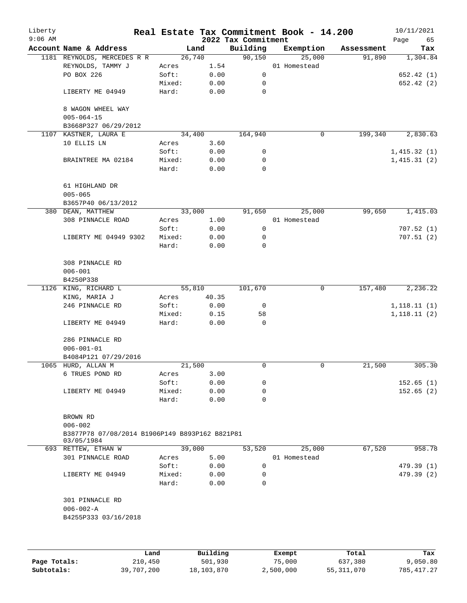| Liberty<br>$9:06$ AM |                                                               |                 |              | 2022 Tax Commitment | Real Estate Tax Commitment Book - 14.200 |            | 10/11/2021<br>Page<br>65 |
|----------------------|---------------------------------------------------------------|-----------------|--------------|---------------------|------------------------------------------|------------|--------------------------|
|                      | Account Name & Address                                        |                 | Land         | Building            | Exemption                                | Assessment | Tax                      |
|                      | 1181 REYNOLDS, MERCEDES R R                                   |                 | 26,740       | 90,150              | 25,000                                   | 91,890     | 1,304.84                 |
|                      | REYNOLDS, TAMMY J                                             | Acres           | 1.54         |                     | 01 Homestead                             |            |                          |
|                      | PO BOX 226                                                    | Soft:           | 0.00         | 0                   |                                          |            | 652.42 (1)               |
|                      |                                                               | Mixed:          | 0.00         | 0                   |                                          |            | 652.42 (2)               |
|                      | LIBERTY ME 04949                                              | Hard:           | 0.00         | 0                   |                                          |            |                          |
|                      | 8 WAGON WHEEL WAY<br>$005 - 064 - 15$                         |                 |              |                     |                                          |            |                          |
|                      | B3668P327 06/29/2012                                          |                 |              |                     |                                          |            |                          |
|                      | 1107 KASTNER, LAURA E                                         |                 | 34,400       | 164,940             | 0                                        | 199,340    | 2,830.63                 |
|                      | 10 ELLIS LN                                                   | Acres           | 3.60         |                     |                                          |            |                          |
|                      |                                                               | Soft:           | 0.00         | 0                   |                                          |            | 1,415.32(1)              |
|                      | BRAINTREE MA 02184                                            | Mixed:          | 0.00         | 0                   |                                          |            | 1,415.31(2)              |
|                      |                                                               | Hard:           | 0.00         | 0                   |                                          |            |                          |
|                      | 61 HIGHLAND DR<br>$005 - 065$                                 |                 |              |                     |                                          |            |                          |
|                      | B3657P40 06/13/2012                                           |                 |              |                     |                                          |            |                          |
|                      | 380 DEAN, MATTHEW                                             |                 | 33,000       | 91,650              | 25,000                                   | 99,650     | 1,415.03                 |
|                      | 308 PINNACLE ROAD                                             | Acres           | 1.00         |                     | 01 Homestead                             |            |                          |
|                      |                                                               | Soft:           | 0.00         | 0                   |                                          |            | 707.52(1)                |
|                      | LIBERTY ME 04949 9302                                         | Mixed:          | 0.00         | 0                   |                                          |            | 707.51(2)                |
|                      |                                                               | Hard:           | 0.00         | 0                   |                                          |            |                          |
|                      | 308 PINNACLE RD<br>$006 - 001$                                |                 |              |                     |                                          |            |                          |
|                      | B4250P338                                                     |                 |              |                     |                                          |            |                          |
|                      | 1126 KING, RICHARD L                                          |                 | 55,810       | 101,670             | 0                                        | 157,480    | 2,236.22                 |
|                      | KING, MARIA J                                                 | Acres           | 40.35        |                     |                                          |            |                          |
|                      | 246 PINNACLE RD                                               | Soft:           | 0.00         | 0                   |                                          |            | 1,118.11(1)              |
|                      |                                                               | Mixed:          | 0.15         | 58                  |                                          |            | 1,118.11(2)              |
|                      | LIBERTY ME 04949                                              | Hard:           | 0.00         | 0                   |                                          |            |                          |
|                      | 286 PINNACLE RD<br>$006 - 001 - 01$                           |                 |              |                     |                                          |            |                          |
|                      | B4084P121 07/29/2016                                          |                 |              |                     |                                          |            |                          |
|                      | 1065 HURD, ALLAN M                                            |                 | 21,500       | 0                   | 0                                        | 21,500     | 305.30                   |
|                      | 6 TRUES POND RD                                               | Acres           | 3.00         |                     |                                          |            |                          |
|                      |                                                               | Soft:           | 0.00         | 0                   |                                          |            | 152.65(1)                |
|                      |                                                               |                 |              |                     |                                          |            |                          |
|                      | LIBERTY ME 04949                                              | Mixed:<br>Hard: | 0.00<br>0.00 | 0<br>0              |                                          |            | 152.65(2)                |
|                      |                                                               |                 |              |                     |                                          |            |                          |
|                      | BROWN RD                                                      |                 |              |                     |                                          |            |                          |
|                      | $006 - 002$<br>B3877P78 07/08/2014 B1906P149 B893P162 B821P81 |                 |              |                     |                                          |            |                          |
|                      | 03/05/1984                                                    |                 | 39,000       | 53,520              | 25,000                                   | 67,520     | 958.78                   |
|                      | 693 RETTEW, ETHAN W                                           |                 |              |                     | 01 Homestead                             |            |                          |
|                      | 301 PINNACLE ROAD                                             | Acres           | 5.00         |                     |                                          |            |                          |
|                      |                                                               | Soft:           | 0.00         | 0                   |                                          |            | 479.39 (1)               |
|                      | LIBERTY ME 04949                                              | Mixed:<br>Hard: | 0.00<br>0.00 | 0<br>$\Omega$       |                                          |            | 479.39 (2)               |
|                      | 301 PINNACLE RD                                               |                 |              |                     |                                          |            |                          |
|                      | $006 - 002 - A$                                               |                 |              |                     |                                          |            |                          |
|                      | B4255P333 03/16/2018                                          |                 |              |                     |                                          |            |                          |
|                      |                                                               |                 |              |                     |                                          |            |                          |
|                      |                                                               | Land            | Building     |                     | Exempt                                   | Total      | Tax                      |

|              | Land       | Building   | Exempt    | Total      | Tax         |
|--------------|------------|------------|-----------|------------|-------------|
| Page Totals: | 210,450    | 501,930    | 75,000    | 637,380    | 9,050.80    |
| Subtotals:   | 39,707,200 | 18,103,870 | 2,500,000 | 55,311,070 | 785, 417.27 |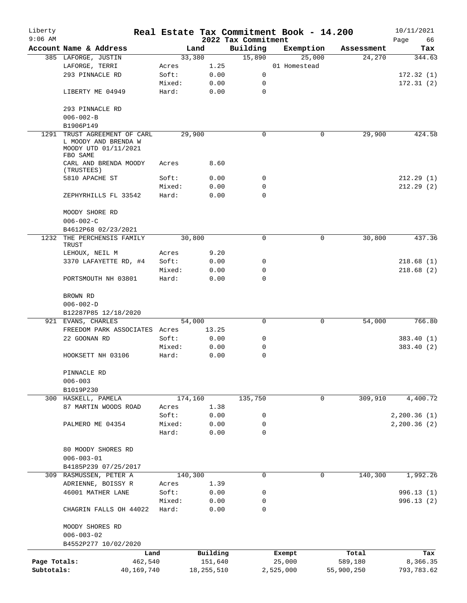| Liberty<br>$9:06$ AM |                                                                                     |                 |              | 2022 Tax Commitment | Real Estate Tax Commitment Book - 14.200 |            | 10/11/2021<br>Page<br>66 |
|----------------------|-------------------------------------------------------------------------------------|-----------------|--------------|---------------------|------------------------------------------|------------|--------------------------|
|                      | Account Name & Address                                                              |                 | Land         | Building            | Exemption                                | Assessment | Tax                      |
|                      | 385 LAFORGE, JUSTIN                                                                 |                 | 33,380       | 15,890              | 25,000                                   | 24,270     | 344.63                   |
|                      | LAFORGE, TERRI                                                                      | Acres           | 1.25         |                     | 01 Homestead                             |            |                          |
|                      | 293 PINNACLE RD                                                                     | Soft:           | 0.00         | 0                   |                                          |            | 172.32(1)                |
|                      |                                                                                     | Mixed:          | 0.00         | $\mathbf 0$         |                                          |            | 172.31(2)                |
|                      | LIBERTY ME 04949                                                                    | Hard:           | 0.00         | $\mathbf 0$         |                                          |            |                          |
|                      | 293 PINNACLE RD                                                                     |                 |              |                     |                                          |            |                          |
|                      | $006 - 002 - B$                                                                     |                 |              |                     |                                          |            |                          |
|                      | B1906P149                                                                           |                 |              |                     |                                          |            |                          |
| 1291                 | TRUST AGREEMENT OF CARL<br>L MOODY AND BRENDA W<br>MOODY UTD 01/11/2021<br>FBO SAME |                 | 29,900       | $\Omega$            | 0                                        | 29,900     | 424.58                   |
|                      | CARL AND BRENDA MOODY<br>(TRUSTEES)                                                 | Acres           | 8.60         |                     |                                          |            |                          |
|                      | 5810 APACHE ST                                                                      | Soft:           | 0.00         | 0                   |                                          |            | 212.29(1)                |
|                      |                                                                                     | Mixed:          | 0.00         | 0                   |                                          |            | 212.29(2)                |
|                      | ZEPHYRHILLS FL 33542                                                                | Hard:           | 0.00         | $\Omega$            |                                          |            |                          |
|                      | MOODY SHORE RD<br>$006 - 002 - C$                                                   |                 |              |                     |                                          |            |                          |
|                      | B4612P68 02/23/2021                                                                 |                 |              |                     |                                          |            |                          |
|                      | 1232 THE PERCHENSIS FAMILY<br>TRUST                                                 |                 | 30,800       | 0                   | 0                                        | 30,800     | 437.36                   |
|                      | LEHOUX, NEIL M                                                                      | Acres           | 9.20         |                     |                                          |            |                          |
|                      | 3370 LAFAYETTE RD, #4                                                               | Soft:           | 0.00         | 0                   |                                          |            | 218.68(1)                |
|                      | PORTSMOUTH NH 03801                                                                 | Mixed:<br>Hard: | 0.00<br>0.00 | 0<br>$\Omega$       |                                          |            | 218.68(2)                |
|                      |                                                                                     |                 |              |                     |                                          |            |                          |
|                      | BROWN RD<br>$006 - 002 - D$<br>B12287P85 12/18/2020                                 |                 |              |                     |                                          |            |                          |
|                      | 921 EVANS, CHARLES                                                                  |                 | 54,000       | 0                   | 0                                        | 54,000     | 766.80                   |
|                      | FREEDOM PARK ASSOCIATES Acres                                                       |                 | 13.25        |                     |                                          |            |                          |
|                      | 22 GOONAN RD                                                                        | Soft:           | 0.00         | 0                   |                                          |            | 383.40 (1)               |
|                      |                                                                                     | Mixed:          | 0.00         | 0                   |                                          |            | 383.40 (2)               |
|                      | HOOKSETT NH 03106                                                                   | Hard:           | 0.00         | $\mathbf 0$         |                                          |            |                          |
|                      | PINNACLE RD<br>$006 - 003$                                                          |                 |              |                     |                                          |            |                          |
|                      | B1019P230                                                                           |                 |              |                     |                                          |            |                          |
|                      | 300 HASKELL, PAMELA                                                                 |                 | 174,160      | 135,750             | 0                                        | 309,910    | 4,400.72                 |
|                      | 87 MARTIN WOODS ROAD                                                                | Acres           | 1.38         |                     |                                          |            |                          |
|                      |                                                                                     | Soft:           | 0.00         | 0                   |                                          |            | 2, 200.36(1)             |
|                      | PALMERO ME 04354                                                                    | Mixed:          | 0.00         | $\mathbf 0$         |                                          |            | 2, 200.36(2)             |
|                      |                                                                                     | Hard:           | 0.00         | $\Omega$            |                                          |            |                          |
|                      | 80 MOODY SHORES RD                                                                  |                 |              |                     |                                          |            |                          |
|                      | $006 - 003 - 01$                                                                    |                 |              |                     |                                          |            |                          |
|                      | B4185P239 07/25/2017                                                                |                 |              |                     |                                          |            |                          |
|                      | 309 RASMUSSEN, PETER A                                                              |                 | 140,300      | $\mathbf 0$         | $\mathbf 0$                              | 140,300    | 1,992.26                 |
|                      | ADRIENNE, BOISSY R                                                                  | Acres           | 1.39         |                     |                                          |            |                          |
|                      | 46001 MATHER LANE                                                                   | Soft:           | 0.00         | 0                   |                                          |            | 996.13(1)                |
|                      |                                                                                     | Mixed:          | 0.00         | 0                   |                                          |            | 996.13 (2)               |
|                      | CHAGRIN FALLS OH 44022                                                              | Hard:           | 0.00         | $\mathbf 0$         |                                          |            |                          |
|                      | MOODY SHORES RD                                                                     |                 |              |                     |                                          |            |                          |
|                      | $006 - 003 - 02$<br>B4552P277 10/02/2020                                            |                 |              |                     |                                          |            |                          |
|                      | Land                                                                                |                 | Building     |                     | Exempt                                   | Total      | Tax                      |
| Page Totals:         | 462,540                                                                             |                 | 151,640      |                     | 25,000                                   | 589,180    | 8,366.35                 |
| Subtotals:           | 40,169,740                                                                          |                 | 18, 255, 510 |                     | 2,525,000                                | 55,900,250 | 793,783.62               |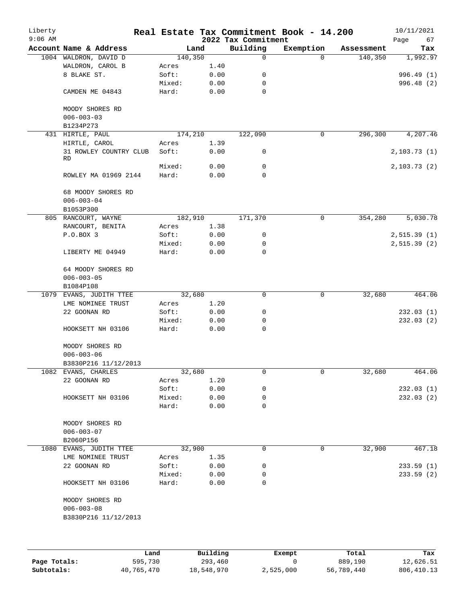| Liberty<br>$9:06$ AM |                                     |                 |              | 2022 Tax Commitment | Real Estate Tax Commitment Book - 14.200 |            | 10/11/2021<br>Page<br>67 |
|----------------------|-------------------------------------|-----------------|--------------|---------------------|------------------------------------------|------------|--------------------------|
|                      | Account Name & Address              | Land            |              | Building            | Exemption                                | Assessment | Tax                      |
|                      | 1004 WALDRON, DAVID D               | 140,350         |              | 0                   | $\Omega$                                 | 140,350    | 1,992.97                 |
|                      | WALDRON, CAROL B                    | Acres           | 1.40         |                     |                                          |            |                          |
|                      | 8 BLAKE ST.                         | Soft:           | 0.00         | 0                   |                                          |            | 996.49 (1)               |
|                      |                                     | Mixed:          | 0.00         | 0                   |                                          |            | 996.48 (2)               |
|                      | CAMDEN ME 04843                     | Hard:           | 0.00         | 0                   |                                          |            |                          |
|                      | MOODY SHORES RD                     |                 |              |                     |                                          |            |                          |
|                      | $006 - 003 - 03$                    |                 |              |                     |                                          |            |                          |
|                      | B1234P273                           |                 |              |                     |                                          |            |                          |
|                      | 431 HIRTLE, PAUL                    | 174,210         |              | 122,090             | $\mathbf 0$                              | 296,300    | 4,207.46                 |
|                      | HIRTLE, CAROL                       | Acres           | 1.39         |                     |                                          |            |                          |
|                      | 31 ROWLEY COUNTRY CLUB<br>RD        | Soft:           | 0.00         | 0                   |                                          |            | 2, 103.73(1)             |
|                      |                                     | Mixed:          | 0.00         | 0                   |                                          |            | 2, 103.73(2)             |
|                      | ROWLEY MA 01969 2144                | Hard:           | 0.00         | 0                   |                                          |            |                          |
|                      | 68 MOODY SHORES RD                  |                 |              |                     |                                          |            |                          |
|                      | $006 - 003 - 04$                    |                 |              |                     |                                          |            |                          |
|                      | B1053P300                           |                 |              |                     |                                          |            |                          |
|                      | 805 RANCOURT, WAYNE                 | 182,910         |              | 171,370             | 0                                        | 354, 280   | 5,030.78                 |
|                      | RANCOURT, BENITA                    | Acres           | 1.38         |                     |                                          |            |                          |
|                      | P.O.BOX 3                           | Soft:           | 0.00         | 0                   |                                          |            | 2,515.39(1)              |
|                      |                                     | Mixed:          | 0.00         | 0                   |                                          |            | 2,515.39(2)              |
|                      | LIBERTY ME 04949                    | Hard:           | 0.00         | 0                   |                                          |            |                          |
|                      | 64 MOODY SHORES RD                  |                 |              |                     |                                          |            |                          |
|                      | $006 - 003 - 05$                    |                 |              |                     |                                          |            |                          |
|                      | B1084P108                           |                 |              |                     |                                          |            |                          |
| 1079                 | EVANS, JUDITH TTEE                  | 32,680          |              | 0                   | 0                                        | 32,680     | 464.06                   |
|                      | LME NOMINEE TRUST                   | Acres           | 1.20         |                     |                                          |            |                          |
|                      | 22 GOONAN RD                        | Soft:           | 0.00         | 0                   |                                          |            | 232.03(1)                |
|                      |                                     | Mixed:          | 0.00         | 0                   |                                          |            | 232.03(2)                |
|                      | HOOKSETT NH 03106                   | Hard:           | 0.00         | 0                   |                                          |            |                          |
|                      | MOODY SHORES RD<br>$006 - 003 - 06$ |                 |              |                     |                                          |            |                          |
|                      | B3830P216 11/12/2013                |                 |              |                     |                                          |            |                          |
|                      | 1082 EVANS, CHARLES                 | 32,680          |              | 0                   | 0                                        | 32,680     | 464.06                   |
|                      |                                     |                 |              |                     |                                          |            |                          |
|                      | 22 GOONAN RD                        | Acres           | 1.20         |                     |                                          |            |                          |
|                      |                                     | Soft:           | 0.00         | 0                   |                                          |            | 232.03(1)                |
|                      | HOOKSETT NH 03106                   | Mixed:<br>Hard: | 0.00<br>0.00 | 0<br>0              |                                          |            | 232.03(2)                |
|                      |                                     |                 |              |                     |                                          |            |                          |
|                      | MOODY SHORES RD                     |                 |              |                     |                                          |            |                          |
|                      | $006 - 003 - 07$                    |                 |              |                     |                                          |            |                          |
|                      | B2060P156                           |                 |              |                     |                                          |            |                          |
|                      | 1080 EVANS, JUDITH TTEE             | 32,900          |              | 0                   | 0                                        | 32,900     | 467.18                   |
|                      | LME NOMINEE TRUST                   | Acres           | 1.35         |                     |                                          |            |                          |
|                      | 22 GOONAN RD                        | Soft:           | 0.00         | 0                   |                                          |            | 233.59(1)                |
|                      |                                     | Mixed:          | 0.00         | 0                   |                                          |            | 233.59(2)                |
|                      | HOOKSETT NH 03106                   | Hard:           | 0.00         | 0                   |                                          |            |                          |
|                      | MOODY SHORES RD                     |                 |              |                     |                                          |            |                          |
|                      | $006 - 003 - 08$                    |                 |              |                     |                                          |            |                          |
|                      | B3830P216 11/12/2013                |                 |              |                     |                                          |            |                          |
|                      |                                     |                 |              |                     |                                          |            |                          |
|                      |                                     |                 |              |                     |                                          |            |                          |
|                      |                                     |                 |              |                     |                                          |            |                          |

|              | Land       | Building   | Exempt    | Total      | Tax         |
|--------------|------------|------------|-----------|------------|-------------|
| Page Totals: | 595,730    | 293,460    |           | 889,190    | 12,626.51   |
| Subtotals:   | 40,765,470 | 18,548,970 | 2,525,000 | 56,789,440 | 806, 410.13 |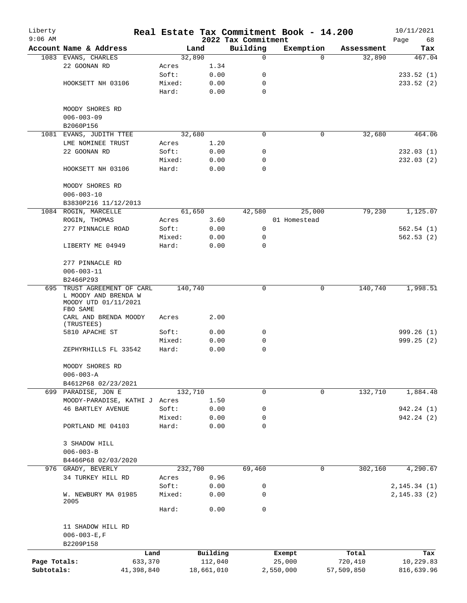| Liberty<br>$9:06$ AM |                                                                         |        |            | 2022 Tax Commitment | Real Estate Tax Commitment Book - 14.200 |            | 10/11/2021<br>Page<br>68 |
|----------------------|-------------------------------------------------------------------------|--------|------------|---------------------|------------------------------------------|------------|--------------------------|
|                      | Account Name & Address                                                  |        | Land       | Building            | Exemption                                | Assessment | Tax                      |
|                      | 1083 EVANS, CHARLES                                                     |        | 32,890     | $\mathbf 0$         | $\Omega$                                 | 32,890     | 467.04                   |
|                      | 22 GOONAN RD                                                            | Acres  | 1.34       |                     |                                          |            |                          |
|                      |                                                                         | Soft:  | 0.00       | 0                   |                                          |            | 233.52(1)                |
|                      | HOOKSETT NH 03106                                                       | Mixed: | 0.00       | 0                   |                                          |            | 233.52 (2)               |
|                      |                                                                         | Hard:  | 0.00       | $\mathbf 0$         |                                          |            |                          |
|                      | MOODY SHORES RD                                                         |        |            |                     |                                          |            |                          |
|                      | $006 - 003 - 09$                                                        |        |            |                     |                                          |            |                          |
|                      | B2060P156                                                               |        |            |                     |                                          |            |                          |
|                      | 1081 EVANS, JUDITH TTEE                                                 |        | 32,680     | $\Omega$            | 0                                        | 32,680     | 464.06                   |
|                      | LME NOMINEE TRUST                                                       | Acres  | 1.20       |                     |                                          |            |                          |
|                      | 22 GOONAN RD                                                            | Soft:  | 0.00       | 0                   |                                          |            | 232.03(1)                |
|                      |                                                                         | Mixed: | 0.00       | 0                   |                                          |            | 232.03(2)                |
|                      | HOOKSETT NH 03106                                                       | Hard:  | 0.00       | $\Omega$            |                                          |            |                          |
|                      | MOODY SHORES RD<br>$006 - 003 - 10$                                     |        |            |                     |                                          |            |                          |
|                      |                                                                         |        |            |                     |                                          |            |                          |
|                      | B3830P216 11/12/2013<br>1084 ROGIN, MARCELLE                            |        | 61,650     | 42,580              | 25,000                                   | 79,230     | 1,125.07                 |
|                      | ROGIN, THOMAS                                                           | Acres  | 3.60       |                     | 01 Homestead                             |            |                          |
|                      | 277 PINNACLE ROAD                                                       | Soft:  | 0.00       | 0                   |                                          |            | 562.54(1)                |
|                      |                                                                         | Mixed: | 0.00       | 0                   |                                          |            | 562.53(2)                |
|                      |                                                                         | Hard:  | 0.00       | $\Omega$            |                                          |            |                          |
|                      | LIBERTY ME 04949                                                        |        |            |                     |                                          |            |                          |
|                      | 277 PINNACLE RD                                                         |        |            |                     |                                          |            |                          |
|                      | $006 - 003 - 11$                                                        |        |            |                     |                                          |            |                          |
|                      | B2466P293                                                               |        |            |                     |                                          |            |                          |
| 695                  | TRUST AGREEMENT OF CARL<br>L MOODY AND BRENDA W<br>MOODY UTD 01/11/2021 |        | 140,740    | 0                   | 0                                        | 140,740    | 1,998.51                 |
|                      | FBO SAME<br>CARL AND BRENDA MOODY<br>(TRUSTEES)                         | Acres  | 2.00       |                     |                                          |            |                          |
|                      | 5810 APACHE ST                                                          | Soft:  | 0.00       | 0                   |                                          |            | 999.26(1)                |
|                      |                                                                         | Mixed: | 0.00       | 0                   |                                          |            | 999.25(2)                |
|                      | ZEPHYRHILLS FL 33542                                                    | Hard:  | 0.00       | 0                   |                                          |            |                          |
|                      | MOODY SHORES RD                                                         |        |            |                     |                                          |            |                          |
|                      | $006 - 003 - A$<br>B4612P68 02/23/2021                                  |        |            |                     |                                          |            |                          |
|                      | 699 PARADISE, JON E                                                     |        | 132,710    | 0                   | $\Omega$                                 | 132,710    | 1,884.48                 |
|                      | MOODY-PARADISE, KATHI J Acres                                           |        | 1.50       |                     |                                          |            |                          |
|                      | <b>46 BARTLEY AVENUE</b>                                                | Soft:  | 0.00       | 0                   |                                          |            | 942.24 (1)               |
|                      |                                                                         | Mixed: | 0.00       | 0                   |                                          |            | 942.24 (2)               |
|                      | PORTLAND ME 04103                                                       | Hard:  | 0.00       | $\mathbf 0$         |                                          |            |                          |
|                      | 3 SHADOW HILL<br>$006 - 003 - B$                                        |        |            |                     |                                          |            |                          |
|                      | B4466P68 02/03/2020                                                     |        |            |                     |                                          |            |                          |
| 976                  | GRADY, BEVERLY                                                          |        | 232,700    | 69,460              | 0                                        | 302,160    | 4, 290.67                |
|                      | 34 TURKEY HILL RD                                                       | Acres  | 0.96       |                     |                                          |            |                          |
|                      |                                                                         | Soft:  |            |                     |                                          |            |                          |
|                      |                                                                         |        | 0.00       | 0<br>0              |                                          |            | 2, 145.34(1)             |
|                      | W. NEWBURY MA 01985<br>2005                                             | Mixed: | 0.00       |                     |                                          |            | 2, 145.33(2)             |
|                      |                                                                         | Hard:  | 0.00       | 0                   |                                          |            |                          |
|                      | 11 SHADOW HILL RD<br>$006 - 003 - E$ , F                                |        |            |                     |                                          |            |                          |
|                      | B2209P158                                                               |        |            |                     |                                          |            |                          |
|                      |                                                                         | Land   | Building   |                     | Exempt                                   | Total      | Tax                      |
| Page Totals:         | 633,370                                                                 |        | 112,040    |                     | 25,000                                   | 720,410    | 10,229.83                |
| Subtotals:           | 41,398,840                                                              |        | 18,661,010 |                     | 2,550,000                                | 57,509,850 | 816,639.96               |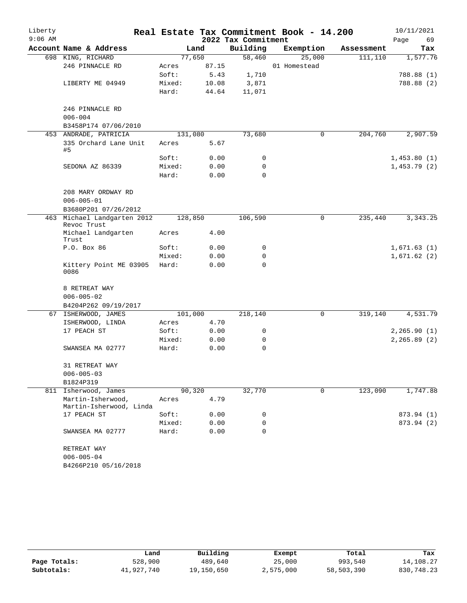| Liberty   |                                              |        |         |                     | Real Estate Tax Commitment Book - 14.200 |            | 10/11/2021   |
|-----------|----------------------------------------------|--------|---------|---------------------|------------------------------------------|------------|--------------|
| $9:06$ AM |                                              |        |         | 2022 Tax Commitment |                                          |            | 69<br>Page   |
|           | Account Name & Address                       |        | Land    | Building            | Exemption                                | Assessment | Tax          |
|           | 698 KING, RICHARD                            |        | 77,650  | 58,460              | 25,000                                   | 111, 110   | 1,577.76     |
|           | 246 PINNACLE RD                              | Acres  | 87.15   |                     | 01 Homestead                             |            |              |
|           |                                              | Soft:  | 5.43    | 1,710               |                                          |            | 788.88 (1)   |
|           | LIBERTY ME 04949                             | Mixed: | 10.08   | 3,871               |                                          |            | 788.88 (2)   |
|           |                                              | Hard:  | 44.64   | 11,071              |                                          |            |              |
|           | 246 PINNACLE RD                              |        |         |                     |                                          |            |              |
|           | $006 - 004$                                  |        |         |                     |                                          |            |              |
|           | B3458P174 07/06/2010                         |        |         |                     |                                          |            |              |
|           | 453 ANDRADE, PATRICIA                        |        | 131,080 | 73,680              | 0                                        | 204,760    | 2,907.59     |
| #5        | 335 Orchard Lane Unit                        | Acres  | 5.67    |                     |                                          |            |              |
|           |                                              | Soft:  | 0.00    | 0                   |                                          |            | 1,453.80(1)  |
|           | SEDONA AZ 86339                              | Mixed: | 0.00    | 0                   |                                          |            | 1,453.79(2)  |
|           |                                              | Hard:  | 0.00    | 0                   |                                          |            |              |
|           | 208 MARY ORDWAY RD                           |        |         |                     |                                          |            |              |
|           | $006 - 005 - 01$                             |        |         |                     |                                          |            |              |
|           | B3680P201 07/26/2012                         |        |         |                     |                                          |            |              |
|           | 463 Michael Landgarten 2012<br>Revoc Trust   |        | 128,850 | 106,590             | $\mathsf{O}$                             | 235,440    | 3, 343. 25   |
|           | Michael Landgarten<br>Trust                  | Acres  | 4.00    |                     |                                          |            |              |
|           | P.O. Box 86                                  | Soft:  | 0.00    | 0                   |                                          |            | 1,671.63(1)  |
|           |                                              | Mixed: | 0.00    | 0                   |                                          |            | 1,671.62(2)  |
|           | Kittery Point ME 03905<br>0086               | Hard:  | 0.00    | 0                   |                                          |            |              |
|           | 8 RETREAT WAY                                |        |         |                     |                                          |            |              |
|           | $006 - 005 - 02$                             |        |         |                     |                                          |            |              |
|           | B4204P262 09/19/2017                         |        |         |                     |                                          |            |              |
|           | 67 ISHERWOOD, JAMES                          |        | 101,000 | 218,140             | 0                                        | 319,140    | 4,531.79     |
|           | ISHERWOOD, LINDA                             | Acres  | 4.70    |                     |                                          |            |              |
|           | 17 PEACH ST                                  | Soft:  | 0.00    | 0                   |                                          |            | 2, 265.90(1) |
|           |                                              | Mixed: | 0.00    | 0                   |                                          |            | 2, 265.89(2) |
|           | SWANSEA MA 02777                             | Hard:  | 0.00    | 0                   |                                          |            |              |
|           | 31 RETREAT WAY                               |        |         |                     |                                          |            |              |
|           | $006 - 005 - 03$                             |        |         |                     |                                          |            |              |
|           | B1824P319                                    |        |         |                     |                                          |            |              |
|           | 811 Isherwood, James                         |        | 90,320  | 32,770              | $\mathbf 0$                              | 123,090    | 1,747.88     |
|           | Martin-Isherwood,<br>Martin-Isherwood, Linda | Acres  | 4.79    |                     |                                          |            |              |
|           | 17 PEACH ST                                  | Soft:  | 0.00    | 0                   |                                          |            | 873.94 (1)   |
|           |                                              | Mixed: | 0.00    | 0                   |                                          |            | 873.94 (2)   |
|           | SWANSEA MA 02777                             | Hard:  | 0.00    | $\Omega$            |                                          |            |              |
|           | RETREAT WAY                                  |        |         |                     |                                          |            |              |
|           | $006 - 005 - 04$                             |        |         |                     |                                          |            |              |
|           | B4266P210 05/16/2018                         |        |         |                     |                                          |            |              |

|              | Land       | Building   | Exempt    | Total      | Tax        |
|--------------|------------|------------|-----------|------------|------------|
| Page Totals: | 528,900    | 489,640    | 25,000    | 993,540    | 14,108.27  |
| Subtotals:   | 41,927,740 | 19,150,650 | 2,575,000 | 58,503,390 | 830,748.23 |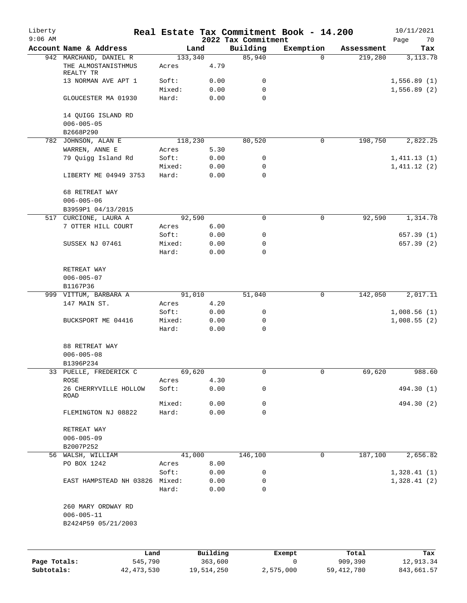| Liberty<br>$9:06$ AM |                                  |                 |                     | 2022 Tax Commitment | Real Estate Tax Commitment Book - 14.200 |                  | 10/11/2021<br>Page<br>70   |
|----------------------|----------------------------------|-----------------|---------------------|---------------------|------------------------------------------|------------------|----------------------------|
|                      | Account Name & Address           | Land            |                     | Building            | Exemption                                | Assessment       | Tax                        |
|                      | 942 MARCHAND, DANIEL R           | 133,340         |                     | 85,940              | $\Omega$                                 | 219,280          | 3, 113.78                  |
|                      | THE ALMOSTANISTHMUS<br>REALTY TR | Acres           | 4.79                |                     |                                          |                  |                            |
|                      | 13 NORMAN AVE APT 1              | Soft:           | 0.00                | 0                   |                                          |                  | 1,556.89(1)                |
|                      |                                  | Mixed:          | 0.00                | 0                   |                                          |                  | 1,556.89(2)                |
|                      | GLOUCESTER MA 01930              | Hard:           | 0.00                | 0                   |                                          |                  |                            |
|                      | 14 QUIGG ISLAND RD               |                 |                     |                     |                                          |                  |                            |
|                      | $006 - 005 - 05$                 |                 |                     |                     |                                          |                  |                            |
|                      | B2668P290<br>782 JOHNSON, ALAN E | 118,230         |                     | 80,520              | 0                                        | 198,750          | 2,822.25                   |
|                      | WARREN, ANNE E                   | Acres           | 5.30                |                     |                                          |                  |                            |
|                      | 79 Quigg Island Rd               | Soft:           | 0.00                | 0                   |                                          |                  | 1,411.13(1)                |
|                      |                                  | Mixed:          | 0.00                | 0                   |                                          |                  | 1,411.12(2)                |
|                      | LIBERTY ME 04949 3753            | Hard:           | 0.00                | 0                   |                                          |                  |                            |
|                      | 68 RETREAT WAY                   |                 |                     |                     |                                          |                  |                            |
|                      | $006 - 005 - 06$                 |                 |                     |                     |                                          |                  |                            |
|                      | B3959P1 04/13/2015               |                 |                     |                     |                                          |                  |                            |
| 517                  | CURCIONE, LAURA A                | 92,590          |                     | $\mathbf 0$         | 0                                        | 92,590           | 1,314.78                   |
|                      | 7 OTTER HILL COURT               | Acres           | 6.00                |                     |                                          |                  |                            |
|                      |                                  | Soft:           | 0.00                | 0                   |                                          |                  | 657.39(1)                  |
|                      | SUSSEX NJ 07461                  | Mixed:<br>Hard: | 0.00<br>0.00        | 0<br>0              |                                          |                  | 657.39(2)                  |
|                      |                                  |                 |                     |                     |                                          |                  |                            |
|                      | RETREAT WAY                      |                 |                     |                     |                                          |                  |                            |
|                      | $006 - 005 - 07$                 |                 |                     |                     |                                          |                  |                            |
|                      | B1167P36                         |                 |                     |                     |                                          |                  |                            |
|                      | 999 VITTUM, BARBARA A            | 91,010          |                     | 51,040              | 0                                        | 142,050          | 2,017.11                   |
|                      | 147 MAIN ST.                     | Acres           | 4.20                |                     |                                          |                  |                            |
|                      | BUCKSPORT ME 04416               | Soft:<br>Mixed: | 0.00<br>0.00        | 0<br>0              |                                          |                  | 1,008.56(1)<br>1,008.55(2) |
|                      |                                  | Hard:           | 0.00                | $\mathbf 0$         |                                          |                  |                            |
|                      |                                  |                 |                     |                     |                                          |                  |                            |
|                      | 88 RETREAT WAY                   |                 |                     |                     |                                          |                  |                            |
|                      | $006 - 005 - 08$<br>B1396P234    |                 |                     |                     |                                          |                  |                            |
|                      | 33 PUELLE, FREDERICK C           | 69,620          |                     | 0                   | 0                                        | 69,620           | 988.60                     |
|                      | ROSE                             | Acres           | 4.30                |                     |                                          |                  |                            |
|                      | 26 CHERRYVILLE HOLLOW            | Soft:           | 0.00                | 0                   |                                          |                  | 494.30 (1)                 |
|                      | ROAD                             | Mixed:          | 0.00                | 0                   |                                          |                  | 494.30 (2)                 |
|                      | FLEMINGTON NJ 08822              | Hard:           | 0.00                | $\mathbf 0$         |                                          |                  |                            |
|                      |                                  |                 |                     |                     |                                          |                  |                            |
|                      | RETREAT WAY<br>$006 - 005 - 09$  |                 |                     |                     |                                          |                  |                            |
|                      | B2007P252                        |                 |                     |                     |                                          |                  |                            |
|                      | 56 WALSH, WILLIAM                | 41,000          |                     | 146,100             | 0                                        | 187,100          | 2,656.82                   |
|                      | PO BOX 1242                      | Acres           | 8.00                |                     |                                          |                  |                            |
|                      |                                  | Soft:           | 0.00                | 0                   |                                          |                  | 1,328.41(1)                |
|                      | EAST HAMPSTEAD NH 03826 Mixed:   |                 | 0.00                | 0                   |                                          |                  | 1,328.41(2)                |
|                      |                                  | Hard:           | 0.00                | 0                   |                                          |                  |                            |
|                      | 260 MARY ORDWAY RD               |                 |                     |                     |                                          |                  |                            |
|                      | $006 - 005 - 11$                 |                 |                     |                     |                                          |                  |                            |
|                      | B2424P59 05/21/2003              |                 |                     |                     |                                          |                  |                            |
|                      |                                  |                 |                     |                     |                                          |                  |                            |
|                      |                                  |                 |                     |                     |                                          |                  |                            |
| Page Totals:         | Land<br>545,790                  |                 | Building<br>363,600 |                     | Exempt<br>0                              | Total<br>909,390 | Tax<br>12,913.34           |

**Subtotals:** 42,473,530 19,514,250 2,575,000 59,412,780 843,661.57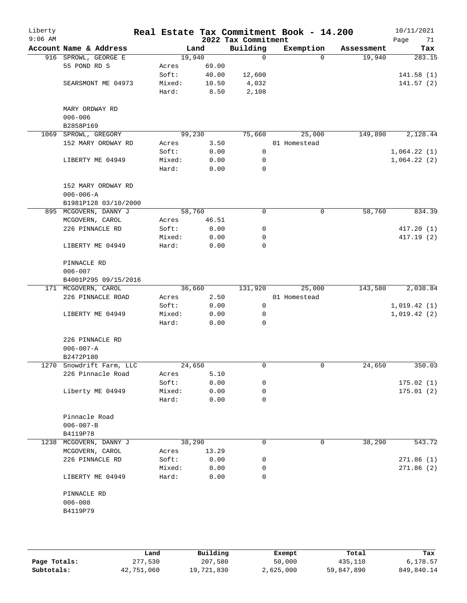| Liberty<br>$9:06$ AM |                                         |                 |              | 2022 Tax Commitment | Real Estate Tax Commitment Book - 14.200 |            | 10/11/2021<br>Page<br>71 |
|----------------------|-----------------------------------------|-----------------|--------------|---------------------|------------------------------------------|------------|--------------------------|
|                      | Account Name & Address                  |                 | Land         | Building            | Exemption                                | Assessment | Tax                      |
|                      | 916 SPROWL, GEORGE E                    |                 | 19,940       | 0                   | $\Omega$                                 | 19,940     | 283.15                   |
|                      | 55 POND RD S                            | Acres           | 69.00        |                     |                                          |            |                          |
|                      |                                         | Soft:           | 40.00        | 12,600              |                                          |            | 141.58(1)                |
|                      | SEARSMONT ME 04973                      | Mixed:          | 10.50        | 4,032               |                                          |            | 141.57(2)                |
|                      |                                         | Hard:           | 8.50         | 2,108               |                                          |            |                          |
|                      | MARY ORDWAY RD                          |                 |              |                     |                                          |            |                          |
|                      | $006 - 006$<br>B2858P169                |                 |              |                     |                                          |            |                          |
| 1069                 | SPROWL, GREGORY                         |                 | 99,230       | 75,660              | 25,000                                   | 149,890    | 2,128.44                 |
|                      | 152 MARY ORDWAY RD                      | Acres           | 3.50         |                     | 01 Homestead                             |            |                          |
|                      |                                         | Soft:           | 0.00         | $\mathbf 0$         |                                          |            | 1,064.22(1)              |
|                      | LIBERTY ME 04949                        | Mixed:          | 0.00         | 0                   |                                          |            | 1,064.22(2)              |
|                      |                                         | Hard:           | 0.00         | 0                   |                                          |            |                          |
|                      |                                         |                 |              |                     |                                          |            |                          |
|                      | 152 MARY ORDWAY RD                      |                 |              |                     |                                          |            |                          |
|                      | $006 - 006 - A$<br>B1981P128 03/10/2000 |                 |              |                     |                                          |            |                          |
|                      | 895 MCGOVERN, DANNY J                   |                 | 58,760       | 0                   | 0                                        | 58,760     | 834.39                   |
|                      |                                         |                 |              |                     |                                          |            |                          |
|                      | MCGOVERN, CAROL                         | Acres           | 46.51        |                     |                                          |            |                          |
|                      | 226 PINNACLE RD                         | Soft:<br>Mixed: | 0.00<br>0.00 | 0<br>0              |                                          |            | 417.20(1)<br>417.19(2)   |
|                      | LIBERTY ME 04949                        | Hard:           | 0.00         | 0                   |                                          |            |                          |
|                      |                                         |                 |              |                     |                                          |            |                          |
|                      | PINNACLE RD                             |                 |              |                     |                                          |            |                          |
|                      | $006 - 007$                             |                 |              |                     |                                          |            |                          |
|                      | B4001P295 09/15/2016                    |                 |              |                     |                                          |            |                          |
|                      | 171 MCGOVERN, CAROL                     |                 | 36,660       | 131,920             | 25,000                                   | 143,580    | 2,038.84                 |
|                      | 226 PINNACLE ROAD                       | Acres           | 2.50         |                     | 01 Homestead                             |            |                          |
|                      |                                         | Soft:           | 0.00         | 0                   |                                          |            | 1,019.42(1)              |
|                      | LIBERTY ME 04949                        | Mixed:<br>Hard: | 0.00<br>0.00 | 0<br>0              |                                          |            | 1,019.42(2)              |
|                      |                                         |                 |              |                     |                                          |            |                          |
|                      | 226 PINNACLE RD                         |                 |              |                     |                                          |            |                          |
|                      | $006 - 007 - A$<br>B2472P180            |                 |              |                     |                                          |            |                          |
|                      | 1270 Snowdrift Farm, LLC                |                 | 24,650       | 0                   | 0                                        | 24,650     | 350.03                   |
|                      | 226 Pinnacle Road                       | Acres           | 5.10         |                     |                                          |            |                          |
|                      |                                         | Soft:           | 0.00         | 0                   |                                          |            | 175.02(1)                |
|                      | Liberty ME 04949                        | Mixed:          | 0.00         | 0                   |                                          |            | 175.01(2)                |
|                      |                                         | Hard:           | 0.00         | 0                   |                                          |            |                          |
|                      | Pinnacle Road                           |                 |              |                     |                                          |            |                          |
|                      | $006 - 007 - B$                         |                 |              |                     |                                          |            |                          |
|                      | B4119P78                                |                 |              |                     |                                          |            |                          |
|                      | 1238 MCGOVERN, DANNY J                  |                 | 38,290       | 0                   | 0                                        | 38,290     | 543.72                   |
|                      | MCGOVERN, CAROL                         | Acres           | 13.29        |                     |                                          |            |                          |
|                      | 226 PINNACLE RD                         | Soft:           | 0.00         | 0                   |                                          |            | 271.86(1)                |
|                      |                                         | Mixed:          | 0.00         | 0                   |                                          |            | 271.86(2)                |
|                      | LIBERTY ME 04949                        | Hard:           | 0.00         | $\Omega$            |                                          |            |                          |
|                      |                                         |                 |              |                     |                                          |            |                          |
|                      | PINNACLE RD                             |                 |              |                     |                                          |            |                          |
|                      | $006 - 008$                             |                 |              |                     |                                          |            |                          |
|                      | B4119P79                                |                 |              |                     |                                          |            |                          |
|                      |                                         |                 |              |                     |                                          |            |                          |
|                      |                                         |                 |              |                     |                                          |            |                          |

|              | Land       | Building   | Exempt    | Total      | Tax        |  |
|--------------|------------|------------|-----------|------------|------------|--|
| Page Totals: | 277,530    | 207,580    | 50,000    | 435,110    | 6,178.57   |  |
| Subtotals:   | 42,751,060 | 19,721,830 | 2,625,000 | 59,847,890 | 849,840.14 |  |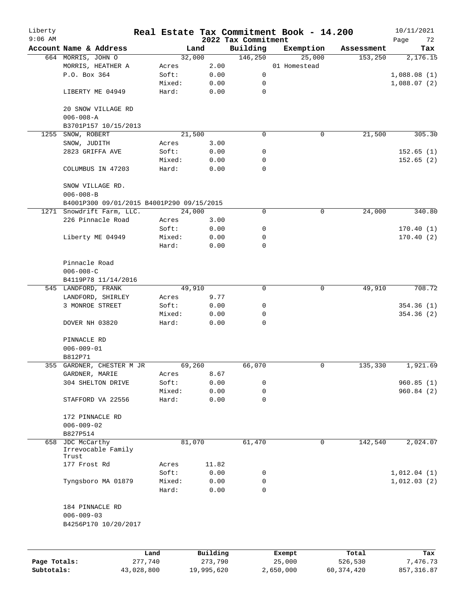| Liberty      |                                           |            |                |              |                     | Real Estate Tax Commitment Book - 14.200 |              | 10/11/2021  |
|--------------|-------------------------------------------|------------|----------------|--------------|---------------------|------------------------------------------|--------------|-------------|
| $9:06$ AM    |                                           |            |                |              | 2022 Tax Commitment |                                          |              | Page<br>72  |
|              | Account Name & Address                    |            |                | Land         | Building            | Exemption                                | Assessment   | Tax         |
|              | 664 MORRIS, JOHN O                        |            |                | 32,000       | 146,250             | 25,000                                   | 153,250      | 2,176.15    |
|              | MORRIS, HEATHER A<br>P.O. Box 364         |            | Acres<br>Soft: | 2.00         | $\mathbf 0$         | 01 Homestead                             |              |             |
|              |                                           |            | Mixed:         | 0.00         | 0                   |                                          |              | 1,088.08(1) |
|              |                                           |            | Hard:          | 0.00<br>0.00 | 0                   |                                          |              | 1,088.07(2) |
|              | LIBERTY ME 04949                          |            |                |              |                     |                                          |              |             |
|              | 20 SNOW VILLAGE RD                        |            |                |              |                     |                                          |              |             |
|              | $006 - 008 - A$                           |            |                |              |                     |                                          |              |             |
|              | B3701P157 10/15/2013                      |            |                |              |                     |                                          |              |             |
| 1255         | SNOW, ROBERT                              |            |                | 21,500       | 0                   | 0                                        | 21,500       | 305.30      |
|              | SNOW, JUDITH                              |            | Acres          | 3.00         |                     |                                          |              |             |
|              | 2823 GRIFFA AVE                           |            | Soft:          | 0.00         | 0                   |                                          |              | 152.65(1)   |
|              |                                           |            | Mixed:         | 0.00         | 0                   |                                          |              | 152.65(2)   |
|              | COLUMBUS IN 47203                         |            | Hard:          | 0.00         | $\Omega$            |                                          |              |             |
|              | SNOW VILLAGE RD.                          |            |                |              |                     |                                          |              |             |
|              | $006 - 008 - B$                           |            |                |              |                     |                                          |              |             |
|              | B4001P300 09/01/2015 B4001P290 09/15/2015 |            |                |              |                     |                                          |              |             |
|              | 1271 Snowdrift Farm, LLC.                 |            |                | 24,000       | 0                   | 0                                        | 24,000       | 340.80      |
|              | 226 Pinnacle Road                         |            | Acres          | 3.00         |                     |                                          |              |             |
|              |                                           |            | Soft:          | 0.00         | 0                   |                                          |              | 170.40(1)   |
|              | Liberty ME 04949                          |            | Mixed:         | 0.00         | 0                   |                                          |              | 170.40(2)   |
|              |                                           |            | Hard:          | 0.00         | 0                   |                                          |              |             |
|              |                                           |            |                |              |                     |                                          |              |             |
|              | Pinnacle Road                             |            |                |              |                     |                                          |              |             |
|              | $006 - 008 - C$                           |            |                |              |                     |                                          |              |             |
|              | B4119P78 11/14/2016                       |            |                |              |                     |                                          |              |             |
|              | 545 LANDFORD, FRANK                       |            |                | 49,910       | $\Omega$            | $\mathbf 0$                              | 49,910       | 708.72      |
|              | LANDFORD, SHIRLEY                         |            | Acres          | 9.77         |                     |                                          |              |             |
|              | 3 MONROE STREET                           |            | Soft:          | 0.00         | 0                   |                                          |              | 354.36(1)   |
|              |                                           |            | Mixed:         | 0.00         | 0                   |                                          |              | 354.36(2)   |
|              | DOVER NH 03820                            |            | Hard:          | 0.00         | $\Omega$            |                                          |              |             |
|              | PINNACLE RD                               |            |                |              |                     |                                          |              |             |
|              | $006 - 009 - 01$                          |            |                |              |                     |                                          |              |             |
|              | B812P71                                   |            |                |              |                     |                                          |              |             |
|              | 355 GARDNER, CHESTER M JR                 |            |                | 69,260       | 66,070              | 0                                        | 135,330      | 1,921.69    |
|              | GARDNER, MARIE                            |            | Acres          | 8.67         |                     |                                          |              |             |
|              | 304 SHELTON DRIVE                         |            | Soft:          | 0.00         | 0                   |                                          |              | 960.85(1)   |
|              |                                           |            | Mixed:         | 0.00         | 0                   |                                          |              | 960.84 (2)  |
|              | STAFFORD VA 22556                         |            | Hard:          | 0.00         | 0                   |                                          |              |             |
|              | 172 PINNACLE RD                           |            |                |              |                     |                                          |              |             |
|              | $006 - 009 - 02$                          |            |                |              |                     |                                          |              |             |
|              | B827P514                                  |            |                |              |                     |                                          |              |             |
| 658          | JDC McCarthy                              |            |                | 81,070       | 61,470              | 0                                        | 142,540      | 2,024.07    |
|              | Irrevocable Family<br>Trust               |            |                |              |                     |                                          |              |             |
|              | 177 Frost Rd                              |            | Acres          | 11.82        |                     |                                          |              |             |
|              |                                           |            | Soft:          | 0.00         | 0                   |                                          |              | 1,012.04(1) |
|              | Tyngsboro MA 01879                        |            | Mixed:         | 0.00         | 0                   |                                          |              | 1,012.03(2) |
|              |                                           |            | Hard:          | 0.00         | 0                   |                                          |              |             |
|              |                                           |            |                |              |                     |                                          |              |             |
|              | 184 PINNACLE RD<br>$006 - 009 - 03$       |            |                |              |                     |                                          |              |             |
|              | B4256P170 10/20/2017                      |            |                |              |                     |                                          |              |             |
|              |                                           |            |                |              |                     |                                          |              |             |
|              |                                           | Land       |                | Building     |                     | Exempt                                   | Total        | Tax         |
| Page Totals: |                                           | 277,740    |                | 273,790      |                     | 25,000                                   | 526,530      | 7,476.73    |
| Subtotals:   |                                           | 43,028,800 |                | 19,995,620   |                     | 2,650,000                                | 60, 374, 420 | 857, 316.87 |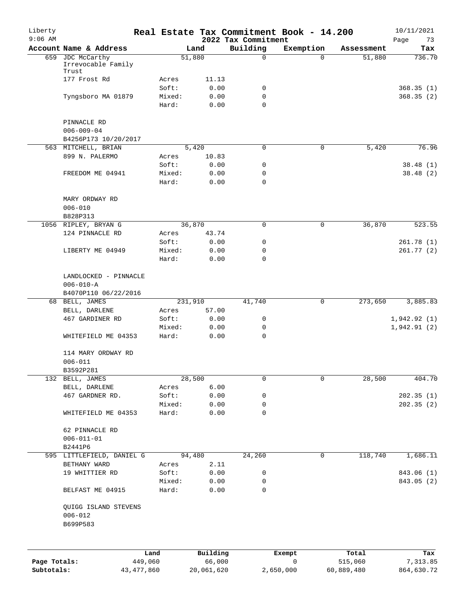| Liberty<br>$9:06$ AM       |                                                                  |                         |                 |                      | 2022 Tax Commitment | Real Estate Tax Commitment Book - 14.200 |                       | 10/11/2021<br>Page<br>73 |
|----------------------------|------------------------------------------------------------------|-------------------------|-----------------|----------------------|---------------------|------------------------------------------|-----------------------|--------------------------|
|                            | Account Name & Address                                           |                         |                 | Land                 | Building            | Exemption                                | Assessment            | Tax                      |
|                            | 659 JDC McCarthy<br>Irrevocable Family<br>Trust                  |                         |                 | 51,880               | $\mathsf{O}$        | $\Omega$                                 | 51,880                | 736.70                   |
|                            | 177 Frost Rd                                                     |                         | Acres           | 11.13                |                     |                                          |                       |                          |
|                            |                                                                  |                         | Soft:           | 0.00                 | 0                   |                                          |                       | 368.35(1)                |
|                            | Tyngsboro MA 01879                                               |                         | Mixed:          | 0.00                 | 0                   |                                          |                       | 368.35(2)                |
|                            |                                                                  |                         | Hard:           | 0.00                 | $\mathbf 0$         |                                          |                       |                          |
|                            | PINNACLE RD<br>$006 - 009 - 04$<br>B4256P173 10/20/2017          |                         |                 |                      |                     |                                          |                       |                          |
|                            | 563 MITCHELL, BRIAN                                              |                         |                 | 5,420                | 0                   | 0                                        | 5,420                 | 76.96                    |
|                            | 899 N. PALERMO                                                   |                         | Acres           | 10.83                |                     |                                          |                       |                          |
|                            |                                                                  |                         | Soft:           | 0.00                 | 0                   |                                          |                       | 38.48(1)                 |
|                            | FREEDOM ME 04941                                                 |                         | Mixed:          | 0.00                 | 0                   |                                          |                       | 38.48 (2)                |
|                            |                                                                  |                         | Hard:           | 0.00                 | $\mathbf 0$         |                                          |                       |                          |
|                            | MARY ORDWAY RD<br>$006 - 010$                                    |                         |                 |                      |                     |                                          |                       |                          |
|                            | B828P313                                                         |                         |                 |                      |                     |                                          |                       |                          |
|                            | 1056 RIPLEY, BRYAN G                                             |                         |                 | 36,870               | 0                   | 0                                        | 36,870                | 523.55                   |
|                            | 124 PINNACLE RD                                                  |                         | Acres           | 43.74                |                     |                                          |                       |                          |
|                            |                                                                  |                         | Soft:           | 0.00                 | 0                   |                                          |                       | 261.78(1)                |
|                            | LIBERTY ME 04949                                                 |                         | Mixed:          | 0.00                 | 0                   |                                          |                       | 261.77(2)                |
|                            |                                                                  |                         | Hard:           | 0.00                 | $\mathbf 0$         |                                          |                       |                          |
|                            | LANDLOCKED - PINNACLE<br>$006 - 010 - A$<br>B4070P110 06/22/2016 |                         |                 |                      |                     |                                          |                       |                          |
|                            | 68 BELL, JAMES                                                   |                         | 231,910         |                      | 41,740              | 0                                        | 273,650               | 3,885.83                 |
|                            | BELL, DARLENE                                                    |                         | Acres           | 57.00                |                     |                                          |                       |                          |
|                            | 467 GARDINER RD                                                  |                         | Soft:           | 0.00                 | 0                   |                                          |                       | 1,942.92(1)              |
|                            |                                                                  |                         | Mixed:          | 0.00                 | 0                   |                                          |                       | 1,942.91(2)              |
|                            | WHITEFIELD ME 04353                                              |                         | Hard:           | 0.00                 | $\mathbf 0$         |                                          |                       |                          |
|                            | 114 MARY ORDWAY RD<br>$006 - 011$<br>B3592P281                   |                         |                 |                      |                     |                                          |                       |                          |
|                            | 132 BELL, JAMES                                                  |                         |                 | 28,500               | 0                   | 0                                        | 28,500                | 404.70                   |
|                            | BELL, DARLENE                                                    |                         | Acres           | 6.00                 |                     |                                          |                       |                          |
|                            | 467 GARDNER RD.                                                  |                         | Soft:           | 0.00                 | 0                   |                                          |                       | 202.35(1)                |
|                            |                                                                  |                         | Mixed:          | 0.00                 | 0                   |                                          |                       | 202.35(2)                |
|                            | WHITEFIELD ME 04353                                              |                         | Hard:           | 0.00                 | 0                   |                                          |                       |                          |
|                            | 62 PINNACLE RD<br>$006 - 011 - 01$                               |                         |                 |                      |                     |                                          |                       |                          |
|                            | B2441P6                                                          |                         |                 |                      |                     |                                          |                       |                          |
|                            | 595 LITTLEFIELD, DANIEL G                                        |                         |                 | 94,480               | 24,260              | $\mathbf 0$                              | 118,740               | 1,686.11                 |
|                            | BETHANY WARD                                                     |                         | Acres           | 2.11                 |                     |                                          |                       |                          |
|                            | 19 WHITTIER RD                                                   |                         | Soft:           | 0.00                 | 0                   |                                          |                       | 843.06 (1)               |
|                            | BELFAST ME 04915                                                 |                         | Mixed:<br>Hard: | 0.00<br>0.00         | 0<br>0              |                                          |                       | 843.05 (2)               |
|                            |                                                                  |                         |                 |                      |                     |                                          |                       |                          |
|                            | QUIGG ISLAND STEVENS<br>$006 - 012$<br>B699P583                  |                         |                 |                      |                     |                                          |                       |                          |
|                            |                                                                  | Land                    |                 | Building             |                     | Exempt                                   | Total                 | Tax                      |
| Page Totals:<br>Subtotals: |                                                                  | 449,060<br>43, 477, 860 |                 | 66,000<br>20,061,620 |                     | 0<br>2,650,000                           | 515,060<br>60,889,480 | 7,313.85<br>864,630.72   |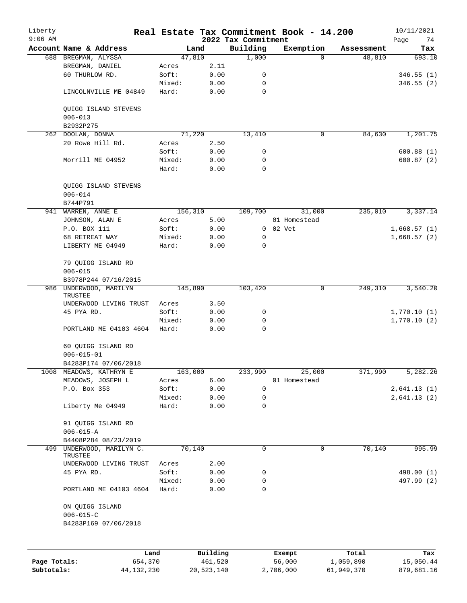| Liberty<br>$9:06$ AM |                                                            |        |            | 2022 Tax Commitment | Real Estate Tax Commitment Book - 14.200 |              |            | 10/11/2021<br>74 |
|----------------------|------------------------------------------------------------|--------|------------|---------------------|------------------------------------------|--------------|------------|------------------|
|                      | Account Name & Address                                     |        | Land       | Building            | Exemption                                |              | Assessment | Page<br>Tax      |
| 688                  | BREGMAN, ALYSSA                                            |        | 47,810     | 1,000               |                                          | $\Omega$     | 48,810     | 693.10           |
|                      | BREGMAN, DANIEL                                            | Acres  | 2.11       |                     |                                          |              |            |                  |
|                      | 60 THURLOW RD.                                             | Soft:  | 0.00       | 0                   |                                          |              |            | 346.55(1)        |
|                      |                                                            | Mixed: | 0.00       | 0                   |                                          |              |            | 346.55(2)        |
|                      | LINCOLNVILLE ME 04849                                      | Hard:  | 0.00       | $\mathbf 0$         |                                          |              |            |                  |
|                      |                                                            |        |            |                     |                                          |              |            |                  |
|                      | QUIGG ISLAND STEVENS<br>$006 - 013$                        |        |            |                     |                                          |              |            |                  |
|                      | B2932P275                                                  |        |            |                     |                                          |              |            |                  |
|                      | 262 DOOLAN, DONNA                                          |        | 71,220     | 13,410              |                                          | $\mathsf{O}$ | 84,630     | 1,201.75         |
|                      | 20 Rowe Hill Rd.                                           | Acres  | 2.50       |                     |                                          |              |            |                  |
|                      |                                                            |        |            |                     |                                          |              |            |                  |
|                      |                                                            | Soft:  | 0.00       | 0                   |                                          |              |            | 600.88(1)        |
|                      | Morrill ME 04952                                           | Mixed: | 0.00       | 0                   |                                          |              |            | 600.87(2)        |
|                      |                                                            | Hard:  | 0.00       | $\mathbf 0$         |                                          |              |            |                  |
|                      | QUIGG ISLAND STEVENS<br>$006 - 014$<br>B744P791            |        |            |                     |                                          |              |            |                  |
|                      | 941 WARREN, ANNE E                                         |        | 156,310    | 109,700             | 31,000                                   |              | 235,010    | 3,337.14         |
|                      | JOHNSON, ALAN E                                            | Acres  | 5.00       |                     | 01 Homestead                             |              |            |                  |
|                      |                                                            | Soft:  |            |                     | $0$ $02$ $Vet$                           |              |            |                  |
|                      | P.O. BOX 111                                               |        | 0.00       |                     |                                          |              |            | 1,668.57(1)      |
|                      | 68 RETREAT WAY                                             | Mixed: | 0.00       | 0                   |                                          |              |            | 1,668.57(2)      |
|                      | LIBERTY ME 04949                                           | Hard:  | 0.00       | 0                   |                                          |              |            |                  |
|                      | 79 QUIGG ISLAND RD<br>$006 - 015$                          |        |            |                     |                                          |              |            |                  |
|                      | B3978P244 07/16/2015                                       |        |            |                     |                                          |              |            |                  |
|                      | 986 UNDERWOOD, MARILYN<br>TRUSTEE                          |        | 145,890    | 103,420             |                                          | 0            | 249,310    | 3,540.20         |
|                      | UNDERWOOD LIVING TRUST                                     | Acres  | 3.50       |                     |                                          |              |            |                  |
|                      | 45 PYA RD.                                                 | Soft:  | 0.00       | 0                   |                                          |              |            | 1,770.10(1)      |
|                      |                                                            | Mixed: | 0.00       | 0                   |                                          |              |            | 1,770.10(2)      |
|                      | PORTLAND ME 04103 4604                                     | Hard:  | 0.00       | $\mathbf 0$         |                                          |              |            |                  |
|                      | 60 QUIGG ISLAND RD                                         |        |            |                     |                                          |              |            |                  |
|                      | $006 - 015 - 01$                                           |        |            |                     |                                          |              |            |                  |
|                      | B4283P174 07/06/2018                                       |        |            |                     |                                          |              |            |                  |
|                      | 1008 MEADOWS, KATHRYN E                                    |        | 163,000    | 233,990             | 25,000                                   |              | 371,990    | 5,282.26         |
|                      | MEADOWS, JOSEPH L                                          | Acres  | 6.00       |                     | 01 Homestead                             |              |            |                  |
|                      | P.O. Box 353                                               | Soft:  | 0.00       | 0                   |                                          |              |            | 2,641.13(1)      |
|                      |                                                            | Mixed: | 0.00       | 0                   |                                          |              |            | 2,641.13(2)      |
|                      | Liberty Me 04949                                           | Hard:  | 0.00       | 0                   |                                          |              |            |                  |
|                      |                                                            |        |            |                     |                                          |              |            |                  |
|                      | 91 QUIGG ISLAND RD                                         |        |            |                     |                                          |              |            |                  |
|                      | $006 - 015 - A$                                            |        |            |                     |                                          |              |            |                  |
|                      | B4408P284 08/23/2019                                       |        |            |                     |                                          |              |            |                  |
| 499                  | UNDERWOOD, MARILYN C.<br>TRUSTEE                           |        | 70,140     | 0                   |                                          | 0            | 70,140     | 995.99           |
|                      | UNDERWOOD LIVING TRUST                                     | Acres  | 2.00       |                     |                                          |              |            |                  |
|                      | 45 PYA RD.                                                 | Soft:  | 0.00       | 0                   |                                          |              |            | 498.00 (1)       |
|                      |                                                            | Mixed: | 0.00       | 0                   |                                          |              |            | 497.99 (2)       |
|                      | PORTLAND ME 04103 4604                                     | Hard:  | 0.00       | 0                   |                                          |              |            |                  |
|                      | ON QUIGG ISLAND<br>$006 - 015 - C$<br>B4283P169 07/06/2018 |        |            |                     |                                          |              |            |                  |
|                      |                                                            |        |            |                     |                                          |              |            |                  |
|                      | Land                                                       |        | Building   |                     | Exempt                                   |              | Total      | Tax              |
| Page Totals:         | 654,370                                                    |        | 461,520    |                     | 56,000                                   |              | 1,059,890  | 15,050.44        |
| Subtotals:           | 44, 132, 230                                               |        | 20,523,140 |                     | 2,706,000                                |              | 61,949,370 | 879,681.16       |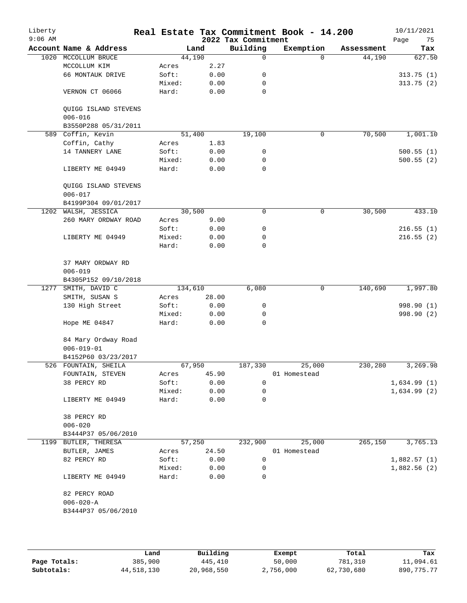| Liberty<br>$9:06$ AM |                                         |         |        | 2022 Tax Commitment | Real Estate Tax Commitment Book - 14.200 |            | 10/11/2021<br>Page<br>75 |
|----------------------|-----------------------------------------|---------|--------|---------------------|------------------------------------------|------------|--------------------------|
|                      | Account Name & Address                  |         | Land   | Building            | Exemption                                | Assessment | Tax                      |
| 1020                 | MCCOLLUM BRUCE                          |         | 44,190 | 0                   | $\Omega$                                 | 44,190     | 627.50                   |
|                      | MCCOLLUM KIM                            | Acres   | 2.27   |                     |                                          |            |                          |
|                      | 66 MONTAUK DRIVE                        | Soft:   | 0.00   | 0                   |                                          |            | 313.75(1)                |
|                      |                                         | Mixed:  | 0.00   | 0                   |                                          |            | 313.75(2)                |
|                      | VERNON CT 06066                         | Hard:   | 0.00   | $\mathbf 0$         |                                          |            |                          |
|                      | QUIGG ISLAND STEVENS<br>$006 - 016$     |         |        |                     |                                          |            |                          |
|                      | B3550P288 05/31/2011                    |         |        |                     |                                          |            |                          |
|                      | 589 Coffin, Kevin                       |         | 51,400 | 19,100              | $\mathbf 0$                              | 70,500     | 1,001.10                 |
|                      | Coffin, Cathy                           | Acres   | 1.83   |                     |                                          |            |                          |
|                      | 14 TANNERY LANE                         | Soft:   | 0.00   | 0                   |                                          |            | 500.55(1)                |
|                      |                                         | Mixed:  | 0.00   | 0                   |                                          |            | 500.55(2)                |
|                      | LIBERTY ME 04949                        | Hard:   | 0.00   | $\mathbf 0$         |                                          |            |                          |
|                      | QUIGG ISLAND STEVENS<br>$006 - 017$     |         |        |                     |                                          |            |                          |
|                      | B4199P304 09/01/2017                    |         |        |                     |                                          |            |                          |
|                      | 1202 WALSH, JESSICA                     |         | 30,500 | 0                   | 0                                        | 30,500     | 433.10                   |
|                      | 260 MARY ORDWAY ROAD                    | Acres   | 9.00   |                     |                                          |            |                          |
|                      |                                         | Soft:   | 0.00   | 0                   |                                          |            | 216.55(1)                |
|                      | LIBERTY ME 04949                        | Mixed:  | 0.00   | 0                   |                                          |            | 216.55(2)                |
|                      |                                         | Hard:   | 0.00   | 0                   |                                          |            |                          |
|                      | 37 MARY ORDWAY RD                       |         |        |                     |                                          |            |                          |
|                      | $006 - 019$                             |         |        |                     |                                          |            |                          |
|                      | B4305P152 09/10/2018                    |         |        |                     |                                          |            |                          |
|                      | 1277 SMITH, DAVID C                     | 134,610 |        | 6,080               | 0                                        | 140,690    | 1,997.80                 |
|                      | SMITH, SUSAN S                          | Acres   | 28.00  |                     |                                          |            |                          |
|                      | 130 High Street                         | Soft:   | 0.00   | 0                   |                                          |            | 998.90 (1)               |
|                      |                                         | Mixed:  | 0.00   | 0                   |                                          |            | 998.90 (2)               |
|                      | Hope ME 04847                           | Hard:   | 0.00   | 0                   |                                          |            |                          |
|                      | 84 Mary Ordway Road<br>$006 - 019 - 01$ |         |        |                     |                                          |            |                          |
|                      | B4152P60 03/23/2017                     |         |        |                     |                                          |            |                          |
|                      | 526 FOUNTAIN, SHEILA                    |         | 67,950 | 187,330             | 25,000                                   | 230,280    | 3,269.98                 |
|                      | FOUNTAIN, STEVEN                        | Acres   | 45.90  |                     | 01 Homestead                             |            |                          |
|                      | 38 PERCY RD                             | Soft:   | 0.00   | 0                   |                                          |            | 1,634.99(1)              |
|                      |                                         | Mixed:  | 0.00   | 0                   |                                          |            | 1,634.99(2)              |
|                      | LIBERTY ME 04949                        | Hard:   | 0.00   | 0                   |                                          |            |                          |
|                      | 38 PERCY RD<br>$006 - 020$              |         |        |                     |                                          |            |                          |
|                      | B3444P37 05/06/2010                     |         |        |                     |                                          |            |                          |
|                      | 1199 BUTLER, THERESA                    |         | 57,250 | 232,900             | 25,000                                   | 265,150    | 3,765.13                 |
|                      | BUTLER, JAMES                           | Acres   | 24.50  |                     | 01 Homestead                             |            |                          |
|                      | 82 PERCY RD                             | Soft:   | 0.00   | 0                   |                                          |            | 1,882.57(1)              |
|                      |                                         | Mixed:  | 0.00   | $\mathbf 0$         |                                          |            | 1,882.56(2)              |
|                      | LIBERTY ME 04949                        | Hard:   | 0.00   | 0                   |                                          |            |                          |
|                      | 82 PERCY ROAD                           |         |        |                     |                                          |            |                          |
|                      | $006 - 020 - A$                         |         |        |                     |                                          |            |                          |
|                      | B3444P37 05/06/2010                     |         |        |                     |                                          |            |                          |
|                      |                                         |         |        |                     |                                          |            |                          |
|                      |                                         |         |        |                     |                                          |            |                          |

|              | Land       | Building   | Exempt    | Total      | Tax        |
|--------------|------------|------------|-----------|------------|------------|
| Page Totals: | 385,900    | 445,410    | 50,000    | 781,310    | 11,094.61  |
| Subtotals:   | 44,518,130 | 20,968,550 | 2,756,000 | 62,730,680 | 890,775.77 |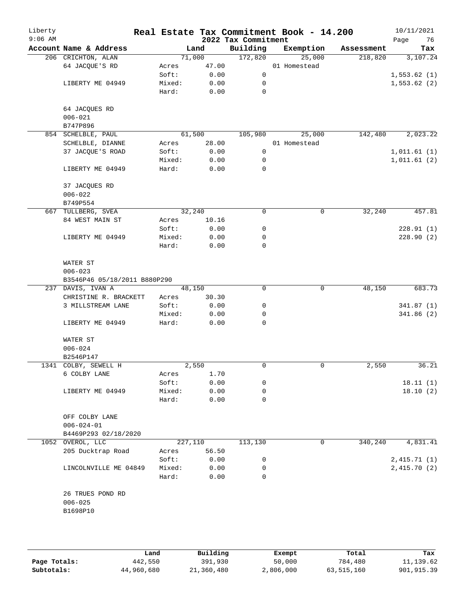| Liberty<br>$9:06$ AM |                              |        |         |       | 2022 Tax Commitment | Real Estate Tax Commitment Book - 14.200 |            | 10/11/2021<br>76<br>Page |
|----------------------|------------------------------|--------|---------|-------|---------------------|------------------------------------------|------------|--------------------------|
|                      | Account Name & Address       |        | Land    |       | Building            | Exemption                                | Assessment | Tax                      |
|                      | 206 CRICHTON, ALAN           |        | 71,000  |       | 172,820             | 25,000                                   | 218,820    | 3,107.24                 |
|                      | 64 JACQUE'S RD               | Acres  |         | 47.00 |                     | 01 Homestead                             |            |                          |
|                      |                              | Soft:  |         | 0.00  | $\mathsf{O}$        |                                          |            | 1,553.62(1)              |
|                      | LIBERTY ME 04949             | Mixed: |         | 0.00  | 0                   |                                          |            | 1,553.62(2)              |
|                      |                              | Hard:  |         | 0.00  | 0                   |                                          |            |                          |
|                      | 64 JACQUES RD                |        |         |       |                     |                                          |            |                          |
|                      | $006 - 021$                  |        |         |       |                     |                                          |            |                          |
|                      | B747P896                     |        |         |       |                     |                                          |            |                          |
|                      | 854 SCHELBLE, PAUL           |        | 61,500  |       | 105,980             | 25,000                                   | 142,480    | 2,023.22                 |
|                      | SCHELBLE, DIANNE             | Acres  |         | 28.00 |                     | 01 Homestead                             |            |                          |
|                      | 37 JACQUE'S ROAD             | Soft:  |         | 0.00  | 0                   |                                          |            | 1,011.61(1)              |
|                      |                              | Mixed: |         | 0.00  | 0                   |                                          |            | 1,011.61(2)              |
|                      | LIBERTY ME 04949             | Hard:  |         | 0.00  | 0                   |                                          |            |                          |
|                      | 37 JACQUES RD                |        |         |       |                     |                                          |            |                          |
|                      | $006 - 022$                  |        |         |       |                     |                                          |            |                          |
|                      | B749P554                     |        |         |       |                     |                                          |            |                          |
|                      | 667 TULLBERG, SVEA           |        | 32,240  |       | 0                   | 0                                        | 32,240     | 457.81                   |
|                      | 84 WEST MAIN ST              | Acres  |         | 10.16 |                     |                                          |            |                          |
|                      |                              | Soft:  |         | 0.00  | 0                   |                                          |            | 228.91(1)                |
|                      | LIBERTY ME 04949             | Mixed: |         | 0.00  | 0                   |                                          |            | 228.90(2)                |
|                      |                              | Hard:  |         | 0.00  | 0                   |                                          |            |                          |
|                      | WATER ST                     |        |         |       |                     |                                          |            |                          |
|                      | $006 - 023$                  |        |         |       |                     |                                          |            |                          |
|                      | B3546P46 05/18/2011 B880P290 |        |         |       |                     |                                          |            |                          |
|                      | 237 DAVIS, IVAN A            |        | 48,150  |       | 0                   | $\mathsf{O}$                             | 48,150     | 683.73                   |
|                      | CHRISTINE R. BRACKETT        | Acres  |         | 30.30 |                     |                                          |            |                          |
|                      | 3 MILLSTREAM LANE            | Soft:  |         | 0.00  | 0                   |                                          |            | 341.87(1)                |
|                      |                              | Mixed: |         | 0.00  | 0                   |                                          |            | 341.86(2)                |
|                      | LIBERTY ME 04949             | Hard:  |         | 0.00  | $\Omega$            |                                          |            |                          |
|                      | WATER ST                     |        |         |       |                     |                                          |            |                          |
|                      | $006 - 024$                  |        |         |       |                     |                                          |            |                          |
|                      | B2546P147                    |        |         |       |                     |                                          |            |                          |
|                      | 1341 COLBY, SEWELL H         |        | 2,550   |       | 0                   | 0                                        | 2,550      | 36.21                    |
|                      | 6 COLBY LANE                 | Acres  |         | 1.70  |                     |                                          |            |                          |
|                      |                              | Soft:  |         | 0.00  | 0                   |                                          |            | 18.11(1)                 |
|                      | LIBERTY ME 04949             | Mixed: |         | 0.00  | 0                   |                                          |            | 18.10(2)                 |
|                      |                              | Hard:  |         | 0.00  | 0                   |                                          |            |                          |
|                      | OFF COLBY LANE               |        |         |       |                     |                                          |            |                          |
|                      | $006 - 024 - 01$             |        |         |       |                     |                                          |            |                          |
|                      | B4469P293 02/18/2020         |        |         |       |                     |                                          |            |                          |
|                      | 1052 OVEROL, LLC             |        | 227,110 |       | 113,130             | 0                                        | 340,240    | 4,831.41                 |
|                      | 205 Ducktrap Road            | Acres  |         | 56.50 |                     |                                          |            |                          |
|                      |                              | Soft:  |         | 0.00  | 0                   |                                          |            | 2,415.71(1)              |
|                      | LINCOLNVILLE ME 04849        | Mixed: |         | 0.00  | 0                   |                                          |            | 2,415.70(2)              |
|                      |                              | Hard:  |         | 0.00  | $\Omega$            |                                          |            |                          |
|                      | 26 TRUES POND RD             |        |         |       |                     |                                          |            |                          |
|                      | $006 - 025$                  |        |         |       |                     |                                          |            |                          |
|                      | B1698P10                     |        |         |       |                     |                                          |            |                          |
|                      |                              |        |         |       |                     |                                          |            |                          |
|                      |                              |        |         |       |                     |                                          |            |                          |

|              | Land       | Building   | Exempt    | Total      | Tax         |
|--------------|------------|------------|-----------|------------|-------------|
| Page Totals: | 442,550    | 391,930    | 50,000    | 784,480    | 11, 139.62  |
| Subtotals:   | 44,960,680 | 21,360,480 | 2,806,000 | 63,515,160 | 901, 915.39 |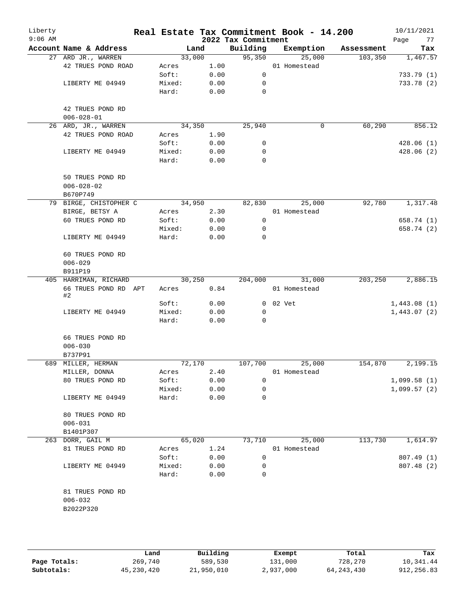| Account Name & Address<br>Building<br>Exemption<br>Land<br>Assessment<br>33,000<br>95,350<br>25,000<br>27 ARD JR., WARREN<br>103,350<br>42 TRUES POND ROAD<br>1.00<br>01 Homestead<br>Acres<br>0.00<br>$\mathbf 0$<br>Soft:<br>LIBERTY ME 04949<br>0.00<br>Mixed:<br>0<br>Hard:<br>0.00<br>0<br>42 TRUES POND RD<br>$006 - 028 - 01$<br>26 ARD, JR., WARREN<br>34,350<br>25,940<br>60,290<br>0<br>42 TRUES POND ROAD<br>1.90<br>Acres<br>0.00<br>Soft:<br>0<br>LIBERTY ME 04949<br>Mixed:<br>0.00<br>0<br>Hard:<br>0.00<br>0<br>50 TRUES POND RD<br>$006 - 028 - 02$<br>B670P749<br>79 BIRGE, CHISTOPHER C<br>34,950<br>82,830<br>25,000<br>92,780<br>2.30<br>BIRGE, BETSY A<br>01 Homestead<br>Acres<br>60 TRUES POND RD<br>0.00<br>$\mathsf{O}$<br>Soft:<br>Mixed:<br>0.00<br>0<br>$\mathbf 0$<br>LIBERTY ME 04949<br>Hard:<br>0.00<br>60 TRUES POND RD<br>$006 - 029$<br>B911P19<br>30,250<br>204,000<br>31,000<br>203,250<br>405 HARRIMAN, RICHARD<br>66 TRUES POND RD APT<br>0.84<br>01 Homestead<br>Acres<br>#2<br>0 02 Vet<br>Soft:<br>0.00<br>0.00<br>Mixed:<br>0<br>LIBERTY ME 04949<br>Hard:<br>0.00<br>0<br>66 TRUES POND RD<br>$006 - 030$<br>B737P91<br>689 MILLER, HERMAN<br>72,170<br>107,700<br>25,000<br>154,870<br>MILLER, DONNA<br>2.40<br>01 Homestead<br>Acres<br>0.00<br>80 TRUES POND RD<br>Soft:<br>0<br>0.00<br>Mixed:<br>0<br>LIBERTY ME 04949<br>Hard:<br>0.00<br>0<br>80 TRUES POND RD<br>$006 - 031$<br>B1401P307<br>113,730<br>263<br>DORR, GAIL M<br>65,020<br>73,710<br>25,000<br>81 TRUES POND RD<br>1.24<br>01 Homestead<br>Acres<br>Soft:<br>0.00<br>0 | Liberty<br>$9:06$ AM |                  |        |      | 2022 Tax Commitment | Real Estate Tax Commitment Book - 14.200 | 10/11/2021<br>77<br>Page |
|-------------------------------------------------------------------------------------------------------------------------------------------------------------------------------------------------------------------------------------------------------------------------------------------------------------------------------------------------------------------------------------------------------------------------------------------------------------------------------------------------------------------------------------------------------------------------------------------------------------------------------------------------------------------------------------------------------------------------------------------------------------------------------------------------------------------------------------------------------------------------------------------------------------------------------------------------------------------------------------------------------------------------------------------------------------------------------------------------------------------------------------------------------------------------------------------------------------------------------------------------------------------------------------------------------------------------------------------------------------------------------------------------------------------------------------------------------------------------------------------------------------------------------------------------------------------------------------------|----------------------|------------------|--------|------|---------------------|------------------------------------------|--------------------------|
|                                                                                                                                                                                                                                                                                                                                                                                                                                                                                                                                                                                                                                                                                                                                                                                                                                                                                                                                                                                                                                                                                                                                                                                                                                                                                                                                                                                                                                                                                                                                                                                           |                      |                  |        |      |                     |                                          | Tax                      |
|                                                                                                                                                                                                                                                                                                                                                                                                                                                                                                                                                                                                                                                                                                                                                                                                                                                                                                                                                                                                                                                                                                                                                                                                                                                                                                                                                                                                                                                                                                                                                                                           |                      |                  |        |      |                     |                                          | 1,467.57                 |
|                                                                                                                                                                                                                                                                                                                                                                                                                                                                                                                                                                                                                                                                                                                                                                                                                                                                                                                                                                                                                                                                                                                                                                                                                                                                                                                                                                                                                                                                                                                                                                                           |                      |                  |        |      |                     |                                          |                          |
|                                                                                                                                                                                                                                                                                                                                                                                                                                                                                                                                                                                                                                                                                                                                                                                                                                                                                                                                                                                                                                                                                                                                                                                                                                                                                                                                                                                                                                                                                                                                                                                           |                      |                  |        |      |                     |                                          | 733.79(1)                |
|                                                                                                                                                                                                                                                                                                                                                                                                                                                                                                                                                                                                                                                                                                                                                                                                                                                                                                                                                                                                                                                                                                                                                                                                                                                                                                                                                                                                                                                                                                                                                                                           |                      |                  |        |      |                     |                                          | 733.78 (2)               |
|                                                                                                                                                                                                                                                                                                                                                                                                                                                                                                                                                                                                                                                                                                                                                                                                                                                                                                                                                                                                                                                                                                                                                                                                                                                                                                                                                                                                                                                                                                                                                                                           |                      |                  |        |      |                     |                                          |                          |
|                                                                                                                                                                                                                                                                                                                                                                                                                                                                                                                                                                                                                                                                                                                                                                                                                                                                                                                                                                                                                                                                                                                                                                                                                                                                                                                                                                                                                                                                                                                                                                                           |                      |                  |        |      |                     |                                          |                          |
|                                                                                                                                                                                                                                                                                                                                                                                                                                                                                                                                                                                                                                                                                                                                                                                                                                                                                                                                                                                                                                                                                                                                                                                                                                                                                                                                                                                                                                                                                                                                                                                           |                      |                  |        |      |                     |                                          |                          |
|                                                                                                                                                                                                                                                                                                                                                                                                                                                                                                                                                                                                                                                                                                                                                                                                                                                                                                                                                                                                                                                                                                                                                                                                                                                                                                                                                                                                                                                                                                                                                                                           |                      |                  |        |      |                     |                                          | 856.12                   |
|                                                                                                                                                                                                                                                                                                                                                                                                                                                                                                                                                                                                                                                                                                                                                                                                                                                                                                                                                                                                                                                                                                                                                                                                                                                                                                                                                                                                                                                                                                                                                                                           |                      |                  |        |      |                     |                                          |                          |
|                                                                                                                                                                                                                                                                                                                                                                                                                                                                                                                                                                                                                                                                                                                                                                                                                                                                                                                                                                                                                                                                                                                                                                                                                                                                                                                                                                                                                                                                                                                                                                                           |                      |                  |        |      |                     |                                          | 428.06(1)                |
|                                                                                                                                                                                                                                                                                                                                                                                                                                                                                                                                                                                                                                                                                                                                                                                                                                                                                                                                                                                                                                                                                                                                                                                                                                                                                                                                                                                                                                                                                                                                                                                           |                      |                  |        |      |                     |                                          | 428.06(2)                |
|                                                                                                                                                                                                                                                                                                                                                                                                                                                                                                                                                                                                                                                                                                                                                                                                                                                                                                                                                                                                                                                                                                                                                                                                                                                                                                                                                                                                                                                                                                                                                                                           |                      |                  |        |      |                     |                                          |                          |
|                                                                                                                                                                                                                                                                                                                                                                                                                                                                                                                                                                                                                                                                                                                                                                                                                                                                                                                                                                                                                                                                                                                                                                                                                                                                                                                                                                                                                                                                                                                                                                                           |                      |                  |        |      |                     |                                          |                          |
|                                                                                                                                                                                                                                                                                                                                                                                                                                                                                                                                                                                                                                                                                                                                                                                                                                                                                                                                                                                                                                                                                                                                                                                                                                                                                                                                                                                                                                                                                                                                                                                           |                      |                  |        |      |                     |                                          |                          |
|                                                                                                                                                                                                                                                                                                                                                                                                                                                                                                                                                                                                                                                                                                                                                                                                                                                                                                                                                                                                                                                                                                                                                                                                                                                                                                                                                                                                                                                                                                                                                                                           |                      |                  |        |      |                     |                                          |                          |
|                                                                                                                                                                                                                                                                                                                                                                                                                                                                                                                                                                                                                                                                                                                                                                                                                                                                                                                                                                                                                                                                                                                                                                                                                                                                                                                                                                                                                                                                                                                                                                                           |                      |                  |        |      |                     |                                          | 1,317.48                 |
|                                                                                                                                                                                                                                                                                                                                                                                                                                                                                                                                                                                                                                                                                                                                                                                                                                                                                                                                                                                                                                                                                                                                                                                                                                                                                                                                                                                                                                                                                                                                                                                           |                      |                  |        |      |                     |                                          |                          |
|                                                                                                                                                                                                                                                                                                                                                                                                                                                                                                                                                                                                                                                                                                                                                                                                                                                                                                                                                                                                                                                                                                                                                                                                                                                                                                                                                                                                                                                                                                                                                                                           |                      |                  |        |      |                     |                                          | 658.74 (1)               |
|                                                                                                                                                                                                                                                                                                                                                                                                                                                                                                                                                                                                                                                                                                                                                                                                                                                                                                                                                                                                                                                                                                                                                                                                                                                                                                                                                                                                                                                                                                                                                                                           |                      |                  |        |      |                     |                                          | 658.74 (2)               |
|                                                                                                                                                                                                                                                                                                                                                                                                                                                                                                                                                                                                                                                                                                                                                                                                                                                                                                                                                                                                                                                                                                                                                                                                                                                                                                                                                                                                                                                                                                                                                                                           |                      |                  |        |      |                     |                                          |                          |
|                                                                                                                                                                                                                                                                                                                                                                                                                                                                                                                                                                                                                                                                                                                                                                                                                                                                                                                                                                                                                                                                                                                                                                                                                                                                                                                                                                                                                                                                                                                                                                                           |                      |                  |        |      |                     |                                          |                          |
|                                                                                                                                                                                                                                                                                                                                                                                                                                                                                                                                                                                                                                                                                                                                                                                                                                                                                                                                                                                                                                                                                                                                                                                                                                                                                                                                                                                                                                                                                                                                                                                           |                      |                  |        |      |                     |                                          |                          |
|                                                                                                                                                                                                                                                                                                                                                                                                                                                                                                                                                                                                                                                                                                                                                                                                                                                                                                                                                                                                                                                                                                                                                                                                                                                                                                                                                                                                                                                                                                                                                                                           |                      |                  |        |      |                     |                                          |                          |
|                                                                                                                                                                                                                                                                                                                                                                                                                                                                                                                                                                                                                                                                                                                                                                                                                                                                                                                                                                                                                                                                                                                                                                                                                                                                                                                                                                                                                                                                                                                                                                                           |                      |                  |        |      |                     |                                          | 2,886.15                 |
|                                                                                                                                                                                                                                                                                                                                                                                                                                                                                                                                                                                                                                                                                                                                                                                                                                                                                                                                                                                                                                                                                                                                                                                                                                                                                                                                                                                                                                                                                                                                                                                           |                      |                  |        |      |                     |                                          |                          |
|                                                                                                                                                                                                                                                                                                                                                                                                                                                                                                                                                                                                                                                                                                                                                                                                                                                                                                                                                                                                                                                                                                                                                                                                                                                                                                                                                                                                                                                                                                                                                                                           |                      |                  |        |      |                     |                                          | 1,443.08(1)              |
|                                                                                                                                                                                                                                                                                                                                                                                                                                                                                                                                                                                                                                                                                                                                                                                                                                                                                                                                                                                                                                                                                                                                                                                                                                                                                                                                                                                                                                                                                                                                                                                           |                      |                  |        |      |                     |                                          | 1,443.07(2)              |
|                                                                                                                                                                                                                                                                                                                                                                                                                                                                                                                                                                                                                                                                                                                                                                                                                                                                                                                                                                                                                                                                                                                                                                                                                                                                                                                                                                                                                                                                                                                                                                                           |                      |                  |        |      |                     |                                          |                          |
|                                                                                                                                                                                                                                                                                                                                                                                                                                                                                                                                                                                                                                                                                                                                                                                                                                                                                                                                                                                                                                                                                                                                                                                                                                                                                                                                                                                                                                                                                                                                                                                           |                      |                  |        |      |                     |                                          |                          |
|                                                                                                                                                                                                                                                                                                                                                                                                                                                                                                                                                                                                                                                                                                                                                                                                                                                                                                                                                                                                                                                                                                                                                                                                                                                                                                                                                                                                                                                                                                                                                                                           |                      |                  |        |      |                     |                                          |                          |
|                                                                                                                                                                                                                                                                                                                                                                                                                                                                                                                                                                                                                                                                                                                                                                                                                                                                                                                                                                                                                                                                                                                                                                                                                                                                                                                                                                                                                                                                                                                                                                                           |                      |                  |        |      |                     |                                          |                          |
|                                                                                                                                                                                                                                                                                                                                                                                                                                                                                                                                                                                                                                                                                                                                                                                                                                                                                                                                                                                                                                                                                                                                                                                                                                                                                                                                                                                                                                                                                                                                                                                           |                      |                  |        |      |                     |                                          | 2,199.15                 |
|                                                                                                                                                                                                                                                                                                                                                                                                                                                                                                                                                                                                                                                                                                                                                                                                                                                                                                                                                                                                                                                                                                                                                                                                                                                                                                                                                                                                                                                                                                                                                                                           |                      |                  |        |      |                     |                                          |                          |
|                                                                                                                                                                                                                                                                                                                                                                                                                                                                                                                                                                                                                                                                                                                                                                                                                                                                                                                                                                                                                                                                                                                                                                                                                                                                                                                                                                                                                                                                                                                                                                                           |                      |                  |        |      |                     |                                          | 1,099.58(1)              |
|                                                                                                                                                                                                                                                                                                                                                                                                                                                                                                                                                                                                                                                                                                                                                                                                                                                                                                                                                                                                                                                                                                                                                                                                                                                                                                                                                                                                                                                                                                                                                                                           |                      |                  |        |      |                     |                                          | 1,099.57(2)              |
|                                                                                                                                                                                                                                                                                                                                                                                                                                                                                                                                                                                                                                                                                                                                                                                                                                                                                                                                                                                                                                                                                                                                                                                                                                                                                                                                                                                                                                                                                                                                                                                           |                      |                  |        |      |                     |                                          |                          |
|                                                                                                                                                                                                                                                                                                                                                                                                                                                                                                                                                                                                                                                                                                                                                                                                                                                                                                                                                                                                                                                                                                                                                                                                                                                                                                                                                                                                                                                                                                                                                                                           |                      |                  |        |      |                     |                                          |                          |
|                                                                                                                                                                                                                                                                                                                                                                                                                                                                                                                                                                                                                                                                                                                                                                                                                                                                                                                                                                                                                                                                                                                                                                                                                                                                                                                                                                                                                                                                                                                                                                                           |                      |                  |        |      |                     |                                          |                          |
|                                                                                                                                                                                                                                                                                                                                                                                                                                                                                                                                                                                                                                                                                                                                                                                                                                                                                                                                                                                                                                                                                                                                                                                                                                                                                                                                                                                                                                                                                                                                                                                           |                      |                  |        |      |                     |                                          |                          |
|                                                                                                                                                                                                                                                                                                                                                                                                                                                                                                                                                                                                                                                                                                                                                                                                                                                                                                                                                                                                                                                                                                                                                                                                                                                                                                                                                                                                                                                                                                                                                                                           |                      |                  |        |      |                     |                                          | 1,614.97                 |
|                                                                                                                                                                                                                                                                                                                                                                                                                                                                                                                                                                                                                                                                                                                                                                                                                                                                                                                                                                                                                                                                                                                                                                                                                                                                                                                                                                                                                                                                                                                                                                                           |                      |                  |        |      |                     |                                          |                          |
|                                                                                                                                                                                                                                                                                                                                                                                                                                                                                                                                                                                                                                                                                                                                                                                                                                                                                                                                                                                                                                                                                                                                                                                                                                                                                                                                                                                                                                                                                                                                                                                           |                      |                  |        |      |                     |                                          | 807.49 (1)               |
|                                                                                                                                                                                                                                                                                                                                                                                                                                                                                                                                                                                                                                                                                                                                                                                                                                                                                                                                                                                                                                                                                                                                                                                                                                                                                                                                                                                                                                                                                                                                                                                           |                      | LIBERTY ME 04949 | Mixed: | 0.00 | 0                   |                                          | 807.48 (2)               |
| Hard:<br>0.00<br>0                                                                                                                                                                                                                                                                                                                                                                                                                                                                                                                                                                                                                                                                                                                                                                                                                                                                                                                                                                                                                                                                                                                                                                                                                                                                                                                                                                                                                                                                                                                                                                        |                      |                  |        |      |                     |                                          |                          |
| 81 TRUES POND RD                                                                                                                                                                                                                                                                                                                                                                                                                                                                                                                                                                                                                                                                                                                                                                                                                                                                                                                                                                                                                                                                                                                                                                                                                                                                                                                                                                                                                                                                                                                                                                          |                      |                  |        |      |                     |                                          |                          |
| $006 - 032$                                                                                                                                                                                                                                                                                                                                                                                                                                                                                                                                                                                                                                                                                                                                                                                                                                                                                                                                                                                                                                                                                                                                                                                                                                                                                                                                                                                                                                                                                                                                                                               |                      |                  |        |      |                     |                                          |                          |
| B2022P320                                                                                                                                                                                                                                                                                                                                                                                                                                                                                                                                                                                                                                                                                                                                                                                                                                                                                                                                                                                                                                                                                                                                                                                                                                                                                                                                                                                                                                                                                                                                                                                 |                      |                  |        |      |                     |                                          |                          |
|                                                                                                                                                                                                                                                                                                                                                                                                                                                                                                                                                                                                                                                                                                                                                                                                                                                                                                                                                                                                                                                                                                                                                                                                                                                                                                                                                                                                                                                                                                                                                                                           |                      |                  |        |      |                     |                                          |                          |
|                                                                                                                                                                                                                                                                                                                                                                                                                                                                                                                                                                                                                                                                                                                                                                                                                                                                                                                                                                                                                                                                                                                                                                                                                                                                                                                                                                                                                                                                                                                                                                                           |                      |                  |        |      |                     |                                          |                          |

|              | Land         | Building   | Exempt    | Total        | Tax        |
|--------------|--------------|------------|-----------|--------------|------------|
| Page Totals: | 269,740      | 589,530    | 131,000   | 728,270      | 10,341.44  |
| Subtotals:   | 45, 230, 420 | 21,950,010 | 2,937,000 | 64, 243, 430 | 912,256.83 |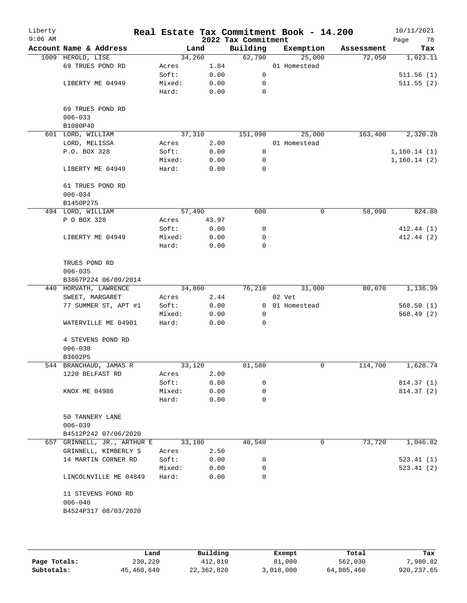| Liberty<br>$9:06$ AM |                             |        |        | 2022 Tax Commitment | Real Estate Tax Commitment Book - 14.200 |            | 10/11/2021<br>78<br>Page |
|----------------------|-----------------------------|--------|--------|---------------------|------------------------------------------|------------|--------------------------|
|                      | Account Name & Address      |        | Land   | Building            | Exemption                                | Assessment | Tax                      |
|                      | 1009 HEROLD, LISE           |        | 34,260 | 62,790              | 25,000                                   | 72,050     | 1,023.11                 |
|                      | 69 TRUES POND RD            | Acres  | 1.84   |                     | 01 Homestead                             |            |                          |
|                      |                             | Soft:  | 0.00   | $\mathbf 0$         |                                          |            | 511.56(1)                |
|                      | LIBERTY ME 04949            | Mixed: | 0.00   | 0                   |                                          |            | 511.55(2)                |
|                      |                             | Hard:  | 0.00   | 0                   |                                          |            |                          |
|                      | 69 TRUES POND RD            |        |        |                     |                                          |            |                          |
|                      | $006 - 033$                 |        |        |                     |                                          |            |                          |
|                      | B1080P40                    |        |        |                     |                                          |            |                          |
|                      | 601 LORD, WILLIAM           |        | 37,310 | 151,090             | 25,000                                   | 163,400    | 2,320.28                 |
|                      | LORD, MELISSA               | Acres  | 2.00   |                     | 01 Homestead                             |            |                          |
|                      | P.O. BOX 328                | Soft:  | 0.00   | 0                   |                                          |            | 1,160.14(1)              |
|                      |                             | Mixed: | 0.00   | 0                   |                                          |            | 1,160.14(2)              |
|                      | LIBERTY ME 04949            | Hard:  | 0.00   | 0                   |                                          |            |                          |
|                      | 61 TRUES POND RD            |        |        |                     |                                          |            |                          |
|                      | $006 - 034$                 |        |        |                     |                                          |            |                          |
|                      | B1450P275                   |        |        |                     |                                          |            |                          |
|                      | 494 LORD, WILLIAM           |        | 57,490 | 600                 | 0                                        | 58,090     | 824.88                   |
|                      | P O BOX 328                 | Acres  | 43.97  |                     |                                          |            |                          |
|                      |                             | Soft:  | 0.00   | 0                   |                                          |            | 412.44(1)                |
|                      | LIBERTY ME 04949            | Mixed: | 0.00   | 0                   |                                          |            | 412.44(2)                |
|                      |                             | Hard:  | 0.00   | $\mathbf 0$         |                                          |            |                          |
|                      |                             |        |        |                     |                                          |            |                          |
|                      | TRUES POND RD               |        |        |                     |                                          |            |                          |
|                      | $006 - 035$                 |        |        |                     |                                          |            |                          |
|                      | B3867P224 06/09/2014        |        |        |                     |                                          |            |                          |
|                      | 440 HORVATH, LAWRENCE       |        | 34,860 | 76,210              | 31,000                                   | 80,070     | 1,136.99                 |
|                      | SWEET, MARGARET             | Acres  | 2.44   |                     | 02 Vet                                   |            |                          |
|                      | 77 SUMMER ST, APT #1        | Soft:  | 0.00   |                     | 0 01 Homestead                           |            | 568.50(1)                |
|                      |                             | Mixed: | 0.00   | 0                   |                                          |            | 568.49(2)                |
|                      | WATERVILLE ME 04901         | Hard:  | 0.00   | $\Omega$            |                                          |            |                          |
|                      | 4 STEVENS POND RD           |        |        |                     |                                          |            |                          |
|                      | $006 - 038$                 |        |        |                     |                                          |            |                          |
|                      | B3602P5                     |        |        |                     |                                          |            |                          |
|                      | 544 BRANCHAUD, JAMAS R      |        | 33,120 | 81,580              | 0                                        | 114,700    | 1,628.74                 |
|                      | 1220 BELFAST RD             | Acres  | 2.00   |                     |                                          |            |                          |
|                      |                             | Soft:  | 0.00   | 0                   |                                          |            | 814.37 (1)               |
|                      | KNOX ME 04986               | Mixed: | 0.00   | 0                   |                                          |            | 814.37 (2)               |
|                      |                             | Hard:  | 0.00   | 0                   |                                          |            |                          |
|                      | 50 TANNERY LANE             |        |        |                     |                                          |            |                          |
|                      | $006 - 039$                 |        |        |                     |                                          |            |                          |
|                      | B4512P242 07/06/2020        |        |        |                     |                                          |            |                          |
|                      | 657 GRINNELL, JR., ARTHUR E |        | 33,180 | 40,540              | $\mathbf 0$                              | 73,720     | 1,046.82                 |
|                      | GRINNELL, KIMBERLY S        | Acres  | 2.50   |                     |                                          |            |                          |
|                      | 14 MARTIN CORNER RD         | Soft:  | 0.00   | 0                   |                                          |            | 523.41(1)                |
|                      |                             | Mixed: | 0.00   | 0                   |                                          |            | 523.41(2)                |
|                      | LINCOLNVILLE ME 04849       | Hard:  | 0.00   | 0                   |                                          |            |                          |
|                      |                             |        |        |                     |                                          |            |                          |
|                      | 11 STEVENS POND RD          |        |        |                     |                                          |            |                          |
|                      | $006 - 040$                 |        |        |                     |                                          |            |                          |
|                      | B4524P317 08/03/2020        |        |        |                     |                                          |            |                          |
|                      |                             |        |        |                     |                                          |            |                          |
|                      |                             |        |        |                     |                                          |            |                          |

|              | Land       | Building   | Exempt    | Total      | Tax         |
|--------------|------------|------------|-----------|------------|-------------|
| Page Totals: | 230,220    | 412,810    | 81,000    | 562,030    | 7,980.82    |
| Subtotals:   | 45,460,640 | 22,362,820 | 3,018,000 | 64,805,460 | 920, 237.65 |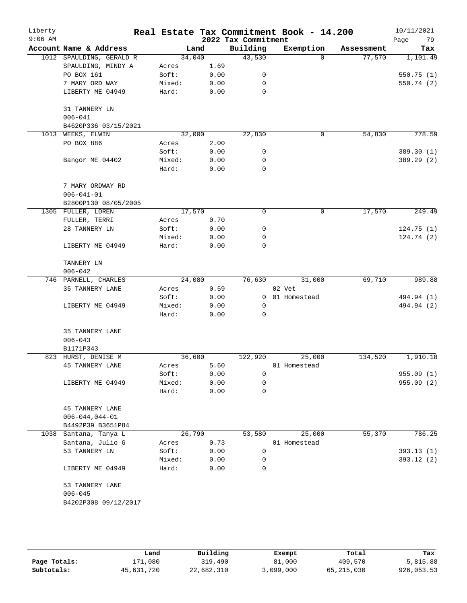| Liberty<br>$9:06$ AM |                                |                 |              | 2022 Tax Commitment | Real Estate Tax Commitment Book - 14.200 |            | 10/11/2021<br>79<br>Page |
|----------------------|--------------------------------|-----------------|--------------|---------------------|------------------------------------------|------------|--------------------------|
|                      | Account Name & Address         |                 | Land         | Building            | Exemption                                | Assessment | Tax                      |
|                      | 1012 SPAULDING, GERALD R       | 34,040          |              | 43,530              | $\Omega$                                 | 77,570     | 1,101.49                 |
|                      | SPAULDING, MINDY A             | Acres           | 1.69         |                     |                                          |            |                          |
|                      | PO BOX 161                     | Soft:           | 0.00         | 0                   |                                          |            | 550.75(1)                |
|                      | 7 MARY ORD WAY                 | Mixed:          | 0.00         | 0                   |                                          |            | 550.74 (2)               |
|                      | LIBERTY ME 04949               | Hard:           | 0.00         | 0                   |                                          |            |                          |
|                      | 31 TANNERY LN<br>$006 - 041$   |                 |              |                     |                                          |            |                          |
|                      | B4620P336 03/15/2021           |                 |              |                     |                                          |            |                          |
|                      | 1013 WEEKS, ELWIN              | 32,000          |              | 22,830              | $\mathbf 0$                              | 54,830     | 778.59                   |
|                      | PO BOX 886                     | Acres           | 2.00         |                     |                                          |            |                          |
|                      |                                | Soft:           | 0.00         | 0                   |                                          |            | 389.30 (1)               |
|                      | Bangor ME 04402                | Mixed:<br>Hard: | 0.00<br>0.00 | 0<br>0              |                                          |            | 389.29 (2)               |
|                      | 7 MARY ORDWAY RD               |                 |              |                     |                                          |            |                          |
|                      | $006 - 041 - 01$               |                 |              |                     |                                          |            |                          |
|                      | B2800P130 08/05/2005           |                 |              |                     |                                          |            |                          |
|                      | 1305 FULLER, LOREN             | 17,570          |              | 0                   | $\mathbf 0$                              | 17,570     | 249.49                   |
|                      | FULLER, TERRI                  | Acres           | 0.70         |                     |                                          |            |                          |
|                      | 28 TANNERY LN                  | Soft:           | 0.00         | 0                   |                                          |            | 124.75(1)                |
|                      |                                | Mixed:          | 0.00         | 0                   |                                          |            | 124.74(2)                |
|                      | LIBERTY ME 04949               | Hard:           | 0.00         | 0                   |                                          |            |                          |
|                      | TANNERY LN                     |                 |              |                     |                                          |            |                          |
|                      | $006 - 042$                    |                 |              |                     |                                          |            |                          |
|                      | 746 PARNELL, CHARLES           | 24,080          |              | 76,630              | 31,000                                   | 69,710     | 989.88                   |
|                      | 35 TANNERY LANE                | Acres           | 0.59         |                     | 02 Vet                                   |            |                          |
|                      |                                | Soft:           | 0.00         | $\mathbf 0$         | 01 Homestead                             |            | 494.94 (1)               |
|                      | LIBERTY ME 04949               | Mixed:<br>Hard: | 0.00<br>0.00 | 0<br>0              |                                          |            | 494.94 (2)               |
|                      | 35 TANNERY LANE                |                 |              |                     |                                          |            |                          |
|                      | $006 - 043$                    |                 |              |                     |                                          |            |                          |
|                      | B1171P343                      |                 |              |                     |                                          |            |                          |
|                      | 823 HURST, DENISE M            | 36,600          |              | 122,920             | 25,000                                   | 134,520    | 1,910.18                 |
|                      | <b>45 TANNERY LANE</b>         | Acres           | 5.60         |                     | 01 Homestead                             |            |                          |
|                      |                                | Soft:           | 0.00         | 0                   |                                          |            | 955.09 (1)               |
|                      | LIBERTY ME 04949               | Mixed:          | 0.00         | 0                   |                                          |            | 955.09 (2)               |
|                      |                                | Hard:           | 0.00         | 0                   |                                          |            |                          |
|                      | <b>45 TANNERY LANE</b>         |                 |              |                     |                                          |            |                          |
|                      | $006 - 044, 044 - 01$          |                 |              |                     |                                          |            |                          |
|                      | B4492P39 B3651P84              |                 |              |                     |                                          |            |                          |
|                      | 1038 Santana, Tanya L          | 26,790          |              | 53,580              | 25,000                                   | 55,370     | 786.25                   |
|                      | Santana, Julio G               | Acres           | 0.73         |                     | 01 Homestead                             |            |                          |
|                      | 53 TANNERY LN                  | Soft:           | 0.00         | 0                   |                                          |            | 393.13(1)                |
|                      |                                | Mixed:          | 0.00         | 0                   |                                          |            | 393.12(2)                |
|                      | LIBERTY ME 04949               | Hard:           | 0.00         | 0                   |                                          |            |                          |
|                      | 53 TANNERY LANE<br>$006 - 045$ |                 |              |                     |                                          |            |                          |
|                      | B4202P308 09/12/2017           |                 |              |                     |                                          |            |                          |
|                      |                                |                 |              |                     |                                          |            |                          |

|              | Land       | Building   | Exempt    | Total      | Tax        |
|--------------|------------|------------|-----------|------------|------------|
| Page Totals: | 171,080    | 319,490    | 81,000    | 409,570    | 5,815.88   |
| Subtotals:   | 45,631,720 | 22,682,310 | 3,099,000 | 65,215,030 | 926,053.53 |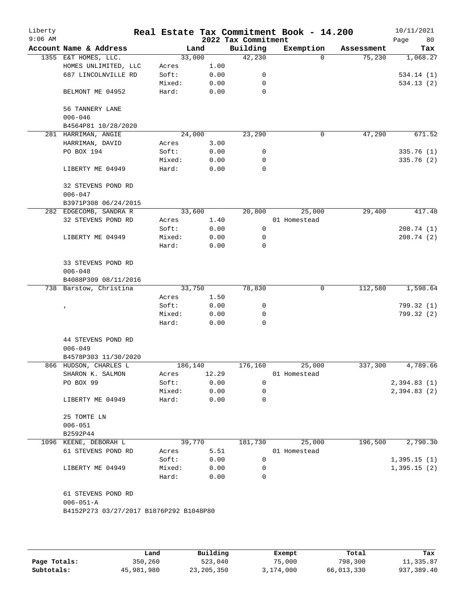| Liberty<br>$9:06$ AM |                                         |         |        | 2022 Tax Commitment | Real Estate Tax Commitment Book - 14.200 |            | 10/11/2021<br>Page<br>80 |
|----------------------|-----------------------------------------|---------|--------|---------------------|------------------------------------------|------------|--------------------------|
|                      | Account Name & Address                  |         | Land   | Building            | Exemption                                | Assessment | Tax                      |
|                      | 1355 E&T HOMES, LLC.                    |         | 33,000 | 42,230              | $\Omega$                                 | 75,230     | 1,068.27                 |
|                      | HOMES UNLIMITED, LLC                    | Acres   | 1.00   |                     |                                          |            |                          |
|                      | 687 LINCOLNVILLE RD                     | Soft:   | 0.00   | 0                   |                                          |            | 534.14(1)                |
|                      |                                         | Mixed:  | 0.00   | 0                   |                                          |            | 534.13(2)                |
|                      | BELMONT ME 04952                        | Hard:   | 0.00   | 0                   |                                          |            |                          |
|                      | 56 TANNERY LANE<br>$006 - 046$          |         |        |                     |                                          |            |                          |
|                      | B4564P81 10/28/2020                     |         |        |                     |                                          |            |                          |
|                      | 281 HARRIMAN, ANGIE                     |         | 24,000 | 23,290              | 0                                        | 47,290     | 671.52                   |
|                      | HARRIMAN, DAVID                         | Acres   | 3.00   |                     |                                          |            |                          |
|                      | PO BOX 194                              | Soft:   | 0.00   | 0                   |                                          |            | 335.76(1)                |
|                      |                                         | Mixed:  | 0.00   | 0                   |                                          |            | 335.76 (2)               |
|                      | LIBERTY ME 04949                        | Hard:   | 0.00   | $\mathbf 0$         |                                          |            |                          |
|                      | 32 STEVENS POND RD<br>$006 - 047$       |         |        |                     |                                          |            |                          |
|                      | B3971P308 06/24/2015                    |         |        |                     |                                          |            |                          |
|                      | 282 EDGECOMB, SANDRA R                  |         | 33,600 | 20,800              | 25,000                                   | 29,400     | 417.48                   |
|                      | 32 STEVENS POND RD                      | Acres   | 1.40   |                     | 01 Homestead                             |            |                          |
|                      |                                         | Soft:   | 0.00   | 0                   |                                          |            | 208.74(1)                |
|                      | LIBERTY ME 04949                        | Mixed:  | 0.00   | 0                   |                                          |            | 208.74(2)                |
|                      |                                         | Hard:   | 0.00   | $\mathbf 0$         |                                          |            |                          |
|                      | 33 STEVENS POND RD<br>$006 - 048$       |         |        |                     |                                          |            |                          |
|                      | B4088P309 08/11/2016                    |         |        |                     |                                          |            |                          |
|                      | 738 Barstow, Christina                  |         | 33,750 | 78,830              | 0                                        | 112,580    | 1,598.64                 |
|                      |                                         | Acres   | 1.50   |                     |                                          |            |                          |
|                      | $\pmb{\prime}$                          | Soft:   | 0.00   | 0                   |                                          |            | 799.32 (1)               |
|                      |                                         | Mixed:  | 0.00   | 0                   |                                          |            | 799.32 (2)               |
|                      |                                         | Hard:   | 0.00   | 0                   |                                          |            |                          |
|                      | 44 STEVENS POND RD<br>$006 - 049$       |         |        |                     |                                          |            |                          |
|                      | B4578P303 11/30/2020                    |         |        |                     |                                          |            |                          |
|                      | 866 HUDSON, CHARLES L                   | 186,140 |        | 176,160             | 25,000                                   | 337,300    | 4,789.66                 |
|                      | SHARON K. SALMON                        | Acres   | 12.29  |                     | 01 Homestead                             |            |                          |
|                      | PO BOX 99                               | Soft:   | 0.00   | $\mathbf 0$         |                                          |            | 2,394.83(1)              |
|                      |                                         | Mixed:  | 0.00   | 0                   |                                          |            | 2,394.83(2)              |
|                      | LIBERTY ME 04949                        | Hard:   | 0.00   | 0                   |                                          |            |                          |
|                      | 25 TOMTE LN<br>$006 - 051$              |         |        |                     |                                          |            |                          |
|                      | B2592P44                                |         |        |                     |                                          |            |                          |
|                      | 1096 KEENE, DEBORAH L                   |         | 39,770 | 181,730             | 25,000                                   | 196,500    | 2,790.30                 |
|                      | 61 STEVENS POND RD                      | Acres   | 5.51   |                     | 01 Homestead                             |            |                          |
|                      |                                         | Soft:   | 0.00   | 0                   |                                          |            | 1,395.15(1)              |
|                      | LIBERTY ME 04949                        | Mixed:  | 0.00   | 0                   |                                          |            | 1,395.15(2)              |
|                      |                                         | Hard:   | 0.00   | $\Omega$            |                                          |            |                          |
|                      | 61 STEVENS POND RD<br>$006 - 051 - A$   |         |        |                     |                                          |            |                          |
|                      | B4152P273 03/27/2017 B1876P292 B1048P80 |         |        |                     |                                          |            |                          |

|              | Land       | Building     | Exempt    | Total      | Tax        |
|--------------|------------|--------------|-----------|------------|------------|
| Page Totals: | 350,260    | 523,040      | 75,000    | 798,300    | 11,335.87  |
| Subtotals:   | 45,981,980 | 23, 205, 350 | 3,174,000 | 66,013,330 | 937,389.40 |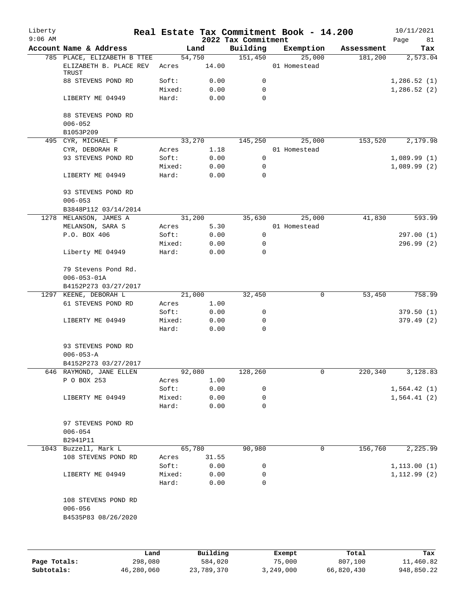| Liberty<br>$9:06$ AM |                                                       |                 |                 | 2022 Tax Commitment | Real Estate Tax Commitment Book - 14.200 |            | 10/11/2021<br>81<br>Page |
|----------------------|-------------------------------------------------------|-----------------|-----------------|---------------------|------------------------------------------|------------|--------------------------|
|                      | Account Name & Address                                |                 | Land            | Building            | Exemption                                | Assessment | Tax                      |
|                      | 785 PLACE, ELIZABETH B TTEE<br>ELIZABETH B. PLACE REV | Acres           | 54,750<br>14.00 | 151,450             | 25,000<br>01 Homestead                   | 181,200    | 2,573.04                 |
|                      | TRUST<br>88 STEVENS POND RD                           | Soft:           | 0.00            | 0                   |                                          |            | 1,286.52(1)              |
|                      | LIBERTY ME 04949                                      | Mixed:<br>Hard: | 0.00<br>0.00    | 0<br>$\Omega$       |                                          |            | 1,286.52(2)              |
|                      | 88 STEVENS POND RD<br>$006 - 052$                     |                 |                 |                     |                                          |            |                          |
|                      | B1053P209                                             |                 |                 |                     |                                          |            |                          |
|                      | 495 CYR, MICHAEL F                                    |                 | 33,270          | 145,250             | 25,000                                   | 153,520    | 2,179.98                 |
|                      | CYR, DEBORAH R                                        | Acres           | 1.18            |                     | 01 Homestead                             |            |                          |
|                      | 93 STEVENS POND RD                                    | Soft:           | 0.00            | $\mathbf 0$         |                                          |            | 1,089.99(1)              |
|                      |                                                       | Mixed:          | 0.00            | 0                   |                                          |            | 1,089.99(2)              |
|                      | LIBERTY ME 04949                                      | Hard:           | 0.00            | $\mathbf 0$         |                                          |            |                          |
|                      | 93 STEVENS POND RD<br>$006 - 053$                     |                 |                 |                     |                                          |            |                          |
|                      | B3848P112 03/14/2014                                  |                 |                 |                     |                                          |            |                          |
|                      | 1278 MELANSON, JAMES A                                |                 | 31,200          | 35,630              | 25,000                                   | 41,830     | 593.99                   |
|                      | MELANSON, SARA S                                      | Acres           | 5.30            |                     | 01 Homestead                             |            |                          |
|                      | P.O. BOX 406                                          | Soft:           | 0.00            | 0                   |                                          |            | 297.00(1)                |
|                      |                                                       | Mixed:          | 0.00            | 0                   |                                          |            | 296.99 (2)               |
|                      | Liberty ME 04949                                      | Hard:           | 0.00            | $\Omega$            |                                          |            |                          |
|                      | 79 Stevens Pond Rd.<br>$006 - 053 - 01A$              |                 |                 |                     |                                          |            |                          |
|                      | B4152P273 03/27/2017                                  |                 |                 |                     |                                          |            |                          |
|                      | 1297 KEENE, DEBORAH L                                 |                 | 21,000          | 32,450              | 0                                        | 53,450     | 758.99                   |
|                      | 61 STEVENS POND RD                                    | Acres           | 1.00            |                     |                                          |            |                          |
|                      |                                                       | Soft:           | 0.00            | 0                   |                                          |            | 379.50(1)                |
|                      | LIBERTY ME 04949                                      | Mixed:          | 0.00            | 0                   |                                          |            | 379.49(2)                |
|                      |                                                       | Hard:           | 0.00            | $\mathbf 0$         |                                          |            |                          |
|                      | 93 STEVENS POND RD<br>$006 - 053 - A$                 |                 |                 |                     |                                          |            |                          |
|                      | B4152P273 03/27/2017                                  |                 |                 |                     |                                          |            |                          |
|                      | 646 RAYMOND, JANE ELLEN                               |                 | 92,080          | 128,260             | 0                                        | 220,340    | 3,128.83                 |
|                      | P O BOX 253                                           | Acres           | 1.00            |                     |                                          |            |                          |
|                      |                                                       | Soft:           | 0.00            | 0                   |                                          |            | 1,564.42(1)              |
|                      | LIBERTY ME 04949                                      | Mixed:          | 0.00            | 0                   |                                          |            | 1,564.41(2)              |
|                      |                                                       | Hard:           | 0.00            | $\mathbf 0$         |                                          |            |                          |
|                      | 97 STEVENS POND RD<br>$006 - 054$                     |                 |                 |                     |                                          |            |                          |
|                      | B2941P11                                              |                 |                 |                     |                                          |            |                          |
|                      | 1043 Buzzell, Mark L                                  |                 | 65,780          | 90,980              | 0                                        | 156,760    | 2,225.99                 |
|                      | 108 STEVENS POND RD                                   | Acres           | 31.55           |                     |                                          |            |                          |
|                      |                                                       | Soft:           | 0.00            | 0                   |                                          |            | 1, 113.00(1)             |
|                      | LIBERTY ME 04949                                      | Mixed:          | 0.00            | 0                   |                                          |            | 1, 112.99(2)             |
|                      |                                                       | Hard:           | 0.00            | $\Omega$            |                                          |            |                          |
|                      | 108 STEVENS POND RD<br>$006 - 056$                    |                 |                 |                     |                                          |            |                          |
|                      | B4535P83 08/26/2020                                   |                 |                 |                     |                                          |            |                          |
|                      |                                                       |                 |                 |                     |                                          |            |                          |
|                      |                                                       |                 |                 |                     |                                          |            |                          |

|              | Land       | Building   | Exempt    | Total      | Tax        |
|--------------|------------|------------|-----------|------------|------------|
| Page Totals: | 298,080    | 584,020    | 75,000    | 807,100    | 11,460.82  |
| Subtotals:   | 46,280,060 | 23,789,370 | 3,249,000 | 66,820,430 | 948,850.22 |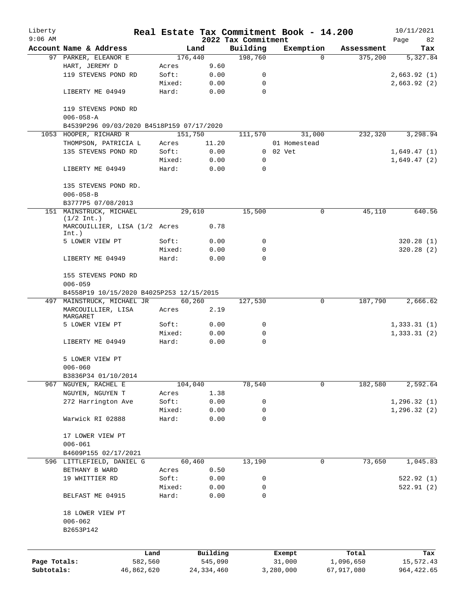| Liberty      |                                                 |        |              |                     | Real Estate Tax Commitment Book - 14.200 |          |            | 10/11/2021   |
|--------------|-------------------------------------------------|--------|--------------|---------------------|------------------------------------------|----------|------------|--------------|
| $9:06$ AM    |                                                 |        |              | 2022 Tax Commitment |                                          |          |            | Page<br>82   |
|              | Account Name & Address                          |        | Land         | Building            | Exemption                                |          | Assessment | Tax          |
|              | 97 PARKER, ELEANOR E                            |        | 176,440      | 198,760             |                                          | $\Omega$ | 375,200    | 5,327.84     |
|              | HART, JEREMY D<br>119 STEVENS POND RD           | Acres  | 9.60         | 0                   |                                          |          |            |              |
|              |                                                 | Soft:  | 0.00         | 0                   |                                          |          |            | 2,663.92(1)  |
|              |                                                 | Mixed: | 0.00         | 0                   |                                          |          |            | 2,663.92(2)  |
|              | LIBERTY ME 04949                                | Hard:  | 0.00         |                     |                                          |          |            |              |
|              | 119 STEVENS POND RD<br>$006 - 058 - A$          |        |              |                     |                                          |          |            |              |
|              | B4539P296 09/03/2020 B4518P159 07/17/2020       |        |              |                     |                                          |          |            |              |
|              | 1053 HOOPER, RICHARD R                          |        | 151,750      | 111,570             |                                          | 31,000   | 232,320    | 3,298.94     |
|              | THOMPSON, PATRICIA L                            | Acres  | 11.20        |                     | 01 Homestead                             |          |            |              |
|              | 135 STEVENS POND RD                             | Soft:  | 0.00         |                     | $0$ $02$ $Vet$                           |          |            | 1,649.47(1)  |
|              |                                                 | Mixed: | 0.00         | 0                   |                                          |          |            | 1,649.47(2)  |
|              | LIBERTY ME 04949                                | Hard:  | 0.00         | 0                   |                                          |          |            |              |
|              | 135 STEVENS POND RD.                            |        |              |                     |                                          |          |            |              |
|              | $006 - 058 - B$                                 |        |              |                     |                                          |          |            |              |
|              | B3777P5 07/08/2013                              |        |              |                     |                                          |          |            |              |
|              | 151 MAINSTRUCK, MICHAEL<br>$(1/2 \text{ Int.})$ |        | 29,610       | 15,500              |                                          | 0        | 45,110     | 640.56       |
|              | MARCOUILLIER, LISA (1/2 Acres<br>Int.)          |        | 0.78         |                     |                                          |          |            |              |
|              | 5 LOWER VIEW PT                                 | Soft:  | 0.00         | 0                   |                                          |          |            | 320.28(1)    |
|              |                                                 | Mixed: | 0.00         | 0                   |                                          |          |            | 320.28(2)    |
|              | LIBERTY ME 04949                                | Hard:  | 0.00         | $\Omega$            |                                          |          |            |              |
|              |                                                 |        |              |                     |                                          |          |            |              |
|              | 155 STEVENS POND RD                             |        |              |                     |                                          |          |            |              |
|              | $006 - 059$                                     |        |              |                     |                                          |          |            |              |
|              | B4558P19 10/15/2020 B4025P253 12/15/2015        |        |              |                     |                                          |          |            |              |
|              | 497 MAINSTRUCK, MICHAEL JR                      |        | 60,260       | 127,530             |                                          | 0        | 187,790    | 2,666.62     |
|              | MARCOUILLIER, LISA<br>MARGARET                  | Acres  | 2.19         |                     |                                          |          |            |              |
|              | 5 LOWER VIEW PT                                 | Soft:  | 0.00         | 0                   |                                          |          |            | 1,333.31(1)  |
|              |                                                 | Mixed: | 0.00         | 0                   |                                          |          |            | 1, 333.31(2) |
|              | LIBERTY ME 04949                                | Hard:  | 0.00         | $\mathbf 0$         |                                          |          |            |              |
|              | 5 LOWER VIEW PT                                 |        |              |                     |                                          |          |            |              |
|              | $006 - 060$                                     |        |              |                     |                                          |          |            |              |
|              | B3836P34 01/10/2014                             |        |              |                     |                                          |          |            |              |
|              | 967 NGUYEN, RACHEL E                            |        | 104,040      | 78,540              |                                          | 0        | 182,580    | 2,592.64     |
|              | NGUYEN, NGUYEN T                                | Acres  | 1.38         |                     |                                          |          |            |              |
|              | 272 Harrington Ave                              | Soft:  | 0.00         | 0                   |                                          |          |            | 1, 296.32(1) |
|              |                                                 | Mixed: | 0.00         | 0                   |                                          |          |            | 1, 296.32(2) |
|              | Warwick RI 02888                                | Hard:  | 0.00         | $\mathbf 0$         |                                          |          |            |              |
|              |                                                 |        |              |                     |                                          |          |            |              |
|              | 17 LOWER VIEW PT                                |        |              |                     |                                          |          |            |              |
|              | $006 - 061$                                     |        |              |                     |                                          |          |            |              |
|              | B4609P155 02/17/2021                            |        |              |                     |                                          |          |            |              |
|              | 596 LITTLEFIELD, DANIEL G                       |        | 60,460       | 13,190              |                                          | 0        | 73,650     | 1,045.83     |
|              | BETHANY B WARD                                  | Acres  | 0.50         |                     |                                          |          |            |              |
|              | 19 WHITTIER RD                                  | Soft:  | 0.00         | 0                   |                                          |          |            | 522.92(1)    |
|              |                                                 | Mixed: | 0.00         | 0<br>$\mathbf 0$    |                                          |          |            | 522.91(2)    |
|              | BELFAST ME 04915                                | Hard:  | 0.00         |                     |                                          |          |            |              |
|              | 18 LOWER VIEW PT                                |        |              |                     |                                          |          |            |              |
|              | $006 - 062$                                     |        |              |                     |                                          |          |            |              |
|              | B2653P142                                       |        |              |                     |                                          |          |            |              |
|              |                                                 |        |              |                     |                                          |          |            |              |
|              | Land                                            |        | Building     |                     | Exempt                                   |          | Total      | Tax          |
| Page Totals: | 582,560                                         |        | 545,090      |                     | 31,000                                   |          | 1,096,650  | 15,572.43    |
| Subtotals:   | 46,862,620                                      |        | 24, 334, 460 |                     | 3,280,000                                |          | 67,917,080 | 964, 422.65  |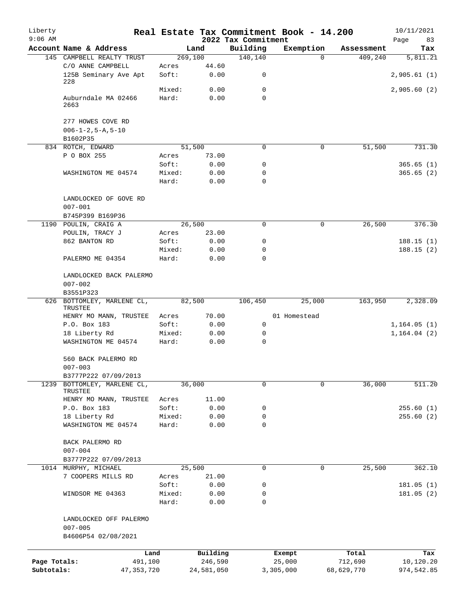| Liberty<br>$9:06$ AM |                                                               |                 |               | 2022 Tax Commitment | Real Estate Tax Commitment Book - 14.200 |            | 10/11/2021<br>83<br>Page |
|----------------------|---------------------------------------------------------------|-----------------|---------------|---------------------|------------------------------------------|------------|--------------------------|
|                      | Account Name & Address                                        |                 | Land          | Building            | Exemption                                | Assessment | Tax                      |
|                      | 145 CAMPBELL REALTY TRUST                                     |                 | 269,100       | 140, 140            | $\Omega$                                 | 409,240    | 5,811.21                 |
|                      | C/O ANNE CAMPBELL<br>125B Seminary Ave Apt                    | Acres<br>Soft:  | 44.60<br>0.00 | 0                   |                                          |            | 2,905.61(1)              |
|                      | 228                                                           | Mixed:          | 0.00          | $\mathbf 0$         |                                          |            | 2,905.60(2)              |
|                      | Auburndale MA 02466<br>2663                                   | Hard:           | 0.00          | $\Omega$            |                                          |            |                          |
|                      | 277 HOWES COVE RD<br>$006 - 1 - 2, 5 - A, 5 - 10$<br>B1602P35 |                 |               |                     |                                          |            |                          |
|                      | 834 ROTCH, EDWARD                                             |                 | 51,500        | 0                   | 0                                        | 51,500     | 731.30                   |
|                      | P O BOX 255                                                   | Acres           | 73.00         |                     |                                          |            |                          |
|                      |                                                               | Soft:           | 0.00          | 0                   |                                          |            | 365.65(1)                |
|                      | WASHINGTON ME 04574                                           | Mixed:          | 0.00          | 0                   |                                          |            | 365.65(2)                |
|                      |                                                               | Hard:           | 0.00          | $\mathbf 0$         |                                          |            |                          |
|                      | LANDLOCKED OF GOVE RD<br>$007 - 001$                          |                 |               |                     |                                          |            |                          |
|                      | B745P399 B169P36                                              |                 |               |                     |                                          |            |                          |
|                      | 1190 POULIN, CRAIG A                                          |                 | 26,500        | $\mathbf 0$         | 0                                        | 26,500     | 376.30                   |
|                      | POULIN, TRACY J                                               | Acres           | 23.00         |                     |                                          |            |                          |
|                      | 862 BANTON RD                                                 | Soft:           | 0.00          | 0                   |                                          |            | 188.15(1)                |
|                      |                                                               | Mixed:          | 0.00          | 0                   |                                          |            | 188.15(2)                |
|                      | PALERMO ME 04354                                              | Hard:           | 0.00          | $\Omega$            |                                          |            |                          |
|                      | LANDLOCKED BACK PALERMO                                       |                 |               |                     |                                          |            |                          |
|                      | $007 - 002$                                                   |                 |               |                     |                                          |            |                          |
|                      | B3551P323                                                     |                 |               |                     |                                          |            |                          |
|                      | 626 BOTTOMLEY, MARLENE CL,<br>TRUSTEE                         |                 | 82,500        | 106,450             | 25,000                                   | 163,950    | 2,328.09                 |
|                      | HENRY MO MANN, TRUSTEE                                        | Acres           | 70.00         |                     | 01 Homestead                             |            |                          |
|                      | P.O. Box 183                                                  | Soft:           | 0.00          | 0                   |                                          |            | 1, 164.05(1)             |
|                      | 18 Liberty Rd                                                 | Mixed:          | 0.00          | 0                   |                                          |            | 1, 164.04(2)             |
|                      | WASHINGTON ME 04574                                           | Hard:           | 0.00          | $\mathbf 0$         |                                          |            |                          |
|                      | 560 BACK PALERMO RD<br>$007 - 003$                            |                 |               |                     |                                          |            |                          |
|                      | B3777P222 07/09/2013                                          |                 |               |                     |                                          |            |                          |
|                      | 1239 BOTTOMLEY, MARLENE CL,<br>TRUSTEE                        |                 | 36,000        | $\Omega$            | 0                                        | 36,000     | 511.20                   |
|                      | HENRY MO MANN, TRUSTEE                                        | Acres           | 11.00         |                     |                                          |            |                          |
|                      | P.O. Box 183                                                  | Soft:           | 0.00          | 0                   |                                          |            | 255.60(1)                |
|                      | 18 Liberty Rd                                                 | Mixed:          | 0.00          | 0                   |                                          |            | 255.60(2)                |
|                      | WASHINGTON ME 04574                                           | Hard:           | 0.00          | $\mathbf 0$         |                                          |            |                          |
|                      | BACK PALERMO RD<br>$007 - 004$                                |                 |               |                     |                                          |            |                          |
|                      | B3777P222 07/09/2013                                          |                 |               |                     |                                          |            |                          |
| 1014                 | MURPHY, MICHAEL                                               |                 | 25,500        | $\mathbf 0$         | 0                                        | 25,500     | 362.10                   |
|                      | 7 COOPERS MILLS RD                                            | Acres           | 21.00         |                     |                                          |            |                          |
|                      |                                                               | Soft:           | 0.00          | 0                   |                                          |            | 181.05(1)                |
|                      | WINDSOR ME 04363                                              | Mixed:<br>Hard: | 0.00<br>0.00  | 0<br>$\mathbf 0$    |                                          |            | 181.05(2)                |
|                      | LANDLOCKED OFF PALERMO                                        |                 |               |                     |                                          |            |                          |
|                      | $007 - 005$                                                   |                 |               |                     |                                          |            |                          |
|                      | B4606P54 02/08/2021                                           |                 |               |                     |                                          |            |                          |
|                      |                                                               | Land            | Building      |                     | Exempt                                   | Total      | Tax                      |
| Page Totals:         | 491,100                                                       |                 | 246,590       |                     | 25,000                                   | 712,690    | 10,120.20                |
| Subtotals:           | 47, 353, 720                                                  |                 | 24,581,050    |                     | 3,305,000                                | 68,629,770 | 974,542.85               |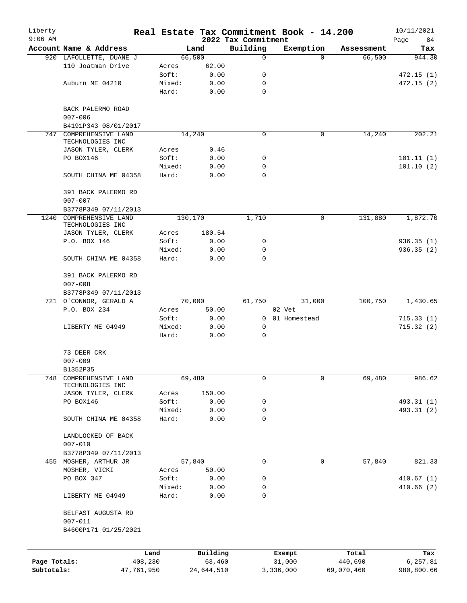| Liberty<br>$9:06$ AM |                                        |                 |              | 2022 Tax Commitment | Real Estate Tax Commitment Book - 14.200 |            | 10/11/2021<br>Page<br>84 |
|----------------------|----------------------------------------|-----------------|--------------|---------------------|------------------------------------------|------------|--------------------------|
|                      | Account Name & Address                 |                 | Land         | Building            | Exemption                                | Assessment | Tax                      |
|                      | 920 LAFOLLETTE, DUANE J                |                 | 66,500       | $\mathbf 0$         | $\Omega$                                 | 66,500     | 944.30                   |
|                      | 110 Joatman Drive                      | Acres           | 62.00        |                     |                                          |            |                          |
|                      |                                        | Soft:           | 0.00         | 0                   |                                          |            | 472.15(1)                |
|                      | Auburn ME 04210                        | Mixed:          | 0.00         | 0                   |                                          |            | 472.15(2)                |
|                      |                                        | Hard:           | 0.00         | $\mathbf 0$         |                                          |            |                          |
|                      | BACK PALERMO ROAD                      |                 |              |                     |                                          |            |                          |
|                      | $007 - 006$                            |                 |              |                     |                                          |            |                          |
|                      | B4191P343 08/01/2017                   |                 |              |                     |                                          |            |                          |
| 747                  | COMPREHENSIVE LAND                     |                 | 14,240       | 0                   | 0                                        | 14,240     | 202.21                   |
|                      | TECHNOLOGIES INC<br>JASON TYLER, CLERK | Acres           | 0.46         |                     |                                          |            |                          |
|                      | PO BOX146                              | Soft:           | 0.00         | 0                   |                                          |            | 101.11(1)                |
|                      |                                        | Mixed:          | 0.00         | 0                   |                                          |            | 101.10(2)                |
|                      | SOUTH CHINA ME 04358                   | Hard:           | 0.00         | 0                   |                                          |            |                          |
|                      | 391 BACK PALERMO RD                    |                 |              |                     |                                          |            |                          |
|                      | $007 - 007$                            |                 |              |                     |                                          |            |                          |
|                      | B3778P349 07/11/2013                   |                 |              |                     |                                          |            |                          |
| 1240                 | COMPREHENSIVE LAND<br>TECHNOLOGIES INC |                 | 130,170      | 1,710               | $\mathbf 0$                              | 131,880    | 1,872.70                 |
|                      | JASON TYLER, CLERK                     | Acres           | 180.54       |                     |                                          |            |                          |
|                      | P.O. BOX 146                           | Soft:           | 0.00         | 0                   |                                          |            | 936.35(1)                |
|                      |                                        | Mixed:          | 0.00         | 0                   |                                          |            | 936.35(2)                |
|                      | SOUTH CHINA ME 04358                   | Hard:           | 0.00         | $\Omega$            |                                          |            |                          |
|                      | 391 BACK PALERMO RD                    |                 |              |                     |                                          |            |                          |
|                      | $007 - 008$                            |                 |              |                     |                                          |            |                          |
|                      | B3778P349 07/11/2013                   |                 |              |                     |                                          |            |                          |
|                      | 721 O'CONNOR, GERALD A                 |                 | 70,000       | 61,750              | 31,000                                   | 100,750    | 1,430.65                 |
|                      | P.O. BOX 234                           | Acres           | 50.00        |                     | 02 Vet                                   |            |                          |
|                      | LIBERTY ME 04949                       | Soft:<br>Mixed: | 0.00<br>0.00 | 0                   | 0 01 Homestead                           |            | 715.33(1)<br>715.32(2)   |
|                      |                                        | Hard:           | 0.00         | 0                   |                                          |            |                          |
|                      | 73 DEER CRK                            |                 |              |                     |                                          |            |                          |
|                      | $007 - 009$                            |                 |              |                     |                                          |            |                          |
|                      | B1352P35                               |                 |              |                     |                                          |            |                          |
| 748                  | COMPREHENSIVE LAND                     |                 | 69,480       | 0                   | $\mathbf 0$                              | 69,480     | 986.62                   |
|                      | TECHNOLOGIES INC<br>JASON TYLER, CLERK | Acres           | 150.00       |                     |                                          |            |                          |
|                      | PO BOX146                              | Soft:           | 0.00         | 0                   |                                          |            | 493.31 (1)               |
|                      |                                        | Mixed:          | 0.00         | 0                   |                                          |            | 493.31 (2)               |
|                      | SOUTH CHINA ME 04358                   | Hard:           | 0.00         | $\mathbf 0$         |                                          |            |                          |
|                      | LANDLOCKED OF BACK                     |                 |              |                     |                                          |            |                          |
|                      | $007 - 010$                            |                 |              |                     |                                          |            |                          |
|                      | B3778P349 07/11/2013                   |                 |              |                     |                                          |            |                          |
|                      | 455 MOSHER, ARTHUR JR                  |                 | 57,840       | 0                   | 0                                        | 57,840     | 821.33                   |
|                      | MOSHER, VICKI                          | Acres           | 50.00        |                     |                                          |            |                          |
|                      | PO BOX 347                             | Soft:           | 0.00         | 0                   |                                          |            | 410.67(1)                |
|                      |                                        | Mixed:          | 0.00         | 0                   |                                          |            | 410.66(2)                |
|                      | LIBERTY ME 04949                       | Hard:           | 0.00         | 0                   |                                          |            |                          |
|                      | BELFAST AUGUSTA RD                     |                 |              |                     |                                          |            |                          |
|                      | $007 - 011$                            |                 |              |                     |                                          |            |                          |
|                      | B4600P171 01/25/2021                   |                 |              |                     |                                          |            |                          |
|                      | Land                                   |                 | Building     |                     | Exempt                                   | Total      | Tax                      |
| Page Totals:         | 408,230                                |                 | 63,460       |                     | 31,000                                   | 440,690    | 6,257.81                 |
| Subtotals:           | 47,761,950                             |                 | 24,644,510   |                     | 3,336,000                                | 69,070,460 | 980,800.66               |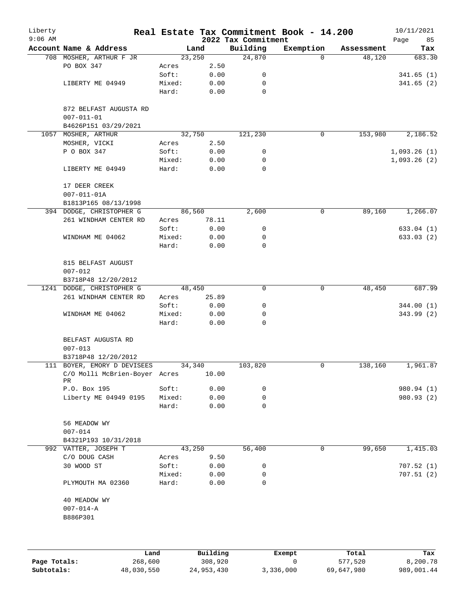| Liberty<br>$9:06$ AM |                                            |        |        | 2022 Tax Commitment | Real Estate Tax Commitment Book - 14.200 |            | 10/11/2021<br>Page<br>85 |
|----------------------|--------------------------------------------|--------|--------|---------------------|------------------------------------------|------------|--------------------------|
|                      | Account Name & Address                     |        | Land   | Building            | Exemption                                | Assessment | Tax                      |
|                      | 708 MOSHER, ARTHUR F JR                    |        | 23,250 | 24,870              | $\Omega$                                 | 48,120     | 683.30                   |
|                      | PO BOX 347                                 | Acres  | 2.50   |                     |                                          |            |                          |
|                      |                                            | Soft:  | 0.00   | 0                   |                                          |            | 341.65(1)                |
|                      | LIBERTY ME 04949                           | Mixed: | 0.00   | 0                   |                                          |            | 341.65(2)                |
|                      |                                            | Hard:  | 0.00   | $\mathbf 0$         |                                          |            |                          |
|                      | 872 BELFAST AUGUSTA RD<br>$007 - 011 - 01$ |        |        |                     |                                          |            |                          |
|                      | B4626P151 03/29/2021                       |        |        |                     |                                          |            |                          |
|                      | 1057 MOSHER, ARTHUR                        |        | 32,750 | 121,230             | $\mathbf 0$                              | 153,980    | 2,186.52                 |
|                      | MOSHER, VICKI                              | Acres  | 2.50   |                     |                                          |            |                          |
|                      | P O BOX 347                                | Soft:  | 0.00   | 0                   |                                          |            | 1,093.26(1)              |
|                      |                                            | Mixed: | 0.00   | 0                   |                                          |            | 1,093.26(2)              |
|                      | LIBERTY ME 04949                           | Hard:  | 0.00   | $\mathbf 0$         |                                          |            |                          |
|                      | 17 DEER CREEK                              |        |        |                     |                                          |            |                          |
|                      | $007 - 011 - 01A$                          |        |        |                     |                                          |            |                          |
|                      | B1813P165 08/13/1998                       |        |        |                     |                                          |            |                          |
|                      | 394 DODGE, CHRISTOPHER G                   |        | 86,560 | 2,600               | 0                                        | 89,160     | 1,266.07                 |
|                      | 261 WINDHAM CENTER RD                      | Acres  | 78.11  |                     |                                          |            |                          |
|                      |                                            | Soft:  | 0.00   | 0                   |                                          |            | 633.04(1)                |
|                      | WINDHAM ME 04062                           | Mixed: | 0.00   | 0                   |                                          |            | 633.03(2)                |
|                      |                                            | Hard:  | 0.00   | 0                   |                                          |            |                          |
|                      | 815 BELFAST AUGUST                         |        |        |                     |                                          |            |                          |
|                      | $007 - 012$                                |        |        |                     |                                          |            |                          |
|                      | B3718P48 12/20/2012                        |        |        |                     |                                          |            |                          |
|                      | 1241 DODGE, CHRISTOPHER G                  |        | 48,450 | $\mathbf 0$         | 0                                        | 48,450     | 687.99                   |
|                      | 261 WINDHAM CENTER RD                      | Acres  | 25.89  |                     |                                          |            |                          |
|                      |                                            | Soft:  | 0.00   | 0                   |                                          |            | 344.00 (1)               |
|                      | WINDHAM ME 04062                           | Mixed: | 0.00   | 0                   |                                          |            | 343.99 (2)               |
|                      |                                            | Hard:  | 0.00   | 0                   |                                          |            |                          |
|                      | BELFAST AUGUSTA RD                         |        |        |                     |                                          |            |                          |
|                      | $007 - 013$                                |        |        |                     |                                          |            |                          |
|                      | B3718P48 12/20/2012                        |        |        |                     |                                          |            |                          |
|                      | 111 BOYER, EMORY D DEVISEES                |        | 34,340 | 103,820             | 0                                        | 138,160    | 1,961.87                 |
|                      | C/O Molli McBrien-Boyer Acres<br>PR        |        | 10.00  |                     |                                          |            |                          |
|                      | P.O. Box 195                               | Soft:  | 0.00   | 0                   |                                          |            | 980.94 (1)               |
|                      | Liberty ME 04949 0195                      | Mixed: | 0.00   | 0                   |                                          |            | 980.93 (2)               |
|                      |                                            | Hard:  | 0.00   | 0                   |                                          |            |                          |
|                      | 56 MEADOW WY<br>$007 - 014$                |        |        |                     |                                          |            |                          |
|                      | B4321P193 10/31/2018                       |        |        |                     |                                          |            |                          |
|                      | 992 VATTER, JOSEPH T                       |        | 43,250 | 56,400              | 0                                        | 99,650     | 1,415.03                 |
|                      | C/O DOUG CASH                              | Acres  | 9.50   |                     |                                          |            |                          |
|                      | 30 WOOD ST                                 | Soft:  | 0.00   | 0                   |                                          |            | 707.52(1)                |
|                      |                                            | Mixed: | 0.00   | 0                   |                                          |            | 707.51(2)                |
|                      | PLYMOUTH MA 02360                          | Hard:  | 0.00   | 0                   |                                          |            |                          |
|                      | 40 MEADOW WY                               |        |        |                     |                                          |            |                          |
|                      | $007 - 014 - A$                            |        |        |                     |                                          |            |                          |
|                      | B886P301                                   |        |        |                     |                                          |            |                          |
|                      |                                            |        |        |                     |                                          |            |                          |
|                      |                                            |        |        |                     |                                          |            |                          |
|                      |                                            |        |        |                     |                                          |            |                          |
|                      |                                            |        |        |                     |                                          |            |                          |

|              | Land       | Building   | Exempt    | Total      | Tax        |
|--------------|------------|------------|-----------|------------|------------|
| Page Totals: | 268,600    | 308,920    |           | 577,520    | 8,200.78   |
| Subtotals:   | 48,030,550 | 24,953,430 | 3,336,000 | 69,647,980 | 989,001.44 |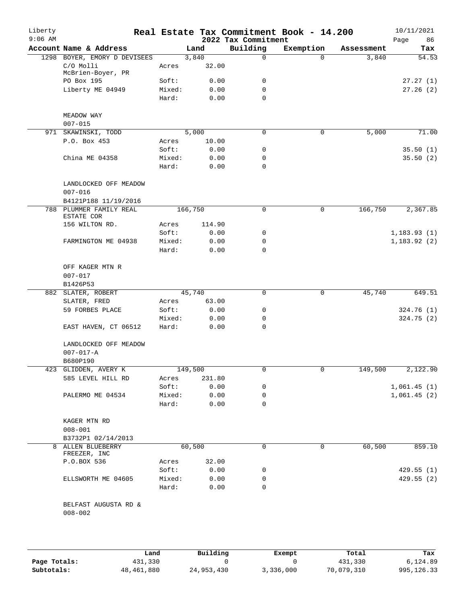| Liberty<br>$9:06$ AM |                                      |                 |              | 2022 Tax Commitment | Real Estate Tax Commitment Book - 14.200 |            | 10/11/2021<br>Page<br>86 |
|----------------------|--------------------------------------|-----------------|--------------|---------------------|------------------------------------------|------------|--------------------------|
|                      | Account Name & Address               |                 | Land         | Building            | Exemption                                | Assessment | Tax                      |
|                      | 1298 BOYER, EMORY D DEVISEES         |                 | 3,840        | 0                   | $\Omega$                                 | 3,840      | 54.53                    |
|                      | C/O Molli<br>McBrien-Boyer, PR       | Acres           | 32.00        |                     |                                          |            |                          |
|                      | PO Box 195                           | Soft:           | 0.00         | 0                   |                                          |            | 27.27(1)                 |
|                      | Liberty ME 04949                     | Mixed:          | 0.00         | 0                   |                                          |            | 27.26(2)                 |
|                      |                                      | Hard:           | 0.00         | $\Omega$            |                                          |            |                          |
|                      | MEADOW WAY<br>$007 - 015$            |                 |              |                     |                                          |            |                          |
|                      | 971 SKAWINSKI, TODD                  |                 | 5,000        | $\mathbf 0$         | 0                                        | 5,000      | 71.00                    |
|                      | P.O. Box 453                         | Acres           | 10.00        |                     |                                          |            |                          |
|                      |                                      | Soft:           | 0.00         | 0                   |                                          |            | 35.50(1)                 |
|                      | China ME 04358                       | Mixed:          | 0.00         | 0                   |                                          |            | 35.50(2)                 |
|                      |                                      | Hard:           | 0.00         | 0                   |                                          |            |                          |
|                      |                                      |                 |              |                     |                                          |            |                          |
|                      | LANDLOCKED OFF MEADOW<br>$007 - 016$ |                 |              |                     |                                          |            |                          |
|                      | B4121P188 11/19/2016                 |                 |              |                     |                                          |            |                          |
|                      | 788 PLUMMER FAMILY REAL              |                 | 166,750      | 0                   | 0                                        | 166,750    | 2,367.85                 |
|                      | ESTATE COR                           |                 |              |                     |                                          |            |                          |
|                      | 156 WILTON RD.                       | Acres           | 114.90       |                     |                                          |            |                          |
|                      |                                      | Soft:           | 0.00         | 0                   |                                          |            | 1, 183.93(1)             |
|                      | FARMINGTON ME 04938                  | Mixed:          | 0.00         | 0                   |                                          |            | 1,183.92(2)              |
|                      |                                      | Hard:           | 0.00         | $\Omega$            |                                          |            |                          |
|                      | OFF KAGER MTN R                      |                 |              |                     |                                          |            |                          |
|                      | $007 - 017$                          |                 |              |                     |                                          |            |                          |
|                      | B1426P53                             |                 |              |                     |                                          |            |                          |
|                      | 882 SLATER, ROBERT                   |                 | 45,740       | 0                   | 0                                        | 45,740     | 649.51                   |
|                      | SLATER, FRED                         | Acres           | 63.00        |                     |                                          |            |                          |
|                      | 59 FORBES PLACE                      | Soft:           |              | 0                   |                                          |            |                          |
|                      |                                      |                 | 0.00         |                     |                                          |            | 324.76(1)                |
|                      | EAST HAVEN, CT 06512                 | Mixed:<br>Hard: | 0.00<br>0.00 | 0<br>0              |                                          |            | 324.75(2)                |
|                      |                                      |                 |              |                     |                                          |            |                          |
|                      | LANDLOCKED OFF MEADOW                |                 |              |                     |                                          |            |                          |
|                      | $007 - 017 - A$                      |                 |              |                     |                                          |            |                          |
|                      | B680P190                             |                 |              |                     |                                          |            |                          |
|                      | 423 GLIDDEN, AVERY K                 |                 | 149,500      | 0                   |                                          | 149,500    | 2,122.90                 |
|                      | 585 LEVEL HILL RD                    | Acres           | 231.80       |                     |                                          |            |                          |
|                      |                                      | Soft:           | 0.00         | 0                   |                                          |            | 1,061.45(1)              |
|                      | PALERMO ME 04534                     | Mixed:          | 0.00         | 0                   |                                          |            | 1,061.45(2)              |
|                      |                                      | Hard:           | 0.00         | $\Omega$            |                                          |            |                          |
|                      | KAGER MTN RD                         |                 |              |                     |                                          |            |                          |
|                      | $008 - 001$                          |                 |              |                     |                                          |            |                          |
|                      | B3732P1 02/14/2013                   |                 |              |                     |                                          |            |                          |
| 8                    | ALLEN BLUEBERRY                      |                 | 60,500       | 0                   | $\Omega$                                 | 60,500     | 859.10                   |
|                      | FREEZER, INC<br>P.O.BOX 536          |                 | 32.00        |                     |                                          |            |                          |
|                      |                                      | Acres           |              |                     |                                          |            |                          |
|                      |                                      | Soft:           | 0.00         | 0                   |                                          |            | 429.55(1)                |
|                      | ELLSWORTH ME 04605                   | Mixed:          | 0.00         | 0                   |                                          |            | 429.55(2)                |
|                      |                                      | Hard:           | 0.00         | 0                   |                                          |            |                          |
|                      | BELFAST AUGUSTA RD &                 |                 |              |                     |                                          |            |                          |
|                      | $008 - 002$                          |                 |              |                     |                                          |            |                          |
|                      |                                      |                 |              |                     |                                          |            |                          |

|              | Land       | Building   | Exempt    | Total      | Tax         |
|--------------|------------|------------|-----------|------------|-------------|
| Page Totals: | 431,330    |            |           | 431,330    | 6,124.89    |
| Subtotals:   | 48,461,880 | 24,953,430 | 3,336,000 | 70,079,310 | 995, 126.33 |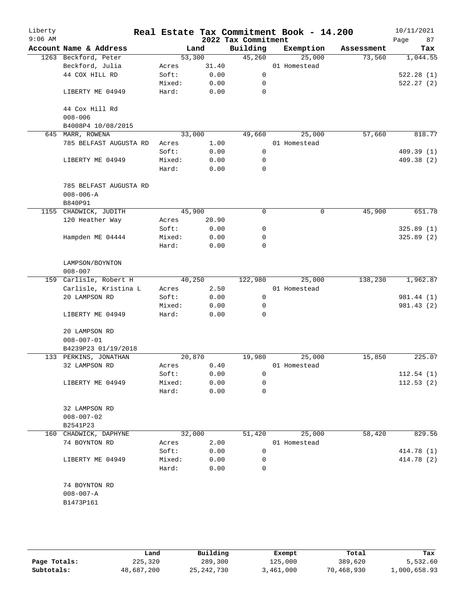| Liberty<br>$9:06$ AM |                                           |        |       | 2022 Tax Commitment | Real Estate Tax Commitment Book - 14.200 |            | 10/11/2021<br>87<br>Page |
|----------------------|-------------------------------------------|--------|-------|---------------------|------------------------------------------|------------|--------------------------|
|                      | Account Name & Address                    | Land   |       | Building            | Exemption                                | Assessment | Tax                      |
|                      | 1263 Beckford, Peter                      | 53,300 |       | 45,260              | 25,000                                   | 73,560     | 1,044.55                 |
|                      | Beckford, Julia                           | Acres  | 31.40 |                     | 01 Homestead                             |            |                          |
|                      | 44 COX HILL RD                            | Soft:  | 0.00  | 0                   |                                          |            | 522.28(1)                |
|                      |                                           | Mixed: | 0.00  | 0                   |                                          |            | 522.27(2)                |
|                      | LIBERTY ME 04949                          | Hard:  | 0.00  | 0                   |                                          |            |                          |
|                      | 44 Cox Hill Rd                            |        |       |                     |                                          |            |                          |
|                      | $008 - 006$                               |        |       |                     |                                          |            |                          |
|                      | B4008P4 10/08/2015                        |        |       |                     |                                          |            |                          |
|                      | 645 MARR, ROWENA                          | 33,000 |       | 49,660              | 25,000                                   | 57,660     | 818.77                   |
|                      | 785 BELFAST AUGUSTA RD                    | Acres  | 1.00  |                     | 01 Homestead                             |            |                          |
|                      |                                           | Soft:  | 0.00  | $\mathsf{O}$        |                                          |            | 409.39(1)                |
|                      | LIBERTY ME 04949                          | Mixed: | 0.00  | 0                   |                                          |            | 409.38 (2)               |
|                      |                                           | Hard:  | 0.00  | 0                   |                                          |            |                          |
|                      | 785 BELFAST AUGUSTA RD<br>$008 - 006 - A$ |        |       |                     |                                          |            |                          |
|                      | B840P91                                   |        |       |                     |                                          |            |                          |
|                      | 1155 CHADWICK, JUDITH                     | 45,900 |       | 0                   | $\mathbf 0$                              | 45,900     | 651.78                   |
|                      | 120 Heather Way                           | Acres  | 20.90 |                     |                                          |            |                          |
|                      |                                           | Soft:  | 0.00  | 0                   |                                          |            | 325.89 (1)               |
|                      | Hampden ME 04444                          | Mixed: | 0.00  | 0                   |                                          |            | 325.89(2)                |
|                      |                                           | Hard:  | 0.00  | 0                   |                                          |            |                          |
|                      | LAMPSON/BOYNTON<br>$008 - 007$            |        |       |                     |                                          |            |                          |
|                      | 159 Carlisle, Robert H                    | 40,250 |       | 122,980             | 25,000                                   | 138,230    | 1,962.87                 |
|                      | Carlisle, Kristina L                      | Acres  | 2.50  |                     | 01 Homestead                             |            |                          |
|                      | 20 LAMPSON RD                             | Soft:  | 0.00  | 0                   |                                          |            | 981.44 (1)               |
|                      |                                           | Mixed: | 0.00  | 0                   |                                          |            | 981.43 (2)               |
|                      | LIBERTY ME 04949                          | Hard:  | 0.00  | 0                   |                                          |            |                          |
|                      | 20 LAMPSON RD                             |        |       |                     |                                          |            |                          |
|                      | $008 - 007 - 01$                          |        |       |                     |                                          |            |                          |
|                      | B4239P23 01/19/2018                       |        |       |                     |                                          |            |                          |
|                      | 133 PERKINS, JONATHAN                     | 20,870 |       | 19,980              | 25,000                                   | 15,850     | 225.07                   |
|                      | 32 LAMPSON RD                             | Acres  | 0.40  |                     | 01 Homestead                             |            |                          |
|                      |                                           | Soft:  | 0.00  | 0                   |                                          |            | 112.54(1)                |
|                      | LIBERTY ME 04949                          | Mixed: | 0.00  | 0                   |                                          |            | 112.53(2)                |
|                      |                                           | Hard:  | 0.00  | 0                   |                                          |            |                          |
|                      | 32 LAMPSON RD                             |        |       |                     |                                          |            |                          |
|                      | $008 - 007 - 02$                          |        |       |                     |                                          |            |                          |
|                      | B2541P23                                  |        |       |                     |                                          |            |                          |
|                      | 160 CHADWICK, DAPHYNE                     | 32,000 |       | 51,420              | 25,000                                   | 58,420     | 829.56                   |
|                      | 74 BOYNTON RD                             | Acres  | 2.00  |                     | 01 Homestead                             |            |                          |
|                      |                                           | Soft:  | 0.00  | 0                   |                                          |            | 414.78 (1)               |
|                      | LIBERTY ME 04949                          | Mixed: | 0.00  | 0                   |                                          |            | 414.78 (2)               |
|                      |                                           | Hard:  | 0.00  | 0                   |                                          |            |                          |
|                      | 74 BOYNTON RD                             |        |       |                     |                                          |            |                          |
|                      | $008 - 007 - A$                           |        |       |                     |                                          |            |                          |
|                      | B1473P161                                 |        |       |                     |                                          |            |                          |
|                      |                                           |        |       |                     |                                          |            |                          |
|                      |                                           |        |       |                     |                                          |            |                          |

|              | Land       | Building     | Exempt    | Total      | Tax          |
|--------------|------------|--------------|-----------|------------|--------------|
| Page Totals: | 225,320    | 289,300      | 125,000   | 389,620    | 5,532.60     |
| Subtotals:   | 48,687,200 | 25, 242, 730 | 3,461,000 | 70,468,930 | 1,000,658.93 |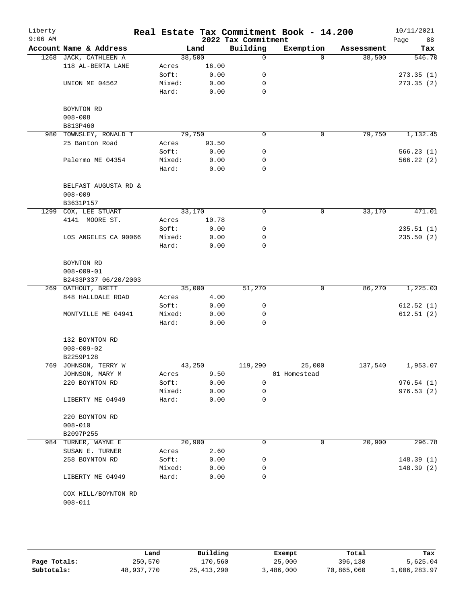| Liberty<br>$9:06$ AM |                        |        |       | 2022 Tax Commitment | Real Estate Tax Commitment Book - 14.200 |            | 10/11/2021<br>Page<br>88 |
|----------------------|------------------------|--------|-------|---------------------|------------------------------------------|------------|--------------------------|
|                      | Account Name & Address |        | Land  | Building            | Exemption                                | Assessment | Tax                      |
|                      | 1268 JACK, CATHLEEN A  | 38,500 |       | 0                   | $\Omega$                                 | 38,500     | 546.70                   |
|                      | 118 AL-BERTA LANE      | Acres  | 16.00 |                     |                                          |            |                          |
|                      |                        | Soft:  | 0.00  | 0                   |                                          |            | 273.35(1)                |
|                      | UNION ME 04562         | Mixed: | 0.00  | 0                   |                                          |            | 273.35(2)                |
|                      |                        | Hard:  | 0.00  | $\mathbf 0$         |                                          |            |                          |
|                      | BOYNTON RD             |        |       |                     |                                          |            |                          |
|                      | $008 - 008$            |        |       |                     |                                          |            |                          |
|                      | B813P460               |        |       |                     |                                          |            |                          |
| 980                  | TOWNSLEY, RONALD T     | 79,750 |       | 0                   | 0                                        | 79,750     | 1,132.45                 |
|                      | 25 Banton Road         | Acres  | 93.50 |                     |                                          |            |                          |
|                      |                        | Soft:  | 0.00  | 0                   |                                          |            | 566.23(1)                |
|                      | Palermo ME 04354       | Mixed: | 0.00  | 0                   |                                          |            | 566.22 (2)               |
|                      |                        | Hard:  | 0.00  | 0                   |                                          |            |                          |
|                      | BELFAST AUGUSTA RD &   |        |       |                     |                                          |            |                          |
|                      | $008 - 009$            |        |       |                     |                                          |            |                          |
|                      | B3631P157              |        |       |                     |                                          |            |                          |
| 1299                 | COX, LEE STUART        | 33,170 |       | 0                   | 0                                        | 33,170     | 471.01                   |
|                      | 4141 MOORE ST.         | Acres  | 10.78 |                     |                                          |            |                          |
|                      |                        | Soft:  | 0.00  | 0                   |                                          |            | 235.51(1)                |
|                      | LOS ANGELES CA 90066   | Mixed: | 0.00  | 0                   |                                          |            | 235.50(2)                |
|                      |                        | Hard:  | 0.00  | 0                   |                                          |            |                          |
|                      | BOYNTON RD             |        |       |                     |                                          |            |                          |
|                      | $008 - 009 - 01$       |        |       |                     |                                          |            |                          |
|                      | B2433P337 06/20/2003   |        |       |                     |                                          |            |                          |
|                      | 269 OATHOUT, BRETT     | 35,000 |       | 51,270              | 0                                        | 86,270     | 1,225.03                 |
|                      | 848 HALLDALE ROAD      | Acres  | 4.00  |                     |                                          |            |                          |
|                      |                        | Soft:  | 0.00  | 0                   |                                          |            | 612.52(1)                |
|                      | MONTVILLE ME 04941     | Mixed: | 0.00  | 0                   |                                          |            | 612.51(2)                |
|                      |                        | Hard:  | 0.00  | 0                   |                                          |            |                          |
|                      | 132 BOYNTON RD         |        |       |                     |                                          |            |                          |
|                      | $008 - 009 - 02$       |        |       |                     |                                          |            |                          |
|                      | B2259P128              |        |       |                     |                                          |            |                          |
|                      | 769 JOHNSON, TERRY W   | 43,250 |       | 119,290             | 25,000                                   | 137,540    | 1,953.07                 |
|                      | JOHNSON, MARY M        | Acres  | 9.50  |                     | 01 Homestead                             |            |                          |
|                      | 220 BOYNTON RD         | Soft:  | 0.00  | 0                   |                                          |            | 976.54(1)                |
|                      |                        | Mixed: | 0.00  | 0                   |                                          |            | 976.53(2)                |
|                      | LIBERTY ME 04949       | Hard:  | 0.00  | 0                   |                                          |            |                          |
|                      | 220 BOYNTON RD         |        |       |                     |                                          |            |                          |
|                      | $008 - 010$            |        |       |                     |                                          |            |                          |
|                      | B2097P255              |        |       |                     |                                          |            |                          |
|                      | 984 TURNER, WAYNE E    | 20,900 |       | 0                   | 0                                        | 20,900     | 296.78                   |
|                      | SUSAN E. TURNER        | Acres  | 2.60  |                     |                                          |            |                          |
|                      | 258 BOYNTON RD         | Soft:  | 0.00  | 0                   |                                          |            | 148.39(1)                |
|                      |                        | Mixed: | 0.00  | 0                   |                                          |            | 148.39(2)                |
|                      | LIBERTY ME 04949       | Hard:  | 0.00  | 0                   |                                          |            |                          |
|                      | COX HILL/BOYNTON RD    |        |       |                     |                                          |            |                          |
|                      | $008 - 011$            |        |       |                     |                                          |            |                          |
|                      |                        |        |       |                     |                                          |            |                          |

|              | Land       | Building     | Exempt    | Total      | Tax          |
|--------------|------------|--------------|-----------|------------|--------------|
| Page Totals: | 250,570    | 170,560      | 25,000    | 396,130    | 5,625.04     |
| Subtotals:   | 48,937,770 | 25, 413, 290 | 3,486,000 | 70,865,060 | 1,006,283.97 |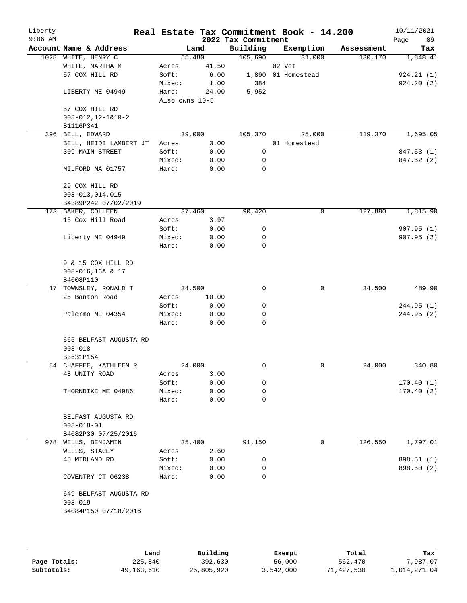| Liberty<br>$9:06$ AM |                            |                |        | 2022 Tax Commitment | Real Estate Tax Commitment Book - 14.200 |            | 10/11/2021<br>Page<br>89 |
|----------------------|----------------------------|----------------|--------|---------------------|------------------------------------------|------------|--------------------------|
|                      | Account Name & Address     |                | Land   | Building            | Exemption                                | Assessment | Tax                      |
|                      | 1028 WHITE, HENRY C        |                | 55,480 | 105,690             | 31,000                                   | 130,170    | 1,848.41                 |
|                      | WHITE, MARTHA M            | Acres          | 41.50  |                     | 02 Vet                                   |            |                          |
|                      | 57 COX HILL RD             | Soft:          | 6.00   |                     | 1,890 01 Homestead                       |            | 924.21(1)                |
|                      |                            | Mixed:         | 1.00   | 384                 |                                          |            | 924.20(2)                |
|                      | LIBERTY ME 04949           | Hard:          | 24.00  | 5,952               |                                          |            |                          |
|                      |                            | Also owns 10-5 |        |                     |                                          |            |                          |
|                      | 57 COX HILL RD             |                |        |                     |                                          |            |                          |
|                      | $008 - 012, 12 - 1&10 - 2$ |                |        |                     |                                          |            |                          |
|                      | B1116P341                  |                |        |                     |                                          |            |                          |
|                      | 396 BELL, EDWARD           |                | 39,000 | 105,370             | 25,000                                   | 119,370    | 1,695.05                 |
|                      | BELL, HEIDI LAMBERT JT     | Acres          | 3.00   |                     | 01 Homestead                             |            |                          |
|                      | 309 MAIN STREET            | Soft:          | 0.00   | 0                   |                                          |            | 847.53 (1)               |
|                      |                            | Mixed:         | 0.00   | 0                   |                                          |            | 847.52 (2)               |
|                      | MILFORD MA 01757           | Hard:          | 0.00   | $\mathbf 0$         |                                          |            |                          |
|                      |                            |                |        |                     |                                          |            |                          |
|                      | 29 COX HILL RD             |                |        |                     |                                          |            |                          |
|                      | $008 - 013, 014, 015$      |                |        |                     |                                          |            |                          |
|                      |                            |                |        |                     |                                          |            |                          |
|                      | B4389P242 07/02/2019       |                |        |                     |                                          |            |                          |
|                      | 173 BAKER, COLLEEN         |                | 37,460 | 90,420              | 0                                        | 127,880    | 1,815.90                 |
|                      | 15 Cox Hill Road           | Acres          | 3.97   |                     |                                          |            |                          |
|                      |                            | Soft:          | 0.00   | 0                   |                                          |            | 907.95(1)                |
|                      | Liberty ME 04949           | Mixed:         | 0.00   | 0                   |                                          |            | 907.95(2)                |
|                      |                            | Hard:          | 0.00   | $\mathbf 0$         |                                          |            |                          |
|                      |                            |                |        |                     |                                          |            |                          |
|                      | 9 & 15 COX HILL RD         |                |        |                     |                                          |            |                          |
|                      | 008-016,16A & 17           |                |        |                     |                                          |            |                          |
|                      | B4008P110                  |                |        |                     |                                          |            |                          |
|                      | 17 TOWNSLEY, RONALD T      |                | 34,500 | 0                   | 0                                        | 34,500     | 489.90                   |
|                      | 25 Banton Road             | Acres          | 10.00  |                     |                                          |            |                          |
|                      |                            | Soft:          | 0.00   | 0                   |                                          |            | 244.95 (1)               |
|                      | Palermo ME 04354           | Mixed:         | 0.00   | 0                   |                                          |            | 244.95(2)                |
|                      |                            | Hard:          | 0.00   | 0                   |                                          |            |                          |
|                      |                            |                |        |                     |                                          |            |                          |
|                      | 665 BELFAST AUGUSTA RD     |                |        |                     |                                          |            |                          |
|                      | $008 - 018$                |                |        |                     |                                          |            |                          |
|                      | B3631P154                  |                |        |                     |                                          |            |                          |
|                      | 84 CHAFFEE, KATHLEEN R     |                | 24,000 | 0                   | 0                                        | 24,000     | 340.80                   |
|                      | 48 UNITY ROAD              | Acres          | 3.00   |                     |                                          |            |                          |
|                      |                            | Soft:          | 0.00   | 0                   |                                          |            | 170.40(1)                |
|                      | THORNDIKE ME 04986         | Mixed:         | 0.00   | 0                   |                                          |            | 170.40(2)                |
|                      |                            | Hard:          | 0.00   | 0                   |                                          |            |                          |
|                      |                            |                |        |                     |                                          |            |                          |
|                      | BELFAST AUGUSTA RD         |                |        |                     |                                          |            |                          |
|                      | $008 - 018 - 01$           |                |        |                     |                                          |            |                          |
|                      | B4082P30 07/25/2016        |                |        |                     |                                          |            |                          |
|                      | 978 WELLS, BENJAMIN        |                | 35,400 | 91,150              | 0                                        | 126,550    | 1,797.01                 |
|                      | WELLS, STACEY              | Acres          | 2.60   |                     |                                          |            |                          |
|                      | 45 MIDLAND RD              | Soft:          | 0.00   | 0                   |                                          |            | 898.51 (1)               |
|                      |                            | Mixed:         | 0.00   | 0                   |                                          |            | 898.50 (2)               |
|                      | COVENTRY CT 06238          | Hard:          | 0.00   | 0                   |                                          |            |                          |
|                      | 649 BELFAST AUGUSTA RD     |                |        |                     |                                          |            |                          |
|                      |                            |                |        |                     |                                          |            |                          |
|                      | $008 - 019$                |                |        |                     |                                          |            |                          |
|                      | B4084P150 07/18/2016       |                |        |                     |                                          |            |                          |
|                      |                            |                |        |                     |                                          |            |                          |
|                      |                            |                |        |                     |                                          |            |                          |

|              | Land       | Building   | Exempt    | Total      | Tax          |
|--------------|------------|------------|-----------|------------|--------------|
| Page Totals: | 225,840    | 392,630    | 56,000    | 562,470    | 7,987.07     |
| Subtotals:   | 49,163,610 | 25,805,920 | 3,542,000 | 71,427,530 | 1,014,271.04 |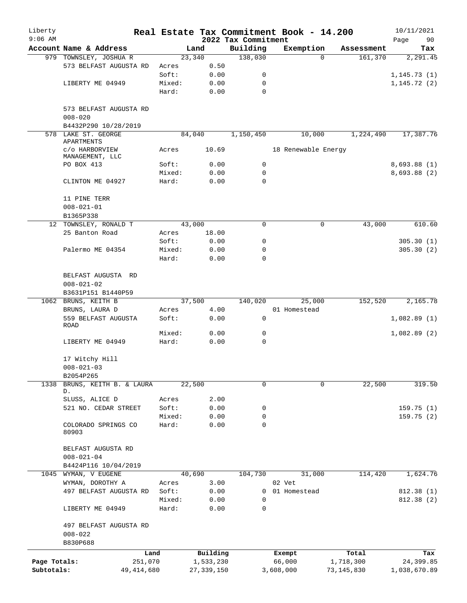| Liberty<br>$9:06$ AM |                                                   |                 |               | 2022 Tax Commitment | Real Estate Tax Commitment Book - 14.200 |            | 10/11/2021<br>90<br>Page |
|----------------------|---------------------------------------------------|-----------------|---------------|---------------------|------------------------------------------|------------|--------------------------|
|                      | Account Name & Address                            |                 | Land          | Building            | Exemption                                | Assessment | Tax                      |
|                      | 979 TOWNSLEY, JOSHUA R                            |                 | 23,340        | 138,030             | $\Omega$                                 | 161,370    | 2,291.45                 |
|                      | 573 BELFAST AUGUSTA RD                            | Acres           | 0.50          |                     |                                          |            |                          |
|                      |                                                   | Soft:           | 0.00          | 0                   |                                          |            | 1, 145.73(1)             |
|                      | LIBERTY ME 04949                                  | Mixed:          | 0.00          | 0                   |                                          |            | 1, 145.72(2)             |
|                      |                                                   | Hard:           | 0.00          | $\mathbf 0$         |                                          |            |                          |
|                      | 573 BELFAST AUGUSTA RD<br>$008 - 020$             |                 |               |                     |                                          |            |                          |
|                      | B4432P290 10/28/2019                              |                 |               |                     |                                          |            |                          |
|                      | 578 LAKE ST. GEORGE<br>APARTMENTS                 |                 | 84,040        | 1,150,450           | 10,000                                   | 1,224,490  | 17,387.76                |
|                      | c/o HARBORVIEW<br>MANAGEMENT, LLC                 | Acres           | 10.69         |                     | 18 Renewable Energy                      |            |                          |
|                      | PO BOX 413                                        | Soft:           | 0.00          | 0                   |                                          |            | 8,693.88(1)              |
|                      |                                                   | Mixed:          | 0.00          | 0                   |                                          |            | 8,693.88 (2)             |
|                      | CLINTON ME 04927                                  | Hard:           | 0.00          | $\Omega$            |                                          |            |                          |
|                      | 11 PINE TERR                                      |                 |               |                     |                                          |            |                          |
|                      | $008 - 021 - 01$                                  |                 |               |                     |                                          |            |                          |
|                      | B1365P338                                         |                 |               |                     |                                          |            |                          |
|                      | 12 TOWNSLEY, RONALD T                             |                 | 43,000        | 0                   | 0                                        | 43,000     | 610.60                   |
|                      | 25 Banton Road                                    | Acres           | 18.00<br>0.00 |                     |                                          |            |                          |
|                      | Palermo ME 04354                                  | Soft:<br>Mixed: | 0.00          | 0<br>0              |                                          |            | 305.30(1)<br>305.30(2)   |
|                      |                                                   | Hard:           | 0.00          | $\Omega$            |                                          |            |                          |
|                      | BELFAST AUGUSTA RD                                |                 |               |                     |                                          |            |                          |
|                      | $008 - 021 - 02$                                  |                 |               |                     |                                          |            |                          |
|                      | B3631P151 B1440P59<br>1062 BRUNS, KEITH B         |                 | 37,500        | 140,020             | 25,000                                   | 152,520    | 2,165.78                 |
|                      | BRUNS, LAURA D                                    | Acres           | 4.00          |                     | 01 Homestead                             |            |                          |
|                      | 559 BELFAST AUGUSTA                               | Soft:           | 0.00          | 0                   |                                          |            | 1,082.89(1)              |
|                      | ROAD                                              |                 |               |                     |                                          |            |                          |
|                      |                                                   | Mixed:          | 0.00          | 0                   |                                          |            | 1,082.89(2)              |
|                      | LIBERTY ME 04949                                  | Hard:           | 0.00          | $\mathbf 0$         |                                          |            |                          |
|                      | 17 Witchy Hill<br>$008 - 021 - 03$                |                 |               |                     |                                          |            |                          |
|                      | B2054P265                                         |                 |               |                     |                                          |            |                          |
| 1338                 | BRUNS, KEITH B. & LAURA<br>D.                     |                 | 22,500        | $\Omega$            | 0                                        | 22,500     | 319.50                   |
|                      | SLUSS, ALICE D                                    | Acres           | 2.00          |                     |                                          |            |                          |
|                      | 521 NO. CEDAR STREET                              | Soft:           | 0.00          | 0                   |                                          |            | 159.75 (1)               |
|                      |                                                   | Mixed:          | 0.00          | 0                   |                                          |            | 159.75(2)                |
|                      | COLORADO SPRINGS CO<br>80903                      | Hard:           | 0.00          | $\mathbf 0$         |                                          |            |                          |
|                      | BELFAST AUGUSTA RD                                |                 |               |                     |                                          |            |                          |
|                      | $008 - 021 - 04$<br>B4424P116 10/04/2019          |                 |               |                     |                                          |            |                          |
|                      | 1045 WYMAN, V EUGENE                              |                 | 40,690        | 104,730             | 31,000                                   | 114,420    | 1,624.76                 |
|                      | WYMAN, DOROTHY A                                  | Acres           | 3.00          |                     | 02 Vet                                   |            |                          |
|                      | 497 BELFAST AUGUSTA RD                            | Soft:           | 0.00          | 0                   | 01 Homestead                             |            | 812.38 (1)               |
|                      |                                                   | Mixed:          | 0.00          | $\mathbf 0$         |                                          |            | 812.38 (2)               |
|                      | LIBERTY ME 04949                                  | Hard:           | 0.00          | 0                   |                                          |            |                          |
|                      | 497 BELFAST AUGUSTA RD<br>$008 - 022$<br>B830P688 |                 |               |                     |                                          |            |                          |
|                      | Land                                              |                 | Building      |                     | Exempt                                   | Total      | Tax                      |
| Page Totals:         | 251,070                                           |                 | 1,533,230     |                     | 66,000                                   | 1,718,300  | 24,399.85                |
| Subtotals:           | 49, 414, 680                                      |                 | 27, 339, 150  |                     | 3,608,000                                | 73,145,830 | 1,038,670.89             |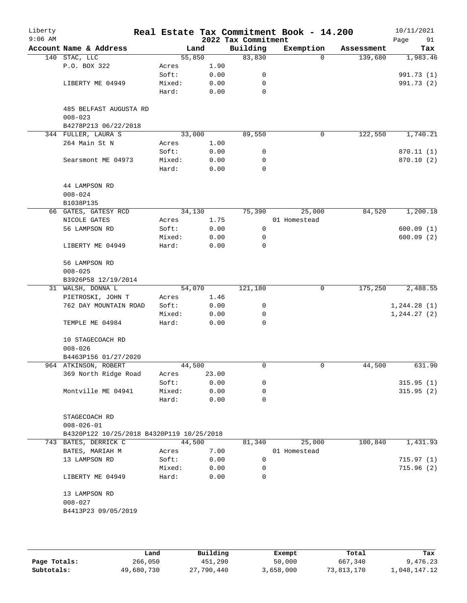| Liberty<br>$9:06$ AM |                                           |        |        | 2022 Tax Commitment | Real Estate Tax Commitment Book - 14.200 |            | 10/11/2021<br>Page<br>91 |
|----------------------|-------------------------------------------|--------|--------|---------------------|------------------------------------------|------------|--------------------------|
|                      | Account Name & Address                    |        | Land   | Building            | Exemption                                | Assessment | Tax                      |
|                      | 140 STAC, LLC                             |        | 55,850 | 83,830              | $\Omega$                                 | 139,680    | 1,983.46                 |
|                      | P.O. BOX 322                              | Acres  | 1.90   |                     |                                          |            |                          |
|                      |                                           | Soft:  | 0.00   | 0                   |                                          |            | 991.73 (1)               |
|                      | LIBERTY ME 04949                          | Mixed: | 0.00   | 0                   |                                          |            | 991.73 (2)               |
|                      |                                           | Hard:  | 0.00   | 0                   |                                          |            |                          |
|                      | 485 BELFAST AUGUSTA RD<br>$008 - 023$     |        |        |                     |                                          |            |                          |
|                      | B4278P213 06/22/2018                      |        |        |                     |                                          |            |                          |
|                      | 344 FULLER, LAURA S                       |        | 33,000 | 89,550              | 0                                        | 122,550    | 1,740.21                 |
|                      | 264 Main St N                             | Acres  | 1.00   |                     |                                          |            |                          |
|                      |                                           | Soft:  | 0.00   | 0                   |                                          |            | 870.11 (1)               |
|                      | Searsmont ME 04973                        | Mixed: | 0.00   | 0                   |                                          |            | 870.10 (2)               |
|                      |                                           | Hard:  | 0.00   | $\mathbf 0$         |                                          |            |                          |
|                      |                                           |        |        |                     |                                          |            |                          |
|                      | 44 LAMPSON RD                             |        |        |                     |                                          |            |                          |
|                      | $008 - 024$                               |        |        |                     |                                          |            |                          |
|                      | B1038P135                                 |        |        |                     |                                          |            |                          |
|                      |                                           |        |        | 75,390              | 25,000                                   | 84,520     | 1,200.18                 |
|                      | 66 GATES, GATESY RCD                      |        | 34,130 |                     |                                          |            |                          |
|                      | NICOLE GATES                              | Acres  | 1.75   |                     | 01 Homestead                             |            |                          |
|                      | 56 LAMPSON RD                             | Soft:  | 0.00   | 0                   |                                          |            | 600.09(1)                |
|                      |                                           | Mixed: | 0.00   | 0                   |                                          |            | 600.09(2)                |
|                      | LIBERTY ME 04949                          | Hard:  | 0.00   | 0                   |                                          |            |                          |
|                      | 56 LAMPSON RD                             |        |        |                     |                                          |            |                          |
|                      | $008 - 025$                               |        |        |                     |                                          |            |                          |
|                      | B3926P58 12/19/2014                       |        |        |                     |                                          |            |                          |
|                      | 31 WALSH, DONNA L                         |        | 54,070 | 121,180             | 0                                        | 175,250    | 2,488.55                 |
|                      | PIETROSKI, JOHN T                         | Acres  | 1.46   |                     |                                          |            |                          |
|                      | 762 DAY MOUNTAIN ROAD                     | Soft:  | 0.00   | 0                   |                                          |            | 1,244.28(1)              |
|                      |                                           | Mixed: | 0.00   | 0                   |                                          |            | 1, 244.27 (2)            |
|                      | TEMPLE ME 04984                           | Hard:  | 0.00   | 0                   |                                          |            |                          |
|                      | 10 STAGECOACH RD                          |        |        |                     |                                          |            |                          |
|                      | $008 - 026$                               |        |        |                     |                                          |            |                          |
|                      | B4463P156 01/27/2020                      |        |        |                     |                                          |            |                          |
|                      | 964 ATKINSON, ROBERT                      |        | 44,500 | 0                   | 0                                        | 44,500     | 631.90                   |
|                      | 369 North Ridge Road                      | Acres  | 23.00  |                     |                                          |            |                          |
|                      |                                           | Soft:  | 0.00   | 0                   |                                          |            | 315.95(1)                |
|                      | Montville ME 04941                        | Mixed: | 0.00   | 0                   |                                          |            | 315.95(2)                |
|                      |                                           | Hard:  | 0.00   | 0                   |                                          |            |                          |
|                      | STAGECOACH RD<br>$008 - 026 - 01$         |        |        |                     |                                          |            |                          |
|                      | B4320P122 10/25/2018 B4320P119 10/25/2018 |        |        |                     |                                          |            |                          |
|                      | 743 BATES, DERRICK C                      |        | 44,500 | 81,340              | 25,000                                   | 100,840    | 1,431.93                 |
|                      | BATES, MARIAH M                           | Acres  | 7.00   |                     | 01 Homestead                             |            |                          |
|                      | 13 LAMPSON RD                             | Soft:  | 0.00   | 0                   |                                          |            | 715.97(1)                |
|                      |                                           |        | 0.00   | 0                   |                                          |            | 715.96(2)                |
|                      |                                           | Mixed: |        | 0                   |                                          |            |                          |
|                      | LIBERTY ME 04949                          | Hard:  | 0.00   |                     |                                          |            |                          |
|                      | 13 LAMPSON RD                             |        |        |                     |                                          |            |                          |
|                      | $008 - 027$                               |        |        |                     |                                          |            |                          |
|                      | B4413P23 09/05/2019                       |        |        |                     |                                          |            |                          |
|                      |                                           |        |        |                     |                                          |            |                          |
|                      |                                           |        |        |                     |                                          |            |                          |
|                      |                                           |        |        |                     |                                          |            |                          |

|              | Land       | Building   | Exempt    | Total      | Tax          |
|--------------|------------|------------|-----------|------------|--------------|
| Page Totals: | 266,050    | 451,290    | 50,000    | 667,340    | 9,476.23     |
| Subtotals:   | 49,680,730 | 27,790,440 | 3,658,000 | 73,813,170 | 1,048,147.12 |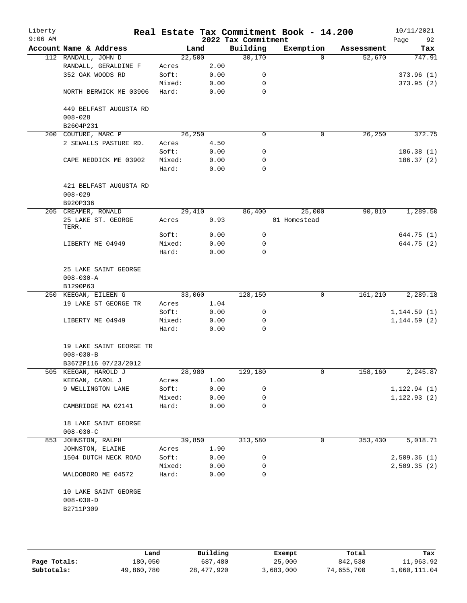| Account Name & Address<br>112 RANDALL, JOHN D<br>RANDALL, GERALDINE F<br>352 OAK WOODS RD<br>NORTH BERWICK ME 03906<br>449 BELFAST AUGUSTA RD<br>200 COUTURE, MARC P<br>2 SEWALLS PASTURE RD.<br>CAPE NEDDICK ME 03902 | Acres<br>Soft:<br>Mixed:<br>Hard:<br>Acres | Land<br>22,500<br>2.00<br>0.00<br>0.00<br>0.00 | 2022 Tax Commitment<br>Building<br>30,170<br>0<br>0<br>$\mathbf 0$ | Exemption<br>$\Omega$ | Assessment<br>52,670 | 92<br>Page<br>Tax                |
|------------------------------------------------------------------------------------------------------------------------------------------------------------------------------------------------------------------------|--------------------------------------------|------------------------------------------------|--------------------------------------------------------------------|-----------------------|----------------------|----------------------------------|
|                                                                                                                                                                                                                        |                                            |                                                |                                                                    |                       |                      | 747.91<br>373.96(1)<br>373.95(2) |
|                                                                                                                                                                                                                        |                                            |                                                |                                                                    |                       |                      |                                  |
|                                                                                                                                                                                                                        |                                            |                                                |                                                                    |                       |                      |                                  |
|                                                                                                                                                                                                                        |                                            |                                                |                                                                    |                       |                      |                                  |
|                                                                                                                                                                                                                        |                                            |                                                |                                                                    |                       |                      |                                  |
|                                                                                                                                                                                                                        |                                            |                                                |                                                                    |                       |                      |                                  |
|                                                                                                                                                                                                                        |                                            |                                                |                                                                    |                       |                      |                                  |
|                                                                                                                                                                                                                        |                                            |                                                |                                                                    |                       |                      |                                  |
|                                                                                                                                                                                                                        |                                            |                                                |                                                                    |                       |                      |                                  |
|                                                                                                                                                                                                                        |                                            | 26,250                                         | $\Omega$                                                           | 0                     | 26, 250              | 372.75                           |
|                                                                                                                                                                                                                        |                                            | 4.50                                           |                                                                    |                       |                      |                                  |
|                                                                                                                                                                                                                        | Soft:                                      | 0.00                                           | 0                                                                  |                       |                      | 186.38(1)                        |
|                                                                                                                                                                                                                        | Mixed:                                     | 0.00                                           | 0                                                                  |                       |                      | 186.37(2)                        |
|                                                                                                                                                                                                                        | Hard:                                      | 0.00                                           | 0                                                                  |                       |                      |                                  |
| 421 BELFAST AUGUSTA RD                                                                                                                                                                                                 |                                            |                                                |                                                                    |                       |                      |                                  |
|                                                                                                                                                                                                                        |                                            |                                                |                                                                    |                       |                      |                                  |
|                                                                                                                                                                                                                        |                                            |                                                |                                                                    |                       |                      |                                  |
| 205 CREAMER, RONALD                                                                                                                                                                                                    |                                            | 29,410                                         | 86,400                                                             | 25,000                | 90,810               | 1,289.50                         |
| 25 LAKE ST. GEORGE                                                                                                                                                                                                     | Acres                                      | 0.93                                           |                                                                    | 01 Homestead          |                      |                                  |
|                                                                                                                                                                                                                        | Soft:                                      | 0.00                                           | 0                                                                  |                       |                      | 644.75 (1)                       |
| LIBERTY ME 04949                                                                                                                                                                                                       | Mixed:                                     | 0.00                                           | 0                                                                  |                       |                      | 644.75 (2)                       |
|                                                                                                                                                                                                                        | Hard:                                      | 0.00                                           | 0                                                                  |                       |                      |                                  |
| 25 LAKE SAINT GEORGE                                                                                                                                                                                                   |                                            |                                                |                                                                    |                       |                      |                                  |
|                                                                                                                                                                                                                        |                                            |                                                |                                                                    |                       |                      |                                  |
|                                                                                                                                                                                                                        |                                            |                                                |                                                                    |                       |                      |                                  |
| 250 KEEGAN, EILEEN G                                                                                                                                                                                                   |                                            | 33,060                                         | 128,150                                                            | 0                     | 161,210              | 2,289.18                         |
| 19 LAKE ST GEORGE TR                                                                                                                                                                                                   | Acres                                      | 1.04                                           |                                                                    |                       |                      |                                  |
|                                                                                                                                                                                                                        | Soft:                                      | 0.00                                           | 0                                                                  |                       |                      | 1, 144.59(1)                     |
| LIBERTY ME 04949                                                                                                                                                                                                       | Mixed:                                     | 0.00                                           | 0                                                                  |                       |                      | 1, 144.59(2)                     |
|                                                                                                                                                                                                                        | Hard:                                      | 0.00                                           | $\mathbf 0$                                                        |                       |                      |                                  |
| 19 LAKE SAINT GEORGE TR                                                                                                                                                                                                |                                            |                                                |                                                                    |                       |                      |                                  |
|                                                                                                                                                                                                                        |                                            |                                                |                                                                    |                       |                      |                                  |
| B3672P116 07/23/2012                                                                                                                                                                                                   |                                            |                                                |                                                                    |                       |                      |                                  |
| 505 KEEGAN, HAROLD J                                                                                                                                                                                                   |                                            | 28,980                                         | 129,180                                                            | 0                     | 158,160              | 2,245.87                         |
| KEEGAN, CAROL J                                                                                                                                                                                                        | Acres                                      | 1.00                                           |                                                                    |                       |                      |                                  |
| 9 WELLINGTON LANE                                                                                                                                                                                                      | Soft:                                      | 0.00                                           | 0                                                                  |                       |                      | 1, 122.94(1)                     |
|                                                                                                                                                                                                                        | Mixed:                                     | 0.00                                           | 0                                                                  |                       |                      | 1, 122.93(2)                     |
| CAMBRIDGE MA 02141                                                                                                                                                                                                     | Hard:                                      | 0.00                                           | 0                                                                  |                       |                      |                                  |
| 18 LAKE SAINT GEORGE                                                                                                                                                                                                   |                                            |                                                |                                                                    |                       |                      |                                  |
|                                                                                                                                                                                                                        |                                            |                                                |                                                                    |                       |                      |                                  |
| 853 JOHNSTON, RALPH                                                                                                                                                                                                    |                                            |                                                | 313,580                                                            | 0                     |                      | 5,018.71                         |
| JOHNSTON, ELAINE                                                                                                                                                                                                       | Acres                                      | 1.90                                           |                                                                    |                       |                      |                                  |
| 1504 DUTCH NECK ROAD                                                                                                                                                                                                   | Soft:                                      | 0.00                                           | 0                                                                  |                       |                      | 2,509.36(1)                      |
|                                                                                                                                                                                                                        | Mixed:                                     | 0.00                                           | 0                                                                  |                       |                      | 2,509.35(2)                      |
| WALDOBORO ME 04572                                                                                                                                                                                                     | Hard:                                      | 0.00                                           | 0                                                                  |                       |                      |                                  |
| 10 LAKE SAINT GEORGE                                                                                                                                                                                                   |                                            |                                                |                                                                    |                       |                      |                                  |
|                                                                                                                                                                                                                        |                                            |                                                | 39,850                                                             |                       |                      | 353,430                          |

|              | Land       | Building   | Exempt    | Total      | Tax          |
|--------------|------------|------------|-----------|------------|--------------|
| Page Totals: | 180,050    | 687,480    | 25,000    | 842,530    | 11,963.92    |
| Subtotals:   | 49,860,780 | 28,477,920 | 3,683,000 | 74,655,700 | 1,060,111.04 |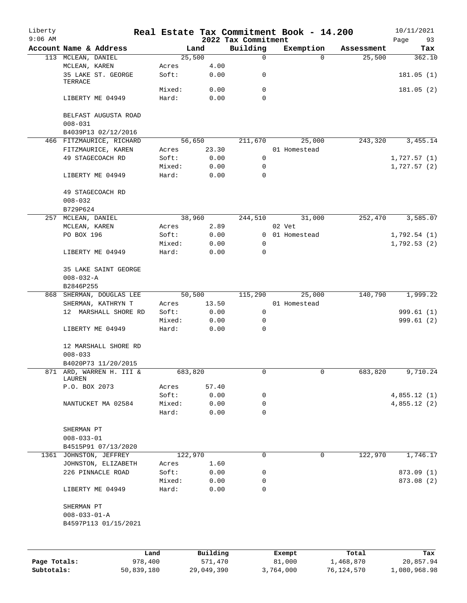| Liberty<br>$9:06$ AM |                                        |                |                 | Real Estate Tax Commitment Book - 14.200<br>2022 Tax Commitment |        |                        |            | 10/11/2021<br>Page<br>93 |
|----------------------|----------------------------------------|----------------|-----------------|-----------------------------------------------------------------|--------|------------------------|------------|--------------------------|
|                      | Account Name & Address                 |                | Land            | Building                                                        |        | Exemption              | Assessment | Tax                      |
|                      | 113 MCLEAN, DANIEL                     |                | 25,500          | 0                                                               |        | $\Omega$               | 25,500     | 362.10                   |
|                      | MCLEAN, KAREN                          | Acres          | 4.00            |                                                                 |        |                        |            |                          |
|                      | 35 LAKE ST. GEORGE<br>TERRACE          | Soft:          | 0.00            | 0                                                               |        |                        |            | 181.05(1)                |
|                      |                                        | Mixed:         | 0.00            | 0                                                               |        |                        |            | 181.05(2)                |
|                      | LIBERTY ME 04949                       | Hard:          | 0.00            | $\Omega$                                                        |        |                        |            |                          |
|                      | BELFAST AUGUSTA ROAD                   |                |                 |                                                                 |        |                        |            |                          |
|                      | $008 - 031$                            |                |                 |                                                                 |        |                        |            |                          |
|                      | B4039P13 02/12/2016                    |                |                 |                                                                 |        |                        |            |                          |
|                      | 466 FITZMAURICE, RICHARD               |                | 56,650<br>23.30 | 211,670                                                         |        | 25,000<br>01 Homestead | 243,320    | 3, 455. 14               |
|                      | FITZMAURICE, KAREN<br>49 STAGECOACH RD | Acres<br>Soft: | 0.00            | $\mathbf 0$                                                     |        |                        |            | 1,727.57(1)              |
|                      |                                        | Mixed:         | 0.00            | 0                                                               |        |                        |            | 1,727.57(2)              |
|                      | LIBERTY ME 04949                       | Hard:          | 0.00            | 0                                                               |        |                        |            |                          |
|                      | 49 STAGECOACH RD                       |                |                 |                                                                 |        |                        |            |                          |
|                      | $008 - 032$                            |                |                 |                                                                 |        |                        |            |                          |
|                      | B729P624                               |                |                 |                                                                 |        |                        |            |                          |
| 257                  | MCLEAN, DANIEL                         |                | 38,960          | 244,510                                                         |        | 31,000                 | 252,470    | 3,585.07                 |
|                      | MCLEAN, KAREN                          | Acres          | 2.89            |                                                                 | 02 Vet |                        |            |                          |
|                      | PO BOX 196                             | Soft:          | 0.00            |                                                                 |        | 0 01 Homestead         |            | 1,792.54(1)              |
|                      |                                        | Mixed:         | 0.00            | 0                                                               |        |                        |            | 1,792.53(2)              |
|                      | LIBERTY ME 04949                       | Hard:          | 0.00            | 0                                                               |        |                        |            |                          |
|                      | 35 LAKE SAINT GEORGE                   |                |                 |                                                                 |        |                        |            |                          |
|                      | $008 - 032 - A$                        |                |                 |                                                                 |        |                        |            |                          |
|                      | B2846P255                              |                |                 |                                                                 |        |                        |            |                          |
| 868                  | SHERMAN, DOUGLAS LEE                   |                | 50,500          | 115,290                                                         |        | 25,000                 | 140,790    | 1,999.22                 |
|                      | SHERMAN, KATHRYN T                     | Acres          | 13.50           |                                                                 |        | 01 Homestead           |            |                          |
|                      | 12 MARSHALL SHORE RD                   | Soft:          | 0.00            | 0                                                               |        |                        |            | 999.61 (1)               |
|                      |                                        | Mixed:         | 0.00            | 0                                                               |        |                        |            | 999.61(2)                |
|                      | LIBERTY ME 04949                       | Hard:          | 0.00            | 0                                                               |        |                        |            |                          |
|                      | 12 MARSHALL SHORE RD                   |                |                 |                                                                 |        |                        |            |                          |
|                      | $008 - 033$                            |                |                 |                                                                 |        |                        |            |                          |
|                      | B4020P73 11/20/2015                    |                |                 |                                                                 |        | 0                      |            |                          |
|                      | 871 ARD, WARREN H. III &<br>LAUREN     | 683,820        |                 | 0                                                               |        |                        | 683,820    | 9,710.24                 |
|                      | P.O. BOX 2073                          | Acres          | 57.40           |                                                                 |        |                        |            |                          |
|                      |                                        | Soft:          | 0.00            | 0                                                               |        |                        |            | 4,855.12(1)              |
|                      | NANTUCKET MA 02584                     | Mixed:         | 0.00            | 0                                                               |        |                        |            | 4,855.12(2)              |
|                      |                                        | Hard:          | 0.00            | 0                                                               |        |                        |            |                          |
|                      | SHERMAN PT                             |                |                 |                                                                 |        |                        |            |                          |
|                      | $008 - 033 - 01$                       |                |                 |                                                                 |        |                        |            |                          |
|                      | B4515P91 07/13/2020                    |                |                 |                                                                 |        |                        |            |                          |
|                      | 1361 JOHNSTON, JEFFREY                 | 122,970        |                 | 0                                                               |        | 0                      | 122,970    | 1,746.17                 |
|                      | JOHNSTON, ELIZABETH                    | Acres          | 1.60            |                                                                 |        |                        |            |                          |
|                      | 226 PINNACLE ROAD                      | Soft:          | 0.00            | 0                                                               |        |                        |            | 873.09 (1)               |
|                      |                                        | Mixed:         | 0.00            | 0                                                               |        |                        |            | 873.08 (2)               |
|                      | LIBERTY ME 04949                       | Hard:          | 0.00            | 0                                                               |        |                        |            |                          |
|                      | SHERMAN PT                             |                |                 |                                                                 |        |                        |            |                          |
|                      | $008 - 033 - 01 - A$                   |                |                 |                                                                 |        |                        |            |                          |
|                      | B4597P113 01/15/2021                   |                |                 |                                                                 |        |                        |            |                          |
|                      |                                        |                |                 |                                                                 |        |                        |            |                          |
|                      |                                        | Land           | Building        |                                                                 | Exempt |                        | Total      | Tax                      |
| Page Totals:         | 978,400                                |                | 571,470         |                                                                 | 81,000 |                        | 1,468,870  | 20,857.94                |

**Subtotals:** 50,839,180 29,049,390 3,764,000 76,124,570 1,080,968.98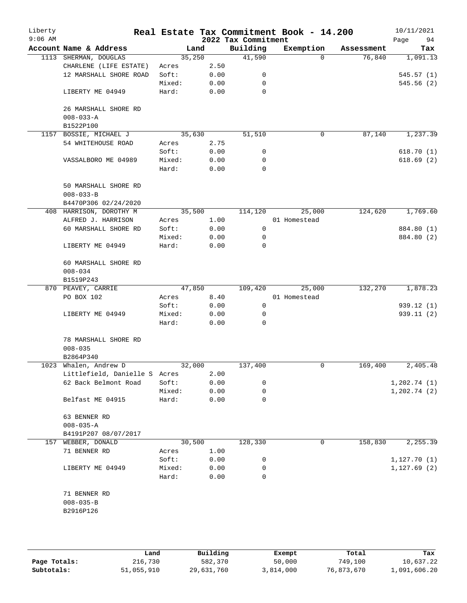| Liberty<br>$9:06$ AM |                               |        |      | 2022 Tax Commitment | Real Estate Tax Commitment Book - 14.200 |            | 10/11/2021<br>Page<br>94 |
|----------------------|-------------------------------|--------|------|---------------------|------------------------------------------|------------|--------------------------|
|                      | Account Name & Address        | Land   |      | Building            | Exemption                                | Assessment | Tax                      |
|                      | 1113 SHERMAN, DOUGLAS         | 35,250 |      | 41,590              | $\Omega$                                 | 76,840     | 1,091.13                 |
|                      | CHARLENE (LIFE ESTATE)        | Acres  | 2.50 |                     |                                          |            |                          |
|                      | 12 MARSHALL SHORE ROAD        | Soft:  | 0.00 | 0                   |                                          |            | 545.57(1)                |
|                      |                               | Mixed: | 0.00 | 0                   |                                          |            | 545.56(2)                |
|                      | LIBERTY ME 04949              | Hard:  | 0.00 | 0                   |                                          |            |                          |
|                      |                               |        |      |                     |                                          |            |                          |
|                      | 26 MARSHALL SHORE RD          |        |      |                     |                                          |            |                          |
|                      |                               |        |      |                     |                                          |            |                          |
|                      | $008 - 033 - A$               |        |      |                     |                                          |            |                          |
|                      | B1522P100                     |        |      |                     |                                          |            |                          |
| 1157                 | BOSSIE, MICHAEL J             | 35,630 |      | 51,510              | 0                                        | 87,140     | 1,237.39                 |
|                      | 54 WHITEHOUSE ROAD            | Acres  | 2.75 |                     |                                          |            |                          |
|                      |                               | Soft:  | 0.00 | 0                   |                                          |            | 618.70(1)                |
|                      | VASSALBORO ME 04989           | Mixed: | 0.00 | 0                   |                                          |            | 618.69(2)                |
|                      |                               | Hard:  | 0.00 | $\Omega$            |                                          |            |                          |
|                      |                               |        |      |                     |                                          |            |                          |
|                      | 50 MARSHALL SHORE RD          |        |      |                     |                                          |            |                          |
|                      | $008 - 033 - B$               |        |      |                     |                                          |            |                          |
|                      | B4470P306 02/24/2020          |        |      |                     |                                          |            |                          |
|                      | 408 HARRISON, DOROTHY M       | 35,500 |      | 114,120             | 25,000                                   | 124,620    | 1,769.60                 |
|                      | ALFRED J. HARRISON            | Acres  | 1.00 |                     | 01 Homestead                             |            |                          |
|                      | 60 MARSHALL SHORE RD          | Soft:  | 0.00 | 0                   |                                          |            | 884.80 (1)               |
|                      |                               | Mixed: | 0.00 | 0                   |                                          |            | 884.80 (2)               |
|                      | LIBERTY ME 04949              | Hard:  | 0.00 | 0                   |                                          |            |                          |
|                      |                               |        |      |                     |                                          |            |                          |
|                      | 60 MARSHALL SHORE RD          |        |      |                     |                                          |            |                          |
|                      |                               |        |      |                     |                                          |            |                          |
|                      | $008 - 034$                   |        |      |                     |                                          |            |                          |
|                      | B1519P243                     |        |      |                     |                                          |            |                          |
|                      | 870 PEAVEY, CARRIE            | 47,850 |      | 109,420             | 25,000                                   | 132,270    | 1,878.23                 |
|                      | PO BOX 102                    | Acres  | 8.40 |                     | 01 Homestead                             |            |                          |
|                      |                               | Soft:  | 0.00 | $\mathbf 0$         |                                          |            | 939.12 (1)               |
|                      | LIBERTY ME 04949              | Mixed: | 0.00 | 0                   |                                          |            | 939.11 (2)               |
|                      |                               | Hard:  | 0.00 | 0                   |                                          |            |                          |
|                      |                               |        |      |                     |                                          |            |                          |
|                      | 78 MARSHALL SHORE RD          |        |      |                     |                                          |            |                          |
|                      | $008 - 035$                   |        |      |                     |                                          |            |                          |
|                      | B2864P340                     |        |      |                     |                                          |            |                          |
|                      | 1023 Whalen, Andrew D         | 32,000 |      | 137,400             | 0                                        | 169,400    | 2,405.48                 |
|                      | Littlefield, Danielle S Acres |        | 2.00 |                     |                                          |            |                          |
|                      | 62 Back Belmont Road          | Soft:  | 0.00 | 0                   |                                          |            | 1,202.74(1)              |
|                      |                               | Mixed: | 0.00 | 0                   |                                          |            | 1,202.74(2)              |
|                      | Belfast ME 04915              | Hard:  | 0.00 | 0                   |                                          |            |                          |
|                      |                               |        |      |                     |                                          |            |                          |
|                      | 63 BENNER RD                  |        |      |                     |                                          |            |                          |
|                      | $008 - 035 - A$               |        |      |                     |                                          |            |                          |
|                      |                               |        |      |                     |                                          |            |                          |
|                      | B4191P207 08/07/2017          |        |      |                     |                                          |            |                          |
|                      | 157 WEBBER, DONALD            | 30,500 |      | 128,330             | 0                                        | 158,830    | 2, 255.39                |
|                      | 71 BENNER RD                  | Acres  | 1.00 |                     |                                          |            |                          |
|                      |                               | Soft:  | 0.00 | 0                   |                                          |            | 1, 127.70(1)             |
|                      | LIBERTY ME 04949              | Mixed: | 0.00 | 0                   |                                          |            | 1, 127.69(2)             |
|                      |                               | Hard:  | 0.00 | 0                   |                                          |            |                          |
|                      |                               |        |      |                     |                                          |            |                          |
|                      | 71 BENNER RD                  |        |      |                     |                                          |            |                          |
|                      | $008 - 035 - B$               |        |      |                     |                                          |            |                          |
|                      | B2916P126                     |        |      |                     |                                          |            |                          |
|                      |                               |        |      |                     |                                          |            |                          |
|                      |                               |        |      |                     |                                          |            |                          |
|                      |                               |        |      |                     |                                          |            |                          |

|              | Land       | Building   | Exempt    | Total      | Tax          |
|--------------|------------|------------|-----------|------------|--------------|
| Page Totals: | 216,730    | 582,370    | 50,000    | 749,100    | 10,637.22    |
| Subtotals:   | 51,055,910 | 29,631,760 | 3,814,000 | 76,873,670 | 1,091,606.20 |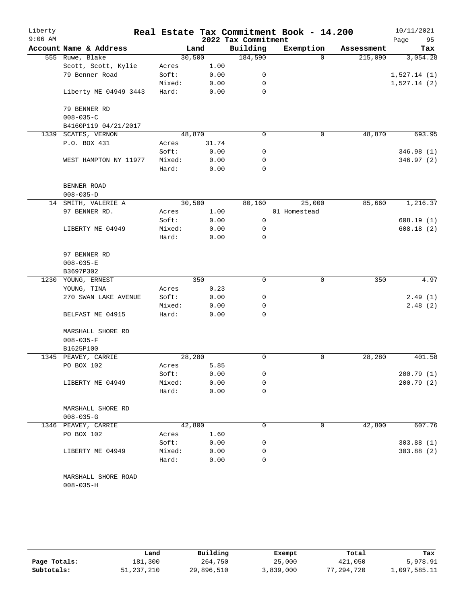| Liberty   |                                        |        |        |                     | Real Estate Tax Commitment Book - 14.200 |            | 10/11/2021  |
|-----------|----------------------------------------|--------|--------|---------------------|------------------------------------------|------------|-------------|
| $9:06$ AM |                                        |        |        | 2022 Tax Commitment |                                          |            | 95<br>Page  |
|           | Account Name & Address                 |        | Land   | Building            | Exemption                                | Assessment | Tax         |
|           | 555 Ruwe, Blake                        |        | 30,500 | 184,590             | $\Omega$                                 | 215,090    | 3,054.28    |
|           | Scott, Scott, Kylie                    | Acres  | 1.00   |                     |                                          |            |             |
|           | 79 Benner Road                         | Soft:  | 0.00   | 0                   |                                          |            | 1,527.14(1) |
|           |                                        | Mixed: | 0.00   | 0                   |                                          |            | 1,527.14(2) |
|           | Liberty ME 04949 3443                  | Hard:  | 0.00   | 0                   |                                          |            |             |
|           | 79 BENNER RD                           |        |        |                     |                                          |            |             |
|           | $008 - 035 - C$                        |        |        |                     |                                          |            |             |
|           | B4160P119 04/21/2017                   |        |        |                     |                                          |            |             |
|           | 1339 SCATES, VERNON                    |        | 48,870 | $\mathbf 0$         | 0                                        | 48,870     | 693.95      |
|           | P.O. BOX 431                           | Acres  | 31.74  |                     |                                          |            |             |
|           |                                        | Soft:  | 0.00   | 0                   |                                          |            | 346.98 (1)  |
|           | WEST HAMPTON NY 11977                  | Mixed: | 0.00   | 0                   |                                          |            | 346.97 (2)  |
|           |                                        | Hard:  | 0.00   | 0                   |                                          |            |             |
|           | BENNER ROAD                            |        |        |                     |                                          |            |             |
|           | $008 - 035 - D$                        |        |        |                     |                                          |            |             |
|           | 14 SMITH, VALERIE A                    |        | 30,500 | 80,160              | 25,000                                   | 85,660     | 1,216.37    |
|           | 97 BENNER RD.                          | Acres  | 1.00   |                     | 01 Homestead                             |            |             |
|           |                                        | Soft:  | 0.00   | 0                   |                                          |            | 608.19(1)   |
|           | LIBERTY ME 04949                       | Mixed: | 0.00   | 0                   |                                          |            | 608.18(2)   |
|           |                                        | Hard:  | 0.00   | 0                   |                                          |            |             |
|           | 97 BENNER RD                           |        |        |                     |                                          |            |             |
|           | $008 - 035 - E$                        |        |        |                     |                                          |            |             |
|           | B3697P302                              |        |        |                     |                                          |            |             |
|           | 1230 YOUNG, ERNEST                     |        | 350    | $\mathbf 0$         | 0                                        | 350        | 4.97        |
|           | YOUNG, TINA                            | Acres  | 0.23   |                     |                                          |            |             |
|           | 270 SWAN LAKE AVENUE                   | Soft:  | 0.00   | 0                   |                                          |            | 2.49(1)     |
|           |                                        | Mixed: | 0.00   | 0                   |                                          |            | 2.48(2)     |
|           | BELFAST ME 04915                       | Hard:  | 0.00   | $\mathbf 0$         |                                          |            |             |
|           | MARSHALL SHORE RD                      |        |        |                     |                                          |            |             |
|           | $008 - 035 - F$                        |        |        |                     |                                          |            |             |
|           | B1625P100                              |        |        |                     |                                          |            |             |
| 1345      | PEAVEY, CARRIE                         |        | 28,280 | 0                   | 0                                        | 28,280     | 401.58      |
|           | PO BOX 102                             | Acres  | 5.85   |                     |                                          |            |             |
|           |                                        | Soft:  | 0.00   | 0                   |                                          |            | 200.79 (1)  |
|           | LIBERTY ME 04949                       | Mixed: | 0.00   | 0                   |                                          |            | 200.79 (2)  |
|           |                                        | Hard:  | 0.00   | 0                   |                                          |            |             |
|           | MARSHALL SHORE RD                      |        |        |                     |                                          |            |             |
|           | $008 - 035 - G$                        |        |        |                     |                                          |            |             |
|           | 1346 PEAVEY, CARRIE                    |        | 42,800 | 0                   | 0                                        | 42,800     | 607.76      |
|           | PO BOX 102                             | Acres  | 1.60   |                     |                                          |            |             |
|           |                                        | Soft:  | 0.00   | 0                   |                                          |            | 303.88(1)   |
|           | LIBERTY ME 04949                       | Mixed: | 0.00   | 0                   |                                          |            | 303.88(2)   |
|           |                                        | Hard:  | 0.00   | 0                   |                                          |            |             |
|           | MARSHALL SHORE ROAD<br>$008 - 035 - H$ |        |        |                     |                                          |            |             |

|              | Land         | Building   | Exempt    | Total      | Tax          |
|--------------|--------------|------------|-----------|------------|--------------|
| Page Totals: | 181,300      | 264,750    | 25,000    | 421,050    | 5,978.91     |
| Subtotals:   | 51, 237, 210 | 29,896,510 | 3,839,000 | 77,294,720 | 1,097,585.11 |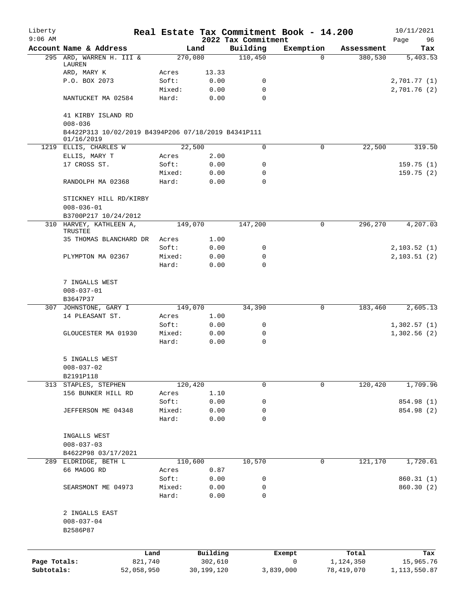| Liberty<br>$9:06$ AM |                                                                   |                 |              | 2022 Tax Commitment | Real Estate Tax Commitment Book - 14.200 |            | 10/11/2021<br>Page<br>96 |
|----------------------|-------------------------------------------------------------------|-----------------|--------------|---------------------|------------------------------------------|------------|--------------------------|
|                      | Account Name & Address                                            |                 | Land         | Building            | Exemption                                | Assessment | Tax                      |
|                      | 295 ARD, WARREN H. III &                                          |                 | 270,080      | 110,450             | $\Omega$                                 | 380,530    | 5,403.53                 |
|                      | LAUREN                                                            |                 |              |                     |                                          |            |                          |
|                      | ARD, MARY K                                                       | Acres           | 13.33        |                     |                                          |            |                          |
|                      | P.O. BOX 2073                                                     | Soft:           | 0.00<br>0.00 | 0<br>$\mathbf 0$    |                                          |            | 2,701.77(1)              |
|                      | NANTUCKET MA 02584                                                | Mixed:<br>Hard: | 0.00         | $\Omega$            |                                          |            | 2,701.76 (2)             |
|                      | 41 KIRBY ISLAND RD                                                |                 |              |                     |                                          |            |                          |
|                      | $008 - 036$                                                       |                 |              |                     |                                          |            |                          |
|                      | B4422P313 10/02/2019 B4394P206 07/18/2019 B4341P111<br>01/16/2019 |                 |              |                     |                                          |            |                          |
|                      | 1219 ELLIS, CHARLES W                                             |                 | 22,500       | 0                   | 0                                        | 22,500     | 319.50                   |
|                      | ELLIS, MARY T                                                     | Acres           | 2.00         |                     |                                          |            |                          |
|                      | 17 CROSS ST.                                                      | Soft:           | 0.00         | 0                   |                                          |            | 159.75(1)                |
|                      |                                                                   | Mixed:          | 0.00         | 0                   |                                          |            | 159.75(2)                |
|                      | RANDOLPH MA 02368                                                 | Hard:           | 0.00         | $\Omega$            |                                          |            |                          |
|                      | STICKNEY HILL RD/KIRBY                                            |                 |              |                     |                                          |            |                          |
|                      | $008 - 036 - 01$                                                  |                 |              |                     |                                          |            |                          |
|                      | B3700P217 10/24/2012<br>310 HARVEY, KATHLEEN A,                   |                 | 149,070      | 147,200             | 0                                        | 296,270    | 4,207.03                 |
|                      | TRUSTEE                                                           |                 |              |                     |                                          |            |                          |
|                      | 35 THOMAS BLANCHARD DR                                            | Acres           | 1.00         |                     |                                          |            |                          |
|                      |                                                                   | Soft:           | 0.00         | 0                   |                                          |            | 2,103.52(1)              |
|                      | PLYMPTON MA 02367                                                 | Mixed:          | 0.00         | 0                   |                                          |            | 2, 103.51(2)             |
|                      |                                                                   | Hard:           | 0.00         | 0                   |                                          |            |                          |
|                      | 7 INGALLS WEST                                                    |                 |              |                     |                                          |            |                          |
|                      | $008 - 037 - 01$                                                  |                 |              |                     |                                          |            |                          |
|                      | B3647P37                                                          |                 |              |                     |                                          |            |                          |
|                      | 307 JOHNSTONE, GARY I                                             |                 | 149,070      | 34,390              | 0                                        | 183,460    | 2,605.13                 |
|                      | 14 PLEASANT ST.                                                   | Acres           | 1.00         |                     |                                          |            |                          |
|                      |                                                                   | Soft:           | 0.00         | 0                   |                                          |            | 1,302.57(1)              |
|                      | GLOUCESTER MA 01930                                               | Mixed:          | 0.00         | 0                   |                                          |            | 1,302.56(2)              |
|                      |                                                                   | Hard:           | 0.00         | $\mathbf 0$         |                                          |            |                          |
|                      | 5 INGALLS WEST                                                    |                 |              |                     |                                          |            |                          |
|                      | $008 - 037 - 02$                                                  |                 |              |                     |                                          |            |                          |
|                      | B2191P118                                                         |                 |              |                     |                                          |            |                          |
|                      | 313 STAPLES, STEPHEN                                              |                 | 120,420      | 0                   | 0                                        | 120,420    | 1,709.96                 |
|                      | 156 BUNKER HILL RD                                                | Acres           | 1.10         |                     |                                          |            |                          |
|                      |                                                                   | Soft:           | 0.00         | 0                   |                                          |            | 854.98 (1)               |
|                      | JEFFERSON ME 04348                                                | Mixed:          | 0.00         | 0                   |                                          |            | 854.98 (2)               |
|                      |                                                                   | Hard:           | 0.00         | 0                   |                                          |            |                          |
|                      | INGALLS WEST                                                      |                 |              |                     |                                          |            |                          |
|                      | $008 - 037 - 03$                                                  |                 |              |                     |                                          |            |                          |
|                      | B4622P98 03/17/2021                                               |                 |              |                     |                                          |            |                          |
|                      | 289 ELDRIDGE, BETH L                                              |                 | 110,600      | 10,570              | 0                                        | 121,170    | 1,720.61                 |
|                      | 66 MAGOG RD                                                       | Acres           | 0.87         |                     |                                          |            |                          |
|                      |                                                                   | Soft:           | 0.00         | 0                   |                                          |            | 860.31(1)                |
|                      | SEARSMONT ME 04973                                                | Mixed:          | 0.00         | 0                   |                                          |            | 860.30 (2)               |
|                      |                                                                   | Hard:           | 0.00         | 0                   |                                          |            |                          |
|                      | 2 INGALLS EAST                                                    |                 |              |                     |                                          |            |                          |
|                      | $008 - 037 - 04$                                                  |                 |              |                     |                                          |            |                          |
|                      | B2586P87                                                          |                 |              |                     |                                          |            |                          |
|                      |                                                                   |                 |              |                     |                                          |            |                          |
|                      |                                                                   | Land            | Building     |                     | Exempt                                   | Total      | Tax                      |
| Page Totals:         | 821,740                                                           |                 | 302,610      |                     | 0                                        | 1,124,350  | 15,965.76                |
| Subtotals:           | 52,058,950                                                        |                 | 30,199,120   |                     | 3,839,000                                | 78,419,070 | 1, 113, 550.87           |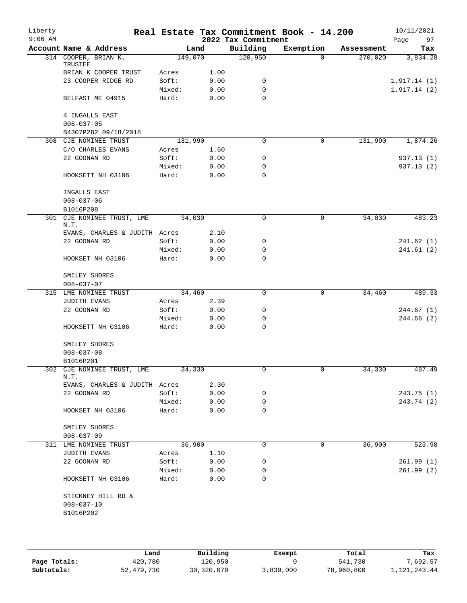| Liberty<br>$9:06$ AM |                                 |         |      | 2022 Tax Commitment | Real Estate Tax Commitment Book - 14.200 |            | 10/11/2021<br>97<br>Page |
|----------------------|---------------------------------|---------|------|---------------------|------------------------------------------|------------|--------------------------|
|                      | Account Name & Address          | Land    |      | Building            | Exemption                                | Assessment | Tax                      |
|                      | 314 COOPER, BRIAN K.<br>TRUSTEE | 149,070 |      | 120,950             | $\Omega$                                 | 270,020    | 3,834.28                 |
|                      | BRIAN K COOPER TRUST            | Acres   | 1.00 |                     |                                          |            |                          |
|                      | 23 COOPER RIDGE RD              | Soft:   | 0.00 | 0                   |                                          |            | 1,917.14(1)              |
|                      |                                 | Mixed:  | 0.00 | 0                   |                                          |            | 1,917.14(2)              |
|                      | BELFAST ME 04915                | Hard:   | 0.00 | $\Omega$            |                                          |            |                          |
|                      | 4 INGALLS EAST                  |         |      |                     |                                          |            |                          |
|                      | $008 - 037 - 05$                |         |      |                     |                                          |            |                          |
|                      | B4307P282 09/18/2018            |         |      |                     |                                          |            |                          |
|                      | 308 CJE NOMINEE TRUST           | 131,990 |      | $\Omega$            | 0                                        | 131,990    | 1,874.26                 |
|                      |                                 |         |      |                     |                                          |            |                          |
|                      | C/O CHARLES EVANS               | Acres   | 1.50 |                     |                                          |            |                          |
|                      | 22 GOONAN RD                    | Soft:   | 0.00 | 0                   |                                          |            | 937.13 (1)               |
|                      |                                 | Mixed:  | 0.00 | 0                   |                                          |            | 937.13 (2)               |
|                      | HOOKSETT NH 03106               | Hard:   | 0.00 | $\Omega$            |                                          |            |                          |
|                      | INGALLS EAST                    |         |      |                     |                                          |            |                          |
|                      | $008 - 037 - 06$                |         |      |                     |                                          |            |                          |
|                      | B1016P208                       |         |      |                     |                                          |            |                          |
| 301                  | CJE NOMINEE TRUST, LME<br>N.T.  | 34,030  |      | 0                   | 0                                        | 34,030     | 483.23                   |
|                      | EVANS, CHARLES & JUDITH Acres   |         | 2.10 |                     |                                          |            |                          |
|                      | 22 GOONAN RD                    | Soft:   | 0.00 | 0                   |                                          |            | 241.62(1)                |
|                      |                                 | Mixed:  | 0.00 | 0                   |                                          |            | 241.61 (2)               |
|                      | HOOKSET NH 03106                | Hard:   | 0.00 | 0                   |                                          |            |                          |
|                      | SMILEY SHORES                   |         |      |                     |                                          |            |                          |
|                      | $008 - 037 - 07$                |         |      |                     |                                          |            |                          |
|                      | 315 LME NOMINEE TRUST           | 34,460  |      | 0                   | 0                                        | 34,460     | 489.33                   |
|                      | <b>JUDITH EVANS</b>             | Acres   | 2.39 |                     |                                          |            |                          |
|                      | 22 GOONAN RD                    | Soft:   | 0.00 | 0                   |                                          |            | 244.67 (1)               |
|                      |                                 | Mixed:  | 0.00 | 0                   |                                          |            | 244.66 (2)               |
|                      | HOOKSETT NH 03106               | Hard:   | 0.00 | 0                   |                                          |            |                          |
|                      | SMILEY SHORES                   |         |      |                     |                                          |            |                          |
|                      | $008 - 037 - 08$                |         |      |                     |                                          |            |                          |
|                      | B1016P201                       |         |      |                     |                                          |            |                          |
|                      | 302 CJE NOMINEE TRUST, LME      | 34,330  |      |                     |                                          | 34,330     | 487.49                   |
|                      | N.T.                            |         |      |                     |                                          |            |                          |
|                      | EVANS, CHARLES & JUDITH Acres   |         | 2.30 |                     |                                          |            |                          |
|                      | 22 GOONAN RD                    | Soft:   | 0.00 | 0                   |                                          |            | 243.75(1)                |
|                      |                                 | Mixed:  | 0.00 | 0                   |                                          |            | 243.74 (2)               |
|                      | HOOKSET NH 03106                | Hard:   | 0.00 | $\Omega$            |                                          |            |                          |
|                      | SMILEY SHORES                   |         |      |                     |                                          |            |                          |
|                      | $008 - 037 - 09$                |         |      |                     |                                          |            |                          |
|                      | 311 LME NOMINEE TRUST           | 36,900  |      | 0                   | 0                                        | 36,900     | 523.98                   |
|                      | JUDITH EVANS                    | Acres   | 1.10 |                     |                                          |            |                          |
|                      | 22 GOONAN RD                    | Soft:   | 0.00 | 0                   |                                          |            | 261.99(1)                |
|                      |                                 | Mixed:  | 0.00 | 0                   |                                          |            | 261.99(2)                |
|                      | HOOKSETT NH 03106               | Hard:   | 0.00 | $\Omega$            |                                          |            |                          |
|                      | STICKNEY HILL RD &              |         |      |                     |                                          |            |                          |
|                      | $008 - 037 - 10$                |         |      |                     |                                          |            |                          |
|                      | B1016P202                       |         |      |                     |                                          |            |                          |
|                      |                                 |         |      |                     |                                          |            |                          |
|                      |                                 |         |      |                     |                                          |            |                          |

|              | Land       | Building   | Exempt    | Total      | Tax            |
|--------------|------------|------------|-----------|------------|----------------|
| Page Totals: | 420,780    | 120,950    |           | 541,730    | 7,692.57       |
| Subtotals:   | 52,479,730 | 30,320,070 | 3,839,000 | 78,960,800 | 1, 121, 243.44 |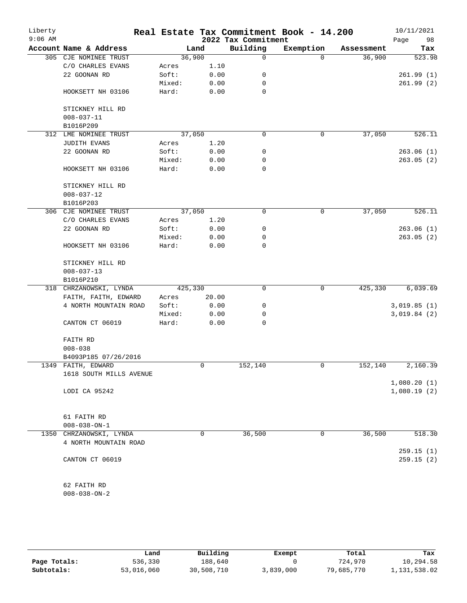| Liberty<br>$9:06$ AM |                         |         |       | 2022 Tax Commitment | Real Estate Tax Commitment Book - 14.200 |            | 10/11/2021<br>Page<br>98 |
|----------------------|-------------------------|---------|-------|---------------------|------------------------------------------|------------|--------------------------|
|                      | Account Name & Address  |         | Land  | Building            | Exemption                                | Assessment | Tax                      |
|                      | 305 CJE NOMINEE TRUST   | 36,900  |       | $\mathsf{O}$        | $\Omega$                                 | 36,900     | 523.98                   |
|                      | C/O CHARLES EVANS       | Acres   | 1.10  |                     |                                          |            |                          |
|                      | 22 GOONAN RD            | Soft:   | 0.00  | 0                   |                                          |            | 261.99(1)                |
|                      |                         | Mixed:  | 0.00  | 0                   |                                          |            | 261.99(2)                |
|                      | HOOKSETT NH 03106       | Hard:   | 0.00  | $\mathbf 0$         |                                          |            |                          |
|                      | STICKNEY HILL RD        |         |       |                     |                                          |            |                          |
|                      | $008 - 037 - 11$        |         |       |                     |                                          |            |                          |
|                      | B1016P209               |         |       |                     |                                          |            |                          |
|                      | 312 LME NOMINEE TRUST   | 37,050  |       | $\mathbf 0$         | $\mathbf 0$                              | 37,050     | 526.11                   |
|                      | <b>JUDITH EVANS</b>     | Acres   | 1.20  |                     |                                          |            |                          |
|                      | 22 GOONAN RD            | Soft:   | 0.00  | 0                   |                                          |            | 263.06(1)                |
|                      |                         | Mixed:  | 0.00  | 0                   |                                          |            | 263.05(2)                |
|                      | HOOKSETT NH 03106       | Hard:   | 0.00  | $\mathbf 0$         |                                          |            |                          |
|                      |                         |         |       |                     |                                          |            |                          |
|                      | STICKNEY HILL RD        |         |       |                     |                                          |            |                          |
|                      | $008 - 037 - 12$        |         |       |                     |                                          |            |                          |
|                      | B1016P203               |         |       |                     |                                          |            |                          |
| 306                  | CJE NOMINEE TRUST       | 37,050  |       | 0                   | $\mathbf 0$                              | 37,050     | 526.11                   |
|                      | C/O CHARLES EVANS       | Acres   | 1.20  |                     |                                          |            |                          |
|                      | 22 GOONAN RD            | Soft:   | 0.00  | 0                   |                                          |            | 263.06(1)                |
|                      |                         | Mixed:  | 0.00  | 0                   |                                          |            | 263.05(2)                |
|                      | HOOKSETT NH 03106       | Hard:   | 0.00  | 0                   |                                          |            |                          |
|                      | STICKNEY HILL RD        |         |       |                     |                                          |            |                          |
|                      | $008 - 037 - 13$        |         |       |                     |                                          |            |                          |
|                      | B1016P210               |         |       |                     |                                          |            |                          |
|                      | 318 CHRZANOWSKI, LYNDA  | 425,330 |       | $\mathbf 0$         | $\mathbf 0$                              | 425,330    | 6,039.69                 |
|                      | FAITH, FAITH, EDWARD    | Acres   | 20.00 |                     |                                          |            |                          |
|                      | 4 NORTH MOUNTAIN ROAD   | Soft:   | 0.00  | 0                   |                                          |            | 3,019.85(1)              |
|                      |                         | Mixed:  | 0.00  | 0                   |                                          |            | 3,019.84(2)              |
|                      | CANTON CT 06019         | Hard:   | 0.00  | 0                   |                                          |            |                          |
|                      | FAITH RD                |         |       |                     |                                          |            |                          |
|                      | $008 - 038$             |         |       |                     |                                          |            |                          |
|                      | B4093P185 07/26/2016    |         |       |                     |                                          |            |                          |
|                      | 1349 FAITH, EDWARD      |         | 0     | 152,140             | $\mathbf 0$                              | 152,140    | 2,160.39                 |
|                      | 1618 SOUTH MILLS AVENUE |         |       |                     |                                          |            |                          |
|                      |                         |         |       |                     |                                          |            | 1,080.20(1)              |
|                      | LODI CA 95242           |         |       |                     |                                          |            | 1,080.19(2)              |
|                      |                         |         |       |                     |                                          |            |                          |
|                      | 61 FAITH RD             |         |       |                     |                                          |            |                          |
|                      | $008 - 038 - ON - 1$    |         |       |                     |                                          |            |                          |
|                      | 1350 CHRZANOWSKI, LYNDA |         | 0     | 36,500              | $\mathsf{O}$                             | 36,500     | 518.30                   |
|                      | 4 NORTH MOUNTAIN ROAD   |         |       |                     |                                          |            |                          |
|                      |                         |         |       |                     |                                          |            | 259.15(1)                |
|                      | CANTON CT 06019         |         |       |                     |                                          |            | 259.15(2)                |
|                      |                         |         |       |                     |                                          |            |                          |
|                      | 62 FAITH RD             |         |       |                     |                                          |            |                          |
|                      | $008 - 038 - ON - 2$    |         |       |                     |                                          |            |                          |

|              | Land       | Building   | Exempt    | Total      | Tax          |
|--------------|------------|------------|-----------|------------|--------------|
| Page Totals: | 536,330    | 188,640    |           | 724,970    | 10,294.58    |
| Subtotals:   | 53,016,060 | 30,508,710 | 3,839,000 | 79,685,770 | 1,131,538.02 |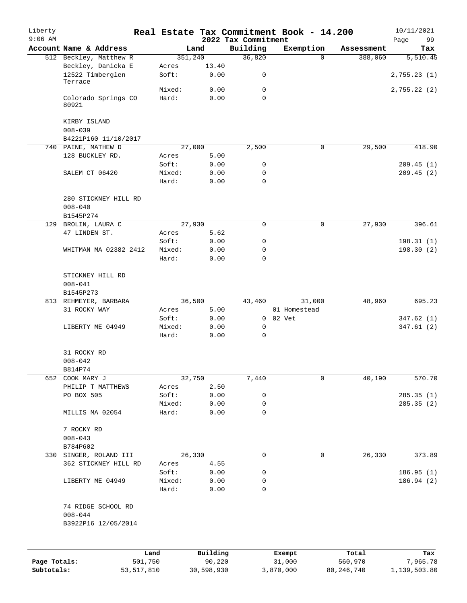| Liberty      |                                                          |                 |               |                                 | Real Estate Tax Commitment Book - 14.200 |            | 10/11/2021        |
|--------------|----------------------------------------------------------|-----------------|---------------|---------------------------------|------------------------------------------|------------|-------------------|
| $9:06$ AM    | Account Name & Address                                   |                 | Land          | 2022 Tax Commitment<br>Building | Exemption                                | Assessment | Page<br>99<br>Tax |
|              | 512 Beckley, Matthew R                                   |                 | 351,240       | 36,820                          | $\Omega$                                 | 388,060    | 5,510.45          |
|              | Beckley, Danicka E<br>12522 Timberglen                   | Acres<br>Soft:  | 13.40<br>0.00 | 0                               |                                          |            | 2,755.23(1)       |
|              | Terrace                                                  | Mixed:          | 0.00          | 0                               |                                          |            | 2,755.22(2)       |
|              | Colorado Springs CO<br>80921                             | Hard:           | 0.00          | $\Omega$                        |                                          |            |                   |
|              | KIRBY ISLAND<br>$008 - 039$                              |                 |               |                                 |                                          |            |                   |
|              | B4221P160 11/10/2017                                     |                 |               |                                 |                                          |            |                   |
|              | 740 PAINE, MATHEW D                                      |                 | 27,000        | 2,500                           | $\mathbf 0$                              | 29,500     | 418.90            |
|              | 128 BUCKLEY RD.                                          | Acres           | 5.00          |                                 |                                          |            |                   |
|              |                                                          | Soft:           | 0.00          | 0                               |                                          |            | 209.45(1)         |
|              | SALEM CT 06420                                           | Mixed:<br>Hard: | 0.00<br>0.00  | 0<br>$\mathbf 0$                |                                          |            | 209.45(2)         |
|              | 280 STICKNEY HILL RD<br>$008 - 040$                      |                 |               |                                 |                                          |            |                   |
|              | B1545P274                                                |                 |               |                                 |                                          |            |                   |
|              | 129 BROLIN, LAURA C                                      |                 | 27,930        | 0                               | 0                                        | 27,930     | 396.61            |
|              | 47 LINDEN ST.                                            | Acres           | 5.62          |                                 |                                          |            |                   |
|              |                                                          | Soft:           | 0.00          | 0                               |                                          |            | 198.31(1)         |
|              | WHITMAN MA 02382 2412                                    | Mixed:<br>Hard: | 0.00<br>0.00  | $\mathbf 0$<br>$\mathbf 0$      |                                          |            | 198.30 (2)        |
|              | STICKNEY HILL RD<br>$008 - 041$<br>B1545P273             |                 |               |                                 |                                          |            |                   |
|              | 813 REHMEYER, BARBARA                                    |                 | 36,500        | 43,460                          | 31,000                                   | 48,960     | 695.23            |
|              | 31 ROCKY WAY                                             | Acres<br>Soft:  | 5.00<br>0.00  |                                 | 01 Homestead<br>0 02 Vet                 |            | 347.62(1)         |
|              | LIBERTY ME 04949                                         | Mixed:          | 0.00          | 0                               |                                          |            | 347.61(2)         |
|              |                                                          | Hard:           | 0.00          | 0                               |                                          |            |                   |
|              | 31 ROCKY RD                                              |                 |               |                                 |                                          |            |                   |
|              | $008 - 042$                                              |                 |               |                                 |                                          |            |                   |
| 652          | B814P74<br>COOK MARY J                                   |                 | 32,750        | 7,440                           | 0                                        | 40,190     | 570.70            |
|              | PHILIP T MATTHEWS                                        | Acres           | 2.50          |                                 |                                          |            |                   |
|              | PO BOX 505                                               | Soft:           | 0.00          | 0                               |                                          |            | 285.35 (1)        |
|              |                                                          | Mixed:          | 0.00          | 0                               |                                          |            | 285.35 (2)        |
|              | MILLIS MA 02054                                          | Hard:           | 0.00          | 0                               |                                          |            |                   |
|              | 7 ROCKY RD<br>$008 - 043$                                |                 |               |                                 |                                          |            |                   |
| 330          | B784P602<br>SINGER, ROLAND III                           |                 | 26,330        | $\mathbf 0$                     | $\mathbf 0$                              | 26,330     | 373.89            |
|              | 362 STICKNEY HILL RD                                     | Acres           | 4.55          |                                 |                                          |            |                   |
|              |                                                          | Soft:           | 0.00          | 0                               |                                          |            | 186.95(1)         |
|              | LIBERTY ME 04949                                         | Mixed:          | 0.00          | 0                               |                                          |            | 186.94(2)         |
|              |                                                          | Hard:           | 0.00          | 0                               |                                          |            |                   |
|              | 74 RIDGE SCHOOL RD<br>$008 - 044$<br>B3922P16 12/05/2014 |                 |               |                                 |                                          |            |                   |
|              |                                                          |                 |               |                                 |                                          |            |                   |
|              |                                                          | Land            | Building      |                                 | Exempt                                   | Total      | Tax               |
| Page Totals: |                                                          | 501,750         | 90,220        |                                 | 31,000                                   | 560,970    | 7,965.78          |

**Subtotals:** 53,517,810 30,598,930 3,870,000 80,246,740 1,139,503.80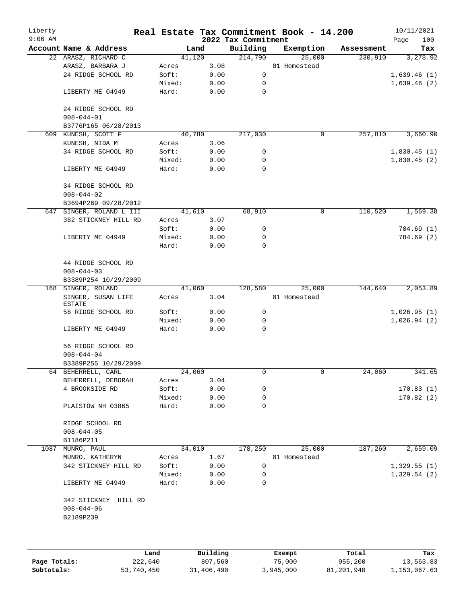| Liberty<br>$9:06$ AM |                                        |                 |              | 2022 Tax Commitment | Real Estate Tax Commitment Book - 14.200 |            | 10/11/2021<br>100 |
|----------------------|----------------------------------------|-----------------|--------------|---------------------|------------------------------------------|------------|-------------------|
|                      | Account Name & Address                 | Land            |              | Building            | Exemption                                | Assessment | Page<br>Tax       |
|                      | 22 ARASZ, RICHARD C                    | 41,120          |              | 214,790             | 25,000                                   | 230,910    | 3,278.92          |
|                      | ARASZ, BARBARA J                       | Acres           | 3.08         |                     | 01 Homestead                             |            |                   |
|                      | 24 RIDGE SCHOOL RD                     | Soft:           | 0.00         | 0                   |                                          |            | 1,639.46(1)       |
|                      |                                        | Mixed:          | 0.00         | 0                   |                                          |            | 1,639.46(2)       |
|                      | LIBERTY ME 04949                       | Hard:           | 0.00         | 0                   |                                          |            |                   |
|                      | 24 RIDGE SCHOOL RD                     |                 |              |                     |                                          |            |                   |
|                      | $008 - 044 - 01$                       |                 |              |                     |                                          |            |                   |
|                      | B3776P165 06/28/2013                   |                 |              |                     |                                          |            |                   |
|                      | 609 KUNESH, SCOTT F                    | 40,780          |              | 217,030             | 0                                        | 257,810    | 3,660.90          |
|                      | KUNESH, NIDA M                         | Acres           | 3.06         |                     |                                          |            |                   |
|                      | 34 RIDGE SCHOOL RD                     | Soft:           | 0.00         | 0                   |                                          |            | 1,830.45(1)       |
|                      |                                        | Mixed:          | 0.00         | 0                   |                                          |            | 1,830.45(2)       |
|                      | LIBERTY ME 04949                       | Hard:           | 0.00         | $\mathbf 0$         |                                          |            |                   |
|                      | 34 RIDGE SCHOOL RD<br>$008 - 044 - 02$ |                 |              |                     |                                          |            |                   |
|                      | B3694P269 09/28/2012                   |                 |              |                     |                                          |            |                   |
|                      | 647 SINGER, ROLAND L III               | 41,610          |              | 68,910              | 0                                        | 110,520    | 1,569.38          |
|                      | 362 STICKNEY HILL RD                   | Acres           | 3.07         |                     |                                          |            |                   |
|                      |                                        | Soft:           | 0.00         | 0                   |                                          |            | 784.69 (1)        |
|                      | LIBERTY ME 04949                       | Mixed:          | 0.00         | 0                   |                                          |            | 784.69 (2)        |
|                      |                                        | Hard:           | 0.00         | 0                   |                                          |            |                   |
|                      | 44 RIDGE SCHOOL RD<br>$008 - 044 - 03$ |                 |              |                     |                                          |            |                   |
|                      | B3389P254 10/29/2009                   |                 |              |                     |                                          |            |                   |
|                      | 168 SINGER, ROLAND                     | 41,060          |              | 128,580             | 25,000                                   | 144,640    | 2,053.89          |
|                      | SINGER, SUSAN LIFE<br>ESTATE           | Acres           | 3.04         |                     | 01 Homestead                             |            |                   |
|                      | 56 RIDGE SCHOOL RD                     | Soft:           | 0.00         | 0                   |                                          |            | 1,026.95(1)       |
|                      |                                        | Mixed:          | 0.00         | 0                   |                                          |            | 1,026.94(2)       |
|                      | LIBERTY ME 04949                       | Hard:           | 0.00         | 0                   |                                          |            |                   |
|                      | 56 RIDGE SCHOOL RD<br>$008 - 044 - 04$ |                 |              |                     |                                          |            |                   |
|                      |                                        |                 |              |                     |                                          |            |                   |
|                      | B3389P255 10/29/2009                   |                 |              |                     |                                          |            |                   |
|                      | 64 BEHERRELL, CARL                     | 24,060          |              | 0                   | 0                                        | 24,060     | 341.65            |
|                      | BEHERRELL, DEBORAH                     | Acres           | 3.04         |                     |                                          |            |                   |
|                      | 4 BROOKSIDE RD                         | Soft:           | 0.00         | 0                   |                                          |            | 170.83(1)         |
|                      | PLAISTOW NH 03865                      | Mixed:<br>Hard: | 0.00<br>0.00 | 0<br>0              |                                          |            | 170.82(2)         |
|                      |                                        |                 |              |                     |                                          |            |                   |
|                      | RIDGE SCHOOL RD<br>$008 - 044 - 05$    |                 |              |                     |                                          |            |                   |
|                      | B1186P211                              |                 |              |                     |                                          |            |                   |
| 1087                 | MUNRO, PAUL                            | 34,010          |              | 178,250             | 25,000                                   | 187,260    | 2,659.09          |
|                      | MUNRO, KATHERYN                        | Acres           | 1.67         |                     | 01 Homestead                             |            |                   |
|                      | 342 STICKNEY HILL RD                   | Soft:           | 0.00         | 0                   |                                          |            | 1,329.55(1)       |
|                      |                                        | Mixed:          | 0.00         | 0                   |                                          |            | 1,329.54(2)       |
|                      | LIBERTY ME 04949                       | Hard:           | 0.00         | 0                   |                                          |            |                   |
|                      | 342 STICKNEY HILL RD                   |                 |              |                     |                                          |            |                   |
|                      | $008 - 044 - 06$<br>B2189P239          |                 |              |                     |                                          |            |                   |
|                      |                                        |                 |              |                     |                                          |            |                   |
|                      |                                        |                 |              |                     |                                          |            |                   |
|                      |                                        |                 |              |                     |                                          |            |                   |

|              | Land       | Building   | Exempt    | Total      | Tax          |
|--------------|------------|------------|-----------|------------|--------------|
| Page Totals: | 222,640    | 807,560    | 75,000    | 955,200    | 13,563.83    |
| Subtotals:   | 53,740,450 | 31,406,490 | 3,945,000 | 81,201,940 | 1,153,067.63 |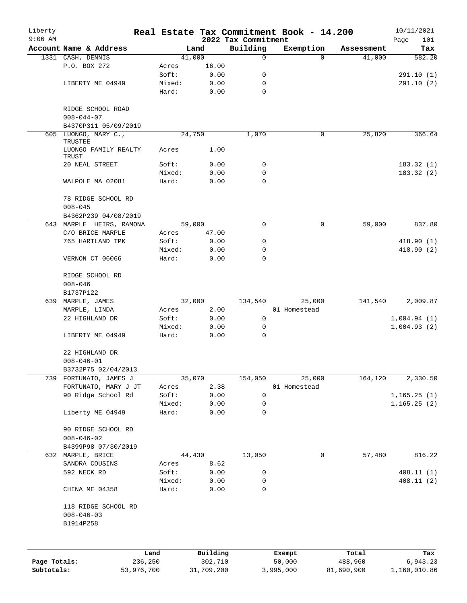| Liberty<br>$9:06$ AM |                               |            |                 |              | 2022 Tax Commitment | Real Estate Tax Commitment Book - 14.200 |            | 10/11/2021<br>101<br>Page |
|----------------------|-------------------------------|------------|-----------------|--------------|---------------------|------------------------------------------|------------|---------------------------|
|                      | Account Name & Address        |            |                 | Land         | Building            | Exemption                                | Assessment | Tax                       |
|                      | 1331 CASH, DENNIS             |            |                 | 41,000       | 0                   | $\Omega$                                 | 41,000     | 582.20                    |
|                      | P.O. BOX 272                  |            | Acres           | 16.00        |                     |                                          |            |                           |
|                      |                               |            | Soft:           | 0.00         | 0                   |                                          |            | 291.10(1)                 |
|                      | LIBERTY ME 04949              |            | Mixed:          | 0.00         | 0                   |                                          |            | 291.10(2)                 |
|                      |                               |            | Hard:           | 0.00         | 0                   |                                          |            |                           |
|                      | RIDGE SCHOOL ROAD             |            |                 |              |                     |                                          |            |                           |
|                      | $008 - 044 - 07$              |            |                 |              |                     |                                          |            |                           |
|                      | B4370P311 05/09/2019          |            |                 |              |                     |                                          |            |                           |
| 605                  | LUONGO, MARY C.,<br>TRUSTEE   |            |                 | 24,750       | 1,070               | 0                                        | 25,820     | 366.64                    |
|                      | LUONGO FAMILY REALTY<br>TRUST |            | Acres           | 1.00         |                     |                                          |            |                           |
|                      | 20 NEAL STREET                |            | Soft:           | 0.00         | 0                   |                                          |            | 183.32(1)                 |
|                      |                               |            | Mixed:          | 0.00         | 0                   |                                          |            | 183.32(2)                 |
|                      | WALPOLE MA 02081              |            | Hard:           | 0.00         | 0                   |                                          |            |                           |
|                      | 78 RIDGE SCHOOL RD            |            |                 |              |                     |                                          |            |                           |
|                      | $008 - 045$                   |            |                 |              |                     |                                          |            |                           |
|                      | B4362P239 04/08/2019          |            |                 |              |                     |                                          |            |                           |
|                      | 643 MARPLE HEIRS, RAMONA      |            |                 | 59,000       | $\Omega$            | 0                                        | 59,000     | 837.80                    |
|                      | C/O BRICE MARPLE              |            | Acres           | 47.00        |                     |                                          |            |                           |
|                      | 765 HARTLAND TPK              |            | Soft:           | 0.00         | 0                   |                                          |            | 418.90(1)                 |
|                      |                               |            | Mixed:          | 0.00         | 0                   |                                          |            | 418.90(2)                 |
|                      | VERNON CT 06066               |            | Hard:           | 0.00         | $\Omega$            |                                          |            |                           |
|                      | RIDGE SCHOOL RD               |            |                 |              |                     |                                          |            |                           |
|                      | $008 - 046$                   |            |                 |              |                     |                                          |            |                           |
|                      | B1737P122                     |            |                 |              |                     |                                          |            |                           |
|                      | 639 MARPLE, JAMES             |            |                 | 32,000       | 134,540             | 25,000                                   | 141,540    | 2,009.87                  |
|                      | MARPLE, LINDA                 |            | Acres           | 2.00         |                     | 01 Homestead                             |            |                           |
|                      | 22 HIGHLAND DR                |            | Soft:           | 0.00         | 0                   |                                          |            | 1,004.94(1)               |
|                      |                               |            | Mixed:          | 0.00         | 0                   |                                          |            | 1,004.93(2)               |
|                      | LIBERTY ME 04949              |            | Hard:           | 0.00         | 0                   |                                          |            |                           |
|                      | 22 HIGHLAND DR                |            |                 |              |                     |                                          |            |                           |
|                      | $008 - 046 - 01$              |            |                 |              |                     |                                          |            |                           |
|                      | B3732P75 02/04/2013           |            |                 |              |                     |                                          |            |                           |
| 739                  | FORTUNATO, JAMES J            |            |                 | 35,070       | 154,050             | 25,000                                   | 164,120    | 2,330.50                  |
|                      | FORTUNATO, MARY J JT          |            | Acres           | 2.38         |                     | 01 Homestead                             |            |                           |
|                      | 90 Ridge School Rd            |            | Soft:           | 0.00         | 0                   |                                          |            | 1, 165.25(1)              |
|                      |                               |            | Mixed:          | 0.00         | 0                   |                                          |            | 1, 165.25(2)              |
|                      | Liberty ME 04949              |            | Hard:           | 0.00         | 0                   |                                          |            |                           |
|                      | 90 RIDGE SCHOOL RD            |            |                 |              |                     |                                          |            |                           |
|                      | $008 - 046 - 02$              |            |                 |              |                     |                                          |            |                           |
|                      | B4399P98 07/30/2019           |            |                 |              |                     |                                          |            |                           |
|                      | 632 MARPLE, BRICE             |            |                 | 44,430       | 13,050              | 0                                        | 57,480     | 816.22                    |
|                      | SANDRA COUSINS                |            | Acres           | 8.62         |                     |                                          |            |                           |
|                      | 592 NECK RD                   |            | Soft:           | 0.00         | 0                   |                                          |            | 408.11(1)                 |
|                      | CHINA ME 04358                |            | Mixed:<br>Hard: | 0.00<br>0.00 | 0<br>0              |                                          |            | 408.11 (2)                |
|                      | 118 RIDGE SCHOOL RD           |            |                 |              |                     |                                          |            |                           |
|                      | $008 - 046 - 03$              |            |                 |              |                     |                                          |            |                           |
|                      | B1914P258                     |            |                 |              |                     |                                          |            |                           |
|                      |                               |            |                 |              |                     |                                          |            |                           |
|                      |                               | Land       |                 | Building     |                     | Exempt                                   | Total      | Tax                       |
| Page Totals:         |                               | 236,250    |                 | 302,710      |                     | 50,000                                   | 488,960    | 6,943.23                  |
| Subtotals:           |                               | 53,976,700 |                 | 31,709,200   |                     | 3,995,000                                | 81,690,900 | 1,160,010.86              |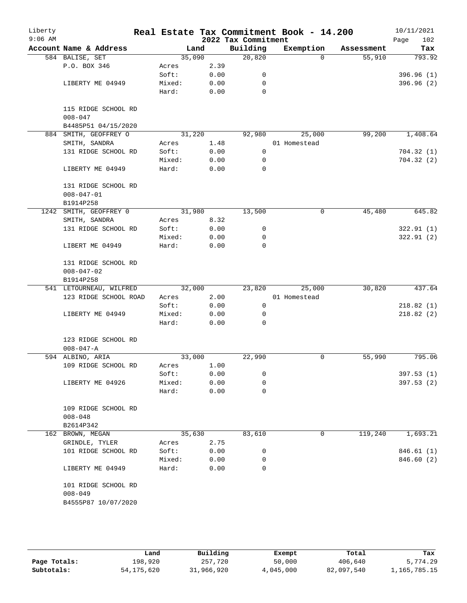| Liberty<br>$9:06$ AM |                         |        |      | 2022 Tax Commitment | Real Estate Tax Commitment Book - 14.200 |            | 10/11/2021<br>102<br>Page |
|----------------------|-------------------------|--------|------|---------------------|------------------------------------------|------------|---------------------------|
|                      | Account Name & Address  | Land   |      | Building            | Exemption                                | Assessment | Tax                       |
|                      | 584 BALISE, SET         | 35,090 |      | 20,820              | $\Omega$                                 | 55,910     | 793.92                    |
|                      | P.O. BOX 346            | Acres  | 2.39 |                     |                                          |            |                           |
|                      |                         | Soft:  | 0.00 | 0                   |                                          |            | 396.96(1)                 |
|                      | LIBERTY ME 04949        | Mixed: | 0.00 | $\mathbf 0$         |                                          |            | 396.96(2)                 |
|                      |                         | Hard:  | 0.00 | $\mathbf 0$         |                                          |            |                           |
|                      |                         |        |      |                     |                                          |            |                           |
|                      | 115 RIDGE SCHOOL RD     |        |      |                     |                                          |            |                           |
|                      | $008 - 047$             |        |      |                     |                                          |            |                           |
|                      | B4485P51 04/15/2020     | 31,220 |      |                     |                                          | 99,200     | 1,408.64                  |
|                      | 884 SMITH, GEOFFREY O   |        |      | 92,980              | 25,000                                   |            |                           |
|                      | SMITH, SANDRA           | Acres  | 1.48 |                     | 01 Homestead                             |            |                           |
|                      | 131 RIDGE SCHOOL RD     | Soft:  | 0.00 | 0                   |                                          |            | 704.32(1)                 |
|                      |                         | Mixed: | 0.00 | 0                   |                                          |            | 704.32(2)                 |
|                      | LIBERTY ME 04949        | Hard:  | 0.00 | $\mathbf 0$         |                                          |            |                           |
|                      | 131 RIDGE SCHOOL RD     |        |      |                     |                                          |            |                           |
|                      | $008 - 047 - 01$        |        |      |                     |                                          |            |                           |
|                      | B1914P258               |        |      |                     |                                          |            |                           |
| 1242                 | SMITH, GEOFFREY 0       | 31,980 |      | 13,500              | 0                                        | 45,480     | 645.82                    |
|                      | SMITH, SANDRA           | Acres  | 8.32 |                     |                                          |            |                           |
|                      | 131 RIDGE SCHOOL RD     | Soft:  | 0.00 | 0                   |                                          |            | 322.91(1)                 |
|                      |                         | Mixed: | 0.00 | 0                   |                                          |            | 322.91(2)                 |
|                      | LIBERT ME 04949         | Hard:  | 0.00 | $\mathbf 0$         |                                          |            |                           |
|                      | 131 RIDGE SCHOOL RD     |        |      |                     |                                          |            |                           |
|                      | $008 - 047 - 02$        |        |      |                     |                                          |            |                           |
|                      | B1914P258               |        |      |                     |                                          |            |                           |
|                      | 541 LETOURNEAU, WILFRED | 32,000 |      | 23,820              | 25,000                                   | 30,820     | 437.64                    |
|                      | 123 RIDGE SCHOOL ROAD   | Acres  | 2.00 |                     | 01 Homestead                             |            |                           |
|                      |                         |        |      | $\mathsf{O}$        |                                          |            |                           |
|                      |                         | Soft:  | 0.00 |                     |                                          |            | 218.82(1)                 |
|                      | LIBERTY ME 04949        | Mixed: | 0.00 | 0                   |                                          |            | 218.82(2)                 |
|                      |                         | Hard:  | 0.00 | $\Omega$            |                                          |            |                           |
|                      | 123 RIDGE SCHOOL RD     |        |      |                     |                                          |            |                           |
|                      | $008 - 047 - A$         |        |      |                     |                                          |            |                           |
|                      | 594 ALBINO, ARIA        | 33,000 |      | 22,990              | 0                                        | 55,990     | 795.06                    |
|                      | 109 RIDGE SCHOOL RD     | Acres  | 1.00 |                     |                                          |            |                           |
|                      |                         | Soft:  | 0.00 | 0                   |                                          |            | 397.53 (1)                |
|                      | LIBERTY ME 04926        | Mixed: | 0.00 | 0                   |                                          |            | 397.53 (2)                |
|                      |                         | Hard:  | 0.00 | 0                   |                                          |            |                           |
|                      | 109 RIDGE SCHOOL RD     |        |      |                     |                                          |            |                           |
|                      | $008 - 048$             |        |      |                     |                                          |            |                           |
|                      | B2614P342               |        |      |                     |                                          |            |                           |
|                      | 162 BROWN, MEGAN        | 35,630 |      | 83,610              | 0                                        | 119,240    | 1,693.21                  |
|                      | GRINDLE, TYLER          | Acres  | 2.75 |                     |                                          |            |                           |
|                      | 101 RIDGE SCHOOL RD     | Soft:  | 0.00 | 0                   |                                          |            | 846.61 (1)                |
|                      |                         | Mixed: | 0.00 | 0                   |                                          |            | 846.60 (2)                |
|                      | LIBERTY ME 04949        | Hard:  | 0.00 | 0                   |                                          |            |                           |
|                      |                         |        |      |                     |                                          |            |                           |
|                      | 101 RIDGE SCHOOL RD     |        |      |                     |                                          |            |                           |
|                      | $008 - 049$             |        |      |                     |                                          |            |                           |
|                      | B4555P87 10/07/2020     |        |      |                     |                                          |            |                           |

|              | Land         | Building   | Exempt    | Total      | Tax          |
|--------------|--------------|------------|-----------|------------|--------------|
| Page Totals: | 198,920      | 257,720    | 50,000    | 406,640    | 5,774.29     |
| Subtotals:   | 54, 175, 620 | 31,966,920 | 4,045,000 | 82,097,540 | 1,165,785.15 |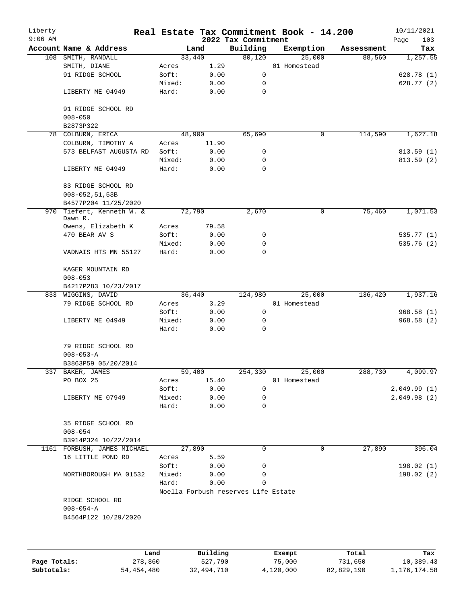| Liberty<br>$9:06$ AM |                                    |        |        | 2022 Tax Commitment                 | Real Estate Tax Commitment Book - 14.200 |            | 10/11/2021<br>103<br>Page |
|----------------------|------------------------------------|--------|--------|-------------------------------------|------------------------------------------|------------|---------------------------|
|                      | Account Name & Address             |        | Land   | Building                            | Exemption                                | Assessment | Tax                       |
|                      | 108 SMITH, RANDALL                 |        | 33,440 | 80,120                              | 25,000                                   | 88,560     | 1,257.55                  |
|                      | SMITH, DIANE                       | Acres  | 1.29   |                                     | 01 Homestead                             |            |                           |
|                      | 91 RIDGE SCHOOL                    | Soft:  | 0.00   | $\mathsf{O}$                        |                                          |            | 628.78 (1)                |
|                      |                                    | Mixed: | 0.00   | 0                                   |                                          |            | 628.77 (2)                |
|                      | LIBERTY ME 04949                   | Hard:  | 0.00   | 0                                   |                                          |            |                           |
|                      | 91 RIDGE SCHOOL RD                 |        |        |                                     |                                          |            |                           |
|                      | $008 - 050$                        |        |        |                                     |                                          |            |                           |
|                      | B2873P322                          |        |        |                                     |                                          |            |                           |
|                      | 78 COLBURN, ERICA                  |        | 48,900 | 65,690                              | 0                                        | 114,590    | 1,627.18                  |
|                      | COLBURN, TIMOTHY A                 | Acres  | 11.90  |                                     |                                          |            |                           |
|                      | 573 BELFAST AUGUSTA RD             | Soft:  | 0.00   | 0                                   |                                          |            | 813.59(1)                 |
|                      |                                    | Mixed: | 0.00   | 0                                   |                                          |            | 813.59(2)                 |
|                      | LIBERTY ME 04949                   | Hard:  | 0.00   | 0                                   |                                          |            |                           |
|                      | 83 RIDGE SCHOOL RD                 |        |        |                                     |                                          |            |                           |
|                      | $008 - 052, 51, 53B$               |        |        |                                     |                                          |            |                           |
|                      | B4577P204 11/25/2020               |        |        |                                     |                                          |            |                           |
| 970                  | Tiefert, Kenneth W. &<br>Dawn R.   |        | 72,790 | 2,670                               | 0                                        | 75,460     | 1,071.53                  |
|                      | Owens, Elizabeth K                 | Acres  | 79.58  |                                     |                                          |            |                           |
|                      | 470 BEAR AV S                      | Soft:  | 0.00   | 0                                   |                                          |            | 535.77 (1)                |
|                      |                                    | Mixed: | 0.00   | 0                                   |                                          |            | 535.76(2)                 |
|                      | VADNAIS HTS MN 55127               | Hard:  | 0.00   | $\Omega$                            |                                          |            |                           |
|                      | KAGER MOUNTAIN RD<br>$008 - 053$   |        |        |                                     |                                          |            |                           |
|                      | B4217P283 10/23/2017               |        |        |                                     |                                          |            |                           |
|                      | 833 WIGGINS, DAVID                 |        | 36,440 | 124,980                             | 25,000                                   | 136,420    | 1,937.16                  |
|                      | 79 RIDGE SCHOOL RD                 | Acres  | 3.29   |                                     | 01 Homestead                             |            |                           |
|                      |                                    | Soft:  | 0.00   | 0                                   |                                          |            | 968.58(1)                 |
|                      | LIBERTY ME 04949                   | Mixed: | 0.00   | 0                                   |                                          |            | 968.58(2)                 |
|                      |                                    | Hard:  | 0.00   | 0                                   |                                          |            |                           |
|                      | 79 RIDGE SCHOOL RD                 |        |        |                                     |                                          |            |                           |
|                      | $008 - 053 - A$                    |        |        |                                     |                                          |            |                           |
|                      | B3863P59 05/20/2014                |        |        |                                     |                                          |            |                           |
|                      | 337 BAKER, JAMES                   |        | 59,400 | 254,330                             | 25,000                                   | 288,730    | 4,099.97                  |
|                      | PO BOX 25                          | Acres  | 15.40  |                                     | 01 Homestead                             |            |                           |
|                      |                                    | Soft:  | 0.00   | 0                                   |                                          |            | 2,049.99(1)               |
|                      | LIBERTY ME 07949                   | Mixed: | 0.00   | 0                                   |                                          |            | 2,049.98(2)               |
|                      |                                    | Hard:  | 0.00   | 0                                   |                                          |            |                           |
|                      | 35 RIDGE SCHOOL RD<br>$008 - 054$  |        |        |                                     |                                          |            |                           |
|                      | B3914P324 10/22/2014               |        |        |                                     |                                          |            |                           |
|                      | 1161 FORBUSH, JAMES MICHAEL        |        | 27,890 | $\Omega$                            | 0                                        | 27,890     | 396.04                    |
|                      | 16 LITTLE POND RD                  | Acres  | 5.59   |                                     |                                          |            |                           |
|                      |                                    | Soft:  | 0.00   | 0                                   |                                          |            | 198.02(1)                 |
|                      | NORTHBOROUGH MA 01532              | Mixed: | 0.00   | 0                                   |                                          |            | 198.02(2)                 |
|                      |                                    | Hard:  | 0.00   | 0                                   |                                          |            |                           |
|                      |                                    |        |        | Noella Forbush reserves Life Estate |                                          |            |                           |
|                      | RIDGE SCHOOL RD<br>$008 - 054 - A$ |        |        |                                     |                                          |            |                           |
|                      | B4564P122 10/29/2020               |        |        |                                     |                                          |            |                           |
|                      |                                    |        |        |                                     |                                          |            |                           |
|                      |                                    |        |        |                                     |                                          |            |                           |

|              | Land         | Building   | Exempt    | Total      | Tax          |
|--------------|--------------|------------|-----------|------------|--------------|
| Page Totals: | 278,860      | 527,790    | 75,000    | 731,650    | 10,389.43    |
| Subtotals:   | 54, 454, 480 | 32,494,710 | 4,120,000 | 82,829,190 | 1,176,174.58 |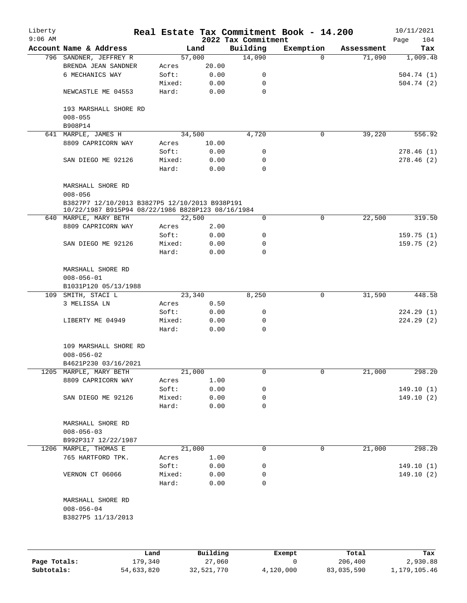| Liberty<br>$9:06$ AM |                                                                                                     |                 |              | 2022 Tax Commitment | Real Estate Tax Commitment Book - 14.200 |            | 10/11/2021<br>104<br>Page |
|----------------------|-----------------------------------------------------------------------------------------------------|-----------------|--------------|---------------------|------------------------------------------|------------|---------------------------|
|                      | Account Name & Address                                                                              |                 | Land         | Building            | Exemption                                | Assessment | Tax                       |
|                      | 796 SANDNER, JEFFREY R                                                                              |                 | 57,000       | 14,090              | $\Omega$                                 | 71,090     | 1,009.48                  |
|                      | BRENDA JEAN SANDNER                                                                                 | Acres           | 20.00        |                     |                                          |            |                           |
|                      | 6 MECHANICS WAY                                                                                     | Soft:           | 0.00         | 0                   |                                          |            | 504.74(1)                 |
|                      |                                                                                                     | Mixed:          | 0.00         | 0                   |                                          |            | 504.74(2)                 |
|                      | NEWCASTLE ME 04553                                                                                  | Hard:           | 0.00         | 0                   |                                          |            |                           |
|                      | 193 MARSHALL SHORE RD<br>$008 - 055$                                                                |                 |              |                     |                                          |            |                           |
|                      | B908P14                                                                                             |                 |              |                     |                                          |            |                           |
|                      | 641 MARPLE, JAMES H                                                                                 |                 |              |                     | $\mathsf{O}$                             | 39,220     | 556.92                    |
|                      | 8809 CAPRICORN WAY                                                                                  |                 | 34,500       | 4,720               |                                          |            |                           |
|                      |                                                                                                     | Acres           | 10.00        |                     |                                          |            |                           |
|                      |                                                                                                     | Soft:           | 0.00         | 0                   |                                          |            | 278.46(1)                 |
|                      | SAN DIEGO ME 92126                                                                                  | Mixed:<br>Hard: | 0.00<br>0.00 | 0<br>0              |                                          |            | 278.46(2)                 |
|                      | MARSHALL SHORE RD<br>$008 - 056$                                                                    |                 |              |                     |                                          |            |                           |
|                      | B3827P7 12/10/2013 B3827P5 12/10/2013 B938P191<br>10/22/1987 B915P94 08/22/1986 B828P123 08/16/1984 |                 |              |                     |                                          |            |                           |
|                      | 640 MARPLE, MARY BETH                                                                               |                 | 22,500       | 0                   | 0                                        | 22,500     | 319.50                    |
|                      | 8809 CAPRICORN WAY                                                                                  | Acres           | 2.00         |                     |                                          |            |                           |
|                      |                                                                                                     | Soft:           | 0.00         | 0                   |                                          |            | 159.75(1)                 |
|                      | SAN DIEGO ME 92126                                                                                  | Mixed:          | 0.00         | 0                   |                                          |            | 159.75(2)                 |
|                      |                                                                                                     | Hard:           | 0.00         | $\Omega$            |                                          |            |                           |
|                      | MARSHALL SHORE RD<br>$008 - 056 - 01$                                                               |                 |              |                     |                                          |            |                           |
|                      | B1031P120 05/13/1988                                                                                |                 |              |                     |                                          |            |                           |
| 109                  | SMITH, STACI L                                                                                      |                 | 23,340       | 8,250               | $\mathsf{O}$                             | 31,590     | 448.58                    |
|                      | 3 MELISSA LN                                                                                        | Acres           | 0.50         |                     |                                          |            |                           |
|                      |                                                                                                     | Soft:           | 0.00         | 0                   |                                          |            | 224.29(1)                 |
|                      | LIBERTY ME 04949                                                                                    | Mixed:          | 0.00         | 0                   |                                          |            | 224.29(2)                 |
|                      |                                                                                                     | Hard:           | 0.00         | 0                   |                                          |            |                           |
|                      | 109 MARSHALL SHORE RD<br>$008 - 056 - 02$                                                           |                 |              |                     |                                          |            |                           |
|                      | B4621P230 03/16/2021                                                                                |                 |              |                     |                                          |            |                           |
|                      | 1205 MARPLE, MARY BETH                                                                              |                 | 21,000       | 0                   | 0                                        | 21,000     | 298.20                    |
|                      | 8809 CAPRICORN WAY                                                                                  | Acres           | 1.00         |                     |                                          |            |                           |
|                      |                                                                                                     | Soft:           | 0.00         | 0                   |                                          |            | 149.10(1)                 |
|                      | SAN DIEGO ME 92126                                                                                  | Mixed:          | 0.00         | 0                   |                                          |            | 149.10(2)                 |
|                      |                                                                                                     | Hard:           | 0.00         | 0                   |                                          |            |                           |
|                      | MARSHALL SHORE RD<br>$008 - 056 - 03$                                                               |                 |              |                     |                                          |            |                           |
|                      | B992P317 12/22/1987                                                                                 |                 |              |                     |                                          |            |                           |
|                      | 1206 MARPLE, THOMAS E                                                                               |                 | 21,000       | 0                   | 0                                        | 21,000     | 298.20                    |
|                      | 765 HARTFORD TPK.                                                                                   | Acres           | 1.00         |                     |                                          |            |                           |
|                      |                                                                                                     | Soft:           | 0.00         | 0                   |                                          |            | 149.10(1)                 |
|                      | VERNON CT 06066                                                                                     | Mixed:          | 0.00         | 0                   |                                          |            | 149.10(2)                 |
|                      |                                                                                                     | Hard:           | 0.00         | 0                   |                                          |            |                           |
|                      | MARSHALL SHORE RD<br>$008 - 056 - 04$                                                               |                 |              |                     |                                          |            |                           |
|                      | B3827P5 11/13/2013                                                                                  |                 |              |                     |                                          |            |                           |
|                      |                                                                                                     |                 |              |                     |                                          |            |                           |
|                      |                                                                                                     |                 |              |                     |                                          |            |                           |

|              | Land       | Building   | Exempt    | Total      | Tax          |
|--------------|------------|------------|-----------|------------|--------------|
| Page Totals: | 179,340    | 27,060     |           | 206,400    | 2,930.88     |
| Subtotals:   | 54,633,820 | 32,521,770 | 4,120,000 | 83,035,590 | 1,179,105.46 |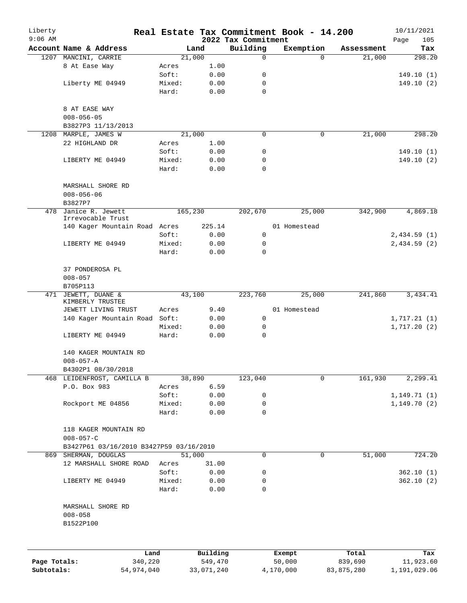| Liberty      |                                               |                 |              |                                 | Real Estate Tax Commitment Book - 14.200 |                      | 10/11/2021         |
|--------------|-----------------------------------------------|-----------------|--------------|---------------------------------|------------------------------------------|----------------------|--------------------|
| $9:06$ AM    | Account Name & Address                        |                 | Land         | 2022 Tax Commitment<br>Building | Exemption                                |                      | Page<br>105<br>Tax |
|              | 1207 MANCINI, CARRIE                          |                 | 21,000       | 0                               | $\Omega$                                 | Assessment<br>21,000 | 298.20             |
|              | 8 At Ease Way                                 | Acres           | 1.00         |                                 |                                          |                      |                    |
|              |                                               | Soft:           | 0.00         | 0                               |                                          |                      | 149.10(1)          |
|              | Liberty ME 04949                              | Mixed:          | 0.00         | $\mathbf 0$                     |                                          |                      | 149.10(2)          |
|              |                                               | Hard:           | 0.00         | $\mathbf 0$                     |                                          |                      |                    |
|              |                                               |                 |              |                                 |                                          |                      |                    |
|              | 8 AT EASE WAY                                 |                 |              |                                 |                                          |                      |                    |
|              | $008 - 056 - 05$                              |                 |              |                                 |                                          |                      |                    |
|              | B3827P3 11/13/2013                            |                 |              |                                 |                                          |                      |                    |
| 1208         | MARPLE, JAMES W                               |                 | 21,000       | 0                               | 0                                        | 21,000               | 298.20             |
|              | 22 HIGHLAND DR                                | Acres           | 1.00         |                                 |                                          |                      |                    |
|              |                                               | Soft:           | 0.00         | 0                               |                                          |                      | 149.10(1)          |
|              | LIBERTY ME 04949                              | Mixed:          | 0.00         | 0                               |                                          |                      | 149.10(2)          |
|              |                                               | Hard:           | 0.00         | $\Omega$                        |                                          |                      |                    |
|              | MARSHALL SHORE RD<br>$008 - 056 - 06$         |                 |              |                                 |                                          |                      |                    |
|              | B3827P7<br>Janice R. Jewett                   |                 |              |                                 |                                          |                      | 4,869.18           |
| 478          | Irrevocable Trust                             |                 | 165,230      | 202,670                         | 25,000                                   | 342,900              |                    |
|              | 140 Kager Mountain Road Acres                 |                 | 225.14       |                                 | 01 Homestead                             |                      |                    |
|              |                                               | Soft:           | 0.00         | 0                               |                                          |                      | 2,434.59(1)        |
|              | LIBERTY ME 04949                              | Mixed:          | 0.00         | 0                               |                                          |                      | 2,434.59(2)        |
|              |                                               | Hard:           | 0.00         | $\Omega$                        |                                          |                      |                    |
|              | 37 PONDEROSA PL<br>$008 - 057$                |                 |              |                                 |                                          |                      |                    |
|              | B705P113                                      |                 |              |                                 |                                          |                      |                    |
| 471          | JEWETT, DUANE &<br>KIMBERLY TRUSTEE           |                 | 43,100       | 223,760                         | 25,000                                   | 241,860              | 3,434.41           |
|              | JEWETT LIVING TRUST                           | Acres           | $9.40\,$     |                                 | 01 Homestead                             |                      |                    |
|              | 140 Kager Mountain Road                       | Soft:           | 0.00         | 0                               |                                          |                      | 1,717.21(1)        |
|              |                                               | Mixed:          | 0.00         | 0                               |                                          |                      | 1,717.20(2)        |
|              | LIBERTY ME 04949                              | Hard:           | 0.00         | 0                               |                                          |                      |                    |
|              | 140 KAGER MOUNTAIN RD<br>$008 - 057 - A$      |                 |              |                                 |                                          |                      |                    |
|              | B4302P1 08/30/2018                            |                 |              |                                 |                                          |                      |                    |
|              | 468 LEIDENFROST, CAMILLA B                    |                 | 38,890       | 123,040                         | 0                                        | 161,930              | 2,299.41           |
|              | P.O. Box 983                                  | Acres           | 6.59         |                                 |                                          |                      |                    |
|              |                                               | Soft:           | 0.00         | 0                               |                                          |                      | 1, 149.71(1)       |
|              | Rockport ME 04856                             | Mixed:<br>Hard: | 0.00<br>0.00 | 0<br>0                          |                                          |                      | 1,149.70(2)        |
|              | 118 KAGER MOUNTAIN RD                         |                 |              |                                 |                                          |                      |                    |
|              | $008 - 057 - C$                               |                 |              |                                 |                                          |                      |                    |
|              | B3427P61 03/16/2010 B3427P59 03/16/2010       |                 |              |                                 |                                          |                      |                    |
|              | 869 SHERMAN, DOUGLAS                          |                 | 51,000       | 0                               | 0                                        | 51,000               | 724.20             |
|              | 12 MARSHALL SHORE ROAD                        | Acres           | 31.00        |                                 |                                          |                      |                    |
|              |                                               | Soft:           | 0.00         | 0                               |                                          |                      | 362.10(1)          |
|              | LIBERTY ME 04949                              | Mixed:          | 0.00         | 0                               |                                          |                      | 362.10(2)          |
|              |                                               | Hard:           | 0.00         | 0                               |                                          |                      |                    |
|              | MARSHALL SHORE RD<br>$008 - 058$<br>B1522P100 |                 |              |                                 |                                          |                      |                    |
|              |                                               |                 |              |                                 |                                          |                      |                    |
|              |                                               | Land            | Building     |                                 | Exempt                                   | Total                | Tax                |
| Page Totals: | 340,220                                       |                 | 549,470      |                                 | 50,000                                   | 839,690              | 11,923.60          |

**Subtotals:** 54,974,040 33,071,240 4,170,000 83,875,280 1,191,029.06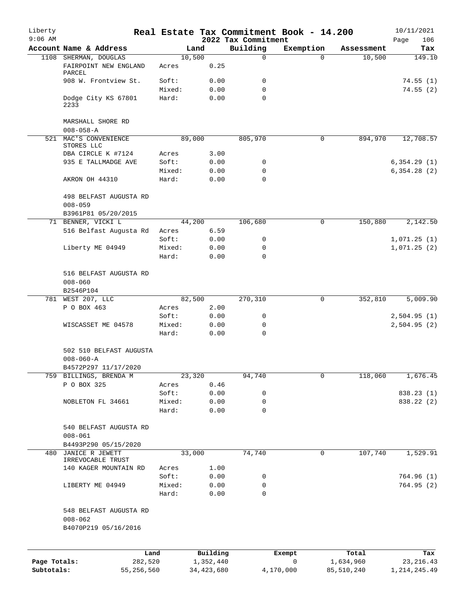| Liberty<br>$9:06$ AM |                                                |                 |                | 2022 Tax Commitment | Real Estate Tax Commitment Book - 14.200 |            | 10/11/2021<br>Page<br>106 |
|----------------------|------------------------------------------------|-----------------|----------------|---------------------|------------------------------------------|------------|---------------------------|
|                      | Account Name & Address                         |                 | Land           | Building            | Exemption                                | Assessment | Tax                       |
|                      | 1108 SHERMAN, DOUGLAS<br>FAIRPOINT NEW ENGLAND | Acres           | 10,500<br>0.25 | $\mathbf 0$         | $\Omega$                                 | 10,500     | 149.10                    |
|                      | PARCEL                                         |                 |                |                     |                                          |            |                           |
|                      | 908 W. Frontview St.                           | Soft:           | 0.00           | 0                   |                                          |            | 74.55(1)                  |
|                      |                                                | Mixed:          | 0.00           | 0                   |                                          |            | 74.55(2)                  |
|                      | Dodge City KS 67801<br>2233                    | Hard:           | 0.00           | $\mathbf 0$         |                                          |            |                           |
|                      | MARSHALL SHORE RD<br>$008 - 058 - A$           |                 |                |                     |                                          |            |                           |
| 521                  | MAC'S CONVENIENCE                              |                 | 89,000         | 805,970             | 0                                        | 894,970    | 12,708.57                 |
|                      | STORES LLC                                     |                 |                |                     |                                          |            |                           |
|                      | DBA CIRCLE K #7124                             | Acres           | 3.00           |                     |                                          |            |                           |
|                      | 935 E TALLMADGE AVE                            | Soft:           | 0.00           | 0                   |                                          |            | 6,354.29(1)               |
|                      |                                                | Mixed:          | 0.00           | 0                   |                                          |            | 6,354.28(2)               |
|                      | AKRON OH 44310                                 | Hard:           | 0.00           | $\Omega$            |                                          |            |                           |
|                      | 498 BELFAST AUGUSTA RD<br>$008 - 059$          |                 |                |                     |                                          |            |                           |
|                      | B3961P81 05/20/2015                            |                 |                |                     |                                          |            |                           |
|                      | 71 BENNER, VICKI L                             |                 | 44,200         | 106,680             | 0                                        | 150,880    | 2,142.50                  |
|                      | 516 Belfast Augusta Rd                         | Acres           | 6.59           |                     |                                          |            |                           |
|                      |                                                | Soft:           | 0.00           | 0                   |                                          |            | 1,071.25(1)               |
|                      | Liberty ME 04949                               | Mixed:          | 0.00           | 0                   |                                          |            | 1,071.25(2)               |
|                      |                                                | Hard:           | 0.00           | 0                   |                                          |            |                           |
|                      | 516 BELFAST AUGUSTA RD                         |                 |                |                     |                                          |            |                           |
|                      | $008 - 060$                                    |                 |                |                     |                                          |            |                           |
|                      | B2546P104                                      |                 |                |                     |                                          |            |                           |
| 781                  | WEST 207, LLC                                  |                 | 82,500         | 270,310             | 0                                        | 352,810    | 5,009.90                  |
|                      | P O BOX 463                                    | Acres           | 2.00           |                     |                                          |            |                           |
|                      |                                                | Soft:           | 0.00           | 0                   |                                          |            | 2,504.95(1)               |
|                      | WISCASSET ME 04578                             | Mixed:<br>Hard: | 0.00           | 0<br>0              |                                          |            | 2,504.95(2)               |
|                      |                                                |                 | 0.00           |                     |                                          |            |                           |
|                      | 502 510 BELFAST AUGUSTA                        |                 |                |                     |                                          |            |                           |
|                      | $008 - 060 - A$                                |                 |                |                     |                                          |            |                           |
|                      | B4572P297 11/17/2020                           |                 |                |                     |                                          |            |                           |
|                      | 759 BILLINGS, BRENDA M                         |                 | 23,320         | 94,740              | 0                                        | 118,060    | 1,676.45                  |
|                      | P O BOX 325                                    | Acres           | 0.46           |                     |                                          |            |                           |
|                      |                                                | Soft:           | 0.00           | 0                   |                                          |            | 838.23 (1)                |
|                      | NOBLETON FL 34661                              | Mixed:          | 0.00           | 0                   |                                          |            | 838.22 (2)                |
|                      |                                                | Hard:           | 0.00           | $\mathbf 0$         |                                          |            |                           |
|                      | 540 BELFAST AUGUSTA RD<br>$008 - 061$          |                 |                |                     |                                          |            |                           |
|                      | B4493P290 05/15/2020                           |                 |                |                     |                                          |            |                           |
| 480                  | JANICE R JEWETT                                |                 | 33,000         | 74,740              | 0                                        | 107,740    | 1,529.91                  |
|                      | IRREVOCABLE TRUST                              |                 |                |                     |                                          |            |                           |
|                      | 140 KAGER MOUNTAIN RD                          | Acres           | 1.00           |                     |                                          |            |                           |
|                      |                                                | Soft:           | 0.00           | 0                   |                                          |            | 764.96(1)                 |
|                      | LIBERTY ME 04949                               | Mixed:          | 0.00           | 0                   |                                          |            | 764.95(2)                 |
|                      |                                                | Hard:           | 0.00           | $\mathbf 0$         |                                          |            |                           |
|                      | 548 BELFAST AUGUSTA RD                         |                 |                |                     |                                          |            |                           |
|                      | $008 - 062$                                    |                 |                |                     |                                          |            |                           |
|                      | B4070P219 05/16/2016                           |                 |                |                     |                                          |            |                           |
|                      | Land                                           |                 | Building       |                     | Exempt                                   | Total      | Tax                       |
| Page Totals:         | 282,520                                        |                 | 1,352,440      |                     | 0                                        | 1,634,960  | 23, 216. 43               |
| Subtotals:           | 55,256,560                                     |                 | 34, 423, 680   |                     | 4,170,000                                | 85,510,240 | 1, 214, 245.49            |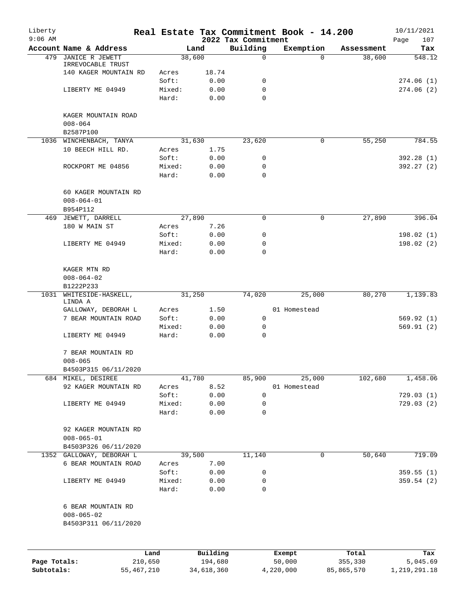| Building<br>Account Name & Address<br>Exemption<br>Land<br>Assessment<br>38,600<br>479<br>JANICE R JEWETT<br>0<br>38,600<br>$\Omega$<br>IRREVOCABLE TRUST<br>140 KAGER MOUNTAIN RD<br>18.74<br>Acres<br>Soft:<br>0.00<br>0<br>274.06(1)<br>274.06(2)<br>LIBERTY ME 04949<br>Mixed:<br>0.00<br>0<br>Hard:<br>0.00<br>$\Omega$<br>KAGER MOUNTAIN ROAD<br>$008 - 064$<br>B2587P100<br>23,620<br>55,250<br>1036 WINCHENBACH, TANYA<br>31,630<br>$\mathbf 0$<br>10 BEECH HILL RD.<br>1.75<br>Acres<br>Soft:<br>0.00<br>0<br>Mixed:<br>0.00<br>0<br>ROCKPORT ME 04856<br>Hard:<br>0.00<br>$\mathbf 0$<br>60 KAGER MOUNTAIN RD<br>$008 - 064 - 01$<br>B954P112<br>27,890<br>JEWETT, DARRELL<br>27,890<br>0<br>0<br>469<br>180 W MAIN ST<br>7.26<br>Acres<br>Soft:<br>0.00<br>0<br>LIBERTY ME 04949<br>Mixed:<br>0.00<br>0<br>Hard:<br>0.00<br>$\Omega$<br>KAGER MTN RD<br>$008 - 064 - 02$<br>B1222P233<br>WHITESIDE-HASKELL,<br>1,139.83<br>1031<br>31,250<br>74,020<br>25,000<br>80,270<br>LINDA A<br>GALLOWAY, DEBORAH L<br>01 Homestead<br>Acres<br>1.50<br>7 BEAR MOUNTAIN ROAD<br>Soft:<br>0.00<br>0<br>Mixed:<br>0.00<br>0<br>LIBERTY ME 04949<br>Hard:<br>0.00<br>$\mathbf 0$<br>7 BEAR MOUNTAIN RD<br>$008 - 065$<br>B4503P315 06/11/2020<br>684 MIKEL, DESIREE<br>41,780<br>25,000<br>102,680<br>1,458.06<br>85,900<br>8.52<br>92 KAGER MOUNTAIN RD<br>01 Homestead<br>Acres<br>0.00<br>$\mathbf 0$<br>Soft:<br>LIBERTY ME 04949<br>Mixed:<br>0.00<br>0<br>Hard:<br>0.00<br>0<br>92 KAGER MOUNTAIN RD<br>$008 - 065 - 01$<br>B4503P326 06/11/2020<br>39,500<br>11,140<br>$\mathsf{O}$<br>50,640<br>1352 GALLOWAY, DEBORAH L<br>7.00<br>6 BEAR MOUNTAIN ROAD<br>Acres<br>Soft:<br>0.00<br>0<br>LIBERTY ME 04949<br>Mixed:<br>0.00<br>0<br>Hard:<br>0<br>0.00<br>6 BEAR MOUNTAIN RD<br>$008 - 065 - 02$<br>B4503P311 06/11/2020<br>Building<br>Land | Liberty<br>$9:06$ AM |  |  | 2022 Tax Commitment | Real Estate Tax Commitment Book - 14.200 |       | 10/11/2021<br>107<br>Page |
|------------------------------------------------------------------------------------------------------------------------------------------------------------------------------------------------------------------------------------------------------------------------------------------------------------------------------------------------------------------------------------------------------------------------------------------------------------------------------------------------------------------------------------------------------------------------------------------------------------------------------------------------------------------------------------------------------------------------------------------------------------------------------------------------------------------------------------------------------------------------------------------------------------------------------------------------------------------------------------------------------------------------------------------------------------------------------------------------------------------------------------------------------------------------------------------------------------------------------------------------------------------------------------------------------------------------------------------------------------------------------------------------------------------------------------------------------------------------------------------------------------------------------------------------------------------------------------------------------------------------------------------------------------------------------------------------------------------------------------------------------------------------------------------------------------------------------------------------------|----------------------|--|--|---------------------|------------------------------------------|-------|---------------------------|
|                                                                                                                                                                                                                                                                                                                                                                                                                                                                                                                                                                                                                                                                                                                                                                                                                                                                                                                                                                                                                                                                                                                                                                                                                                                                                                                                                                                                                                                                                                                                                                                                                                                                                                                                                                                                                                                      |                      |  |  |                     |                                          |       | Tax                       |
|                                                                                                                                                                                                                                                                                                                                                                                                                                                                                                                                                                                                                                                                                                                                                                                                                                                                                                                                                                                                                                                                                                                                                                                                                                                                                                                                                                                                                                                                                                                                                                                                                                                                                                                                                                                                                                                      |                      |  |  |                     |                                          |       | 548.12                    |
|                                                                                                                                                                                                                                                                                                                                                                                                                                                                                                                                                                                                                                                                                                                                                                                                                                                                                                                                                                                                                                                                                                                                                                                                                                                                                                                                                                                                                                                                                                                                                                                                                                                                                                                                                                                                                                                      |                      |  |  |                     |                                          |       |                           |
|                                                                                                                                                                                                                                                                                                                                                                                                                                                                                                                                                                                                                                                                                                                                                                                                                                                                                                                                                                                                                                                                                                                                                                                                                                                                                                                                                                                                                                                                                                                                                                                                                                                                                                                                                                                                                                                      |                      |  |  |                     |                                          |       |                           |
|                                                                                                                                                                                                                                                                                                                                                                                                                                                                                                                                                                                                                                                                                                                                                                                                                                                                                                                                                                                                                                                                                                                                                                                                                                                                                                                                                                                                                                                                                                                                                                                                                                                                                                                                                                                                                                                      |                      |  |  |                     |                                          |       |                           |
|                                                                                                                                                                                                                                                                                                                                                                                                                                                                                                                                                                                                                                                                                                                                                                                                                                                                                                                                                                                                                                                                                                                                                                                                                                                                                                                                                                                                                                                                                                                                                                                                                                                                                                                                                                                                                                                      |                      |  |  |                     |                                          |       |                           |
|                                                                                                                                                                                                                                                                                                                                                                                                                                                                                                                                                                                                                                                                                                                                                                                                                                                                                                                                                                                                                                                                                                                                                                                                                                                                                                                                                                                                                                                                                                                                                                                                                                                                                                                                                                                                                                                      |                      |  |  |                     |                                          |       |                           |
|                                                                                                                                                                                                                                                                                                                                                                                                                                                                                                                                                                                                                                                                                                                                                                                                                                                                                                                                                                                                                                                                                                                                                                                                                                                                                                                                                                                                                                                                                                                                                                                                                                                                                                                                                                                                                                                      |                      |  |  |                     |                                          |       |                           |
|                                                                                                                                                                                                                                                                                                                                                                                                                                                                                                                                                                                                                                                                                                                                                                                                                                                                                                                                                                                                                                                                                                                                                                                                                                                                                                                                                                                                                                                                                                                                                                                                                                                                                                                                                                                                                                                      |                      |  |  |                     |                                          |       |                           |
|                                                                                                                                                                                                                                                                                                                                                                                                                                                                                                                                                                                                                                                                                                                                                                                                                                                                                                                                                                                                                                                                                                                                                                                                                                                                                                                                                                                                                                                                                                                                                                                                                                                                                                                                                                                                                                                      |                      |  |  |                     |                                          |       |                           |
|                                                                                                                                                                                                                                                                                                                                                                                                                                                                                                                                                                                                                                                                                                                                                                                                                                                                                                                                                                                                                                                                                                                                                                                                                                                                                                                                                                                                                                                                                                                                                                                                                                                                                                                                                                                                                                                      |                      |  |  |                     |                                          |       | 784.55                    |
|                                                                                                                                                                                                                                                                                                                                                                                                                                                                                                                                                                                                                                                                                                                                                                                                                                                                                                                                                                                                                                                                                                                                                                                                                                                                                                                                                                                                                                                                                                                                                                                                                                                                                                                                                                                                                                                      |                      |  |  |                     |                                          |       |                           |
|                                                                                                                                                                                                                                                                                                                                                                                                                                                                                                                                                                                                                                                                                                                                                                                                                                                                                                                                                                                                                                                                                                                                                                                                                                                                                                                                                                                                                                                                                                                                                                                                                                                                                                                                                                                                                                                      |                      |  |  |                     |                                          |       | 392.28 (1)                |
|                                                                                                                                                                                                                                                                                                                                                                                                                                                                                                                                                                                                                                                                                                                                                                                                                                                                                                                                                                                                                                                                                                                                                                                                                                                                                                                                                                                                                                                                                                                                                                                                                                                                                                                                                                                                                                                      |                      |  |  |                     |                                          |       | 392.27(2)                 |
|                                                                                                                                                                                                                                                                                                                                                                                                                                                                                                                                                                                                                                                                                                                                                                                                                                                                                                                                                                                                                                                                                                                                                                                                                                                                                                                                                                                                                                                                                                                                                                                                                                                                                                                                                                                                                                                      |                      |  |  |                     |                                          |       |                           |
|                                                                                                                                                                                                                                                                                                                                                                                                                                                                                                                                                                                                                                                                                                                                                                                                                                                                                                                                                                                                                                                                                                                                                                                                                                                                                                                                                                                                                                                                                                                                                                                                                                                                                                                                                                                                                                                      |                      |  |  |                     |                                          |       |                           |
|                                                                                                                                                                                                                                                                                                                                                                                                                                                                                                                                                                                                                                                                                                                                                                                                                                                                                                                                                                                                                                                                                                                                                                                                                                                                                                                                                                                                                                                                                                                                                                                                                                                                                                                                                                                                                                                      |                      |  |  |                     |                                          |       |                           |
|                                                                                                                                                                                                                                                                                                                                                                                                                                                                                                                                                                                                                                                                                                                                                                                                                                                                                                                                                                                                                                                                                                                                                                                                                                                                                                                                                                                                                                                                                                                                                                                                                                                                                                                                                                                                                                                      |                      |  |  |                     |                                          |       |                           |
|                                                                                                                                                                                                                                                                                                                                                                                                                                                                                                                                                                                                                                                                                                                                                                                                                                                                                                                                                                                                                                                                                                                                                                                                                                                                                                                                                                                                                                                                                                                                                                                                                                                                                                                                                                                                                                                      |                      |  |  |                     |                                          |       | 396.04                    |
|                                                                                                                                                                                                                                                                                                                                                                                                                                                                                                                                                                                                                                                                                                                                                                                                                                                                                                                                                                                                                                                                                                                                                                                                                                                                                                                                                                                                                                                                                                                                                                                                                                                                                                                                                                                                                                                      |                      |  |  |                     |                                          |       |                           |
|                                                                                                                                                                                                                                                                                                                                                                                                                                                                                                                                                                                                                                                                                                                                                                                                                                                                                                                                                                                                                                                                                                                                                                                                                                                                                                                                                                                                                                                                                                                                                                                                                                                                                                                                                                                                                                                      |                      |  |  |                     |                                          |       | 198.02(1)                 |
|                                                                                                                                                                                                                                                                                                                                                                                                                                                                                                                                                                                                                                                                                                                                                                                                                                                                                                                                                                                                                                                                                                                                                                                                                                                                                                                                                                                                                                                                                                                                                                                                                                                                                                                                                                                                                                                      |                      |  |  |                     |                                          |       | 198.02(2)                 |
|                                                                                                                                                                                                                                                                                                                                                                                                                                                                                                                                                                                                                                                                                                                                                                                                                                                                                                                                                                                                                                                                                                                                                                                                                                                                                                                                                                                                                                                                                                                                                                                                                                                                                                                                                                                                                                                      |                      |  |  |                     |                                          |       |                           |
|                                                                                                                                                                                                                                                                                                                                                                                                                                                                                                                                                                                                                                                                                                                                                                                                                                                                                                                                                                                                                                                                                                                                                                                                                                                                                                                                                                                                                                                                                                                                                                                                                                                                                                                                                                                                                                                      |                      |  |  |                     |                                          |       |                           |
|                                                                                                                                                                                                                                                                                                                                                                                                                                                                                                                                                                                                                                                                                                                                                                                                                                                                                                                                                                                                                                                                                                                                                                                                                                                                                                                                                                                                                                                                                                                                                                                                                                                                                                                                                                                                                                                      |                      |  |  |                     |                                          |       |                           |
|                                                                                                                                                                                                                                                                                                                                                                                                                                                                                                                                                                                                                                                                                                                                                                                                                                                                                                                                                                                                                                                                                                                                                                                                                                                                                                                                                                                                                                                                                                                                                                                                                                                                                                                                                                                                                                                      |                      |  |  |                     |                                          |       |                           |
|                                                                                                                                                                                                                                                                                                                                                                                                                                                                                                                                                                                                                                                                                                                                                                                                                                                                                                                                                                                                                                                                                                                                                                                                                                                                                                                                                                                                                                                                                                                                                                                                                                                                                                                                                                                                                                                      |                      |  |  |                     |                                          |       |                           |
|                                                                                                                                                                                                                                                                                                                                                                                                                                                                                                                                                                                                                                                                                                                                                                                                                                                                                                                                                                                                                                                                                                                                                                                                                                                                                                                                                                                                                                                                                                                                                                                                                                                                                                                                                                                                                                                      |                      |  |  |                     |                                          |       |                           |
|                                                                                                                                                                                                                                                                                                                                                                                                                                                                                                                                                                                                                                                                                                                                                                                                                                                                                                                                                                                                                                                                                                                                                                                                                                                                                                                                                                                                                                                                                                                                                                                                                                                                                                                                                                                                                                                      |                      |  |  |                     |                                          |       |                           |
|                                                                                                                                                                                                                                                                                                                                                                                                                                                                                                                                                                                                                                                                                                                                                                                                                                                                                                                                                                                                                                                                                                                                                                                                                                                                                                                                                                                                                                                                                                                                                                                                                                                                                                                                                                                                                                                      |                      |  |  |                     |                                          |       | 569.92(1)                 |
|                                                                                                                                                                                                                                                                                                                                                                                                                                                                                                                                                                                                                                                                                                                                                                                                                                                                                                                                                                                                                                                                                                                                                                                                                                                                                                                                                                                                                                                                                                                                                                                                                                                                                                                                                                                                                                                      |                      |  |  |                     |                                          |       | 569.91(2)                 |
|                                                                                                                                                                                                                                                                                                                                                                                                                                                                                                                                                                                                                                                                                                                                                                                                                                                                                                                                                                                                                                                                                                                                                                                                                                                                                                                                                                                                                                                                                                                                                                                                                                                                                                                                                                                                                                                      |                      |  |  |                     |                                          |       |                           |
|                                                                                                                                                                                                                                                                                                                                                                                                                                                                                                                                                                                                                                                                                                                                                                                                                                                                                                                                                                                                                                                                                                                                                                                                                                                                                                                                                                                                                                                                                                                                                                                                                                                                                                                                                                                                                                                      |                      |  |  |                     |                                          |       |                           |
|                                                                                                                                                                                                                                                                                                                                                                                                                                                                                                                                                                                                                                                                                                                                                                                                                                                                                                                                                                                                                                                                                                                                                                                                                                                                                                                                                                                                                                                                                                                                                                                                                                                                                                                                                                                                                                                      |                      |  |  |                     |                                          |       |                           |
|                                                                                                                                                                                                                                                                                                                                                                                                                                                                                                                                                                                                                                                                                                                                                                                                                                                                                                                                                                                                                                                                                                                                                                                                                                                                                                                                                                                                                                                                                                                                                                                                                                                                                                                                                                                                                                                      |                      |  |  |                     |                                          |       |                           |
|                                                                                                                                                                                                                                                                                                                                                                                                                                                                                                                                                                                                                                                                                                                                                                                                                                                                                                                                                                                                                                                                                                                                                                                                                                                                                                                                                                                                                                                                                                                                                                                                                                                                                                                                                                                                                                                      |                      |  |  |                     |                                          |       |                           |
|                                                                                                                                                                                                                                                                                                                                                                                                                                                                                                                                                                                                                                                                                                                                                                                                                                                                                                                                                                                                                                                                                                                                                                                                                                                                                                                                                                                                                                                                                                                                                                                                                                                                                                                                                                                                                                                      |                      |  |  |                     |                                          |       |                           |
|                                                                                                                                                                                                                                                                                                                                                                                                                                                                                                                                                                                                                                                                                                                                                                                                                                                                                                                                                                                                                                                                                                                                                                                                                                                                                                                                                                                                                                                                                                                                                                                                                                                                                                                                                                                                                                                      |                      |  |  |                     |                                          |       | 729.03(1)                 |
|                                                                                                                                                                                                                                                                                                                                                                                                                                                                                                                                                                                                                                                                                                                                                                                                                                                                                                                                                                                                                                                                                                                                                                                                                                                                                                                                                                                                                                                                                                                                                                                                                                                                                                                                                                                                                                                      |                      |  |  |                     |                                          |       | 729.03(2)                 |
|                                                                                                                                                                                                                                                                                                                                                                                                                                                                                                                                                                                                                                                                                                                                                                                                                                                                                                                                                                                                                                                                                                                                                                                                                                                                                                                                                                                                                                                                                                                                                                                                                                                                                                                                                                                                                                                      |                      |  |  |                     |                                          |       |                           |
|                                                                                                                                                                                                                                                                                                                                                                                                                                                                                                                                                                                                                                                                                                                                                                                                                                                                                                                                                                                                                                                                                                                                                                                                                                                                                                                                                                                                                                                                                                                                                                                                                                                                                                                                                                                                                                                      |                      |  |  |                     |                                          |       |                           |
|                                                                                                                                                                                                                                                                                                                                                                                                                                                                                                                                                                                                                                                                                                                                                                                                                                                                                                                                                                                                                                                                                                                                                                                                                                                                                                                                                                                                                                                                                                                                                                                                                                                                                                                                                                                                                                                      |                      |  |  |                     |                                          |       |                           |
|                                                                                                                                                                                                                                                                                                                                                                                                                                                                                                                                                                                                                                                                                                                                                                                                                                                                                                                                                                                                                                                                                                                                                                                                                                                                                                                                                                                                                                                                                                                                                                                                                                                                                                                                                                                                                                                      |                      |  |  |                     |                                          |       |                           |
|                                                                                                                                                                                                                                                                                                                                                                                                                                                                                                                                                                                                                                                                                                                                                                                                                                                                                                                                                                                                                                                                                                                                                                                                                                                                                                                                                                                                                                                                                                                                                                                                                                                                                                                                                                                                                                                      |                      |  |  |                     |                                          |       |                           |
|                                                                                                                                                                                                                                                                                                                                                                                                                                                                                                                                                                                                                                                                                                                                                                                                                                                                                                                                                                                                                                                                                                                                                                                                                                                                                                                                                                                                                                                                                                                                                                                                                                                                                                                                                                                                                                                      |                      |  |  |                     |                                          |       | 719.09                    |
|                                                                                                                                                                                                                                                                                                                                                                                                                                                                                                                                                                                                                                                                                                                                                                                                                                                                                                                                                                                                                                                                                                                                                                                                                                                                                                                                                                                                                                                                                                                                                                                                                                                                                                                                                                                                                                                      |                      |  |  |                     |                                          |       |                           |
|                                                                                                                                                                                                                                                                                                                                                                                                                                                                                                                                                                                                                                                                                                                                                                                                                                                                                                                                                                                                                                                                                                                                                                                                                                                                                                                                                                                                                                                                                                                                                                                                                                                                                                                                                                                                                                                      |                      |  |  |                     |                                          |       | 359.55(1)                 |
|                                                                                                                                                                                                                                                                                                                                                                                                                                                                                                                                                                                                                                                                                                                                                                                                                                                                                                                                                                                                                                                                                                                                                                                                                                                                                                                                                                                                                                                                                                                                                                                                                                                                                                                                                                                                                                                      |                      |  |  |                     |                                          |       | 359.54(2)                 |
|                                                                                                                                                                                                                                                                                                                                                                                                                                                                                                                                                                                                                                                                                                                                                                                                                                                                                                                                                                                                                                                                                                                                                                                                                                                                                                                                                                                                                                                                                                                                                                                                                                                                                                                                                                                                                                                      |                      |  |  |                     |                                          |       |                           |
|                                                                                                                                                                                                                                                                                                                                                                                                                                                                                                                                                                                                                                                                                                                                                                                                                                                                                                                                                                                                                                                                                                                                                                                                                                                                                                                                                                                                                                                                                                                                                                                                                                                                                                                                                                                                                                                      |                      |  |  |                     |                                          |       |                           |
|                                                                                                                                                                                                                                                                                                                                                                                                                                                                                                                                                                                                                                                                                                                                                                                                                                                                                                                                                                                                                                                                                                                                                                                                                                                                                                                                                                                                                                                                                                                                                                                                                                                                                                                                                                                                                                                      |                      |  |  |                     |                                          |       |                           |
|                                                                                                                                                                                                                                                                                                                                                                                                                                                                                                                                                                                                                                                                                                                                                                                                                                                                                                                                                                                                                                                                                                                                                                                                                                                                                                                                                                                                                                                                                                                                                                                                                                                                                                                                                                                                                                                      |                      |  |  |                     |                                          |       |                           |
|                                                                                                                                                                                                                                                                                                                                                                                                                                                                                                                                                                                                                                                                                                                                                                                                                                                                                                                                                                                                                                                                                                                                                                                                                                                                                                                                                                                                                                                                                                                                                                                                                                                                                                                                                                                                                                                      |                      |  |  |                     |                                          |       |                           |
|                                                                                                                                                                                                                                                                                                                                                                                                                                                                                                                                                                                                                                                                                                                                                                                                                                                                                                                                                                                                                                                                                                                                                                                                                                                                                                                                                                                                                                                                                                                                                                                                                                                                                                                                                                                                                                                      |                      |  |  |                     |                                          |       |                           |
|                                                                                                                                                                                                                                                                                                                                                                                                                                                                                                                                                                                                                                                                                                                                                                                                                                                                                                                                                                                                                                                                                                                                                                                                                                                                                                                                                                                                                                                                                                                                                                                                                                                                                                                                                                                                                                                      |                      |  |  |                     | Exempt                                   | Total | Tax                       |
| 210,650<br>194,680<br>50,000<br>Page Totals:<br>355,330                                                                                                                                                                                                                                                                                                                                                                                                                                                                                                                                                                                                                                                                                                                                                                                                                                                                                                                                                                                                                                                                                                                                                                                                                                                                                                                                                                                                                                                                                                                                                                                                                                                                                                                                                                                              |                      |  |  |                     |                                          |       | 5,045.69                  |

**Subtotals:** 55,467,210 34,618,360 4,220,000 85,865,570 1,219,291.18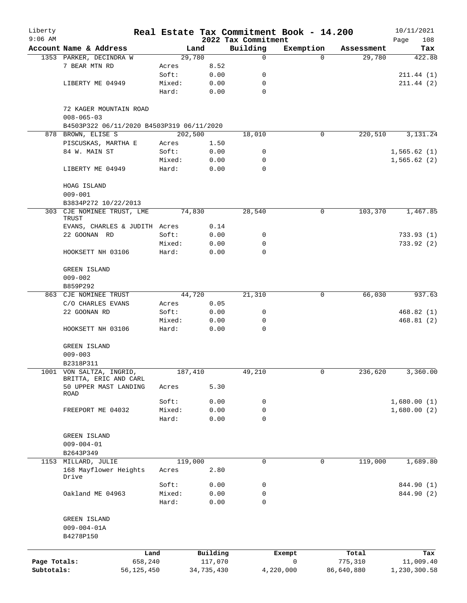| Liberty      |                                           |                |                | Real Estate Tax Commitment Book - 14.200 |                       |                      | 10/11/2021    |
|--------------|-------------------------------------------|----------------|----------------|------------------------------------------|-----------------------|----------------------|---------------|
| $9:06$ AM    | Account Name & Address                    |                |                | 2022 Tax Commitment                      |                       |                      | 108<br>Page   |
|              |                                           |                | Land<br>29,780 | Building<br>0                            | Exemption<br>$\Omega$ | Assessment<br>29,780 | Tax<br>422.88 |
|              | 1353 PARKER, DECINDRA W<br>7 BEAR MTN RD  |                | 8.52           |                                          |                       |                      |               |
|              |                                           | Acres<br>Soft: | 0.00           | 0                                        |                       |                      | 211.44(1)     |
|              | LIBERTY ME 04949                          | Mixed:         | 0.00           | 0                                        |                       |                      | 211.44(2)     |
|              |                                           |                |                | $\mathbf 0$                              |                       |                      |               |
|              |                                           | Hard:          | 0.00           |                                          |                       |                      |               |
|              | 72 KAGER MOUNTAIN ROAD                    |                |                |                                          |                       |                      |               |
|              | $008 - 065 - 03$                          |                |                |                                          |                       |                      |               |
|              | B4503P322 06/11/2020 B4503P319 06/11/2020 |                |                |                                          |                       |                      |               |
|              | 878 BROWN, ELISE S                        |                | 202,500        | 18,010                                   | 0                     | 220,510              | 3, 131. 24    |
|              | PISCUSKAS, MARTHA E                       | Acres          | 1.50           |                                          |                       |                      |               |
|              | 84 W. MAIN ST                             | Soft:          | 0.00           | 0                                        |                       |                      | 1,565.62(1)   |
|              |                                           | Mixed:         | 0.00           | 0                                        |                       |                      | 1,565.62(2)   |
|              | LIBERTY ME 04949                          | Hard:          | 0.00           | $\Omega$                                 |                       |                      |               |
|              |                                           |                |                |                                          |                       |                      |               |
|              | HOAG ISLAND                               |                |                |                                          |                       |                      |               |
|              | $009 - 001$                               |                |                |                                          |                       |                      |               |
|              | B3834P272 10/22/2013                      |                |                |                                          |                       |                      |               |
|              | 303 CJE NOMINEE TRUST, LME                |                | 74,830         | 28,540                                   | 0                     | 103,370              | 1,467.85      |
|              | TRUST                                     |                |                |                                          |                       |                      |               |
|              | EVANS, CHARLES & JUDITH Acres             |                | 0.14           |                                          |                       |                      |               |
|              | 22 GOONAN RD                              | Soft:          | 0.00           | 0                                        |                       |                      | 733.93(1)     |
|              |                                           | Mixed:         | 0.00           | 0                                        |                       |                      | 733.92(2)     |
|              | HOOKSETT NH 03106                         | Hard:          | 0.00           | $\mathbf 0$                              |                       |                      |               |
|              |                                           |                |                |                                          |                       |                      |               |
|              | GREEN ISLAND                              |                |                |                                          |                       |                      |               |
|              | $009 - 002$                               |                |                |                                          |                       |                      |               |
|              | B859P292                                  |                |                |                                          |                       |                      |               |
|              | 863 CJE NOMINEE TRUST                     |                | 44,720         | 21,310                                   | 0                     | 66,030               | 937.63        |
|              | C/O CHARLES EVANS                         | Acres          | 0.05           |                                          |                       |                      |               |
|              | 22 GOONAN RD                              | Soft:          | 0.00           | 0                                        |                       |                      | 468.82(1)     |
|              |                                           | Mixed:         | 0.00           | 0                                        |                       |                      | 468.81 (2)    |
|              | HOOKSETT NH 03106                         | Hard:          | 0.00           | $\mathbf 0$                              |                       |                      |               |
|              |                                           |                |                |                                          |                       |                      |               |
|              | <b>GREEN ISLAND</b>                       |                |                |                                          |                       |                      |               |
|              | $009 - 003$                               |                |                |                                          |                       |                      |               |
|              | B2318P311                                 |                |                |                                          |                       |                      |               |
|              | 1001 VON SALTZA, INGRID,                  |                | 187,410        | 49,210                                   | 0                     | 236,620              | 3,360.00      |
|              | BRITTA, ERIC AND CARL                     |                |                |                                          |                       |                      |               |
|              | 50 UPPER MAST LANDING                     | Acres          | 5.30           |                                          |                       |                      |               |
|              | ROAD                                      |                |                |                                          |                       |                      |               |
|              |                                           | Soft:          | 0.00           | 0                                        |                       |                      | 1,680.00(1)   |
|              | FREEPORT ME 04032                         | Mixed:         | 0.00           | 0                                        |                       |                      | 1,680.00(2)   |
|              |                                           | Hard:          | 0.00           | 0                                        |                       |                      |               |
|              |                                           |                |                |                                          |                       |                      |               |
|              | GREEN ISLAND                              |                |                |                                          |                       |                      |               |
|              | $009 - 004 - 01$                          |                |                |                                          |                       |                      |               |
|              | B2643P349                                 |                |                |                                          |                       |                      |               |
|              | 1153 MILLARD, JULIE                       |                | 119,000        | 0                                        | 0                     | 119,000              | 1,689.80      |
|              | 168 Mayflower Heights<br>Drive            | Acres          | 2.80           |                                          |                       |                      |               |
|              |                                           | Soft:          | 0.00           | 0                                        |                       |                      | 844.90 (1)    |
|              | Oakland ME 04963                          | Mixed:         | 0.00           | 0                                        |                       |                      | 844.90 (2)    |
|              |                                           | Hard:          | 0.00           | $\mathbf 0$                              |                       |                      |               |
|              |                                           |                |                |                                          |                       |                      |               |
|              | GREEN ISLAND                              |                |                |                                          |                       |                      |               |
|              | $009 - 004 - 01A$                         |                |                |                                          |                       |                      |               |
|              | B4278P150                                 |                |                |                                          |                       |                      |               |
|              |                                           |                |                |                                          |                       |                      |               |
|              |                                           | Land           | Building       |                                          | Exempt                | Total                | Tax           |
| Page Totals: | 658,240                                   |                | 117,070        |                                          | $\mathsf{O}$          | 775,310              | 11,009.40     |
| Subtotals:   | 56, 125, 450                              |                | 34,735,430     |                                          | 4,220,000             | 86,640,880           | 1,230,300.58  |
|              |                                           |                |                |                                          |                       |                      |               |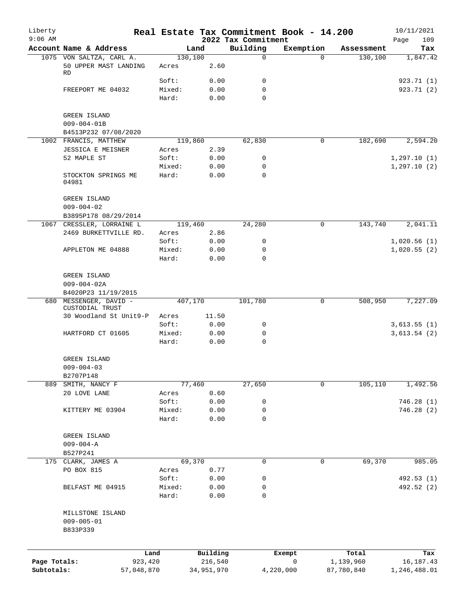| Liberty      |                                       |            |                 |               | Real Estate Tax Commitment Book - 14.200 |              |             |            | 10/11/2021         |
|--------------|---------------------------------------|------------|-----------------|---------------|------------------------------------------|--------------|-------------|------------|--------------------|
| $9:06$ AM    | Account Name & Address                |            | Land            |               | 2022 Tax Commitment<br>Building          | Exemption    |             | Assessment | Page<br>109<br>Tax |
|              | 1075 VON SALTZA, CARL A.              |            | 130, 100        |               | $\mathbf 0$                              |              | $\Omega$    | 130,100    | 1,847.42           |
|              | 50 UPPER MAST LANDING<br><b>RD</b>    |            | Acres           | 2.60          |                                          |              |             |            |                    |
|              |                                       |            | Soft:           | 0.00          | 0                                        |              |             |            | 923.71 (1)         |
|              | FREEPORT ME 04032                     |            | Mixed:<br>Hard: | 0.00<br>0.00  | 0<br>$\mathbf 0$                         |              |             |            | 923.71 (2)         |
|              | GREEN ISLAND                          |            |                 |               |                                          |              |             |            |                    |
|              | $009 - 004 - 01B$                     |            |                 |               |                                          |              |             |            |                    |
|              | B4513P232 07/08/2020                  |            |                 |               |                                          |              |             |            |                    |
|              | 1002 FRANCIS, MATTHEW                 |            | 119,860         | 2.39          | 62,830                                   |              | 0           | 182,690    | 2,594.20           |
|              | JESSICA E MEISNER<br>52 MAPLE ST      |            | Acres<br>Soft:  | 0.00          | 0                                        |              |             |            | 1, 297.10(1)       |
|              |                                       |            | Mixed:          | 0.00          | 0                                        |              |             |            | 1, 297.10(2)       |
|              | STOCKTON SPRINGS ME<br>04981          |            | Hard:           | 0.00          | $\mathbf 0$                              |              |             |            |                    |
|              | GREEN ISLAND                          |            |                 |               |                                          |              |             |            |                    |
|              | $009 - 004 - 02$                      |            |                 |               |                                          |              |             |            |                    |
|              | B3895P178 08/29/2014                  |            |                 |               |                                          |              |             |            |                    |
|              | 1067 CRESSLER, LORRAINE L             |            | 119,460         |               | 24,280                                   |              | 0           | 143,740    | 2,041.11           |
|              | 2469 BURKETTVILLE RD.                 |            | Acres<br>Soft:  | 2.86<br>0.00  | 0                                        |              |             |            | 1,020.56(1)        |
|              | APPLETON ME 04888                     |            | Mixed:          | 0.00          | 0                                        |              |             |            | 1,020.55(2)        |
|              |                                       |            | Hard:           | 0.00          | $\mathbf 0$                              |              |             |            |                    |
|              | GREEN ISLAND                          |            |                 |               |                                          |              |             |            |                    |
|              | $009 - 004 - 02A$                     |            |                 |               |                                          |              |             |            |                    |
|              | B4020P23 11/19/2015                   |            |                 |               |                                          |              |             |            |                    |
| 680          | MESSENGER, DAVID -<br>CUSTODIAL TRUST |            | 407,170         |               | 101,780                                  |              | 0           | 508,950    | 7,227.09           |
|              | 30 Woodland St Unit9-P                |            | Acres<br>Soft:  | 11.50<br>0.00 | 0                                        |              |             |            | 3,613.55(1)        |
|              | HARTFORD CT 01605                     |            | Mixed:          | 0.00          | $\mathbf 0$                              |              |             |            | 3,613.54(2)        |
|              |                                       |            | Hard:           | 0.00          | $\mathbf 0$                              |              |             |            |                    |
|              | <b>GREEN ISLAND</b>                   |            |                 |               |                                          |              |             |            |                    |
|              | $009 - 004 - 03$                      |            |                 |               |                                          |              |             |            |                    |
|              | B2707P148<br>889 SMITH, NANCY F       |            | 77,460          |               | 27,650                                   |              | $\mathbf 0$ | 105,110    | 1,492.56           |
|              | 20 LOVE LANE                          |            | Acres           | 0.60          |                                          |              |             |            |                    |
|              |                                       |            | Soft:           | 0.00          | 0                                        |              |             |            | 746.28(1)          |
|              | KITTERY ME 03904                      |            | Mixed:          | 0.00          | $\mathbf 0$                              |              |             |            | 746.28 (2)         |
|              |                                       |            | Hard:           | 0.00          | $\mathbf 0$                              |              |             |            |                    |
|              | GREEN ISLAND                          |            |                 |               |                                          |              |             |            |                    |
|              | $009 - 004 - A$<br>B527P241           |            |                 |               |                                          |              |             |            |                    |
|              | 175 CLARK, JAMES A                    |            | 69,370          |               | 0                                        |              | 0           | 69,370     | 985.05             |
|              | PO BOX 815                            |            | Acres           | 0.77          |                                          |              |             |            |                    |
|              |                                       |            | Soft:           | 0.00          | 0                                        |              |             |            | 492.53 (1)         |
|              | BELFAST ME 04915                      |            | Mixed:          | 0.00          | 0                                        |              |             |            | 492.52 (2)         |
|              |                                       |            | Hard:           | 0.00          | $\mathbf 0$                              |              |             |            |                    |
|              | MILLSTONE ISLAND<br>$009 - 005 - 01$  |            |                 |               |                                          |              |             |            |                    |
|              | B833P339                              |            |                 |               |                                          |              |             |            |                    |
|              |                                       | Land       |                 | Building      |                                          | Exempt       |             | Total      | Tax                |
| Page Totals: |                                       | 923,420    |                 | 216,540       |                                          | $\mathsf{O}$ |             | 1,139,960  | 16, 187. 43        |
| Subtotals:   |                                       | 57,048,870 |                 | 34,951,970    |                                          | 4,220,000    |             | 87,780,840 | 1,246,488.01       |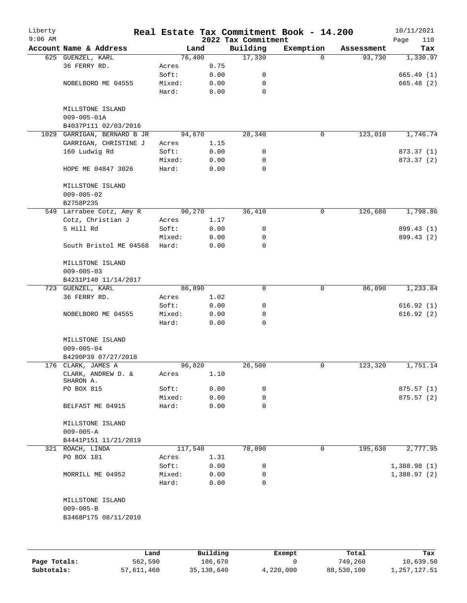| Liberty<br>$9:06$ AM |                                 |                 |              | 2022 Tax Commitment | Real Estate Tax Commitment Book - 14.200 |            | 10/11/2021<br>110<br>Page |
|----------------------|---------------------------------|-----------------|--------------|---------------------|------------------------------------------|------------|---------------------------|
|                      | Account Name & Address          |                 | Land         | Building            | Exemption                                | Assessment | Tax                       |
|                      | 625 GUENZEL, KARL               |                 | 76,400       | 17,330              | 0                                        | 93,730     | 1,330.97                  |
|                      | 36 FERRY RD.                    | Acres           | 0.75         |                     |                                          |            |                           |
|                      |                                 | Soft:           | 0.00         | 0                   |                                          |            | 665.49(1)                 |
|                      | NOBELBORO ME 04555              | Mixed:          | 0.00         | 0                   |                                          |            | 665.48 (2)                |
|                      |                                 | Hard:           | 0.00         | $\mathbf 0$         |                                          |            |                           |
|                      | MILLSTONE ISLAND                |                 |              |                     |                                          |            |                           |
|                      | $009 - 005 - 01A$               |                 |              |                     |                                          |            |                           |
|                      | B4037P111 02/03/2016            |                 |              |                     |                                          |            |                           |
|                      | 1029 GARRIGAN, BERNARD B JR     |                 | 94,670       | 28,340              | 0                                        | 123,010    | 1,746.74                  |
|                      | GARRIGAN, CHRISTINE J           | Acres           | 1.15         |                     |                                          |            |                           |
|                      | 160 Ludwig Rd                   | Soft:           | 0.00         | 0                   |                                          |            | 873.37 (1)                |
|                      | HOPE ME 04847 3026              | Mixed:<br>Hard: | 0.00<br>0.00 | 0<br>0              |                                          |            | 873.37 (2)                |
|                      |                                 |                 |              |                     |                                          |            |                           |
|                      | MILLSTONE ISLAND                |                 |              |                     |                                          |            |                           |
|                      | $009 - 005 - 02$                |                 |              |                     |                                          |            |                           |
|                      | B2758P235                       |                 | 90,270       |                     |                                          |            |                           |
|                      | 549 Larrabee Cotz, Amy R        |                 |              | 36,410              | 0                                        | 126,680    | 1,798.86                  |
|                      | Cotz, Christian J<br>5 Hill Rd  | Acres<br>Soft:  | 1.17         |                     |                                          |            |                           |
|                      |                                 |                 | 0.00         | 0<br>0              |                                          |            | 899.43 (1)                |
|                      | South Bristol ME 04568          | Mixed:<br>Hard: | 0.00<br>0.00 | 0                   |                                          |            | 899.43 (2)                |
|                      |                                 |                 |              |                     |                                          |            |                           |
|                      | MILLSTONE ISLAND                |                 |              |                     |                                          |            |                           |
|                      | $009 - 005 - 03$                |                 |              |                     |                                          |            |                           |
|                      | B4231P140 11/14/2017            |                 |              |                     |                                          |            |                           |
|                      | 723 GUENZEL, KARL               |                 | 86,890       | $\mathbf 0$         | $\mathbf 0$                              | 86,890     | 1,233.84                  |
|                      | 36 FERRY RD.                    | Acres           | 1.02         |                     |                                          |            |                           |
|                      |                                 | Soft:           | 0.00         | 0                   |                                          |            | 616.92(1)                 |
|                      | NOBELBORO ME 04555              | Mixed:          | 0.00         | 0                   |                                          |            | 616.92(2)                 |
|                      |                                 | Hard:           | 0.00         | $\Omega$            |                                          |            |                           |
|                      | MILLSTONE ISLAND                |                 |              |                     |                                          |            |                           |
|                      | $009 - 005 - 04$                |                 |              |                     |                                          |            |                           |
|                      | B4290P39 07/27/2018             |                 |              |                     |                                          |            |                           |
|                      | 176 CLARK, JAMES A              |                 | 96,820       | 26,500              | 0                                        | 123,320    | 1,751.14                  |
|                      | CLARK, ANDREW D. &<br>SHARON A. | Acres           | 1.10         |                     |                                          |            |                           |
|                      | PO BOX 815                      | Soft:           | 0.00         | 0                   |                                          |            | 875.57(1)                 |
|                      |                                 | Mixed:          | 0.00         | 0                   |                                          |            | 875.57(2)                 |
|                      | BELFAST ME 04915                | Hard:           | 0.00         | 0                   |                                          |            |                           |
|                      | MILLSTONE ISLAND                |                 |              |                     |                                          |            |                           |
|                      | $009 - 005 - A$                 |                 |              |                     |                                          |            |                           |
|                      | B4441P151 11/21/2019            |                 |              |                     |                                          |            |                           |
|                      | 321 ROACH, LINDA                | 117,540         |              | 78,090              | 0                                        | 195,630    | 2,777.95                  |
|                      | PO BOX 181                      | Acres           | 1.31         |                     |                                          |            |                           |
|                      |                                 | Soft:           | 0.00         | 0                   |                                          |            | 1,388.98(1)               |
|                      | MORRILL ME 04952                | Mixed:          | 0.00         | 0                   |                                          |            | 1,388.97(2)               |
|                      |                                 | Hard:           | 0.00         | 0                   |                                          |            |                           |
|                      | MILLSTONE ISLAND                |                 |              |                     |                                          |            |                           |
|                      | $009 - 005 - B$                 |                 |              |                     |                                          |            |                           |
|                      | B3468P175 08/11/2010            |                 |              |                     |                                          |            |                           |
|                      |                                 |                 |              |                     |                                          |            |                           |
|                      |                                 |                 |              |                     |                                          |            |                           |
|                      | Land                            |                 | Building     |                     | <b>Ryomnt</b>                            | $T0+21$    | Tav                       |

|              | Land       | Building   | Exempt    | Total      | Tax          |
|--------------|------------|------------|-----------|------------|--------------|
| Page Totals: | 562,590    | 186,670    |           | 749,260    | 10,639.50    |
| Subtotals:   | 57,611,460 | 35,138,640 | 4,220,000 | 88,530,100 | 1,257,127.51 |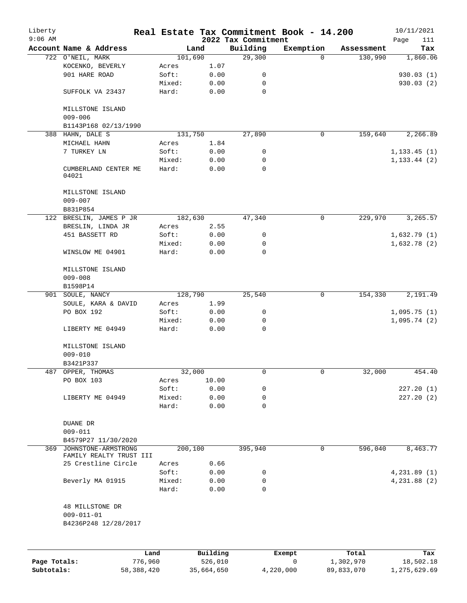| Liberty      |                                                |                 |              |                                 | Real Estate Tax Commitment Book - 14.200 |            | 10/11/2021         |
|--------------|------------------------------------------------|-----------------|--------------|---------------------------------|------------------------------------------|------------|--------------------|
| $9:06$ AM    | Account Name & Address                         |                 | Land         | 2022 Tax Commitment<br>Building | Exemption                                | Assessment | Page<br>111<br>Tax |
|              | 722 O'NEIL, MARK                               |                 | 101,690      | 29,300                          | $\Omega$                                 | 130,990    | 1,860.06           |
|              | KOCENKO, BEVERLY                               | Acres           | 1.07         |                                 |                                          |            |                    |
|              | 901 HARE ROAD                                  | Soft:           | 0.00         | 0                               |                                          |            | 930.03(1)          |
|              |                                                | Mixed:          | 0.00         | 0                               |                                          |            | 930.03 (2)         |
|              | SUFFOLK VA 23437                               | Hard:           | 0.00         | $\mathbf 0$                     |                                          |            |                    |
|              | MILLSTONE ISLAND<br>$009 - 006$                |                 |              |                                 |                                          |            |                    |
|              | B1143P168 02/13/1990                           |                 |              |                                 |                                          |            |                    |
|              | 388 HAHN, DALE S                               |                 | 131,750      | 27,890                          | 0                                        | 159,640    | 2,266.89           |
|              | MICHAEL HAHN                                   | Acres           | 1.84         |                                 |                                          |            |                    |
|              | 7 TURKEY LN                                    | Soft:           | 0.00         | 0                               |                                          |            | 1, 133.45(1)       |
|              |                                                | Mixed:          | 0.00         | 0                               |                                          |            | 1, 133.44 (2)      |
|              | CUMBERLAND CENTER ME<br>04021                  | Hard:           | 0.00         | $\mathbf 0$                     |                                          |            |                    |
|              | MILLSTONE ISLAND                               |                 |              |                                 |                                          |            |                    |
|              | $009 - 007$<br>B831P854                        |                 |              |                                 |                                          |            |                    |
| 122          | BRESLIN, JAMES P JR                            |                 | 182,630      | 47,340                          | 0                                        | 229,970    | 3,265.57           |
|              | BRESLIN, LINDA JR                              | Acres           | 2.55         |                                 |                                          |            |                    |
|              | 451 BASSETT RD                                 | Soft:           | 0.00         | 0                               |                                          |            | 1,632.79(1)        |
|              |                                                | Mixed:          | 0.00         | 0                               |                                          |            | 1,632.78(2)        |
|              | WINSLOW ME 04901                               | Hard:           | 0.00         | $\mathbf 0$                     |                                          |            |                    |
|              | MILLSTONE ISLAND                               |                 |              |                                 |                                          |            |                    |
|              | $009 - 008$                                    |                 |              |                                 |                                          |            |                    |
|              | B1598P14                                       |                 |              |                                 |                                          |            |                    |
|              | 901 SOULE, NANCY                               |                 | 128,790      | 25,540                          | $\mathbf 0$                              | 154,330    | 2,191.49           |
|              | SOULE, KARA & DAVID                            | Acres           | 1.99         |                                 |                                          |            |                    |
|              | PO BOX 192                                     | Soft:           | 0.00         | 0                               |                                          |            | 1,095.75(1)        |
|              |                                                | Mixed:          | 0.00         | 0                               |                                          |            | 1,095.74(2)        |
|              | LIBERTY ME 04949                               | Hard:           | 0.00         | 0                               |                                          |            |                    |
|              | MILLSTONE ISLAND                               |                 |              |                                 |                                          |            |                    |
|              | $009 - 010$                                    |                 |              |                                 |                                          |            |                    |
|              | B3421P337                                      |                 |              |                                 |                                          |            |                    |
| 487          | OPPER, THOMAS                                  |                 | 32,000       | 0                               | 0                                        | 32,000     | 454.40             |
|              | PO BOX 103                                     | Acres           | 10.00        |                                 |                                          |            |                    |
|              |                                                | Soft:           | 0.00         | 0                               |                                          |            | 227.20(1)          |
|              | LIBERTY ME 04949                               | Mixed:          | 0.00         | 0                               |                                          |            | 227.20(2)          |
|              |                                                | Hard:           | 0.00         | 0                               |                                          |            |                    |
|              | DUANE DR                                       |                 |              |                                 |                                          |            |                    |
|              | $009 - 011$                                    |                 |              |                                 |                                          |            |                    |
|              | B4579P27 11/30/2020                            |                 |              |                                 |                                          |            |                    |
| 369          | JOHNSTONE-ARMSTRONG                            |                 | 200,100      | 395,940                         | 0                                        | 596,040    | 8,463.77           |
|              | FAMILY REALTY TRUST III<br>25 Crestline Circle |                 |              |                                 |                                          |            |                    |
|              |                                                | Acres           | 0.66         |                                 |                                          |            |                    |
|              |                                                | Soft:           | 0.00         | 0                               |                                          |            | 4,231.89(1)        |
|              | Beverly MA 01915                               | Mixed:<br>Hard: | 0.00<br>0.00 | 0<br>$\mathbf 0$                |                                          |            | 4,231.88(2)        |
|              | 48 MILLSTONE DR                                |                 |              |                                 |                                          |            |                    |
|              | $009 - 011 - 01$                               |                 |              |                                 |                                          |            |                    |
|              | B4236P248 12/28/2017                           |                 |              |                                 |                                          |            |                    |
|              |                                                |                 |              |                                 |                                          |            |                    |
|              |                                                | Land            | Building     |                                 | Exempt                                   | Total      | Tax                |
| Page Totals: | 776,960                                        |                 | 526,010      |                                 | 0                                        | 1,302,970  | 18,502.18          |

**Subtotals:** 58,388,420 35,664,650 4,220,000 89,833,070 1,275,629.69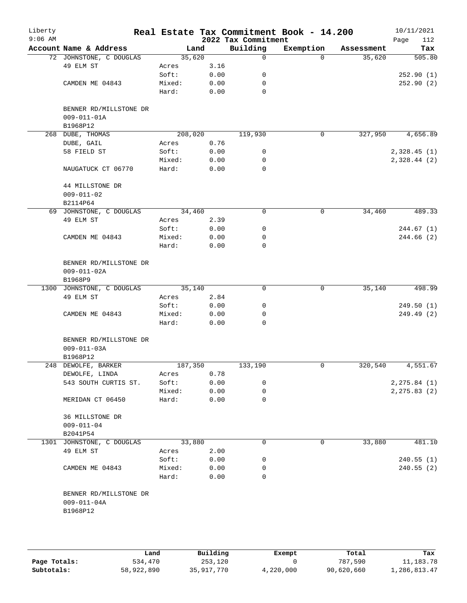| Liberty<br>$9:06$ AM |                                                         |         |      | 2022 Tax Commitment | Real Estate Tax Commitment Book - 14.200 |            | 10/11/2021<br>Page<br>112 |
|----------------------|---------------------------------------------------------|---------|------|---------------------|------------------------------------------|------------|---------------------------|
|                      | Account Name & Address                                  | Land    |      | Building            | Exemption                                | Assessment | Tax                       |
|                      | 72 JOHNSTONE, C DOUGLAS                                 | 35,620  |      | 0                   | $\Omega$                                 | 35,620     | 505.80                    |
|                      | 49 ELM ST                                               | Acres   | 3.16 |                     |                                          |            |                           |
|                      |                                                         | Soft:   | 0.00 | 0                   |                                          |            | 252.90(1)                 |
|                      | CAMDEN ME 04843                                         | Mixed:  | 0.00 | 0                   |                                          |            | 252.90(2)                 |
|                      |                                                         | Hard:   | 0.00 | 0                   |                                          |            |                           |
|                      | BENNER RD/MILLSTONE DR<br>$009 - 011 - 01A$<br>B1968P12 |         |      |                     |                                          |            |                           |
|                      | 268 DUBE, THOMAS                                        | 208,020 |      | 119,930             | 0                                        | 327,950    | 4,656.89                  |
|                      | DUBE, GAIL                                              | Acres   | 0.76 |                     |                                          |            |                           |
|                      | 58 FIELD ST                                             | Soft:   | 0.00 | 0                   |                                          |            | 2,328.45(1)               |
|                      |                                                         | Mixed:  | 0.00 | 0                   |                                          |            | 2,328.44(2)               |
|                      | NAUGATUCK CT 06770                                      | Hard:   | 0.00 | 0                   |                                          |            |                           |
|                      | 44 MILLSTONE DR<br>$009 - 011 - 02$                     |         |      |                     |                                          |            |                           |
|                      | B2114P64                                                |         |      |                     |                                          |            |                           |
|                      | 69 JOHNSTONE, C DOUGLAS                                 | 34,460  |      | 0                   | $\mathbf 0$                              | 34,460     | 489.33                    |
|                      | 49 ELM ST                                               | Acres   | 2.39 |                     |                                          |            |                           |
|                      |                                                         | Soft:   | 0.00 | 0                   |                                          |            | 244.67 (1)                |
|                      | CAMDEN ME 04843                                         | Mixed:  | 0.00 | 0                   |                                          |            | 244.66(2)                 |
|                      |                                                         | Hard:   | 0.00 | 0                   |                                          |            |                           |
|                      | BENNER RD/MILLSTONE DR<br>$009 - 011 - 02A$<br>B1968P9  |         |      |                     |                                          |            |                           |
|                      | 1300 JOHNSTONE, C DOUGLAS                               | 35,140  |      | $\mathbf 0$         | $\mathbf 0$                              | 35,140     | 498.99                    |
|                      | 49 ELM ST                                               | Acres   | 2.84 |                     |                                          |            |                           |
|                      |                                                         | Soft:   | 0.00 | 0                   |                                          |            | 249.50(1)                 |
|                      | CAMDEN ME 04843                                         | Mixed:  | 0.00 | 0                   |                                          |            | 249.49 (2)                |
|                      |                                                         | Hard:   | 0.00 | 0                   |                                          |            |                           |
|                      | BENNER RD/MILLSTONE DR<br>$009 - 011 - 03A$<br>B1968P12 |         |      |                     |                                          |            |                           |
|                      | 248 DEWOLFE, BARKER                                     | 187,350 |      | 133,190             | 0                                        | 320,540    | 4,551.67                  |
|                      | DEWOLFE, LINDA                                          | Acres   | 0.78 |                     |                                          |            |                           |
|                      | 543 SOUTH CURTIS ST.                                    | Soft:   | 0.00 | 0                   |                                          |            | 2, 275.84 (1)             |
|                      |                                                         | Mixed:  | 0.00 | 0                   |                                          |            | 2, 275.83(2)              |
|                      | MERIDAN CT 06450                                        | Hard:   | 0.00 | 0                   |                                          |            |                           |
|                      | 36 MILLSTONE DR<br>$009 - 011 - 04$<br>B2041P54         |         |      |                     |                                          |            |                           |
|                      | 1301 JOHNSTONE, C DOUGLAS                               | 33,880  |      | 0                   | 0                                        | 33,880     | 481.10                    |
|                      | 49 ELM ST                                               | Acres   | 2.00 |                     |                                          |            |                           |
|                      |                                                         | Soft:   | 0.00 | 0                   |                                          |            | 240.55(1)                 |
|                      | CAMDEN ME 04843                                         | Mixed:  | 0.00 | 0                   |                                          |            | 240.55(2)                 |
|                      |                                                         | Hard:   | 0.00 | 0                   |                                          |            |                           |
|                      | BENNER RD/MILLSTONE DR<br>$009 - 011 - 04A$<br>B1968P12 |         |      |                     |                                          |            |                           |
|                      |                                                         |         |      |                     |                                          |            |                           |

|              | Land       | Building   | Exempt    | Total      | Tax          |
|--------------|------------|------------|-----------|------------|--------------|
| Page Totals: | 534,470    | 253,120    |           | 787,590    | 11,183.78    |
| Subtotals:   | 58,922,890 | 35,917,770 | 4,220,000 | 90,620,660 | 1,286,813.47 |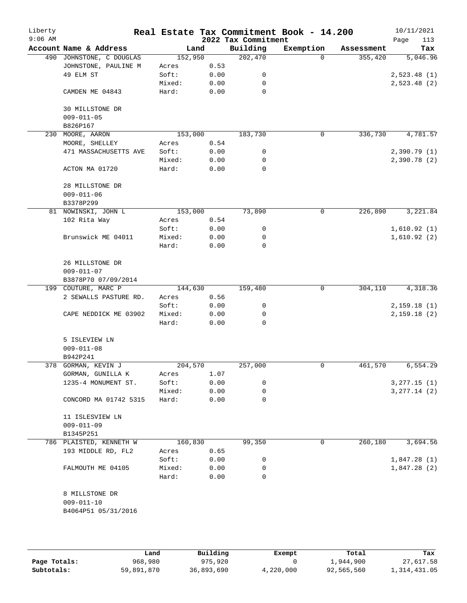| Liberty<br>$9:06$ AM |                                     |         |      | 2022 Tax Commitment | Real Estate Tax Commitment Book - 14.200 |            | 10/11/2021<br>113<br>Page |
|----------------------|-------------------------------------|---------|------|---------------------|------------------------------------------|------------|---------------------------|
|                      | Account Name & Address              | Land    |      | Building            | Exemption                                | Assessment | Tax                       |
|                      | 490 JOHNSTONE, C DOUGLAS            | 152,950 |      | 202,470             | $\Omega$                                 | 355,420    | 5,046.96                  |
|                      | JOHNSTONE, PAULINE M                | Acres   | 0.53 |                     |                                          |            |                           |
|                      | 49 ELM ST                           | Soft:   | 0.00 | 0                   |                                          |            | 2,523.48(1)               |
|                      |                                     | Mixed:  | 0.00 | 0                   |                                          |            | 2,523.48(2)               |
|                      | CAMDEN ME 04843                     | Hard:   | 0.00 | 0                   |                                          |            |                           |
|                      | <b>30 MILLSTONE DR</b>              |         |      |                     |                                          |            |                           |
|                      | $009 - 011 - 05$<br>B826P167        |         |      |                     |                                          |            |                           |
| 230                  | MOORE, AARON                        | 153,000 |      | 183,730             | 0                                        | 336,730    | 4,781.57                  |
|                      | MOORE, SHELLEY                      | Acres   | 0.54 |                     |                                          |            |                           |
|                      | 471 MASSACHUSETTS AVE               | Soft:   | 0.00 | 0                   |                                          |            | 2,390.79(1)               |
|                      |                                     | Mixed:  | 0.00 | 0                   |                                          |            | 2,390.78(2)               |
|                      | ACTON MA 01720                      | Hard:   | 0.00 | $\mathbf 0$         |                                          |            |                           |
|                      | 28 MILLSTONE DR                     |         |      |                     |                                          |            |                           |
|                      | $009 - 011 - 06$                    |         |      |                     |                                          |            |                           |
|                      | B3378P299                           |         |      |                     |                                          |            |                           |
|                      | 81 NOWINSKI, JOHN L                 | 153,000 |      | 73,890              | 0                                        | 226,890    | 3,221.84                  |
|                      | 102 Rita Way                        | Acres   | 0.54 |                     |                                          |            |                           |
|                      |                                     | Soft:   | 0.00 | 0                   |                                          |            | 1,610.92(1)               |
|                      | Brunswick ME 04011                  | Mixed:  | 0.00 | 0                   |                                          |            | 1,610.92(2)               |
|                      |                                     | Hard:   | 0.00 | 0                   |                                          |            |                           |
|                      | 26 MILLSTONE DR                     |         |      |                     |                                          |            |                           |
|                      | $009 - 011 - 07$                    |         |      |                     |                                          |            |                           |
|                      | B3878P70 07/09/2014                 |         |      |                     |                                          |            |                           |
|                      | 199 COUTURE, MARC P                 | 144,630 |      | 159,480             | 0                                        | 304,110    | 4,318.36                  |
|                      | 2 SEWALLS PASTURE RD.               | Acres   | 0.56 |                     |                                          |            |                           |
|                      |                                     | Soft:   | 0.00 | 0                   |                                          |            | 2,159.18(1)               |
|                      | CAPE NEDDICK ME 03902               | Mixed:  | 0.00 | 0                   |                                          |            | 2,159.18(2)               |
|                      |                                     | Hard:   | 0.00 | $\Omega$            |                                          |            |                           |
|                      | 5 ISLEVIEW LN                       |         |      |                     |                                          |            |                           |
|                      | $009 - 011 - 08$                    |         |      |                     |                                          |            |                           |
|                      | B942P241                            |         |      |                     |                                          |            |                           |
|                      | 378 GORMAN, KEVIN J                 | 204,570 |      | 257,000             | 0                                        | 461,570    | 6, 554.29                 |
|                      | GORMAN, GUNILLA K                   | Acres   | 1.07 |                     |                                          |            |                           |
|                      | 1235-4 MONUMENT ST.                 | Soft:   | 0.00 | 0                   |                                          |            | 3, 277.15 (1)             |
|                      |                                     | Mixed:  | 0.00 | 0                   |                                          |            | 3, 277.14 (2)             |
|                      | CONCORD MA 01742 5315               | Hard:   | 0.00 | 0                   |                                          |            |                           |
|                      | 11 ISLESVIEW LN<br>$009 - 011 - 09$ |         |      |                     |                                          |            |                           |
|                      | B1345P251                           |         |      |                     |                                          |            |                           |
|                      | 786 PLAISTED, KENNETH W             | 160,830 |      | 99,350              | 0                                        | 260,180    | 3,694.56                  |
|                      | 193 MIDDLE RD, FL2                  | Acres   | 0.65 |                     |                                          |            |                           |
|                      |                                     | Soft:   | 0.00 | 0                   |                                          |            | 1,847.28(1)               |
|                      | FALMOUTH ME 04105                   | Mixed:  | 0.00 | 0                   |                                          |            | 1,847.28(2)               |
|                      |                                     | Hard:   | 0.00 | $\Omega$            |                                          |            |                           |
|                      | 8 MILLSTONE DR                      |         |      |                     |                                          |            |                           |
|                      | $009 - 011 - 10$                    |         |      |                     |                                          |            |                           |
|                      | B4064P51 05/31/2016                 |         |      |                     |                                          |            |                           |
|                      |                                     |         |      |                     |                                          |            |                           |
|                      |                                     |         |      |                     |                                          |            |                           |

|              | Land       | Building   | Exempt    | Total      | Tax          |
|--------------|------------|------------|-----------|------------|--------------|
| Page Totals: | 968,980    | 975,920    |           | 1,944,900  | 27,617.58    |
| Subtotals:   | 59,891,870 | 36,893,690 | 4,220,000 | 92,565,560 | 1,314,431.05 |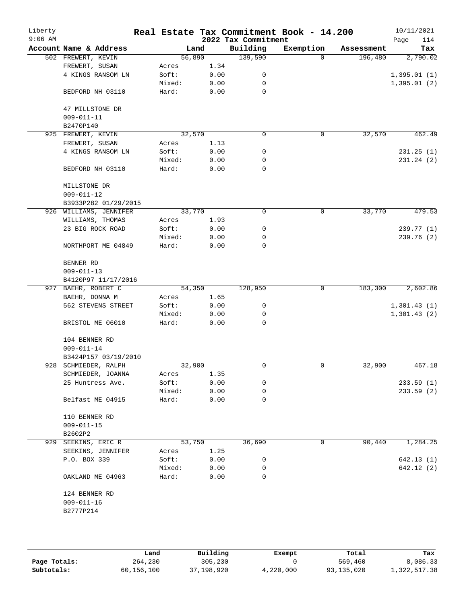| Liberty<br>$9:06$ AM |                        |        |      | 2022 Tax Commitment | Real Estate Tax Commitment Book - 14.200 |            | 10/11/2021<br>114<br>Page |
|----------------------|------------------------|--------|------|---------------------|------------------------------------------|------------|---------------------------|
|                      | Account Name & Address | Land   |      | Building            | Exemption                                | Assessment | Tax                       |
|                      | 502 FREWERT, KEVIN     | 56,890 |      | 139,590             | $\Omega$                                 | 196,480    | 2,790.02                  |
|                      | FREWERT, SUSAN         | Acres  | 1.34 |                     |                                          |            |                           |
|                      | 4 KINGS RANSOM LN      | Soft:  | 0.00 | 0                   |                                          |            | 1,395.01(1)               |
|                      |                        | Mixed: | 0.00 | 0                   |                                          |            | 1,395.01(2)               |
|                      | BEDFORD NH 03110       | Hard:  | 0.00 | 0                   |                                          |            |                           |
|                      | 47 MILLSTONE DR        |        |      |                     |                                          |            |                           |
|                      | $009 - 011 - 11$       |        |      |                     |                                          |            |                           |
|                      | B2470P140              |        |      |                     |                                          |            |                           |
|                      | 925 FREWERT, KEVIN     | 32,570 |      | 0                   | $\mathbf 0$                              | 32,570     | 462.49                    |
|                      | FREWERT, SUSAN         | Acres  | 1.13 |                     |                                          |            |                           |
|                      | 4 KINGS RANSOM LN      | Soft:  | 0.00 | 0                   |                                          |            | 231.25(1)                 |
|                      |                        | Mixed: | 0.00 | 0                   |                                          |            | 231.24(2)                 |
|                      | BEDFORD NH 03110       | Hard:  | 0.00 | 0                   |                                          |            |                           |
|                      | MILLSTONE DR           |        |      |                     |                                          |            |                           |
|                      | $009 - 011 - 12$       |        |      |                     |                                          |            |                           |
|                      | B3933P282 01/29/2015   |        |      |                     |                                          |            |                           |
|                      | 926 WILLIAMS, JENNIFER | 33,770 |      | 0                   | 0                                        | 33,770     | 479.53                    |
|                      | WILLIAMS, THOMAS       | Acres  | 1.93 |                     |                                          |            |                           |
|                      | 23 BIG ROCK ROAD       | Soft:  | 0.00 | 0                   |                                          |            | 239.77 (1)                |
|                      |                        | Mixed: | 0.00 | 0                   |                                          |            | 239.76 (2)                |
|                      | NORTHPORT ME 04849     | Hard:  | 0.00 | 0                   |                                          |            |                           |
|                      | BENNER RD              |        |      |                     |                                          |            |                           |
|                      | $009 - 011 - 13$       |        |      |                     |                                          |            |                           |
|                      | B4120P97 11/17/2016    |        |      |                     |                                          |            |                           |
|                      | 927 BAEHR, ROBERT C    | 54,350 |      | 128,950             | 0                                        | 183,300    | 2,602.86                  |
|                      | BAEHR, DONNA M         | Acres  | 1.65 |                     |                                          |            |                           |
|                      | 562 STEVENS STREET     | Soft:  | 0.00 | 0                   |                                          |            | 1,301.43(1)               |
|                      |                        | Mixed: | 0.00 | 0                   |                                          |            | 1,301.43(2)               |
|                      | BRISTOL ME 06010       | Hard:  | 0.00 | 0                   |                                          |            |                           |
|                      | 104 BENNER RD          |        |      |                     |                                          |            |                           |
|                      | $009 - 011 - 14$       |        |      |                     |                                          |            |                           |
|                      | B3424P157 03/19/2010   |        |      |                     |                                          |            |                           |
|                      | 928 SCHMIEDER, RALPH   | 32,900 |      | 0                   | 0                                        | 32,900     | 467.18                    |
|                      | SCHMIEDER, JOANNA      | Acres  | 1.35 |                     |                                          |            |                           |
|                      | 25 Huntress Ave.       | Soft:  | 0.00 | 0                   |                                          |            | 233.59(1)                 |
|                      |                        | Mixed: | 0.00 | 0                   |                                          |            | 233.59(2)                 |
|                      | Belfast ME 04915       | Hard:  | 0.00 | 0                   |                                          |            |                           |
|                      | 110 BENNER RD          |        |      |                     |                                          |            |                           |
|                      | $009 - 011 - 15$       |        |      |                     |                                          |            |                           |
|                      | B2602P2                |        |      |                     |                                          |            |                           |
| 929                  | SEEKINS, ERIC R        | 53,750 |      | 36,690              | 0                                        | 90,440     | 1,284.25                  |
|                      | SEEKINS, JENNIFER      | Acres  | 1.25 |                     |                                          |            |                           |
|                      | P.O. BOX 339           | Soft:  | 0.00 | 0                   |                                          |            | 642.13 (1)                |
|                      |                        | Mixed: | 0.00 | 0                   |                                          |            | 642.12 (2)                |
|                      | OAKLAND ME 04963       | Hard:  | 0.00 | 0                   |                                          |            |                           |
|                      | 124 BENNER RD          |        |      |                     |                                          |            |                           |
|                      | $009 - 011 - 16$       |        |      |                     |                                          |            |                           |
|                      | B2777P214              |        |      |                     |                                          |            |                           |
|                      |                        |        |      |                     |                                          |            |                           |
|                      |                        |        |      |                     |                                          |            |                           |
|                      |                        |        |      |                     |                                          |            |                           |

|              | Land       | Building   | Exempt    | Total      | Tax          |
|--------------|------------|------------|-----------|------------|--------------|
| Page Totals: | 264,230    | 305,230    |           | 569,460    | 8,086.33     |
| Subtotals:   | 60,156,100 | 37,198,920 | 4,220,000 | 93,135,020 | 1,322,517.38 |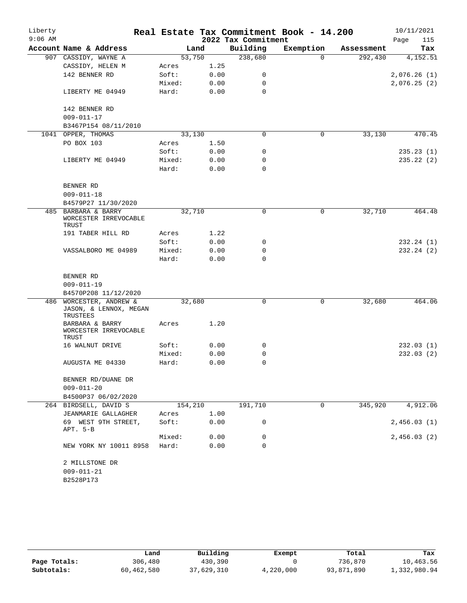| $9:06$ AM<br>2022 Tax Commitment<br>Page<br>Account Name & Address<br>Building<br>Exemption<br>Land<br>Assessment<br>238,680<br>53,750<br>292,430<br>907 CASSIDY, WAYNE A<br>$\Omega$<br>1.25<br>CASSIDY, HELEN M<br>Acres<br>142 BENNER RD<br>Soft:<br>0.00<br>0<br>Mixed:<br>0.00<br>0<br>Hard:<br>0.00<br>0<br>LIBERTY ME 04949<br>142 BENNER RD<br>$009 - 011 - 17$<br>B3467P154 08/11/2010<br>0<br>33,130<br>1041 OPPER, THOMAS<br>33,130<br>0<br>PO BOX 103<br>1.50<br>Acres<br>Soft:<br>0.00<br>0<br>Mixed:<br>0.00<br>0<br>LIBERTY ME 04949<br>Hard:<br>0.00<br>0<br>BENNER RD<br>$009 - 011 - 18$<br>B4579P27 11/30/2020<br>BARBARA & BARRY<br>32,710<br>32,710<br>485<br>0<br>0<br>WORCESTER IRREVOCABLE<br>TRUST<br>191 TABER HILL RD<br>1.22<br>Acres<br>Soft:<br>0.00<br>232.24(1)<br>0<br>Mixed:<br>0.00<br>0<br>232.24(2)<br>VASSALBORO ME 04989<br>Hard:<br>0.00<br>$\Omega$<br>BENNER RD<br>$009 - 011 - 19$<br>B4570P208 11/12/2020<br>32,680<br>464.06<br>486 WORCESTER, ANDREW &<br>0<br>0<br>32,680<br>JASON, & LENNOX, MEGAN<br>TRUSTEES<br>1.20<br>BARBARA & BARRY<br>Acres<br>WORCESTER IRREVOCABLE<br>TRUST<br>Soft:<br>0.00<br>0<br>16 WALNUT DRIVE<br>232.03(1)<br>Mixed:<br>0.00<br>0<br>232.03(2)<br>Hard:<br>0.00<br>0<br>AUGUSTA ME 04330<br>BENNER RD/DUANE DR<br>$009 - 011 - 20$<br>B4500P37 06/02/2020<br>345,920<br>4,912.06<br>264 BIRDSELL, DAVID S<br>154,210<br>191,710<br>0<br>JEANMARIE GALLAGHER<br>1.00<br>Acres<br>0<br>2,456.03(1)<br>69 WEST 9TH STREET,<br>Soft:<br>0.00<br>APT. 5-B<br>Mixed:<br>0.00<br>0 | Liberty |                        |       |      |          | Real Estate Tax Commitment Book - 14.200 | 10/11/2021  |
|-------------------------------------------------------------------------------------------------------------------------------------------------------------------------------------------------------------------------------------------------------------------------------------------------------------------------------------------------------------------------------------------------------------------------------------------------------------------------------------------------------------------------------------------------------------------------------------------------------------------------------------------------------------------------------------------------------------------------------------------------------------------------------------------------------------------------------------------------------------------------------------------------------------------------------------------------------------------------------------------------------------------------------------------------------------------------------------------------------------------------------------------------------------------------------------------------------------------------------------------------------------------------------------------------------------------------------------------------------------------------------------------------------------------------------------------------------------------------------------------------------------------------------------------------------------|---------|------------------------|-------|------|----------|------------------------------------------|-------------|
|                                                                                                                                                                                                                                                                                                                                                                                                                                                                                                                                                                                                                                                                                                                                                                                                                                                                                                                                                                                                                                                                                                                                                                                                                                                                                                                                                                                                                                                                                                                                                             |         |                        |       |      |          |                                          | 115         |
|                                                                                                                                                                                                                                                                                                                                                                                                                                                                                                                                                                                                                                                                                                                                                                                                                                                                                                                                                                                                                                                                                                                                                                                                                                                                                                                                                                                                                                                                                                                                                             |         |                        |       |      |          |                                          | Tax         |
|                                                                                                                                                                                                                                                                                                                                                                                                                                                                                                                                                                                                                                                                                                                                                                                                                                                                                                                                                                                                                                                                                                                                                                                                                                                                                                                                                                                                                                                                                                                                                             |         |                        |       |      |          |                                          | 4,152.51    |
|                                                                                                                                                                                                                                                                                                                                                                                                                                                                                                                                                                                                                                                                                                                                                                                                                                                                                                                                                                                                                                                                                                                                                                                                                                                                                                                                                                                                                                                                                                                                                             |         |                        |       |      |          |                                          |             |
|                                                                                                                                                                                                                                                                                                                                                                                                                                                                                                                                                                                                                                                                                                                                                                                                                                                                                                                                                                                                                                                                                                                                                                                                                                                                                                                                                                                                                                                                                                                                                             |         |                        |       |      |          |                                          | 2,076.26(1) |
|                                                                                                                                                                                                                                                                                                                                                                                                                                                                                                                                                                                                                                                                                                                                                                                                                                                                                                                                                                                                                                                                                                                                                                                                                                                                                                                                                                                                                                                                                                                                                             |         |                        |       |      |          |                                          | 2,076.25(2) |
|                                                                                                                                                                                                                                                                                                                                                                                                                                                                                                                                                                                                                                                                                                                                                                                                                                                                                                                                                                                                                                                                                                                                                                                                                                                                                                                                                                                                                                                                                                                                                             |         |                        |       |      |          |                                          |             |
|                                                                                                                                                                                                                                                                                                                                                                                                                                                                                                                                                                                                                                                                                                                                                                                                                                                                                                                                                                                                                                                                                                                                                                                                                                                                                                                                                                                                                                                                                                                                                             |         |                        |       |      |          |                                          |             |
|                                                                                                                                                                                                                                                                                                                                                                                                                                                                                                                                                                                                                                                                                                                                                                                                                                                                                                                                                                                                                                                                                                                                                                                                                                                                                                                                                                                                                                                                                                                                                             |         |                        |       |      |          |                                          |             |
|                                                                                                                                                                                                                                                                                                                                                                                                                                                                                                                                                                                                                                                                                                                                                                                                                                                                                                                                                                                                                                                                                                                                                                                                                                                                                                                                                                                                                                                                                                                                                             |         |                        |       |      |          |                                          |             |
|                                                                                                                                                                                                                                                                                                                                                                                                                                                                                                                                                                                                                                                                                                                                                                                                                                                                                                                                                                                                                                                                                                                                                                                                                                                                                                                                                                                                                                                                                                                                                             |         |                        |       |      |          |                                          | 470.45      |
|                                                                                                                                                                                                                                                                                                                                                                                                                                                                                                                                                                                                                                                                                                                                                                                                                                                                                                                                                                                                                                                                                                                                                                                                                                                                                                                                                                                                                                                                                                                                                             |         |                        |       |      |          |                                          |             |
|                                                                                                                                                                                                                                                                                                                                                                                                                                                                                                                                                                                                                                                                                                                                                                                                                                                                                                                                                                                                                                                                                                                                                                                                                                                                                                                                                                                                                                                                                                                                                             |         |                        |       |      |          |                                          | 235.23(1)   |
|                                                                                                                                                                                                                                                                                                                                                                                                                                                                                                                                                                                                                                                                                                                                                                                                                                                                                                                                                                                                                                                                                                                                                                                                                                                                                                                                                                                                                                                                                                                                                             |         |                        |       |      |          |                                          | 235.22(2)   |
|                                                                                                                                                                                                                                                                                                                                                                                                                                                                                                                                                                                                                                                                                                                                                                                                                                                                                                                                                                                                                                                                                                                                                                                                                                                                                                                                                                                                                                                                                                                                                             |         |                        |       |      |          |                                          |             |
|                                                                                                                                                                                                                                                                                                                                                                                                                                                                                                                                                                                                                                                                                                                                                                                                                                                                                                                                                                                                                                                                                                                                                                                                                                                                                                                                                                                                                                                                                                                                                             |         |                        |       |      |          |                                          |             |
|                                                                                                                                                                                                                                                                                                                                                                                                                                                                                                                                                                                                                                                                                                                                                                                                                                                                                                                                                                                                                                                                                                                                                                                                                                                                                                                                                                                                                                                                                                                                                             |         |                        |       |      |          |                                          |             |
|                                                                                                                                                                                                                                                                                                                                                                                                                                                                                                                                                                                                                                                                                                                                                                                                                                                                                                                                                                                                                                                                                                                                                                                                                                                                                                                                                                                                                                                                                                                                                             |         |                        |       |      |          |                                          |             |
|                                                                                                                                                                                                                                                                                                                                                                                                                                                                                                                                                                                                                                                                                                                                                                                                                                                                                                                                                                                                                                                                                                                                                                                                                                                                                                                                                                                                                                                                                                                                                             |         |                        |       |      |          |                                          | 464.48      |
|                                                                                                                                                                                                                                                                                                                                                                                                                                                                                                                                                                                                                                                                                                                                                                                                                                                                                                                                                                                                                                                                                                                                                                                                                                                                                                                                                                                                                                                                                                                                                             |         |                        |       |      |          |                                          |             |
|                                                                                                                                                                                                                                                                                                                                                                                                                                                                                                                                                                                                                                                                                                                                                                                                                                                                                                                                                                                                                                                                                                                                                                                                                                                                                                                                                                                                                                                                                                                                                             |         |                        |       |      |          |                                          |             |
|                                                                                                                                                                                                                                                                                                                                                                                                                                                                                                                                                                                                                                                                                                                                                                                                                                                                                                                                                                                                                                                                                                                                                                                                                                                                                                                                                                                                                                                                                                                                                             |         |                        |       |      |          |                                          |             |
|                                                                                                                                                                                                                                                                                                                                                                                                                                                                                                                                                                                                                                                                                                                                                                                                                                                                                                                                                                                                                                                                                                                                                                                                                                                                                                                                                                                                                                                                                                                                                             |         |                        |       |      |          |                                          |             |
|                                                                                                                                                                                                                                                                                                                                                                                                                                                                                                                                                                                                                                                                                                                                                                                                                                                                                                                                                                                                                                                                                                                                                                                                                                                                                                                                                                                                                                                                                                                                                             |         |                        |       |      |          |                                          |             |
|                                                                                                                                                                                                                                                                                                                                                                                                                                                                                                                                                                                                                                                                                                                                                                                                                                                                                                                                                                                                                                                                                                                                                                                                                                                                                                                                                                                                                                                                                                                                                             |         |                        |       |      |          |                                          |             |
|                                                                                                                                                                                                                                                                                                                                                                                                                                                                                                                                                                                                                                                                                                                                                                                                                                                                                                                                                                                                                                                                                                                                                                                                                                                                                                                                                                                                                                                                                                                                                             |         |                        |       |      |          |                                          |             |
|                                                                                                                                                                                                                                                                                                                                                                                                                                                                                                                                                                                                                                                                                                                                                                                                                                                                                                                                                                                                                                                                                                                                                                                                                                                                                                                                                                                                                                                                                                                                                             |         |                        |       |      |          |                                          |             |
|                                                                                                                                                                                                                                                                                                                                                                                                                                                                                                                                                                                                                                                                                                                                                                                                                                                                                                                                                                                                                                                                                                                                                                                                                                                                                                                                                                                                                                                                                                                                                             |         |                        |       |      |          |                                          |             |
|                                                                                                                                                                                                                                                                                                                                                                                                                                                                                                                                                                                                                                                                                                                                                                                                                                                                                                                                                                                                                                                                                                                                                                                                                                                                                                                                                                                                                                                                                                                                                             |         |                        |       |      |          |                                          |             |
|                                                                                                                                                                                                                                                                                                                                                                                                                                                                                                                                                                                                                                                                                                                                                                                                                                                                                                                                                                                                                                                                                                                                                                                                                                                                                                                                                                                                                                                                                                                                                             |         |                        |       |      |          |                                          |             |
|                                                                                                                                                                                                                                                                                                                                                                                                                                                                                                                                                                                                                                                                                                                                                                                                                                                                                                                                                                                                                                                                                                                                                                                                                                                                                                                                                                                                                                                                                                                                                             |         |                        |       |      |          |                                          |             |
|                                                                                                                                                                                                                                                                                                                                                                                                                                                                                                                                                                                                                                                                                                                                                                                                                                                                                                                                                                                                                                                                                                                                                                                                                                                                                                                                                                                                                                                                                                                                                             |         |                        |       |      |          |                                          |             |
|                                                                                                                                                                                                                                                                                                                                                                                                                                                                                                                                                                                                                                                                                                                                                                                                                                                                                                                                                                                                                                                                                                                                                                                                                                                                                                                                                                                                                                                                                                                                                             |         |                        |       |      |          |                                          |             |
|                                                                                                                                                                                                                                                                                                                                                                                                                                                                                                                                                                                                                                                                                                                                                                                                                                                                                                                                                                                                                                                                                                                                                                                                                                                                                                                                                                                                                                                                                                                                                             |         |                        |       |      |          |                                          |             |
|                                                                                                                                                                                                                                                                                                                                                                                                                                                                                                                                                                                                                                                                                                                                                                                                                                                                                                                                                                                                                                                                                                                                                                                                                                                                                                                                                                                                                                                                                                                                                             |         |                        |       |      |          |                                          |             |
|                                                                                                                                                                                                                                                                                                                                                                                                                                                                                                                                                                                                                                                                                                                                                                                                                                                                                                                                                                                                                                                                                                                                                                                                                                                                                                                                                                                                                                                                                                                                                             |         |                        |       |      |          |                                          |             |
|                                                                                                                                                                                                                                                                                                                                                                                                                                                                                                                                                                                                                                                                                                                                                                                                                                                                                                                                                                                                                                                                                                                                                                                                                                                                                                                                                                                                                                                                                                                                                             |         |                        |       |      |          |                                          |             |
|                                                                                                                                                                                                                                                                                                                                                                                                                                                                                                                                                                                                                                                                                                                                                                                                                                                                                                                                                                                                                                                                                                                                                                                                                                                                                                                                                                                                                                                                                                                                                             |         |                        |       |      |          |                                          |             |
|                                                                                                                                                                                                                                                                                                                                                                                                                                                                                                                                                                                                                                                                                                                                                                                                                                                                                                                                                                                                                                                                                                                                                                                                                                                                                                                                                                                                                                                                                                                                                             |         |                        |       |      |          |                                          | 2,456.03(2) |
|                                                                                                                                                                                                                                                                                                                                                                                                                                                                                                                                                                                                                                                                                                                                                                                                                                                                                                                                                                                                                                                                                                                                                                                                                                                                                                                                                                                                                                                                                                                                                             |         | NEW YORK NY 10011 8958 | Hard: | 0.00 | $\Omega$ |                                          |             |
| 2 MILLSTONE DR                                                                                                                                                                                                                                                                                                                                                                                                                                                                                                                                                                                                                                                                                                                                                                                                                                                                                                                                                                                                                                                                                                                                                                                                                                                                                                                                                                                                                                                                                                                                              |         |                        |       |      |          |                                          |             |
| $009 - 011 - 21$                                                                                                                                                                                                                                                                                                                                                                                                                                                                                                                                                                                                                                                                                                                                                                                                                                                                                                                                                                                                                                                                                                                                                                                                                                                                                                                                                                                                                                                                                                                                            |         |                        |       |      |          |                                          |             |
| B2528P173                                                                                                                                                                                                                                                                                                                                                                                                                                                                                                                                                                                                                                                                                                                                                                                                                                                                                                                                                                                                                                                                                                                                                                                                                                                                                                                                                                                                                                                                                                                                                   |         |                        |       |      |          |                                          |             |

|              | Land       | Building | Exempt    | Total      | Tax          |
|--------------|------------|----------|-----------|------------|--------------|
| Page Totals: | 306,480    | 430,390  |           | 736,870    | 10,463.56    |
| Subtotals:   | 60,462,580 | ,629,310 | 4,220,000 | 93,871,890 | 1,332,980.94 |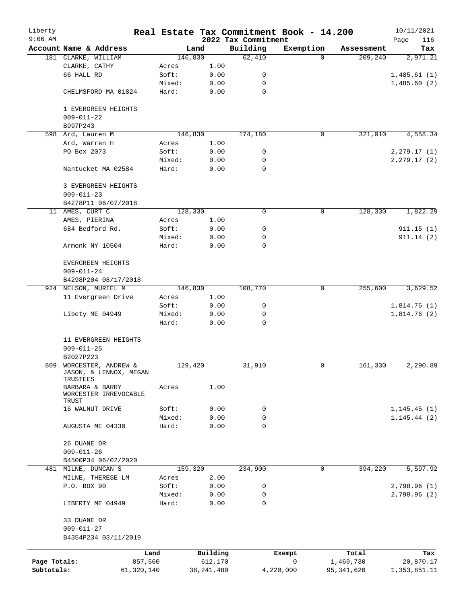| Liberty      |                                    |                |              |                     | Real Estate Tax Commitment Book - 14.200 |            | 10/11/2021    |
|--------------|------------------------------------|----------------|--------------|---------------------|------------------------------------------|------------|---------------|
| $9:06$ AM    |                                    |                |              | 2022 Tax Commitment |                                          |            | 116<br>Page   |
|              | Account Name & Address             |                | Land         | Building            | Exemption                                | Assessment | Tax           |
|              | 181 CLARKE, WILLIAM                |                | 146,830      | 62,410              | $\Omega$                                 | 209,240    | 2,971.21      |
|              | CLARKE, CATHY<br>66 HALL RD        | Acres<br>Soft: | 1.00<br>0.00 |                     |                                          |            |               |
|              |                                    |                |              | 0                   |                                          |            | 1,485.61(1)   |
|              |                                    | Mixed:         | 0.00         | 0                   |                                          |            | 1,485.60(2)   |
|              | CHELMSFORD MA 01824                | Hard:          | 0.00         | 0                   |                                          |            |               |
|              | 1 EVERGREEN HEIGHTS                |                |              |                     |                                          |            |               |
|              | $009 - 011 - 22$                   |                |              |                     |                                          |            |               |
|              | B997P243                           |                |              |                     |                                          |            |               |
| 598          | Ard, Lauren M                      |                | 146,830      | 174,180             | 0                                        | 321,010    | 4,558.34      |
|              | Ard, Warren H                      | Acres          | 1.00         |                     |                                          |            |               |
|              | PO Box 2073                        | Soft:          | 0.00         | 0                   |                                          |            | 2, 279.17(1)  |
|              |                                    | Mixed:         | 0.00         | 0                   |                                          |            | 2, 279.17 (2) |
|              | Nantucket MA 02584                 | Hard:          | 0.00         | 0                   |                                          |            |               |
|              | 3 EVERGREEN HEIGHTS                |                |              |                     |                                          |            |               |
|              | $009 - 011 - 23$                   |                |              |                     |                                          |            |               |
|              | B4278P11 06/07/2018                |                |              |                     |                                          |            |               |
| 11           | AMES, CURT C                       |                | 128,330      | 0                   | 0                                        | 128,330    | 1,822.29      |
|              | AMES, PIERINA                      | Acres          | 1.00         |                     |                                          |            |               |
|              | 684 Bedford Rd.                    | Soft:          | 0.00         | 0                   |                                          |            | 911.15(1)     |
|              |                                    | Mixed:         | 0.00         | 0                   |                                          |            | 911.14(2)     |
|              | Armonk NY 10504                    | Hard:          | 0.00         | 0                   |                                          |            |               |
|              |                                    |                |              |                     |                                          |            |               |
|              | EVERGREEN HEIGHTS                  |                |              |                     |                                          |            |               |
|              | $009 - 011 - 24$                   |                |              |                     |                                          |            |               |
|              | B4298P204 08/17/2018               |                |              |                     |                                          |            |               |
|              | 924 NELSON, MURIEL M               |                | 146,830      | 108,770             | 0                                        | 255,600    | 3,629.52      |
|              | 11 Evergreen Drive                 | Acres          | 1.00         |                     |                                          |            |               |
|              |                                    | Soft:          | 0.00         | 0                   |                                          |            | 1,814.76(1)   |
|              | Libety ME 04949                    | Mixed:         | 0.00         | 0                   |                                          |            | 1,814.76(2)   |
|              |                                    | Hard:          | 0.00         | 0                   |                                          |            |               |
|              |                                    |                |              |                     |                                          |            |               |
|              | 11 EVERGREEN HEIGHTS               |                |              |                     |                                          |            |               |
|              | $009 - 011 - 25$                   |                |              |                     |                                          |            |               |
|              | B2027P223                          |                |              |                     |                                          |            |               |
|              | 809 WORCESTER, ANDREW &            |                | 129,420      | 31,910              | 0                                        | 161,330    | 2,290.89      |
|              | JASON, & LENNOX, MEGAN<br>TRUSTEES |                |              |                     |                                          |            |               |
|              | BARBARA & BARRY                    | Acres          | 1.00         |                     |                                          |            |               |
|              | WORCESTER IRREVOCABLE              |                |              |                     |                                          |            |               |
|              | TRUST                              |                |              |                     |                                          |            |               |
|              | 16 WALNUT DRIVE                    | Soft:          | 0.00         | 0                   |                                          |            | 1, 145.45(1)  |
|              |                                    | Mixed:         | 0.00         | 0                   |                                          |            | 1, 145.44(2)  |
|              | AUGUSTA ME 04330                   | Hard:          | 0.00         | 0                   |                                          |            |               |
|              | 26 DUANE DR                        |                |              |                     |                                          |            |               |
|              | $009 - 011 - 26$                   |                |              |                     |                                          |            |               |
|              | B4500P34 06/02/2020                |                |              |                     |                                          |            |               |
| 481          | MILNE, DUNCAN S                    |                | 159,320      | 234,900             | $\mathbf 0$                              | 394,220    | 5,597.92      |
|              | MILNE, THERESE LM                  | Acres          | 2.00         |                     |                                          |            |               |
|              | P.O. BOX 90                        | Soft:          | 0.00         | 0                   |                                          |            | 2,798.96(1)   |
|              |                                    | Mixed:         | 0.00         | 0                   |                                          |            | 2,798.96(2)   |
|              | LIBERTY ME 04949                   | Hard:          | 0.00         | 0                   |                                          |            |               |
|              |                                    |                |              |                     |                                          |            |               |
|              | 33 DUANE DR                        |                |              |                     |                                          |            |               |
|              | $009 - 011 - 27$                   |                |              |                     |                                          |            |               |
|              | B4354P234 03/11/2019               |                |              |                     |                                          |            |               |
|              | Land                               |                | Building     |                     | Exempt                                   | Total      | Tax           |
| Page Totals: | 857,560                            |                | 612,170      |                     | 0                                        | 1,469,730  | 20,870.17     |
| Subtotals:   | 61,320,140                         |                | 38, 241, 480 |                     | 4,220,000                                | 95,341,620 | 1,353,851.11  |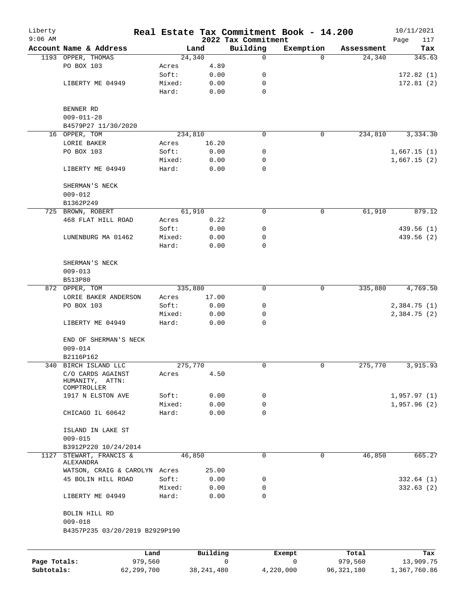| Liberty      |                                           |                 |                 |                                 | Real Estate Tax Commitment Book - 14.200 |                      | 10/11/2021    |
|--------------|-------------------------------------------|-----------------|-----------------|---------------------------------|------------------------------------------|----------------------|---------------|
| $9:06$ AM    | Account Name & Address                    |                 |                 | 2022 Tax Commitment<br>Building |                                          |                      | 117<br>Page   |
|              | 1193 OPPER, THOMAS                        |                 | Land<br>24,340  | $\mathbf 0$                     | Exemption<br>$\Omega$                    | Assessment<br>24,340 | Tax<br>345.63 |
|              | PO BOX 103                                | Acres           | 4.89            |                                 |                                          |                      |               |
|              |                                           | Soft:           | 0.00            | 0                               |                                          |                      | 172.82(1)     |
|              | LIBERTY ME 04949                          | Mixed:          | 0.00            | 0                               |                                          |                      | 172.81(2)     |
|              |                                           | Hard:           | 0.00            | 0                               |                                          |                      |               |
|              | BENNER RD                                 |                 |                 |                                 |                                          |                      |               |
|              | $009 - 011 - 28$                          |                 |                 |                                 |                                          |                      |               |
|              | B4579P27 11/30/2020                       |                 |                 |                                 |                                          |                      |               |
|              | 16 OPPER, TOM                             |                 | 234,810         | 0                               | $\mathbf 0$                              | 234,810              | 3,334.30      |
|              | LORIE BAKER                               | Acres           | 16.20           |                                 |                                          |                      |               |
|              | PO BOX 103                                | Soft:           | 0.00            | 0                               |                                          |                      | 1,667.15(1)   |
|              |                                           | Mixed:          | 0.00            | 0                               |                                          |                      | 1,667.15(2)   |
|              | LIBERTY ME 04949                          | Hard:           | 0.00            | $\mathbf 0$                     |                                          |                      |               |
|              | SHERMAN'S NECK                            |                 |                 |                                 |                                          |                      |               |
|              | $009 - 012$                               |                 |                 |                                 |                                          |                      |               |
|              | B1362P249                                 |                 |                 |                                 |                                          |                      |               |
|              | 725 BROWN, ROBERT                         |                 | 61,910          | 0                               | $\mathbf 0$                              | 61,910               | 879.12        |
|              | 468 FLAT HILL ROAD                        | Acres           | 0.22            |                                 |                                          |                      |               |
|              |                                           | Soft:<br>Mixed: | 0.00            | 0                               |                                          |                      | 439.56 (1)    |
|              | LUNENBURG MA 01462                        |                 | 0.00            | 0<br>0                          |                                          |                      | 439.56 (2)    |
|              |                                           | Hard:           | 0.00            |                                 |                                          |                      |               |
|              | SHERMAN'S NECK                            |                 |                 |                                 |                                          |                      |               |
|              | $009 - 013$                               |                 |                 |                                 |                                          |                      |               |
|              | B513P80                                   |                 |                 |                                 |                                          |                      |               |
|              | 872 OPPER, TOM                            |                 | 335,880         | $\mathbf 0$                     | $\mathbf 0$                              | 335,880              | 4,769.50      |
|              | LORIE BAKER ANDERSON                      | Acres           | 17.00           |                                 |                                          |                      |               |
|              | PO BOX 103                                | Soft:           | 0.00            | 0                               |                                          |                      | 2,384.75(1)   |
|              |                                           | Mixed:          | 0.00            | 0                               |                                          |                      | 2,384.75 (2)  |
|              | LIBERTY ME 04949                          | Hard:           | 0.00            | 0                               |                                          |                      |               |
|              | END OF SHERMAN'S NECK                     |                 |                 |                                 |                                          |                      |               |
|              | $009 - 014$                               |                 |                 |                                 |                                          |                      |               |
|              | B2116P162                                 |                 |                 | 0                               |                                          |                      |               |
|              | 340 BIRCH ISLAND LLC<br>C/O CARDS AGAINST |                 | 275,770<br>4.50 |                                 | $\mathbf 0$                              | 275,770              | 3,915.93      |
|              | HUMANITY, ATTN:<br>COMPTROLLER            | Acres           |                 |                                 |                                          |                      |               |
|              | 1917 N ELSTON AVE                         | Soft:           | 0.00            | 0                               |                                          |                      | 1,957.97(1)   |
|              |                                           | Mixed:          | 0.00            | 0                               |                                          |                      | 1,957.96(2)   |
|              | CHICAGO IL 60642                          | Hard:           | 0.00            | $\Omega$                        |                                          |                      |               |
|              | ISLAND IN LAKE ST                         |                 |                 |                                 |                                          |                      |               |
|              | $009 - 015$                               |                 |                 |                                 |                                          |                      |               |
|              | B3912P220 10/24/2014                      |                 |                 |                                 |                                          |                      |               |
| 1127         | STEWART, FRANCIS &<br>ALEXANDRA           |                 | 46,850          | 0                               | $\mathbf 0$                              | 46,850               | 665.27        |
|              | WATSON, CRAIG & CAROLYN Acres             |                 | 25.00           |                                 |                                          |                      |               |
|              | 45 BOLIN HILL ROAD                        | Soft:           | 0.00            | 0                               |                                          |                      | 332.64(1)     |
|              |                                           | Mixed:          | 0.00            | 0                               |                                          |                      | 332.63(2)     |
|              | LIBERTY ME 04949                          | Hard:           | 0.00            | $\mathbf 0$                     |                                          |                      |               |
|              | BOLIN HILL RD                             |                 |                 |                                 |                                          |                      |               |
|              | $009 - 018$                               |                 |                 |                                 |                                          |                      |               |
|              | B4357P235 03/20/2019 B2929P190            |                 |                 |                                 |                                          |                      |               |
|              |                                           | Land            | Building        |                                 | Exempt                                   | Total                | Tax           |
| Page Totals: | 979,560                                   |                 |                 | $\mathbf 0$                     | $\mathbf 0$                              | 979,560              | 13,909.75     |
| Subtotals:   | 62,299,700                                |                 | 38, 241, 480    |                                 | 4,220,000                                | 96, 321, 180         | 1,367,760.86  |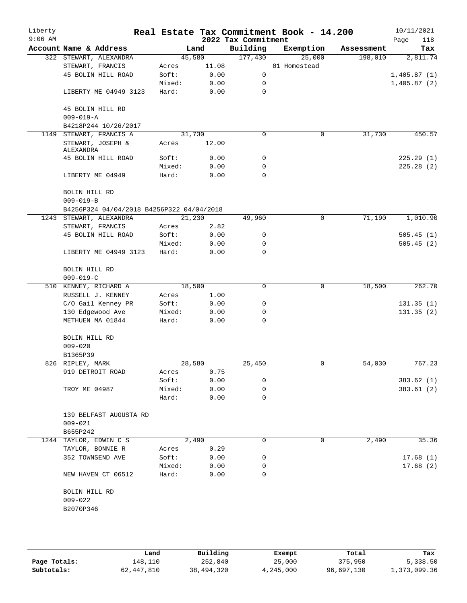| Liberty<br>$9:06$ AM |                                           |        |       | 2022 Tax Commitment | Real Estate Tax Commitment Book - 14.200 |            | 10/11/2021<br>118<br>Page |
|----------------------|-------------------------------------------|--------|-------|---------------------|------------------------------------------|------------|---------------------------|
|                      | Account Name & Address                    |        | Land  | Building            | Exemption                                | Assessment | Tax                       |
|                      | 322 STEWART, ALEXANDRA                    | 45,580 |       | 177,430             | 25,000                                   | 198,010    | 2,811.74                  |
|                      | STEWART, FRANCIS                          | Acres  | 11.08 |                     | 01 Homestead                             |            |                           |
|                      | 45 BOLIN HILL ROAD                        | Soft:  | 0.00  | 0                   |                                          |            | 1,405.87(1)               |
|                      |                                           | Mixed: | 0.00  | 0                   |                                          |            | 1,405.87(2)               |
|                      | LIBERTY ME 04949 3123                     | Hard:  | 0.00  | $\mathbf 0$         |                                          |            |                           |
|                      | 45 BOLIN HILL RD                          |        |       |                     |                                          |            |                           |
|                      | $009 - 019 - A$                           |        |       |                     |                                          |            |                           |
|                      | B4218P244 10/26/2017                      |        |       |                     |                                          |            |                           |
| 1149                 | STEWART, FRANCIS A                        | 31,730 |       | 0                   | 0                                        | 31,730     | 450.57                    |
|                      | STEWART, JOSEPH &<br>ALEXANDRA            | Acres  | 12.00 |                     |                                          |            |                           |
|                      | 45 BOLIN HILL ROAD                        | Soft:  | 0.00  | 0                   |                                          |            | 225.29(1)                 |
|                      |                                           | Mixed: | 0.00  | 0                   |                                          |            | 225.28(2)                 |
|                      | LIBERTY ME 04949                          | Hard:  | 0.00  | 0                   |                                          |            |                           |
|                      | BOLIN HILL RD                             |        |       |                     |                                          |            |                           |
|                      | $009 - 019 - B$                           |        |       |                     |                                          |            |                           |
|                      | B4256P324 04/04/2018 B4256P322 04/04/2018 |        |       |                     |                                          |            |                           |
|                      | 1243 STEWART, ALEXANDRA                   | 21,230 |       | 49,960              | 0                                        | 71,190     | 1,010.90                  |
|                      | STEWART, FRANCIS                          | Acres  | 2.82  |                     |                                          |            |                           |
|                      | 45 BOLIN HILL ROAD                        | Soft:  | 0.00  | 0                   |                                          |            | 505.45(1)                 |
|                      |                                           | Mixed: | 0.00  | 0                   |                                          |            | 505.45(2)                 |
|                      | LIBERTY ME 04949 3123                     | Hard:  | 0.00  | $\mathbf 0$         |                                          |            |                           |
|                      | BOLIN HILL RD                             |        |       |                     |                                          |            |                           |
|                      | $009 - 019 - C$                           |        |       |                     |                                          |            |                           |
| 510                  | KENNEY, RICHARD A                         | 18,500 |       | 0                   | 0                                        | 18,500     | 262.70                    |
|                      | RUSSELL J. KENNEY                         | Acres  | 1.00  |                     |                                          |            |                           |
|                      | C/O Gail Kenney PR                        | Soft:  | 0.00  | 0                   |                                          |            | 131.35(1)                 |
|                      | 130 Edgewood Ave                          | Mixed: | 0.00  | 0                   |                                          |            | 131.35(2)                 |
|                      | METHUEN MA 01844                          | Hard:  | 0.00  | 0                   |                                          |            |                           |
|                      | BOLIN HILL RD                             |        |       |                     |                                          |            |                           |
|                      | $009 - 020$                               |        |       |                     |                                          |            |                           |
|                      | B1365P39                                  |        |       |                     |                                          |            |                           |
|                      | 826 RIPLEY, MARK                          | 28,580 |       | 25,450              | 0                                        | 54,030     | 767.23                    |
|                      | 919 DETROIT ROAD                          | Acres  | 0.75  |                     |                                          |            |                           |
|                      |                                           | Soft:  | 0.00  | 0                   |                                          |            | 383.62(1)                 |
|                      | TROY ME 04987                             | Mixed: | 0.00  | 0                   |                                          |            | 383.61(2)                 |
|                      |                                           | Hard:  | 0.00  | 0                   |                                          |            |                           |
|                      | 139 BELFAST AUGUSTA RD                    |        |       |                     |                                          |            |                           |
|                      | $009 - 021$                               |        |       |                     |                                          |            |                           |
|                      | B655P242                                  |        |       |                     |                                          |            |                           |
|                      | 1244 TAYLOR, EDWIN C S                    |        | 2,490 | 0                   | 0                                        | 2,490      | 35.36                     |
|                      | TAYLOR, BONNIE R                          | Acres  | 0.29  |                     |                                          |            |                           |
|                      | 352 TOWNSEND AVE                          | Soft:  | 0.00  | 0                   |                                          |            | 17.68(1)                  |
|                      |                                           | Mixed: | 0.00  | 0                   |                                          |            | 17.68(2)                  |
|                      | NEW HAVEN CT 06512                        | Hard:  | 0.00  | 0                   |                                          |            |                           |
|                      | BOLIN HILL RD                             |        |       |                     |                                          |            |                           |
|                      | $009 - 022$                               |        |       |                     |                                          |            |                           |
|                      | B2070P346                                 |        |       |                     |                                          |            |                           |
|                      |                                           |        |       |                     |                                          |            |                           |
|                      |                                           |        |       |                     |                                          |            |                           |

|              | Land       | Building   | Exempt    | Total      | Tax          |
|--------------|------------|------------|-----------|------------|--------------|
| Page Totals: | 148,110    | 252,840    | 25,000    | 375,950    | 5,338.50     |
| Subtotals:   | 62,447,810 | 38,494,320 | 4,245,000 | 96,697,130 | 1,373,099.36 |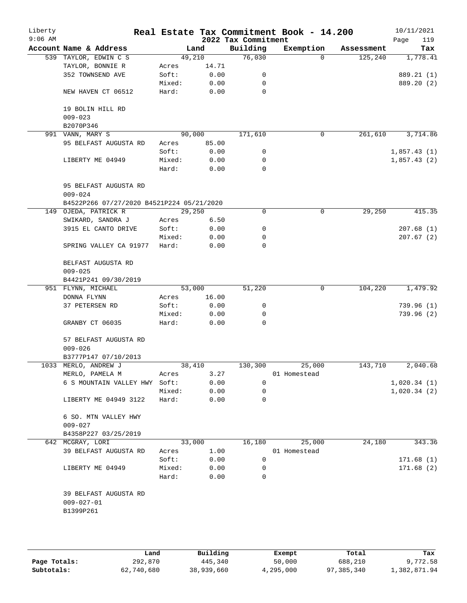| Liberty<br>$9:06$ AM |                                           |        |        | 2022 Tax Commitment | Real Estate Tax Commitment Book - 14.200 |            | 10/11/2021<br>119<br>Page |
|----------------------|-------------------------------------------|--------|--------|---------------------|------------------------------------------|------------|---------------------------|
|                      | Account Name & Address                    |        | Land   | Building            | Exemption                                | Assessment | Tax                       |
|                      | 539 TAYLOR, EDWIN C S                     |        | 49,210 | 76,030              | $\Omega$                                 | 125, 240   | 1,778.41                  |
|                      | TAYLOR, BONNIE R                          | Acres  | 14.71  |                     |                                          |            |                           |
|                      | 352 TOWNSEND AVE                          | Soft:  | 0.00   | 0                   |                                          |            | 889.21 (1)                |
|                      |                                           | Mixed: | 0.00   | 0                   |                                          |            | 889.20 (2)                |
|                      | NEW HAVEN CT 06512                        | Hard:  | 0.00   | 0                   |                                          |            |                           |
|                      | 19 BOLIN HILL RD                          |        |        |                     |                                          |            |                           |
|                      | $009 - 023$                               |        |        |                     |                                          |            |                           |
|                      | B2070P346                                 |        |        |                     |                                          |            |                           |
|                      | 991 VANN, MARY S                          |        | 90,000 | 171,610             | 0                                        | 261,610    | 3,714.86                  |
|                      | 95 BELFAST AUGUSTA RD                     | Acres  | 85.00  |                     |                                          |            |                           |
|                      |                                           | Soft:  | 0.00   | 0                   |                                          |            | 1,857.43(1)               |
|                      | LIBERTY ME 04949                          | Mixed: | 0.00   | 0                   |                                          |            | 1,857.43(2)               |
|                      |                                           | Hard:  | 0.00   | 0                   |                                          |            |                           |
|                      | 95 BELFAST AUGUSTA RD                     |        |        |                     |                                          |            |                           |
|                      | $009 - 024$                               |        |        |                     |                                          |            |                           |
|                      | B4522P266 07/27/2020 B4521P224 05/21/2020 |        |        |                     |                                          |            |                           |
|                      | 149 OJEDA, PATRICK R                      |        | 29,250 | 0                   | 0                                        | 29,250     | 415.35                    |
|                      | SWIKARD, SANDRA J                         | Acres  | 6.50   |                     |                                          |            |                           |
|                      | 3915 EL CANTO DRIVE                       | Soft:  | 0.00   | 0                   |                                          |            | 207.68(1)                 |
|                      |                                           | Mixed: | 0.00   | 0                   |                                          |            | 207.67(2)                 |
|                      | SPRING VALLEY CA 91977                    | Hard:  | 0.00   | $\Omega$            |                                          |            |                           |
|                      | BELFAST AUGUSTA RD<br>$009 - 025$         |        |        |                     |                                          |            |                           |
|                      | B4421P241 09/30/2019                      |        |        |                     |                                          |            |                           |
|                      | 951 FLYNN, MICHAEL                        |        | 53,000 | 51,220              | 0                                        | 104,220    | 1,479.92                  |
|                      | DONNA FLYNN                               | Acres  | 16.00  |                     |                                          |            |                           |
|                      | 37 PETERSEN RD                            | Soft:  | 0.00   | 0                   |                                          |            | 739.96(1)                 |
|                      |                                           | Mixed: | 0.00   | 0                   |                                          |            | 739.96(2)                 |
|                      | GRANBY CT 06035                           | Hard:  | 0.00   | $\Omega$            |                                          |            |                           |
|                      | 57 BELFAST AUGUSTA RD                     |        |        |                     |                                          |            |                           |
|                      | $009 - 026$                               |        |        |                     |                                          |            |                           |
|                      | B3777P147 07/10/2013                      |        |        |                     |                                          |            |                           |
|                      | 1033 MERLO, ANDREW J                      |        | 38,410 | 130,300             | 25,000                                   | 143,710    | 2,040.68                  |
|                      | MERLO, PAMELA M                           | Acres  | 3.27   |                     | 01 Homestead                             |            |                           |
|                      | 6 S MOUNTAIN VALLEY HWY Soft:             |        | 0.00   | 0                   |                                          |            | 1,020.34(1)               |
|                      |                                           | Mixed: | 0.00   | 0                   |                                          |            | 1,020.34(2)               |
|                      | LIBERTY ME 04949 3122                     | Hard:  | 0.00   | 0                   |                                          |            |                           |
|                      | 6 SO. MTN VALLEY HWY<br>$009 - 027$       |        |        |                     |                                          |            |                           |
|                      | B4358P227 03/25/2019                      |        |        |                     |                                          |            |                           |
|                      | 642 MCGRAY, LORI                          |        | 33,000 | 16,180              | 25,000                                   | 24,180     | 343.36                    |
|                      | 39 BELFAST AUGUSTA RD                     | Acres  | 1.00   |                     | 01 Homestead                             |            |                           |
|                      |                                           | Soft:  | 0.00   | 0                   |                                          |            | 171.68(1)                 |
|                      | LIBERTY ME 04949                          | Mixed: | 0.00   | 0                   |                                          |            | 171.68(2)                 |
|                      |                                           | Hard:  | 0.00   | 0                   |                                          |            |                           |
|                      | 39 BELFAST AUGUSTA RD                     |        |        |                     |                                          |            |                           |
|                      | $009 - 027 - 01$<br>B1399P261             |        |        |                     |                                          |            |                           |
|                      |                                           |        |        |                     |                                          |            |                           |

|              | Land       | Building   | Exempt    | Total      | Tax          |
|--------------|------------|------------|-----------|------------|--------------|
| Page Totals: | 292,870    | 445,340    | 50,000    | 688,210    | 9,772.58     |
| Subtotals:   | 62,740,680 | 38,939,660 | 4,295,000 | 97,385,340 | 1,382,871.94 |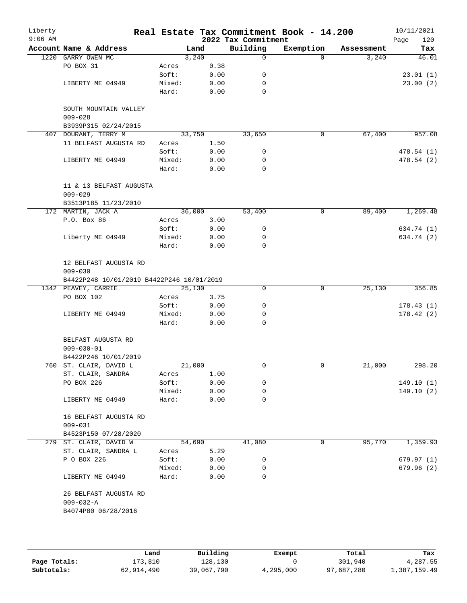| Liberty<br>$9:06$ AM |                                           |                 |              | 2022 Tax Commitment | Real Estate Tax Commitment Book - 14.200 |            | 10/11/2021<br>120<br>Page |
|----------------------|-------------------------------------------|-----------------|--------------|---------------------|------------------------------------------|------------|---------------------------|
|                      | Account Name & Address                    | Land            |              | Building            | Exemption                                | Assessment | Tax                       |
| 1220                 | GARRY OWEN MC                             | 3,240           |              | 0                   | $\Omega$                                 | 3,240      | 46.01                     |
|                      | PO BOX 31                                 | Acres           | 0.38         |                     |                                          |            |                           |
|                      |                                           | Soft:           | 0.00         | 0                   |                                          |            | 23.01(1)                  |
|                      | LIBERTY ME 04949                          | Mixed:          | 0.00         | 0                   |                                          |            | 23.00(2)                  |
|                      |                                           | Hard:           | 0.00         | 0                   |                                          |            |                           |
|                      | SOUTH MOUNTAIN VALLEY<br>$009 - 028$      |                 |              |                     |                                          |            |                           |
|                      | B3939P315 02/24/2015                      |                 |              |                     |                                          |            |                           |
|                      | 407 DOURANT, TERRY M                      | 33,750          |              | 33,650              | 0                                        | 67,400     | 957.08                    |
|                      | 11 BELFAST AUGUSTA RD                     | Acres           | 1.50         |                     |                                          |            |                           |
|                      |                                           | Soft:           | 0.00         | 0                   |                                          |            | 478.54 (1)                |
|                      | LIBERTY ME 04949                          | Mixed:          | 0.00         | 0                   |                                          |            | 478.54 (2)                |
|                      |                                           | Hard:           | 0.00         | $\mathbf 0$         |                                          |            |                           |
|                      | 11 & 13 BELFAST AUGUSTA                   |                 |              |                     |                                          |            |                           |
|                      | $009 - 029$                               |                 |              |                     |                                          |            |                           |
|                      | B3513P185 11/23/2010                      |                 |              |                     |                                          |            |                           |
|                      | 172 MARTIN, JACK A                        | 36,000          |              | 53,400              | 0                                        | 89,400     | 1,269.48                  |
|                      | P.O. Box 86                               | Acres           | 3.00         |                     |                                          |            |                           |
|                      |                                           | Soft:           | 0.00         | 0                   |                                          |            | 634.74 (1)                |
|                      | Liberty ME 04949                          | Mixed:          | 0.00         | 0                   |                                          |            | 634.74 (2)                |
|                      |                                           | Hard:           | 0.00         | 0                   |                                          |            |                           |
|                      | 12 BELFAST AUGUSTA RD                     |                 |              |                     |                                          |            |                           |
|                      | $009 - 030$                               |                 |              |                     |                                          |            |                           |
|                      | B4422P248 10/01/2019 B4422P246 10/01/2019 |                 |              |                     |                                          |            |                           |
|                      | 1342 PEAVEY, CARRIE                       | 25,130          |              | 0                   | $\mathbf 0$                              | 25,130     | 356.85                    |
|                      | PO BOX 102                                | Acres           | 3.75         |                     |                                          |            |                           |
|                      |                                           | Soft:           | 0.00         | 0                   |                                          |            | 178.43(1)                 |
|                      | LIBERTY ME 04949                          | Mixed:          | 0.00         | 0                   |                                          |            | 178.42(2)                 |
|                      |                                           | Hard:           | 0.00         | 0                   |                                          |            |                           |
|                      | BELFAST AUGUSTA RD                        |                 |              |                     |                                          |            |                           |
|                      | $009 - 030 - 01$                          |                 |              |                     |                                          |            |                           |
|                      | B4422P246 10/01/2019                      |                 |              |                     |                                          |            |                           |
|                      | 760 ST. CLAIR, DAVID L                    | 21,000          |              | 0                   | 0                                        | 21,000     | 298.20                    |
|                      | ST. CLAIR, SANDRA                         | Acres           | 1.00         |                     |                                          |            |                           |
|                      | PO BOX 226                                | Soft:           | 0.00         | 0                   |                                          |            | 149.10(1)                 |
|                      |                                           | Mixed:          | 0.00         | 0                   |                                          |            | 149.10(2)                 |
|                      | LIBERTY ME 04949                          | Hard:           | 0.00         | 0                   |                                          |            |                           |
|                      | 16 BELFAST AUGUSTA RD                     |                 |              |                     |                                          |            |                           |
|                      | $009 - 031$                               |                 |              |                     |                                          |            |                           |
|                      | B4523P150 07/28/2020                      |                 |              |                     |                                          |            |                           |
|                      | 279 ST. CLAIR, DAVID W                    | 54,690          |              | 41,080              | 0                                        | 95,770     | 1,359.93                  |
|                      | ST. CLAIR, SANDRA L                       | Acres           | 5.29         |                     |                                          |            |                           |
|                      | P O BOX 226                               | Soft:           | 0.00         | 0                   |                                          |            | 679.97(1)                 |
|                      |                                           |                 |              |                     |                                          |            |                           |
|                      | LIBERTY ME 04949                          | Mixed:<br>Hard: | 0.00<br>0.00 | 0<br>$\Omega$       |                                          |            | 679.96(2)                 |
|                      |                                           |                 |              |                     |                                          |            |                           |
|                      | 26 BELFAST AUGUSTA RD<br>$009 - 032 - A$  |                 |              |                     |                                          |            |                           |
|                      | B4074P80 06/28/2016                       |                 |              |                     |                                          |            |                           |
|                      |                                           |                 |              |                     |                                          |            |                           |
|                      |                                           |                 |              |                     |                                          |            |                           |

|              | Land       | Building   | Exempt    | Total      | Tax          |
|--------------|------------|------------|-----------|------------|--------------|
| Page Totals: | 173,810    | 128.130    |           | 301,940    | 4,287.55     |
| Subtotals:   | 62,914,490 | 39,067,790 | 4,295,000 | 97,687,280 | 1,387,159.49 |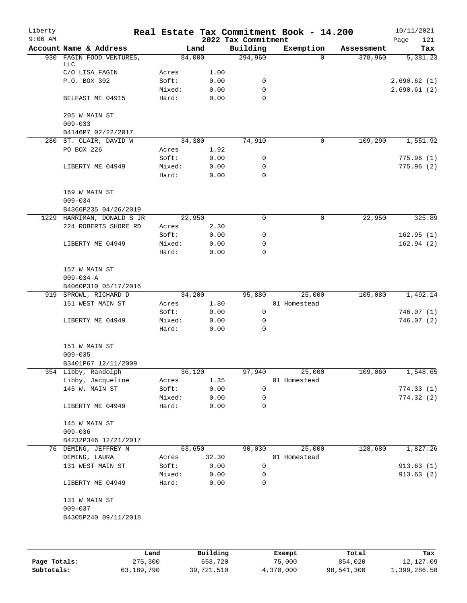| Account Name & Address<br>Building<br>Exemption<br>Land<br>Assessment<br>294,960<br>FAGIN FOOD VENTURES,<br>84,000<br>378,960<br>930<br>$\Omega$<br>LLC<br>C/O LISA FAGIN<br>1.00<br>Acres<br>P.O. BOX 302<br>Soft:<br>0.00<br>0<br>Mixed:<br>0.00<br>0<br>BELFAST ME 04915<br>Hard:<br>0.00<br>0<br>205 W MAIN ST<br>$009 - 033$<br>B4146P7 02/22/2017<br>280 ST. CLAIR, DAVID W<br>74,910<br>109,290<br>34,380<br>0<br>PO BOX 226<br>1.92<br>Acres<br>0.00<br>Soft:<br>0<br>0.00<br>Mixed:<br>0<br>LIBERTY ME 04949<br>0<br>Hard:<br>0.00<br>169 W MAIN ST<br>$009 - 034$<br>B4366P235 04/26/2019<br>22,950<br>0<br>0<br>22,950<br>1229 HARRIMAN, DONALD S JR<br>224 ROBERTS SHORE RD<br>2.30<br>Acres<br>Soft:<br>0.00<br>0<br>Mixed:<br>0.00<br>0<br>LIBERTY ME 04949<br>Hard:<br>0.00<br>$\Omega$<br>157 W MAIN ST<br>$009 - 034 - A$<br>B4060P310 05/17/2016<br>SPROWL, RICHARD D<br>34,200<br>25,000<br>105,080<br>919<br>95,880<br>151 WEST MAIN ST<br>1.80<br>01 Homestead<br>Acres<br>0.00<br>0<br>Soft:<br>LIBERTY ME 04949<br>Mixed:<br>0.00<br>0<br>$\mathbf 0$<br>Hard:<br>0.00<br>151 W MAIN ST<br>$009 - 035$<br>B3401P67 12/11/2009<br>354 Libby, Randolph<br>25,000<br>109,060<br>36,120<br>97,940<br>Libby, Jacqueline<br>1.35<br>01 Homestead<br>Acres<br>145 W. MAIN ST<br>Soft:<br>0.00<br>0<br>Mixed:<br>0.00<br>0<br>$\mathbf 0$<br>LIBERTY ME 04949<br>Hard:<br>0.00<br>145 W MAIN ST<br>$009 - 036$<br>B4232P346 12/21/2017<br>128,680<br>76 DEMING, JEFFREY N<br>63,650<br>90,030<br>25,000<br>DEMING, LAURA<br>01 Homestead<br>32.30<br>Acres<br>131 WEST MAIN ST<br>Soft:<br>0.00<br>0<br>Mixed:<br>0.00<br>0<br>LIBERTY ME 04949<br>Hard:<br>0.00<br>0<br>131 W MAIN ST<br>$009 - 037$ | Liberty<br>$9:06$ AM |                      |  | 2022 Tax Commitment | Real Estate Tax Commitment Book - 14.200 | 10/11/2021<br>121<br>Page |
|----------------------------------------------------------------------------------------------------------------------------------------------------------------------------------------------------------------------------------------------------------------------------------------------------------------------------------------------------------------------------------------------------------------------------------------------------------------------------------------------------------------------------------------------------------------------------------------------------------------------------------------------------------------------------------------------------------------------------------------------------------------------------------------------------------------------------------------------------------------------------------------------------------------------------------------------------------------------------------------------------------------------------------------------------------------------------------------------------------------------------------------------------------------------------------------------------------------------------------------------------------------------------------------------------------------------------------------------------------------------------------------------------------------------------------------------------------------------------------------------------------------------------------------------------------------------------------------------------------------------------------------------------------------------------------------------------------------------|----------------------|----------------------|--|---------------------|------------------------------------------|---------------------------|
|                                                                                                                                                                                                                                                                                                                                                                                                                                                                                                                                                                                                                                                                                                                                                                                                                                                                                                                                                                                                                                                                                                                                                                                                                                                                                                                                                                                                                                                                                                                                                                                                                                                                                                                      |                      |                      |  |                     |                                          | Tax                       |
|                                                                                                                                                                                                                                                                                                                                                                                                                                                                                                                                                                                                                                                                                                                                                                                                                                                                                                                                                                                                                                                                                                                                                                                                                                                                                                                                                                                                                                                                                                                                                                                                                                                                                                                      |                      |                      |  |                     |                                          | 5,381.23                  |
|                                                                                                                                                                                                                                                                                                                                                                                                                                                                                                                                                                                                                                                                                                                                                                                                                                                                                                                                                                                                                                                                                                                                                                                                                                                                                                                                                                                                                                                                                                                                                                                                                                                                                                                      |                      |                      |  |                     |                                          |                           |
|                                                                                                                                                                                                                                                                                                                                                                                                                                                                                                                                                                                                                                                                                                                                                                                                                                                                                                                                                                                                                                                                                                                                                                                                                                                                                                                                                                                                                                                                                                                                                                                                                                                                                                                      |                      |                      |  |                     |                                          |                           |
|                                                                                                                                                                                                                                                                                                                                                                                                                                                                                                                                                                                                                                                                                                                                                                                                                                                                                                                                                                                                                                                                                                                                                                                                                                                                                                                                                                                                                                                                                                                                                                                                                                                                                                                      |                      |                      |  |                     |                                          | 2,690.62(1)               |
|                                                                                                                                                                                                                                                                                                                                                                                                                                                                                                                                                                                                                                                                                                                                                                                                                                                                                                                                                                                                                                                                                                                                                                                                                                                                                                                                                                                                                                                                                                                                                                                                                                                                                                                      |                      |                      |  |                     |                                          | 2,690.61(2)               |
|                                                                                                                                                                                                                                                                                                                                                                                                                                                                                                                                                                                                                                                                                                                                                                                                                                                                                                                                                                                                                                                                                                                                                                                                                                                                                                                                                                                                                                                                                                                                                                                                                                                                                                                      |                      |                      |  |                     |                                          |                           |
|                                                                                                                                                                                                                                                                                                                                                                                                                                                                                                                                                                                                                                                                                                                                                                                                                                                                                                                                                                                                                                                                                                                                                                                                                                                                                                                                                                                                                                                                                                                                                                                                                                                                                                                      |                      |                      |  |                     |                                          |                           |
|                                                                                                                                                                                                                                                                                                                                                                                                                                                                                                                                                                                                                                                                                                                                                                                                                                                                                                                                                                                                                                                                                                                                                                                                                                                                                                                                                                                                                                                                                                                                                                                                                                                                                                                      |                      |                      |  |                     |                                          |                           |
|                                                                                                                                                                                                                                                                                                                                                                                                                                                                                                                                                                                                                                                                                                                                                                                                                                                                                                                                                                                                                                                                                                                                                                                                                                                                                                                                                                                                                                                                                                                                                                                                                                                                                                                      |                      |                      |  |                     |                                          | 1,551.92                  |
|                                                                                                                                                                                                                                                                                                                                                                                                                                                                                                                                                                                                                                                                                                                                                                                                                                                                                                                                                                                                                                                                                                                                                                                                                                                                                                                                                                                                                                                                                                                                                                                                                                                                                                                      |                      |                      |  |                     |                                          |                           |
|                                                                                                                                                                                                                                                                                                                                                                                                                                                                                                                                                                                                                                                                                                                                                                                                                                                                                                                                                                                                                                                                                                                                                                                                                                                                                                                                                                                                                                                                                                                                                                                                                                                                                                                      |                      |                      |  |                     |                                          | 775.96(1)                 |
|                                                                                                                                                                                                                                                                                                                                                                                                                                                                                                                                                                                                                                                                                                                                                                                                                                                                                                                                                                                                                                                                                                                                                                                                                                                                                                                                                                                                                                                                                                                                                                                                                                                                                                                      |                      |                      |  |                     |                                          | 775.96(2)                 |
|                                                                                                                                                                                                                                                                                                                                                                                                                                                                                                                                                                                                                                                                                                                                                                                                                                                                                                                                                                                                                                                                                                                                                                                                                                                                                                                                                                                                                                                                                                                                                                                                                                                                                                                      |                      |                      |  |                     |                                          |                           |
|                                                                                                                                                                                                                                                                                                                                                                                                                                                                                                                                                                                                                                                                                                                                                                                                                                                                                                                                                                                                                                                                                                                                                                                                                                                                                                                                                                                                                                                                                                                                                                                                                                                                                                                      |                      |                      |  |                     |                                          |                           |
|                                                                                                                                                                                                                                                                                                                                                                                                                                                                                                                                                                                                                                                                                                                                                                                                                                                                                                                                                                                                                                                                                                                                                                                                                                                                                                                                                                                                                                                                                                                                                                                                                                                                                                                      |                      |                      |  |                     |                                          |                           |
|                                                                                                                                                                                                                                                                                                                                                                                                                                                                                                                                                                                                                                                                                                                                                                                                                                                                                                                                                                                                                                                                                                                                                                                                                                                                                                                                                                                                                                                                                                                                                                                                                                                                                                                      |                      |                      |  |                     |                                          | 325.89                    |
|                                                                                                                                                                                                                                                                                                                                                                                                                                                                                                                                                                                                                                                                                                                                                                                                                                                                                                                                                                                                                                                                                                                                                                                                                                                                                                                                                                                                                                                                                                                                                                                                                                                                                                                      |                      |                      |  |                     |                                          |                           |
|                                                                                                                                                                                                                                                                                                                                                                                                                                                                                                                                                                                                                                                                                                                                                                                                                                                                                                                                                                                                                                                                                                                                                                                                                                                                                                                                                                                                                                                                                                                                                                                                                                                                                                                      |                      |                      |  |                     |                                          | 162.95(1)                 |
|                                                                                                                                                                                                                                                                                                                                                                                                                                                                                                                                                                                                                                                                                                                                                                                                                                                                                                                                                                                                                                                                                                                                                                                                                                                                                                                                                                                                                                                                                                                                                                                                                                                                                                                      |                      |                      |  |                     |                                          | 162.94(2)                 |
|                                                                                                                                                                                                                                                                                                                                                                                                                                                                                                                                                                                                                                                                                                                                                                                                                                                                                                                                                                                                                                                                                                                                                                                                                                                                                                                                                                                                                                                                                                                                                                                                                                                                                                                      |                      |                      |  |                     |                                          |                           |
|                                                                                                                                                                                                                                                                                                                                                                                                                                                                                                                                                                                                                                                                                                                                                                                                                                                                                                                                                                                                                                                                                                                                                                                                                                                                                                                                                                                                                                                                                                                                                                                                                                                                                                                      |                      |                      |  |                     |                                          |                           |
|                                                                                                                                                                                                                                                                                                                                                                                                                                                                                                                                                                                                                                                                                                                                                                                                                                                                                                                                                                                                                                                                                                                                                                                                                                                                                                                                                                                                                                                                                                                                                                                                                                                                                                                      |                      |                      |  |                     |                                          |                           |
|                                                                                                                                                                                                                                                                                                                                                                                                                                                                                                                                                                                                                                                                                                                                                                                                                                                                                                                                                                                                                                                                                                                                                                                                                                                                                                                                                                                                                                                                                                                                                                                                                                                                                                                      |                      |                      |  |                     |                                          | 1,492.14                  |
|                                                                                                                                                                                                                                                                                                                                                                                                                                                                                                                                                                                                                                                                                                                                                                                                                                                                                                                                                                                                                                                                                                                                                                                                                                                                                                                                                                                                                                                                                                                                                                                                                                                                                                                      |                      |                      |  |                     |                                          |                           |
|                                                                                                                                                                                                                                                                                                                                                                                                                                                                                                                                                                                                                                                                                                                                                                                                                                                                                                                                                                                                                                                                                                                                                                                                                                                                                                                                                                                                                                                                                                                                                                                                                                                                                                                      |                      |                      |  |                     |                                          | 746.07(1)                 |
|                                                                                                                                                                                                                                                                                                                                                                                                                                                                                                                                                                                                                                                                                                                                                                                                                                                                                                                                                                                                                                                                                                                                                                                                                                                                                                                                                                                                                                                                                                                                                                                                                                                                                                                      |                      |                      |  |                     |                                          | 746.07(2)                 |
|                                                                                                                                                                                                                                                                                                                                                                                                                                                                                                                                                                                                                                                                                                                                                                                                                                                                                                                                                                                                                                                                                                                                                                                                                                                                                                                                                                                                                                                                                                                                                                                                                                                                                                                      |                      |                      |  |                     |                                          |                           |
|                                                                                                                                                                                                                                                                                                                                                                                                                                                                                                                                                                                                                                                                                                                                                                                                                                                                                                                                                                                                                                                                                                                                                                                                                                                                                                                                                                                                                                                                                                                                                                                                                                                                                                                      |                      |                      |  |                     |                                          |                           |
|                                                                                                                                                                                                                                                                                                                                                                                                                                                                                                                                                                                                                                                                                                                                                                                                                                                                                                                                                                                                                                                                                                                                                                                                                                                                                                                                                                                                                                                                                                                                                                                                                                                                                                                      |                      |                      |  |                     |                                          |                           |
|                                                                                                                                                                                                                                                                                                                                                                                                                                                                                                                                                                                                                                                                                                                                                                                                                                                                                                                                                                                                                                                                                                                                                                                                                                                                                                                                                                                                                                                                                                                                                                                                                                                                                                                      |                      |                      |  |                     |                                          | $1,548.\overline{65}$     |
|                                                                                                                                                                                                                                                                                                                                                                                                                                                                                                                                                                                                                                                                                                                                                                                                                                                                                                                                                                                                                                                                                                                                                                                                                                                                                                                                                                                                                                                                                                                                                                                                                                                                                                                      |                      |                      |  |                     |                                          |                           |
|                                                                                                                                                                                                                                                                                                                                                                                                                                                                                                                                                                                                                                                                                                                                                                                                                                                                                                                                                                                                                                                                                                                                                                                                                                                                                                                                                                                                                                                                                                                                                                                                                                                                                                                      |                      |                      |  |                     |                                          | 774.33(1)                 |
|                                                                                                                                                                                                                                                                                                                                                                                                                                                                                                                                                                                                                                                                                                                                                                                                                                                                                                                                                                                                                                                                                                                                                                                                                                                                                                                                                                                                                                                                                                                                                                                                                                                                                                                      |                      |                      |  |                     |                                          | 774.32(2)                 |
|                                                                                                                                                                                                                                                                                                                                                                                                                                                                                                                                                                                                                                                                                                                                                                                                                                                                                                                                                                                                                                                                                                                                                                                                                                                                                                                                                                                                                                                                                                                                                                                                                                                                                                                      |                      |                      |  |                     |                                          |                           |
|                                                                                                                                                                                                                                                                                                                                                                                                                                                                                                                                                                                                                                                                                                                                                                                                                                                                                                                                                                                                                                                                                                                                                                                                                                                                                                                                                                                                                                                                                                                                                                                                                                                                                                                      |                      |                      |  |                     |                                          |                           |
|                                                                                                                                                                                                                                                                                                                                                                                                                                                                                                                                                                                                                                                                                                                                                                                                                                                                                                                                                                                                                                                                                                                                                                                                                                                                                                                                                                                                                                                                                                                                                                                                                                                                                                                      |                      |                      |  |                     |                                          |                           |
|                                                                                                                                                                                                                                                                                                                                                                                                                                                                                                                                                                                                                                                                                                                                                                                                                                                                                                                                                                                                                                                                                                                                                                                                                                                                                                                                                                                                                                                                                                                                                                                                                                                                                                                      |                      |                      |  |                     |                                          | 1,827.26                  |
|                                                                                                                                                                                                                                                                                                                                                                                                                                                                                                                                                                                                                                                                                                                                                                                                                                                                                                                                                                                                                                                                                                                                                                                                                                                                                                                                                                                                                                                                                                                                                                                                                                                                                                                      |                      |                      |  |                     |                                          |                           |
|                                                                                                                                                                                                                                                                                                                                                                                                                                                                                                                                                                                                                                                                                                                                                                                                                                                                                                                                                                                                                                                                                                                                                                                                                                                                                                                                                                                                                                                                                                                                                                                                                                                                                                                      |                      |                      |  |                     |                                          | 913.63(1)                 |
|                                                                                                                                                                                                                                                                                                                                                                                                                                                                                                                                                                                                                                                                                                                                                                                                                                                                                                                                                                                                                                                                                                                                                                                                                                                                                                                                                                                                                                                                                                                                                                                                                                                                                                                      |                      |                      |  |                     |                                          | 913.63(2)                 |
|                                                                                                                                                                                                                                                                                                                                                                                                                                                                                                                                                                                                                                                                                                                                                                                                                                                                                                                                                                                                                                                                                                                                                                                                                                                                                                                                                                                                                                                                                                                                                                                                                                                                                                                      |                      |                      |  |                     |                                          |                           |
|                                                                                                                                                                                                                                                                                                                                                                                                                                                                                                                                                                                                                                                                                                                                                                                                                                                                                                                                                                                                                                                                                                                                                                                                                                                                                                                                                                                                                                                                                                                                                                                                                                                                                                                      |                      |                      |  |                     |                                          |                           |
|                                                                                                                                                                                                                                                                                                                                                                                                                                                                                                                                                                                                                                                                                                                                                                                                                                                                                                                                                                                                                                                                                                                                                                                                                                                                                                                                                                                                                                                                                                                                                                                                                                                                                                                      |                      |                      |  |                     |                                          |                           |
|                                                                                                                                                                                                                                                                                                                                                                                                                                                                                                                                                                                                                                                                                                                                                                                                                                                                                                                                                                                                                                                                                                                                                                                                                                                                                                                                                                                                                                                                                                                                                                                                                                                                                                                      |                      |                      |  |                     |                                          |                           |
|                                                                                                                                                                                                                                                                                                                                                                                                                                                                                                                                                                                                                                                                                                                                                                                                                                                                                                                                                                                                                                                                                                                                                                                                                                                                                                                                                                                                                                                                                                                                                                                                                                                                                                                      |                      | B4305P240 09/11/2018 |  |                     |                                          |                           |
|                                                                                                                                                                                                                                                                                                                                                                                                                                                                                                                                                                                                                                                                                                                                                                                                                                                                                                                                                                                                                                                                                                                                                                                                                                                                                                                                                                                                                                                                                                                                                                                                                                                                                                                      |                      |                      |  |                     |                                          |                           |
|                                                                                                                                                                                                                                                                                                                                                                                                                                                                                                                                                                                                                                                                                                                                                                                                                                                                                                                                                                                                                                                                                                                                                                                                                                                                                                                                                                                                                                                                                                                                                                                                                                                                                                                      |                      |                      |  |                     |                                          |                           |

|              | Land       | Building   | Exempt    | Total      | Tax          |
|--------------|------------|------------|-----------|------------|--------------|
| Page Totals: | 275,300    | 653,720    | 75,000    | 854,020    | 12,127.09    |
| Subtotals:   | 63,189,790 | 39,721,510 | 4,370,000 | 98,541,300 | 1,399,286.58 |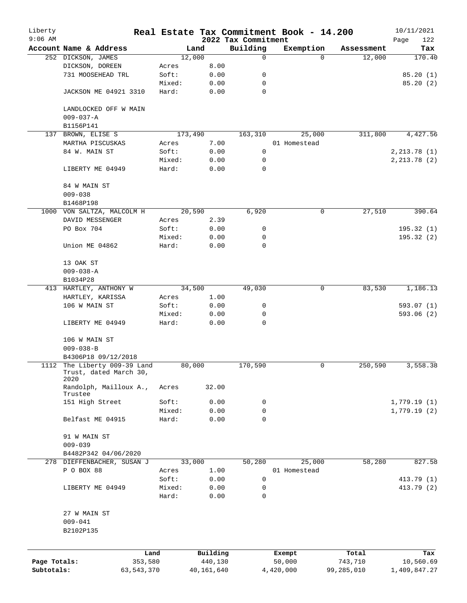| Liberty<br>$9:06$ AM       |                                                                |        |                       | 2022 Tax Commitment | Real Estate Tax Commitment Book - 14.200 |                       | 10/11/2021                |
|----------------------------|----------------------------------------------------------------|--------|-----------------------|---------------------|------------------------------------------|-----------------------|---------------------------|
|                            | Account Name & Address                                         |        | Land                  | Building            | Exemption                                | Assessment            | Page<br>122<br>Tax        |
|                            | 252 DICKSON, JAMES                                             |        | 12,000                | $\mathsf{O}$        | $\Omega$                                 | 12,000                | 170.40                    |
|                            | DICKSON, DOREEN                                                | Acres  | 8.00                  |                     |                                          |                       |                           |
|                            | 731 MOOSEHEAD TRL                                              | Soft:  | 0.00                  | 0                   |                                          |                       | 85.20(1)                  |
|                            |                                                                | Mixed: | 0.00                  | 0                   |                                          |                       | 85.20(2)                  |
|                            | JACKSON ME 04921 3310                                          | Hard:  | 0.00                  | 0                   |                                          |                       |                           |
|                            | LANDLOCKED OFF W MAIN<br>$009 - 037 - A$                       |        |                       |                     |                                          |                       |                           |
|                            | B1156P141                                                      |        |                       |                     |                                          |                       |                           |
| 137                        | BROWN, ELISE S                                                 |        | 173,490               | 163,310             | 25,000                                   | 311,800               | 4,427.56                  |
|                            | MARTHA PISCUSKAS                                               | Acres  | 7.00                  |                     | 01 Homestead                             |                       |                           |
|                            | 84 W. MAIN ST                                                  | Soft:  | 0.00                  | 0                   |                                          |                       | 2, 213.78(1)              |
|                            |                                                                | Mixed: | 0.00                  | 0                   |                                          |                       | 2, 213.78(2)              |
|                            | LIBERTY ME 04949                                               | Hard:  | 0.00                  | 0                   |                                          |                       |                           |
|                            | 84 W MAIN ST                                                   |        |                       |                     |                                          |                       |                           |
|                            | $009 - 038$                                                    |        |                       |                     |                                          |                       |                           |
|                            | B1468P198                                                      |        |                       |                     |                                          |                       |                           |
|                            | 1000 VON SALTZA, MALCOLM H                                     |        | 20,590                | 6,920               | 0                                        | 27,510                | 390.64                    |
|                            | DAVID MESSENGER                                                | Acres  | 2.39                  |                     |                                          |                       |                           |
|                            | PO Box 704                                                     | Soft:  | 0.00                  | 0                   |                                          |                       | 195.32(1)                 |
|                            |                                                                | Mixed: | 0.00                  | 0                   |                                          |                       | 195.32(2)                 |
|                            | Union ME 04862                                                 | Hard:  | 0.00                  | $\mathbf 0$         |                                          |                       |                           |
|                            | 13 OAK ST                                                      |        |                       |                     |                                          |                       |                           |
|                            | $009 - 038 - A$                                                |        |                       |                     |                                          |                       |                           |
|                            | B1034P28                                                       |        |                       |                     |                                          |                       |                           |
|                            | 413 HARTLEY, ANTHONY W                                         |        | 34,500                | 49,030              | 0                                        | 83,530                | 1,186.13                  |
|                            | HARTLEY, KARISSA                                               | Acres  | 1.00                  |                     |                                          |                       |                           |
|                            | 106 W MAIN ST                                                  | Soft:  | 0.00                  | 0                   |                                          |                       | 593.07(1)                 |
|                            |                                                                | Mixed: | 0.00                  | 0                   |                                          |                       | 593.06(2)                 |
|                            | LIBERTY ME 04949                                               | Hard:  | 0.00                  | $\Omega$            |                                          |                       |                           |
|                            | 106 W MAIN ST                                                  |        |                       |                     |                                          |                       |                           |
|                            | $009 - 038 - B$                                                |        |                       |                     |                                          |                       |                           |
|                            | B4306P18 09/12/2018                                            |        |                       |                     |                                          |                       |                           |
|                            | 1112 The Liberty 009-39 Land<br>Trust, dated March 30,<br>2020 |        | 80,000                | 170,590             | 0                                        | 250,590               | 3,558.38                  |
|                            | Randolph, Mailloux A.,<br>Trustee                              | Acres  | 32.00                 |                     |                                          |                       |                           |
|                            | 151 High Street                                                | Soft:  | 0.00                  | 0                   |                                          |                       | 1,779.19(1)               |
|                            |                                                                | Mixed: | 0.00                  | 0                   |                                          |                       | 1,779.19(2)               |
|                            | Belfast ME 04915                                               | Hard:  | 0.00                  | 0                   |                                          |                       |                           |
|                            | 91 W MAIN ST                                                   |        |                       |                     |                                          |                       |                           |
|                            | $009 - 039$                                                    |        |                       |                     |                                          |                       |                           |
|                            | B4482P342 04/06/2020                                           |        |                       |                     |                                          |                       |                           |
|                            | 278 DIEFFENBACHER, SUSAN J                                     |        | 33,000                | 50,280              | 25,000                                   | 58,280                | 827.58                    |
|                            | P O BOX 88                                                     | Acres  | 1.00                  |                     | 01 Homestead                             |                       |                           |
|                            |                                                                | Soft:  | 0.00                  | 0                   |                                          |                       | 413.79 (1)                |
|                            | LIBERTY ME 04949                                               | Mixed: | 0.00                  | 0                   |                                          |                       | 413.79 (2)                |
|                            |                                                                | Hard:  | 0.00                  | $\mathbf 0$         |                                          |                       |                           |
|                            | 27 W MAIN ST<br>$009 - 041$<br>B2102P135                       |        |                       |                     |                                          |                       |                           |
|                            |                                                                |        |                       |                     |                                          |                       |                           |
|                            |                                                                | Land   | Building              |                     | Exempt                                   | Total                 | Tax                       |
| Page Totals:<br>Subtotals: | 353,580<br>63, 543, 370                                        |        | 440,130<br>40,161,640 |                     | 50,000<br>4,420,000                      | 743,710<br>99,285,010 | 10,560.69<br>1,409,847.27 |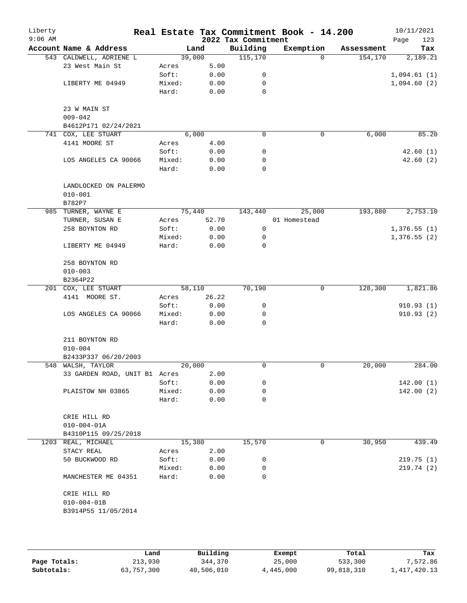| Liberty<br>$9:06$ AM |                                     |        |        | 2022 Tax Commitment | Real Estate Tax Commitment Book - 14.200 |            | 10/11/2021<br>123<br>Page |
|----------------------|-------------------------------------|--------|--------|---------------------|------------------------------------------|------------|---------------------------|
|                      | Account Name & Address              |        | Land   | Building            | Exemption                                | Assessment | Tax                       |
|                      | 543 CALDWELL, ADRIENE L             |        | 39,000 | 115, 170            | $\Omega$                                 | 154,170    | 2,189.21                  |
|                      | 23 West Main St                     | Acres  | 5.00   |                     |                                          |            |                           |
|                      |                                     | Soft:  | 0.00   | 0                   |                                          |            | 1,094.61(1)               |
|                      | LIBERTY ME 04949                    | Mixed: | 0.00   | 0                   |                                          |            | 1,094.60(2)               |
|                      |                                     | Hard:  | 0.00   | $\mathbf 0$         |                                          |            |                           |
|                      | 23 W MAIN ST                        |        |        |                     |                                          |            |                           |
|                      | $009 - 042$<br>B4612P171 02/24/2021 |        |        |                     |                                          |            |                           |
| 741                  | COX, LEE STUART                     |        | 6,000  | 0                   | 0                                        | 6,000      | 85.20                     |
|                      | 4141 MOORE ST                       | Acres  | 4.00   |                     |                                          |            |                           |
|                      |                                     | Soft:  | 0.00   | 0                   |                                          |            | 42.60(1)                  |
|                      | LOS ANGELES CA 90066                | Mixed: | 0.00   | 0                   |                                          |            | 42.60(2)                  |
|                      |                                     | Hard:  | 0.00   | $\mathbf 0$         |                                          |            |                           |
|                      | LANDLOCKED ON PALERMO               |        |        |                     |                                          |            |                           |
|                      | $010 - 001$                         |        |        |                     |                                          |            |                           |
|                      | B782P7                              |        |        |                     |                                          |            |                           |
|                      | 985 TURNER, WAYNE E                 |        | 75,440 | 143,440             | 25,000                                   | 193,880    | 2,753.10                  |
|                      | TURNER, SUSAN E                     | Acres  | 52.70  |                     | 01 Homestead                             |            |                           |
|                      | 258 BOYNTON RD                      | Soft:  | 0.00   | 0                   |                                          |            | 1,376.55(1)               |
|                      |                                     | Mixed: | 0.00   | 0                   |                                          |            | 1,376.55(2)               |
|                      | LIBERTY ME 04949                    | Hard:  | 0.00   | 0                   |                                          |            |                           |
|                      | 258 BOYNTON RD                      |        |        |                     |                                          |            |                           |
|                      | $010 - 003$                         |        |        |                     |                                          |            |                           |
|                      | B2364P22                            |        |        |                     |                                          |            |                           |
|                      | 201 COX, LEE STUART                 |        | 58,110 | 70,190              | 0                                        | 128,300    | 1,821.86                  |
|                      | 4141 MOORE ST.                      | Acres  | 26.22  |                     |                                          |            |                           |
|                      |                                     | Soft:  | 0.00   | 0                   |                                          |            | 910.93(1)                 |
|                      | LOS ANGELES CA 90066                | Mixed: | 0.00   | 0                   |                                          |            | 910.93(2)                 |
|                      |                                     | Hard:  | 0.00   | 0                   |                                          |            |                           |
|                      | 211 BOYNTON RD                      |        |        |                     |                                          |            |                           |
|                      | $010 - 004$                         |        |        |                     |                                          |            |                           |
|                      | B2433P337 06/20/2003                |        |        |                     |                                          |            |                           |
|                      | 548 WALSH, TAYLOR                   |        | 20,000 | 0                   | 0                                        | 20,000     | 284.00                    |
|                      | 33 GARDEN ROAD, UNIT B1 Acres       |        | 2.00   |                     |                                          |            |                           |
|                      |                                     | Soft:  | 0.00   | 0                   |                                          |            | 142.00(1)                 |
|                      | PLAISTOW NH 03865                   | Mixed: | 0.00   | 0                   |                                          |            | 142.00(2)                 |
|                      |                                     | Hard:  | 0.00   | 0                   |                                          |            |                           |
|                      | CRIE HILL RD                        |        |        |                     |                                          |            |                           |
|                      | $010 - 004 - 01A$                   |        |        |                     |                                          |            |                           |
|                      | B4310P115 09/25/2018                |        |        |                     |                                          |            |                           |
|                      | 1203 REAL, MICHAEL                  |        | 15,380 | 15,570              | 0                                        | 30,950     | 439.49                    |
|                      | STACY REAL                          | Acres  | 2.00   |                     |                                          |            |                           |
|                      | 50 BUCKWOOD RD                      | Soft:  | 0.00   | 0                   |                                          |            | 219.75(1)                 |
|                      |                                     | Mixed: | 0.00   | 0                   |                                          |            | 219.74(2)                 |
|                      | MANCHESTER ME 04351                 | Hard:  | 0.00   | $\Omega$            |                                          |            |                           |
|                      | CRIE HILL RD                        |        |        |                     |                                          |            |                           |
|                      | $010 - 004 - 01B$                   |        |        |                     |                                          |            |                           |
|                      | B3914P55 11/05/2014                 |        |        |                     |                                          |            |                           |
|                      |                                     |        |        |                     |                                          |            |                           |
|                      |                                     |        |        |                     |                                          |            |                           |
|                      |                                     |        |        |                     |                                          |            |                           |

|              | Land       | Building   | Exempt    | Total      | Tax            |
|--------------|------------|------------|-----------|------------|----------------|
| Page Totals: | 213,930    | 344,370    | 25,000    | 533,300    | 7,572.86       |
| Subtotals:   | 63,757,300 | 40,506,010 | 4,445,000 | 99,818,310 | 1, 417, 420.13 |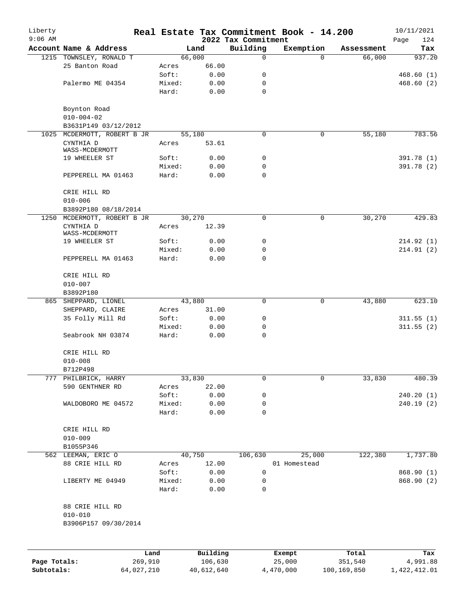| Liberty      |                                     |         |                 |              |                         | Real Estate Tax Commitment Book - 14.200 |                      | 10/11/2021    |
|--------------|-------------------------------------|---------|-----------------|--------------|-------------------------|------------------------------------------|----------------------|---------------|
| $9:06$ AM    | Account Name & Address              |         |                 |              | 2022 Tax Commitment     |                                          |                      | 124<br>Page   |
|              | 1215 TOWNSLEY, RONALD T             |         | 66,000          | Land         | Building<br>$\mathbf 0$ | Exemption<br>$\Omega$                    | Assessment<br>66,000 | Tax<br>937.20 |
|              | 25 Banton Road                      |         | Acres           | 66.00        |                         |                                          |                      |               |
|              |                                     |         | Soft:           | 0.00         | 0                       |                                          |                      | 468.60(1)     |
|              | Palermo ME 04354                    |         | Mixed:          | 0.00         | 0                       |                                          |                      | 468.60(2)     |
|              |                                     |         | Hard:           | 0.00         | $\mathbf 0$             |                                          |                      |               |
|              | Boynton Road                        |         |                 |              |                         |                                          |                      |               |
|              | $010 - 004 - 02$                    |         |                 |              |                         |                                          |                      |               |
|              | B3631P149 03/12/2012                |         |                 |              |                         |                                          |                      |               |
| 1025         | MCDERMOTT, ROBERT B JR              |         | 55,180          |              | 0                       | 0                                        | 55,180               | 783.56        |
|              | CYNTHIA D<br>WASS-MCDERMOTT         |         | Acres           | 53.61        |                         |                                          |                      |               |
|              | 19 WHEELER ST                       |         | Soft:           | 0.00         | 0                       |                                          |                      | 391.78 (1)    |
|              |                                     |         | Mixed:          | 0.00         | 0                       |                                          |                      | 391.78(2)     |
|              | PEPPERELL MA 01463                  |         | Hard:           | 0.00         | $\mathbf 0$             |                                          |                      |               |
|              | CRIE HILL RD<br>$010 - 006$         |         |                 |              |                         |                                          |                      |               |
|              | B3892P180 08/18/2014                |         |                 |              |                         |                                          |                      |               |
| 1250         | MCDERMOTT, ROBERT B JR              |         | 30,270          |              | $\mathbf 0$             | $\mathsf{O}$                             | 30,270               | 429.83        |
|              | CYNTHIA D<br>WASS-MCDERMOTT         |         | Acres           | 12.39        |                         |                                          |                      |               |
|              | 19 WHEELER ST                       |         | Soft:           | 0.00         | 0                       |                                          |                      | 214.92(1)     |
|              |                                     |         | Mixed:          | 0.00         | 0                       |                                          |                      | 214.91(2)     |
|              | PEPPERELL MA 01463                  |         | Hard:           | 0.00         | $\mathbf 0$             |                                          |                      |               |
|              | CRIE HILL RD<br>$010 - 007$         |         |                 |              |                         |                                          |                      |               |
|              | B3892P180                           |         |                 |              |                         |                                          |                      |               |
|              | 865 SHEPPARD, LIONEL                |         | 43,880          |              | 0                       | $\mathbf 0$                              | 43,880               | 623.10        |
|              | SHEPPARD, CLAIRE                    |         | Acres           | 31.00        |                         |                                          |                      |               |
|              | 35 Folly Mill Rd                    |         | Soft:           | 0.00         | 0                       |                                          |                      | 311.55(1)     |
|              |                                     |         | Mixed:          | 0.00         | 0                       |                                          |                      | 311.55(2)     |
|              | Seabrook NH 03874                   |         | Hard:           | 0.00         | 0                       |                                          |                      |               |
|              | CRIE HILL RD                        |         |                 |              |                         |                                          |                      |               |
|              | $010 - 008$                         |         |                 |              |                         |                                          |                      |               |
|              | B712P498                            |         |                 |              |                         |                                          |                      |               |
| 777          | PHILBRICK, HARRY<br>590 GENTHNER RD |         | 33,830          | 22.00        | $\mathbf 0$             | 0                                        | 33,830               | 480.39        |
|              |                                     |         | Acres<br>Soft:  | 0.00         | 0                       |                                          |                      | 240.20 (1)    |
|              | WALDOBORO ME 04572                  |         | Mixed:          | 0.00         | 0                       |                                          |                      | 240.19(2)     |
|              |                                     |         | Hard:           | 0.00         | $\mathbf 0$             |                                          |                      |               |
|              | CRIE HILL RD                        |         |                 |              |                         |                                          |                      |               |
|              | $010 - 009$                         |         |                 |              |                         |                                          |                      |               |
|              | B1055P346                           |         |                 |              |                         |                                          |                      |               |
|              | 562 LEEMAN, ERIC O                  |         | 40,750          |              | 106,630                 | 25,000                                   | 122,380              | 1,737.80      |
|              | 88 CRIE HILL RD                     |         | Acres           | 12.00        |                         | 01 Homestead                             |                      |               |
|              |                                     |         | Soft:           | 0.00         | 0                       |                                          |                      | 868.90 (1)    |
|              | LIBERTY ME 04949                    |         | Mixed:<br>Hard: | 0.00<br>0.00 | 0<br>0                  |                                          |                      | 868.90 (2)    |
|              | 88 CRIE HILL RD                     |         |                 |              |                         |                                          |                      |               |
|              | $010 - 010$                         |         |                 |              |                         |                                          |                      |               |
|              | B3906P157 09/30/2014                |         |                 |              |                         |                                          |                      |               |
|              |                                     |         |                 |              |                         |                                          |                      |               |
|              |                                     | Land    |                 | Building     |                         | Exempt                                   | Total                | Tax           |
| Page Totals: |                                     | 269,910 |                 | 106,630      |                         | 25,000                                   | 351,540              | 4,991.88      |

**Subtotals:** 64,027,210 40,612,640 4,470,000 100,169,850 1,422,412.01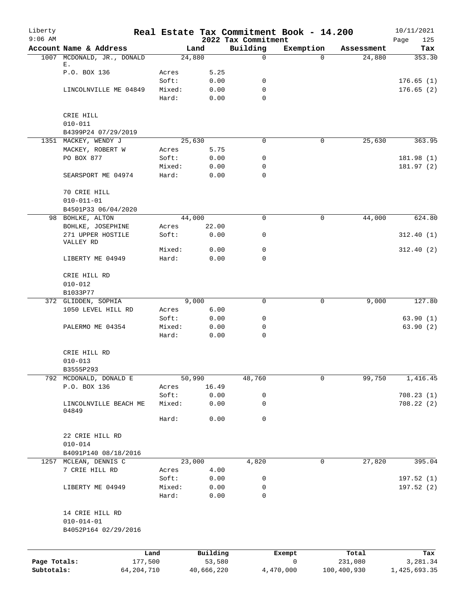| Liberty      |                                             |                 |               |                                 | Real Estate Tax Commitment Book - 14.200 |             | 10/11/2021         |
|--------------|---------------------------------------------|-----------------|---------------|---------------------------------|------------------------------------------|-------------|--------------------|
| $9:06$ AM    | Account Name & Address                      |                 | Land          | 2022 Tax Commitment<br>Building | Exemption                                | Assessment  | 125<br>Page<br>Tax |
|              | 1007 MCDONALD, JR., DONALD                  |                 | 24,880        | $\mathbf 0$                     | $\Omega$                                 | 24,880      | 353.30             |
|              | Е.<br>P.O. BOX 136                          | Acres           | 5.25          |                                 |                                          |             |                    |
|              |                                             | Soft:           | 0.00          | 0                               |                                          |             | 176.65(1)          |
|              | LINCOLNVILLE ME 04849                       | Mixed:          | 0.00          | 0                               |                                          |             | 176.65(2)          |
|              |                                             | Hard:           | 0.00          | $\Omega$                        |                                          |             |                    |
|              | CRIE HILL                                   |                 |               |                                 |                                          |             |                    |
|              | $010 - 011$                                 |                 |               |                                 |                                          |             |                    |
|              | B4399P24 07/29/2019<br>1351 MACKEY, WENDY J |                 | 25,630        | 0                               | 0                                        | 25,630      | 363.95             |
|              | MACKEY, ROBERT W                            | Acres           | 5.75          |                                 |                                          |             |                    |
|              | PO BOX 877                                  | Soft:           | 0.00          | 0                               |                                          |             | 181.98 (1)         |
|              |                                             | Mixed:          | 0.00          | 0                               |                                          |             | 181.97(2)          |
|              | SEARSPORT ME 04974                          | Hard:           | 0.00          | 0                               |                                          |             |                    |
|              |                                             |                 |               |                                 |                                          |             |                    |
|              | 70 CRIE HILL                                |                 |               |                                 |                                          |             |                    |
|              | $010 - 011 - 01$                            |                 |               |                                 |                                          |             |                    |
|              | B4501P33 06/04/2020                         |                 |               |                                 |                                          |             |                    |
|              | 98 BOHLKE, ALTON                            |                 | 44,000        | 0                               | 0                                        | 44,000      | 624.80             |
|              | BOHLKE, JOSEPHINE<br>271 UPPER HOSTILE      | Acres<br>Soft:  | 22.00<br>0.00 | 0                               |                                          |             | 312.40(1)          |
|              | VALLEY RD                                   |                 |               | $\mathbf 0$                     |                                          |             |                    |
|              | LIBERTY ME 04949                            | Mixed:<br>Hard: | 0.00<br>0.00  | $\Omega$                        |                                          |             | 312.40(2)          |
|              |                                             |                 |               |                                 |                                          |             |                    |
|              | CRIE HILL RD                                |                 |               |                                 |                                          |             |                    |
|              | $010 - 012$                                 |                 |               |                                 |                                          |             |                    |
|              | B1033P77                                    |                 |               |                                 |                                          |             |                    |
|              | 372 GLIDDEN, SOPHIA                         |                 | 9,000         | 0                               | 0                                        | 9,000       | 127.80             |
|              | 1050 LEVEL HILL RD                          | Acres           | 6.00          |                                 |                                          |             |                    |
|              |                                             | Soft:           | 0.00          | 0                               |                                          |             | 63.90(1)           |
|              | PALERMO ME 04354                            | Mixed:          | 0.00          | 0                               |                                          |             | 63.90(2)           |
|              |                                             | Hard:           | 0.00          | 0                               |                                          |             |                    |
|              | CRIE HILL RD                                |                 |               |                                 |                                          |             |                    |
|              | $010 - 013$                                 |                 |               |                                 |                                          |             |                    |
|              | B3555P293                                   |                 |               |                                 |                                          |             |                    |
|              | 792 MCDONALD, DONALD E                      |                 | 50,990        | 48,760                          | 0                                        | 99,750      | 1,416.45           |
|              | P.O. BOX 136                                | Acres           | 16.49         |                                 |                                          |             |                    |
|              |                                             | Soft:           | 0.00          | 0                               |                                          |             | 708.23(1)          |
|              | LINCOLNVILLE BEACH ME<br>04849              | Mixed:          | 0.00          | 0                               |                                          |             | 708.22(2)          |
|              |                                             | Hard:           | 0.00          | $\mathsf{O}$                    |                                          |             |                    |
|              | 22 CRIE HILL RD                             |                 |               |                                 |                                          |             |                    |
|              | $010 - 014$                                 |                 |               |                                 |                                          |             |                    |
|              | B4091P140 08/18/2016                        |                 |               |                                 |                                          |             |                    |
|              | 1257 MCLEAN, DENNIS C                       |                 | 23,000        | 4,820                           | 0                                        | 27,820      | 395.04             |
|              | 7 CRIE HILL RD                              | Acres           | 4.00          |                                 |                                          |             |                    |
|              |                                             | Soft:           | 0.00          | 0                               |                                          |             | 197.52(1)          |
|              | LIBERTY ME 04949                            | Mixed:          | 0.00          | 0                               |                                          |             | 197.52 (2)         |
|              |                                             | Hard:           | 0.00          | 0                               |                                          |             |                    |
|              | 14 CRIE HILL RD                             |                 |               |                                 |                                          |             |                    |
|              | $010 - 014 - 01$                            |                 |               |                                 |                                          |             |                    |
|              | B4052P164 02/29/2016                        |                 |               |                                 |                                          |             |                    |
|              |                                             |                 |               |                                 |                                          |             |                    |
|              |                                             | Land            | Building      |                                 | Exempt                                   | Total       | Tax                |
| Page Totals: |                                             | 177,500         | 53,580        |                                 | $\mathbf 0$                              | 231,080     | 3,281.34           |
| Subtotals:   |                                             | 64, 204, 710    | 40,666,220    |                                 | 4,470,000                                | 100,400,930 | 1,425,693.35       |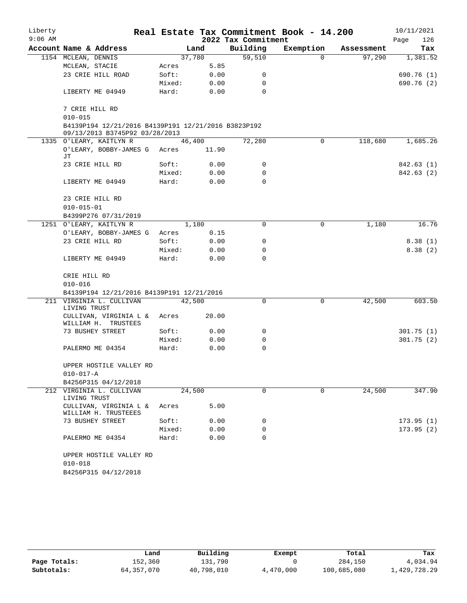| Liberty   |                                                                                       |        |        |                     | Real Estate Tax Commitment Book - 14.200 |            | 10/11/2021  |
|-----------|---------------------------------------------------------------------------------------|--------|--------|---------------------|------------------------------------------|------------|-------------|
| $9:06$ AM |                                                                                       |        |        | 2022 Tax Commitment |                                          |            | 126<br>Page |
|           | Account Name & Address                                                                |        | Land   | Building            | Exemption                                | Assessment | Tax         |
|           | 1154 MCLEAN, DENNIS                                                                   |        | 37,780 | 59,510              | $\Omega$                                 | 97,290     | 1,381.52    |
|           | MCLEAN, STACIE                                                                        | Acres  | 5.85   |                     |                                          |            |             |
|           | 23 CRIE HILL ROAD                                                                     | Soft:  | 0.00   | 0                   |                                          |            | 690.76 (1)  |
|           |                                                                                       | Mixed: | 0.00   | 0                   |                                          |            | 690.76 (2)  |
|           | LIBERTY ME 04949                                                                      | Hard:  | 0.00   | $\Omega$            |                                          |            |             |
|           | 7 CRIE HILL RD                                                                        |        |        |                     |                                          |            |             |
|           | $010 - 015$                                                                           |        |        |                     |                                          |            |             |
|           | B4139P194 12/21/2016 B4139P191 12/21/2016 B3823P192<br>09/13/2013 B3745P92 03/28/2013 |        |        |                     |                                          |            |             |
|           | 1335 O'LEARY, KAITLYN R                                                               |        | 46,400 | 72,280              | 0                                        | 118,680    | 1,685.26    |
|           | O'LEARY, BOBBY-JAMES G Acres<br>JТ                                                    |        | 11.90  |                     |                                          |            |             |
|           | 23 CRIE HILL RD                                                                       | Soft:  | 0.00   | 0                   |                                          |            | 842.63 (1)  |
|           |                                                                                       | Mixed: | 0.00   | 0                   |                                          |            | 842.63 (2)  |
|           | LIBERTY ME 04949                                                                      | Hard:  | 0.00   | $\mathbf 0$         |                                          |            |             |
|           | 23 CRIE HILL RD                                                                       |        |        |                     |                                          |            |             |
|           | $010 - 015 - 01$                                                                      |        |        |                     |                                          |            |             |
|           | B4399P276 07/31/2019                                                                  |        |        |                     |                                          |            |             |
|           | 1251 O'LEARY, KAITLYN R                                                               |        | 1,180  | 0                   | 0                                        | 1,180      | 16.76       |
|           | O'LEARY, BOBBY-JAMES G                                                                | Acres  | 0.15   |                     |                                          |            |             |
|           | 23 CRIE HILL RD                                                                       | Soft:  | 0.00   | 0                   |                                          |            | 8.38(1)     |
|           |                                                                                       | Mixed: | 0.00   | 0                   |                                          |            | 8.38(2)     |
|           | LIBERTY ME 04949                                                                      | Hard:  | 0.00   | $\Omega$            |                                          |            |             |
|           | CRIE HILL RD                                                                          |        |        |                     |                                          |            |             |
|           | $010 - 016$                                                                           |        |        |                     |                                          |            |             |
|           | B4139P194 12/21/2016 B4139P191 12/21/2016                                             |        |        |                     |                                          |            |             |
|           | 211 VIRGINIA L. CULLIVAN<br>LIVING TRUST                                              | 42,500 |        | 0                   | 0                                        | 42,500     | 603.50      |
|           | CULLIVAN, VIRGINIA L &<br>WILLIAM H. TRUSTEES                                         | Acres  | 20.00  |                     |                                          |            |             |
|           | 73 BUSHEY STREET                                                                      | Soft:  | 0.00   | 0                   |                                          |            | 301.75(1)   |
|           |                                                                                       | Mixed: | 0.00   | 0                   |                                          |            | 301.75(2)   |
|           | PALERMO ME 04354                                                                      | Hard:  | 0.00   | 0                   |                                          |            |             |
|           | UPPER HOSTILE VALLEY RD                                                               |        |        |                     |                                          |            |             |
|           | $010 - 017 - A$                                                                       |        |        |                     |                                          |            |             |
|           | B4256P315 04/12/2018                                                                  |        |        |                     |                                          |            |             |
|           | 212 VIRGINIA L. CULLIVAN<br>LIVING TRUST                                              | 24,500 |        | $\Omega$            | $\Omega$                                 | 24,500     | 347.90      |
|           | CULLIVAN, VIRGINIA L &<br>WILLIAM H. TRUSTEEES                                        | Acres  | 5.00   |                     |                                          |            |             |
|           | 73 BUSHEY STREET                                                                      | Soft:  | 0.00   | 0                   |                                          |            | 173.95(1)   |
|           |                                                                                       | Mixed: | 0.00   | 0                   |                                          |            | 173.95(2)   |
|           | PALERMO ME 04354                                                                      | Hard:  | 0.00   | $\Omega$            |                                          |            |             |
|           | UPPER HOSTILE VALLEY RD<br>$010 - 018$                                                |        |        |                     |                                          |            |             |
|           | B4256P315 04/12/2018                                                                  |        |        |                     |                                          |            |             |

|              | Land         | Building   | Exempt    | Total       | Tax          |
|--------------|--------------|------------|-----------|-------------|--------------|
| Page Totals: | 152,360      | 131,790    |           | 284,150     | 4,034.94     |
| Subtotals:   | 64, 357, 070 | 40,798,010 | 4,470,000 | 100,685,080 | 1,429,728.29 |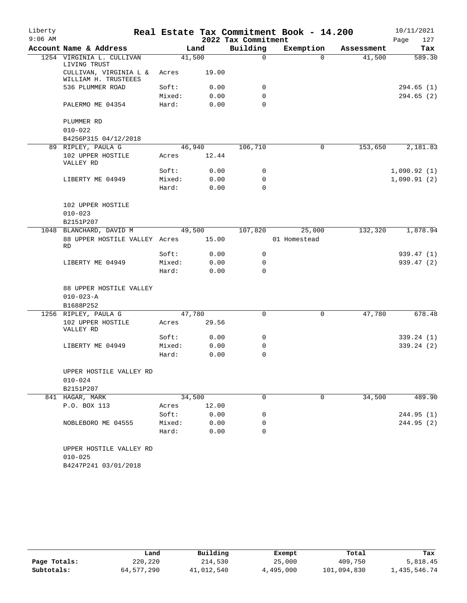| Liberty   |                                                |        |        |                     | Real Estate Tax Commitment Book - 14.200 |            | 10/11/2021  |
|-----------|------------------------------------------------|--------|--------|---------------------|------------------------------------------|------------|-------------|
| $9:06$ AM |                                                |        |        | 2022 Tax Commitment |                                          |            | 127<br>Page |
|           | Account Name & Address                         |        | Land   | Building            | Exemption                                | Assessment | Tax         |
|           | 1254 VIRGINIA L. CULLIVAN<br>LIVING TRUST      |        | 41,500 | $\Omega$            | $\Omega$                                 | 41,500     | 589.30      |
|           | CULLIVAN, VIRGINIA L &<br>WILLIAM H. TRUSTEEES | Acres  | 19.00  |                     |                                          |            |             |
|           | 536 PLUMMER ROAD                               | Soft:  | 0.00   | 0                   |                                          |            | 294.65 (1)  |
|           |                                                | Mixed: | 0.00   | 0                   |                                          |            | 294.65(2)   |
|           | PALERMO ME 04354                               | Hard:  | 0.00   | $\Omega$            |                                          |            |             |
|           | PLUMMER RD                                     |        |        |                     |                                          |            |             |
|           | $010 - 022$                                    |        |        |                     |                                          |            |             |
|           | B4256P315 04/12/2018                           |        |        |                     |                                          |            |             |
| 89        | RIPLEY, PAULA G                                |        | 46,940 | 106,710             | 0                                        | 153,650    | 2,181.83    |
|           | 102 UPPER HOSTILE<br>VALLEY RD                 | Acres  | 12.44  |                     |                                          |            |             |
|           |                                                | Soft:  | 0.00   | 0                   |                                          |            | 1,090.92(1) |
|           | LIBERTY ME 04949                               | Mixed: | 0.00   | $\Omega$            |                                          |            | 1,090.91(2) |
|           |                                                | Hard:  | 0.00   | $\Omega$            |                                          |            |             |
|           | 102 UPPER HOSTILE                              |        |        |                     |                                          |            |             |
|           | $010 - 023$                                    |        |        |                     |                                          |            |             |
|           | B2151P207                                      |        |        |                     |                                          |            |             |
|           | 1048 BLANCHARD, DAVID M                        |        | 49,500 | 107,820             | 25,000                                   | 132,320    | 1,878.94    |
|           | 88 UPPER HOSTILE VALLEY Acres<br><b>RD</b>     |        | 15.00  |                     | 01 Homestead                             |            |             |
|           |                                                | Soft:  | 0.00   | 0                   |                                          |            | 939.47(1)   |
|           | LIBERTY ME 04949                               | Mixed: | 0.00   | 0                   |                                          |            | 939.47(2)   |
|           |                                                | Hard:  | 0.00   | $\Omega$            |                                          |            |             |
|           | 88 UPPER HOSTILE VALLEY                        |        |        |                     |                                          |            |             |
|           | $010 - 023 - A$                                |        |        |                     |                                          |            |             |
|           | B1688P252                                      |        |        |                     |                                          |            |             |
|           | 1256 RIPLEY, PAULA G                           |        | 47,780 | $\Omega$            | $\mathbf 0$                              | 47,780     | 678.48      |
|           | 102 UPPER HOSTILE<br>VALLEY RD                 | Acres  | 29.56  |                     |                                          |            |             |
|           |                                                | Soft:  | 0.00   | 0                   |                                          |            | 339.24(1)   |
|           | LIBERTY ME 04949                               | Mixed: | 0.00   | 0                   |                                          |            | 339.24(2)   |
|           |                                                | Hard:  | 0.00   | $\mathbf 0$         |                                          |            |             |
|           | UPPER HOSTILE VALLEY RD                        |        |        |                     |                                          |            |             |
|           | $010 - 024$                                    |        |        |                     |                                          |            |             |
|           | B2151P207                                      |        |        |                     |                                          |            |             |
|           | 841 HAGAR, MARK                                |        | 34,500 | 0                   | 0                                        | 34,500     | 489.90      |
|           | P.O. BOX 113                                   | Acres  | 12.00  |                     |                                          |            |             |
|           |                                                | Soft:  | 0.00   | 0                   |                                          |            | 244.95(1)   |
|           | NOBLEBORO ME 04555                             | Mixed: | 0.00   | 0                   |                                          |            | 244.95(2)   |
|           |                                                | Hard:  | 0.00   | $\Omega$            |                                          |            |             |
|           | UPPER HOSTILE VALLEY RD                        |        |        |                     |                                          |            |             |
|           | $010 - 025$                                    |        |        |                     |                                          |            |             |
|           | B4247P241 03/01/2018                           |        |        |                     |                                          |            |             |

|              | Land       | Building   | Exempt    | Total       | Tax          |
|--------------|------------|------------|-----------|-------------|--------------|
| Page Totals: | 220,220    | 214,530    | 25,000    | 409,750     | 5,818.45     |
| Subtotals:   | 64,577,290 | 41,012,540 | 4,495,000 | 101,094,830 | 1,435,546.74 |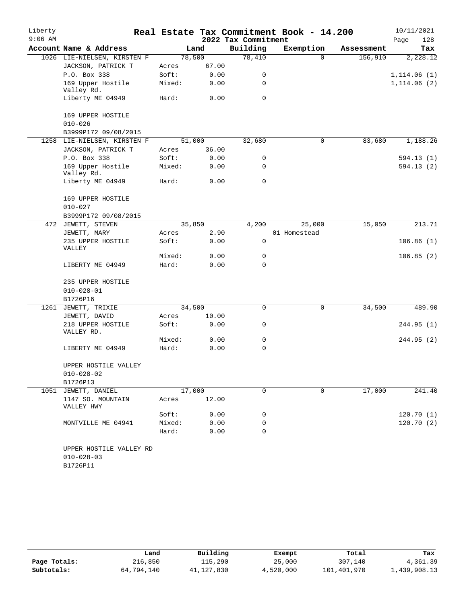| Liberty   |                                 |        |        |                     | Real Estate Tax Commitment Book - 14.200 |            | 10/11/2021   |
|-----------|---------------------------------|--------|--------|---------------------|------------------------------------------|------------|--------------|
| $9:06$ AM |                                 |        |        | 2022 Tax Commitment |                                          |            | 128<br>Page  |
|           | Account Name & Address          |        | Land   | Building            | Exemption                                | Assessment | Tax          |
|           | 1026 LIE-NIELSEN, KIRSTEN F     |        | 78,500 | 78,410              | $\Omega$                                 | 156,910    | 2,228.12     |
|           | JACKSON, PATRICK T              | Acres  | 67.00  |                     |                                          |            |              |
|           | P.O. Box 338                    | Soft:  | 0.00   | 0                   |                                          |            | 1,114.06 (1) |
|           | 169 Upper Hostile<br>Valley Rd. | Mixed: | 0.00   | 0                   |                                          |            | 1, 114.06(2) |
|           | Liberty ME 04949                | Hard:  | 0.00   | 0                   |                                          |            |              |
|           | 169 UPPER HOSTILE               |        |        |                     |                                          |            |              |
|           | $010 - 026$                     |        |        |                     |                                          |            |              |
|           | B3999P172 09/08/2015            |        |        |                     |                                          |            |              |
|           | 1258 LIE-NIELSEN, KIRSTEN F     |        | 51,000 | 32,680              | 0                                        | 83,680     | 1,188.26     |
|           | JACKSON, PATRICK T              | Acres  | 36.00  |                     |                                          |            |              |
|           | P.O. Box 338                    | Soft:  | 0.00   | 0                   |                                          |            | 594.13(1)    |
|           | 169 Upper Hostile<br>Valley Rd. | Mixed: | 0.00   | 0                   |                                          |            | 594.13 (2)   |
|           | Liberty ME 04949                | Hard:  | 0.00   | 0                   |                                          |            |              |
|           | 169 UPPER HOSTILE               |        |        |                     |                                          |            |              |
|           | $010 - 027$                     |        |        |                     |                                          |            |              |
|           | B3999P172 09/08/2015            |        |        |                     |                                          |            |              |
| 472       | JEWETT, STEVEN                  |        | 35,850 | 4,200               | 25,000                                   | 15,050     | 213.71       |
|           | JEWETT, MARY                    | Acres  | 2.90   |                     | 01 Homestead                             |            |              |
|           | 235 UPPER HOSTILE<br>VALLEY     | Soft:  | 0.00   | 0                   |                                          |            | 106.86(1)    |
|           |                                 | Mixed: | 0.00   | 0                   |                                          |            | 106.85(2)    |
|           | LIBERTY ME 04949                | Hard:  | 0.00   | 0                   |                                          |            |              |
|           | 235 UPPER HOSTILE               |        |        |                     |                                          |            |              |
|           | $010 - 028 - 01$                |        |        |                     |                                          |            |              |
|           | B1726P16                        |        |        |                     |                                          |            |              |
| 1261      | JEWETT, TRIXIE                  |        | 34,500 | $\mathbf 0$         | 0                                        | 34,500     | 489.90       |
|           | JEWETT, DAVID                   | Acres  | 10.00  |                     |                                          |            |              |
|           | 218 UPPER HOSTILE<br>VALLEY RD. | Soft:  | 0.00   | 0                   |                                          |            | 244.95 (1)   |
|           |                                 | Mixed: | 0.00   | 0                   |                                          |            | 244.95 (2)   |
|           | LIBERTY ME 04949                | Hard:  | 0.00   | 0                   |                                          |            |              |
|           | UPPER HOSTILE VALLEY            |        |        |                     |                                          |            |              |
|           | $010 - 028 - 02$                |        |        |                     |                                          |            |              |
|           | B1726P13                        |        |        |                     |                                          |            |              |
|           | 1051 JEWETT, DANIEL             |        | 17,000 | 0                   | $\mathbf 0$                              | 17,000     | 241.40       |
|           | 1147 SO. MOUNTAIN<br>VALLEY HWY | Acres  | 12.00  |                     |                                          |            |              |
|           |                                 | Soft:  | 0.00   | 0                   |                                          |            | 120.70(1)    |
|           | MONTVILLE ME 04941              | Mixed: | 0.00   | 0                   |                                          |            | 120.70(2)    |
|           |                                 | Hard:  | 0.00   | 0                   |                                          |            |              |
|           | UPPER HOSTILE VALLEY RD         |        |        |                     |                                          |            |              |
|           | $010 - 028 - 03$                |        |        |                     |                                          |            |              |

|              | Land       | Building   | Exempt    | Total       | Tax          |
|--------------|------------|------------|-----------|-------------|--------------|
| Page Totals: | 216,850    | 115,290    | 25,000    | 307,140     | 4,361.39     |
| Subtotals:   | 64,794,140 | 41,127,830 | 4,520,000 | 101,401,970 | 1,439,908.13 |

B1726P11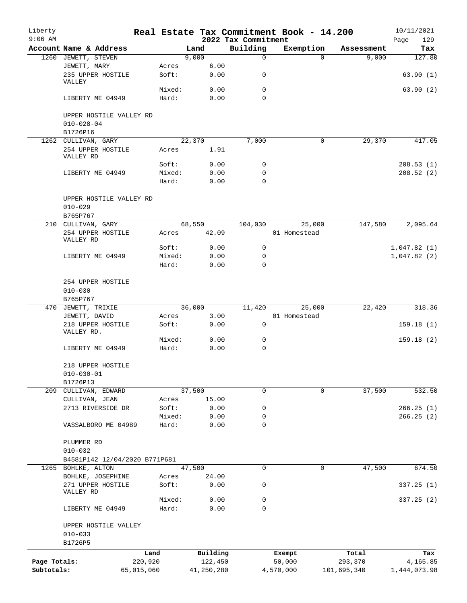| Liberty      |                                        |            |        |            |                                 | Real Estate Tax Commitment Book - 14.200 |             | 10/11/2021         |
|--------------|----------------------------------------|------------|--------|------------|---------------------------------|------------------------------------------|-------------|--------------------|
| $9:06$ AM    | Account Name & Address                 |            |        | Land       | 2022 Tax Commitment<br>Building | Exemption                                | Assessment  | 129<br>Page<br>Tax |
| 1260         | JEWETT, STEVEN                         |            |        | 9,000      | $\mathsf{O}$                    | $\Omega$                                 | 9,000       | 127.80             |
|              | JEWETT, MARY                           |            | Acres  | 6.00       |                                 |                                          |             |                    |
|              | 235 UPPER HOSTILE<br>VALLEY            |            | Soft:  | 0.00       | 0                               |                                          |             | 63.90(1)           |
|              |                                        |            | Mixed: | 0.00       | 0                               |                                          |             | 63.90(2)           |
|              | LIBERTY ME 04949                       |            | Hard:  | 0.00       | $\Omega$                        |                                          |             |                    |
|              | UPPER HOSTILE VALLEY RD                |            |        |            |                                 |                                          |             |                    |
|              | $010 - 028 - 04$<br>B1726P16           |            |        |            |                                 |                                          |             |                    |
|              | 1262 CULLIVAN, GARY                    |            |        | 22,370     | 7,000                           | 0                                        | 29,370      | 417.05             |
|              | 254 UPPER HOSTILE                      |            | Acres  | 1.91       |                                 |                                          |             |                    |
|              | VALLEY RD                              |            |        |            |                                 |                                          |             |                    |
|              |                                        |            | Soft:  | 0.00       | 0                               |                                          |             | 208.53(1)          |
|              | LIBERTY ME 04949                       |            | Mixed: | 0.00       | 0                               |                                          |             | 208.52(2)          |
|              |                                        |            | Hard:  | 0.00       | $\mathbf 0$                     |                                          |             |                    |
|              | UPPER HOSTILE VALLEY RD<br>$010 - 029$ |            |        |            |                                 |                                          |             |                    |
|              | B765P767                               |            |        |            |                                 |                                          |             |                    |
|              | 210 CULLIVAN, GARY                     |            |        | 68,550     | 104,030                         | 25,000                                   | 147,580     | 2,095.64           |
|              | 254 UPPER HOSTILE<br>VALLEY RD         |            | Acres  | 42.09      |                                 | 01 Homestead                             |             |                    |
|              |                                        |            | Soft:  | 0.00       | 0                               |                                          |             | 1,047.82(1)        |
|              | LIBERTY ME 04949                       |            | Mixed: | 0.00       | 0                               |                                          |             | 1,047.82(2)        |
|              |                                        |            | Hard:  | 0.00       | $\mathbf 0$                     |                                          |             |                    |
|              | 254 UPPER HOSTILE<br>$010 - 030$       |            |        |            |                                 |                                          |             |                    |
|              | B765P767                               |            |        |            |                                 |                                          |             |                    |
|              | 470 JEWETT, TRIXIE                     |            |        | 36,000     | 11,420                          | 25,000                                   | 22,420      | 318.36             |
|              | JEWETT, DAVID                          |            | Acres  | 3.00       |                                 | 01 Homestead                             |             |                    |
|              | 218 UPPER HOSTILE<br>VALLEY RD.        |            | Soft:  | 0.00       | 0                               |                                          |             | 159.18(1)          |
|              |                                        |            | Mixed: | 0.00       | 0                               |                                          |             | 159.18(2)          |
|              | LIBERTY ME 04949                       |            | Hard:  | 0.00       | 0                               |                                          |             |                    |
|              | 218 UPPER HOSTILE<br>$010 - 030 - 01$  |            |        |            |                                 |                                          |             |                    |
|              | B1726P13                               |            |        |            |                                 |                                          |             |                    |
| 209          | CULLIVAN, EDWARD                       |            |        | 37,500     | 0                               | 0                                        | 37,500      | 532.50             |
|              | CULLIVAN, JEAN                         |            | Acres  | 15.00      |                                 |                                          |             |                    |
|              | 2713 RIVERSIDE DR                      |            | Soft:  | 0.00       | 0                               |                                          |             | 266.25(1)          |
|              |                                        |            | Mixed: | 0.00       | 0                               |                                          |             | 266.25(2)          |
|              | VASSALBORO ME 04989                    |            | Hard:  | 0.00       | 0                               |                                          |             |                    |
|              | PLUMMER RD<br>$010 - 032$              |            |        |            |                                 |                                          |             |                    |
|              | B4581P142 12/04/2020 B771P681          |            |        |            |                                 |                                          |             |                    |
| 1265         | BOHLKE, ALTON                          |            |        | 47,500     | $\mathbf 0$                     | 0                                        | 47,500      | 674.50             |
|              | BOHLKE, JOSEPHINE                      |            | Acres  | 24.00      |                                 |                                          |             |                    |
|              | 271 UPPER HOSTILE                      |            | Soft:  | 0.00       | 0                               |                                          |             | 337.25(1)          |
|              | VALLEY RD                              |            | Mixed: | 0.00       | 0                               |                                          |             | 337.25(2)          |
|              | LIBERTY ME 04949                       |            | Hard:  | 0.00       | 0                               |                                          |             |                    |
|              | UPPER HOSTILE VALLEY                   |            |        |            |                                 |                                          |             |                    |
|              | $010 - 033$                            |            |        |            |                                 |                                          |             |                    |
|              | B1726P5                                | Land       |        | Building   |                                 | Exempt                                   | Total       | Tax                |
| Page Totals: |                                        | 220,920    |        | 122,450    |                                 | 50,000                                   | 293,370     | 4,165.85           |
| Subtotals:   |                                        | 65,015,060 |        | 41,250,280 |                                 | 4,570,000                                | 101,695,340 | 1,444,073.98       |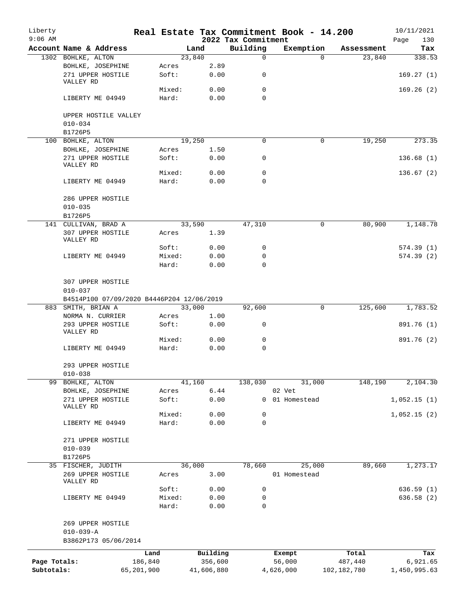| Liberty<br>$9:06$ AM       |                                           |                       |        |                       | 2022 Tax Commitment | Real Estate Tax Commitment Book - 14.200 |                          | 10/11/2021<br>130        |
|----------------------------|-------------------------------------------|-----------------------|--------|-----------------------|---------------------|------------------------------------------|--------------------------|--------------------------|
|                            | Account Name & Address                    |                       |        | Land                  | Building            | Exemption                                | Assessment               | Page<br>Tax              |
|                            | 1302 BOHLKE, ALTON                        |                       |        | 23,840                | $\mathsf{O}$        | $\Omega$                                 | 23,840                   | 338.53                   |
|                            | BOHLKE, JOSEPHINE                         |                       | Acres  | 2.89                  |                     |                                          |                          |                          |
|                            | 271 UPPER HOSTILE<br>VALLEY RD            |                       | Soft:  | 0.00                  | 0                   |                                          |                          | 169.27(1)                |
|                            |                                           |                       | Mixed: | 0.00                  | $\mathbf 0$         |                                          |                          | 169.26(2)                |
|                            | LIBERTY ME 04949                          |                       | Hard:  | 0.00                  | $\Omega$            |                                          |                          |                          |
|                            | UPPER HOSTILE VALLEY<br>$010 - 034$       |                       |        |                       |                     |                                          |                          |                          |
|                            | B1726P5                                   |                       |        |                       |                     |                                          |                          |                          |
|                            | 100 BOHLKE, ALTON                         |                       |        | 19,250                | 0                   | 0                                        | 19,250                   | 273.35                   |
|                            | BOHLKE, JOSEPHINE                         |                       | Acres  | 1.50                  |                     |                                          |                          |                          |
|                            | 271 UPPER HOSTILE<br>VALLEY RD            |                       | Soft:  | 0.00                  | 0                   |                                          |                          | 136.68(1)                |
|                            |                                           |                       | Mixed: | 0.00                  | 0                   |                                          |                          | 136.67(2)                |
|                            | LIBERTY ME 04949                          |                       | Hard:  | 0.00                  | $\Omega$            |                                          |                          |                          |
|                            | 286 UPPER HOSTILE<br>$010 - 035$          |                       |        |                       |                     |                                          |                          |                          |
|                            | B1726P5                                   |                       |        |                       |                     |                                          |                          |                          |
|                            | 141 CULLIVAN, BRAD A                      |                       |        | 33,590                | 47,310              | 0                                        | 80,900                   | 1,148.78                 |
|                            | 307 UPPER HOSTILE<br>VALLEY RD            |                       | Acres  | 1.39                  |                     |                                          |                          |                          |
|                            |                                           |                       | Soft:  | 0.00                  | 0                   |                                          |                          | 574.39(1)                |
|                            | LIBERTY ME 04949                          |                       | Mixed: | 0.00                  | 0                   |                                          |                          | 574.39(2)                |
|                            |                                           |                       | Hard:  | 0.00                  | 0                   |                                          |                          |                          |
|                            | 307 UPPER HOSTILE<br>$010 - 037$          |                       |        |                       |                     |                                          |                          |                          |
|                            | B4514P100 07/09/2020 B4446P204 12/06/2019 |                       |        |                       |                     |                                          |                          |                          |
| 883                        | SMITH, BRIAN A                            |                       |        | 33,000                | 92,600              | 0                                        | 125,600                  | 1,783.52                 |
|                            | NORMA N. CURRIER                          |                       | Acres  | 1.00                  |                     |                                          |                          |                          |
|                            | 293 UPPER HOSTILE<br>VALLEY RD            |                       | Soft:  | 0.00                  | 0                   |                                          |                          | 891.76 (1)               |
|                            |                                           |                       | Mixed: | 0.00                  | 0                   |                                          |                          | 891.76 (2)               |
|                            | LIBERTY ME 04949                          |                       | Hard:  | 0.00                  | 0                   |                                          |                          |                          |
|                            | 293 UPPER HOSTILE<br>$010 - 038$          |                       |        |                       |                     |                                          |                          |                          |
|                            | 99 BOHLKE, ALTON                          |                       |        | 41,160                | 138,030             | 31,000                                   | 148,190                  | 2,104.30                 |
|                            | BOHLKE, JOSEPHINE                         |                       | Acres  | 6.44                  |                     | 02 Vet                                   |                          |                          |
|                            | 271 UPPER HOSTILE<br>VALLEY RD            |                       | Soft:  | 0.00                  | $\overline{0}$      | 01 Homestead                             |                          | 1,052.15(1)              |
|                            |                                           |                       | Mixed: | 0.00                  | 0                   |                                          |                          | 1,052.15(2)              |
|                            | LIBERTY ME 04949                          |                       | Hard:  | 0.00                  | $\mathbf 0$         |                                          |                          |                          |
|                            | 271 UPPER HOSTILE<br>$010 - 039$          |                       |        |                       |                     |                                          |                          |                          |
|                            | B1726P5                                   |                       |        |                       |                     |                                          |                          |                          |
|                            | 35 FISCHER, JUDITH                        |                       |        | 36,000                | 78,660              | 25,000                                   | 89,660                   | 1,273.17                 |
|                            | 269 UPPER HOSTILE<br>VALLEY RD            |                       | Acres  | 3.00                  |                     | 01 Homestead                             |                          |                          |
|                            |                                           |                       | Soft:  | 0.00                  | 0                   |                                          |                          | 636.59(1)                |
|                            | LIBERTY ME 04949                          |                       | Mixed: | 0.00                  | 0                   |                                          |                          | 636.58 (2)               |
|                            |                                           |                       | Hard:  | 0.00                  | $\mathbf 0$         |                                          |                          |                          |
|                            | 269 UPPER HOSTILE<br>$010 - 039 - A$      |                       |        |                       |                     |                                          |                          |                          |
|                            | B3862P173 05/06/2014                      |                       |        |                       |                     |                                          |                          |                          |
|                            |                                           | Land                  |        | Building              |                     | Exempt                                   | Total                    | Tax                      |
| Page Totals:<br>Subtotals: |                                           | 186,840<br>65,201,900 |        | 356,600<br>41,606,880 |                     | 56,000<br>4,626,000                      | 487,440<br>102, 182, 780 | 6,921.65<br>1,450,995.63 |
|                            |                                           |                       |        |                       |                     |                                          |                          |                          |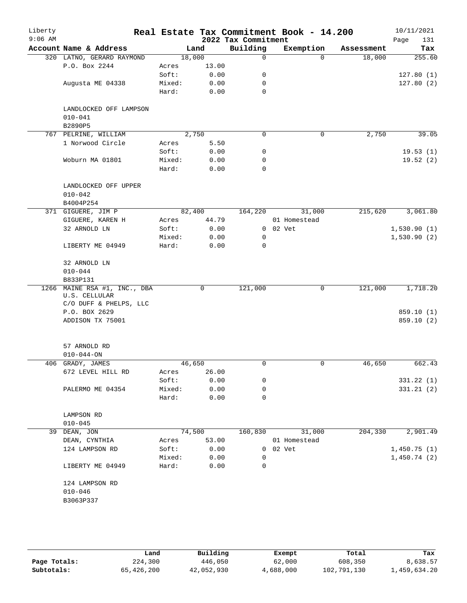| Liberty<br>$9:06$ AM |                                       |        |        | 2022 Tax Commitment | Real Estate Tax Commitment Book - 14.200 |            | 10/11/2021<br>Page<br>131 |
|----------------------|---------------------------------------|--------|--------|---------------------|------------------------------------------|------------|---------------------------|
|                      | Account Name & Address                |        | Land   | Building            | Exemption                                | Assessment | Tax                       |
|                      | 320 LATNO, GERARD RAYMOND             | 18,000 |        | $\Omega$            | $\Omega$                                 | 18,000     | 255.60                    |
|                      | P.O. Box 2244                         | Acres  | 13.00  |                     |                                          |            |                           |
|                      |                                       | Soft:  | 0.00   | 0                   |                                          |            | 127.80(1)                 |
|                      | Augusta ME 04338                      | Mixed: | 0.00   | 0                   |                                          |            | 127.80(2)                 |
|                      |                                       | Hard:  | 0.00   | 0                   |                                          |            |                           |
|                      |                                       |        |        |                     |                                          |            |                           |
|                      | LANDLOCKED OFF LAMPSON<br>$010 - 041$ |        |        |                     |                                          |            |                           |
|                      |                                       |        |        |                     |                                          |            |                           |
|                      | B2890P5<br>767 PELRINE, WILLIAM       |        | 2,750  | 0                   | $\mathbf 0$                              | 2,750      | 39.05                     |
|                      | 1 Norwood Circle                      | Acres  | 5.50   |                     |                                          |            |                           |
|                      |                                       | Soft:  | 0.00   | 0                   |                                          |            | 19.53(1)                  |
|                      | Woburn MA 01801                       | Mixed: | 0.00   | 0                   |                                          |            | 19.52(2)                  |
|                      |                                       | Hard:  | 0.00   | 0                   |                                          |            |                           |
|                      |                                       |        |        |                     |                                          |            |                           |
|                      | LANDLOCKED OFF UPPER                  |        |        |                     |                                          |            |                           |
|                      | $010 - 042$                           |        |        |                     |                                          |            |                           |
|                      | B4004P254                             |        |        |                     |                                          |            |                           |
|                      | 371 GIGUERE, JIM P                    |        | 82,400 | 164,220             | 31,000                                   | 215,620    | 3,061.80                  |
|                      | GIGUERE, KAREN H                      | Acres  | 44.79  |                     | 01 Homestead                             |            |                           |
|                      | 32 ARNOLD LN                          | Soft:  | 0.00   |                     | $0$ $02$ $Vet$                           |            | 1,530.90(1)               |
|                      |                                       | Mixed: | 0.00   | 0                   |                                          |            | 1,530.90(2)               |
|                      | LIBERTY ME 04949                      | Hard:  | 0.00   | 0                   |                                          |            |                           |
|                      |                                       |        |        |                     |                                          |            |                           |
|                      | 32 ARNOLD LN                          |        |        |                     |                                          |            |                           |
|                      | $010 - 044$                           |        |        |                     |                                          |            |                           |
| 1266                 | B833P131<br>MAINE RSA #1, INC., DBA   |        | 0      | 121,000             | 0                                        | 121,000    | 1,718.20                  |
|                      | U.S. CELLULAR                         |        |        |                     |                                          |            |                           |
|                      | C/O DUFF & PHELPS, LLC                |        |        |                     |                                          |            |                           |
|                      | P.O. BOX 2629                         |        |        |                     |                                          |            | 859.10 (1)                |
|                      | ADDISON TX 75001                      |        |        |                     |                                          |            | 859.10 (2)                |
|                      |                                       |        |        |                     |                                          |            |                           |
|                      | 57 ARNOLD RD                          |        |        |                     |                                          |            |                           |
|                      | $010 - 044 - ON$                      |        |        |                     |                                          |            |                           |
|                      | 406 GRADY, JAMES                      | 46,650 |        | 0                   | 0                                        | 46,650     | 662.43                    |
|                      | 672 LEVEL HILL RD                     | Acres  | 26.00  |                     |                                          |            |                           |
|                      |                                       | Soft:  | 0.00   | 0                   |                                          |            | 331.22 (1)                |
|                      | PALERMO ME 04354                      | Mixed: | 0.00   | 0                   |                                          |            | 331.21(2)                 |
|                      |                                       | Hard:  | 0.00   | 0                   |                                          |            |                           |
|                      | LAMPSON RD                            |        |        |                     |                                          |            |                           |
|                      | $010 - 045$                           |        |        |                     |                                          |            |                           |
| 39                   | DEAN, JON                             | 74,500 |        | 160,830             | 31,000                                   | 204,330    | 2,901.49                  |
|                      | DEAN, CYNTHIA                         | Acres  | 53.00  |                     | 01 Homestead                             |            |                           |
|                      | 124 LAMPSON RD                        | Soft:  | 0.00   |                     | 0 02 Vet                                 |            | 1,450.75(1)               |
|                      |                                       | Mixed: | 0.00   | 0                   |                                          |            | 1,450.74(2)               |
|                      | LIBERTY ME 04949                      | Hard:  | 0.00   | 0                   |                                          |            |                           |
|                      |                                       |        |        |                     |                                          |            |                           |
|                      | 124 LAMPSON RD                        |        |        |                     |                                          |            |                           |
|                      | $010 - 046$                           |        |        |                     |                                          |            |                           |
|                      | B3063P337                             |        |        |                     |                                          |            |                           |
|                      |                                       |        |        |                     |                                          |            |                           |
|                      |                                       |        |        |                     |                                          |            |                           |

|              | Land       | Building   | Exempt    | Total       | Tax          |
|--------------|------------|------------|-----------|-------------|--------------|
| Page Totals: | 224,300    | 446,050    | 62,000    | 608,350     | 8,638.57     |
| Subtotals:   | 65,426,200 | 42,052,930 | 4,688,000 | 102,791,130 | l,459,634.20 |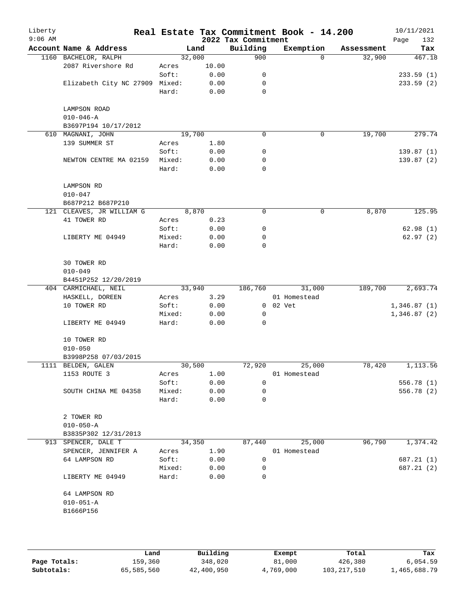| Liberty<br>$9:06$ AM |                           |        |       | 2022 Tax Commitment | Real Estate Tax Commitment Book - 14.200 |            | 10/11/2021<br>132<br>Page |
|----------------------|---------------------------|--------|-------|---------------------|------------------------------------------|------------|---------------------------|
|                      | Account Name & Address    |        | Land  | Building            | Exemption                                | Assessment | Tax                       |
|                      | 1160 BACHELOR, RALPH      | 32,000 |       | 900                 | $\Omega$                                 | 32,900     | 467.18                    |
|                      | 2087 Rivershore Rd        | Acres  | 10.00 |                     |                                          |            |                           |
|                      |                           | Soft:  | 0.00  | 0                   |                                          |            | 233.59(1)                 |
|                      | Elizabeth City NC 27909   | Mixed: | 0.00  | 0                   |                                          |            | 233.59(2)                 |
|                      |                           | Hard:  | 0.00  | 0                   |                                          |            |                           |
|                      | LAMPSON ROAD              |        |       |                     |                                          |            |                           |
|                      | $010 - 046 - A$           |        |       |                     |                                          |            |                           |
|                      | B3697P194 10/17/2012      |        |       |                     |                                          |            |                           |
| 610                  | MAGNANI, JOHN             | 19,700 |       | $\mathbf 0$         | 0                                        | 19,700     | 279.74                    |
|                      | 139 SUMMER ST             | Acres  | 1.80  |                     |                                          |            |                           |
|                      |                           | Soft:  | 0.00  | 0                   |                                          |            | 139.87(1)                 |
|                      | NEWTON CENTRE MA 02159    | Mixed: | 0.00  | 0                   |                                          |            | 139.87(2)                 |
|                      |                           | Hard:  |       | $\mathbf 0$         |                                          |            |                           |
|                      |                           |        | 0.00  |                     |                                          |            |                           |
|                      |                           |        |       |                     |                                          |            |                           |
|                      | LAMPSON RD                |        |       |                     |                                          |            |                           |
|                      | $010 - 047$               |        |       |                     |                                          |            |                           |
|                      | B687P212 B687P210         |        |       |                     |                                          |            |                           |
|                      | 121 CLEAVES, JR WILLIAM G | 8,870  |       | 0                   | 0                                        | 8,870      | 125.95                    |
|                      | 41 TOWER RD               | Acres  | 0.23  |                     |                                          |            |                           |
|                      |                           | Soft:  | 0.00  | 0                   |                                          |            | 62.98(1)                  |
|                      | LIBERTY ME 04949          | Mixed: | 0.00  | $\mathbf 0$         |                                          |            | 62.97(2)                  |
|                      |                           | Hard:  | 0.00  | 0                   |                                          |            |                           |
|                      |                           |        |       |                     |                                          |            |                           |
|                      | 30 TOWER RD               |        |       |                     |                                          |            |                           |
|                      | $010 - 049$               |        |       |                     |                                          |            |                           |
|                      | B4451P252 12/20/2019      |        |       |                     |                                          |            |                           |
|                      | 404 CARMICHAEL, NEIL      | 33,940 |       | 186,760             | 31,000                                   | 189,700    | 2,693.74                  |
|                      | HASKELL, DOREEN           | Acres  | 3.29  |                     | 01 Homestead                             |            |                           |
|                      | 10 TOWER RD               | Soft:  | 0.00  | 0                   | 02 Vet                                   |            | 1,346.87(1)               |
|                      |                           | Mixed: | 0.00  | 0                   |                                          |            | 1,346.87(2)               |
|                      | LIBERTY ME 04949          | Hard:  | 0.00  | 0                   |                                          |            |                           |
|                      | 10 TOWER RD               |        |       |                     |                                          |            |                           |
|                      | $010 - 050$               |        |       |                     |                                          |            |                           |
|                      | B3998P258 07/03/2015      |        |       |                     |                                          |            |                           |
|                      | 1111 BELDEN, GALEN        | 30,500 |       | 72,920              | 25,000                                   | 78,420     | 1,113.56                  |
|                      | 1153 ROUTE 3              |        | 1.00  |                     | 01 Homestead                             |            |                           |
|                      |                           | Acres  |       | 0                   |                                          |            |                           |
|                      |                           | Soft:  | 0.00  |                     |                                          |            | 556.78 (1)                |
|                      | SOUTH CHINA ME 04358      | Mixed: | 0.00  | 0                   |                                          |            | 556.78 (2)                |
|                      |                           | Hard:  | 0.00  | 0                   |                                          |            |                           |
|                      | 2 TOWER RD                |        |       |                     |                                          |            |                           |
|                      | $010 - 050 - A$           |        |       |                     |                                          |            |                           |
|                      | B3835P302 12/31/2013      |        |       |                     |                                          |            |                           |
|                      | 913 SPENCER, DALE T       | 34,350 |       | 87,440              | 25,000                                   | 96,790     | 1,374.42                  |
|                      | SPENCER, JENNIFER A       | Acres  | 1.90  |                     | 01 Homestead                             |            |                           |
|                      | 64 LAMPSON RD             | Soft:  | 0.00  | 0                   |                                          |            | 687.21 (1)                |
|                      |                           | Mixed: | 0.00  | 0                   |                                          |            | 687.21 (2)                |
|                      | LIBERTY ME 04949          | Hard:  | 0.00  | 0                   |                                          |            |                           |
|                      | 64 LAMPSON RD             |        |       |                     |                                          |            |                           |
|                      | $010 - 051 - A$           |        |       |                     |                                          |            |                           |
|                      | B1666P156                 |        |       |                     |                                          |            |                           |
|                      |                           |        |       |                     |                                          |            |                           |
|                      |                           |        |       |                     |                                          |            |                           |
|                      |                           |        |       |                     |                                          |            |                           |
|                      |                           |        |       |                     |                                          |            |                           |

|              | Land       | Building   | Exempt    | Total       | Tax          |
|--------------|------------|------------|-----------|-------------|--------------|
| Page Totals: | 159,360    | 348,020    | 81,000    | 426,380     | 6.054.59     |
| Subtotals:   | 65,585,560 | 42,400,950 | 4,769,000 | 103,217,510 | 1,465,688.79 |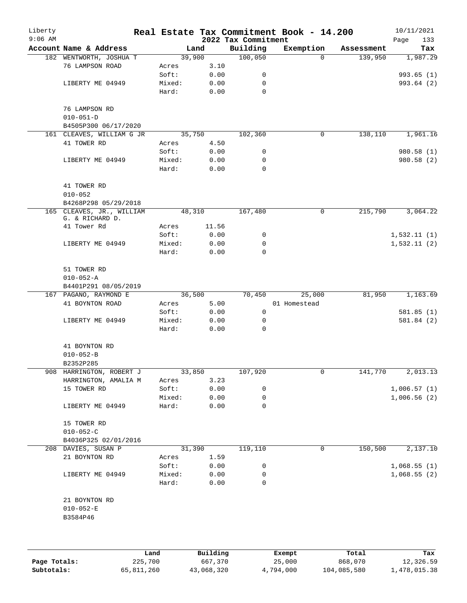| Liberty<br>$9:06$ AM |                                                   |      |        |          | 2022 Tax Commitment | Real Estate Tax Commitment Book - 14.200 |            | 10/11/2021<br>Page<br>133 |
|----------------------|---------------------------------------------------|------|--------|----------|---------------------|------------------------------------------|------------|---------------------------|
|                      | Account Name & Address                            |      |        | Land     | Building            | Exemption                                | Assessment | Tax                       |
|                      | 182 WENTWORTH, JOSHUA T                           |      |        | 39,900   | 100,050             | $\Omega$                                 | 139,950    | 1,987.29                  |
|                      | 76 LAMPSON ROAD                                   |      | Acres  | 3.10     |                     |                                          |            |                           |
|                      |                                                   |      | Soft:  | 0.00     | 0                   |                                          |            | 993.65(1)                 |
|                      | LIBERTY ME 04949                                  |      | Mixed: | 0.00     | 0                   |                                          |            | 993.64 (2)                |
|                      |                                                   |      | Hard:  | 0.00     | $\mathbf 0$         |                                          |            |                           |
|                      | 76 LAMPSON RD                                     |      |        |          |                     |                                          |            |                           |
|                      | $010 - 051 - D$                                   |      |        |          |                     |                                          |            |                           |
|                      | B4505P300 06/17/2020<br>161 CLEAVES, WILLIAM G JR |      |        | 35,750   | 102,360             | 0                                        | 138,110    | 1,961.16                  |
|                      | 41 TOWER RD                                       |      | Acres  | 4.50     |                     |                                          |            |                           |
|                      |                                                   |      | Soft:  | 0.00     | 0                   |                                          |            | 980.58 (1)                |
|                      | LIBERTY ME 04949                                  |      | Mixed: | 0.00     | 0                   |                                          |            | 980.58 (2)                |
|                      |                                                   |      | Hard:  | 0.00     | 0                   |                                          |            |                           |
|                      | 41 TOWER RD                                       |      |        |          |                     |                                          |            |                           |
|                      | $010 - 052$                                       |      |        |          |                     |                                          |            |                           |
|                      | B4268P298 05/29/2018                              |      |        |          |                     |                                          |            |                           |
|                      | 165 CLEAVES, JR., WILLIAM<br>G. & RICHARD D.      |      |        | 48,310   | 167,480             | 0                                        | 215,790    | 3,064.22                  |
|                      | 41 Tower Rd                                       |      | Acres  | 11.56    |                     |                                          |            |                           |
|                      |                                                   |      | Soft:  | 0.00     | 0                   |                                          |            | 1,532.11(1)               |
|                      | LIBERTY ME 04949                                  |      | Mixed: | 0.00     | 0                   |                                          |            | 1,532.11(2)               |
|                      |                                                   |      | Hard:  | 0.00     | $\mathbf 0$         |                                          |            |                           |
|                      | 51 TOWER RD                                       |      |        |          |                     |                                          |            |                           |
|                      | $010 - 052 - A$                                   |      |        |          |                     |                                          |            |                           |
|                      | B4401P291 08/05/2019                              |      |        |          |                     |                                          |            |                           |
|                      | 167 PAGANO, RAYMOND E                             |      |        | 36,500   | 70,450              | 25,000                                   | 81,950     | 1,163.69                  |
|                      | 41 BOYNTON ROAD                                   |      | Acres  | 5.00     |                     | 01 Homestead                             |            |                           |
|                      |                                                   |      | Soft:  | 0.00     | 0                   |                                          |            | 581.85(1)                 |
|                      | LIBERTY ME 04949                                  |      | Mixed: | 0.00     | 0                   |                                          |            | 581.84 (2)                |
|                      |                                                   |      | Hard:  | 0.00     | 0                   |                                          |            |                           |
|                      | 41 BOYNTON RD                                     |      |        |          |                     |                                          |            |                           |
|                      | $010 - 052 - B$<br>B2352P285                      |      |        |          |                     |                                          |            |                           |
|                      | 908 HARRINGTON, ROBERT J                          |      |        | 33,850   | 107,920             | 0                                        | 141,770    | 2,013.13                  |
|                      | HARRINGTON, AMALIA M                              |      | Acres  | 3.23     |                     |                                          |            |                           |
|                      | 15 TOWER RD                                       |      | Soft:  | 0.00     | 0                   |                                          |            | 1,006.57(1)               |
|                      |                                                   |      | Mixed: | 0.00     | 0                   |                                          |            | 1,006.56(2)               |
|                      | LIBERTY ME 04949                                  |      | Hard:  | 0.00     | 0                   |                                          |            |                           |
|                      | 15 TOWER RD                                       |      |        |          |                     |                                          |            |                           |
|                      | $010 - 052 - C$                                   |      |        |          |                     |                                          |            |                           |
|                      | B4036P325 02/01/2016                              |      |        |          |                     |                                          |            |                           |
|                      | 208 DAVIES, SUSAN P                               |      |        | 31,390   | 119,110             | 0                                        | 150,500    | 2,137.10                  |
|                      | 21 BOYNTON RD                                     |      | Acres  | 1.59     |                     |                                          |            |                           |
|                      |                                                   |      | Soft:  | 0.00     | 0                   |                                          |            | 1,068.55(1)               |
|                      | LIBERTY ME 04949                                  |      | Mixed: | 0.00     | 0                   |                                          |            | 1,068.55(2)               |
|                      |                                                   |      | Hard:  | 0.00     | 0                   |                                          |            |                           |
|                      | 21 BOYNTON RD                                     |      |        |          |                     |                                          |            |                           |
|                      | $010 - 052 - E$                                   |      |        |          |                     |                                          |            |                           |
|                      | B3584P46                                          |      |        |          |                     |                                          |            |                           |
|                      |                                                   |      |        |          |                     |                                          |            |                           |
|                      |                                                   | Land |        | Building |                     | Exempt                                   | Total      | Tax                       |

|              | Land       | Building   | Exempt    | Total       | Tax          |
|--------------|------------|------------|-----------|-------------|--------------|
| Page Totals: | 225,700    | 667,370    | 25,000    | 868,070     | 12,326.59    |
| Subtotals:   | 65,811,260 | 43,068,320 | 4,794,000 | 104,085,580 | 1,478,015.38 |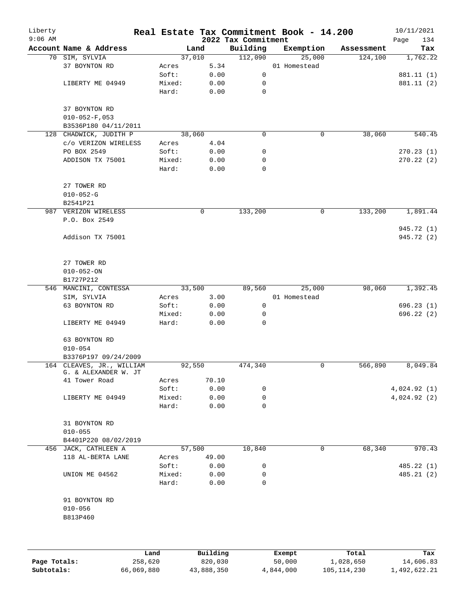| Liberty<br>$9:06$ AM |                                                   |        |        | 2022 Tax Commitment | Real Estate Tax Commitment Book - 14.200 |            | 10/11/2021<br>Page<br>134 |
|----------------------|---------------------------------------------------|--------|--------|---------------------|------------------------------------------|------------|---------------------------|
|                      | Account Name & Address                            |        | Land   | Building            | Exemption                                | Assessment | Tax                       |
|                      | 70 SIM, SYLVIA                                    |        | 37,010 | 112,090             | 25,000                                   | 124,100    | 1,762.22                  |
|                      | 37 BOYNTON RD                                     | Acres  | 5.34   |                     | 01 Homestead                             |            |                           |
|                      |                                                   | Soft:  | 0.00   | 0                   |                                          |            | 881.11 (1)                |
|                      | LIBERTY ME 04949                                  | Mixed: | 0.00   | 0                   |                                          |            | 881.11 (2)                |
|                      |                                                   | Hard:  | 0.00   | 0                   |                                          |            |                           |
|                      | 37 BOYNTON RD                                     |        |        |                     |                                          |            |                           |
|                      | $010 - 052 - F$ , 053                             |        |        |                     |                                          |            |                           |
|                      | B3536P180 04/11/2011                              |        |        |                     |                                          |            |                           |
|                      | 128 CHADWICK, JUDITH P                            |        | 38,060 | $\mathbf 0$         | $\mathsf{O}$                             | 38,060     | 540.45                    |
|                      | c/o VERIZON WIRELESS                              | Acres  | 4.04   |                     |                                          |            |                           |
|                      | PO BOX 2549                                       | Soft:  | 0.00   | 0                   |                                          |            | 270.23(1)                 |
|                      | ADDISON TX 75001                                  | Mixed: | 0.00   | 0                   |                                          |            | 270.22(2)                 |
|                      |                                                   | Hard:  | 0.00   | $\mathbf 0$         |                                          |            |                           |
|                      |                                                   |        |        |                     |                                          |            |                           |
|                      | 27 TOWER RD                                       |        |        |                     |                                          |            |                           |
|                      | $010 - 052 - G$                                   |        |        |                     |                                          |            |                           |
|                      | B2541P21                                          |        |        |                     |                                          |            |                           |
|                      | 987 VERIZON WIRELESS                              |        | 0      | 133,200             | 0                                        | 133,200    | 1,891.44                  |
|                      | P.O. Box 2549                                     |        |        |                     |                                          |            |                           |
|                      |                                                   |        |        |                     |                                          |            | 945.72 (1)                |
|                      | Addison TX 75001                                  |        |        |                     |                                          |            | 945.72 (2)                |
|                      |                                                   |        |        |                     |                                          |            |                           |
|                      |                                                   |        |        |                     |                                          |            |                           |
|                      | 27 TOWER RD                                       |        |        |                     |                                          |            |                           |
|                      | $010 - 052 - ON$                                  |        |        |                     |                                          |            |                           |
|                      | B1727P212                                         |        |        |                     |                                          |            |                           |
|                      | 546 MANCINI, CONTESSA                             |        | 33,500 | 89,560              | 25,000                                   | 98,060     | 1,392.45                  |
|                      | SIM, SYLVIA                                       | Acres  | 3.00   |                     | 01 Homestead                             |            |                           |
|                      | 63 BOYNTON RD                                     | Soft:  | 0.00   | 0                   |                                          |            | 696.23(1)                 |
|                      |                                                   | Mixed: | 0.00   | 0                   |                                          |            | 696.22(2)                 |
|                      | LIBERTY ME 04949                                  | Hard:  | 0.00   | 0                   |                                          |            |                           |
|                      |                                                   |        |        |                     |                                          |            |                           |
|                      | 63 BOYNTON RD                                     |        |        |                     |                                          |            |                           |
|                      | $010 - 054$                                       |        |        |                     |                                          |            |                           |
|                      | B3376P197 09/24/2009                              |        |        |                     |                                          |            |                           |
|                      | 164 CLEAVES, JR., WILLIAM<br>G. & ALEXANDER W. JT |        | 92,550 | 474,340             | 0                                        | 566,890    | 8,049.84                  |
|                      | 41 Tower Road                                     | Acres  | 70.10  |                     |                                          |            |                           |
|                      |                                                   | Soft:  | 0.00   | 0                   |                                          |            | 4,024.92(1)               |
|                      | LIBERTY ME 04949                                  | Mixed: | 0.00   | 0                   |                                          |            | 4,024.92(2)               |
|                      |                                                   | Hard:  | 0.00   | 0                   |                                          |            |                           |
|                      |                                                   |        |        |                     |                                          |            |                           |
|                      | 31 BOYNTON RD                                     |        |        |                     |                                          |            |                           |
|                      | $010 - 055$                                       |        |        |                     |                                          |            |                           |
|                      | B4401P220 08/02/2019                              |        |        |                     |                                          |            |                           |
|                      | 456 JACK, CATHLEEN A                              |        | 57,500 | 10,840              | 0                                        | 68,340     | 970.43                    |
|                      | 118 AL-BERTA LANE                                 | Acres  | 49.00  |                     |                                          |            |                           |
|                      |                                                   | Soft:  | 0.00   | 0                   |                                          |            | 485.22 (1)                |
|                      | UNION ME 04562                                    | Mixed: | 0.00   | 0                   |                                          |            | 485.21 (2)                |
|                      |                                                   | Hard:  | 0.00   | 0                   |                                          |            |                           |
|                      |                                                   |        |        |                     |                                          |            |                           |
|                      | 91 BOYNTON RD                                     |        |        |                     |                                          |            |                           |
|                      | $010 - 056$                                       |        |        |                     |                                          |            |                           |
|                      | B813P460                                          |        |        |                     |                                          |            |                           |
|                      |                                                   |        |        |                     |                                          |            |                           |
|                      |                                                   |        |        |                     |                                          |            |                           |
|                      |                                                   |        |        |                     |                                          |            |                           |

|              | Land       | Building   | Exempt    | Total         | Tax          |
|--------------|------------|------------|-----------|---------------|--------------|
| Page Totals: | 258,620    | 820,030    | 50,000    | 1,028,650     | 14,606.83    |
| Subtotals:   | 66,069,880 | 43,888,350 | 4,844,000 | 105, 114, 230 | 1,492,622.21 |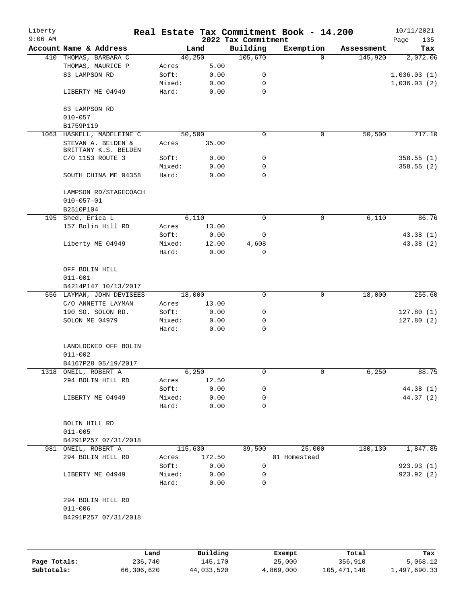| Liberty<br>$9:06$ AM |                                            |         |         | 2022 Tax Commitment | Real Estate Tax Commitment Book - 14.200 |            | 10/11/2021<br>135<br>Page |
|----------------------|--------------------------------------------|---------|---------|---------------------|------------------------------------------|------------|---------------------------|
|                      | Account Name & Address                     |         | Land    | Building            | Exemption                                | Assessment | Tax                       |
|                      | 410 THOMAS, BARBARA C                      |         | 40,250  | 105,670             | $\Omega$                                 | 145,920    | 2,072.06                  |
|                      | THOMAS, MAURICE P                          | Acres   | 5.00    |                     |                                          |            |                           |
|                      | 83 LAMPSON RD                              | Soft:   | 0.00    | 0                   |                                          |            | 1,036.03(1)               |
|                      |                                            | Mixed:  | 0.00    | 0                   |                                          |            | 1,036.03(2)               |
|                      | LIBERTY ME 04949                           | Hard:   | 0.00    | $\mathbf 0$         |                                          |            |                           |
|                      | 83 LAMPSON RD<br>$010 - 057$               |         |         |                     |                                          |            |                           |
|                      | B1759P119                                  |         |         |                     |                                          |            |                           |
|                      | 1063 HASKELL, MADELEINE C                  |         | 50, 500 | $\mathbf 0$         | $\mathsf{O}$                             | 50,500     | 717.10                    |
|                      | STEVAN A. BELDEN &<br>BRITTANY K.S. BELDEN | Acres   | 35.00   |                     |                                          |            |                           |
|                      | C/O 1153 ROUTE 3                           | Soft:   | 0.00    | 0                   |                                          |            | 358.55(1)                 |
|                      |                                            | Mixed:  | 0.00    | 0                   |                                          |            | 358.55(2)                 |
|                      | SOUTH CHINA ME 04358                       | Hard:   | 0.00    | 0                   |                                          |            |                           |
|                      | LAMPSON RD/STAGECOACH<br>$010 - 057 - 01$  |         |         |                     |                                          |            |                           |
|                      | B2510P104                                  |         |         |                     |                                          |            |                           |
|                      | 195 Shed, Erica L                          |         | 6,110   | 0                   | 0                                        | 6,110      | 86.76                     |
|                      |                                            |         |         |                     |                                          |            |                           |
|                      | 157 Bolin Hill RD                          | Acres   | 13.00   |                     |                                          |            |                           |
|                      |                                            | Soft:   | 0.00    | 0                   |                                          |            | 43.38 (1)                 |
|                      | Liberty ME 04949                           | Mixed:  | 12.00   | 4,608               |                                          |            | 43.38(2)                  |
|                      |                                            | Hard:   | 0.00    | $\Omega$            |                                          |            |                           |
|                      | OFF BOLIN HILL<br>$011 - 001$              |         |         |                     |                                          |            |                           |
|                      | B4214P147 10/13/2017                       |         |         |                     |                                          |            |                           |
|                      | 556 LAYMAN, JOHN DEVISEES                  |         | 18,000  | 0                   | 0                                        | 18,000     | 255.60                    |
|                      | C/O ANNETTE LAYMAN                         | Acres   | 13.00   |                     |                                          |            |                           |
|                      | 190 SO. SOLON RD.                          | Soft:   | 0.00    | 0                   |                                          |            | 127.80(1)                 |
|                      | SOLON ME 04979                             | Mixed:  | 0.00    | 0                   |                                          |            | 127.80(2)                 |
|                      |                                            | Hard:   | 0.00    | 0                   |                                          |            |                           |
|                      | LANDLOCKED OFF BOLIN<br>$011 - 002$        |         |         |                     |                                          |            |                           |
|                      | B4167P28 05/19/2017                        |         |         |                     |                                          |            |                           |
|                      | 1318 ONEIL, ROBERT A                       |         | 6,250   | 0                   | 0                                        | 6,250      | 88.75                     |
|                      | 294 BOLIN HILL RD                          | Acres   | 12.50   |                     |                                          |            |                           |
|                      |                                            | Soft:   | 0.00    | 0                   |                                          |            | 44.38 (1)                 |
|                      | LIBERTY ME 04949                           | Mixed:  | 0.00    | 0                   |                                          |            | 44.37 (2)                 |
|                      |                                            | Hard:   | 0.00    | 0                   |                                          |            |                           |
|                      | BOLIN HILL RD<br>$011 - 005$               |         |         |                     |                                          |            |                           |
|                      | B4291P257 07/31/2018                       |         |         |                     |                                          |            |                           |
|                      | 981 ONEIL, ROBERT A                        | 115,630 |         | 39,500              | 25,000                                   | 130,130    | 1,847.85                  |
|                      | 294 BOLIN HILL RD                          | Acres   | 172.50  |                     | 01 Homestead                             |            |                           |
|                      |                                            | Soft:   | 0.00    | $\mathsf{O}$        |                                          |            | 923.93(1)                 |
|                      | LIBERTY ME 04949                           | Mixed:  | 0.00    | 0                   |                                          |            | 923.92 (2)                |
|                      |                                            | Hard:   | 0.00    | 0                   |                                          |            |                           |
|                      | 294 BOLIN HILL RD                          |         |         |                     |                                          |            |                           |
|                      | $011 - 006$<br>B4291P257 07/31/2018        |         |         |                     |                                          |            |                           |
|                      |                                            |         |         |                     |                                          |            |                           |
|                      |                                            |         |         |                     |                                          |            |                           |

|              | Land       | Building   | Exempt    | Total       | Tax          |
|--------------|------------|------------|-----------|-------------|--------------|
| Page Totals: | 236,740    | 145,170    | 25,000    | 356,910     | 5,068.12     |
| Subtotals:   | 66,306,620 | 44,033,520 | 4,869,000 | 105,471,140 | 1,497,690.33 |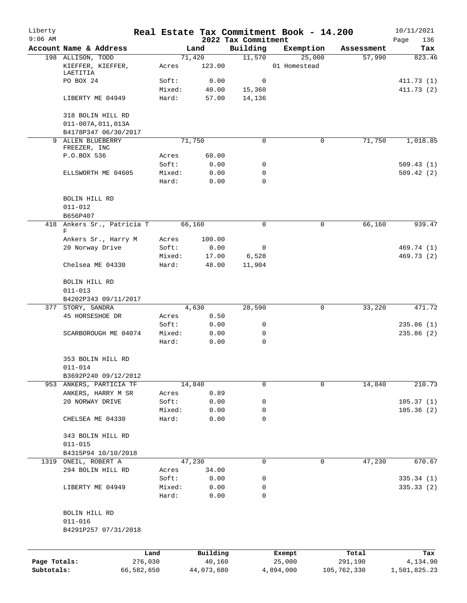| Liberty<br>$9:06$ AM |                                             |            |        |            | 2022 Tax Commitment | Real Estate Tax Commitment Book - 14.200 |             | 10/11/2021<br>136<br>Page |
|----------------------|---------------------------------------------|------------|--------|------------|---------------------|------------------------------------------|-------------|---------------------------|
|                      | Account Name & Address                      |            |        | Land       | Building            | Exemption                                | Assessment  | Tax                       |
|                      | 198 ALLISON, TODD                           |            |        | 71,420     | 11,570              | 25,000                                   | 57,990      | 823.46                    |
|                      | KIEFFER, KIEFFER,<br>LAETITIA               |            | Acres  | 123.00     |                     | 01 Homestead                             |             |                           |
|                      | PO BOX 24                                   |            | Soft:  | 0.00       | 0                   |                                          |             | 411.73(1)                 |
|                      |                                             |            | Mixed: | 40.00      | 15,360              |                                          |             | 411.73(2)                 |
|                      | LIBERTY ME 04949                            |            | Hard:  | 57.00      | 14,136              |                                          |             |                           |
|                      | 318 BOLIN HILL RD                           |            |        |            |                     |                                          |             |                           |
|                      | 011-007A, 011, 013A<br>B4178P347 06/30/2017 |            |        |            |                     |                                          |             |                           |
| 9                    | ALLEN BLUEBERRY                             |            |        | 71,750     | 0                   | 0                                        | 71,750      | 1,018.85                  |
|                      | FREEZER, INC                                |            |        |            |                     |                                          |             |                           |
|                      | P.O.BOX 536                                 |            | Acres  | 60.00      |                     |                                          |             |                           |
|                      |                                             |            | Soft:  | 0.00       | 0                   |                                          |             | 509.43(1)                 |
|                      | ELLSWORTH ME 04605                          |            | Mixed: | 0.00       | 0                   |                                          |             | 509.42(2)                 |
|                      |                                             |            | Hard:  | 0.00       | 0                   |                                          |             |                           |
|                      | BOLIN HILL RD                               |            |        |            |                     |                                          |             |                           |
|                      | $011 - 012$<br>B656P407                     |            |        |            |                     |                                          |             |                           |
|                      | 418 Ankers Sr., Patricia T                  |            |        | 66,160     | 0                   | 0                                        | 66,160      | 939.47                    |
|                      | F                                           |            |        |            |                     |                                          |             |                           |
|                      | Ankers Sr., Harry M                         |            | Acres  | 100.00     |                     |                                          |             |                           |
|                      | 20 Norway Drive                             |            | Soft:  | 0.00       | 0                   |                                          |             | 469.74 (1)                |
|                      |                                             |            | Mixed: | 17.00      | 6,528               |                                          |             | 469.73 (2)                |
|                      | Chelsea ME 04330                            |            | Hard:  | 48.00      | 11,904              |                                          |             |                           |
|                      | BOLIN HILL RD                               |            |        |            |                     |                                          |             |                           |
|                      | $011 - 013$                                 |            |        |            |                     |                                          |             |                           |
|                      | B4202P343 09/11/2017                        |            |        |            |                     |                                          |             |                           |
|                      | 377 STORY, SANDRA                           |            |        | 4,630      | 28,590              | 0                                        | 33,220      | 471.72                    |
|                      | 45 HORSESHOE DR                             |            | Acres  | 0.50       |                     |                                          |             |                           |
|                      |                                             |            | Soft:  | 0.00       | 0                   |                                          |             | 235.86(1)                 |
|                      | SCARBOROUGH ME 04074                        |            | Mixed: | 0.00       | 0                   |                                          |             | 235.86(2)                 |
|                      |                                             |            | Hard:  | 0.00       | 0                   |                                          |             |                           |
|                      | 353 BOLIN HILL RD<br>$011 - 014$            |            |        |            |                     |                                          |             |                           |
|                      | B3692P240 09/12/2012                        |            |        |            |                     |                                          |             |                           |
|                      | 953 ANKERS, PARTICIA TF                     |            |        | 14,840     | 0                   | 0                                        | 14,840      | 210.73                    |
|                      | ANKERS, HARRY M SR                          |            | Acres  | 0.89       |                     |                                          |             |                           |
|                      | 20 NORWAY DRIVE                             |            | Soft:  | 0.00       | 0                   |                                          |             | 105.37(1)                 |
|                      |                                             |            | Mixed: | 0.00       | 0                   |                                          |             | 105.36(2)                 |
|                      | CHELSEA ME 04330                            |            | Hard:  | 0.00       | 0                   |                                          |             |                           |
|                      | 343 BOLIN HILL RD                           |            |        |            |                     |                                          |             |                           |
|                      | $011 - 015$                                 |            |        |            |                     |                                          |             |                           |
|                      | B4315P94 10/10/2018                         |            |        |            |                     |                                          |             |                           |
|                      | 1319 ONEIL, ROBERT A                        |            |        | 47,230     | 0                   | 0                                        | 47,230      | 670.67                    |
|                      | 294 BOLIN HILL RD                           |            | Acres  | 34.00      |                     |                                          |             |                           |
|                      |                                             |            | Soft:  | 0.00       | 0                   |                                          |             | 335.34(1)                 |
|                      | LIBERTY ME 04949                            |            | Mixed: | 0.00       | 0                   |                                          |             | 335.33(2)                 |
|                      |                                             |            | Hard:  | 0.00       | $\Omega$            |                                          |             |                           |
|                      | BOLIN HILL RD                               |            |        |            |                     |                                          |             |                           |
|                      | $011 - 016$                                 |            |        |            |                     |                                          |             |                           |
|                      | B4291P257 07/31/2018                        |            |        |            |                     |                                          |             |                           |
|                      |                                             | Land       |        | Building   |                     | Exempt                                   | Total       | Tax                       |
| Page Totals:         |                                             | 276,030    |        | 40,160     |                     | 25,000                                   | 291,190     | 4,134.90                  |
| Subtotals:           |                                             | 66,582,650 |        | 44,073,680 |                     | 4,894,000                                | 105,762,330 | 1,501,825.23              |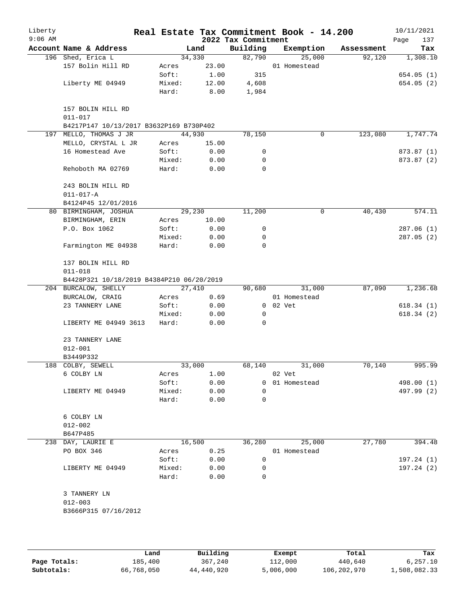| Liberty<br>$9:06$ AM |                                           |        |       | 2022 Tax Commitment | Real Estate Tax Commitment Book - 14.200 |            | 10/11/2021<br>137<br>Page |
|----------------------|-------------------------------------------|--------|-------|---------------------|------------------------------------------|------------|---------------------------|
|                      | Account Name & Address                    |        | Land  | Building            | Exemption                                | Assessment | Tax                       |
|                      | 196 Shed, Erica L                         | 34,330 |       | 82,790              | 25,000                                   | 92,120     | 1,308.10                  |
|                      | 157 Bolin Hill RD                         | Acres  | 23.00 |                     | 01 Homestead                             |            |                           |
|                      |                                           | Soft:  | 1.00  | 315                 |                                          |            | 654.05(1)                 |
|                      | Liberty ME 04949                          | Mixed: | 12.00 | 4,608               |                                          |            | 654.05(2)                 |
|                      |                                           | Hard:  | 8.00  | 1,984               |                                          |            |                           |
|                      | 157 BOLIN HILL RD<br>$011 - 017$          |        |       |                     |                                          |            |                           |
|                      | B4217P147 10/13/2017 B3632P169 B730P402   |        |       |                     |                                          |            |                           |
|                      | 197 MELLO, THOMAS J JR                    | 44,930 |       | 78,150              | 0                                        | 123,080    | 1,747.74                  |
|                      | MELLO, CRYSTAL L JR                       | Acres  | 15.00 |                     |                                          |            |                           |
|                      | 16 Homestead Ave                          | Soft:  | 0.00  | 0                   |                                          |            | 873.87 (1)                |
|                      |                                           | Mixed: | 0.00  | $\mathbf 0$         |                                          |            | 873.87 (2)                |
|                      | Rehoboth MA 02769                         | Hard:  | 0.00  | $\Omega$            |                                          |            |                           |
|                      | 243 BOLIN HILL RD                         |        |       |                     |                                          |            |                           |
|                      | $011 - 017 - A$                           |        |       |                     |                                          |            |                           |
|                      | B4124P45 12/01/2016                       |        |       |                     |                                          |            |                           |
|                      | 80 BIRMINGHAM, JOSHUA                     | 29,230 |       | 11,200              | 0                                        | 40,430     | 574.11                    |
|                      | BIRMINGHAM, ERIN                          | Acres  | 10.00 |                     |                                          |            |                           |
|                      | P.O. Box 1062                             | Soft:  | 0.00  | 0                   |                                          |            | 287.06(1)                 |
|                      |                                           | Mixed: | 0.00  | 0                   |                                          |            | 287.05(2)                 |
|                      | Farmington ME 04938                       | Hard:  | 0.00  | 0                   |                                          |            |                           |
|                      | 137 BOLIN HILL RD<br>$011 - 018$          |        |       |                     |                                          |            |                           |
|                      | B4428P321 10/18/2019 B4384P210 06/20/2019 |        |       |                     |                                          |            |                           |
|                      | 204 BURCALOW, SHELLY                      | 27,410 |       | 90,680              | 31,000                                   | 87,090     | 1,236.68                  |
|                      | BURCALOW, CRAIG                           | Acres  | 0.69  |                     | 01 Homestead                             |            |                           |
|                      | 23 TANNERY LANE                           | Soft:  | 0.00  | $\overline{0}$      | 02 Vet                                   |            | 618.34(1)                 |
|                      |                                           | Mixed: | 0.00  | 0                   |                                          |            | 618.34(2)                 |
|                      | LIBERTY ME 04949 3613                     | Hard:  | 0.00  | $\Omega$            |                                          |            |                           |
|                      | 23 TANNERY LANE                           |        |       |                     |                                          |            |                           |
|                      | $012 - 001$                               |        |       |                     |                                          |            |                           |
|                      | B3449P332                                 |        |       |                     |                                          |            |                           |
|                      | 188 COLBY, SEWELL                         | 33,000 |       | 68,140              | 31,000                                   | 70,140     | 995.99                    |
|                      | 6 COLBY LN                                | Acres  | 1.00  |                     | 02 Vet                                   |            |                           |
|                      |                                           | Soft:  | 0.00  | 0                   | 01 Homestead                             |            | 498.00 (1)                |
|                      | LIBERTY ME 04949                          | Mixed: | 0.00  | 0                   |                                          |            | 497.99 (2)                |
|                      |                                           | Hard:  | 0.00  | 0                   |                                          |            |                           |
|                      | 6 COLBY LN                                |        |       |                     |                                          |            |                           |
|                      | $012 - 002$                               |        |       |                     |                                          |            |                           |
|                      | B647P485                                  |        |       |                     |                                          |            |                           |
|                      | 238 DAY, LAURIE E                         | 16,500 |       | 36,280              | 25,000                                   | 27,780     | 394.48                    |
|                      | PO BOX 346                                | Acres  | 0.25  |                     | 01 Homestead                             |            |                           |
|                      |                                           | Soft:  | 0.00  | 0                   |                                          |            | 197.24(1)                 |
|                      | LIBERTY ME 04949                          | Mixed: | 0.00  | 0                   |                                          |            | 197.24(2)                 |
|                      |                                           | Hard:  | 0.00  | $\Omega$            |                                          |            |                           |
|                      | 3 TANNERY LN                              |        |       |                     |                                          |            |                           |
|                      | $012 - 003$                               |        |       |                     |                                          |            |                           |
|                      | B3666P315 07/16/2012                      |        |       |                     |                                          |            |                           |
|                      |                                           |        |       |                     |                                          |            |                           |
|                      |                                           |        |       |                     |                                          |            |                           |

|              | Land       | Building   | Exempt    | Total       | Tax          |
|--------------|------------|------------|-----------|-------------|--------------|
| Page Totals: | 185,400    | 367,240    | 112,000   | 440,640     | 6, 257.10    |
| Subtotals:   | 66,768,050 | 44,440,920 | 5,006,000 | 106,202,970 | 1,508,082.33 |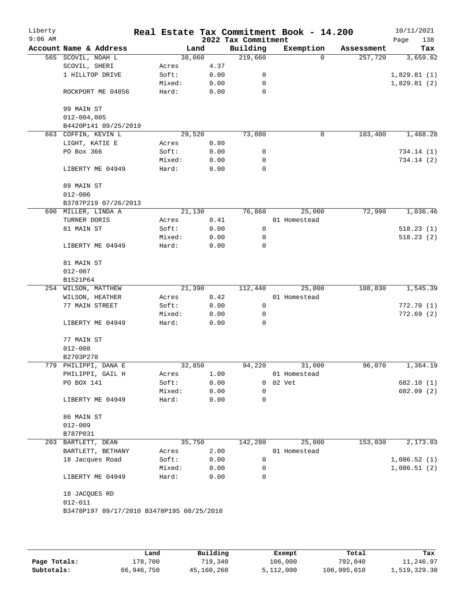| Liberty<br>$9:06$ AM |                                                          |        |      | 2022 Tax Commitment | Real Estate Tax Commitment Book - 14.200 |            | 10/11/2021<br>138<br>Page |
|----------------------|----------------------------------------------------------|--------|------|---------------------|------------------------------------------|------------|---------------------------|
|                      | Account Name & Address                                   |        | Land | Building            | Exemption                                | Assessment | Tax                       |
|                      | 565 SCOVIL, NOAH L                                       | 38,060 |      | 219,660             | $\Omega$                                 | 257,720    | 3,659.62                  |
|                      | SCOVIL, SHERI                                            | Acres  | 4.37 |                     |                                          |            |                           |
|                      | 1 HILLTOP DRIVE                                          | Soft:  | 0.00 | 0                   |                                          |            | 1,829.81(1)               |
|                      |                                                          | Mixed: | 0.00 | 0                   |                                          |            | 1,829.81 (2)              |
|                      | ROCKPORT ME 04856                                        | Hard:  | 0.00 | 0                   |                                          |            |                           |
|                      | 99 MAIN ST                                               |        |      |                     |                                          |            |                           |
|                      | $012 - 004,005$                                          |        |      |                     |                                          |            |                           |
|                      | B4420P141 09/25/2019                                     |        |      |                     |                                          |            |                           |
|                      | 663 COFFIN, KEVIN L                                      | 29,520 |      | 73,880              | 0                                        | 103,400    | 1,468.28                  |
|                      | LIGHT, KATIE E                                           | Acres  | 0.80 |                     |                                          |            |                           |
|                      | PO Box 366                                               | Soft:  | 0.00 | 0                   |                                          |            | 734.14 (1)                |
|                      |                                                          | Mixed: | 0.00 | 0                   |                                          |            | 734.14 (2)                |
|                      | LIBERTY ME 04949                                         | Hard:  | 0.00 | 0                   |                                          |            |                           |
|                      | 89 MAIN ST                                               |        |      |                     |                                          |            |                           |
|                      | $012 - 006$                                              |        |      |                     |                                          |            |                           |
|                      | B3787P219 07/26/2013                                     |        |      |                     |                                          |            |                           |
|                      | 690 MILLER, LINDA A                                      | 21,130 |      | 76,860              | 25,000                                   | 72,990     | 1,036.46                  |
|                      | TURNER DORIS                                             | Acres  | 0.41 |                     | 01 Homestead                             |            |                           |
|                      | 81 MAIN ST                                               | Soft:  | 0.00 | 0                   |                                          |            | 518.23(1)                 |
|                      |                                                          | Mixed: | 0.00 | 0                   |                                          |            | 518.23(2)                 |
|                      | LIBERTY ME 04949                                         | Hard:  | 0.00 | 0                   |                                          |            |                           |
|                      | 81 MAIN ST                                               |        |      |                     |                                          |            |                           |
|                      | $012 - 007$                                              |        |      |                     |                                          |            |                           |
|                      | B1521P64                                                 |        |      |                     |                                          |            |                           |
|                      | 254 WILSON, MATTHEW                                      | 21,390 |      | 112,440             | 25,000                                   | 108,830    | 1,545.39                  |
|                      | WILSON, HEATHER                                          | Acres  | 0.42 |                     | 01 Homestead                             |            |                           |
|                      | 77 MAIN STREET                                           | Soft:  | 0.00 | 0                   |                                          |            | 772.70(1)                 |
|                      |                                                          | Mixed: | 0.00 | 0                   |                                          |            | 772.69(2)                 |
|                      | LIBERTY ME 04949                                         | Hard:  | 0.00 | 0                   |                                          |            |                           |
|                      | 77 MAIN ST                                               |        |      |                     |                                          |            |                           |
|                      | $012 - 008$                                              |        |      |                     |                                          |            |                           |
|                      | B2703P278                                                |        |      |                     |                                          |            |                           |
|                      | 779 PHILIPPI, DANA E                                     | 32,850 |      | 94,220              | 31,000                                   | 96,070     | 1,364.19                  |
|                      | PHILIPPI, GAIL H                                         | Acres  | 1.00 |                     | 01 Homestead                             |            |                           |
|                      | PO BOX 141                                               | Soft:  | 0.00 | 0                   | 02 Vet                                   |            | 682.10 (1)                |
|                      |                                                          | Mixed: | 0.00 | 0                   |                                          |            | 682.09 (2)                |
|                      | LIBERTY ME 04949                                         | Hard:  | 0.00 | $\Omega$            |                                          |            |                           |
|                      | 86 MAIN ST                                               |        |      |                     |                                          |            |                           |
|                      | $012 - 009$                                              |        |      |                     |                                          |            |                           |
|                      | B787P831                                                 |        |      |                     |                                          |            |                           |
|                      | 203 BARTLETT, DEAN                                       | 35,750 |      | 142,280             | 25,000                                   | 153,030    | 2,173.03                  |
|                      | BARTLETT, BETHANY                                        | Acres  | 2.00 |                     | 01 Homestead                             |            |                           |
|                      | 18 Jacques Road                                          | Soft:  | 0.00 | 0                   |                                          |            | 1,086.52(1)               |
|                      |                                                          | Mixed: | 0.00 | 0                   |                                          |            | 1,086.51(2)               |
|                      | LIBERTY ME 04949                                         | Hard:  | 0.00 | $\Omega$            |                                          |            |                           |
|                      | 18 JACQUES RD                                            |        |      |                     |                                          |            |                           |
|                      | $012 - 011$<br>B3478P197 09/17/2010 B3478P195 08/25/2010 |        |      |                     |                                          |            |                           |
|                      |                                                          |        |      |                     |                                          |            |                           |
|                      |                                                          |        |      |                     |                                          |            |                           |

|              | Land       | Building   | Exempt    | Total       | Tax          |
|--------------|------------|------------|-----------|-------------|--------------|
| Page Totals: | L78,700    | 719,340    | 106,000   | 792,040     | 11,246.97    |
| Subtotals:   | 66,946,750 | 45,160,260 | 5,112,000 | 106,995,010 | 1,519,329.30 |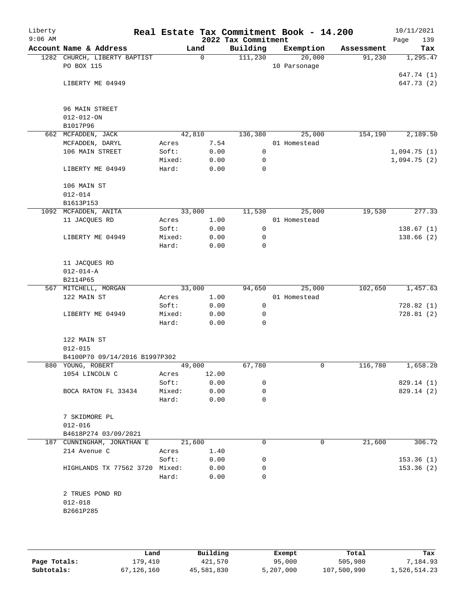| Liberty<br>$9:06$ AM |                                   |        |             | 2022 Tax Commitment | Real Estate Tax Commitment Book - 14.200 |            | 10/11/2021<br>Page<br>139 |
|----------------------|-----------------------------------|--------|-------------|---------------------|------------------------------------------|------------|---------------------------|
|                      | Account Name & Address            |        | Land        | Building            | Exemption                                | Assessment | Tax                       |
|                      | 1282 CHURCH, LIBERTY BAPTIST      |        | $\mathbf 0$ | 111,230             | 20,000                                   | 91,230     | 1,295.47                  |
|                      | PO BOX 115                        |        |             |                     | 10 Parsonage                             |            |                           |
|                      |                                   |        |             |                     |                                          |            | 647.74 (1)                |
|                      | LIBERTY ME 04949                  |        |             |                     |                                          |            | 647.73 (2)                |
|                      |                                   |        |             |                     |                                          |            |                           |
|                      |                                   |        |             |                     |                                          |            |                           |
|                      | 96 MAIN STREET                    |        |             |                     |                                          |            |                           |
|                      | $012 - 012 - ON$                  |        |             |                     |                                          |            |                           |
|                      | B1017P96                          |        |             |                     |                                          |            |                           |
|                      | 662 MCFADDEN, JACK                |        | 42,810      | 136,380             | 25,000                                   | 154,190    | 2,189.50                  |
|                      | MCFADDEN, DARYL                   | Acres  | 7.54        |                     | 01 Homestead                             |            |                           |
|                      | 106 MAIN STREET                   | Soft:  | 0.00        | 0                   |                                          |            | 1,094.75(1)               |
|                      |                                   | Mixed: | 0.00        | 0                   |                                          |            | 1,094.75(2)               |
|                      | LIBERTY ME 04949                  | Hard:  | 0.00        | $\mathbf 0$         |                                          |            |                           |
|                      |                                   |        |             |                     |                                          |            |                           |
|                      | 106 MAIN ST<br>$012 - 014$        |        |             |                     |                                          |            |                           |
|                      |                                   |        |             |                     |                                          |            |                           |
|                      | B1613P153<br>1092 MCFADDEN, ANITA |        | 33,000      |                     |                                          | 19,530     | 277.33                    |
|                      |                                   |        |             | 11,530              | 25,000                                   |            |                           |
|                      | 11 JACQUES RD                     | Acres  | 1.00        |                     | 01 Homestead                             |            |                           |
|                      |                                   | Soft:  | 0.00        | 0                   |                                          |            | 138.67(1)                 |
|                      | LIBERTY ME 04949                  | Mixed: | 0.00        | 0<br>0              |                                          |            | 138.66 (2)                |
|                      |                                   | Hard:  | 0.00        |                     |                                          |            |                           |
|                      | 11 JACQUES RD                     |        |             |                     |                                          |            |                           |
|                      | $012 - 014 - A$                   |        |             |                     |                                          |            |                           |
|                      | B2114P65                          |        |             |                     |                                          |            |                           |
|                      | 567 MITCHELL, MORGAN              |        | 33,000      | 94,650              | 25,000                                   | 102,650    | 1,457.63                  |
|                      | 122 MAIN ST                       | Acres  | 1.00        |                     | 01 Homestead                             |            |                           |
|                      |                                   | Soft:  | 0.00        | 0                   |                                          |            | 728.82(1)                 |
|                      | LIBERTY ME 04949                  | Mixed: | 0.00        | 0                   |                                          |            | 728.81(2)                 |
|                      |                                   | Hard:  | 0.00        | 0                   |                                          |            |                           |
|                      |                                   |        |             |                     |                                          |            |                           |
|                      | 122 MAIN ST                       |        |             |                     |                                          |            |                           |
|                      | $012 - 015$                       |        |             |                     |                                          |            |                           |
|                      | B4100P70 09/14/2016 B1997P302     |        |             |                     |                                          |            |                           |
|                      | 880 YOUNG, ROBERT                 |        | 49,000      | 67,780              | 0                                        | 116,780    | 1,658.28                  |
|                      | 1054 LINCOLN C                    | Acres  | 12.00       |                     |                                          |            |                           |
|                      |                                   | Soft:  | 0.00        | 0                   |                                          |            | 829.14 (1)                |
|                      | BOCA RATON FL 33434               | Mixed: | 0.00        | 0                   |                                          |            | 829.14 (2)                |
|                      |                                   | Hard:  | 0.00        | 0                   |                                          |            |                           |
|                      |                                   |        |             |                     |                                          |            |                           |
|                      | 7 SKIDMORE PL                     |        |             |                     |                                          |            |                           |
|                      | $012 - 016$                       |        |             |                     |                                          |            |                           |
|                      | B4618P274 03/09/2021              |        |             |                     |                                          |            |                           |
|                      | 187 CUNNINGHAM, JONATHAN E        |        | 21,600      | 0                   | 0                                        | 21,600     | 306.72                    |
|                      | 214 Avenue C                      | Acres  | 1.40        |                     |                                          |            |                           |
|                      |                                   | Soft:  | 0.00        | 0                   |                                          |            | 153.36(1)                 |
|                      | HIGHLANDS TX 77562 3720           | Mixed: | 0.00        | 0                   |                                          |            | 153.36(2)                 |
|                      |                                   | Hard:  | 0.00        | $\Omega$            |                                          |            |                           |
|                      |                                   |        |             |                     |                                          |            |                           |
|                      | 2 TRUES POND RD                   |        |             |                     |                                          |            |                           |
|                      | $012 - 018$                       |        |             |                     |                                          |            |                           |
|                      | B2661P285                         |        |             |                     |                                          |            |                           |
|                      |                                   |        |             |                     |                                          |            |                           |
|                      |                                   |        |             |                     |                                          |            |                           |

|              | Land       | Building   | Exempt    | Total       | Tax          |
|--------------|------------|------------|-----------|-------------|--------------|
| Page Totals: | 179,410    | 421,570    | 95,000    | 505,980     | 7,184.93     |
| Subtotals:   | 67,126,160 | 45,581,830 | 5,207,000 | 107,500,990 | 1,526,514.23 |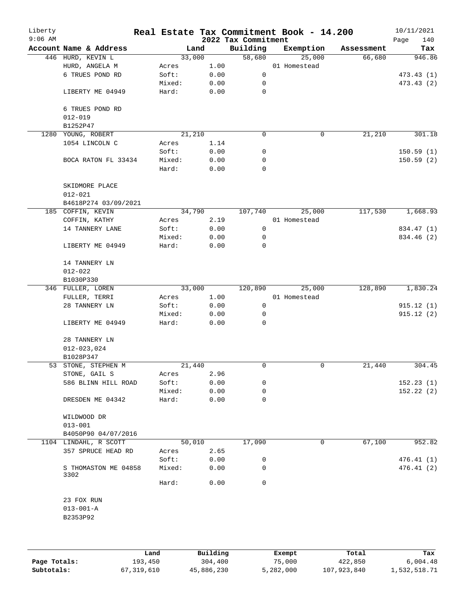| Liberty<br>$9:06$ AM |                                |        |        | 2022 Tax Commitment | Real Estate Tax Commitment Book - 14.200 |            | 10/11/2021<br>140<br>Page |
|----------------------|--------------------------------|--------|--------|---------------------|------------------------------------------|------------|---------------------------|
|                      | Account Name & Address         |        | Land   | Building            | Exemption                                | Assessment | Tax                       |
|                      | 446 HURD, KEVIN L              |        | 33,000 | 58,680              | 25,000                                   | 66,680     | 946.86                    |
|                      | HURD, ANGELA M                 | Acres  | 1.00   |                     | 01 Homestead                             |            |                           |
|                      | 6 TRUES POND RD                | Soft:  | 0.00   | 0                   |                                          |            | 473.43 (1)                |
|                      |                                | Mixed: | 0.00   | 0                   |                                          |            | 473.43(2)                 |
|                      | LIBERTY ME 04949               | Hard:  | 0.00   | $\mathbf 0$         |                                          |            |                           |
|                      | 6 TRUES POND RD<br>$012 - 019$ |        |        |                     |                                          |            |                           |
|                      | B1252P47                       |        |        |                     |                                          |            |                           |
|                      | 1280 YOUNG, ROBERT             |        | 21,210 | 0                   | 0                                        | 21,210     | 301.18                    |
|                      | 1054 LINCOLN C                 | Acres  | 1.14   |                     |                                          |            |                           |
|                      |                                | Soft:  | 0.00   | 0                   |                                          |            | 150.59(1)                 |
|                      | BOCA RATON FL 33434            | Mixed: | 0.00   | 0                   |                                          |            | 150.59(2)                 |
|                      |                                | Hard:  | 0.00   | $\mathbf 0$         |                                          |            |                           |
|                      | SKIDMORE PLACE                 |        |        |                     |                                          |            |                           |
|                      | $012 - 021$                    |        |        |                     |                                          |            |                           |
|                      | B4618P274 03/09/2021           |        |        |                     |                                          |            |                           |
|                      | 185 COFFIN, KEVIN              |        | 34,790 | 107,740             | 25,000                                   | 117,530    | 1,668.93                  |
|                      | COFFIN, KATHY                  | Acres  | 2.19   |                     | 01 Homestead                             |            |                           |
|                      | 14 TANNERY LANE                | Soft:  | 0.00   | 0                   |                                          |            | 834.47 (1)                |
|                      |                                | Mixed: | 0.00   | 0                   |                                          |            | 834.46 (2)                |
|                      | LIBERTY ME 04949               | Hard:  | 0.00   | 0                   |                                          |            |                           |
|                      | 14 TANNERY LN                  |        |        |                     |                                          |            |                           |
|                      | $012 - 022$                    |        |        |                     |                                          |            |                           |
|                      | B1030P330                      |        |        |                     |                                          |            |                           |
|                      | 346 FULLER, LOREN              |        | 33,000 | 120,890             | 25,000                                   | 128,890    | 1,830.24                  |
|                      | FULLER, TERRI                  | Acres  | 1.00   |                     | 01 Homestead                             |            |                           |
|                      | 28 TANNERY LN                  | Soft:  | 0.00   | $\mathbf 0$         |                                          |            | 915.12(1)                 |
|                      |                                | Mixed: |        | 0                   |                                          |            | 915.12(2)                 |
|                      |                                | Hard:  | 0.00   | 0                   |                                          |            |                           |
|                      | LIBERTY ME 04949               |        | 0.00   |                     |                                          |            |                           |
|                      | 28 TANNERY LN                  |        |        |                     |                                          |            |                           |
|                      | $012 - 023,024$                |        |        |                     |                                          |            |                           |
|                      | B1028P347                      |        |        |                     |                                          |            |                           |
|                      | 53 STONE, STEPHEN M            |        | 21,440 | 0                   | $\mathbf 0$                              | 21,440     | 304.45                    |
|                      | STONE, GAIL S                  | Acres  | 2.96   |                     |                                          |            |                           |
|                      | 586 BLINN HILL ROAD            | Soft:  | 0.00   | 0                   |                                          |            | 152.23(1)                 |
|                      |                                | Mixed: | 0.00   | 0                   |                                          |            | 152.22(2)                 |
|                      | DRESDEN ME 04342               | Hard:  | 0.00   | 0                   |                                          |            |                           |
|                      | WILDWOOD DR                    |        |        |                     |                                          |            |                           |
|                      | $013 - 001$                    |        |        |                     |                                          |            |                           |
|                      | B4050P90 04/07/2016            |        |        |                     |                                          |            |                           |
|                      | 1104 LINDAHL, R SCOTT          |        | 50,010 | 17,090              | 0                                        | 67,100     | 952.82                    |
|                      | 357 SPRUCE HEAD RD             | Acres  | 2.65   |                     |                                          |            |                           |
|                      |                                | Soft:  | 0.00   | 0                   |                                          |            | 476.41(1)                 |
|                      | S THOMASTON ME 04858<br>3302   | Mixed: | 0.00   | 0                   |                                          |            | 476.41(2)                 |
|                      |                                | Hard:  | 0.00   | 0                   |                                          |            |                           |
|                      |                                |        |        |                     |                                          |            |                           |
|                      | 23 FOX RUN                     |        |        |                     |                                          |            |                           |
|                      | $013 - 001 - A$                |        |        |                     |                                          |            |                           |
|                      | B2353P92                       |        |        |                     |                                          |            |                           |
|                      |                                |        |        |                     |                                          |            |                           |
|                      |                                |        |        |                     |                                          |            |                           |
|                      |                                |        |        |                     |                                          |            |                           |

|              | Land       | Building   | Exempt    | Total       | Tax          |
|--------------|------------|------------|-----------|-------------|--------------|
| Page Totals: | 193,450    | 304,400    | 75,000    | 422,850     | 6.004.48     |
| Subtotals:   | 67,319,610 | 45,886,230 | 5,282,000 | 107,923,840 | 1,532,518.71 |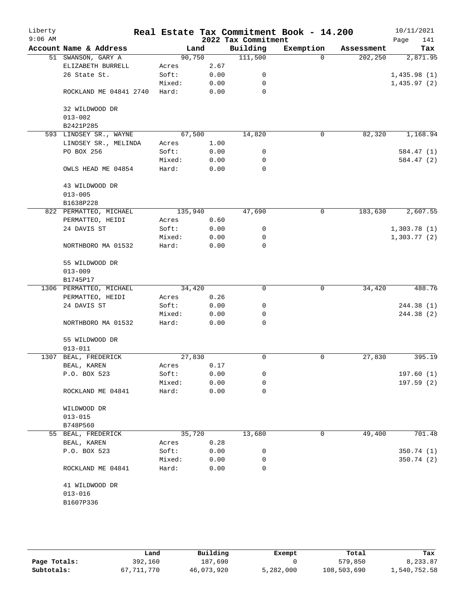| Liberty<br>$9:06$ AM |                               |         |      | 2022 Tax Commitment | Real Estate Tax Commitment Book - 14.200 |            | 10/11/2021<br>141<br>Page |
|----------------------|-------------------------------|---------|------|---------------------|------------------------------------------|------------|---------------------------|
|                      | Account Name & Address        | Land    |      | Building            | Exemption                                | Assessment | Tax                       |
|                      | 51 SWANSON, GARY A            | 90,750  |      | 111,500             | $\Omega$                                 | 202,250    | 2,871.95                  |
|                      | ELIZABETH BURRELL             | Acres   | 2.67 |                     |                                          |            |                           |
|                      | 26 State St.                  | Soft:   | 0.00 | 0                   |                                          |            | 1,435.98(1)               |
|                      |                               | Mixed:  | 0.00 | 0                   |                                          |            | 1,435.97(2)               |
|                      | ROCKLAND ME 04841 2740        | Hard:   | 0.00 | 0                   |                                          |            |                           |
|                      | 32 WILDWOOD DR<br>$013 - 002$ |         |      |                     |                                          |            |                           |
|                      | B2421P285                     |         |      |                     |                                          |            |                           |
|                      | 593 LINDSEY SR., WAYNE        | 67,500  |      | 14,820              | $\mathbf 0$                              | 82,320     | 1,168.94                  |
|                      | LINDSEY SR., MELINDA          | Acres   | 1.00 |                     |                                          |            |                           |
|                      | PO BOX 256                    | Soft:   | 0.00 | 0                   |                                          |            | 584.47 (1)                |
|                      |                               | Mixed:  | 0.00 | 0                   |                                          |            | 584.47 (2)                |
|                      | OWLS HEAD ME 04854            | Hard:   | 0.00 | 0                   |                                          |            |                           |
|                      | 43 WILDWOOD DR<br>$013 - 005$ |         |      |                     |                                          |            |                           |
|                      | B1638P228                     |         |      |                     |                                          |            |                           |
|                      | 822 PERMATTEO, MICHAEL        | 135,940 |      | 47,690              | $\mathbf 0$                              | 183,630    | 2,607.55                  |
|                      | PERMATTEO, HEIDI              | Acres   | 0.60 |                     |                                          |            |                           |
|                      | 24 DAVIS ST                   | Soft:   | 0.00 | 0                   |                                          |            | 1,303.78(1)               |
|                      |                               | Mixed:  | 0.00 | 0                   |                                          |            | 1,303.77(2)               |
|                      | NORTHBORO MA 01532            | Hard:   | 0.00 | 0                   |                                          |            |                           |
|                      | 55 WILDWOOD DR                |         |      |                     |                                          |            |                           |
|                      | $013 - 009$                   |         |      |                     |                                          |            |                           |
|                      | B1745P17                      |         |      |                     |                                          |            |                           |
|                      | 1306 PERMATTEO, MICHAEL       | 34,420  |      | 0                   | 0                                        | 34,420     | 488.76                    |
|                      | PERMATTEO, HEIDI              | Acres   | 0.26 |                     |                                          |            |                           |
|                      | 24 DAVIS ST                   | Soft:   | 0.00 | 0                   |                                          |            | 244.38 (1)                |
|                      |                               | Mixed:  | 0.00 | 0                   |                                          |            | 244.38 (2)                |
|                      | NORTHBORO MA 01532            | Hard:   | 0.00 | $\Omega$            |                                          |            |                           |
|                      | 55 WILDWOOD DR<br>$013 - 011$ |         |      |                     |                                          |            |                           |
| 1307                 | BEAL, FREDERICK               | 27,830  |      | 0                   | 0                                        | 27,830     | 395.19                    |
|                      | BEAL, KAREN                   | Acres   | 0.17 |                     |                                          |            |                           |
|                      | P.O. BOX 523                  | Soft:   | 0.00 | 0                   |                                          |            | 197.60(1)                 |
|                      |                               | Mixed:  | 0.00 | 0                   |                                          |            | 197.59 (2)                |
|                      | ROCKLAND ME 04841             | Hard:   | 0.00 | 0                   |                                          |            |                           |
|                      | WILDWOOD DR                   |         |      |                     |                                          |            |                           |
|                      | $013 - 015$                   |         |      |                     |                                          |            |                           |
|                      | B748P560                      |         |      |                     |                                          |            |                           |
|                      | 55 BEAL, FREDERICK            | 35,720  |      | 13,680              | 0                                        | 49,400     | 701.48                    |
|                      | BEAL, KAREN                   | Acres   | 0.28 |                     |                                          |            |                           |
|                      | P.O. BOX 523                  | Soft:   | 0.00 | 0                   |                                          |            | 350.74(1)                 |
|                      |                               | Mixed:  | 0.00 | 0                   |                                          |            | 350.74(2)                 |
|                      | ROCKLAND ME 04841             | Hard:   | 0.00 | 0                   |                                          |            |                           |
|                      | 41 WILDWOOD DR                |         |      |                     |                                          |            |                           |
|                      | $013 - 016$                   |         |      |                     |                                          |            |                           |
|                      | B1607P336                     |         |      |                     |                                          |            |                           |
|                      |                               |         |      |                     |                                          |            |                           |

|              | Land       | Building   | Exempt    | Total       | Tax          |
|--------------|------------|------------|-----------|-------------|--------------|
| Page Totals: | 392,160    | 187,690    |           | 579,850     | 8,233.87     |
| Subtotals:   | 67,711,770 | 46,073,920 | 5,282,000 | 108,503,690 | 1,540,752.58 |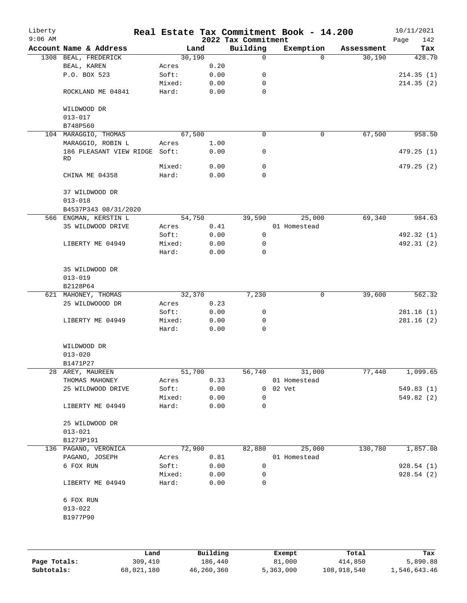| Liberty<br>$9:06$ AM |                                            |        |      | 2022 Tax Commitment | Real Estate Tax Commitment Book - 14.200 |            | 10/11/2021<br>Page<br>142 |
|----------------------|--------------------------------------------|--------|------|---------------------|------------------------------------------|------------|---------------------------|
|                      | Account Name & Address                     |        | Land | Building            | Exemption                                | Assessment | Tax                       |
|                      | 1308 BEAL, FREDERICK                       | 30,190 |      | 0                   | $\Omega$                                 | 30,190     | 428.70                    |
|                      | BEAL, KAREN                                | Acres  | 0.20 |                     |                                          |            |                           |
|                      | P.O. BOX 523                               | Soft:  | 0.00 | 0                   |                                          |            | 214.35(1)                 |
|                      |                                            | Mixed: | 0.00 | 0                   |                                          |            | 214.35(2)                 |
|                      | ROCKLAND ME 04841                          | Hard:  | 0.00 | $\mathbf 0$         |                                          |            |                           |
|                      | WILDWOOD DR                                |        |      |                     |                                          |            |                           |
|                      | $013 - 017$                                |        |      |                     |                                          |            |                           |
|                      | B748P560                                   |        |      |                     |                                          |            |                           |
|                      | 104 MARAGGIO, THOMAS                       | 67,500 |      | 0                   | 0                                        | 67,500     | 958.50                    |
|                      | MARAGGIO, ROBIN L                          | Acres  | 1.00 |                     |                                          |            |                           |
|                      | 186 PLEASANT VIEW RIDGE Soft:<br><b>RD</b> |        | 0.00 | 0                   |                                          |            | 479.25 (1)                |
|                      |                                            | Mixed: | 0.00 | 0                   |                                          |            | 479.25(2)                 |
|                      | CHINA ME 04358                             | Hard:  | 0.00 | $\Omega$            |                                          |            |                           |
|                      | 37 WILDWOOD DR                             |        |      |                     |                                          |            |                           |
|                      | $013 - 018$                                |        |      |                     |                                          |            |                           |
|                      | B4537P343 08/31/2020                       |        |      |                     |                                          |            |                           |
|                      | 566 ENGMAN, KERSTIN L                      | 54,750 |      | 39,590              | 25,000                                   | 69,340     | 984.63                    |
|                      | 35 WILDWOOD DRIVE                          | Acres  | 0.41 |                     | 01 Homestead                             |            |                           |
|                      |                                            | Soft:  | 0.00 | 0                   |                                          |            | 492.32 (1)                |
|                      | LIBERTY ME 04949                           | Mixed: | 0.00 | 0                   |                                          |            | 492.31 (2)                |
|                      |                                            | Hard:  | 0.00 | 0                   |                                          |            |                           |
|                      | 35 WILDWOOD DR                             |        |      |                     |                                          |            |                           |
|                      | $013 - 019$                                |        |      |                     |                                          |            |                           |
|                      | B2128P64                                   |        |      |                     |                                          |            |                           |
|                      | 621 MAHONEY, THOMAS                        | 32,370 |      | 7,230               | 0                                        | 39,600     | 562.32                    |
|                      | 25 WILDWOOOD DR                            | Acres  | 0.23 |                     |                                          |            |                           |
|                      |                                            | Soft:  | 0.00 | 0                   |                                          |            | 281.16(1)                 |
|                      | LIBERTY ME 04949                           | Mixed: | 0.00 | 0                   |                                          |            | 281.16(2)                 |
|                      |                                            | Hard:  | 0.00 | $\mathbf 0$         |                                          |            |                           |
|                      | WILDWOOD DR                                |        |      |                     |                                          |            |                           |
|                      | $013 - 020$                                |        |      |                     |                                          |            |                           |
|                      | B1471P27                                   |        |      |                     |                                          |            |                           |
|                      | 28 AREY, MAUREEN                           | 51,700 |      | 56,740              | 31,000                                   | 77,440     | 1,099.65                  |
|                      | THOMAS MAHONEY                             | Acres  | 0.33 |                     | 01 Homestead                             |            |                           |
|                      | 25 WILDWOOD DRIVE                          | Soft:  | 0.00 |                     | 0 02 Vet                                 |            | 549.83 (1)                |
|                      |                                            | Mixed: | 0.00 | 0                   |                                          |            | 549.82 (2)                |
|                      | LIBERTY ME 04949                           | Hard:  | 0.00 | 0                   |                                          |            |                           |
|                      | 25 WILDWOOD DR                             |        |      |                     |                                          |            |                           |
|                      | $013 - 021$                                |        |      |                     |                                          |            |                           |
|                      | B1273P191                                  |        |      |                     |                                          |            |                           |
|                      | 136 PAGANO, VERONICA                       | 72,900 |      | 82,880              | 25,000                                   | 130,780    | 1,857.08                  |
|                      | PAGANO, JOSEPH                             | Acres  | 0.81 |                     | 01 Homestead                             |            |                           |
|                      | 6 FOX RUN                                  | Soft:  | 0.00 | $\mathsf{O}$        |                                          |            | 928.54 (1)                |
|                      |                                            | Mixed: | 0.00 | 0                   |                                          |            | 928.54(2)                 |
|                      | LIBERTY ME 04949                           | Hard:  | 0.00 | 0                   |                                          |            |                           |
|                      | 6 FOX RUN                                  |        |      |                     |                                          |            |                           |
|                      | $013 - 022$                                |        |      |                     |                                          |            |                           |
|                      | B1977P90                                   |        |      |                     |                                          |            |                           |
|                      |                                            |        |      |                     |                                          |            |                           |
|                      |                                            |        |      |                     |                                          |            |                           |
|                      |                                            |        |      |                     |                                          |            |                           |

|              | Land       | Building   | Exempt    | Total       | Tax          |
|--------------|------------|------------|-----------|-------------|--------------|
| Page Totals: | 309,410    | 186,440    | 81,000    | 414,850     | 5,890.88     |
| Subtotals:   | 68,021,180 | 46,260,360 | 5,363,000 | 108,918,540 | 1,546,643.46 |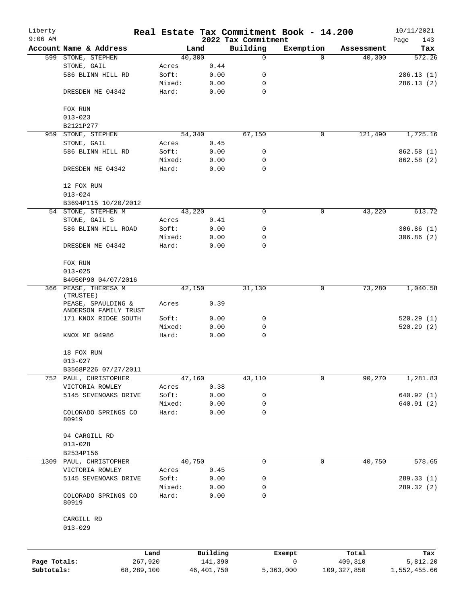| Liberty<br>$9:06$ AM |                                             |                 |                     |                                 | Real Estate Tax Commitment Book - 14.200 |                  | 10/11/2021         |
|----------------------|---------------------------------------------|-----------------|---------------------|---------------------------------|------------------------------------------|------------------|--------------------|
|                      | Account Name & Address                      |                 | Land                | 2022 Tax Commitment<br>Building | Exemption                                | Assessment       | Page<br>143<br>Tax |
|                      | 599 STONE, STEPHEN                          |                 | 40,300              | $\mathbf 0$                     | $\Omega$                                 | 40,300           | 572.26             |
|                      | STONE, GAIL                                 | Acres           | 0.44                |                                 |                                          |                  |                    |
|                      | 586 BLINN HILL RD                           | Soft:           | 0.00                | 0                               |                                          |                  | 286.13(1)          |
|                      |                                             | Mixed:          | 0.00                | 0                               |                                          |                  | 286.13(2)          |
|                      | DRESDEN ME 04342                            | Hard:           | 0.00                | $\mathbf 0$                     |                                          |                  |                    |
|                      | FOX RUN                                     |                 |                     |                                 |                                          |                  |                    |
|                      | $013 - 023$                                 |                 |                     |                                 |                                          |                  |                    |
|                      | B2121P277                                   |                 |                     |                                 |                                          |                  |                    |
| 959                  | STONE, STEPHEN                              |                 | 54,340              | 67,150                          | 0                                        | 121,490          | 1,725.16           |
|                      | STONE, GAIL                                 | Acres           | 0.45                |                                 |                                          |                  |                    |
|                      | 586 BLINN HILL RD                           | Soft:           | 0.00                | 0                               |                                          |                  | 862.58 (1)         |
|                      |                                             | Mixed:          | 0.00                | 0                               |                                          |                  | 862.58 (2)         |
|                      | DRESDEN ME 04342                            | Hard:           | 0.00                | $\Omega$                        |                                          |                  |                    |
|                      | 12 FOX RUN                                  |                 |                     |                                 |                                          |                  |                    |
|                      | $013 - 024$                                 |                 |                     |                                 |                                          |                  |                    |
|                      | B3694P115 10/20/2012                        |                 |                     |                                 |                                          |                  |                    |
|                      | 54 STONE, STEPHEN M                         |                 | 43,220              | 0                               | $\mathbf 0$                              | 43,220           | 613.72             |
|                      | STONE, GAIL S                               | Acres           | 0.41                |                                 |                                          |                  |                    |
|                      | 586 BLINN HILL ROAD                         | Soft:           | 0.00                | 0                               |                                          |                  | 306.86(1)          |
|                      |                                             | Mixed:          | 0.00                | 0                               |                                          |                  | 306.86(2)          |
|                      | DRESDEN ME 04342                            | Hard:           | 0.00                | $\mathbf 0$                     |                                          |                  |                    |
|                      | FOX RUN                                     |                 |                     |                                 |                                          |                  |                    |
|                      | $013 - 025$                                 |                 |                     |                                 |                                          |                  |                    |
|                      | B4050P90 04/07/2016                         |                 |                     |                                 |                                          |                  |                    |
|                      | 366 PEASE, THERESA M<br>(TRUSTEE)           |                 | 42,150              | 31,130                          | 0                                        | 73,280           | 1,040.58           |
|                      | PEASE, SPAULDING &<br>ANDERSON FAMILY TRUST | Acres           | 0.39                |                                 |                                          |                  |                    |
|                      | 171 KNOX RIDGE SOUTH                        | Soft:           | 0.00                | 0                               |                                          |                  | 520.29(1)          |
|                      |                                             | Mixed:          | 0.00                | 0                               |                                          |                  | 520.29(2)          |
|                      | KNOX ME 04986                               | Hard:           | 0.00                | 0                               |                                          |                  |                    |
|                      | 18 FOX RUN                                  |                 |                     |                                 |                                          |                  |                    |
|                      | $013 - 027$                                 |                 |                     |                                 |                                          |                  |                    |
|                      | B3568P226 07/27/2011                        |                 |                     |                                 |                                          |                  |                    |
|                      | 752 PAUL, CHRISTOPHER                       |                 | 47,160              | 43,110                          | $\mathbf 0$                              | 90,270           | 1,281.83           |
|                      | VICTORIA ROWLEY                             | Acres           | 0.38                |                                 |                                          |                  |                    |
|                      | 5145 SEVENOAKS DRIVE                        | Soft:           | 0.00                | 0                               |                                          |                  | 640.92 (1)         |
|                      |                                             | Mixed:          | 0.00                | 0                               |                                          |                  | 640.91(2)          |
|                      | COLORADO SPRINGS CO<br>80919                | Hard:           | 0.00                | $\mathbf 0$                     |                                          |                  |                    |
|                      | 94 CARGILL RD                               |                 |                     |                                 |                                          |                  |                    |
|                      | $013 - 028$                                 |                 |                     |                                 |                                          |                  |                    |
|                      | B2534P156                                   |                 |                     |                                 |                                          |                  |                    |
|                      | 1309 PAUL, CHRISTOPHER                      |                 | 40,750              | 0                               | 0                                        | 40,750           | 578.65             |
|                      | VICTORIA ROWLEY                             | Acres           | 0.45                |                                 |                                          |                  |                    |
|                      | 5145 SEVENOAKS DRIVE                        | Soft:           | 0.00                | 0                               |                                          |                  | 289.33 (1)         |
|                      |                                             |                 |                     | 0                               |                                          |                  | 289.32(2)          |
|                      | COLORADO SPRINGS CO                         | Mixed:<br>Hard: | 0.00<br>0.00        | $\Omega$                        |                                          |                  |                    |
|                      | 80919                                       |                 |                     |                                 |                                          |                  |                    |
|                      | CARGILL RD<br>$013 - 029$                   |                 |                     |                                 |                                          |                  |                    |
|                      |                                             |                 |                     |                                 |                                          |                  |                    |
| Page Totals:         | Land<br>267,920                             |                 | Building<br>141,390 |                                 | Exempt<br>$\mathsf{O}$                   | Total<br>409,310 | Tax<br>5,812.20    |
| Subtotals:           | 68,289,100                                  |                 | 46, 401, 750        |                                 | 5,363,000                                | 109, 327, 850    | 1,552,455.66       |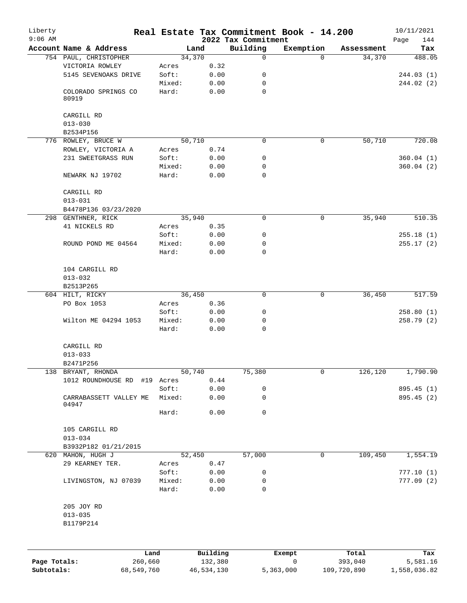| Liberty<br>$9:06$ AM |                                     |                |          |                                 | Real Estate Tax Commitment Book - 14.200 |            | 10/11/2021         |
|----------------------|-------------------------------------|----------------|----------|---------------------------------|------------------------------------------|------------|--------------------|
|                      | Account Name & Address              | Land           |          | 2022 Tax Commitment<br>Building | Exemption                                | Assessment | Page<br>144<br>Tax |
|                      | 754 PAUL, CHRISTOPHER               | 34,370         |          | 0                               | $\Omega$                                 | 34,370     | 488.05             |
|                      | VICTORIA ROWLEY                     | Acres          | 0.32     |                                 |                                          |            |                    |
|                      | 5145 SEVENOAKS DRIVE                | Soft:          | 0.00     | 0                               |                                          |            | 244.03(1)          |
|                      |                                     | Mixed:         | 0.00     | 0                               |                                          |            | 244.02(2)          |
|                      | COLORADO SPRINGS CO<br>80919        | Hard:          | 0.00     | 0                               |                                          |            |                    |
|                      | CARGILL RD                          |                |          |                                 |                                          |            |                    |
|                      | $013 - 030$                         |                |          |                                 |                                          |            |                    |
|                      | B2534P156                           |                |          |                                 |                                          |            |                    |
|                      | 776 ROWLEY, BRUCE W                 | 50,710         |          | 0                               | 0                                        | 50,710     | 720.08             |
|                      | ROWLEY, VICTORIA A                  | Acres          | 0.74     |                                 |                                          |            |                    |
|                      | 231 SWEETGRASS RUN                  | Soft:          | 0.00     | 0                               |                                          |            | 360.04(1)          |
|                      |                                     | Mixed:         | 0.00     | 0                               |                                          |            | 360.04(2)          |
|                      | NEWARK NJ 19702                     | Hard:          | 0.00     | 0                               |                                          |            |                    |
|                      | CARGILL RD                          |                |          |                                 |                                          |            |                    |
|                      | $013 - 031$                         |                |          |                                 |                                          |            |                    |
|                      | B4478P136 03/23/2020                |                |          | 0                               |                                          | 35,940     |                    |
|                      | 298 GENTHNER, RICK<br>41 NICKELS RD | 35,940         | 0.35     |                                 | $\mathsf{O}$                             |            | 510.35             |
|                      |                                     | Acres<br>Soft: | 0.00     | 0                               |                                          |            | 255.18(1)          |
|                      | ROUND POND ME 04564                 | Mixed:         | 0.00     | 0                               |                                          |            | 255.17(2)          |
|                      |                                     | Hard:          | 0.00     | 0                               |                                          |            |                    |
|                      | 104 CARGILL RD                      |                |          |                                 |                                          |            |                    |
|                      | $013 - 032$                         |                |          |                                 |                                          |            |                    |
|                      | B2513P265                           |                |          |                                 |                                          |            |                    |
|                      | 604 HILT, RICKY                     | 36,450         |          | 0                               | 0                                        | 36,450     | 517.59             |
|                      | PO Box 1053                         | Acres          | 0.36     |                                 |                                          |            |                    |
|                      |                                     | Soft:          | 0.00     | 0                               |                                          |            | 258.80(1)          |
|                      | Wilton ME 04294 1053                | Mixed:         | 0.00     | 0                               |                                          |            | 258.79(2)          |
|                      |                                     | Hard:          | 0.00     | 0                               |                                          |            |                    |
|                      | CARGILL RD                          |                |          |                                 |                                          |            |                    |
|                      | $013 - 033$                         |                |          |                                 |                                          |            |                    |
|                      | B2471P256                           |                |          |                                 |                                          |            |                    |
|                      | 138 BRYANT, RHONDA                  | 50,740         |          | 75,380                          | 0                                        | 126,120    | 1,790.90           |
|                      | 1012 ROUNDHOUSE RD                  | #19 Acres      | 0.44     |                                 |                                          |            |                    |
|                      |                                     | Soft:          | 0.00     | 0                               |                                          |            | 895.45 (1)         |
|                      | CARRABASSETT VALLEY ME<br>04947     | Mixed:         | 0.00     | 0                               |                                          |            | 895.45 (2)         |
|                      |                                     | Hard:          | 0.00     | 0                               |                                          |            |                    |
|                      | 105 CARGILL RD<br>$013 - 034$       |                |          |                                 |                                          |            |                    |
|                      | B3932P182 01/21/2015                |                |          |                                 |                                          |            |                    |
|                      | 620 MAHON, HUGH J                   | 52,450         |          | 57,000                          | 0                                        | 109,450    | 1,554.19           |
|                      | 29 KEARNEY TER.                     | Acres          | 0.47     |                                 |                                          |            |                    |
|                      |                                     | Soft:          | 0.00     | 0                               |                                          |            | 777.10(1)          |
|                      | LIVINGSTON, NJ 07039                | Mixed:         | 0.00     | 0                               |                                          |            | 777.09(2)          |
|                      |                                     | Hard:          | 0.00     | 0                               |                                          |            |                    |
|                      | 205 JOY RD                          |                |          |                                 |                                          |            |                    |
|                      | $013 - 035$                         |                |          |                                 |                                          |            |                    |
|                      | B1179P214                           |                |          |                                 |                                          |            |                    |
|                      |                                     |                |          |                                 |                                          |            |                    |
|                      | Land                                |                | Building |                                 | Exempt                                   | Total      | Tax                |
| Page Totals:         | 260,660                             |                | 132,380  |                                 | 0                                        | 393,040    | 5,581.16           |

**Subtotals:** 68,549,760 46,534,130 5,363,000 109,720,890 1,558,036.82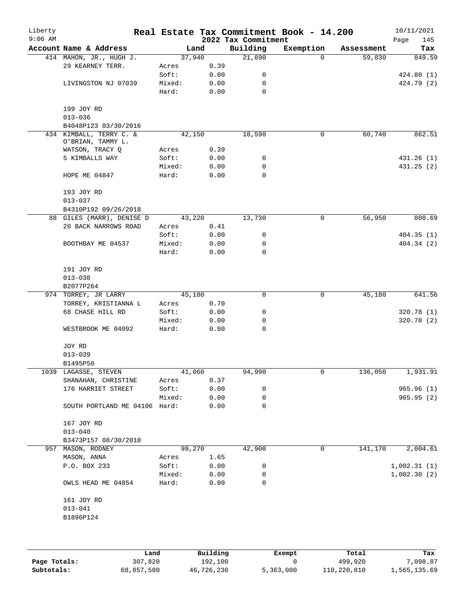| Liberty<br>$9:06$ AM |                                                 |        |      | 2022 Tax Commitment | Real Estate Tax Commitment Book - 14.200 |            | 10/11/2021<br>145<br>Page |
|----------------------|-------------------------------------------------|--------|------|---------------------|------------------------------------------|------------|---------------------------|
|                      | Account Name & Address                          |        | Land | Building            | Exemption                                | Assessment | Tax                       |
|                      | 414 MAHON, JR., HUGH J.                         | 37,940 |      | 21,890              | $\Omega$                                 | 59,830     | 849.59                    |
|                      | 29 KEARNEY TERR.                                | Acres  | 0.39 |                     |                                          |            |                           |
|                      |                                                 | Soft:  | 0.00 | 0                   |                                          |            | 424.80(1)                 |
|                      | LIVINGSTON NJ 07039                             | Mixed: | 0.00 | 0                   |                                          |            | 424.79 (2)                |
|                      |                                                 | Hard:  | 0.00 | 0                   |                                          |            |                           |
|                      | 199 JOY RD                                      |        |      |                     |                                          |            |                           |
|                      | $013 - 036$                                     |        |      |                     |                                          |            |                           |
|                      | B4048P123 03/30/2016<br>434 KIMBALL, TERRY C. & | 42,150 |      | 18,590              | 0                                        | 60,740     | 862.51                    |
|                      | O'BRIAN, TAMMY L.                               |        |      |                     |                                          |            |                           |
|                      | WATSON, TRACY Q                                 | Acres  | 0.39 |                     |                                          |            |                           |
|                      | 5 KIMBALLS WAY                                  | Soft:  | 0.00 | 0                   |                                          |            | 431.26 (1)                |
|                      |                                                 | Mixed: | 0.00 | 0                   |                                          |            | 431.25(2)                 |
|                      | HOPE ME 04847                                   | Hard:  | 0.00 | 0                   |                                          |            |                           |
|                      | 193 JOY RD                                      |        |      |                     |                                          |            |                           |
|                      | $013 - 037$                                     |        |      |                     |                                          |            |                           |
|                      | B4310P192 09/26/2018                            |        |      |                     |                                          |            |                           |
|                      | 88 GILES (MARR), DENISE D                       | 43,220 |      | 13,730              | $\mathsf{O}$                             | 56,950     | 808.69                    |
|                      | 20 BACK NARROWS ROAD                            | Acres  | 0.41 |                     |                                          |            |                           |
|                      |                                                 | Soft:  | 0.00 | 0                   |                                          |            | 404.35(1)                 |
|                      | BOOTHBAY ME 04537                               | Mixed: | 0.00 | 0                   |                                          |            | 404.34 (2)                |
|                      |                                                 | Hard:  | 0.00 | 0                   |                                          |            |                           |
|                      | 191 JOY RD                                      |        |      |                     |                                          |            |                           |
|                      | $013 - 038$                                     |        |      |                     |                                          |            |                           |
|                      | B2077P264                                       |        |      |                     |                                          |            |                           |
|                      | 974 TORREY, JR LARRY                            | 45,180 |      | 0                   | 0                                        | 45,180     | 641.56                    |
|                      | TORREY, KRISTIANNA L                            | Acres  | 0.70 |                     |                                          |            |                           |
|                      | 68 CHASE HILL RD                                | Soft:  | 0.00 | 0                   |                                          |            | 320.78(1)                 |
|                      |                                                 | Mixed: | 0.00 | 0                   |                                          |            | 320.78 (2)                |
|                      | WESTBROOK ME 04092                              | Hard:  | 0.00 | 0                   |                                          |            |                           |
|                      | JOY RD                                          |        |      |                     |                                          |            |                           |
|                      | $013 - 039$                                     |        |      |                     |                                          |            |                           |
|                      | B1495P50                                        |        |      |                     |                                          |            |                           |
|                      | 1039 LAGASSE, STEVEN                            | 41,060 |      | 94,990              | 0                                        | 136,050    | 1,931.91                  |
|                      | SHANAHAN, CHRISTINE                             | Acres  | 0.37 |                     |                                          |            |                           |
|                      | 176 HARRIET STREET                              | Soft:  | 0.00 | 0                   |                                          |            | 965.96(1)                 |
|                      |                                                 | Mixed: | 0.00 | 0                   |                                          |            | 965.95(2)                 |
|                      | SOUTH PORTLAND ME 04106 Hard:                   |        | 0.00 | 0                   |                                          |            |                           |
|                      | 167 JOY RD                                      |        |      |                     |                                          |            |                           |
|                      | $013 - 040$                                     |        |      |                     |                                          |            |                           |
|                      | B3473P157 08/30/2010                            |        |      |                     |                                          |            |                           |
|                      | 957 MASON, RODNEY                               | 98,270 |      | 42,900              | 0                                        | 141,170    | 2,004.61                  |
|                      | MASON, ANNA                                     | Acres  | 1.65 |                     |                                          |            |                           |
|                      | P.O. BOX 233                                    | Soft:  | 0.00 | 0                   |                                          |            | 1,002.31(1)               |
|                      |                                                 | Mixed: | 0.00 | 0                   |                                          |            | 1,002.30(2)               |
|                      | OWLS HEAD ME 04854                              | Hard:  | 0.00 | 0                   |                                          |            |                           |
|                      | 161 JOY RD                                      |        |      |                     |                                          |            |                           |
|                      | $013 - 041$                                     |        |      |                     |                                          |            |                           |
|                      | B1896P124                                       |        |      |                     |                                          |            |                           |
|                      |                                                 |        |      |                     |                                          |            |                           |
|                      |                                                 |        |      |                     |                                          |            |                           |
|                      |                                                 |        |      |                     |                                          |            |                           |

|              | Land       | Building   | Exempt    | Total       | Tax          |
|--------------|------------|------------|-----------|-------------|--------------|
| Page Totals: | 307,820    | 192,100    |           | 499,920     | 7,098.87     |
| Subtotals:   | 68,857,580 | 46,726,230 | 5,363,000 | 110,220,810 | 1,565,135.69 |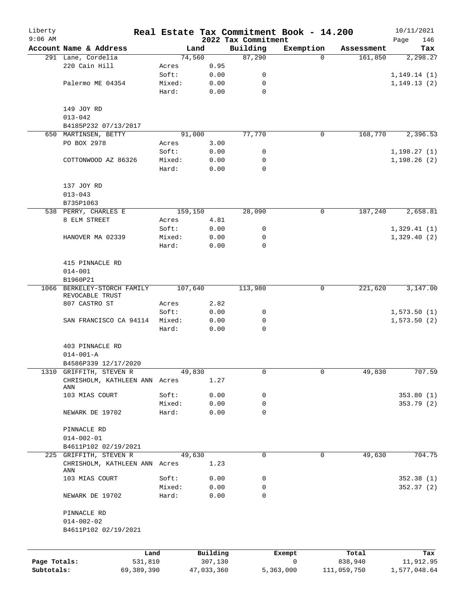| Liberty      |                                                         |        |                     |                     | Real Estate Tax Commitment Book - 14.200 |                       | 10/11/2021         |
|--------------|---------------------------------------------------------|--------|---------------------|---------------------|------------------------------------------|-----------------------|--------------------|
| $9:06$ AM    | Account Name & Address                                  |        |                     | 2022 Tax Commitment |                                          |                       | 146<br>Page<br>Tax |
|              | 291 Lane, Cordelia                                      |        | Land<br>74,560      | Building<br>87,290  | Exemption<br>$\Omega$                    | Assessment<br>161,850 | 2,298.27           |
|              | 220 Cain Hill                                           | Acres  | 0.95                |                     |                                          |                       |                    |
|              |                                                         | Soft:  | 0.00                | 0                   |                                          |                       | 1, 149.14(1)       |
|              | Palermo ME 04354                                        | Mixed: | 0.00                | 0                   |                                          |                       | 1,149.13(2)        |
|              |                                                         | Hard:  | 0.00                | 0                   |                                          |                       |                    |
|              | 149 JOY RD                                              |        |                     |                     |                                          |                       |                    |
|              | $013 - 042$                                             |        |                     |                     |                                          |                       |                    |
|              | B4185P232 07/13/2017                                    |        |                     |                     |                                          |                       |                    |
|              | 650 MARTINSEN, BETTY                                    |        | 91,000              | 77,770              | $\mathbf 0$                              | 168,770               | 2,396.53           |
|              | PO BOX 2978                                             | Acres  | 3.00                |                     |                                          |                       |                    |
|              |                                                         | Soft:  | 0.00                | 0                   |                                          |                       | 1,198.27(1)        |
|              | COTTONWOOD AZ 86326                                     | Mixed: | 0.00                | 0                   |                                          |                       | 1,198.26(2)        |
|              |                                                         | Hard:  | 0.00                | $\mathbf 0$         |                                          |                       |                    |
|              | 137 JOY RD                                              |        |                     |                     |                                          |                       |                    |
|              | $013 - 043$                                             |        |                     |                     |                                          |                       |                    |
|              | B735P1063                                               |        |                     |                     |                                          |                       |                    |
|              | 538 PERRY, CHARLES E                                    |        | 159,150             | 28,090              | 0                                        | 187,240               | 2,658.81           |
|              | 8 ELM STREET                                            | Acres  | 4.81                |                     |                                          |                       |                    |
|              |                                                         | Soft:  | 0.00                | 0                   |                                          |                       | 1,329.41(1)        |
|              | HANOVER MA 02339                                        | Mixed: | 0.00                | 0                   |                                          |                       | 1,329.40(2)        |
|              |                                                         | Hard:  | 0.00                | 0                   |                                          |                       |                    |
|              | 415 PINNACLE RD                                         |        |                     |                     |                                          |                       |                    |
|              | $014 - 001$                                             |        |                     |                     |                                          |                       |                    |
|              | B1960P21                                                |        |                     |                     |                                          |                       |                    |
|              | 1066 BERKELEY-STORCH FAMILY<br>REVOCABLE TRUST          |        | 107,640             | 113,980             | $\mathbf 0$                              | 221,620               | 3,147.00           |
|              | 807 CASTRO ST                                           | Acres  | 2.82                |                     |                                          |                       |                    |
|              |                                                         | Soft:  | 0.00                | 0                   |                                          |                       | 1,573.50(1)        |
|              | SAN FRANCISCO CA 94114                                  | Mixed: | 0.00                | 0                   |                                          |                       | 1,573.50(2)        |
|              |                                                         | Hard:  | 0.00                | $\mathbf 0$         |                                          |                       |                    |
|              | 403 PINNACLE RD                                         |        |                     |                     |                                          |                       |                    |
|              | $014 - 001 - A$                                         |        |                     |                     |                                          |                       |                    |
|              | B4586P339 12/17/2020                                    |        |                     |                     |                                          |                       |                    |
|              | 1310 GRIFFITH, STEVEN R                                 |        | 49,830              | 0                   | 0                                        | 49,830                | 707.59             |
|              | CHRISHOLM, KATHLEEN ANN Acres<br>ANN                    |        | 1.27                |                     |                                          |                       |                    |
|              | 103 MIAS COURT                                          | Soft:  | 0.00                | 0                   |                                          |                       | 353.80(1)          |
|              |                                                         | Mixed: | 0.00                | 0                   |                                          |                       | 353.79 (2)         |
|              | NEWARK DE 19702                                         | Hard:  | 0.00                | 0                   |                                          |                       |                    |
|              | PINNACLE RD                                             |        |                     |                     |                                          |                       |                    |
|              | $014 - 002 - 01$                                        |        |                     |                     |                                          |                       |                    |
|              | B4611P102 02/19/2021                                    |        |                     |                     |                                          |                       |                    |
|              | 225 GRIFFITH, STEVEN R<br>CHRISHOLM, KATHLEEN ANN Acres |        | 49,630<br>1.23      | $\mathbf 0$         | $\mathbf 0$                              | 49,630                | 704.75             |
|              | ANN                                                     |        |                     |                     |                                          |                       |                    |
|              | 103 MIAS COURT                                          | Soft:  | 0.00                | 0                   |                                          |                       | 352.38(1)          |
|              |                                                         | Mixed: | 0.00                | 0                   |                                          |                       | 352.37(2)          |
|              | NEWARK DE 19702                                         | Hard:  | 0.00                | $\Omega$            |                                          |                       |                    |
|              | PINNACLE RD                                             |        |                     |                     |                                          |                       |                    |
|              | $014 - 002 - 02$                                        |        |                     |                     |                                          |                       |                    |
|              | B4611P102 02/19/2021                                    |        |                     |                     |                                          |                       |                    |
|              |                                                         |        |                     |                     |                                          |                       |                    |
| Page Totals: | Land<br>531,810                                         |        | Building<br>307,130 |                     | Exempt<br>$\mathbf 0$                    | Total<br>838,940      | Tax<br>11,912.95   |
| Subtotals:   | 69,389,390                                              |        | 47,033,360          |                     | 5,363,000                                | 111,059,750           | 1,577,048.64       |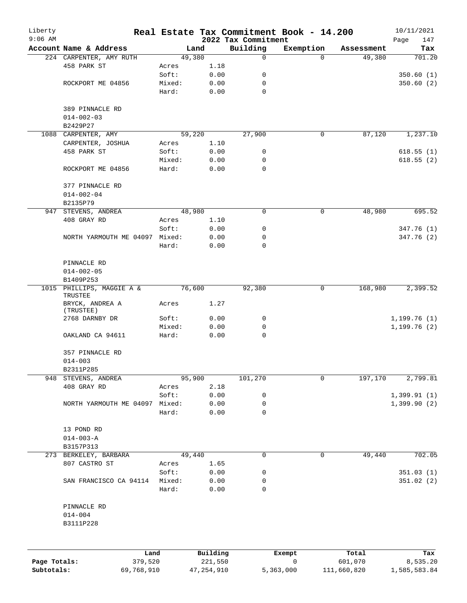| Liberty      |                                      |        |          |                                 | Real Estate Tax Commitment Book - 14.200 |            | 10/11/2021         |
|--------------|--------------------------------------|--------|----------|---------------------------------|------------------------------------------|------------|--------------------|
| $9:06$ AM    | Account Name & Address               |        | Land     | 2022 Tax Commitment<br>Building | Exemption                                | Assessment | Page<br>147<br>Tax |
|              | 224 CARPENTER, AMY RUTH              | 49,380 |          | 0                               | $\Omega$                                 | 49,380     | 701.20             |
|              | 458 PARK ST                          | Acres  | 1.18     |                                 |                                          |            |                    |
|              |                                      | Soft:  | 0.00     | 0                               |                                          |            | 350.60(1)          |
|              | ROCKPORT ME 04856                    | Mixed: | 0.00     | $\mathbf 0$                     |                                          |            | 350.60(2)          |
|              |                                      | Hard:  | 0.00     | $\mathbf 0$                     |                                          |            |                    |
|              | 389 PINNACLE RD                      |        |          |                                 |                                          |            |                    |
|              | $014 - 002 - 03$                     |        |          |                                 |                                          |            |                    |
|              | B2429P27                             |        |          |                                 |                                          |            |                    |
|              | 1088 CARPENTER, AMY                  | 59,220 |          | 27,900                          | 0                                        | 87,120     | 1,237.10           |
|              | CARPENTER, JOSHUA                    | Acres  | 1.10     |                                 |                                          |            |                    |
|              | 458 PARK ST                          | Soft:  | 0.00     | 0                               |                                          |            | 618.55(1)          |
|              |                                      | Mixed: | 0.00     | 0                               |                                          |            | 618.55(2)          |
|              | ROCKPORT ME 04856                    | Hard:  | 0.00     | $\mathbf 0$                     |                                          |            |                    |
|              | 377 PINNACLE RD                      |        |          |                                 |                                          |            |                    |
|              | $014 - 002 - 04$                     |        |          |                                 |                                          |            |                    |
|              | B2135P79                             |        |          |                                 |                                          |            |                    |
|              | 947 STEVENS, ANDREA                  | 48,980 |          | 0                               | 0                                        | 48,980     | 695.52             |
|              | 408 GRAY RD                          | Acres  | 1.10     |                                 |                                          |            |                    |
|              |                                      | Soft:  | 0.00     | 0                               |                                          |            | 347.76 (1)         |
|              | NORTH YARMOUTH ME 04097 Mixed:       |        | 0.00     | 0                               |                                          |            | 347.76 (2)         |
|              |                                      | Hard:  | 0.00     | 0                               |                                          |            |                    |
|              | PINNACLE RD                          |        |          |                                 |                                          |            |                    |
|              | $014 - 002 - 05$                     |        |          |                                 |                                          |            |                    |
|              | B1409P253                            |        |          |                                 |                                          |            |                    |
|              | 1015 PHILLIPS, MAGGIE A &<br>TRUSTEE | 76,600 |          | 92,380                          | 0                                        | 168,980    | 2,399.52           |
|              | BRYCK, ANDREA A<br>(TRUSTEE)         | Acres  | 1.27     |                                 |                                          |            |                    |
|              | 2768 DARNBY DR                       | Soft:  | 0.00     | 0                               |                                          |            | 1,199.76(1)        |
|              |                                      | Mixed: | 0.00     | 0                               |                                          |            | 1, 199.76(2)       |
|              | OAKLAND CA 94611                     | Hard:  | 0.00     | $\mathbf 0$                     |                                          |            |                    |
|              | 357 PINNACLE RD                      |        |          |                                 |                                          |            |                    |
|              | $014 - 003$                          |        |          |                                 |                                          |            |                    |
|              | B2311P285                            |        |          |                                 |                                          |            |                    |
| 948          | STEVENS, ANDREA                      | 95,900 |          | 101,270                         | 0                                        | 197,170    | 2,799.81           |
|              | 408 GRAY RD                          | Acres  | 2.18     |                                 |                                          |            |                    |
|              |                                      | Soft:  | 0.00     | 0                               |                                          |            | 1,399.91(1)        |
|              | NORTH YARMOUTH ME 04097 Mixed:       |        | 0.00     | 0                               |                                          |            | 1,399.90(2)        |
|              |                                      | Hard:  | 0.00     | 0                               |                                          |            |                    |
|              | 13 POND RD                           |        |          |                                 |                                          |            |                    |
|              | $014 - 003 - A$                      |        |          |                                 |                                          |            |                    |
|              | B3157P313                            |        |          |                                 |                                          |            |                    |
|              | 273 BERKELEY, BARBARA                | 49,440 |          | 0                               | 0                                        | 49,440     | 702.05             |
|              | 807 CASTRO ST                        | Acres  | 1.65     |                                 |                                          |            |                    |
|              |                                      | Soft:  | 0.00     | 0                               |                                          |            | 351.03(1)          |
|              | SAN FRANCISCO CA 94114               | Mixed: | 0.00     | 0                               |                                          |            | 351.02(2)          |
|              |                                      | Hard:  | 0.00     | 0                               |                                          |            |                    |
|              | PINNACLE RD                          |        |          |                                 |                                          |            |                    |
|              | $014 - 004$                          |        |          |                                 |                                          |            |                    |
|              | B3111P228                            |        |          |                                 |                                          |            |                    |
|              |                                      |        |          |                                 |                                          |            |                    |
|              |                                      | Land   | Building |                                 | Exempt                                   | Total      | Tax                |
| Page Totals: | 379,520                              |        | 221,550  |                                 | $\mathsf{O}$                             | 601,070    | 8,535.20           |

**Subtotals:** 69,768,910 47,254,910 5,363,000 111,660,820 1,585,583.84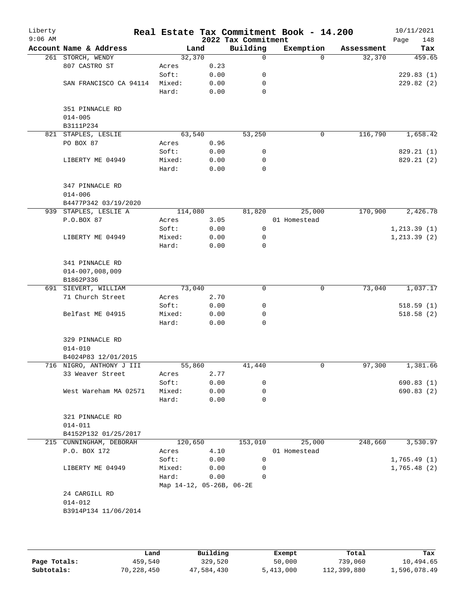| Liberty<br>$9:06$ AM |                          |                          |        |      | 2022 Tax Commitment | Real Estate Tax Commitment Book - 14.200 |            | 10/11/2021<br>Page<br>148 |
|----------------------|--------------------------|--------------------------|--------|------|---------------------|------------------------------------------|------------|---------------------------|
|                      | Account Name & Address   |                          | Land   |      | Building            | Exemption                                | Assessment | Tax                       |
|                      | 261 STORCH, WENDY        |                          | 32,370 |      | 0                   | $\Omega$                                 | 32,370     | 459.65                    |
|                      | 807 CASTRO ST            | Acres                    |        | 0.23 |                     |                                          |            |                           |
|                      |                          | Soft:                    |        | 0.00 | 0                   |                                          |            | 229.83(1)                 |
|                      | SAN FRANCISCO CA 94114   | Mixed:                   |        | 0.00 | 0                   |                                          |            | 229.82(2)                 |
|                      |                          | Hard:                    |        | 0.00 | $\mathbf 0$         |                                          |            |                           |
|                      | 351 PINNACLE RD          |                          |        |      |                     |                                          |            |                           |
|                      | $014 - 005$<br>B3111P234 |                          |        |      |                     |                                          |            |                           |
|                      | 821 STAPLES, LESLIE      |                          | 63,540 |      | 53,250              | 0                                        | 116,790    | 1,658.42                  |
|                      | PO BOX 87                | Acres                    |        | 0.96 |                     |                                          |            |                           |
|                      |                          | Soft:                    |        | 0.00 | 0                   |                                          |            | 829.21 (1)                |
|                      | LIBERTY ME 04949         | Mixed:                   |        | 0.00 | 0                   |                                          |            | 829.21 (2)                |
|                      |                          | Hard:                    |        | 0.00 | $\mathbf 0$         |                                          |            |                           |
|                      | 347 PINNACLE RD          |                          |        |      |                     |                                          |            |                           |
|                      | $014 - 006$              |                          |        |      |                     |                                          |            |                           |
|                      | B4477P342 03/19/2020     |                          |        |      |                     |                                          |            |                           |
|                      | 939 STAPLES, LESLIE A    | 114,080                  |        |      | 81,820              | 25,000                                   | 170,900    | 2,426.78                  |
|                      | P.O.BOX 87               | Acres                    |        | 3.05 |                     | 01 Homestead                             |            |                           |
|                      |                          | Soft:                    |        | 0.00 | 0                   |                                          |            | 1, 213.39(1)              |
|                      | LIBERTY ME 04949         | Mixed:                   |        | 0.00 | 0                   |                                          |            | 1, 213.39(2)              |
|                      |                          | Hard:                    |        | 0.00 | 0                   |                                          |            |                           |
|                      | 341 PINNACLE RD          |                          |        |      |                     |                                          |            |                           |
|                      | $014 - 007,008,009$      |                          |        |      |                     |                                          |            |                           |
|                      | B1862P336                |                          |        |      |                     |                                          |            |                           |
|                      | 691 SIEVERT, WILLIAM     |                          | 73,040 |      | 0                   | 0                                        | 73,040     | 1,037.17                  |
|                      | 71 Church Street         | Acres                    |        | 2.70 |                     |                                          |            |                           |
|                      |                          | Soft:                    |        | 0.00 | 0                   |                                          |            | 518.59(1)                 |
|                      | Belfast ME 04915         | Mixed:                   |        | 0.00 | 0                   |                                          |            | 518.58(2)                 |
|                      |                          | Hard:                    |        | 0.00 | 0                   |                                          |            |                           |
|                      | 329 PINNACLE RD          |                          |        |      |                     |                                          |            |                           |
|                      | $014 - 010$              |                          |        |      |                     |                                          |            |                           |
|                      | B4024P83 12/01/2015      |                          |        |      |                     |                                          |            |                           |
|                      | 716 NIGRO, ANTHONY J III |                          | 55,860 |      | 41,440              | 0                                        | 97,300     | 1,381.66                  |
|                      | 33 Weaver Street         | Acres                    |        | 2.77 |                     |                                          |            |                           |
|                      |                          | Soft:                    |        | 0.00 | 0                   |                                          |            | 690.83(1)                 |
|                      | West Wareham MA 02571    | Mixed:                   |        | 0.00 | 0                   |                                          |            | 690.83 (2)                |
|                      |                          | Hard:                    |        | 0.00 | 0                   |                                          |            |                           |
|                      | 321 PINNACLE RD          |                          |        |      |                     |                                          |            |                           |
|                      | $014 - 011$              |                          |        |      |                     |                                          |            |                           |
|                      | B4152P132 01/25/2017     |                          |        |      |                     |                                          |            |                           |
|                      | 215 CUNNINGHAM, DEBORAH  | 120,650                  |        |      | 153,010             | 25,000                                   | 248,660    | 3,530.97                  |
|                      | P.O. BOX 172             | Acres                    |        | 4.10 |                     | 01 Homestead                             |            |                           |
|                      |                          | Soft:                    |        | 0.00 | 0                   |                                          |            | 1,765.49(1)               |
|                      | LIBERTY ME 04949         | Mixed:                   |        | 0.00 | 0                   |                                          |            | 1,765.48(2)               |
|                      |                          | Hard:                    |        | 0.00 | 0                   |                                          |            |                           |
|                      |                          | Map 14-12, 05-26B, 06-2E |        |      |                     |                                          |            |                           |
|                      | 24 CARGILL RD            |                          |        |      |                     |                                          |            |                           |
|                      | $014 - 012$              |                          |        |      |                     |                                          |            |                           |
|                      | B3914P134 11/06/2014     |                          |        |      |                     |                                          |            |                           |
|                      |                          |                          |        |      |                     |                                          |            |                           |
|                      |                          |                          |        |      |                     |                                          |            |                           |
|                      |                          |                          |        |      |                     |                                          |            |                           |

|              | Land       | Building   | Exempt    | Total       | Tax          |
|--------------|------------|------------|-----------|-------------|--------------|
| Page Totals: | 459,540    | 329,520    | 50,000    | 739,060     | 10,494.65    |
| Subtotals:   | 70,228,450 | 47,584,430 | 5,413,000 | 112,399,880 | 1,596,078.49 |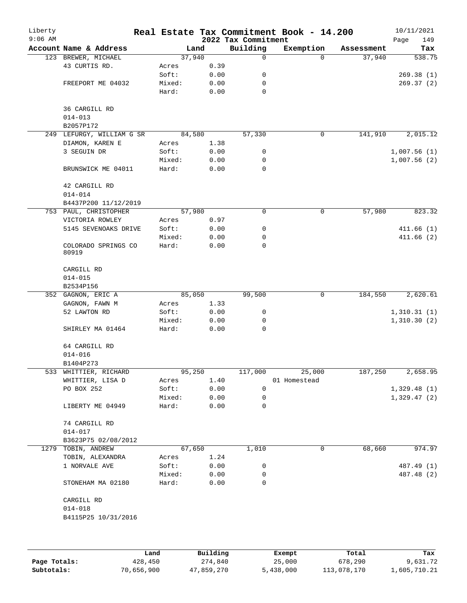| Liberty<br>$9:06$ AM |                              |                 |              | 2022 Tax Commitment | Real Estate Tax Commitment Book - 14.200 |            | 10/11/2021<br>Page<br>149 |
|----------------------|------------------------------|-----------------|--------------|---------------------|------------------------------------------|------------|---------------------------|
|                      | Account Name & Address       |                 | Land         | Building            | Exemption                                | Assessment | Tax                       |
|                      | 123 BREWER, MICHAEL          | 37,940          |              | 0                   | $\Omega$                                 | 37,940     | 538.75                    |
|                      | 43 CURTIS RD.                | Acres           | 0.39         |                     |                                          |            |                           |
|                      |                              | Soft:           | 0.00         | 0                   |                                          |            | 269.38(1)                 |
|                      | FREEPORT ME 04032            | Mixed:          | 0.00         | 0                   |                                          |            | 269.37(2)                 |
|                      |                              | Hard:           | 0.00         | $\mathbf 0$         |                                          |            |                           |
|                      | 36 CARGILL RD                |                 |              |                     |                                          |            |                           |
|                      | $014 - 013$                  |                 |              |                     |                                          |            |                           |
|                      | B2057P172                    |                 |              |                     |                                          |            |                           |
|                      | 249 LEFURGY, WILLIAM G SR    | 84,580          |              | 57,330              | 0                                        | 141,910    | 2,015.12                  |
|                      | DIAMON, KAREN E              | Acres           | 1.38         |                     |                                          |            |                           |
|                      | 3 SEGUIN DR                  | Soft:           | 0.00         | 0                   |                                          |            | 1,007.56(1)               |
|                      | BRUNSWICK ME 04011           | Mixed:<br>Hard: | 0.00<br>0.00 | 0<br>0              |                                          |            | 1,007.56(2)               |
|                      |                              |                 |              |                     |                                          |            |                           |
|                      | 42 CARGILL RD                |                 |              |                     |                                          |            |                           |
|                      | $014 - 014$                  |                 |              |                     |                                          |            |                           |
|                      | B4437P200 11/12/2019         |                 |              |                     |                                          |            |                           |
|                      | 753 PAUL, CHRISTOPHER        | 57,980          |              | 0                   | 0                                        | 57,980     | 823.32                    |
|                      | VICTORIA ROWLEY              | Acres           | 0.97         |                     |                                          |            |                           |
|                      | 5145 SEVENOAKS DRIVE         | Soft:           | 0.00         | 0                   |                                          |            | 411.66(1)                 |
|                      |                              | Mixed:          | 0.00         | 0                   |                                          |            | 411.66(2)                 |
|                      | COLORADO SPRINGS CO<br>80919 | Hard:           | 0.00         | 0                   |                                          |            |                           |
|                      | CARGILL RD                   |                 |              |                     |                                          |            |                           |
|                      | $014 - 015$                  |                 |              |                     |                                          |            |                           |
|                      | B2534P156                    |                 |              |                     |                                          |            |                           |
|                      | 352 GAGNON, ERIC A           | 85,050          |              | 99,500              | $\mathsf{O}$                             | 184,550    | 2,620.61                  |
|                      | GAGNON, FAWN M               | Acres           | 1.33         |                     |                                          |            |                           |
|                      | 52 LAWTON RD                 | Soft:           | 0.00         | 0                   |                                          |            | 1,310.31(1)               |
|                      |                              | Mixed:          | 0.00         | 0                   |                                          |            | 1,310.30(2)               |
|                      | SHIRLEY MA 01464             | Hard:           | 0.00         | 0                   |                                          |            |                           |
|                      | 64 CARGILL RD                |                 |              |                     |                                          |            |                           |
|                      | $014 - 016$                  |                 |              |                     |                                          |            |                           |
|                      | B1404P273                    |                 |              |                     |                                          |            |                           |
|                      | 533 WHITTIER, RICHARD        | 95,250          |              | 117,000             | 25,000                                   | 187,250    | 2,658.95                  |
|                      | WHITTIER, LISA D             | Acres           | 1.40         |                     | 01 Homestead                             |            |                           |
|                      | PO BOX 252                   | Soft:           | 0.00         | 0                   |                                          |            | 1,329.48(1)               |
|                      | LIBERTY ME 04949             | Mixed:<br>Hard: | 0.00<br>0.00 | 0<br>0              |                                          |            | 1,329.47(2)               |
|                      |                              |                 |              |                     |                                          |            |                           |
|                      | 74 CARGILL RD                |                 |              |                     |                                          |            |                           |
|                      | $014 - 017$                  |                 |              |                     |                                          |            |                           |
|                      | B3623P75 02/08/2012          |                 |              |                     |                                          |            |                           |
|                      | 1279 TOBIN, ANDREW           |                 | 67,650       | 1,010               | 0                                        | 68,660     | 974.97                    |
|                      | TOBIN, ALEXANDRA             | Acres           | 1.24         |                     |                                          |            |                           |
|                      | 1 NORVALE AVE                | Soft:           | 0.00         | 0                   |                                          |            | 487.49 (1)                |
|                      |                              | Mixed:          | 0.00         | 0                   |                                          |            | 487.48 (2)                |
|                      | STONEHAM MA 02180            | Hard:           | 0.00         | 0                   |                                          |            |                           |
|                      | CARGILL RD                   |                 |              |                     |                                          |            |                           |
|                      | $014 - 018$                  |                 |              |                     |                                          |            |                           |
|                      | B4115P25 10/31/2016          |                 |              |                     |                                          |            |                           |
|                      |                              |                 |              |                     |                                          |            |                           |
|                      |                              |                 |              |                     |                                          |            |                           |

|              | Land       | Building   | Exempt    | Total       | Tax          |
|--------------|------------|------------|-----------|-------------|--------------|
| Page Totals: | 428,450    | 274,840    | 25,000    | 678,290     | 9,631.72     |
| Subtotals:   | 70,656,900 | 47,859,270 | 5,438,000 | 113,078,170 | 1,605,710.21 |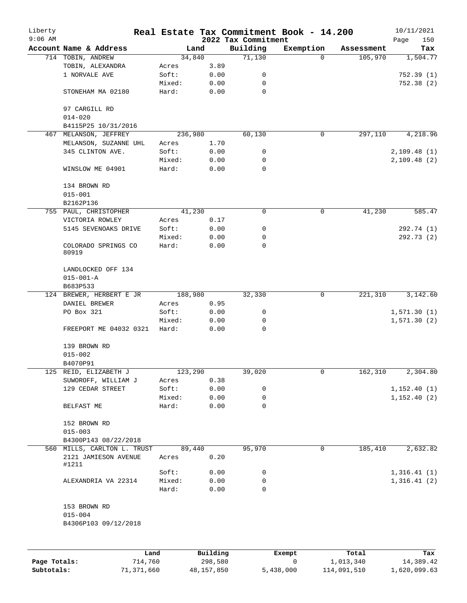| Liberty<br>$9:06$ AM |                                                   |                 |              | 2022 Tax Commitment | Real Estate Tax Commitment Book - 14.200 |            | 10/11/2021         |
|----------------------|---------------------------------------------------|-----------------|--------------|---------------------|------------------------------------------|------------|--------------------|
|                      | Account Name & Address                            |                 | Land         | Building            | Exemption                                | Assessment | Page<br>150<br>Tax |
|                      | 714 TOBIN, ANDREW                                 |                 | 34,840       | 71,130              | $\Omega$                                 | 105,970    | 1,504.77           |
|                      | TOBIN, ALEXANDRA                                  | Acres           | 3.89         |                     |                                          |            |                    |
|                      | 1 NORVALE AVE                                     | Soft:           | 0.00         | 0                   |                                          |            | 752.39(1)          |
|                      |                                                   | Mixed:          | 0.00         | 0                   |                                          |            | 752.38(2)          |
|                      | STONEHAM MA 02180                                 | Hard:           | 0.00         | $\mathbf 0$         |                                          |            |                    |
|                      | 97 CARGILL RD<br>$014 - 020$                      |                 |              |                     |                                          |            |                    |
|                      | B4115P25 10/31/2016                               |                 |              |                     |                                          |            |                    |
|                      | 467 MELANSON, JEFFREY                             | 236,980         |              | 60,130              | 0                                        | 297,110    | 4,218.96           |
|                      | MELANSON, SUZANNE UHL                             | Acres           | 1.70         |                     |                                          |            |                    |
|                      | 345 CLINTON AVE.                                  | Soft:           | 0.00         | 0                   |                                          |            | 2,109.48(1)        |
|                      |                                                   | Mixed:          | 0.00         | 0                   |                                          |            | 2,109.48(2)        |
|                      | WINSLOW ME 04901                                  | Hard:           | 0.00         | $\mathbf 0$         |                                          |            |                    |
|                      | 134 BROWN RD<br>$015 - 001$                       |                 |              |                     |                                          |            |                    |
|                      | B2162P136                                         |                 |              |                     |                                          |            |                    |
|                      | 755 PAUL, CHRISTOPHER                             |                 | 41,230       | 0                   | 0                                        | 41,230     | 585.47             |
|                      | VICTORIA ROWLEY                                   | Acres           | 0.17         |                     |                                          |            |                    |
|                      | 5145 SEVENOAKS DRIVE                              | Soft:           | 0.00         | 0                   |                                          |            | 292.74 (1)         |
|                      |                                                   | Mixed:          | 0.00         | 0                   |                                          |            | 292.73 (2)         |
|                      | COLORADO SPRINGS CO<br>80919                      | Hard:           | 0.00         | $\mathbf 0$         |                                          |            |                    |
|                      | LANDLOCKED OFF 134<br>$015 - 001 - A$<br>B683P533 |                 |              |                     |                                          |            |                    |
|                      | 124 BREWER, HERBERT E JR                          | 188,980         |              | 32,330              | 0                                        | 221,310    | 3,142.60           |
|                      | DANIEL BREWER                                     | Acres           | 0.95         |                     |                                          |            |                    |
|                      | PO Box 321                                        | Soft:           | 0.00         | 0                   |                                          |            | 1,571.30(1)        |
|                      |                                                   | Mixed:          | 0.00         | 0                   |                                          |            | 1,571.30(2)        |
|                      | FREEPORT ME 04032 0321                            | Hard:           | 0.00         | $\mathbf 0$         |                                          |            |                    |
|                      | 139 BROWN RD                                      |                 |              |                     |                                          |            |                    |
|                      | $015 - 002$                                       |                 |              |                     |                                          |            |                    |
|                      | B4070P91                                          |                 |              |                     |                                          |            |                    |
|                      | 125 REID, ELIZABETH J                             | 123,290         |              | 39,020              | 0                                        | 162,310    | 2,304.80           |
|                      | SUWOROFF, WILLIAM J                               | Acres           | 0.38         |                     |                                          |            |                    |
|                      | 129 CEDAR STREET                                  | Soft:           | 0.00         | 0                   |                                          |            | 1, 152.40(1)       |
|                      |                                                   | Mixed:          | 0.00         | 0                   |                                          |            | 1, 152.40(2)       |
|                      | BELFAST ME                                        | Hard:           | 0.00         | 0                   |                                          |            |                    |
|                      | 152 BROWN RD                                      |                 |              |                     |                                          |            |                    |
|                      | $015 - 003$                                       |                 |              |                     |                                          |            |                    |
|                      | B4300P143 08/22/2018                              |                 |              |                     |                                          |            |                    |
|                      | 560 MILLS, CARLTON L. TRUST                       |                 | 89,440       | 95,970              | 0                                        | 185,410    | 2,632.82           |
|                      | 2121 JAMIESON AVENUE<br>#1211                     | Acres           | 0.20         |                     |                                          |            |                    |
|                      |                                                   | Soft:           | 0.00         | 0                   |                                          |            | 1,316.41(1)        |
|                      | ALEXANDRIA VA 22314                               | Mixed:<br>Hard: | 0.00<br>0.00 | 0<br>0              |                                          |            | 1,316.41(2)        |
|                      |                                                   |                 |              |                     |                                          |            |                    |
|                      | 153 BROWN RD                                      |                 |              |                     |                                          |            |                    |
|                      | $015 - 004$                                       |                 |              |                     |                                          |            |                    |
|                      | B4306P103 09/12/2018                              |                 |              |                     |                                          |            |                    |
|                      |                                                   |                 |              |                     |                                          |            |                    |
|                      |                                                   | Land            | Building     |                     | Exempt                                   | Total      | Tax                |

|              | Land       | Building   | Exempt    | Total       | Tax          |
|--------------|------------|------------|-----------|-------------|--------------|
| Page Totals: | 714,760    | 298,580    |           | 1,013,340   | 14,389.42    |
| Subtotals:   | 71,371,660 | 48,157,850 | 5,438,000 | 114,091,510 | 1,620,099.63 |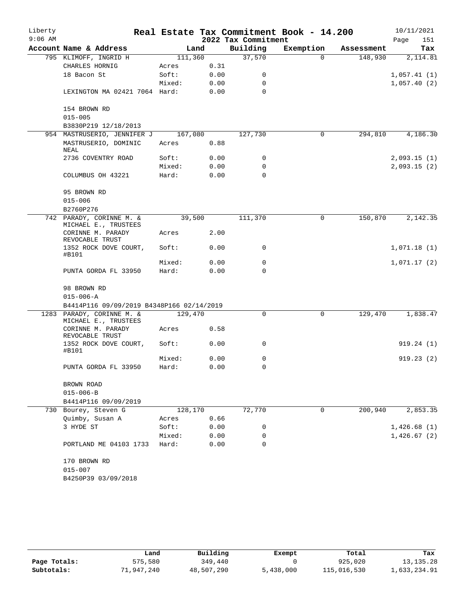| Liberty<br>$9:06$ AM |                                                   |         |      | 2022 Tax Commitment | Real Estate Tax Commitment Book - 14.200 |            | 10/11/2021<br>Page<br>151 |
|----------------------|---------------------------------------------------|---------|------|---------------------|------------------------------------------|------------|---------------------------|
|                      | Account Name & Address                            | Land    |      | Building            | Exemption                                | Assessment | Tax                       |
|                      | 795 KLIMOFF, INGRID H                             | 111,360 |      | 37,570              | $\Omega$                                 | 148,930    | 2,114.81                  |
|                      | CHARLES HORNIG                                    | Acres   | 0.31 |                     |                                          |            |                           |
|                      | 18 Bacon St                                       | Soft:   | 0.00 | 0                   |                                          |            | 1,057.41(1)               |
|                      |                                                   | Mixed:  | 0.00 | $\Omega$            |                                          |            | 1,057.40(2)               |
|                      | LEXINGTON MA 02421 7064 Hard:                     |         | 0.00 | $\Omega$            |                                          |            |                           |
|                      | 154 BROWN RD<br>$015 - 005$                       |         |      |                     |                                          |            |                           |
|                      | B3830P219 12/18/2013                              |         |      |                     |                                          |            |                           |
|                      | 954 MASTRUSERIO, JENNIFER J                       | 167,080 |      | 127,730             | 0                                        | 294,810    | 4,186.30                  |
|                      | MASTRUSERIO, DOMINIC<br>NEAL                      | Acres   | 0.88 |                     |                                          |            |                           |
|                      | 2736 COVENTRY ROAD                                | Soft:   | 0.00 | 0                   |                                          |            | 2,093.15(1)               |
|                      |                                                   | Mixed:  | 0.00 | 0                   |                                          |            | 2,093.15(2)               |
|                      | COLUMBUS OH 43221                                 | Hard:   | 0.00 | $\Omega$            |                                          |            |                           |
|                      | 95 BROWN RD                                       |         |      |                     |                                          |            |                           |
|                      | $015 - 006$                                       |         |      |                     |                                          |            |                           |
|                      | B2760P276                                         |         |      |                     |                                          |            |                           |
|                      | 742 PARADY, CORINNE M. &<br>MICHAEL E., TRUSTEES  | 39,500  |      | 111,370             | $\mathsf{O}$                             | 150,870    | 2,142.35                  |
|                      | CORINNE M. PARADY<br>REVOCABLE TRUST              | Acres   | 2.00 |                     |                                          |            |                           |
|                      | 1352 ROCK DOVE COURT,<br>#B101                    | Soft:   | 0.00 | 0                   |                                          |            | 1,071.18(1)               |
|                      |                                                   | Mixed:  | 0.00 | 0                   |                                          |            | 1,071.17(2)               |
|                      | PUNTA GORDA FL 33950                              | Hard:   | 0.00 | $\Omega$            |                                          |            |                           |
|                      | 98 BROWN RD                                       |         |      |                     |                                          |            |                           |
|                      | $015 - 006 - A$                                   |         |      |                     |                                          |            |                           |
|                      | B4414P116 09/09/2019 B4348P166 02/14/2019         |         |      |                     |                                          |            |                           |
|                      | 1283 PARADY, CORINNE M. &<br>MICHAEL E., TRUSTEES | 129,470 |      | $\Omega$            | 0                                        | 129,470    | 1,838.47                  |
|                      | CORINNE M. PARADY<br>REVOCABLE TRUST              | Acres   | 0.58 |                     |                                          |            |                           |
|                      | 1352 ROCK DOVE COURT,<br>#B101                    | Soft:   | 0.00 | 0                   |                                          |            | 919.24(1)                 |
|                      |                                                   | Mixed:  | 0.00 | 0                   |                                          |            | 919.23(2)                 |
|                      | PUNTA GORDA FL 33950                              | Hard:   | 0.00 | $\Omega$            |                                          |            |                           |
|                      | BROWN ROAD                                        |         |      |                     |                                          |            |                           |
|                      | $015 - 006 - B$                                   |         |      |                     |                                          |            |                           |
|                      | B4414P116 09/09/2019                              |         |      |                     |                                          |            |                           |
|                      | 730 Bourey, Steven G                              | 128,170 |      | 72,770              | 0                                        | 200,940    | 2,853.35                  |
|                      | Quimby, Susan A                                   | Acres   | 0.66 |                     |                                          |            |                           |
|                      | 3 HYDE ST                                         | Soft:   | 0.00 | 0                   |                                          |            | 1,426.68(1)               |
|                      |                                                   | Mixed:  | 0.00 | 0                   |                                          |            | 1,426.67(2)               |
|                      | PORTLAND ME 04103 1733                            | Hard:   | 0.00 | 0                   |                                          |            |                           |
|                      | 170 BROWN RD                                      |         |      |                     |                                          |            |                           |
|                      | $015 - 007$                                       |         |      |                     |                                          |            |                           |
|                      | B4250P39 03/09/2018                               |         |      |                     |                                          |            |                           |

|              | Land       | Building   | Exempt    | Total       | Tax          |
|--------------|------------|------------|-----------|-------------|--------------|
| Page Totals: | 575,580    | 349,440    |           | 925,020     | 13, 135. 28  |
| Subtotals:   | 71,947,240 | 48,507,290 | 5,438,000 | 115,016,530 | 1,633,234.91 |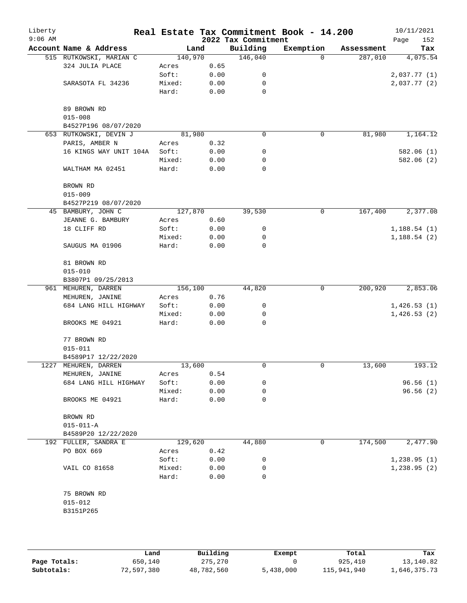| Liberty<br>$9:06$ AM |                         |         |      | 2022 Tax Commitment | Real Estate Tax Commitment Book - 14.200 |            | 10/11/2021<br>152<br>Page |
|----------------------|-------------------------|---------|------|---------------------|------------------------------------------|------------|---------------------------|
|                      | Account Name & Address  | Land    |      | Building            | Exemption                                | Assessment | Tax                       |
|                      | 515 RUTKOWSKI, MARIAN C | 140,970 |      | 146,040             | $\Omega$                                 | 287,010    | 4,075.54                  |
|                      | 324 JULIA PLACE         | Acres   | 0.65 |                     |                                          |            |                           |
|                      |                         | Soft:   | 0.00 | 0                   |                                          |            | 2,037.77(1)               |
|                      | SARASOTA FL 34236       | Mixed:  | 0.00 | 0                   |                                          |            | 2,037.77 (2)              |
|                      |                         | Hard:   | 0.00 | $\mathbf 0$         |                                          |            |                           |
|                      | 89 BROWN RD             |         |      |                     |                                          |            |                           |
|                      | $015 - 008$             |         |      |                     |                                          |            |                           |
|                      | B4527P196 08/07/2020    |         |      |                     |                                          |            |                           |
|                      | 653 RUTKOWSKI, DEVIN J  | 81,980  |      | 0                   | 0                                        | 81,980     | 1,164.12                  |
|                      | PARIS, AMBER N          | Acres   | 0.32 |                     |                                          |            |                           |
|                      | 16 KINGS WAY UNIT 104A  | Soft:   | 0.00 | 0                   |                                          |            | 582.06 (1)                |
|                      |                         | Mixed:  | 0.00 | 0                   |                                          |            | 582.06 (2)                |
|                      | WALTHAM MA 02451        | Hard:   | 0.00 | 0                   |                                          |            |                           |
|                      | BROWN RD                |         |      |                     |                                          |            |                           |
|                      | $015 - 009$             |         |      |                     |                                          |            |                           |
|                      | B4527P219 08/07/2020    |         |      |                     |                                          |            |                           |
|                      | 45 BAMBURY, JOHN C      | 127,870 |      | 39,530              | 0                                        | 167,400    | 2,377.08                  |
|                      | JEANNE G. BAMBURY       | Acres   | 0.60 |                     |                                          |            |                           |
|                      | 18 CLIFF RD             | Soft:   | 0.00 | 0                   |                                          |            | 1,188.54(1)               |
|                      |                         | Mixed:  | 0.00 | 0                   |                                          |            | 1,188.54(2)               |
|                      | SAUGUS MA 01906         | Hard:   | 0.00 | 0                   |                                          |            |                           |
|                      | 81 BROWN RD             |         |      |                     |                                          |            |                           |
|                      | $015 - 010$             |         |      |                     |                                          |            |                           |
|                      | B3807P1 09/25/2013      |         |      |                     |                                          |            |                           |
|                      | 961 MEHUREN, DARREN     | 156,100 |      | 44,820              | 0                                        | 200,920    | 2,853.06                  |
|                      | MEHUREN, JANINE         | Acres   | 0.76 |                     |                                          |            |                           |
|                      | 684 LANG HILL HIGHWAY   | Soft:   | 0.00 | 0                   |                                          |            | 1,426.53(1)               |
|                      |                         | Mixed:  | 0.00 | 0                   |                                          |            | 1,426.53(2)               |
|                      | BROOKS ME 04921         | Hard:   | 0.00 | 0                   |                                          |            |                           |
|                      | 77 BROWN RD             |         |      |                     |                                          |            |                           |
|                      | $015 - 011$             |         |      |                     |                                          |            |                           |
|                      | B4589P17 12/22/2020     |         |      |                     |                                          |            |                           |
|                      | 1227 MEHUREN, DARREN    | 13,600  |      | 0                   | 0                                        | 13,600     | 193.12                    |
|                      | MEHUREN, JANINE         | Acres   | 0.54 |                     |                                          |            |                           |
|                      | 684 LANG HILL HIGHWAY   | Soft:   | 0.00 | 0                   |                                          |            | 96.56(1)                  |
|                      |                         | Mixed:  | 0.00 | 0                   |                                          |            | 96.56(2)                  |
|                      | BROOKS ME 04921         | Hard:   | 0.00 | 0                   |                                          |            |                           |
|                      | BROWN RD                |         |      |                     |                                          |            |                           |
|                      | $015 - 011 - A$         |         |      |                     |                                          |            |                           |
|                      | B4589P20 12/22/2020     |         |      |                     |                                          |            |                           |
|                      | 192 FULLER, SANDRA E    | 129,620 |      | 44,880              | 0                                        | 174,500    | 2,477.90                  |
|                      | PO BOX 669              | Acres   | 0.42 |                     |                                          |            |                           |
|                      |                         | Soft:   | 0.00 | 0                   |                                          |            | 1,238.95(1)               |
|                      | VAIL CO 81658           | Mixed:  | 0.00 | 0                   |                                          |            | 1,238.95(2)               |
|                      |                         | Hard:   | 0.00 | 0                   |                                          |            |                           |
|                      | 75 BROWN RD             |         |      |                     |                                          |            |                           |
|                      | $015 - 012$             |         |      |                     |                                          |            |                           |
|                      | B3151P265               |         |      |                     |                                          |            |                           |
|                      |                         |         |      |                     |                                          |            |                           |
|                      |                         |         |      |                     |                                          |            |                           |

|              | Land       | Building   | Exempt    | Total       | Tax          |
|--------------|------------|------------|-----------|-------------|--------------|
| Page Totals: | 650,140    | 275,270    |           | 925,410     | 13,140.82    |
| Subtotals:   | 72,597,380 | 48,782,560 | 5,438,000 | 115,941,940 | 1,646,375.73 |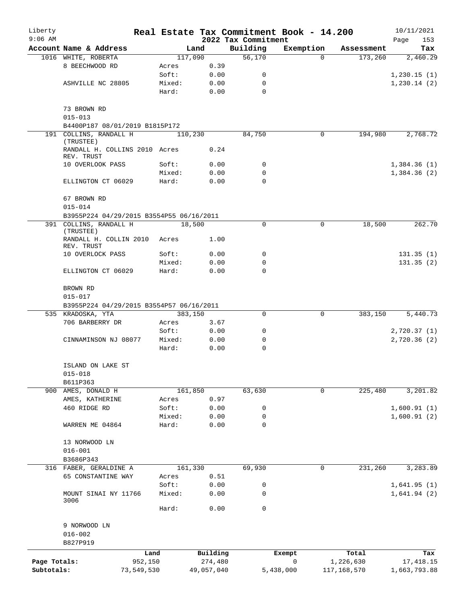| Liberty<br>$9:06$ AM |                                                               |         |                | 2022 Tax Commitment | Real Estate Tax Commitment Book - 14.200 |             | 10/11/2021         |
|----------------------|---------------------------------------------------------------|---------|----------------|---------------------|------------------------------------------|-------------|--------------------|
|                      | Account Name & Address                                        |         | Land           | Building            | Exemption                                | Assessment  | 153<br>Page<br>Tax |
|                      | 1016 WHITE, ROBERTA                                           |         | 117,090        | 56,170              | $\Omega$                                 | 173,260     | 2,460.29           |
|                      | 8 BEECHWOOD RD                                                | Acres   | 0.39           |                     |                                          |             |                    |
|                      |                                                               | Soft:   | 0.00           | 0                   |                                          |             | 1,230.15(1)        |
|                      | ASHVILLE NC 28805                                             | Mixed:  | 0.00           | 0                   |                                          |             | 1, 230.14(2)       |
|                      |                                                               | Hard:   | 0.00           | $\Omega$            |                                          |             |                    |
|                      | 73 BROWN RD                                                   |         |                |                     |                                          |             |                    |
|                      | $015 - 013$                                                   |         |                |                     |                                          |             |                    |
|                      | B4400P187 08/01/2019 B1815P172                                |         |                |                     |                                          |             |                    |
|                      | 191 COLLINS, RANDALL H<br>(TRUSTEE)                           |         | 110,230        | 84,750              | 0                                        | 194,980     | 2,768.72           |
|                      | RANDALL H. COLLINS 2010 Acres<br>REV. TRUST                   |         | 0.24           |                     |                                          |             |                    |
|                      | 10 OVERLOOK PASS                                              | Soft:   | 0.00           | 0                   |                                          |             | 1,384.36(1)        |
|                      |                                                               | Mixed:  | 0.00           | 0                   |                                          |             | 1,384.36(2)        |
|                      | ELLINGTON CT 06029                                            | Hard:   | 0.00           | $\Omega$            |                                          |             |                    |
|                      | 67 BROWN RD                                                   |         |                |                     |                                          |             |                    |
|                      | $015 - 014$                                                   |         |                |                     |                                          |             |                    |
|                      | B3955P224 04/29/2015 B3554P55 06/16/2011                      |         |                | $\Omega$            | $\Omega$                                 |             |                    |
|                      | 391 COLLINS, RANDALL H<br>(TRUSTEE)<br>RANDALL H. COLLIN 2010 |         | 18,500<br>1.00 |                     |                                          | 18,500      | 262.70             |
|                      | REV. TRUST                                                    | Acres   |                |                     |                                          |             |                    |
|                      | 10 OVERLOCK PASS                                              | Soft:   | 0.00           | 0                   |                                          |             | 131.35(1)          |
|                      |                                                               | Mixed:  | 0.00           | 0                   |                                          |             | 131.35(2)          |
|                      | ELLINGTON CT 06029                                            | Hard:   | 0.00           | $\Omega$            |                                          |             |                    |
|                      | BROWN RD                                                      |         |                |                     |                                          |             |                    |
|                      | $015 - 017$                                                   |         |                |                     |                                          |             |                    |
|                      | B3955P224 04/29/2015 B3554P57 06/16/2011                      |         |                |                     |                                          |             |                    |
|                      | 535 KRADOSKA, YTA                                             |         | 383,150        | 0                   | 0                                        | 383,150     | 5,440.73           |
|                      | 706 BARBERRY DR                                               | Acres   | 3.67           |                     |                                          |             |                    |
|                      |                                                               | Soft:   | 0.00           | 0                   |                                          |             | 2,720.37(1)        |
|                      | CINNAMINSON NJ 08077                                          | Mixed:  | 0.00           | 0                   |                                          |             | 2,720.36(2)        |
|                      |                                                               | Hard:   | 0.00           | $\mathbf 0$         |                                          |             |                    |
|                      | ISLAND ON LAKE ST                                             |         |                |                     |                                          |             |                    |
|                      | $015 - 018$                                                   |         |                |                     |                                          |             |                    |
|                      | B611P363                                                      |         |                |                     |                                          |             |                    |
| 900                  | AMES, DONALD H                                                |         | 161,850        | 63,630              | 0                                        | 225,480     | 3,201.82           |
|                      | AMES, KATHERINE                                               | Acres   | 0.97           |                     |                                          |             |                    |
|                      | 460 RIDGE RD                                                  | Soft:   | 0.00           | 0                   |                                          |             | 1,600.91(1)        |
|                      |                                                               | Mixed:  | 0.00           | 0                   |                                          |             | 1,600.91(2)        |
|                      | WARREN ME 04864                                               | Hard:   | 0.00           | 0                   |                                          |             |                    |
|                      | 13 NORWOOD LN                                                 |         |                |                     |                                          |             |                    |
|                      | $016 - 001$                                                   |         |                |                     |                                          |             |                    |
|                      | B3686P343                                                     |         |                |                     |                                          |             |                    |
| 316                  | FABER, GERALDINE A                                            |         | 161,330        | 69,930              | 0                                        | 231,260     | 3,283.89           |
|                      | 65 CONSTANTINE WAY                                            | Acres   | 0.51           |                     |                                          |             |                    |
|                      |                                                               | Soft:   | 0.00           | 0                   |                                          |             | 1,641.95(1)        |
|                      | MOUNT SINAI NY 11766<br>3006                                  | Mixed:  | 0.00           | 0                   |                                          |             | 1,641.94(2)        |
|                      |                                                               | Hard:   | 0.00           | 0                   |                                          |             |                    |
|                      | 9 NORWOOD LN                                                  |         |                |                     |                                          |             |                    |
|                      | $016 - 002$                                                   |         |                |                     |                                          |             |                    |
|                      | B827P919                                                      |         |                |                     |                                          |             |                    |
|                      |                                                               | Land    | Building       |                     | Exempt                                   | Total       | Tax                |
| Page Totals:         |                                                               | 952,150 | 274,480        |                     | $\mathbf 0$                              | 1,226,630   | 17, 418.15         |
| Subtotals:           | 73,549,530                                                    |         | 49,057,040     |                     | 5,438,000                                | 117,168,570 | 1,663,793.88       |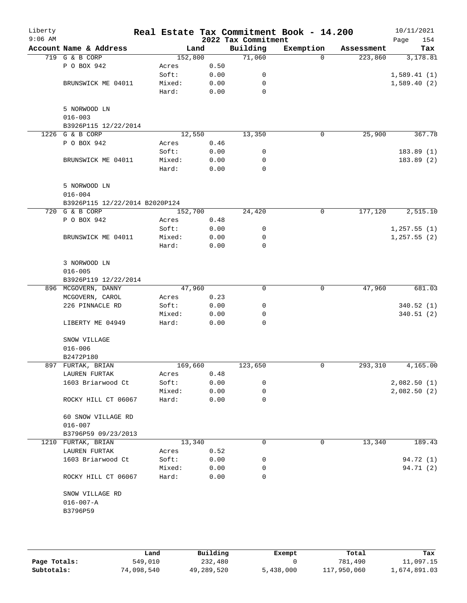| Liberty<br>$9:06$ AM |                                |         |      | 2022 Tax Commitment | Real Estate Tax Commitment Book - 14.200 |            | 10/11/2021<br>154<br>Page |
|----------------------|--------------------------------|---------|------|---------------------|------------------------------------------|------------|---------------------------|
|                      | Account Name & Address         | Land    |      | Building            | Exemption                                | Assessment | Tax                       |
|                      | 719 G & B CORP                 | 152,800 |      | 71,060              | $\Omega$                                 | 223,860    | 3,178.81                  |
|                      | P O BOX 942                    | Acres   | 0.50 |                     |                                          |            |                           |
|                      |                                | Soft:   | 0.00 | 0                   |                                          |            | 1,589.41(1)               |
|                      | BRUNSWICK ME 04011             | Mixed:  | 0.00 | 0                   |                                          |            | 1,589.40(2)               |
|                      |                                | Hard:   | 0.00 | 0                   |                                          |            |                           |
|                      | 5 NORWOOD LN                   |         |      |                     |                                          |            |                           |
|                      | $016 - 003$                    |         |      |                     |                                          |            |                           |
|                      | B3926P115 12/22/2014           |         |      |                     |                                          |            |                           |
|                      | 1226 G & B CORP                | 12,550  |      | 13,350              | 0                                        | 25,900     | 367.78                    |
|                      | P O BOX 942                    | Acres   | 0.46 |                     |                                          |            |                           |
|                      |                                | Soft:   | 0.00 | 0                   |                                          |            | 183.89 (1)                |
|                      | BRUNSWICK ME 04011             | Mixed:  | 0.00 | 0                   |                                          |            | 183.89 (2)                |
|                      |                                | Hard:   | 0.00 | 0                   |                                          |            |                           |
|                      | 5 NORWOOD LN                   |         |      |                     |                                          |            |                           |
|                      | $016 - 004$                    |         |      |                     |                                          |            |                           |
|                      | B3926P115 12/22/2014 B2020P124 |         |      |                     |                                          |            |                           |
|                      | 720 G & B CORP                 | 152,700 |      | 24,420              | 0                                        | 177,120    | 2,515.10                  |
|                      | P O BOX 942                    | Acres   | 0.48 |                     |                                          |            |                           |
|                      |                                | Soft:   | 0.00 | 0                   |                                          |            | 1,257.55(1)               |
|                      | BRUNSWICK ME 04011             | Mixed:  | 0.00 | 0                   |                                          |            | 1, 257.55(2)              |
|                      |                                | Hard:   | 0.00 | 0                   |                                          |            |                           |
|                      | 3 NORWOOD LN                   |         |      |                     |                                          |            |                           |
|                      | $016 - 005$                    |         |      |                     |                                          |            |                           |
|                      | B3926P119 12/22/2014           |         |      |                     |                                          |            |                           |
|                      | 896 MCGOVERN, DANNY            | 47,960  |      | 0                   | 0                                        | 47,960     | 681.03                    |
|                      | MCGOVERN, CAROL                | Acres   | 0.23 |                     |                                          |            |                           |
|                      | 226 PINNACLE RD                | Soft:   | 0.00 | 0                   |                                          |            | 340.52 (1)                |
|                      |                                | Mixed:  | 0.00 | 0                   |                                          |            | 340.51(2)                 |
|                      | LIBERTY ME 04949               | Hard:   | 0.00 | 0                   |                                          |            |                           |
|                      | SNOW VILLAGE                   |         |      |                     |                                          |            |                           |
|                      | $016 - 006$                    |         |      |                     |                                          |            |                           |
|                      | B2472P180                      |         |      |                     |                                          |            |                           |
|                      | 897 FURTAK, BRIAN              | 169,660 |      | 123,650             | 0                                        | 293,310    | 4,165.00                  |
|                      | LAUREN FURTAK                  | Acres   | 0.48 |                     |                                          |            |                           |
|                      | 1603 Briarwood Ct              | Soft:   | 0.00 | 0                   |                                          |            | 2,082.50(1)               |
|                      |                                | Mixed:  | 0.00 | 0                   |                                          |            | 2,082.50(2)               |
|                      | ROCKY HILL CT 06067            | Hard:   | 0.00 | 0                   |                                          |            |                           |
|                      | 60 SNOW VILLAGE RD             |         |      |                     |                                          |            |                           |
|                      | $016 - 007$                    |         |      |                     |                                          |            |                           |
|                      | B3796P59 09/23/2013            |         |      |                     |                                          |            |                           |
|                      | 1210 FURTAK, BRIAN             | 13,340  |      | 0                   | 0                                        | 13,340     | 189.43                    |
|                      | LAUREN FURTAK                  | Acres   | 0.52 |                     |                                          |            |                           |
|                      | 1603 Briarwood Ct              | Soft:   | 0.00 | 0                   |                                          |            | 94.72 (1)                 |
|                      |                                | Mixed:  | 0.00 | 0                   |                                          |            | 94.71 (2)                 |
|                      | ROCKY HILL CT 06067            | Hard:   | 0.00 | $\Omega$            |                                          |            |                           |
|                      | SNOW VILLAGE RD                |         |      |                     |                                          |            |                           |
|                      | $016 - 007 - A$                |         |      |                     |                                          |            |                           |
|                      | B3796P59                       |         |      |                     |                                          |            |                           |
|                      |                                |         |      |                     |                                          |            |                           |
|                      |                                |         |      |                     |                                          |            |                           |

|              | Land       | Building   | Exempt    | Total       | Tax          |
|--------------|------------|------------|-----------|-------------|--------------|
| Page Totals: | 549,010    | 232,480    |           | 781,490     | 11,097.15    |
| Subtotals:   | 74,098,540 | 49,289,520 | 5,438,000 | 117,950,060 | 1,674,891.03 |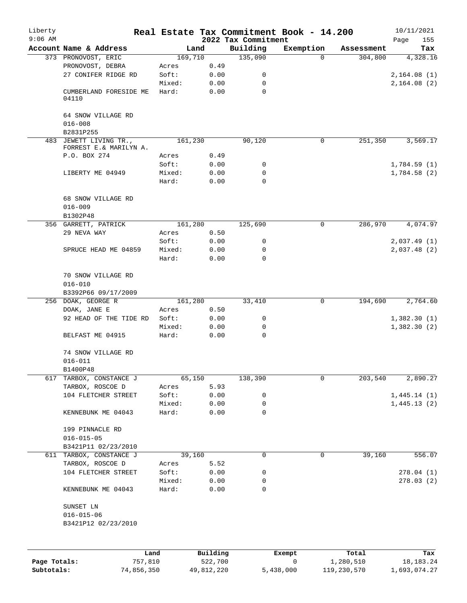| Liberty<br>$9:06$ AM       |                                                  |         |                       | 2022 Tax Commitment | Real Estate Tax Commitment Book - 14.200 |                          | 10/11/2021<br>155<br>Page   |
|----------------------------|--------------------------------------------------|---------|-----------------------|---------------------|------------------------------------------|--------------------------|-----------------------------|
|                            | Account Name & Address                           |         | Land                  | Building            | Exemption                                | Assessment               | Tax                         |
|                            | 373 PRONOVOST, ERIC                              | 169,710 |                       | 135,090             | $\Omega$                                 | 304,800                  | 4,328.16                    |
|                            | PRONOVOST, DEBRA                                 | Acres   | 0.49                  |                     |                                          |                          |                             |
|                            | 27 CONIFER RIDGE RD                              | Soft:   | 0.00                  | 0                   |                                          |                          | 2,164.08(1)                 |
|                            |                                                  | Mixed:  | 0.00                  | 0                   |                                          |                          | 2,164.08(2)                 |
|                            | CUMBERLAND FORESIDE ME<br>04110                  | Hard:   | 0.00                  | 0                   |                                          |                          |                             |
|                            | 64 SNOW VILLAGE RD<br>$016 - 008$                |         |                       |                     |                                          |                          |                             |
|                            | B2831P255                                        |         |                       |                     |                                          |                          |                             |
|                            | 483 JEWETT LIVING TR.,<br>FORREST E.& MARILYN A. | 161,230 |                       | 90,120              | 0                                        | 251,350                  | 3,569.17                    |
|                            | P.O. BOX 274                                     | Acres   | 0.49                  |                     |                                          |                          |                             |
|                            |                                                  | Soft:   | 0.00                  | 0                   |                                          |                          | 1,784.59(1)                 |
|                            | LIBERTY ME 04949                                 | Mixed:  | 0.00                  | 0                   |                                          |                          | 1,784.58(2)                 |
|                            |                                                  | Hard:   | 0.00                  | 0                   |                                          |                          |                             |
|                            | 68 SNOW VILLAGE RD<br>$016 - 009$                |         |                       |                     |                                          |                          |                             |
|                            | B1302P48                                         |         |                       |                     |                                          |                          |                             |
|                            | 356 GARRETT, PATRICK                             | 161,280 |                       | 125,690             | 0                                        | 286,970                  | 4,074.97                    |
|                            | 29 NEVA WAY                                      | Acres   | 0.50                  |                     |                                          |                          |                             |
|                            |                                                  | Soft:   | 0.00                  | 0                   |                                          |                          | 2,037.49(1)                 |
|                            | SPRUCE HEAD ME 04859                             | Mixed:  | 0.00                  | $\mathbf 0$         |                                          |                          | 2,037.48(2)                 |
|                            |                                                  | Hard:   | 0.00                  | 0                   |                                          |                          |                             |
|                            | 70 SNOW VILLAGE RD                               |         |                       |                     |                                          |                          |                             |
|                            | $016 - 010$<br>B3392P66 09/17/2009               |         |                       |                     |                                          |                          |                             |
|                            | 256 DOAK, GEORGE R                               | 161,280 |                       | 33,410              | 0                                        | 194,690                  | 2,764.60                    |
|                            | DOAK, JANE E                                     | Acres   | 0.50                  |                     |                                          |                          |                             |
|                            | 92 HEAD OF THE TIDE RD                           | Soft:   | 0.00                  | 0                   |                                          |                          | 1,382.30(1)                 |
|                            |                                                  | Mixed:  | 0.00                  | 0                   |                                          |                          | 1,382.30(2)                 |
|                            | BELFAST ME 04915                                 | Hard:   | 0.00                  | 0                   |                                          |                          |                             |
|                            | 74 SNOW VILLAGE RD<br>$016 - 011$                |         |                       |                     |                                          |                          |                             |
|                            |                                                  |         |                       |                     |                                          |                          |                             |
| 617                        | B1400P48<br>TARBOX, CONSTANCE J                  |         | 65,150                | 138,390             | 0                                        | 203,540                  | 2,890.27                    |
|                            | TARBOX, ROSCOE D                                 | Acres   | 5.93                  |                     |                                          |                          |                             |
|                            |                                                  |         |                       |                     |                                          |                          |                             |
|                            | 104 FLETCHER STREET                              | Soft:   | 0.00                  | 0                   |                                          |                          | 1,445.14(1)                 |
|                            |                                                  | Mixed:  | 0.00                  | 0                   |                                          |                          | 1,445.13(2)                 |
|                            | KENNEBUNK ME 04043                               | Hard:   | 0.00                  | 0                   |                                          |                          |                             |
|                            | 199 PINNACLE RD<br>$016 - 015 - 05$              |         |                       |                     |                                          |                          |                             |
|                            | B3421P11 02/23/2010                              |         |                       |                     |                                          |                          |                             |
|                            | 611 TARBOX, CONSTANCE J                          |         | 39,160                | 0                   | 0                                        | 39,160                   | 556.07                      |
|                            | TARBOX, ROSCOE D                                 | Acres   | 5.52                  |                     |                                          |                          |                             |
|                            | 104 FLETCHER STREET                              | Soft:   | 0.00                  | 0                   |                                          |                          | 278.04(1)                   |
|                            |                                                  | Mixed:  | 0.00                  | 0                   |                                          |                          | 278.03(2)                   |
|                            | KENNEBUNK ME 04043                               | Hard:   | 0.00                  | 0                   |                                          |                          |                             |
|                            | SUNSET LN                                        |         |                       |                     |                                          |                          |                             |
|                            | $016 - 015 - 06$                                 |         |                       |                     |                                          |                          |                             |
|                            | B3421P12 02/23/2010                              |         |                       |                     |                                          |                          |                             |
|                            |                                                  |         |                       |                     |                                          |                          |                             |
|                            | Land                                             |         | Building              |                     | Exempt                                   | Total                    | Tax                         |
| Page Totals:<br>Subtotals: | 757,810<br>74,856,350                            |         | 522,700<br>49,812,220 |                     | 0<br>5,438,000                           | 1,280,510<br>119,230,570 | 18, 183. 24<br>1,693,074.27 |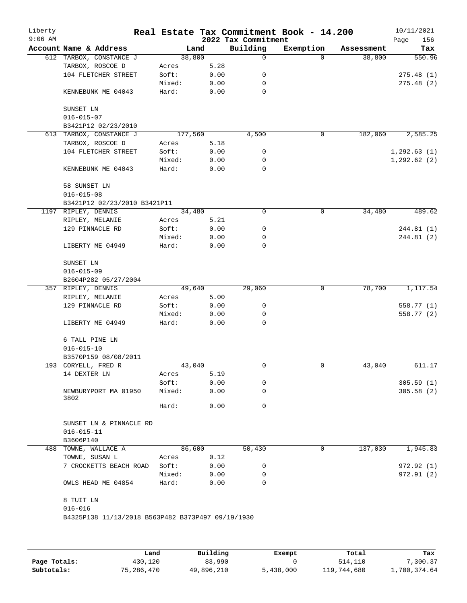| Liberty<br>$9:06$ AM |                                                                  |                 |              | 2022 Tax Commitment | Real Estate Tax Commitment Book - 14.200 |            | 10/11/2021<br>156<br>Page |
|----------------------|------------------------------------------------------------------|-----------------|--------------|---------------------|------------------------------------------|------------|---------------------------|
|                      | Account Name & Address                                           | Land            |              | Building            | Exemption                                | Assessment | Tax                       |
|                      | 612 TARBOX, CONSTANCE J                                          | 38,800          |              | 0                   | $\Omega$                                 | 38,800     | 550.96                    |
|                      | TARBOX, ROSCOE D                                                 | Acres           | 5.28         |                     |                                          |            |                           |
|                      | 104 FLETCHER STREET                                              | Soft:           | 0.00         | 0                   |                                          |            | 275.48(1)                 |
|                      |                                                                  | Mixed:          | 0.00         | 0                   |                                          |            | 275.48(2)                 |
|                      | KENNEBUNK ME 04043                                               | Hard:           | 0.00         | $\mathbf 0$         |                                          |            |                           |
|                      | SUNSET LN                                                        |                 |              |                     |                                          |            |                           |
|                      | $016 - 015 - 07$                                                 |                 |              |                     |                                          |            |                           |
|                      | B3421P12 02/23/2010                                              |                 |              |                     |                                          |            |                           |
|                      | 613 TARBOX, CONSTANCE J                                          | 177,560         |              | 4,500               | 0                                        | 182,060    | 2,585.25                  |
|                      | TARBOX, ROSCOE D                                                 | Acres           | 5.18         |                     |                                          |            |                           |
|                      | 104 FLETCHER STREET                                              | Soft:           | 0.00         | 0                   |                                          |            | 1, 292.63(1)              |
|                      |                                                                  | Mixed:          | 0.00         | 0                   |                                          |            | 1, 292.62(2)              |
|                      | KENNEBUNK ME 04043                                               | Hard:           | 0.00         | $\mathbf 0$         |                                          |            |                           |
|                      | 58 SUNSET LN                                                     |                 |              |                     |                                          |            |                           |
|                      | $016 - 015 - 08$                                                 |                 |              |                     |                                          |            |                           |
|                      | B3421P12 02/23/2010 B3421P11                                     |                 |              |                     |                                          |            |                           |
|                      | 1197 RIPLEY, DENNIS                                              | 34,480          |              | 0                   | 0                                        | 34,480     | 489.62                    |
|                      | RIPLEY, MELANIE                                                  | Acres           | 5.21         |                     |                                          |            |                           |
|                      | 129 PINNACLE RD                                                  | Soft:           | 0.00         | $\mathsf{O}\xspace$ |                                          |            | 244.81 (1)                |
|                      |                                                                  | Mixed:          | 0.00         | 0                   |                                          |            | 244.81(2)                 |
|                      | LIBERTY ME 04949                                                 | Hard:           | 0.00         | 0                   |                                          |            |                           |
|                      | SUNSET LN                                                        |                 |              |                     |                                          |            |                           |
|                      | $016 - 015 - 09$                                                 |                 |              |                     |                                          |            |                           |
|                      | B2604P282 05/27/2004                                             |                 |              |                     |                                          |            |                           |
|                      | 357 RIPLEY, DENNIS                                               | 49,640          |              | 29,060              | 0                                        | 78,700     | 1,117.54                  |
|                      | RIPLEY, MELANIE                                                  | Acres           | 5.00         |                     |                                          |            |                           |
|                      | 129 PINNACLE RD                                                  | Soft:           | 0.00         | 0                   |                                          |            | 558.77 (1)                |
|                      |                                                                  | Mixed:          | 0.00         | 0                   |                                          |            | 558.77 (2)                |
|                      | LIBERTY ME 04949                                                 | Hard:           | 0.00         | 0                   |                                          |            |                           |
|                      | 6 TALL PINE LN                                                   |                 |              |                     |                                          |            |                           |
|                      | $016 - 015 - 10$                                                 |                 |              |                     |                                          |            |                           |
|                      | B3570P159 08/08/2011                                             |                 |              |                     |                                          |            |                           |
|                      | 193 CORYELL, FRED R                                              | 43,040          |              | 0                   | 0                                        | 43,040     | 611.17                    |
|                      | 14 DEXTER LN                                                     | Acres           | 5.19         |                     |                                          |            |                           |
|                      |                                                                  | Soft:           | 0.00         | 0                   |                                          |            | 305.59(1)                 |
|                      | NEWBURYPORT MA 01950<br>3802                                     | Mixed:          | 0.00         | 0                   |                                          |            | 305.58(2)                 |
|                      |                                                                  | Hard:           | 0.00         | 0                   |                                          |            |                           |
|                      | SUNSET LN & PINNACLE RD                                          |                 |              |                     |                                          |            |                           |
|                      | $016 - 015 - 11$                                                 |                 |              |                     |                                          |            |                           |
|                      | B3606P140                                                        |                 |              |                     |                                          |            |                           |
|                      | 488 TOWNE, WALLACE A                                             | 86,600          |              | 50,430              | 0                                        | 137,030    | 1,945.83                  |
|                      | TOWNE, SUSAN L                                                   | Acres           | 0.12         |                     |                                          |            |                           |
|                      | 7 CROCKETTS BEACH ROAD                                           | Soft:           | 0.00         | 0                   |                                          |            | 972.92(1)                 |
|                      | OWLS HEAD ME 04854                                               | Mixed:<br>Hard: | 0.00<br>0.00 | 0<br>0              |                                          |            | 972.91 (2)                |
|                      |                                                                  |                 |              |                     |                                          |            |                           |
|                      | 8 TUIT LN                                                        |                 |              |                     |                                          |            |                           |
|                      | $016 - 016$<br>B4325P138 11/13/2018 B563P482 B373P497 09/19/1930 |                 |              |                     |                                          |            |                           |
|                      |                                                                  |                 |              |                     |                                          |            |                           |
|                      |                                                                  |                 |              |                     |                                          |            |                           |

|              | Land       | Building   | Exempt    | Total       | Tax          |
|--------------|------------|------------|-----------|-------------|--------------|
| Page Totals: | 430,120    | 83,990     |           | 514,110     | .300.37      |
| Subtotals:   | 75,286,470 | 49,896,210 | 5,438,000 | 119,744,680 | 1,700,374.64 |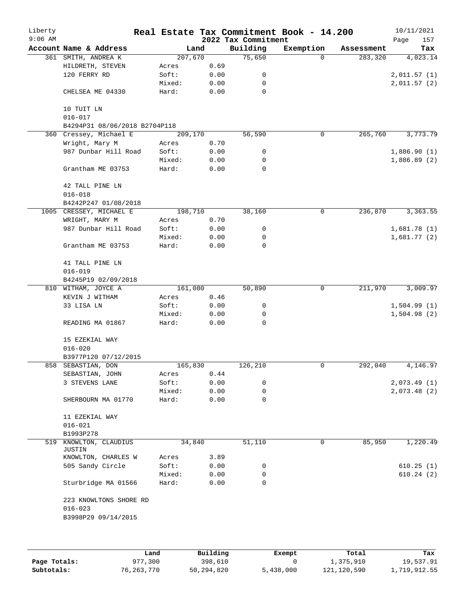| Liberty<br>$9:06$ AM |                                              |         |      | 2022 Tax Commitment | Real Estate Tax Commitment Book - 14.200 |            | 10/11/2021         |
|----------------------|----------------------------------------------|---------|------|---------------------|------------------------------------------|------------|--------------------|
|                      | Account Name & Address                       | Land    |      | Building            | Exemption                                | Assessment | Page<br>157<br>Tax |
|                      | 361 SMITH, ANDREA K                          | 207,670 |      | 75,650              | $\Omega$                                 | 283,320    | 4,023.14           |
|                      | HILDRETH, STEVEN                             | Acres   | 0.69 |                     |                                          |            |                    |
|                      | 120 FERRY RD                                 | Soft:   | 0.00 | 0                   |                                          |            | 2,011.57(1)        |
|                      |                                              | Mixed:  | 0.00 | 0                   |                                          |            | 2,011.57(2)        |
|                      | CHELSEA ME 04330                             | Hard:   | 0.00 | $\mathbf 0$         |                                          |            |                    |
|                      | 10 TUIT LN                                   |         |      |                     |                                          |            |                    |
|                      | $016 - 017$<br>B4294P31 08/06/2018 B2704P118 |         |      |                     |                                          |            |                    |
|                      | 360 Cressey, Michael E                       | 209,170 |      | 56,590              | 0                                        | 265,760    | 3,773.79           |
|                      | Wright, Mary M                               | Acres   | 0.70 |                     |                                          |            |                    |
|                      | 987 Dunbar Hill Road                         | Soft:   | 0.00 | 0                   |                                          |            | 1,886.90(1)        |
|                      |                                              | Mixed:  | 0.00 | 0                   |                                          |            | 1,886.89(2)        |
|                      | Grantham ME 03753                            | Hard:   | 0.00 | $\mathbf 0$         |                                          |            |                    |
|                      | 42 TALL PINE LN<br>$016 - 018$               |         |      |                     |                                          |            |                    |
|                      | B4242P247 01/08/2018                         |         |      |                     |                                          |            |                    |
|                      | 1005 CRESSEY, MICHAEL E                      | 198,710 |      | 38,160              | 0                                        | 236,870    | 3,363.55           |
|                      | WRIGHT, MARY M                               | Acres   | 0.70 |                     |                                          |            |                    |
|                      | 987 Dunbar Hill Road                         | Soft:   | 0.00 | 0                   |                                          |            | 1,681.78(1)        |
|                      |                                              | Mixed:  | 0.00 | 0                   |                                          |            | 1,681.77(2)        |
|                      | Grantham ME 03753                            | Hard:   | 0.00 | 0                   |                                          |            |                    |
|                      | 41 TALL PINE LN                              |         |      |                     |                                          |            |                    |
|                      | $016 - 019$                                  |         |      |                     |                                          |            |                    |
|                      | B4245P19 02/09/2018                          |         |      |                     |                                          |            |                    |
|                      | 810 WITHAM, JOYCE A                          | 161,080 |      | 50,890              | 0                                        | 211,970    | 3,009.97           |
|                      | KEVIN J WITHAM                               | Acres   | 0.46 |                     |                                          |            |                    |
|                      | 33 LISA LN                                   | Soft:   | 0.00 | 0                   |                                          |            | 1,504.99(1)        |
|                      |                                              | Mixed:  | 0.00 | 0                   |                                          |            | 1,504.98(2)        |
|                      | READING MA 01867                             | Hard:   | 0.00 | 0                   |                                          |            |                    |
|                      | 15 EZEKIAL WAY<br>$016 - 020$                |         |      |                     |                                          |            |                    |
|                      | B3977P120 07/12/2015                         |         |      |                     |                                          |            |                    |
|                      | 858 SEBASTIAN, DON                           | 165,830 |      | 126,210             | 0                                        | 292,040    | 4,146.97           |
|                      | SEBASTIAN, JOHN                              | Acres   | 0.44 |                     |                                          |            |                    |
|                      | 3 STEVENS LANE                               | Soft:   | 0.00 | 0                   |                                          |            | 2,073.49(1)        |
|                      |                                              | Mixed:  | 0.00 | 0                   |                                          |            | 2,073.48(2)        |
|                      | SHERBOURN MA 01770                           | Hard:   | 0.00 | 0                   |                                          |            |                    |
|                      | 11 EZEKIAL WAY                               |         |      |                     |                                          |            |                    |
|                      | $016 - 021$                                  |         |      |                     |                                          |            |                    |
|                      | B1993P278                                    |         |      |                     |                                          |            |                    |
| 519                  | KNOWLTON, CLAUDIUS<br><b>JUSTIN</b>          | 34,840  |      | 51,110              | 0                                        | 85,950     | 1,220.49           |
|                      | KNOWLTON, CHARLES W                          | Acres   | 3.89 |                     |                                          |            |                    |
|                      | 505 Sandy Circle                             | Soft:   | 0.00 | 0                   |                                          |            | 610.25(1)          |
|                      |                                              | Mixed:  | 0.00 | 0                   |                                          |            | 610.24(2)          |
|                      | Sturbridge MA 01566                          | Hard:   | 0.00 | 0                   |                                          |            |                    |
|                      | 223 KNOWLTONS SHORE RD<br>$016 - 023$        |         |      |                     |                                          |            |                    |
|                      | B3998P29 09/14/2015                          |         |      |                     |                                          |            |                    |
|                      |                                              |         |      |                     |                                          |            |                    |
|                      |                                              |         |      |                     |                                          |            |                    |

|              | Land       | Building   | Exempt    | Total       | Tax          |
|--------------|------------|------------|-----------|-------------|--------------|
| Page Totals: | 977,300    | 398,610    |           | 1,375,910   | 19,537.91    |
| Subtotals:   | 76,263,770 | 50,294,820 | 5,438,000 | 121,120,590 | 1,719,912.55 |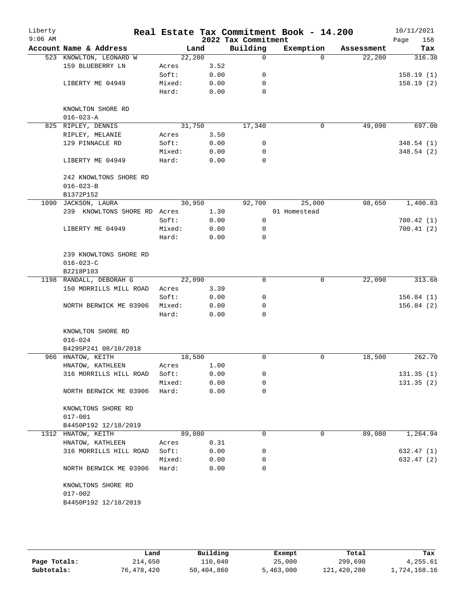| Liberty<br>$9:06$ AM |                              |                 |              | 2022 Tax Commitment | Real Estate Tax Commitment Book - 14.200 |            | 10/11/2021<br>158<br>Page |
|----------------------|------------------------------|-----------------|--------------|---------------------|------------------------------------------|------------|---------------------------|
|                      | Account Name & Address       | Land            |              | Building            | Exemption                                | Assessment | Tax                       |
|                      | 523 KNOWLTON, LEONARD W      | 22,280          |              | 0                   | $\Omega$                                 | 22,280     | 316.38                    |
|                      | 159 BLUEBERRY LN             | Acres           | 3.52         |                     |                                          |            |                           |
|                      |                              | Soft:           | 0.00         | 0                   |                                          |            | 158.19(1)                 |
|                      | LIBERTY ME 04949             | Mixed:          | 0.00         | 0                   |                                          |            | 158.19(2)                 |
|                      |                              | Hard:           | 0.00         | 0                   |                                          |            |                           |
|                      |                              |                 |              |                     |                                          |            |                           |
|                      | KNOWLTON SHORE RD            |                 |              |                     |                                          |            |                           |
|                      | $016 - 023 - A$              |                 |              |                     |                                          |            |                           |
|                      | 825 RIPLEY, DENNIS           | 31,750          |              | 17,340              | $\mathbf 0$                              | 49,090     | 697.08                    |
|                      | RIPLEY, MELANIE              | Acres           | 3.50         |                     |                                          |            |                           |
|                      | 129 PINNACLE RD              | Soft:           | 0.00         | 0                   |                                          |            | 348.54(1)                 |
|                      |                              | Mixed:          | 0.00         | 0                   |                                          |            | 348.54(2)                 |
|                      | LIBERTY ME 04949             | Hard:           | 0.00         | $\Omega$            |                                          |            |                           |
|                      | 242 KNOWLTONS SHORE RD       |                 |              |                     |                                          |            |                           |
|                      | $016 - 023 - B$              |                 |              |                     |                                          |            |                           |
|                      | B1372P152                    |                 |              |                     |                                          |            |                           |
| 1090                 | JACKSON, LAURA               | 30,950          |              | 92,700              | 25,000                                   | 98,650     | 1,400.83                  |
|                      | 239 KNOWLTONS SHORE RD Acres |                 | 1.30         |                     | 01 Homestead                             |            |                           |
|                      |                              | Soft:           | 0.00         | 0                   |                                          |            | 700.42(1)                 |
|                      | LIBERTY ME 04949             | Mixed:          | 0.00         | 0                   |                                          |            | 700.41(2)                 |
|                      |                              | Hard:           | 0.00         | $\mathbf 0$         |                                          |            |                           |
|                      | 239 KNOWLTONS SHORE RD       |                 |              |                     |                                          |            |                           |
|                      | $016 - 023 - C$              |                 |              |                     |                                          |            |                           |
|                      | B2218P103                    |                 |              |                     |                                          |            |                           |
|                      | 1198 RANDALL, DEBORAH G      | 22,090          |              | $\Omega$            | 0                                        | 22,090     | 313.68                    |
|                      | 150 MORRILLS MILL ROAD       | Acres           | 3.39         |                     |                                          |            |                           |
|                      |                              | Soft:           | 0.00         | 0                   |                                          |            | 156.84(1)                 |
|                      | NORTH BERWICK ME 03906       | Mixed:          | 0.00         | 0                   |                                          |            | 156.84(2)                 |
|                      |                              | Hard:           | 0.00         | $\Omega$            |                                          |            |                           |
|                      | KNOWLTON SHORE RD            |                 |              |                     |                                          |            |                           |
|                      | $016 - 024$                  |                 |              |                     |                                          |            |                           |
|                      | B4295P241 08/10/2018         |                 |              |                     |                                          |            |                           |
|                      | 966 HNATOW, KEITH            | 18,500          |              | 0                   | 0                                        | 18,500     | 262.70                    |
|                      | HNATOW, KATHLEEN             | Acres           | 1.00         |                     |                                          |            |                           |
|                      | 316 MORRILLS HILL ROAD       | Soft:           | 0.00         | 0                   |                                          |            | 131.35(1)                 |
|                      |                              | Mixed:          | 0.00         | 0                   |                                          |            | 131.35(2)                 |
|                      | NORTH BERWICK ME 03906       | Hard:           | 0.00         | 0                   |                                          |            |                           |
|                      |                              |                 |              |                     |                                          |            |                           |
|                      | KNOWLTONS SHORE RD           |                 |              |                     |                                          |            |                           |
|                      | $017 - 001$                  |                 |              |                     |                                          |            |                           |
|                      | B4450P192 12/18/2019         |                 |              |                     |                                          |            |                           |
|                      | 1312 HNATOW, KEITH           | 89,080          |              | 0                   | 0                                        | 89,080     | 1,264.94                  |
|                      | HNATOW, KATHLEEN             | Acres           | 0.31         |                     |                                          |            |                           |
|                      | 316 MORRILLS HILL ROAD       | Soft:           | 0.00         | 0                   |                                          |            | 632.47 (1)                |
|                      |                              | Mixed:<br>Hard: | 0.00<br>0.00 | 0<br>0              |                                          |            | 632.47 (2)                |
|                      | NORTH BERWICK ME 03906       |                 |              |                     |                                          |            |                           |
|                      | KNOWLTONS SHORE RD           |                 |              |                     |                                          |            |                           |
|                      | $017 - 002$                  |                 |              |                     |                                          |            |                           |
|                      | B4450P192 12/18/2019         |                 |              |                     |                                          |            |                           |
|                      |                              |                 |              |                     |                                          |            |                           |
|                      |                              |                 |              |                     |                                          |            |                           |

|              | Land       | Building   | Exempt    | Total       | Tax          |
|--------------|------------|------------|-----------|-------------|--------------|
| Page Totals: | 214,650    | 110,040    | 25,000    | 299,690     | 4,255.61     |
| Subtotals:   | 76,478,420 | 50,404,860 | 5,463,000 | 121,420,280 | 1,724,168.16 |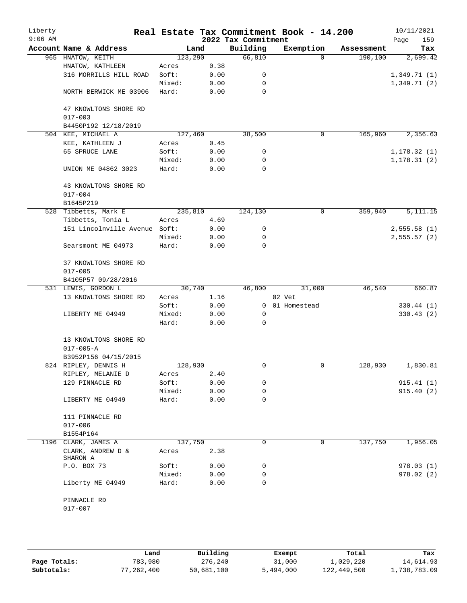| Liberty<br>$9:06$ AM |                                      |         |      | 2022 Tax Commitment | Real Estate Tax Commitment Book - 14.200 |            | 10/11/2021<br>159<br>Page |
|----------------------|--------------------------------------|---------|------|---------------------|------------------------------------------|------------|---------------------------|
|                      | Account Name & Address               |         | Land | Building            | Exemption                                | Assessment | Tax                       |
|                      | 965 HNATOW, KEITH                    | 123,290 |      | 66,810              | $\Omega$                                 | 190,100    | 2,699.42                  |
|                      | HNATOW, KATHLEEN                     | Acres   | 0.38 |                     |                                          |            |                           |
|                      | 316 MORRILLS HILL ROAD               | Soft:   | 0.00 | 0                   |                                          |            | 1,349.71(1)               |
|                      |                                      | Mixed:  | 0.00 | 0                   |                                          |            | 1,349.71(2)               |
|                      | NORTH BERWICK ME 03906               | Hard:   | 0.00 | $\mathbf 0$         |                                          |            |                           |
|                      | 47 KNOWLTONS SHORE RD                |         |      |                     |                                          |            |                           |
|                      | $017 - 003$                          |         |      |                     |                                          |            |                           |
|                      | B4450P192 12/18/2019                 |         |      |                     |                                          |            |                           |
| 504                  | KEE, MICHAEL A                       | 127,460 |      | 38,500              | 0                                        | 165,960    | 2,356.63                  |
|                      | KEE, KATHLEEN J                      | Acres   | 0.45 |                     |                                          |            |                           |
|                      | 65 SPRUCE LANE                       | Soft:   | 0.00 | 0                   |                                          |            | 1,178.32(1)               |
|                      |                                      | Mixed:  | 0.00 | 0                   |                                          |            | 1, 178.31(2)              |
|                      | UNION ME 04862 3023                  | Hard:   | 0.00 | $\Omega$            |                                          |            |                           |
|                      | 43 KNOWLTONS SHORE RD                |         |      |                     |                                          |            |                           |
|                      | $017 - 004$                          |         |      |                     |                                          |            |                           |
|                      | B1645P219                            |         |      |                     |                                          |            |                           |
|                      | 528 Tibbetts, Mark E                 | 235,810 |      | 124,130             | 0                                        | 359,940    | $\overline{5,111.15}$     |
|                      | Tibbetts, Tonia L                    | Acres   | 4.69 |                     |                                          |            |                           |
|                      | 151 Lincolnville Avenue Soft:        |         | 0.00 | 0                   |                                          |            | 2,555.58(1)               |
|                      |                                      | Mixed:  | 0.00 | 0                   |                                          |            | 2,555.57(2)               |
|                      | Searsmont ME 04973                   | Hard:   | 0.00 | 0                   |                                          |            |                           |
|                      | 37 KNOWLTONS SHORE RD<br>$017 - 005$ |         |      |                     |                                          |            |                           |
|                      | B4105P57 09/28/2016                  |         |      |                     |                                          |            |                           |
|                      | 531 LEWIS, GORDON L                  | 30,740  |      | 46,800              | 31,000                                   | 46,540     | 660.87                    |
|                      | 13 KNOWLTONS SHORE RD                | Acres   | 1.16 |                     | 02 Vet                                   |            |                           |
|                      |                                      | Soft:   | 0.00 | $\overline{0}$      | 01 Homestead                             |            | 330.44(1)                 |
|                      | LIBERTY ME 04949                     | Mixed:  | 0.00 | $\mathbf 0$         |                                          |            | 330.43(2)                 |
|                      |                                      | Hard:   | 0.00 | $\Omega$            |                                          |            |                           |
|                      | 13 KNOWLTONS SHORE RD                |         |      |                     |                                          |            |                           |
|                      | $017 - 005 - A$                      |         |      |                     |                                          |            |                           |
|                      | B3952P156 04/15/2015                 |         |      |                     |                                          |            |                           |
|                      | 824 RIPLEY, DENNIS H                 | 128,930 |      | 0                   | 0                                        | 128,930    | 1,830.81                  |
|                      | RIPLEY, MELANIE D                    | Acres   | 2.40 |                     |                                          |            |                           |
|                      | 129 PINNACLE RD                      | Soft:   | 0.00 | 0                   |                                          |            | 915.41(1)                 |
|                      |                                      | Mixed:  | 0.00 | 0                   |                                          |            | 915.40(2)                 |
|                      | LIBERTY ME 04949                     | Hard:   | 0.00 | 0                   |                                          |            |                           |
|                      | 111 PINNACLE RD                      |         |      |                     |                                          |            |                           |
|                      | $017 - 006$                          |         |      |                     |                                          |            |                           |
|                      | B1554P164                            |         |      |                     |                                          |            |                           |
|                      | 1196 CLARK, JAMES A                  | 137,750 |      | 0                   | $\mathbf 0$                              | 137,750    | 1,956.05                  |
|                      | CLARK, ANDREW D $\&$<br>SHARON A     | Acres   | 2.38 |                     |                                          |            |                           |
|                      | P.O. BOX 73                          | Soft:   | 0.00 | 0                   |                                          |            | 978.03(1)                 |
|                      |                                      | Mixed:  | 0.00 | 0                   |                                          |            | 978.02(2)                 |
|                      | Liberty ME 04949                     | Hard:   | 0.00 | 0                   |                                          |            |                           |
|                      | PINNACLE RD                          |         |      |                     |                                          |            |                           |
|                      | $017 - 007$                          |         |      |                     |                                          |            |                           |
|                      |                                      |         |      |                     |                                          |            |                           |

|              | Land       | Building   | Exempt    | Total       | Tax          |
|--------------|------------|------------|-----------|-------------|--------------|
| Page Totals: | 783,980    | 276,240    | 31,000    | 1,029,220   | 14,614.93    |
| Subtotals:   | 77,262,400 | 50,681,100 | 5,494,000 | 122,449,500 | 1,738,783.09 |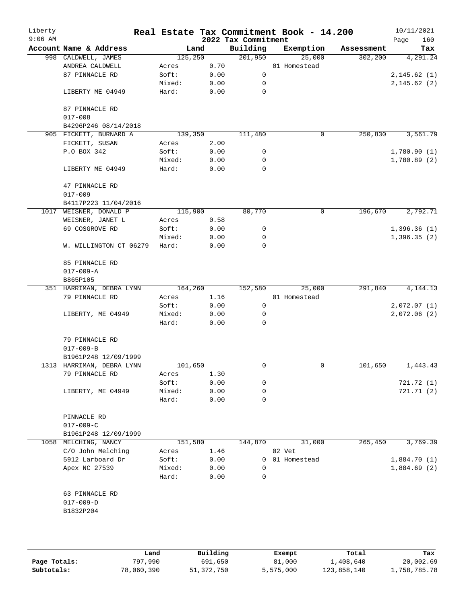| Liberty<br>$9:06$ AM |                                                |         |      | 2022 Tax Commitment | Real Estate Tax Commitment Book - 14.200 |            | 10/11/2021<br>160<br>Page |
|----------------------|------------------------------------------------|---------|------|---------------------|------------------------------------------|------------|---------------------------|
|                      | Account Name & Address                         | Land    |      | Building            | Exemption                                | Assessment | Tax                       |
|                      | 998 CALDWELL, JAMES                            | 125,250 |      | 201,950             | 25,000                                   | 302, 200   | 4,291.24                  |
|                      | ANDREA CALDWELL                                | Acres   | 0.70 |                     | 01 Homestead                             |            |                           |
|                      | 87 PINNACLE RD                                 | Soft:   | 0.00 | 0                   |                                          |            | 2, 145.62(1)              |
|                      |                                                | Mixed:  | 0.00 | 0                   |                                          |            | 2, 145.62(2)              |
|                      | LIBERTY ME 04949                               | Hard:   | 0.00 | $\mathbf 0$         |                                          |            |                           |
|                      | 87 PINNACLE RD                                 |         |      |                     |                                          |            |                           |
|                      | $017 - 008$                                    |         |      |                     |                                          |            |                           |
|                      | B4296P246 08/14/2018<br>905 FICKETT, BURNARD A |         |      |                     | 0                                        | 250,830    | 3,561.79                  |
|                      |                                                | 139,350 |      | 111,480             |                                          |            |                           |
|                      | FICKETT, SUSAN                                 | Acres   | 2.00 |                     |                                          |            |                           |
|                      | P.O BOX 342                                    | Soft:   | 0.00 | 0                   |                                          |            | 1,780.90(1)               |
|                      |                                                | Mixed:  | 0.00 | 0                   |                                          |            | 1,780.89(2)               |
|                      | LIBERTY ME 04949                               | Hard:   | 0.00 | 0                   |                                          |            |                           |
|                      | 47 PINNACLE RD                                 |         |      |                     |                                          |            |                           |
|                      | $017 - 009$                                    |         |      |                     |                                          |            |                           |
|                      | B4117P223 11/04/2016                           |         |      |                     |                                          |            |                           |
| 1017                 | WEISNER, DONALD P                              | 115,900 |      | 80,770              | 0                                        | 196,670    | 2,792.71                  |
|                      | WEISNER, JANET L                               | Acres   | 0.58 |                     |                                          |            |                           |
|                      | 69 COSGROVE RD                                 | Soft:   | 0.00 | 0                   |                                          |            | 1,396.36(1)               |
|                      |                                                | Mixed:  | 0.00 | 0                   |                                          |            | 1,396.35(2)               |
|                      | W. WILLINGTON CT 06279                         | Hard:   | 0.00 | $\mathbf 0$         |                                          |            |                           |
|                      | 85 PINNACLE RD                                 |         |      |                     |                                          |            |                           |
|                      | $017 - 009 - A$                                |         |      |                     |                                          |            |                           |
|                      | B865P105                                       |         |      |                     |                                          |            |                           |
|                      | 351 HARRIMAN, DEBRA LYNN                       | 164,260 |      | 152,580             | 25,000                                   | 291,840    | 4, 144. 13                |
|                      | 79 PINNACLE RD                                 | Acres   | 1.16 |                     | 01 Homestead                             |            |                           |
|                      |                                                | Soft:   | 0.00 | 0                   |                                          |            | 2,072.07(1)               |
|                      | LIBERTY, ME 04949                              | Mixed:  | 0.00 | 0                   |                                          |            | 2,072.06(2)               |
|                      |                                                | Hard:   | 0.00 | $\mathbf 0$         |                                          |            |                           |
|                      |                                                |         |      |                     |                                          |            |                           |
|                      | 79 PINNACLE RD                                 |         |      |                     |                                          |            |                           |
|                      | $017 - 009 - B$                                |         |      |                     |                                          |            |                           |
|                      | B1961P248 12/09/1999                           |         |      |                     |                                          |            |                           |
|                      | 1313 HARRIMAN, DEBRA LYNN                      | 101,650 |      | 0                   | 0                                        | 101,650    | 1,443.43                  |
|                      | 79 PINNACLE RD                                 | Acres   | 1.30 |                     |                                          |            |                           |
|                      |                                                | Soft:   | 0.00 | 0                   |                                          |            | 721.72(1)                 |
|                      | LIBERTY, ME 04949                              | Mixed:  | 0.00 | 0                   |                                          |            | 721.71 (2)                |
|                      |                                                | Hard:   | 0.00 | 0                   |                                          |            |                           |
|                      | PINNACLE RD                                    |         |      |                     |                                          |            |                           |
|                      | $017 - 009 - C$                                |         |      |                     |                                          |            |                           |
|                      | B1961P248 12/09/1999                           |         |      |                     |                                          |            |                           |
|                      | 1058 MELCHING, NANCY                           | 151,580 |      | 144,870             | 31,000                                   | 265,450    | 3,769.39                  |
|                      | C/O John Melching                              | Acres   | 1.46 |                     | 02 Vet                                   |            |                           |
|                      | 5912 Larboard Dr                               | Soft:   | 0.00 | $\overline{0}$      | 01 Homestead                             |            | 1,884.70(1)               |
|                      | Apex NC 27539                                  | Mixed:  | 0.00 | 0                   |                                          |            | 1,884.69(2)               |
|                      |                                                | Hard:   | 0.00 | 0                   |                                          |            |                           |
|                      | 63 PINNACLE RD                                 |         |      |                     |                                          |            |                           |
|                      | $017 - 009 - D$                                |         |      |                     |                                          |            |                           |
|                      | B1832P204                                      |         |      |                     |                                          |            |                           |
|                      |                                                |         |      |                     |                                          |            |                           |
|                      |                                                |         |      |                     |                                          |            |                           |
|                      |                                                |         |      |                     |                                          |            |                           |

|              | Land       | Building   | Exempt    | Total       | Tax          |
|--------------|------------|------------|-----------|-------------|--------------|
| Page Totals: | 797,990    | 691,650    | 81,000    | 1,408,640   | 20,002.69    |
| Subtotals:   | 78,060,390 | 51,372,750 | 5,575,000 | 123,858,140 | 1,758,785.78 |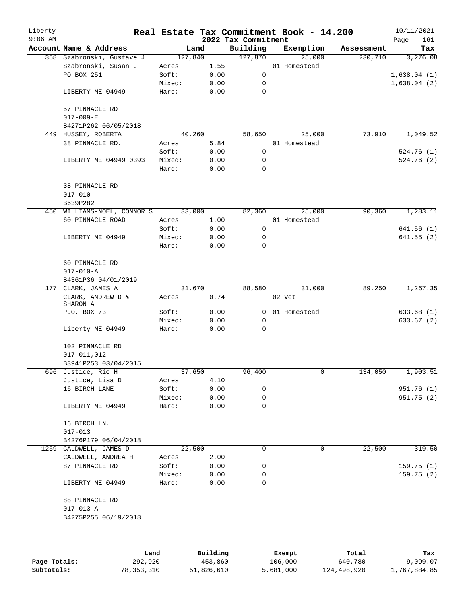| Liberty<br>$9:06$ AM |                               |         |      | 2022 Tax Commitment | Real Estate Tax Commitment Book - 14.200 |            | 10/11/2021<br>161<br>Page |
|----------------------|-------------------------------|---------|------|---------------------|------------------------------------------|------------|---------------------------|
|                      | Account Name & Address        | Land    |      | Building            | Exemption                                | Assessment | Tax                       |
|                      | 358 Szabronski, Gustave J     | 127,840 |      | 127,870             | 25,000                                   | 230,710    | 3,276.08                  |
|                      | Szabronski, Susan J           | Acres   | 1.55 |                     | 01 Homestead                             |            |                           |
|                      | PO BOX 251                    | Soft:   | 0.00 | 0                   |                                          |            | 1,638.04(1)               |
|                      |                               | Mixed:  | 0.00 | 0                   |                                          |            | 1,638.04(2)               |
|                      | LIBERTY ME 04949              | Hard:   | 0.00 | $\mathbf 0$         |                                          |            |                           |
|                      | 57 PINNACLE RD                |         |      |                     |                                          |            |                           |
|                      | $017 - 009 - E$               |         |      |                     |                                          |            |                           |
|                      | B4271P262 06/05/2018          |         |      |                     |                                          |            |                           |
|                      | 449 HUSSEY, ROBERTA           | 40,260  |      | 58,650              | 25,000                                   | 73,910     | 1,049.52                  |
|                      | 38 PINNACLE RD.               | Acres   | 5.84 |                     | 01 Homestead                             |            |                           |
|                      |                               | Soft:   | 0.00 | 0                   |                                          |            | 524.76 (1)                |
|                      | LIBERTY ME 04949 0393         | Mixed:  | 0.00 | 0                   |                                          |            | 524.76 (2)                |
|                      |                               | Hard:   | 0.00 | $\mathbf 0$         |                                          |            |                           |
|                      | 38 PINNACLE RD                |         |      |                     |                                          |            |                           |
|                      | $017 - 010$                   |         |      |                     |                                          |            |                           |
|                      | B639P282                      |         |      |                     |                                          |            |                           |
|                      | 450 WILLIAMS-NOEL, CONNOR S   | 33,000  |      | 82,360              | 25,000                                   | 90,360     | 1,283.11                  |
|                      | 60 PINNACLE ROAD              | Acres   | 1.00 |                     | 01 Homestead                             |            |                           |
|                      |                               | Soft:   | 0.00 | 0                   |                                          |            | 641.56(1)                 |
|                      | LIBERTY ME 04949              | Mixed:  | 0.00 | 0                   |                                          |            | 641.55(2)                 |
|                      |                               | Hard:   | 0.00 | 0                   |                                          |            |                           |
|                      | 60 PINNACLE RD                |         |      |                     |                                          |            |                           |
|                      | $017 - 010 - A$               |         |      |                     |                                          |            |                           |
|                      | B4361P36 04/01/2019           |         |      |                     |                                          |            |                           |
|                      | 177 CLARK, JAMES A            | 31,670  |      | 88,580              | 31,000                                   | 89,250     | 1,267.35                  |
|                      | CLARK, ANDREW D &<br>SHARON A | Acres   | 0.74 |                     | 02 Vet                                   |            |                           |
|                      | P.O. BOX 73                   | Soft:   | 0.00 | 0                   | 01 Homestead                             |            | 633.68(1)                 |
|                      |                               | Mixed:  | 0.00 | 0                   |                                          |            | 633.67 (2)                |
|                      | Liberty ME 04949              | Hard:   | 0.00 | $\mathbf 0$         |                                          |            |                           |
|                      | 102 PINNACLE RD               |         |      |                     |                                          |            |                           |
|                      | $017 - 011,012$               |         |      |                     |                                          |            |                           |
|                      | B3941P253 03/04/2015          |         |      |                     |                                          |            |                           |
|                      | 696 Justice, Ric H            | 37,650  |      | 96,400              | 0                                        | 134,050    | 1,903.51                  |
|                      | Justice, Lisa D               | Acres   | 4.10 |                     |                                          |            |                           |
|                      | 16 BIRCH LANE                 | Soft:   | 0.00 | 0                   |                                          |            | 951.76 (1)                |
|                      |                               | Mixed:  | 0.00 | 0                   |                                          |            | 951.75(2)                 |
|                      | LIBERTY ME 04949              | Hard:   | 0.00 | 0                   |                                          |            |                           |
|                      | 16 BIRCH LN.                  |         |      |                     |                                          |            |                           |
|                      | $017 - 013$                   |         |      |                     |                                          |            |                           |
|                      | B4276P179 06/04/2018          |         |      |                     |                                          |            |                           |
|                      | 1259 CALDWELL, JAMES D        | 22,500  |      | 0                   | 0                                        | 22,500     | 319.50                    |
|                      | CALDWELL, ANDREA H            | Acres   | 2.00 |                     |                                          |            |                           |
|                      | 87 PINNACLE RD                | Soft:   | 0.00 | 0                   |                                          |            | 159.75(1)                 |
|                      |                               | Mixed:  | 0.00 | 0                   |                                          |            | 159.75(2)                 |
|                      | LIBERTY ME 04949              | Hard:   | 0.00 | 0                   |                                          |            |                           |
|                      | 88 PINNACLE RD                |         |      |                     |                                          |            |                           |
|                      | $017 - 013 - A$               |         |      |                     |                                          |            |                           |
|                      | B4275P255 06/19/2018          |         |      |                     |                                          |            |                           |
|                      |                               |         |      |                     |                                          |            |                           |
|                      |                               |         |      |                     |                                          |            |                           |
|                      |                               |         |      |                     |                                          |            |                           |

|              | Land       | Building   | Exempt    | Total       | Tax          |
|--------------|------------|------------|-----------|-------------|--------------|
| Page Totals: | 292,920    | 453,860    | 106,000   | 640,780     | 9,099.07     |
| Subtotals:   | 78,353,310 | 51,826,610 | 5,681,000 | 124,498,920 | 1,767,884.85 |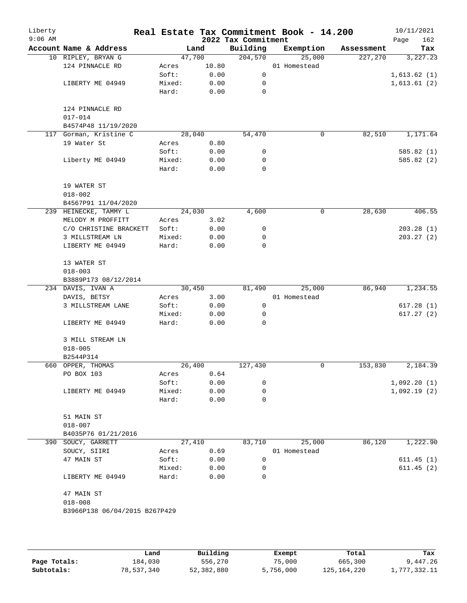| Liberty<br>$9:06$ AM |                                    |        |        | 2022 Tax Commitment | Real Estate Tax Commitment Book - 14.200 |            | 10/11/2021<br>162<br>Page |
|----------------------|------------------------------------|--------|--------|---------------------|------------------------------------------|------------|---------------------------|
|                      | Account Name & Address             |        | Land   | Building            | Exemption                                | Assessment | Tax                       |
|                      | 10 RIPLEY, BRYAN G                 |        | 47,700 | 204,570             | 25,000                                   | 227,270    | 3,227.23                  |
|                      | 124 PINNACLE RD                    | Acres  | 10.80  |                     | 01 Homestead                             |            |                           |
|                      |                                    | Soft:  | 0.00   | $\mathbf 0$         |                                          |            | 1,613.62(1)               |
|                      | LIBERTY ME 04949                   | Mixed: | 0.00   | 0                   |                                          |            | 1,613.61(2)               |
|                      |                                    | Hard:  | 0.00   | 0                   |                                          |            |                           |
|                      | 124 PINNACLE RD                    |        |        |                     |                                          |            |                           |
|                      | $017 - 014$<br>B4574P48 11/19/2020 |        |        |                     |                                          |            |                           |
|                      | 117 Gorman, Kristine C             |        | 28,040 | 54,470              | 0                                        | 82,510     | 1,171.64                  |
|                      | 19 Water St                        | Acres  | 0.80   |                     |                                          |            |                           |
|                      |                                    | Soft:  | 0.00   | 0                   |                                          |            | 585.82 (1)                |
|                      | Liberty ME 04949                   | Mixed: | 0.00   | 0                   |                                          |            | 585.82 (2)                |
|                      |                                    | Hard:  | 0.00   | $\mathbf 0$         |                                          |            |                           |
|                      |                                    |        |        |                     |                                          |            |                           |
|                      | 19 WATER ST                        |        |        |                     |                                          |            |                           |
|                      | $018 - 002$                        |        |        |                     |                                          |            |                           |
|                      | B4567P91 11/04/2020                |        |        |                     |                                          |            |                           |
|                      | 239 HEINECKE, TAMMY L              |        | 24,030 | 4,600               | 0                                        | 28,630     | 406.55                    |
|                      | MELODY M PROFFITT                  | Acres  | 3.02   |                     |                                          |            |                           |
|                      | C/O CHRISTINE BRACKETT             | Soft:  | 0.00   | 0                   |                                          |            | 203.28(1)                 |
|                      | 3 MILLSTREAM LN                    | Mixed: | 0.00   | 0                   |                                          |            | 203.27(2)                 |
|                      | LIBERTY ME 04949                   | Hard:  | 0.00   | 0                   |                                          |            |                           |
|                      | 13 WATER ST                        |        |        |                     |                                          |            |                           |
|                      | $018 - 003$                        |        |        |                     |                                          |            |                           |
|                      | B3889P173 08/12/2014               |        |        |                     |                                          |            |                           |
|                      | 234 DAVIS, IVAN A                  |        | 30,450 | 81,490              | 25,000                                   | 86,940     | 1,234.55                  |
|                      | DAVIS, BETSY                       | Acres  | 3.00   |                     | 01 Homestead                             |            |                           |
|                      | 3 MILLSTREAM LANE                  | Soft:  | 0.00   | $\mathbf 0$         |                                          |            | 617.28(1)                 |
|                      |                                    | Mixed: | 0.00   | 0                   |                                          |            | 617.27(2)                 |
|                      | LIBERTY ME 04949                   | Hard:  | 0.00   | 0                   |                                          |            |                           |
|                      | 3 MILL STREAM LN                   |        |        |                     |                                          |            |                           |
|                      | $018 - 005$                        |        |        |                     |                                          |            |                           |
|                      | B2544P314                          |        |        |                     |                                          |            |                           |
|                      | 660 OPPER, THOMAS                  |        | 26,400 | 127,430             | 0                                        | 153,830    | 2,184.39                  |
|                      | PO BOX 103                         | Acres  | 0.64   |                     |                                          |            |                           |
|                      |                                    | Soft:  | 0.00   | 0                   |                                          |            | 1,092.20(1)               |
|                      | LIBERTY ME 04949                   | Mixed: | 0.00   | 0                   |                                          |            | 1,092.19(2)               |
|                      |                                    | Hard:  | 0.00   | 0                   |                                          |            |                           |
|                      | 51 MAIN ST                         |        |        |                     |                                          |            |                           |
|                      | $018 - 007$                        |        |        |                     |                                          |            |                           |
|                      | B4035P76 01/21/2016                |        |        |                     |                                          |            |                           |
|                      | 390 SOUCY, GARRETT                 |        | 27,410 | 83,710              | 25,000                                   | 86,120     | 1,222.90                  |
|                      | SOUCY, SIIRI                       | Acres  | 0.69   |                     | 01 Homestead                             |            |                           |
|                      | 47 MAIN ST                         | Soft:  | 0.00   | 0                   |                                          |            | 611.45(1)                 |
|                      |                                    | Mixed: | 0.00   | 0                   |                                          |            | 611.45(2)                 |
|                      | LIBERTY ME 04949                   | Hard:  | 0.00   | 0                   |                                          |            |                           |
|                      | 47 MAIN ST                         |        |        |                     |                                          |            |                           |
|                      | $018 - 008$                        |        |        |                     |                                          |            |                           |
|                      | B3966P138 06/04/2015 B267P429      |        |        |                     |                                          |            |                           |
|                      |                                    |        |        |                     |                                          |            |                           |

|              | Land       | Building   | Exempt    | Total         | Tax          |
|--------------|------------|------------|-----------|---------------|--------------|
| Page Totals: | 184,030    | 556,270    | 75,000    | 665,300       | 9,447.26     |
| Subtotals:   | 78,537,340 | 52,382,880 | 5,756,000 | 125, 164, 220 | l,777,332.11 |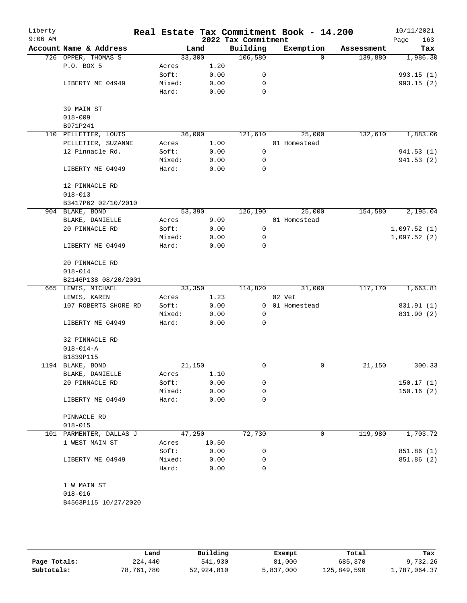| Liberty<br>$9:06$ AM |                         |        |       | 2022 Tax Commitment | Real Estate Tax Commitment Book - 14.200 |            | 10/11/2021<br>163<br>Page |
|----------------------|-------------------------|--------|-------|---------------------|------------------------------------------|------------|---------------------------|
|                      | Account Name & Address  | Land   |       | Building            | Exemption                                | Assessment | Tax                       |
|                      | 726 OPPER, THOMAS S     | 33,300 |       | 106,580             | $\Omega$                                 | 139,880    | 1,986.30                  |
|                      | P.O. BOX 5              | Acres  | 1.20  |                     |                                          |            |                           |
|                      |                         | Soft:  | 0.00  | 0                   |                                          |            | 993.15(1)                 |
|                      | LIBERTY ME 04949        | Mixed: | 0.00  | 0                   |                                          |            | 993.15(2)                 |
|                      |                         | Hard:  | 0.00  | $\Omega$            |                                          |            |                           |
|                      | 39 MAIN ST              |        |       |                     |                                          |            |                           |
|                      | $018 - 009$             |        |       |                     |                                          |            |                           |
|                      | B971P241                |        |       |                     |                                          |            |                           |
|                      | 110 PELLETIER, LOUIS    | 36,000 |       | 121,610             | 25,000                                   | 132,610    | 1,883.06                  |
|                      | PELLETIER, SUZANNE      | Acres  | 1.00  |                     | 01 Homestead                             |            |                           |
|                      | 12 Pinnacle Rd.         | Soft:  | 0.00  | 0                   |                                          |            | 941.53 (1)                |
|                      |                         | Mixed: | 0.00  | 0                   |                                          |            | 941.53(2)                 |
|                      | LIBERTY ME 04949        | Hard:  | 0.00  | 0                   |                                          |            |                           |
|                      | 12 PINNACLE RD          |        |       |                     |                                          |            |                           |
|                      | $018 - 013$             |        |       |                     |                                          |            |                           |
|                      | B3417P62 02/10/2010     |        |       |                     |                                          |            |                           |
|                      | 904 BLAKE, BOND         | 53,390 |       | 126,190             | 25,000                                   | 154,580    | 2,195.04                  |
|                      | BLAKE, DANIELLE         | Acres  | 9.09  |                     | 01 Homestead                             |            |                           |
|                      | 20 PINNACLE RD          | Soft:  | 0.00  | 0                   |                                          |            | 1,097.52(1)               |
|                      |                         | Mixed: | 0.00  | 0                   |                                          |            | 1,097.52(2)               |
|                      | LIBERTY ME 04949        | Hard:  | 0.00  | 0                   |                                          |            |                           |
|                      | 20 PINNACLE RD          |        |       |                     |                                          |            |                           |
|                      | $018 - 014$             |        |       |                     |                                          |            |                           |
|                      | B2146P138 08/20/2001    |        |       |                     |                                          |            |                           |
|                      | 665 LEWIS, MICHAEL      | 33,350 |       | 114,820             | 31,000                                   | 117,170    | 1,663.81                  |
|                      | LEWIS, KAREN            | Acres  | 1.23  |                     | 02 Vet                                   |            |                           |
|                      | 107 ROBERTS SHORE RD    | Soft:  | 0.00  | $\overline{0}$      | 01 Homestead                             |            | 831.91 (1)                |
|                      |                         | Mixed: | 0.00  | 0                   |                                          |            | 831.90 (2)                |
|                      | LIBERTY ME 04949        | Hard:  | 0.00  | $\Omega$            |                                          |            |                           |
|                      | 32 PINNACLE RD          |        |       |                     |                                          |            |                           |
|                      | $018 - 014 - A$         |        |       |                     |                                          |            |                           |
|                      | B1839P115               |        |       |                     |                                          |            |                           |
| 1194                 | BLAKE, BOND             | 21,150 |       | 0                   | $\mathbf 0$                              | 21,150     | 300.33                    |
|                      | BLAKE, DANIELLE         | Acres  | 1.10  |                     |                                          |            |                           |
|                      | 20 PINNACLE RD          | Soft:  | 0.00  | 0                   |                                          |            | 150.17(1)                 |
|                      |                         | Mixed: | 0.00  | 0                   |                                          |            | 150.16(2)                 |
|                      | LIBERTY ME 04949        | Hard:  | 0.00  | 0                   |                                          |            |                           |
|                      | PINNACLE RD             |        |       |                     |                                          |            |                           |
|                      | $018 - 015$             |        |       |                     |                                          |            |                           |
|                      | 101 PARMENTER, DALLAS J | 47,250 |       | 72,730              | 0                                        | 119,980    | 1,703.72                  |
|                      | 1 WEST MAIN ST          | Acres  | 10.50 |                     |                                          |            |                           |
|                      |                         | Soft:  | 0.00  | 0                   |                                          |            | 851.86 (1)                |
|                      | LIBERTY ME 04949        | Mixed: | 0.00  | 0                   |                                          |            | 851.86 (2)                |
|                      |                         | Hard:  | 0.00  | 0                   |                                          |            |                           |
|                      | 1 W MAIN ST             |        |       |                     |                                          |            |                           |
|                      | $018 - 016$             |        |       |                     |                                          |            |                           |
|                      | B4563P115 10/27/2020    |        |       |                     |                                          |            |                           |

|              | Land       | Building   | Exempt    | Total       | Tax          |
|--------------|------------|------------|-----------|-------------|--------------|
| Page Totals: | 224,440    | 541,930    | 81,000    | 685,370     | 9,732.26     |
| Subtotals:   | 78,761,780 | 52,924,810 | 5,837,000 | 125,849,590 | L,787,064.37 |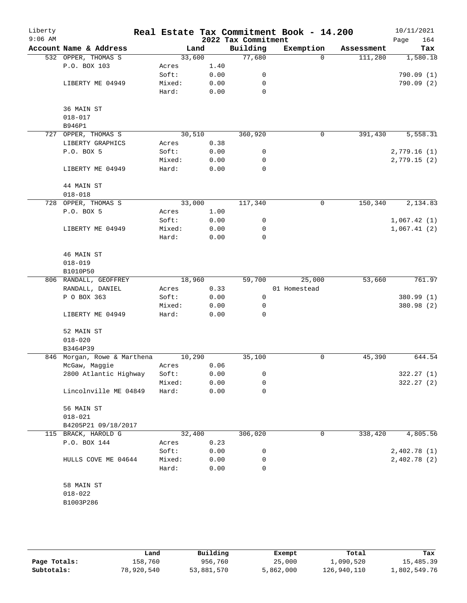| Liberty<br>$9:06$ AM |                             |        |      | 2022 Tax Commitment | Real Estate Tax Commitment Book - 14.200 |            | 10/11/2021<br>164<br>Page |
|----------------------|-----------------------------|--------|------|---------------------|------------------------------------------|------------|---------------------------|
|                      | Account Name & Address      | Land   |      | Building            | Exemption                                | Assessment | Tax                       |
|                      | 532 OPPER, THOMAS S         | 33,600 |      | 77,680              | $\Omega$                                 | 111,280    | 1,580.18                  |
|                      | P.O. BOX 103                | Acres  | 1.40 |                     |                                          |            |                           |
|                      |                             | Soft:  | 0.00 | 0                   |                                          |            | 790.09(1)                 |
|                      | LIBERTY ME 04949            | Mixed: | 0.00 | $\mathbf 0$         |                                          |            | 790.09(2)                 |
|                      |                             | Hard:  | 0.00 | $\mathbf 0$         |                                          |            |                           |
|                      |                             |        |      |                     |                                          |            |                           |
|                      | 36 MAIN ST                  |        |      |                     |                                          |            |                           |
|                      | $018 - 017$                 |        |      |                     |                                          |            |                           |
|                      |                             |        |      |                     |                                          |            |                           |
|                      | B946P1                      |        |      |                     | $\mathbf 0$                              |            | 5,558.31                  |
| 727                  | OPPER, THOMAS S             | 30,510 |      | 360,920             |                                          | 391,430    |                           |
|                      | LIBERTY GRAPHICS            | Acres  | 0.38 |                     |                                          |            |                           |
|                      | P.O. BOX 5                  | Soft:  | 0.00 | 0                   |                                          |            | 2,779.16(1)               |
|                      |                             | Mixed: | 0.00 | 0                   |                                          |            | 2,779.15(2)               |
|                      | LIBERTY ME 04949            | Hard:  | 0.00 | $\mathbf 0$         |                                          |            |                           |
|                      | 44 MAIN ST                  |        |      |                     |                                          |            |                           |
|                      | $018 - 018$                 |        |      |                     |                                          |            |                           |
|                      | 728 OPPER, THOMAS S         | 33,000 |      | 117,340             | $\mathbf 0$                              | 150,340    | 2,134.83                  |
|                      | P.O. BOX 5                  | Acres  | 1.00 |                     |                                          |            |                           |
|                      |                             | Soft:  | 0.00 | 0                   |                                          |            | 1,067.42(1)               |
|                      | LIBERTY ME 04949            | Mixed: | 0.00 | 0                   |                                          |            | 1,067.41(2)               |
|                      |                             | Hard:  | 0.00 | $\mathbf 0$         |                                          |            |                           |
|                      |                             |        |      |                     |                                          |            |                           |
|                      | 46 MAIN ST                  |        |      |                     |                                          |            |                           |
|                      | $018 - 019$                 |        |      |                     |                                          |            |                           |
|                      | B1010P50                    |        |      |                     |                                          |            |                           |
|                      | 806 RANDALL, GEOFFREY       | 18,960 |      | 59,700              | 25,000                                   | 53,660     | 761.97                    |
|                      | RANDALL, DANIEL             | Acres  | 0.33 |                     | 01 Homestead                             |            |                           |
|                      | P O BOX 363                 | Soft:  | 0.00 | 0                   |                                          |            | 380.99 (1)                |
|                      |                             | Mixed: | 0.00 | 0                   |                                          |            | 380.98 (2)                |
|                      | LIBERTY ME 04949            | Hard:  | 0.00 | $\mathbf 0$         |                                          |            |                           |
|                      | 52 MAIN ST                  |        |      |                     |                                          |            |                           |
|                      |                             |        |      |                     |                                          |            |                           |
|                      | $018 - 020$                 |        |      |                     |                                          |            |                           |
|                      | B3464P39                    |        |      |                     |                                          |            |                           |
|                      | 846 Morgan, Rowe & Marthena | 10,290 |      | 35,100              | 0                                        | 45,390     | 644.54                    |
|                      | McGaw, Maggie               | Acres  | 0.06 |                     |                                          |            |                           |
|                      | 2800 Atlantic Highway       | Soft:  | 0.00 | 0                   |                                          |            | 322.27 (1)                |
|                      |                             | Mixed: | 0.00 | 0                   |                                          |            | 322.27 (2)                |
|                      | Lincolnville ME 04849       | Hard:  | 0.00 | $\mathbf 0$         |                                          |            |                           |
|                      | 56 MAIN ST                  |        |      |                     |                                          |            |                           |
|                      | $018 - 021$                 |        |      |                     |                                          |            |                           |
|                      | B4205P21 09/18/2017         |        |      |                     |                                          |            |                           |
|                      | 115 BRACK, HAROLD G         | 32,400 |      | 306,020             | 0                                        | 338,420    | 4,805.56                  |
|                      | P.O. BOX 144                | Acres  | 0.23 |                     |                                          |            |                           |
|                      |                             | Soft:  | 0.00 | 0                   |                                          |            | 2,402.78(1)               |
|                      | HULLS COVE ME 04644         | Mixed: | 0.00 | 0                   |                                          |            | 2,402.78(2)               |
|                      |                             | Hard:  | 0.00 | $\mathbf 0$         |                                          |            |                           |
|                      |                             |        |      |                     |                                          |            |                           |
|                      | 58 MAIN ST                  |        |      |                     |                                          |            |                           |
|                      | $018 - 022$                 |        |      |                     |                                          |            |                           |
|                      | B1003P286                   |        |      |                     |                                          |            |                           |
|                      |                             |        |      |                     |                                          |            |                           |
|                      |                             |        |      |                     |                                          |            |                           |

|              | Land       | Building   | Exempt    | Total       | Tax          |
|--------------|------------|------------|-----------|-------------|--------------|
| Page Totals: | 158,760    | 956,760    | 25,000    | 1,090,520   | 15,485.39    |
| Subtotals:   | 78,920,540 | 53,881,570 | 5,862,000 | 126,940,110 | 1,802,549.76 |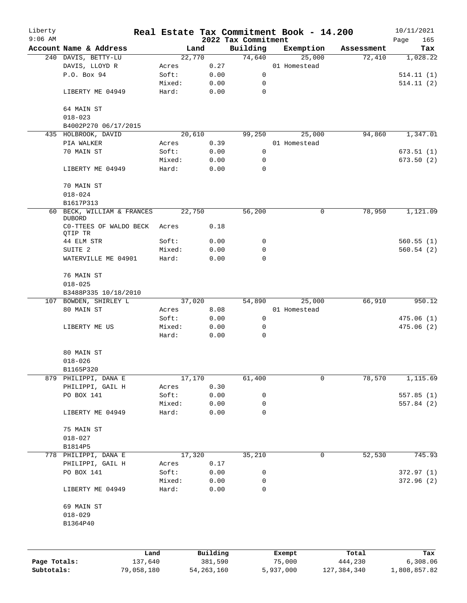| Liberty      |                                          |                |              |                     | Real Estate Tax Commitment Book - 14.200 |            | 10/11/2021  |
|--------------|------------------------------------------|----------------|--------------|---------------------|------------------------------------------|------------|-------------|
| $9:06$ AM    |                                          |                |              | 2022 Tax Commitment |                                          |            | 165<br>Page |
|              | Account Name & Address                   |                | Land         | Building            | Exemption                                | Assessment | Tax         |
|              | 240 DAVIS, BETTY-LU                      |                | 22,770       | 74,640              | 25,000                                   | 72,410     | 1,028.22    |
|              | DAVIS, LLOYD R<br>P.O. Box 94            | Acres<br>Soft: | 0.27<br>0.00 |                     | 01 Homestead                             |            |             |
|              |                                          |                |              | 0                   |                                          |            | 514.11(1)   |
|              |                                          | Mixed:         | 0.00         | 0                   |                                          |            | 514.11(2)   |
|              | LIBERTY ME 04949                         | Hard:          | 0.00         | 0                   |                                          |            |             |
|              | 64 MAIN ST                               |                |              |                     |                                          |            |             |
|              | $018 - 023$                              |                |              |                     |                                          |            |             |
|              | B4002P270 06/17/2015                     |                |              |                     |                                          |            |             |
|              | 435 HOLBROOK, DAVID                      |                | 20,610       | 99,250              | 25,000                                   | 94,860     | 1,347.01    |
|              | PIA WALKER                               | Acres          | 0.39         |                     | 01 Homestead                             |            |             |
|              | 70 MAIN ST                               | Soft:          | 0.00         | 0                   |                                          |            | 673.51(1)   |
|              |                                          | Mixed:         | 0.00         | 0                   |                                          |            | 673.50 (2)  |
|              | LIBERTY ME 04949                         | Hard:          | 0.00         | $\Omega$            |                                          |            |             |
|              |                                          |                |              |                     |                                          |            |             |
|              | 70 MAIN ST                               |                |              |                     |                                          |            |             |
|              | $018 - 024$                              |                |              |                     |                                          |            |             |
|              |                                          |                |              |                     |                                          |            |             |
|              | B1617P313                                |                |              |                     |                                          |            |             |
| 60           | BECK, WILLIAM & FRANCES<br><b>DUBORD</b> |                | 22,750       | 56,200              | 0                                        | 78,950     | 1,121.09    |
|              | CO-TTEES OF WALDO BECK                   | Acres          | 0.18         |                     |                                          |            |             |
|              | QTIP TR                                  |                |              |                     |                                          |            |             |
|              | 44 ELM STR                               | Soft:          | 0.00         | 0                   |                                          |            | 560.55(1)   |
|              | SUITE <sub>2</sub>                       | Mixed:         | 0.00         | 0                   |                                          |            | 560.54(2)   |
|              | WATERVILLE ME 04901                      | Hard:          | 0.00         | $\Omega$            |                                          |            |             |
|              |                                          |                |              |                     |                                          |            |             |
|              | 76 MAIN ST                               |                |              |                     |                                          |            |             |
|              | $018 - 025$                              |                |              |                     |                                          |            |             |
|              | B3488P335 10/18/2010                     |                |              |                     |                                          |            |             |
|              | 107 BOWDEN, SHIRLEY L                    |                | 37,020       | 54,890              | 25,000                                   | 66,910     | 950.12      |
|              | 80 MAIN ST                               | Acres          | 8.08         |                     | 01 Homestead                             |            |             |
|              |                                          | Soft:          | 0.00         | 0                   |                                          |            | 475.06(1)   |
|              | LIBERTY ME US                            | Mixed:         | 0.00         | 0                   |                                          |            | 475.06(2)   |
|              |                                          | Hard:          | 0.00         | 0                   |                                          |            |             |
|              |                                          |                |              |                     |                                          |            |             |
|              | 80 MAIN ST                               |                |              |                     |                                          |            |             |
|              | $018 - 026$                              |                |              |                     |                                          |            |             |
|              | B1165P320                                |                |              |                     |                                          |            |             |
| 879          | PHILIPPI, DANA E                         |                | 17,170       | 61,400              | 0                                        | 78,570     | 1,115.69    |
|              | PHILIPPI, GAIL H                         | Acres          | 0.30         |                     |                                          |            |             |
|              | PO BOX 141                               | Soft:          | 0.00         | 0                   |                                          |            | 557.85(1)   |
|              |                                          | Mixed:         | 0.00         | 0                   |                                          |            | 557.84 (2)  |
|              | LIBERTY ME 04949                         | Hard:          | 0.00         | 0                   |                                          |            |             |
|              |                                          |                |              |                     |                                          |            |             |
|              | 75 MAIN ST                               |                |              |                     |                                          |            |             |
|              | $018 - 027$                              |                |              |                     |                                          |            |             |
|              | B1814P5                                  |                |              |                     |                                          |            |             |
|              | 778 PHILIPPI, DANA E                     |                | 17,320       | 35,210              | 0                                        | 52,530     | 745.93      |
|              | PHILIPPI, GAIL H                         |                | 0.17         |                     |                                          |            |             |
|              |                                          | Acres          |              |                     |                                          |            |             |
|              | PO BOX 141                               | Soft:          | 0.00         | 0                   |                                          |            | 372.97(1)   |
|              |                                          | Mixed:         | 0.00         | 0                   |                                          |            | 372.96(2)   |
|              | LIBERTY ME 04949                         | Hard:          | 0.00         | 0                   |                                          |            |             |
|              |                                          |                |              |                     |                                          |            |             |
|              | 69 MAIN ST                               |                |              |                     |                                          |            |             |
|              | $018 - 029$                              |                |              |                     |                                          |            |             |
|              | B1364P40                                 |                |              |                     |                                          |            |             |
|              |                                          |                |              |                     |                                          |            |             |
|              |                                          |                |              |                     |                                          |            |             |
|              |                                          | Land           | Building     |                     | Exempt                                   | Total      | Tax         |
| Page Totals: |                                          | 137,640        | 381,590      |                     | 75,000                                   | 444,230    | 6,308.06    |

**Subtotals:** 79,058,180 54,263,160 5,937,000 127,384,340 1,808,857.82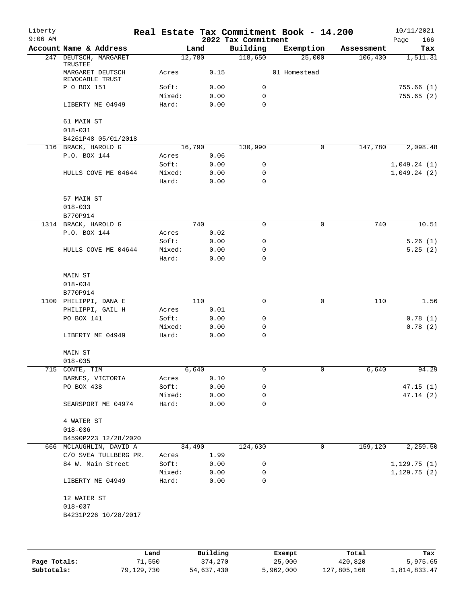| Liberty<br>$9:06$ AM |                                                |        |        | 2022 Tax Commitment | Real Estate Tax Commitment Book - 14.200 |            | 10/11/2021<br>Page<br>166 |
|----------------------|------------------------------------------------|--------|--------|---------------------|------------------------------------------|------------|---------------------------|
|                      | Account Name & Address                         |        | Land   | Building            | Exemption                                | Assessment | Tax                       |
|                      | 247 DEUTSCH, MARGARET                          |        | 12,780 | 118,650             | 25,000                                   | 106,430    | 1,511.31                  |
|                      | TRUSTEE<br>MARGARET DEUTSCH<br>REVOCABLE TRUST | Acres  | 0.15   |                     | 01 Homestead                             |            |                           |
|                      | P O BOX 151                                    | Soft:  | 0.00   | $\mathbf 0$         |                                          |            | 755.66(1)                 |
|                      |                                                | Mixed: | 0.00   | 0                   |                                          |            | 755.65(2)                 |
|                      | LIBERTY ME 04949                               | Hard:  | 0.00   | 0                   |                                          |            |                           |
|                      | 61 MAIN ST                                     |        |        |                     |                                          |            |                           |
|                      | $018 - 031$                                    |        |        |                     |                                          |            |                           |
|                      | B4261P48 05/01/2018                            |        |        |                     |                                          |            |                           |
|                      | 116 BRACK, HAROLD G                            |        | 16,790 | 130,990             | 0                                        | 147,780    | 2,098.48                  |
|                      | P.O. BOX 144                                   | Acres  | 0.06   |                     |                                          |            |                           |
|                      |                                                | Soft:  | 0.00   | 0                   |                                          |            | 1,049.24(1)               |
|                      | HULLS COVE ME 04644                            | Mixed: | 0.00   | 0                   |                                          |            | 1,049.24(2)               |
|                      |                                                | Hard:  | 0.00   | 0                   |                                          |            |                           |
|                      | 57 MAIN ST                                     |        |        |                     |                                          |            |                           |
|                      | $018 - 033$                                    |        |        |                     |                                          |            |                           |
|                      | B770P914                                       |        |        |                     |                                          |            |                           |
|                      | 1314 BRACK, HAROLD G                           |        | 740    | $\mathbf 0$         | 0                                        | 740        | 10.51                     |
|                      | P.O. BOX 144                                   | Acres  | 0.02   |                     |                                          |            |                           |
|                      |                                                | Soft:  | 0.00   | 0                   |                                          |            | 5.26(1)                   |
|                      | HULLS COVE ME 04644                            | Mixed: | 0.00   | 0                   |                                          |            | 5.25(2)                   |
|                      |                                                | Hard:  | 0.00   | 0                   |                                          |            |                           |
|                      | MAIN ST                                        |        |        |                     |                                          |            |                           |
|                      | $018 - 034$                                    |        |        |                     |                                          |            |                           |
|                      | B770P914                                       |        |        |                     |                                          |            |                           |
|                      | 1100 PHILIPPI, DANA E                          |        | 110    | 0                   | 0                                        | 110        | 1.56                      |
|                      | PHILIPPI, GAIL H                               | Acres  | 0.01   |                     |                                          |            |                           |
|                      | PO BOX 141                                     | Soft:  | 0.00   | 0                   |                                          |            | 0.78(1)                   |
|                      |                                                | Mixed: | 0.00   | 0                   |                                          |            | 0.78(2)                   |
|                      | LIBERTY ME 04949                               | Hard:  | 0.00   | 0                   |                                          |            |                           |
|                      | MAIN ST                                        |        |        |                     |                                          |            |                           |
|                      | $018 - 035$                                    |        |        |                     |                                          |            |                           |
|                      | 715 CONTE, TIM                                 |        | 6,640  | $\mathsf 0$         | 0                                        | 6,640      | 94.29                     |
|                      |                                                |        |        |                     |                                          |            |                           |
|                      | BARNES, VICTORIA<br>PO BOX 438                 | Acres  | 0.10   |                     |                                          |            |                           |
|                      |                                                | Soft:  | 0.00   | 0                   |                                          |            | 47.15(1)                  |
|                      |                                                | Mixed: | 0.00   | 0                   |                                          |            | 47.14(2)                  |
|                      | SEARSPORT ME 04974                             | Hard:  | 0.00   | 0                   |                                          |            |                           |
|                      | 4 WATER ST                                     |        |        |                     |                                          |            |                           |
|                      | $018 - 036$                                    |        |        |                     |                                          |            |                           |
|                      | B4590P223 12/28/2020                           |        |        |                     |                                          |            |                           |
|                      | 666 MCLAUGHLIN, DAVID A                        |        | 34,490 | 124,630             | 0                                        | 159,120    | 2,259.50                  |
|                      | C/O SVEA TULLBERG PR.                          | Acres  | 1.99   |                     |                                          |            |                           |
|                      | 84 W. Main Street                              | Soft:  | 0.00   | 0                   |                                          |            | 1,129.75(1)               |
|                      |                                                | Mixed: | 0.00   | 0                   |                                          |            | 1, 129.75(2)              |
|                      | LIBERTY ME 04949                               | Hard:  | 0.00   | 0                   |                                          |            |                           |
|                      | 12 WATER ST                                    |        |        |                     |                                          |            |                           |
|                      | $018 - 037$                                    |        |        |                     |                                          |            |                           |
|                      | B4231P226 10/28/2017                           |        |        |                     |                                          |            |                           |
|                      |                                                |        |        |                     |                                          |            |                           |
|                      |                                                |        |        |                     |                                          |            |                           |

|              | Land       | Building   | Exempt    | Total       | Tax          |
|--------------|------------|------------|-----------|-------------|--------------|
| Page Totals: | 71,550     | 374,270    | 25,000    | 420,820     | 5,975.65     |
| Subtotals:   | 79,129,730 | 54,637,430 | 5,962,000 | 127,805,160 | 1,814,833.47 |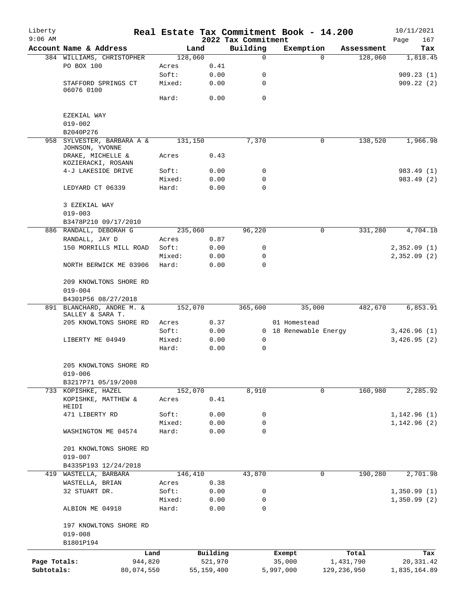| 2022 Tax Commitment<br>Building<br>Account Name & Address<br>Exemption<br>Land<br>Assessment<br>Tax<br>128,060<br>384 WILLIAMS, CHRISTOPHER<br>128,060<br>$\mathbf 0$<br>$\Omega$<br>1,818.45<br>PO BOX 100<br>0.41<br>Acres<br>Soft:<br>0.00<br>0<br>909.23(1)<br>STAFFORD SPRINGS CT<br>Mixed:<br>0.00<br>0<br>909.22(2)<br>06076 0100<br>0<br>Hard:<br>0.00<br>EZEKIAL WAY<br>$019 - 002$<br>B2040P276<br>958<br>SYLVESTER, BARBARA A &<br>131,150<br>7,370<br>0<br>138,520<br>1,966.98<br>JOHNSON, YVONNE<br>DRAKE, MICHELLE &<br>0.43<br>Acres<br>KOZIERACKI, ROSANN<br>4-J LAKESIDE DRIVE<br>Soft:<br>0.00<br>983.49 (1)<br>0<br>Mixed:<br>0.00<br>0<br>983.49 (2)<br>LEDYARD CT 06339<br>Hard:<br>0.00<br>0<br>3 EZEKIAL WAY<br>$019 - 003$<br>B3478P210 09/17/2010<br>RANDALL, DEBORAH G<br>235,060<br>96,220<br>0<br>331,280<br>886<br>RANDALL, JAY D<br>0.87<br>Acres<br>150 MORRILLS MILL ROAD<br>Soft:<br>0.00<br>0<br>Mixed:<br>0.00<br>0<br>Hard:<br>0.00<br>0<br>NORTH BERWICK ME 03906<br>209 KNOWLTONS SHORE RD<br>$019 - 004$<br>B4301P56 08/27/2018<br>891 BLANCHARD, ANDRE M. &<br>152,070<br>35,000<br>482,670<br>365,600<br>SALLEY & SARA T.<br>205 KNOWLTONS SHORE RD<br>0.37<br>01 Homestead<br>Acres<br>Soft:<br>0.00<br>0 18 Renewable Energy<br>LIBERTY ME 04949<br>Mixed:<br>0.00<br>0<br>0.00<br>0<br>Hard:<br>205 KNOWLTONS SHORE RD<br>019-006<br>B3217P71 05/19/2008<br>160,980<br>152,070<br>8,910<br>$\mathbf 0$<br>733 KOPISHKE, HAZEL<br>KOPISHKE, MATTHEW &<br>Acres<br>0.41<br>HEIDI<br>471 LIBERTY RD<br>0.00<br>Soft:<br>0<br>Mixed:<br>0.00<br>0<br>0<br>Hard:<br>0.00<br>WASHINGTON ME 04574<br>201 KNOWLTONS SHORE RD<br>$019 - 007$<br>B4335P193 12/24/2018<br>146,410<br>43,870<br>190,280<br>419<br>WASTELLA, BARBARA<br>0<br>0.38<br>WASTELLA, BRIAN<br>Acres<br>32 STUART DR.<br>Soft:<br>0.00<br>0<br>0.00<br>Mixed:<br>0<br>ALBION ME 04910<br>Hard:<br>0.00<br>0<br>197 KNOWLTONS SHORE RD<br>$019 - 008$<br>B1801P194<br>Land<br>Building<br>Total<br>Exempt<br>Tax<br>Page Totals:<br>944,820<br>521,970<br>35,000<br>1,431,790<br>Subtotals:<br>55, 159, 400<br>129, 236, 950<br>80,074,550<br>5,997,000 | Liberty   |  |  | Real Estate Tax Commitment Book - 14.200 | 10/11/2021  |
|----------------------------------------------------------------------------------------------------------------------------------------------------------------------------------------------------------------------------------------------------------------------------------------------------------------------------------------------------------------------------------------------------------------------------------------------------------------------------------------------------------------------------------------------------------------------------------------------------------------------------------------------------------------------------------------------------------------------------------------------------------------------------------------------------------------------------------------------------------------------------------------------------------------------------------------------------------------------------------------------------------------------------------------------------------------------------------------------------------------------------------------------------------------------------------------------------------------------------------------------------------------------------------------------------------------------------------------------------------------------------------------------------------------------------------------------------------------------------------------------------------------------------------------------------------------------------------------------------------------------------------------------------------------------------------------------------------------------------------------------------------------------------------------------------------------------------------------------------------------------------------------------------------------------------------------------------------------------------------------------------------------------------------------------------------------------------------------------------------------------------------------------------------------|-----------|--|--|------------------------------------------|-------------|
|                                                                                                                                                                                                                                                                                                                                                                                                                                                                                                                                                                                                                                                                                                                                                                                                                                                                                                                                                                                                                                                                                                                                                                                                                                                                                                                                                                                                                                                                                                                                                                                                                                                                                                                                                                                                                                                                                                                                                                                                                                                                                                                                                                | $9:06$ AM |  |  |                                          | Page<br>167 |
|                                                                                                                                                                                                                                                                                                                                                                                                                                                                                                                                                                                                                                                                                                                                                                                                                                                                                                                                                                                                                                                                                                                                                                                                                                                                                                                                                                                                                                                                                                                                                                                                                                                                                                                                                                                                                                                                                                                                                                                                                                                                                                                                                                |           |  |  |                                          |             |
|                                                                                                                                                                                                                                                                                                                                                                                                                                                                                                                                                                                                                                                                                                                                                                                                                                                                                                                                                                                                                                                                                                                                                                                                                                                                                                                                                                                                                                                                                                                                                                                                                                                                                                                                                                                                                                                                                                                                                                                                                                                                                                                                                                |           |  |  |                                          |             |
|                                                                                                                                                                                                                                                                                                                                                                                                                                                                                                                                                                                                                                                                                                                                                                                                                                                                                                                                                                                                                                                                                                                                                                                                                                                                                                                                                                                                                                                                                                                                                                                                                                                                                                                                                                                                                                                                                                                                                                                                                                                                                                                                                                |           |  |  |                                          |             |
|                                                                                                                                                                                                                                                                                                                                                                                                                                                                                                                                                                                                                                                                                                                                                                                                                                                                                                                                                                                                                                                                                                                                                                                                                                                                                                                                                                                                                                                                                                                                                                                                                                                                                                                                                                                                                                                                                                                                                                                                                                                                                                                                                                |           |  |  |                                          |             |
|                                                                                                                                                                                                                                                                                                                                                                                                                                                                                                                                                                                                                                                                                                                                                                                                                                                                                                                                                                                                                                                                                                                                                                                                                                                                                                                                                                                                                                                                                                                                                                                                                                                                                                                                                                                                                                                                                                                                                                                                                                                                                                                                                                |           |  |  |                                          |             |
|                                                                                                                                                                                                                                                                                                                                                                                                                                                                                                                                                                                                                                                                                                                                                                                                                                                                                                                                                                                                                                                                                                                                                                                                                                                                                                                                                                                                                                                                                                                                                                                                                                                                                                                                                                                                                                                                                                                                                                                                                                                                                                                                                                |           |  |  |                                          |             |
|                                                                                                                                                                                                                                                                                                                                                                                                                                                                                                                                                                                                                                                                                                                                                                                                                                                                                                                                                                                                                                                                                                                                                                                                                                                                                                                                                                                                                                                                                                                                                                                                                                                                                                                                                                                                                                                                                                                                                                                                                                                                                                                                                                |           |  |  |                                          |             |
|                                                                                                                                                                                                                                                                                                                                                                                                                                                                                                                                                                                                                                                                                                                                                                                                                                                                                                                                                                                                                                                                                                                                                                                                                                                                                                                                                                                                                                                                                                                                                                                                                                                                                                                                                                                                                                                                                                                                                                                                                                                                                                                                                                |           |  |  |                                          |             |
|                                                                                                                                                                                                                                                                                                                                                                                                                                                                                                                                                                                                                                                                                                                                                                                                                                                                                                                                                                                                                                                                                                                                                                                                                                                                                                                                                                                                                                                                                                                                                                                                                                                                                                                                                                                                                                                                                                                                                                                                                                                                                                                                                                |           |  |  |                                          |             |
|                                                                                                                                                                                                                                                                                                                                                                                                                                                                                                                                                                                                                                                                                                                                                                                                                                                                                                                                                                                                                                                                                                                                                                                                                                                                                                                                                                                                                                                                                                                                                                                                                                                                                                                                                                                                                                                                                                                                                                                                                                                                                                                                                                |           |  |  |                                          |             |
|                                                                                                                                                                                                                                                                                                                                                                                                                                                                                                                                                                                                                                                                                                                                                                                                                                                                                                                                                                                                                                                                                                                                                                                                                                                                                                                                                                                                                                                                                                                                                                                                                                                                                                                                                                                                                                                                                                                                                                                                                                                                                                                                                                |           |  |  |                                          |             |
|                                                                                                                                                                                                                                                                                                                                                                                                                                                                                                                                                                                                                                                                                                                                                                                                                                                                                                                                                                                                                                                                                                                                                                                                                                                                                                                                                                                                                                                                                                                                                                                                                                                                                                                                                                                                                                                                                                                                                                                                                                                                                                                                                                |           |  |  |                                          |             |
|                                                                                                                                                                                                                                                                                                                                                                                                                                                                                                                                                                                                                                                                                                                                                                                                                                                                                                                                                                                                                                                                                                                                                                                                                                                                                                                                                                                                                                                                                                                                                                                                                                                                                                                                                                                                                                                                                                                                                                                                                                                                                                                                                                |           |  |  |                                          |             |
| 4,704.18<br>2,352.09(1)<br>2,352.09(2)<br>6,853.91<br>3,426.96(1)<br>3,426.95(2)<br>2,285.92                                                                                                                                                                                                                                                                                                                                                                                                                                                                                                                                                                                                                                                                                                                                                                                                                                                                                                                                                                                                                                                                                                                                                                                                                                                                                                                                                                                                                                                                                                                                                                                                                                                                                                                                                                                                                                                                                                                                                                                                                                                                   |           |  |  |                                          |             |
|                                                                                                                                                                                                                                                                                                                                                                                                                                                                                                                                                                                                                                                                                                                                                                                                                                                                                                                                                                                                                                                                                                                                                                                                                                                                                                                                                                                                                                                                                                                                                                                                                                                                                                                                                                                                                                                                                                                                                                                                                                                                                                                                                                |           |  |  |                                          |             |
|                                                                                                                                                                                                                                                                                                                                                                                                                                                                                                                                                                                                                                                                                                                                                                                                                                                                                                                                                                                                                                                                                                                                                                                                                                                                                                                                                                                                                                                                                                                                                                                                                                                                                                                                                                                                                                                                                                                                                                                                                                                                                                                                                                |           |  |  |                                          |             |
|                                                                                                                                                                                                                                                                                                                                                                                                                                                                                                                                                                                                                                                                                                                                                                                                                                                                                                                                                                                                                                                                                                                                                                                                                                                                                                                                                                                                                                                                                                                                                                                                                                                                                                                                                                                                                                                                                                                                                                                                                                                                                                                                                                |           |  |  |                                          |             |
|                                                                                                                                                                                                                                                                                                                                                                                                                                                                                                                                                                                                                                                                                                                                                                                                                                                                                                                                                                                                                                                                                                                                                                                                                                                                                                                                                                                                                                                                                                                                                                                                                                                                                                                                                                                                                                                                                                                                                                                                                                                                                                                                                                |           |  |  |                                          |             |
|                                                                                                                                                                                                                                                                                                                                                                                                                                                                                                                                                                                                                                                                                                                                                                                                                                                                                                                                                                                                                                                                                                                                                                                                                                                                                                                                                                                                                                                                                                                                                                                                                                                                                                                                                                                                                                                                                                                                                                                                                                                                                                                                                                |           |  |  |                                          |             |
|                                                                                                                                                                                                                                                                                                                                                                                                                                                                                                                                                                                                                                                                                                                                                                                                                                                                                                                                                                                                                                                                                                                                                                                                                                                                                                                                                                                                                                                                                                                                                                                                                                                                                                                                                                                                                                                                                                                                                                                                                                                                                                                                                                |           |  |  |                                          |             |
|                                                                                                                                                                                                                                                                                                                                                                                                                                                                                                                                                                                                                                                                                                                                                                                                                                                                                                                                                                                                                                                                                                                                                                                                                                                                                                                                                                                                                                                                                                                                                                                                                                                                                                                                                                                                                                                                                                                                                                                                                                                                                                                                                                |           |  |  |                                          |             |
|                                                                                                                                                                                                                                                                                                                                                                                                                                                                                                                                                                                                                                                                                                                                                                                                                                                                                                                                                                                                                                                                                                                                                                                                                                                                                                                                                                                                                                                                                                                                                                                                                                                                                                                                                                                                                                                                                                                                                                                                                                                                                                                                                                |           |  |  |                                          |             |
|                                                                                                                                                                                                                                                                                                                                                                                                                                                                                                                                                                                                                                                                                                                                                                                                                                                                                                                                                                                                                                                                                                                                                                                                                                                                                                                                                                                                                                                                                                                                                                                                                                                                                                                                                                                                                                                                                                                                                                                                                                                                                                                                                                |           |  |  |                                          |             |
|                                                                                                                                                                                                                                                                                                                                                                                                                                                                                                                                                                                                                                                                                                                                                                                                                                                                                                                                                                                                                                                                                                                                                                                                                                                                                                                                                                                                                                                                                                                                                                                                                                                                                                                                                                                                                                                                                                                                                                                                                                                                                                                                                                |           |  |  |                                          |             |
|                                                                                                                                                                                                                                                                                                                                                                                                                                                                                                                                                                                                                                                                                                                                                                                                                                                                                                                                                                                                                                                                                                                                                                                                                                                                                                                                                                                                                                                                                                                                                                                                                                                                                                                                                                                                                                                                                                                                                                                                                                                                                                                                                                |           |  |  |                                          |             |
|                                                                                                                                                                                                                                                                                                                                                                                                                                                                                                                                                                                                                                                                                                                                                                                                                                                                                                                                                                                                                                                                                                                                                                                                                                                                                                                                                                                                                                                                                                                                                                                                                                                                                                                                                                                                                                                                                                                                                                                                                                                                                                                                                                |           |  |  |                                          |             |
|                                                                                                                                                                                                                                                                                                                                                                                                                                                                                                                                                                                                                                                                                                                                                                                                                                                                                                                                                                                                                                                                                                                                                                                                                                                                                                                                                                                                                                                                                                                                                                                                                                                                                                                                                                                                                                                                                                                                                                                                                                                                                                                                                                |           |  |  |                                          |             |
|                                                                                                                                                                                                                                                                                                                                                                                                                                                                                                                                                                                                                                                                                                                                                                                                                                                                                                                                                                                                                                                                                                                                                                                                                                                                                                                                                                                                                                                                                                                                                                                                                                                                                                                                                                                                                                                                                                                                                                                                                                                                                                                                                                |           |  |  |                                          |             |
|                                                                                                                                                                                                                                                                                                                                                                                                                                                                                                                                                                                                                                                                                                                                                                                                                                                                                                                                                                                                                                                                                                                                                                                                                                                                                                                                                                                                                                                                                                                                                                                                                                                                                                                                                                                                                                                                                                                                                                                                                                                                                                                                                                |           |  |  |                                          |             |
|                                                                                                                                                                                                                                                                                                                                                                                                                                                                                                                                                                                                                                                                                                                                                                                                                                                                                                                                                                                                                                                                                                                                                                                                                                                                                                                                                                                                                                                                                                                                                                                                                                                                                                                                                                                                                                                                                                                                                                                                                                                                                                                                                                |           |  |  |                                          |             |
|                                                                                                                                                                                                                                                                                                                                                                                                                                                                                                                                                                                                                                                                                                                                                                                                                                                                                                                                                                                                                                                                                                                                                                                                                                                                                                                                                                                                                                                                                                                                                                                                                                                                                                                                                                                                                                                                                                                                                                                                                                                                                                                                                                |           |  |  |                                          |             |
| 1,142.96(1)<br>1,142.96(2)<br>2,701.98<br>1,350.99(1)<br>1,350.99(2)<br>20,331.42<br>1,835,164.89                                                                                                                                                                                                                                                                                                                                                                                                                                                                                                                                                                                                                                                                                                                                                                                                                                                                                                                                                                                                                                                                                                                                                                                                                                                                                                                                                                                                                                                                                                                                                                                                                                                                                                                                                                                                                                                                                                                                                                                                                                                              |           |  |  |                                          |             |
|                                                                                                                                                                                                                                                                                                                                                                                                                                                                                                                                                                                                                                                                                                                                                                                                                                                                                                                                                                                                                                                                                                                                                                                                                                                                                                                                                                                                                                                                                                                                                                                                                                                                                                                                                                                                                                                                                                                                                                                                                                                                                                                                                                |           |  |  |                                          |             |
|                                                                                                                                                                                                                                                                                                                                                                                                                                                                                                                                                                                                                                                                                                                                                                                                                                                                                                                                                                                                                                                                                                                                                                                                                                                                                                                                                                                                                                                                                                                                                                                                                                                                                                                                                                                                                                                                                                                                                                                                                                                                                                                                                                |           |  |  |                                          |             |
|                                                                                                                                                                                                                                                                                                                                                                                                                                                                                                                                                                                                                                                                                                                                                                                                                                                                                                                                                                                                                                                                                                                                                                                                                                                                                                                                                                                                                                                                                                                                                                                                                                                                                                                                                                                                                                                                                                                                                                                                                                                                                                                                                                |           |  |  |                                          |             |
|                                                                                                                                                                                                                                                                                                                                                                                                                                                                                                                                                                                                                                                                                                                                                                                                                                                                                                                                                                                                                                                                                                                                                                                                                                                                                                                                                                                                                                                                                                                                                                                                                                                                                                                                                                                                                                                                                                                                                                                                                                                                                                                                                                |           |  |  |                                          |             |
|                                                                                                                                                                                                                                                                                                                                                                                                                                                                                                                                                                                                                                                                                                                                                                                                                                                                                                                                                                                                                                                                                                                                                                                                                                                                                                                                                                                                                                                                                                                                                                                                                                                                                                                                                                                                                                                                                                                                                                                                                                                                                                                                                                |           |  |  |                                          |             |
|                                                                                                                                                                                                                                                                                                                                                                                                                                                                                                                                                                                                                                                                                                                                                                                                                                                                                                                                                                                                                                                                                                                                                                                                                                                                                                                                                                                                                                                                                                                                                                                                                                                                                                                                                                                                                                                                                                                                                                                                                                                                                                                                                                |           |  |  |                                          |             |
|                                                                                                                                                                                                                                                                                                                                                                                                                                                                                                                                                                                                                                                                                                                                                                                                                                                                                                                                                                                                                                                                                                                                                                                                                                                                                                                                                                                                                                                                                                                                                                                                                                                                                                                                                                                                                                                                                                                                                                                                                                                                                                                                                                |           |  |  |                                          |             |
|                                                                                                                                                                                                                                                                                                                                                                                                                                                                                                                                                                                                                                                                                                                                                                                                                                                                                                                                                                                                                                                                                                                                                                                                                                                                                                                                                                                                                                                                                                                                                                                                                                                                                                                                                                                                                                                                                                                                                                                                                                                                                                                                                                |           |  |  |                                          |             |
|                                                                                                                                                                                                                                                                                                                                                                                                                                                                                                                                                                                                                                                                                                                                                                                                                                                                                                                                                                                                                                                                                                                                                                                                                                                                                                                                                                                                                                                                                                                                                                                                                                                                                                                                                                                                                                                                                                                                                                                                                                                                                                                                                                |           |  |  |                                          |             |
|                                                                                                                                                                                                                                                                                                                                                                                                                                                                                                                                                                                                                                                                                                                                                                                                                                                                                                                                                                                                                                                                                                                                                                                                                                                                                                                                                                                                                                                                                                                                                                                                                                                                                                                                                                                                                                                                                                                                                                                                                                                                                                                                                                |           |  |  |                                          |             |
|                                                                                                                                                                                                                                                                                                                                                                                                                                                                                                                                                                                                                                                                                                                                                                                                                                                                                                                                                                                                                                                                                                                                                                                                                                                                                                                                                                                                                                                                                                                                                                                                                                                                                                                                                                                                                                                                                                                                                                                                                                                                                                                                                                |           |  |  |                                          |             |
|                                                                                                                                                                                                                                                                                                                                                                                                                                                                                                                                                                                                                                                                                                                                                                                                                                                                                                                                                                                                                                                                                                                                                                                                                                                                                                                                                                                                                                                                                                                                                                                                                                                                                                                                                                                                                                                                                                                                                                                                                                                                                                                                                                |           |  |  |                                          |             |
|                                                                                                                                                                                                                                                                                                                                                                                                                                                                                                                                                                                                                                                                                                                                                                                                                                                                                                                                                                                                                                                                                                                                                                                                                                                                                                                                                                                                                                                                                                                                                                                                                                                                                                                                                                                                                                                                                                                                                                                                                                                                                                                                                                |           |  |  |                                          |             |
|                                                                                                                                                                                                                                                                                                                                                                                                                                                                                                                                                                                                                                                                                                                                                                                                                                                                                                                                                                                                                                                                                                                                                                                                                                                                                                                                                                                                                                                                                                                                                                                                                                                                                                                                                                                                                                                                                                                                                                                                                                                                                                                                                                |           |  |  |                                          |             |
|                                                                                                                                                                                                                                                                                                                                                                                                                                                                                                                                                                                                                                                                                                                                                                                                                                                                                                                                                                                                                                                                                                                                                                                                                                                                                                                                                                                                                                                                                                                                                                                                                                                                                                                                                                                                                                                                                                                                                                                                                                                                                                                                                                |           |  |  |                                          |             |
|                                                                                                                                                                                                                                                                                                                                                                                                                                                                                                                                                                                                                                                                                                                                                                                                                                                                                                                                                                                                                                                                                                                                                                                                                                                                                                                                                                                                                                                                                                                                                                                                                                                                                                                                                                                                                                                                                                                                                                                                                                                                                                                                                                |           |  |  |                                          |             |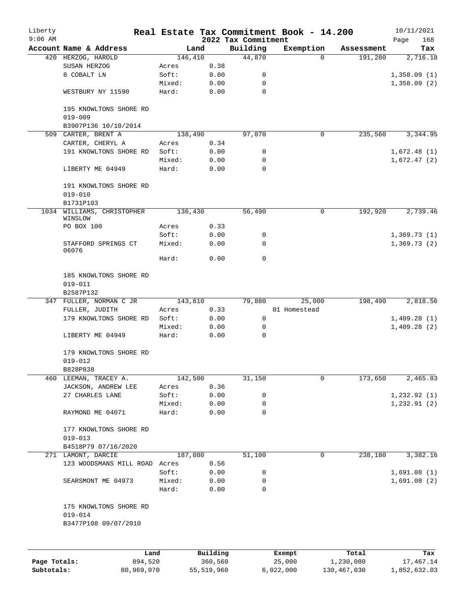| Liberty      |                                          |                |          |                                 | Real Estate Tax Commitment Book - 14.200 |            | 10/11/2021         |
|--------------|------------------------------------------|----------------|----------|---------------------------------|------------------------------------------|------------|--------------------|
| $9:06$ AM    | Account Name & Address                   |                | Land     | 2022 Tax Commitment<br>Building | Exemption                                | Assessment | 168<br>Page<br>Tax |
|              | 420 HERZOG, HAROLD                       | 146,410        |          | 44,870                          | $\Omega$                                 | 191,280    | 2,716.18           |
|              | SUSAN HERZOG                             | Acres          | 0.38     |                                 |                                          |            |                    |
|              | 8 COBALT LN                              | Soft:          | 0.00     | 0                               |                                          |            | 1,358.09(1)        |
|              |                                          | Mixed:         | 0.00     | 0                               |                                          |            | 1,358.09(2)        |
|              | WESTBURY NY 11590                        | Hard:          | 0.00     | 0                               |                                          |            |                    |
|              | 195 KNOWLTONS SHORE RD<br>$019 - 009$    |                |          |                                 |                                          |            |                    |
|              | B3907P136 10/10/2014                     |                |          |                                 |                                          |            |                    |
|              | 509 CARTER, BRENT A                      | 138,490        |          | 97,070                          | 0                                        | 235,560    | 3,344.95           |
|              | CARTER, CHERYL A                         | Acres          | 0.34     |                                 |                                          |            |                    |
|              | 191 KNOWLTONS SHORE RD                   | Soft:          | 0.00     | 0                               |                                          |            | 1,672.48(1)        |
|              |                                          | Mixed:         | 0.00     | 0                               |                                          |            | 1,672.47(2)        |
|              | LIBERTY ME 04949                         | Hard:          | 0.00     | $\Omega$                        |                                          |            |                    |
|              | 191 KNOWLTONS SHORE RD<br>$019 - 010$    |                |          |                                 |                                          |            |                    |
|              | B1731P103                                |                |          |                                 |                                          |            |                    |
| 1034         | WILLIAMS, CHRISTOPHER<br>WINSLOW         | 136,430        |          | 56,490                          | 0                                        | 192,920    | 2,739.46           |
|              | PO BOX 100                               | Acres          | 0.33     |                                 |                                          |            |                    |
|              |                                          | Soft:          | 0.00     | 0                               |                                          |            | 1,369.73(1)        |
|              | STAFFORD SPRINGS CT<br>06076             | Mixed:         | 0.00     | 0                               |                                          |            | 1,369.73(2)        |
|              |                                          | Hard:          | 0.00     | 0                               |                                          |            |                    |
|              | 185 KNOWLTONS SHORE RD<br>$019 - 011$    |                |          |                                 |                                          |            |                    |
|              | B2587P132                                |                |          |                                 |                                          |            |                    |
|              | 347 FULLER, NORMAN C JR                  | 143,610        |          | 79,880                          | 25,000                                   | 198,490    | 2,818.56           |
|              | FULLER, JUDITH                           | Acres          | 0.33     |                                 | 01 Homestead                             |            |                    |
|              | 179 KNOWLTONS SHORE RD                   | Soft:          | 0.00     | 0                               |                                          |            | 1,409.28(1)        |
|              |                                          | Mixed:         | 0.00     | 0                               |                                          |            | 1,409.28(2)        |
|              | LIBERTY ME 04949                         | Hard:          | 0.00     | 0                               |                                          |            |                    |
|              | 179 KNOWLTONS SHORE RD                   |                |          |                                 |                                          |            |                    |
|              | $019 - 012$                              |                |          |                                 |                                          |            |                    |
|              | B828P838                                 |                |          |                                 | 0                                        |            |                    |
| 460          | LEEMAN, TRACEY A.<br>JACKSON, ANDREW LEE | 142,500        | 0.36     | 31,150                          |                                          | 173,650    | 2,465.83           |
|              | 27 CHARLES LANE                          | Acres<br>Soft: | 0.00     | 0                               |                                          |            | 1,232.92(1)        |
|              |                                          | Mixed:         | 0.00     | 0                               |                                          |            | 1, 232.91(2)       |
|              | RAYMOND ME 04071                         | Hard:          | 0.00     | 0                               |                                          |            |                    |
|              | 177 KNOWLTONS SHORE RD                   |                |          |                                 |                                          |            |                    |
|              | $019 - 013$                              |                |          |                                 |                                          |            |                    |
|              | B4518P79 07/16/2020                      |                |          |                                 |                                          |            |                    |
|              | 271 LAMONT, DARCIE                       | 187,080        |          | 51,100                          | 0                                        | 238,180    | 3,382.16           |
|              | 123 WOODSMANS MILL ROAD                  | Acres          | 0.56     |                                 |                                          |            |                    |
|              |                                          | Soft:          | 0.00     | 0                               |                                          |            | 1,691.08(1)        |
|              | SEARSMONT ME 04973                       | Mixed:         | 0.00     | 0                               |                                          |            | 1,691.08(2)        |
|              |                                          | Hard:          | 0.00     | 0                               |                                          |            |                    |
|              | 175 KNOWLTONS SHORE RD                   |                |          |                                 |                                          |            |                    |
|              | $019 - 014$                              |                |          |                                 |                                          |            |                    |
|              | B3477P108 09/07/2010                     |                |          |                                 |                                          |            |                    |
|              |                                          |                |          |                                 |                                          |            |                    |
|              | Land                                     |                | Building |                                 | Exempt                                   | Total      | Tax                |
| Page Totals: | 894,520                                  |                | 360,560  |                                 | 25,000                                   | 1,230,080  | 17,467.14          |

**Subtotals:** 80,969,070 55,519,960 6,022,000 130,467,030 1,852,632.03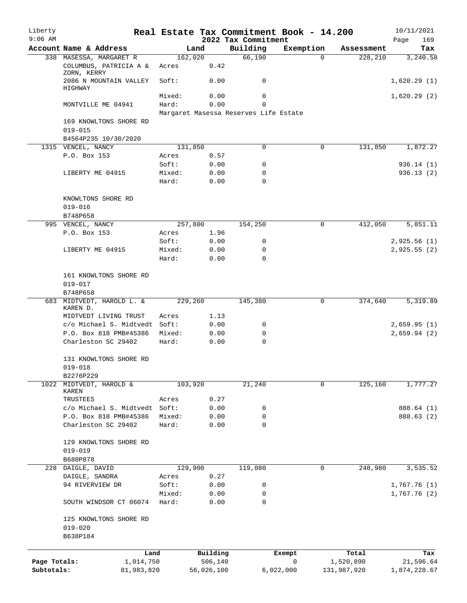| Liberty<br>$9:06$ AM |                                           |                 |                     |                                       | Real Estate Tax Commitment Book - 14.200 |                    | 10/11/2021         |
|----------------------|-------------------------------------------|-----------------|---------------------|---------------------------------------|------------------------------------------|--------------------|--------------------|
|                      | Account Name & Address                    |                 | Land                | 2022 Tax Commitment<br>Building       | Exemption                                | Assessment         | 169<br>Page<br>Tax |
|                      | 338 MASESSA, MARGARET R                   | 162,020         |                     | 66,190                                | $\Omega$                                 | 228,210            | 3,240.58           |
|                      | COLUMBUS, PATRICIA A &<br>ZORN, KERRY     | Acres           | 0.42                |                                       |                                          |                    |                    |
|                      | 2086 N MOUNTAIN VALLEY<br>HIGHWAY         | Soft:           | 0.00                | 0                                     |                                          |                    | 1,620.29(1)        |
|                      |                                           | Mixed:          | 0.00                | 0                                     |                                          |                    | 1,620.29(2)        |
|                      | MONTVILLE ME 04941                        | Hard:           | 0.00                | $\mathbf 0$                           |                                          |                    |                    |
|                      |                                           |                 |                     | Margaret Masessa Reserves Life Estate |                                          |                    |                    |
|                      | 169 KNOWLTONS SHORE RD                    |                 |                     |                                       |                                          |                    |                    |
|                      | $019 - 015$<br>B4564P235 10/30/2020       |                 |                     |                                       |                                          |                    |                    |
|                      | 1315 VENCEL, NANCY                        | 131,850         |                     | 0                                     | 0                                        | 131,850            | 1,872.27           |
|                      | P.O. Box 153                              | Acres           | 0.57                |                                       |                                          |                    |                    |
|                      |                                           | Soft:           | 0.00                | 0                                     |                                          |                    | 936.14 (1)         |
|                      | LIBERTY ME 04915                          | Mixed:          | 0.00                | 0                                     |                                          |                    | 936.13(2)          |
|                      |                                           | Hard:           | 0.00                | 0                                     |                                          |                    |                    |
|                      |                                           |                 |                     |                                       |                                          |                    |                    |
|                      | KNOWLTONS SHORE RD                        |                 |                     |                                       |                                          |                    |                    |
|                      | $019 - 016$                               |                 |                     |                                       |                                          |                    |                    |
|                      | B748P658                                  |                 |                     |                                       |                                          |                    |                    |
|                      | 995 VENCEL, NANCY                         | 257,800         |                     | 154,250                               | 0                                        | 412,050            | 5,851.11           |
|                      | P.O. Box 153                              | Acres<br>Soft:  | 1.96<br>0.00        | 0                                     |                                          |                    | 2,925.56(1)        |
|                      | LIBERTY ME 04915                          | Mixed:          | 0.00                | 0                                     |                                          |                    | 2,925.55(2)        |
|                      |                                           | Hard:           | 0.00                | $\Omega$                              |                                          |                    |                    |
|                      |                                           |                 |                     |                                       |                                          |                    |                    |
|                      | 161 KNOWLTONS SHORE RD                    |                 |                     |                                       |                                          |                    |                    |
|                      | $019 - 017$                               |                 |                     |                                       |                                          |                    |                    |
|                      | B748P658                                  |                 |                     |                                       |                                          |                    |                    |
|                      | 683 MIDTVEDT, HAROLD L. &<br>KAREN D.     | 229,260         |                     | 145,380                               | 0                                        | 374,640            | 5,319.89           |
|                      | MIDTVEDT LIVING TRUST                     | Acres           | 1.13                |                                       |                                          |                    |                    |
|                      | c/o Michael S. Midtvedt Soft:             |                 | 0.00                | 0                                     |                                          |                    | 2,659.95(1)        |
|                      | P.O. Box 818 PMB#45386                    | Mixed:          | 0.00                | 0                                     |                                          |                    | 2,659.94(2)        |
|                      | Charleston SC 29402                       | Hard:           | 0.00                | $\mathbf 0$                           |                                          |                    |                    |
|                      | 131 KNOWLTONS SHORE RD                    |                 |                     |                                       |                                          |                    |                    |
|                      | $019 - 018$                               |                 |                     |                                       |                                          |                    |                    |
|                      | B2276P229                                 |                 |                     |                                       |                                          |                    |                    |
|                      | 1022 MIDTVEDT, HAROLD &                   | 103,920         |                     | 21,240                                | 0                                        | 125,160            | 1,777.27           |
|                      | KAREN                                     |                 |                     |                                       |                                          |                    |                    |
|                      | TRUSTEES<br>c/o Michael S. Midtvedt Soft: | Acres           | 0.27<br>0.00        |                                       |                                          |                    | 888.64 (1)         |
|                      | P.O. Box 818 PMB#45386                    | Mixed:          | 0.00                | 0<br>0                                |                                          |                    | 888.63 (2)         |
|                      | Charleston SC 29402                       | Hard:           | 0.00                | 0                                     |                                          |                    |                    |
|                      |                                           |                 |                     |                                       |                                          |                    |                    |
|                      | 129 KNOWLTONS SHORE RD                    |                 |                     |                                       |                                          |                    |                    |
|                      | $019 - 019$                               |                 |                     |                                       |                                          |                    |                    |
|                      | B680P878                                  |                 |                     |                                       |                                          |                    |                    |
| 228                  | DAIGLE, DAVID                             | 129,900         |                     | 119,080                               | 0                                        | 248,980            | 3,535.52           |
|                      | DAIGLE, SANDRA                            | Acres           | 0.27                |                                       |                                          |                    |                    |
|                      | 94 RIVERVIEW DR                           | Soft:           | 0.00                | 0                                     |                                          |                    | 1,767.76(1)        |
|                      | SOUTH WINDSOR CT 06074                    | Mixed:<br>Hard: | 0.00<br>0.00        | 0<br>0                                |                                          |                    | 1,767.76(2)        |
|                      |                                           |                 |                     |                                       |                                          |                    |                    |
|                      | 125 KNOWLTONS SHORE RD<br>$019 - 020$     |                 |                     |                                       |                                          |                    |                    |
|                      | B638P184                                  |                 |                     |                                       |                                          |                    |                    |
|                      |                                           |                 |                     |                                       |                                          |                    |                    |
| Page Totals:         | 1,014,750                                 | Land            | Building<br>506,140 |                                       | Exempt<br>0                              | Total<br>1,520,890 | Tax<br>21,596.64   |
| Subtotals:           | 81,983,820                                |                 | 56,026,100          |                                       | 6,022,000                                | 131,987,920        | 1,874,228.67       |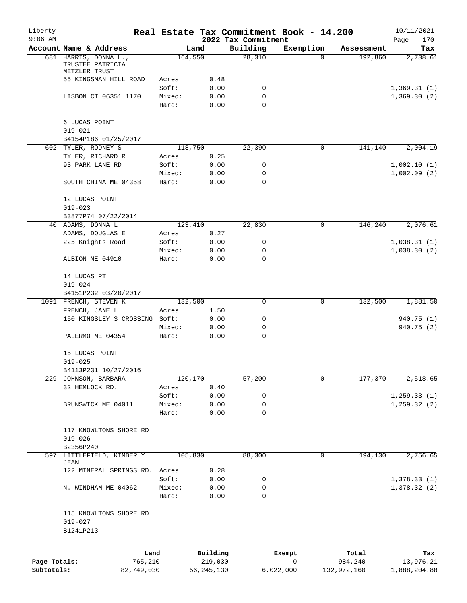| Liberty<br>$9:06$ AM       |                                                            |        |                         | 2022 Tax Commitment | Real Estate Tax Commitment Book - 14.200 |                        | 10/11/2021                |
|----------------------------|------------------------------------------------------------|--------|-------------------------|---------------------|------------------------------------------|------------------------|---------------------------|
|                            | Account Name & Address                                     |        | Land                    | Building            | Exemption                                | Assessment             | Page<br>170<br>Tax        |
|                            | 681 HARRIS, DONNA L.,<br>TRUSTEE PATRICIA<br>METZLER TRUST |        | 164,550                 | 28,310              | 0                                        | 192,860                | 2,738.61                  |
|                            | 55 KINGSMAN HILL ROAD                                      | Acres  | 0.48                    |                     |                                          |                        |                           |
|                            |                                                            | Soft:  | 0.00                    | 0                   |                                          |                        | 1,369.31(1)               |
|                            | LISBON CT 06351 1170                                       | Mixed: | 0.00                    | 0                   |                                          |                        | 1,369.30(2)               |
|                            |                                                            | Hard:  | 0.00                    | $\mathbf 0$         |                                          |                        |                           |
|                            | 6 LUCAS POINT<br>$019 - 021$                               |        |                         |                     |                                          |                        |                           |
|                            | B4154P186 01/25/2017                                       |        |                         |                     |                                          |                        |                           |
|                            | 602 TYLER, RODNEY S                                        |        | 118,750                 | 22,390              | 0                                        | 141,140                | 2,004.19                  |
|                            | TYLER, RICHARD R                                           | Acres  | 0.25                    |                     |                                          |                        |                           |
|                            | 93 PARK LANE RD                                            | Soft:  | 0.00                    | 0                   |                                          |                        | 1,002.10(1)               |
|                            |                                                            | Mixed: | 0.00                    | 0                   |                                          |                        | 1,002.09(2)               |
|                            | SOUTH CHINA ME 04358                                       | Hard:  | 0.00                    | 0                   |                                          |                        |                           |
|                            | 12 LUCAS POINT<br>$019 - 023$                              |        |                         |                     |                                          |                        |                           |
|                            | B3877P74 07/22/2014                                        |        |                         |                     |                                          |                        |                           |
|                            | 40 ADAMS, DONNA L                                          |        | 123,410                 | 22,830              | 0                                        | 146,240                | 2,076.61                  |
|                            | ADAMS, DOUGLAS E                                           | Acres  | 0.27                    |                     |                                          |                        |                           |
|                            | 225 Knights Road                                           | Soft:  | 0.00                    | 0                   |                                          |                        | 1,038.31(1)               |
|                            |                                                            | Mixed: | 0.00                    | 0                   |                                          |                        | 1,038.30(2)               |
|                            | ALBION ME 04910                                            | Hard:  | 0.00                    | 0                   |                                          |                        |                           |
|                            | 14 LUCAS PT                                                |        |                         |                     |                                          |                        |                           |
|                            | $019 - 024$                                                |        |                         |                     |                                          |                        |                           |
|                            | B4151P232 03/20/2017                                       |        |                         |                     |                                          |                        |                           |
|                            | 1091 FRENCH, STEVEN K                                      |        | 132,500                 | 0                   | 0                                        | 132,500                | 1,881.50                  |
|                            | FRENCH, JANE L                                             | Acres  | 1.50                    |                     |                                          |                        |                           |
|                            | 150 KINGSLEY'S CROSSING Soft:                              |        | 0.00                    | 0                   |                                          |                        | 940.75 (1)                |
|                            |                                                            | Mixed: | 0.00                    | 0                   |                                          |                        | 940.75 (2)                |
|                            | PALERMO ME 04354                                           | Hard:  | 0.00                    | 0                   |                                          |                        |                           |
|                            | 15 LUCAS POINT                                             |        |                         |                     |                                          |                        |                           |
|                            | $019 - 025$                                                |        |                         |                     |                                          |                        |                           |
|                            | B4113P231 10/27/2016                                       |        |                         |                     |                                          |                        |                           |
|                            | 229 JOHNSON, BARBARA                                       |        | 120,170                 | 57,200              | 0                                        | 177,370                | 2,518.65                  |
|                            | 32 HEMLOCK RD.                                             | Acres  | 0.40                    |                     |                                          |                        |                           |
|                            |                                                            | Soft:  | 0.00                    | 0                   |                                          |                        | 1, 259.33(1)              |
|                            | BRUNSWICK ME 04011                                         | Mixed: | 0.00                    | 0                   |                                          |                        | 1, 259.32(2)              |
|                            |                                                            | Hard:  | 0.00                    | 0                   |                                          |                        |                           |
|                            | 117 KNOWLTONS SHORE RD<br>$019 - 026$                      |        |                         |                     |                                          |                        |                           |
|                            | B2356P240                                                  |        |                         |                     |                                          |                        |                           |
| 597                        | LITTLEFIELD, KIMBERLY                                      |        | 105,830                 | 88,300              | $\mathbf 0$                              | 194,130                | 2,756.65                  |
|                            | JEAN                                                       |        |                         |                     |                                          |                        |                           |
|                            | 122 MINERAL SPRINGS RD. Acres                              |        | 0.28                    |                     |                                          |                        |                           |
|                            |                                                            | Soft:  | 0.00                    | 0                   |                                          |                        | 1,378.33(1)               |
|                            | N. WINDHAM ME 04062                                        | Mixed: | 0.00                    | 0                   |                                          |                        | 1,378.32(2)               |
|                            |                                                            | Hard:  | 0.00                    | $\mathbf 0$         |                                          |                        |                           |
|                            | 115 KNOWLTONS SHORE RD<br>$019 - 027$<br>B1241P213         |        |                         |                     |                                          |                        |                           |
|                            |                                                            |        |                         |                     |                                          |                        |                           |
|                            | Land                                                       |        | Building                |                     | Exempt                                   | Total                  | Tax                       |
| Page Totals:<br>Subtotals: | 765,210<br>82,749,030                                      |        | 219,030<br>56, 245, 130 |                     | $\mathsf{O}$<br>6,022,000                | 984,240<br>132,972,160 | 13,976.21<br>1,888,204.88 |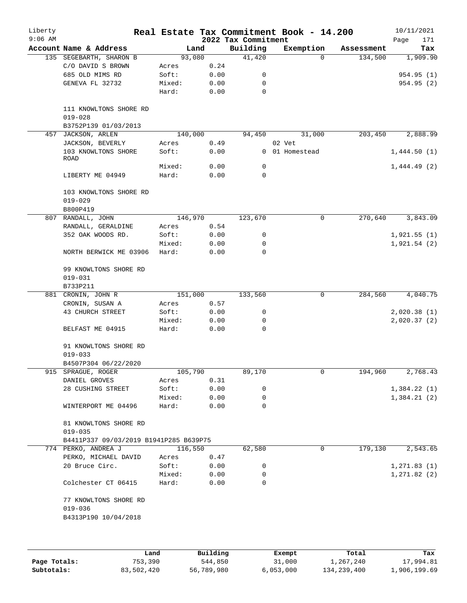| Liberty<br>$9:06$ AM |                                                              |                 |              | 2022 Tax Commitment | Real Estate Tax Commitment Book - 14.200 |            | 10/11/2021<br>Page<br>171  |
|----------------------|--------------------------------------------------------------|-----------------|--------------|---------------------|------------------------------------------|------------|----------------------------|
|                      | Account Name & Address                                       | Land            |              | Building            | Exemption                                | Assessment | Tax                        |
|                      | 135 SEGEBARTH, SHARON B                                      | 93,080          |              | 41,420              | $\Omega$                                 | 134,500    | 1,909.90                   |
|                      | C/O DAVID S BROWN                                            | Acres           | 0.24         |                     |                                          |            |                            |
|                      | 685 OLD MIMS RD                                              | Soft:           | 0.00         | 0                   |                                          |            | 954.95 (1)                 |
|                      | GENEVA FL 32732                                              | Mixed:          | 0.00         | 0                   |                                          |            | 954.95 (2)                 |
|                      |                                                              | Hard:           | 0.00         | 0                   |                                          |            |                            |
|                      | 111 KNOWLTONS SHORE RD<br>$019 - 028$                        |                 |              |                     |                                          |            |                            |
|                      | B3752P139 01/03/2013                                         |                 |              |                     |                                          |            |                            |
| 457                  | JACKSON, ARLEN                                               | 140,000         |              | 94,450              | 31,000                                   | 203,450    | 2,888.99                   |
|                      | JACKSON, BEVERLY                                             | Acres           | 0.49         |                     | 02 Vet                                   |            |                            |
|                      | 103 KNOWLTONS SHORE<br>ROAD                                  | Soft:           | 0.00         |                     | 0 01 Homestead                           |            | 1,444.50(1)                |
|                      |                                                              | Mixed:          | 0.00         | 0                   |                                          |            | 1,444.49(2)                |
|                      | LIBERTY ME 04949                                             | Hard:           | 0.00         | 0                   |                                          |            |                            |
|                      | 103 KNOWLTONS SHORE RD<br>$019 - 029$                        |                 |              |                     |                                          |            |                            |
|                      | B800P419                                                     |                 |              |                     |                                          |            |                            |
| 807                  | RANDALL, JOHN                                                | 146,970         |              | 123,670             | 0                                        | 270,640    | 3,843.09                   |
|                      | RANDALL, GERALDINE                                           | Acres           | 0.54         |                     |                                          |            |                            |
|                      | 352 OAK WOODS RD.                                            | Soft:           | 0.00         | 0                   |                                          |            | 1,921.55(1)                |
|                      | NORTH BERWICK ME 03906                                       | Mixed:<br>Hard: | 0.00<br>0.00 | 0<br>$\Omega$       |                                          |            | 1,921.54(2)                |
|                      | 99 KNOWLTONS SHORE RD<br>$019 - 031$                         |                 |              |                     |                                          |            |                            |
|                      | B733P211                                                     |                 |              |                     |                                          |            |                            |
|                      | 881 CRONIN, JOHN R                                           | 151,000         |              | 133,560             | 0                                        | 284,560    | 4,040.75                   |
|                      | CRONIN, SUSAN A                                              | Acres           | 0.57         |                     |                                          |            |                            |
|                      | 43 CHURCH STREET                                             | Soft:           | 0.00         | 0                   |                                          |            | 2,020.38(1)                |
|                      | BELFAST ME 04915                                             | Mixed:<br>Hard: | 0.00<br>0.00 | 0<br>0              |                                          |            | 2,020.37(2)                |
|                      | 91 KNOWLTONS SHORE RD                                        |                 |              |                     |                                          |            |                            |
|                      | $019 - 033$                                                  |                 |              |                     |                                          |            |                            |
|                      | B4507P304 06/22/2020                                         |                 |              |                     |                                          |            |                            |
|                      | 915 SPRAGUE, ROGER                                           | 105,790         |              | 89,170              | 0                                        | 194,960    | 2,768.43                   |
|                      | DANIEL GROVES                                                | Acres<br>Soft:  | 0.31         |                     |                                          |            |                            |
|                      | 28 CUSHING STREET                                            | Mixed:          | 0.00<br>0.00 | 0<br>0              |                                          |            | 1,384.22(1)<br>1,384.21(2) |
|                      | WINTERPORT ME 04496                                          | Hard:           | 0.00         | 0                   |                                          |            |                            |
|                      | 81 KNOWLTONS SHORE RD                                        |                 |              |                     |                                          |            |                            |
|                      | $019 - 035$<br>B4411P337 09/03/2019 B1941P285 B639P75        |                 |              |                     |                                          |            |                            |
|                      | 774 PERKO, ANDREA J                                          | 116,550         |              | 62,580              | 0                                        | 179,130    | 2,543.65                   |
|                      | PERKO, MICHAEL DAVID                                         | Acres           | 0.47         |                     |                                          |            |                            |
|                      | 20 Bruce Circ.                                               | Soft:           | 0.00         | 0                   |                                          |            | 1, 271.83(1)               |
|                      |                                                              | Mixed:          | 0.00         | 0                   |                                          |            | 1, 271.82 (2)              |
|                      | Colchester CT 06415                                          | Hard:           | 0.00         | 0                   |                                          |            |                            |
|                      | 77 KNOWLTONS SHORE RD<br>$019 - 036$<br>B4313P190 10/04/2018 |                 |              |                     |                                          |            |                            |
|                      |                                                              |                 |              |                     |                                          |            |                            |

|              | Land       | Building   | Exempt    | Total       | Tax          |
|--------------|------------|------------|-----------|-------------|--------------|
| Page Totals: | 753,390    | 544,850    | 31,000    | 1,267,240   | 17,994.81    |
| Subtotals:   | 83,502,420 | 56,789,980 | 6,053,000 | 134,239,400 | 1,906,199.69 |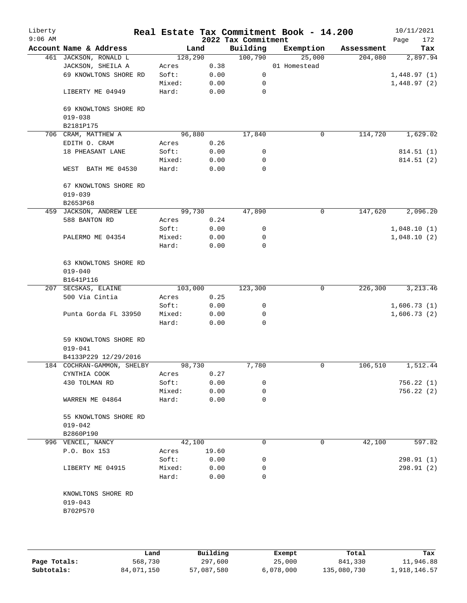| Account Name & Address<br>461 JACKSON, RONALD L<br>JACKSON, SHEILA A<br>69 KNOWLTONS SHORE RD<br>LIBERTY ME 04949<br>69 KNOWLTONS SHORE RD<br>B2181P175<br>706 CRAM, MATTHEW A<br>EDITH O. CRAM<br>18 PHEASANT LANE<br>WEST BATH ME 04530 | 128,290<br>Acres<br>Soft:<br>Mixed:<br>Hard:<br>Acres<br>Soft: | Land<br>0.38<br>0.00<br>0.00<br>0.00<br>96,880 | 2022 Tax Commitment<br>Building<br>100,790<br>0<br>0<br>0 | Exemption<br>25,000<br>01 Homestead | Assessment<br>204,080 | Page<br>172<br>Tax<br>2,897.94<br>1,448.97(1) |
|-------------------------------------------------------------------------------------------------------------------------------------------------------------------------------------------------------------------------------------------|----------------------------------------------------------------|------------------------------------------------|-----------------------------------------------------------|-------------------------------------|-----------------------|-----------------------------------------------|
|                                                                                                                                                                                                                                           |                                                                |                                                |                                                           |                                     |                       |                                               |
|                                                                                                                                                                                                                                           |                                                                |                                                |                                                           |                                     |                       |                                               |
|                                                                                                                                                                                                                                           |                                                                |                                                |                                                           |                                     |                       |                                               |
|                                                                                                                                                                                                                                           |                                                                |                                                |                                                           |                                     |                       | 1,448.97(2)                                   |
|                                                                                                                                                                                                                                           |                                                                |                                                |                                                           |                                     |                       |                                               |
|                                                                                                                                                                                                                                           |                                                                |                                                |                                                           |                                     |                       |                                               |
|                                                                                                                                                                                                                                           |                                                                |                                                |                                                           |                                     |                       |                                               |
|                                                                                                                                                                                                                                           |                                                                |                                                |                                                           |                                     |                       |                                               |
|                                                                                                                                                                                                                                           |                                                                |                                                | 17,840                                                    | 0                                   | 114,720               | 1,629.02                                      |
|                                                                                                                                                                                                                                           |                                                                | 0.26                                           |                                                           |                                     |                       |                                               |
|                                                                                                                                                                                                                                           |                                                                | 0.00                                           | 0                                                         |                                     |                       | 814.51 (1)                                    |
|                                                                                                                                                                                                                                           | Mixed:                                                         | 0.00                                           | 0                                                         |                                     |                       | 814.51 (2)                                    |
|                                                                                                                                                                                                                                           | Hard:                                                          | 0.00                                           | $\Omega$                                                  |                                     |                       |                                               |
| 67 KNOWLTONS SHORE RD                                                                                                                                                                                                                     |                                                                |                                                |                                                           |                                     |                       |                                               |
| B2653P68                                                                                                                                                                                                                                  |                                                                |                                                |                                                           |                                     |                       |                                               |
| 459 JACKSON, ANDREW LEE                                                                                                                                                                                                                   |                                                                | 99,730                                         | 47,890                                                    | 0                                   | 147,620               | 2,096.20                                      |
| 588 BANTON RD                                                                                                                                                                                                                             | Acres                                                          | 0.24                                           |                                                           |                                     |                       |                                               |
|                                                                                                                                                                                                                                           | Soft:                                                          | 0.00                                           | 0                                                         |                                     |                       | 1,048.10(1)                                   |
| PALERMO ME 04354                                                                                                                                                                                                                          | Mixed:                                                         | 0.00                                           | 0                                                         |                                     |                       | 1,048.10(2)                                   |
|                                                                                                                                                                                                                                           | Hard:                                                          | 0.00                                           | 0                                                         |                                     |                       |                                               |
| 63 KNOWLTONS SHORE RD                                                                                                                                                                                                                     |                                                                |                                                |                                                           |                                     |                       |                                               |
| B1641P116                                                                                                                                                                                                                                 |                                                                |                                                |                                                           |                                     |                       |                                               |
| 207 SECSKAS, ELAINE                                                                                                                                                                                                                       | 103,000                                                        |                                                | 123,300                                                   | 0                                   | 226,300               | 3, 213.46                                     |
| 500 Via Cintia                                                                                                                                                                                                                            | Acres                                                          | 0.25                                           |                                                           |                                     |                       |                                               |
|                                                                                                                                                                                                                                           | Soft:                                                          | 0.00                                           | 0                                                         |                                     |                       | 1,606.73(1)                                   |
| Punta Gorda FL 33950                                                                                                                                                                                                                      | Mixed:                                                         | 0.00                                           | 0                                                         |                                     |                       | 1,606.73(2)                                   |
|                                                                                                                                                                                                                                           | Hard:                                                          | 0.00                                           | 0                                                         |                                     |                       |                                               |
| 59 KNOWLTONS SHORE RD                                                                                                                                                                                                                     |                                                                |                                                |                                                           |                                     |                       |                                               |
| B4133P229 12/29/2016                                                                                                                                                                                                                      |                                                                |                                                |                                                           |                                     |                       |                                               |
| 184 COCHRAN-GAMMON, SHELBY                                                                                                                                                                                                                |                                                                |                                                | 7,780                                                     | 0                                   | 106,510               | 1,512.44                                      |
| CYNTHIA COOK                                                                                                                                                                                                                              | Acres                                                          | 0.27                                           |                                                           |                                     |                       |                                               |
| 430 TOLMAN RD                                                                                                                                                                                                                             | Soft:                                                          | 0.00                                           | 0                                                         |                                     |                       | 756.22(1)                                     |
|                                                                                                                                                                                                                                           | Mixed:                                                         | 0.00                                           | 0                                                         |                                     |                       | 756.22(2)                                     |
| WARREN ME 04864                                                                                                                                                                                                                           | Hard:                                                          | 0.00                                           | 0                                                         |                                     |                       |                                               |
| 55 KNOWLTONS SHORE RD                                                                                                                                                                                                                     |                                                                |                                                |                                                           |                                     |                       |                                               |
| B2860P190                                                                                                                                                                                                                                 |                                                                |                                                |                                                           |                                     |                       |                                               |
|                                                                                                                                                                                                                                           |                                                                |                                                | 0                                                         | $\mathbf 0$                         |                       | 597.82                                        |
| P.O. Box 153                                                                                                                                                                                                                              |                                                                |                                                |                                                           |                                     |                       |                                               |
|                                                                                                                                                                                                                                           |                                                                |                                                |                                                           |                                     |                       | 298.91 (1)                                    |
|                                                                                                                                                                                                                                           |                                                                |                                                |                                                           |                                     |                       | 298.91 (2)                                    |
|                                                                                                                                                                                                                                           | Hard:                                                          | 0.00                                           | 0                                                         |                                     |                       |                                               |
|                                                                                                                                                                                                                                           |                                                                |                                                |                                                           |                                     |                       |                                               |
|                                                                                                                                                                                                                                           | 996 VENCEL, NANCY<br>LIBERTY ME 04915<br>KNOWLTONS SHORE RD    | Acres<br>Soft:<br>Mixed:                       | 98,730<br>42,100<br>19.60<br>0.00<br>0.00                 | 0<br>0                              |                       | 42,100                                        |

|              | Land       | Building   | Exempt    | Total       | Tax          |
|--------------|------------|------------|-----------|-------------|--------------|
| Page Totals: | 568,730    | 297,600    | 25,000    | 841,330     | 11,946.88    |
| Subtotals:   | 84,071,150 | 57,087,580 | 6,078,000 | 135,080,730 | 1,918,146.57 |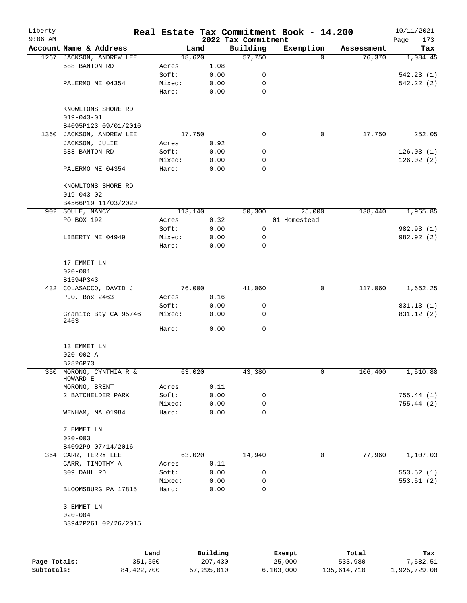| Liberty      |                                        |         |          |                                 | Real Estate Tax Commitment Book - 14.200 |            | 10/11/2021         |
|--------------|----------------------------------------|---------|----------|---------------------------------|------------------------------------------|------------|--------------------|
| $9:06$ AM    | Account Name & Address                 |         | Land     | 2022 Tax Commitment<br>Building | Exemption                                | Assessment | Page<br>173<br>Tax |
|              | 1267 JACKSON, ANDREW LEE               |         | 18,620   | 57,750                          | $\Omega$                                 | 76,370     | 1,084.45           |
|              | 588 BANTON RD                          | Acres   | 1.08     |                                 |                                          |            |                    |
|              |                                        | Soft:   | 0.00     | 0                               |                                          |            | 542.23(1)          |
|              | PALERMO ME 04354                       | Mixed:  | 0.00     | 0                               |                                          |            | 542.22(2)          |
|              |                                        | Hard:   | 0.00     | $\mathbf 0$                     |                                          |            |                    |
|              | KNOWLTONS SHORE RD<br>$019 - 043 - 01$ |         |          |                                 |                                          |            |                    |
|              | B4095P123 09/01/2016                   |         |          |                                 |                                          |            |                    |
| 1360         | JACKSON, ANDREW LEE                    |         | 17,750   | 0                               | 0                                        | 17,750     | 252.05             |
|              | JACKSON, JULIE                         | Acres   | 0.92     |                                 |                                          |            |                    |
|              | 588 BANTON RD                          | Soft:   | 0.00     | 0                               |                                          |            | 126.03(1)          |
|              |                                        | Mixed:  | 0.00     | 0                               |                                          |            | 126.02(2)          |
|              | PALERMO ME 04354                       | Hard:   | 0.00     | $\mathbf 0$                     |                                          |            |                    |
|              | KNOWLTONS SHORE RD<br>$019 - 043 - 02$ |         |          |                                 |                                          |            |                    |
|              | B4566P19 11/03/2020                    |         |          |                                 |                                          |            |                    |
|              | 902 SOULE, NANCY                       |         | 113,140  | 50,300                          | 25,000                                   | 138,440    | 1,965.85           |
|              | PO BOX 192                             | Acres   | 0.32     |                                 | 01 Homestead                             |            |                    |
|              |                                        | Soft:   | 0.00     | $\mathsf{O}$                    |                                          |            | 982.93 (1)         |
|              | LIBERTY ME 04949                       | Mixed:  | 0.00     | 0                               |                                          |            | 982.92 (2)         |
|              |                                        | Hard:   | 0.00     | $\Omega$                        |                                          |            |                    |
|              | 17 EMMET LN                            |         |          |                                 |                                          |            |                    |
|              | $020 - 001$                            |         |          |                                 |                                          |            |                    |
|              | B1594P343                              |         |          |                                 |                                          |            |                    |
|              | 432 COLASACCO, DAVID J                 |         | 76,000   | 41,060                          | 0                                        | 117,060    | 1,662.25           |
|              | P.O. Box 2463                          | Acres   | 0.16     |                                 |                                          |            |                    |
|              |                                        | Soft:   | 0.00     | 0                               |                                          |            | 831.13 (1)         |
|              | Granite Bay CA 95746<br>2463           | Mixed:  | 0.00     | 0                               |                                          |            | 831.12 (2)         |
|              |                                        | Hard:   | 0.00     | $\mathbf 0$                     |                                          |            |                    |
|              | 13 EMMET LN                            |         |          |                                 |                                          |            |                    |
|              | $020 - 002 - A$                        |         |          |                                 |                                          |            |                    |
|              | B2826P73                               |         |          |                                 |                                          |            |                    |
| 350          | MORONG, CYNTHIA R &<br>HOWARD E        |         | 63,020   | 43,380                          | 0                                        | 106,400    | 1,510.88           |
|              | MORONG, BRENT                          | Acres   | 0.11     |                                 |                                          |            |                    |
|              | 2 BATCHELDER PARK                      | Soft:   | 0.00     | 0                               |                                          |            | 755.44(1)          |
|              |                                        | Mixed:  | 0.00     | 0                               |                                          |            | 755.44(2)          |
|              | WENHAM, MA 01984                       | Hard:   | 0.00     | 0                               |                                          |            |                    |
|              | 7 EMMET LN                             |         |          |                                 |                                          |            |                    |
|              | $020 - 003$                            |         |          |                                 |                                          |            |                    |
|              | B4092P9 07/14/2016                     |         |          |                                 |                                          |            |                    |
|              | 364 CARR, TERRY LEE                    |         | 63,020   | 14,940                          | 0                                        | 77,960     | 1,107.03           |
|              | CARR, TIMOTHY A                        | Acres   | 0.11     |                                 |                                          |            |                    |
|              | 309 DAHL RD                            | Soft:   | 0.00     | 0                               |                                          |            | 553.52(1)          |
|              |                                        | Mixed:  | 0.00     | 0                               |                                          |            | 553.51 (2)         |
|              | BLOOMSBURG PA 17815                    | Hard:   | 0.00     | 0                               |                                          |            |                    |
|              | 3 EMMET LN                             |         |          |                                 |                                          |            |                    |
|              | $020 - 004$                            |         |          |                                 |                                          |            |                    |
|              | B3942P261 02/26/2015                   |         |          |                                 |                                          |            |                    |
|              |                                        |         |          |                                 |                                          |            |                    |
|              |                                        | Land    | Building |                                 | Exempt                                   | Total      | Tax                |
| Page Totals: |                                        | 351,550 | 207,430  |                                 | 25,000                                   | 533,980    | 7,582.51           |

**Subtotals:** 84,422,700 57,295,010 6,103,000 135,614,710 1,925,729.08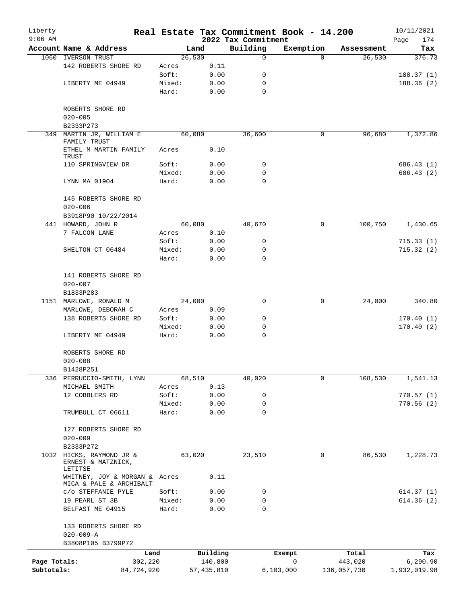| Liberty<br>$9:06$ AM       |                                                                     |        |                         | 2022 Tax Commitment | Real Estate Tax Commitment Book - 14.200 |                        | 10/11/2021                |
|----------------------------|---------------------------------------------------------------------|--------|-------------------------|---------------------|------------------------------------------|------------------------|---------------------------|
|                            | Account Name & Address                                              |        | Land                    | Building            | Exemption                                | Assessment             | Page<br>174<br>Tax        |
| 1060                       | <b>IVERSON TRUST</b>                                                |        | 26,530                  | $\mathbf 0$         | $\Omega$                                 | 26,530                 | 376.73                    |
|                            | 142 ROBERTS SHORE RD                                                | Acres  | 0.11                    |                     |                                          |                        |                           |
|                            |                                                                     | Soft:  | 0.00                    | 0                   |                                          |                        | 188.37(1)                 |
|                            | LIBERTY ME 04949                                                    | Mixed: | 0.00                    | 0                   |                                          |                        | 188.36(2)                 |
|                            |                                                                     | Hard:  | 0.00                    | $\mathbf 0$         |                                          |                        |                           |
|                            | ROBERTS SHORE RD<br>$020 - 005$                                     |        |                         |                     |                                          |                        |                           |
|                            | B2333P273                                                           |        |                         |                     |                                          |                        |                           |
| 349                        | MARTIN JR, WILLIAM E<br>FAMILY TRUST                                |        | 60,080                  | 36,600              | 0                                        | 96,680                 | 1,372.86                  |
|                            | ETHEL M MARTIN FAMILY<br>TRUST                                      | Acres  | 0.10                    |                     |                                          |                        |                           |
|                            | 110 SPRINGVIEW DR                                                   | Soft:  | 0.00                    | 0                   |                                          |                        | 686.43 (1)                |
|                            |                                                                     | Mixed: | 0.00                    | 0                   |                                          |                        | 686.43 (2)                |
|                            | LYNN MA 01904                                                       | Hard:  | 0.00                    | 0                   |                                          |                        |                           |
|                            | 145 ROBERTS SHORE RD<br>$020 - 006$                                 |        |                         |                     |                                          |                        |                           |
|                            | B3918P90 10/22/2014                                                 |        |                         |                     |                                          |                        |                           |
|                            | 441 HOWARD, JOHN R                                                  |        | 60,080                  | 40,670              | 0                                        | 100,750                | 1,430.65                  |
|                            | 7 FALCON LANE                                                       | Acres  | 0.10                    |                     |                                          |                        |                           |
|                            |                                                                     | Soft:  | 0.00                    | 0                   |                                          |                        | 715.33(1)                 |
|                            | SHELTON CT 06484                                                    | Mixed: | 0.00                    | 0                   |                                          |                        | 715.32(2)                 |
|                            |                                                                     | Hard:  | 0.00                    | 0                   |                                          |                        |                           |
|                            | 141 ROBERTS SHORE RD                                                |        |                         |                     |                                          |                        |                           |
|                            | $020 - 007$                                                         |        |                         |                     |                                          |                        |                           |
|                            | B1833P283                                                           |        |                         |                     |                                          |                        |                           |
|                            | 1151 MARLOWE, RONALD M                                              |        | 24,000                  | 0                   | 0                                        | 24,000                 | 340.80                    |
|                            | MARLOWE, DEBORAH C                                                  | Acres  | 0.09                    |                     |                                          |                        |                           |
|                            | 138 ROBERTS SHORE RD                                                | Soft:  | 0.00                    | 0                   |                                          |                        | 170.40(1)                 |
|                            |                                                                     | Mixed: | 0.00                    | 0                   |                                          |                        | 170.40(2)                 |
|                            | LIBERTY ME 04949                                                    | Hard:  | 0.00                    | 0                   |                                          |                        |                           |
|                            | ROBERTS SHORE RD                                                    |        |                         |                     |                                          |                        |                           |
|                            | $020 - 008$                                                         |        |                         |                     |                                          |                        |                           |
|                            | B1428P251                                                           |        |                         |                     |                                          |                        |                           |
|                            | 336 PERRUCCIO-SMITH, LYNN                                           |        | 68,510                  | 40,020              | 0                                        | 108,530                | 1,541.13                  |
|                            | MICHAEL SMITH                                                       | Acres  | 0.13                    |                     |                                          |                        |                           |
|                            | 12 COBBLERS RD                                                      | Soft:  | 0.00                    | 0                   |                                          |                        | 770.57(1)                 |
|                            |                                                                     | Mixed: | 0.00                    | 0                   |                                          |                        | 770.56(2)                 |
|                            | TRUMBULL CT 06611                                                   | Hard:  | 0.00                    | 0                   |                                          |                        |                           |
|                            | 127 ROBERTS SHORE RD                                                |        |                         |                     |                                          |                        |                           |
|                            | $020 - 009$                                                         |        |                         |                     |                                          |                        |                           |
|                            | B2333P272                                                           |        |                         |                     |                                          |                        |                           |
| 1032                       | HICKS, RAYMOND JR &<br>ERNEST & MATZNICK,                           |        | 63,020                  | 23,510              | 0                                        | 86,530                 | 1,228.73                  |
|                            | LETITSE<br>WHITNEY, JOY & MORGAN & Acres<br>MICA & PALE & ARCHIBALT |        | 0.11                    |                     |                                          |                        |                           |
|                            | C/O STEFFANIE PYLE                                                  | Soft:  | 0.00                    | 0                   |                                          |                        | 614.37 (1)                |
|                            | 19 PEARL ST 3B                                                      | Mixed: | 0.00                    | 0                   |                                          |                        | 614.36(2)                 |
|                            | BELFAST ME 04915                                                    | Hard:  | 0.00                    | 0                   |                                          |                        |                           |
|                            | 133 ROBERTS SHORE RD                                                |        |                         |                     |                                          |                        |                           |
|                            | $020 - 009 - A$                                                     |        |                         |                     |                                          |                        |                           |
|                            | B3808P105 B3799P72                                                  |        |                         |                     |                                          |                        |                           |
|                            | Land                                                                |        | Building                |                     | Exempt                                   | Total                  | Tax                       |
| Page Totals:<br>Subtotals: | 302,220<br>84,724,920                                               |        | 140,800<br>57, 435, 810 |                     | 0<br>6,103,000                           | 443,020<br>136,057,730 | 6, 290.90<br>1,932,019.98 |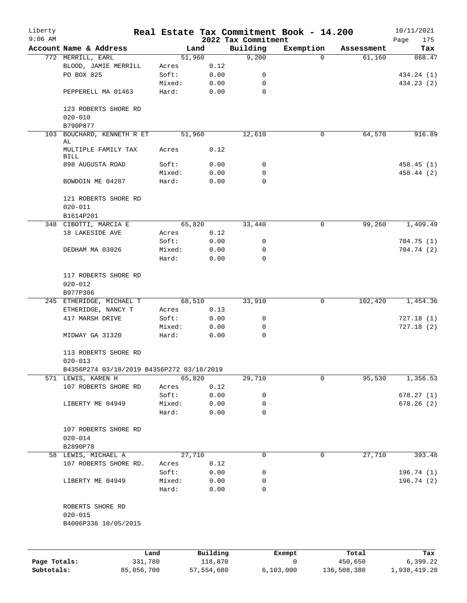| Liberty<br>$9:06$ AM |                                           |        |                     | 2022 Tax Commitment | Real Estate Tax Commitment Book - 14.200 |                  | 10/11/2021<br>175<br>Page |
|----------------------|-------------------------------------------|--------|---------------------|---------------------|------------------------------------------|------------------|---------------------------|
|                      | Account Name & Address                    |        | Land                | Building            | Exemption                                | Assessment       | Tax                       |
|                      | 772 MERRILL, EARL                         |        | 51,960              | 9,200               | $\Omega$                                 | 61,160           | 868.47                    |
|                      | BLOOD, JAMIE MERRILL                      | Acres  | 0.12                |                     |                                          |                  |                           |
|                      | PO BOX 825                                | Soft:  | 0.00                | 0                   |                                          |                  | 434.24 (1)                |
|                      |                                           | Mixed: | 0.00                | 0                   |                                          |                  | 434.23 (2)                |
|                      | PEPPERELL MA 01463                        | Hard:  | 0.00                | 0                   |                                          |                  |                           |
|                      | 123 ROBERTS SHORE RD<br>$020 - 010$       |        |                     |                     |                                          |                  |                           |
|                      | B790P877                                  |        |                     |                     |                                          |                  |                           |
|                      | 103 BOUCHARD, KENNETH R ET<br>AL          |        | 51,960              | 12,610              | 0                                        | 64,570           | 916.89                    |
|                      | MULTIPLE FAMILY TAX<br><b>BILL</b>        | Acres  | 0.12                |                     |                                          |                  |                           |
|                      | 898 AUGUSTA ROAD                          | Soft:  | 0.00                | 0                   |                                          |                  | 458.45(1)                 |
|                      |                                           | Mixed: | 0.00                | 0                   |                                          |                  | 458.44 (2)                |
|                      | BOWDOIN ME 04287                          | Hard:  | 0.00                | 0                   |                                          |                  |                           |
|                      | 121 ROBERTS SHORE RD<br>$020 - 011$       |        |                     |                     |                                          |                  |                           |
|                      | B1614P201                                 |        |                     |                     |                                          |                  |                           |
|                      | 348 CIBOTTI, MARCIA E                     |        | 65,820              | 33,440              | 0                                        | 99,260           | 1,409.49                  |
|                      | 18 LAKESIDE AVE                           | Acres  | 0.12                |                     |                                          |                  |                           |
|                      |                                           | Soft:  | 0.00                | 0                   |                                          |                  | 704.75(1)                 |
|                      | DEDHAM MA 03026                           | Mixed: | 0.00                | 0                   |                                          |                  | 704.74(2)                 |
|                      |                                           | Hard:  | 0.00                | 0                   |                                          |                  |                           |
|                      | 117 ROBERTS SHORE RD<br>$020 - 012$       |        |                     |                     |                                          |                  |                           |
|                      | B977P306                                  |        |                     |                     |                                          |                  |                           |
|                      | 245 ETHERIDGE, MICHAEL T                  |        | 68,510              | 33,910              | $\mathsf{O}$                             | 102,420          | 1,454.36                  |
|                      | ETHERIDGE, NANCY T                        | Acres  | 0.13                |                     |                                          |                  |                           |
|                      | 417 MARSH DRIVE                           | Soft:  | 0.00                | 0                   |                                          |                  | 727.18(1)                 |
|                      |                                           | Mixed: | 0.00                | 0                   |                                          |                  | 727.18(2)                 |
|                      | MIDWAY GA 31320                           | Hard:  | 0.00                | 0                   |                                          |                  |                           |
|                      | 113 ROBERTS SHORE RD                      |        |                     |                     |                                          |                  |                           |
|                      | $020 - 013$                               |        |                     |                     |                                          |                  |                           |
|                      | B4356P274 03/18/2019 B4356P272 03/18/2019 |        |                     |                     |                                          |                  |                           |
|                      | 571 LEWIS, KAREN H                        |        | 65,820              | 29,710              | 0                                        | 95,530           | 1,356.53                  |
|                      | 107 ROBERTS SHORE RD                      | Acres  | 0.12                |                     |                                          |                  |                           |
|                      |                                           | Soft:  | 0.00                | 0                   |                                          |                  | 678.27(1)                 |
|                      | LIBERTY ME 04949                          | Mixed: | 0.00                | 0                   |                                          |                  | 678.26(2)                 |
|                      |                                           | Hard:  | 0.00                | 0                   |                                          |                  |                           |
|                      | 107 ROBERTS SHORE RD<br>$020 - 014$       |        |                     |                     |                                          |                  |                           |
|                      | B2890P78                                  |        |                     |                     |                                          |                  |                           |
|                      | 58 LEWIS, MICHAEL A                       |        | 27,710              | 0                   | $\mathbf 0$                              | 27,710           | 393.48                    |
|                      | 107 ROBERTS SHORE RD.                     | Acres  | 0.12                |                     |                                          |                  |                           |
|                      |                                           | Soft:  | 0.00                | 0                   |                                          |                  | 196.74 (1)                |
|                      | LIBERTY ME 04949                          | Mixed: | 0.00                | 0                   |                                          |                  | 196.74(2)                 |
|                      |                                           | Hard:  | 0.00                | 0                   |                                          |                  |                           |
|                      | ROBERTS SHORE RD<br>$020 - 015$           |        |                     |                     |                                          |                  |                           |
|                      | B4006P338 10/05/2015                      |        |                     |                     |                                          |                  |                           |
|                      |                                           |        |                     |                     |                                          |                  |                           |
| Page Totals:         | 331,780                                   | Land   | Building<br>118,870 |                     | Exempt<br>0                              | Total<br>450,650 | Tax<br>6,399.22           |
|                      |                                           |        |                     |                     |                                          |                  |                           |

**Subtotals:** 85,056,700 57,554,680 6,103,000 136,508,380 1,938,419.20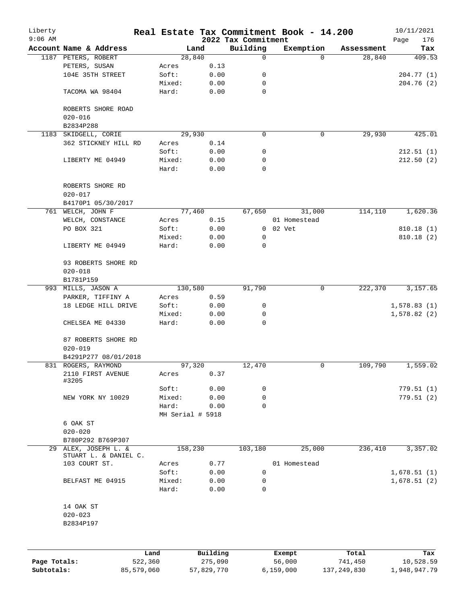| Liberty<br>$9:06$ AM |                                    |            |                  |            |                                 | Real Estate Tax Commitment Book - 14.200 |               | 10/11/2021         |
|----------------------|------------------------------------|------------|------------------|------------|---------------------------------|------------------------------------------|---------------|--------------------|
|                      | Account Name & Address             |            |                  | Land       | 2022 Tax Commitment<br>Building | Exemption                                | Assessment    | 176<br>Page<br>Tax |
|                      | 1187 PETERS, ROBERT                |            |                  | 28,840     | 0                               | $\Omega$                                 | 28,840        | 409.53             |
|                      | PETERS, SUSAN                      |            | Acres            | 0.13       |                                 |                                          |               |                    |
|                      | 104E 35TH STREET                   |            | Soft:            | 0.00       | 0                               |                                          |               | 204.77(1)          |
|                      |                                    |            | Mixed:           | 0.00       | 0                               |                                          |               | 204.76(2)          |
|                      | TACOMA WA 98404                    |            | Hard:            | 0.00       | 0                               |                                          |               |                    |
|                      | ROBERTS SHORE ROAD                 |            |                  |            |                                 |                                          |               |                    |
|                      | $020 - 016$                        |            |                  |            |                                 |                                          |               |                    |
|                      | B2834P288                          |            |                  |            |                                 |                                          |               |                    |
|                      | 1183 SKIDGELL, CORIE               |            |                  | 29,930     | $\Omega$                        | 0                                        | 29,930        | 425.01             |
|                      | 362 STICKNEY HILL RD               |            | Acres            | 0.14       |                                 |                                          |               |                    |
|                      |                                    |            | Soft:            | 0.00       | 0                               |                                          |               | 212.51(1)          |
|                      | LIBERTY ME 04949                   |            | Mixed:           | 0.00       | 0                               |                                          |               | 212.50(2)          |
|                      |                                    |            | Hard:            | 0.00       | 0                               |                                          |               |                    |
|                      |                                    |            |                  |            |                                 |                                          |               |                    |
|                      | ROBERTS SHORE RD                   |            |                  |            |                                 |                                          |               |                    |
|                      | $020 - 017$                        |            |                  |            |                                 |                                          |               |                    |
|                      | B4170P1 05/30/2017                 |            |                  |            |                                 |                                          |               |                    |
|                      | 761 WELCH, JOHN F                  |            |                  | 77,460     | 67,650                          | 31,000                                   | 114,110       | 1,620.36           |
|                      | WELCH, CONSTANCE                   |            | Acres            | 0.15       |                                 | 01 Homestead                             |               |                    |
|                      | PO BOX 321                         |            | Soft:            | 0.00       |                                 | 0 02 Vet                                 |               | 810.18(1)          |
|                      |                                    |            | Mixed:           | 0.00       | 0                               |                                          |               | 810.18(2)          |
|                      | LIBERTY ME 04949                   |            | Hard:            | 0.00       | $\mathbf 0$                     |                                          |               |                    |
|                      | 93 ROBERTS SHORE RD<br>$020 - 018$ |            |                  |            |                                 |                                          |               |                    |
|                      | B1781P159                          |            |                  |            |                                 |                                          |               |                    |
|                      | 993 MILLS, JASON A                 |            | 130,580          |            | 91,790                          | 0                                        | 222,370       | 3,157.65           |
|                      | PARKER, TIFFINY A                  |            | Acres            | 0.59       |                                 |                                          |               |                    |
|                      | 18 LEDGE HILL DRIVE                |            | Soft:            | 0.00       | 0                               |                                          |               | 1,578.83(1)        |
|                      |                                    |            | Mixed:           | 0.00       | $\mathbf 0$                     |                                          |               | 1,578.82(2)        |
|                      | CHELSEA ME 04330                   |            | Hard:            | 0.00       | 0                               |                                          |               |                    |
|                      |                                    |            |                  |            |                                 |                                          |               |                    |
|                      | 87 ROBERTS SHORE RD<br>$020 - 019$ |            |                  |            |                                 |                                          |               |                    |
|                      | B4291P277 08/01/2018               |            |                  |            |                                 |                                          |               |                    |
|                      | 831 ROGERS, RAYMOND                |            |                  | 97,320     | 12,470                          | 0                                        | 109,790       | 1,559.02           |
|                      | 2110 FIRST AVENUE<br>#3205         |            | Acres            | 0.37       |                                 |                                          |               |                    |
|                      |                                    |            | Soft:            | 0.00       | 0                               |                                          |               | 779.51(1)          |
|                      | NEW YORK NY 10029                  |            | Mixed:           | 0.00       | 0                               |                                          |               | 779.51(2)          |
|                      |                                    |            | Hard:            | 0.00       | $\mathbf 0$                     |                                          |               |                    |
|                      |                                    |            | MH Serial # 5918 |            |                                 |                                          |               |                    |
|                      | 6 OAK ST                           |            |                  |            |                                 |                                          |               |                    |
|                      | $020 - 020$                        |            |                  |            |                                 |                                          |               |                    |
|                      | B780P292 B769P307                  |            |                  |            |                                 |                                          |               |                    |
|                      | 29 ALEX, JOSEPH L. &               |            | 158,230          |            | 103,180                         | 25,000                                   | 236,410       | 3,357.02           |
|                      | STUART L. & DANIEL C.              |            |                  |            |                                 |                                          |               |                    |
|                      | 103 COURT ST.                      |            | Acres            | 0.77       |                                 | 01 Homestead                             |               |                    |
|                      |                                    |            | Soft:            | 0.00       | $\mathbf 0$                     |                                          |               | 1,678.51(1)        |
|                      | BELFAST ME 04915                   |            | Mixed:           | 0.00       | 0                               |                                          |               | 1,678.51(2)        |
|                      |                                    |            | Hard:            | 0.00       | 0                               |                                          |               |                    |
|                      | 14 OAK ST                          |            |                  |            |                                 |                                          |               |                    |
|                      | $020 - 023$                        |            |                  |            |                                 |                                          |               |                    |
|                      | B2834P197                          |            |                  |            |                                 |                                          |               |                    |
|                      |                                    |            |                  |            |                                 |                                          |               |                    |
|                      |                                    | Land       |                  | Building   |                                 | Exempt                                   | Total         | Tax                |
| Page Totals:         |                                    | 522,360    |                  | 275,090    |                                 | 56,000                                   | 741,450       | 10,528.59          |
| Subtotals:           |                                    | 85,579,060 |                  | 57,829,770 |                                 | 6,159,000                                | 137, 249, 830 | 1,948,947.79       |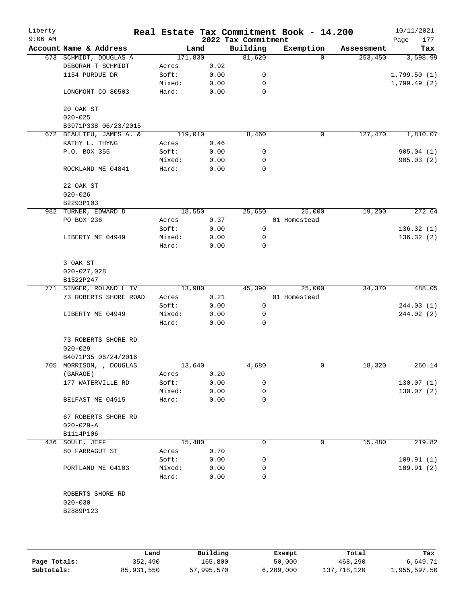| Liberty<br>$9:06$ AM |                          |         |      | 2022 Tax Commitment | Real Estate Tax Commitment Book - 14.200 |            | 10/11/2021<br>177<br>Page |
|----------------------|--------------------------|---------|------|---------------------|------------------------------------------|------------|---------------------------|
|                      | Account Name & Address   |         | Land | Building            | Exemption                                | Assessment | Tax                       |
|                      | 673 SCHMIDT, DOUGLAS A   | 171,830 |      | 81,620              | $\Omega$                                 | 253,450    | 3,598.99                  |
|                      | DEBORAH T SCHMIDT        | Acres   | 0.92 |                     |                                          |            |                           |
|                      | 1154 PURDUE DR           | Soft:   | 0.00 | 0                   |                                          |            | 1,799.50(1)               |
|                      |                          | Mixed:  | 0.00 | 0                   |                                          |            | 1,799.49(2)               |
|                      | LONGMONT CO 80503        | Hard:   | 0.00 | $\mathbf 0$         |                                          |            |                           |
|                      | 20 OAK ST                |         |      |                     |                                          |            |                           |
|                      | $020 - 025$              |         |      |                     |                                          |            |                           |
|                      | B3971P338 06/23/2015     |         |      |                     |                                          |            |                           |
|                      | 672 BEAULIEU, JAMES A. & | 119,010 |      | 8,460               | 0                                        | 127,470    | 1,810.07                  |
|                      | KATHY L. THYNG           | Acres   | 0.46 |                     |                                          |            |                           |
|                      | P.O. BOX 355             | Soft:   | 0.00 | 0                   |                                          |            | 905.04(1)                 |
|                      |                          | Mixed:  | 0.00 | 0                   |                                          |            | 905.03(2)                 |
|                      | ROCKLAND ME 04841        | Hard:   | 0.00 | $\mathbf 0$         |                                          |            |                           |
|                      | 22 OAK ST                |         |      |                     |                                          |            |                           |
|                      | $020 - 026$              |         |      |                     |                                          |            |                           |
|                      | B2293P103                |         |      |                     |                                          |            |                           |
|                      | 982 TURNER, EDWARD D     | 18,550  |      | 25,650              | 25,000                                   | 19,200     | 272.64                    |
|                      | PO BOX 236               | Acres   | 0.37 |                     | 01 Homestead                             |            |                           |
|                      |                          | Soft:   | 0.00 | 0                   |                                          |            | 136.32(1)                 |
|                      | LIBERTY ME 04949         | Mixed:  | 0.00 | 0                   |                                          |            | 136.32(2)                 |
|                      |                          | Hard:   | 0.00 | 0                   |                                          |            |                           |
|                      | 3 OAK ST                 |         |      |                     |                                          |            |                           |
|                      | $020 - 027,028$          |         |      |                     |                                          |            |                           |
|                      | B1522P247                |         |      |                     |                                          |            |                           |
|                      | 771 SINGER, ROLAND L IV  | 13,980  |      | 45,390              | 25,000                                   | 34,370     | 488.05                    |
|                      | 73 ROBERTS SHORE ROAD    | Acres   | 0.21 |                     | 01 Homestead                             |            |                           |
|                      |                          | Soft:   | 0.00 | 0                   |                                          |            | 244.03 (1)                |
|                      | LIBERTY ME 04949         | Mixed:  | 0.00 | 0                   |                                          |            | 244.02 (2)                |
|                      |                          | Hard:   | 0.00 | 0                   |                                          |            |                           |
|                      | 73 ROBERTS SHORE RD      |         |      |                     |                                          |            |                           |
|                      | $020 - 029$              |         |      |                     |                                          |            |                           |
|                      | B4071P35 06/24/2016      |         |      |                     |                                          |            |                           |
|                      | 705 MORRISON, , DOUGLAS  | 13,640  |      | 4,680               | 0                                        | 18,320     | 260.14                    |
|                      | (GARAGE)                 | Acres   | 0.20 |                     |                                          |            |                           |
|                      | 177 WATERVILLE RD        | Soft:   | 0.00 | 0                   |                                          |            | 130.07(1)                 |
|                      |                          | Mixed:  | 0.00 | 0                   |                                          |            | 130.07(2)                 |
|                      | BELFAST ME 04915         | Hard:   | 0.00 | 0                   |                                          |            |                           |
|                      | 67 ROBERTS SHORE RD      |         |      |                     |                                          |            |                           |
|                      | $020 - 029 - A$          |         |      |                     |                                          |            |                           |
|                      | B1114P106                |         |      |                     |                                          |            |                           |
|                      | 436 SOULE, JEFF          | 15,480  |      | 0                   | 0                                        | 15,480     | 219.82                    |
|                      | 80 FARRAGUT ST           | Acres   | 0.70 |                     |                                          |            |                           |
|                      |                          | Soft:   | 0.00 | 0                   |                                          |            | 109.91(1)                 |
|                      | PORTLAND ME 04103        | Mixed:  | 0.00 | 0                   |                                          |            | 109.91(2)                 |
|                      |                          | Hard:   | 0.00 | 0                   |                                          |            |                           |
|                      | ROBERTS SHORE RD         |         |      |                     |                                          |            |                           |
|                      | $020 - 030$              |         |      |                     |                                          |            |                           |
|                      | B2889P123                |         |      |                     |                                          |            |                           |
|                      |                          |         |      |                     |                                          |            |                           |
|                      |                          |         |      |                     |                                          |            |                           |
|                      |                          |         |      |                     |                                          |            |                           |

|              | Land       | Building   | Exempt      | Total       | Tax          |
|--------------|------------|------------|-------------|-------------|--------------|
| Page Totals: | 352,490    | 165,800    | 50,000      | 468,290     | 6,649.71     |
| Subtotals:   | 85,931,550 | 57,995,570 | 6, 209, 000 | 137,718,120 | 1,955,597.50 |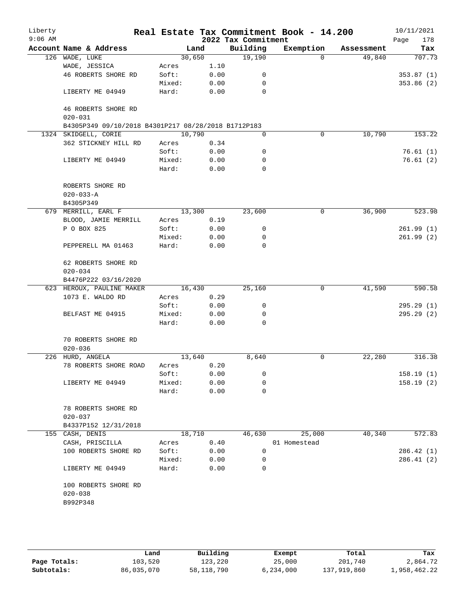| Liberty<br>$9:06$ AM |                                                     |        |      | 2022 Tax Commitment | Real Estate Tax Commitment Book - 14.200 |            | 10/11/2021<br>178<br>Page |
|----------------------|-----------------------------------------------------|--------|------|---------------------|------------------------------------------|------------|---------------------------|
|                      | Account Name & Address                              |        | Land | Building            | Exemption                                | Assessment | Tax                       |
|                      | 126 WADE, LUKE                                      | 30,650 |      | 19,190              | $\Omega$                                 | 49,840     | 707.73                    |
|                      | WADE, JESSICA                                       | Acres  | 1.10 |                     |                                          |            |                           |
|                      | 46 ROBERTS SHORE RD                                 | Soft:  | 0.00 | 0                   |                                          |            | 353.87(1)                 |
|                      |                                                     | Mixed: | 0.00 | 0                   |                                          |            | 353.86(2)                 |
|                      | LIBERTY ME 04949                                    | Hard:  | 0.00 | $\Omega$            |                                          |            |                           |
|                      | 46 ROBERTS SHORE RD                                 |        |      |                     |                                          |            |                           |
|                      | $020 - 031$                                         |        |      |                     |                                          |            |                           |
|                      | B4305P349 09/10/2018 B4301P217 08/28/2018 B1712P183 |        |      |                     |                                          |            |                           |
|                      | 1324 SKIDGELL, CORIE                                | 10,790 |      | 0                   | $\mathbf 0$                              | 10,790     | 153.22                    |
|                      | 362 STICKNEY HILL RD                                | Acres  | 0.34 |                     |                                          |            |                           |
|                      |                                                     | Soft:  | 0.00 | 0                   |                                          |            | 76.61(1)                  |
|                      | LIBERTY ME 04949                                    | Mixed: | 0.00 | 0                   |                                          |            | 76.61(2)                  |
|                      |                                                     | Hard:  | 0.00 | 0                   |                                          |            |                           |
|                      | ROBERTS SHORE RD                                    |        |      |                     |                                          |            |                           |
|                      | $020 - 033 - A$                                     |        |      |                     |                                          |            |                           |
|                      | B4305P349                                           |        |      |                     |                                          |            |                           |
|                      | 679 MERRILL, EARL F                                 | 13,300 |      | 23,600              | $\mathbf 0$                              | 36,900     | 523.98                    |
|                      | BLOOD, JAMIE MERRILL                                | Acres  | 0.19 |                     |                                          |            |                           |
|                      | P O BOX 825                                         | Soft:  | 0.00 | 0                   |                                          |            | 261.99(1)                 |
|                      |                                                     | Mixed: | 0.00 | 0                   |                                          |            | 261.99(2)                 |
|                      | PEPPERELL MA 01463                                  | Hard:  | 0.00 | $\mathbf 0$         |                                          |            |                           |
|                      | 62 ROBERTS SHORE RD                                 |        |      |                     |                                          |            |                           |
|                      | $020 - 034$                                         |        |      |                     |                                          |            |                           |
|                      | B4476P222 03/16/2020                                |        |      |                     |                                          |            |                           |
|                      | 623 HEROUX, PAULINE MAKER                           | 16,430 |      | 25,160              | 0                                        | 41,590     | 590.58                    |
|                      | 1073 E. WALDO RD                                    | Acres  | 0.29 |                     |                                          |            |                           |
|                      |                                                     | Soft:  | 0.00 | 0                   |                                          |            | 295.29(1)                 |
|                      | BELFAST ME 04915                                    | Mixed: | 0.00 | 0                   |                                          |            | 295.29 (2)                |
|                      |                                                     | Hard:  | 0.00 | $\Omega$            |                                          |            |                           |
|                      | 70 ROBERTS SHORE RD                                 |        |      |                     |                                          |            |                           |
|                      | $020 - 036$                                         |        |      |                     |                                          |            |                           |
|                      | 226 HURD, ANGELA                                    | 13,640 |      | 8,640               | 0                                        | 22,280     | 316.38                    |
|                      | 78 ROBERTS SHORE ROAD                               | Acres  | 0.20 |                     |                                          |            |                           |
|                      |                                                     | Soft:  | 0.00 | 0                   |                                          |            | 158.19(1)                 |
|                      | LIBERTY ME 04949                                    | Mixed: | 0.00 | 0                   |                                          |            | 158.19(2)                 |
|                      |                                                     | Hard:  | 0.00 | 0                   |                                          |            |                           |
|                      | 78 ROBERTS SHORE RD                                 |        |      |                     |                                          |            |                           |
|                      | $020 - 037$                                         |        |      |                     |                                          |            |                           |
|                      | B4337P152 12/31/2018                                |        |      |                     |                                          |            |                           |
|                      | 155 CASH, DENIS                                     | 18,710 |      | 46,630              | 25,000                                   | 40,340     | 572.83                    |
|                      | CASH, PRISCILLA                                     | Acres  | 0.40 |                     | 01 Homestead                             |            |                           |
|                      | 100 ROBERTS SHORE RD                                | Soft:  | 0.00 | 0                   |                                          |            | 286.42(1)                 |
|                      |                                                     | Mixed: | 0.00 | 0                   |                                          |            | 286.41(2)                 |
|                      | LIBERTY ME 04949                                    | Hard:  | 0.00 | 0                   |                                          |            |                           |
|                      | 100 ROBERTS SHORE RD                                |        |      |                     |                                          |            |                           |
|                      | $020 - 038$                                         |        |      |                     |                                          |            |                           |
|                      | B992P348                                            |        |      |                     |                                          |            |                           |
|                      |                                                     |        |      |                     |                                          |            |                           |
|                      |                                                     |        |      |                     |                                          |            |                           |

|              | Land       | Building     | Exempt    | Total       | Tax          |
|--------------|------------|--------------|-----------|-------------|--------------|
| Page Totals: | 103,520    | 123,220      | 25,000    | 201,740     | 2,864.72     |
| Subtotals:   | 86,035,070 | 58, 118, 790 | 6,234,000 | 137,919,860 | 1,958,462.22 |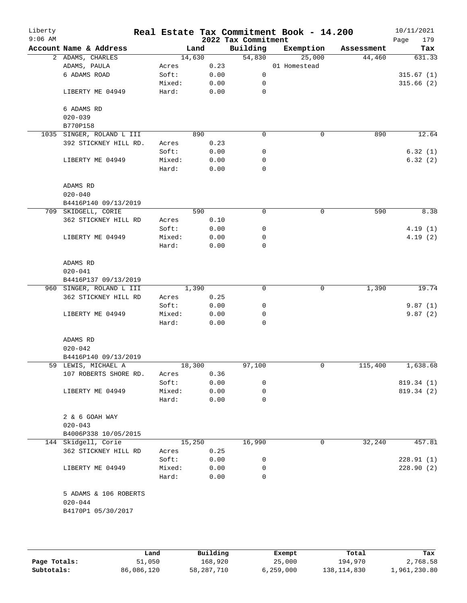| Liberty<br>$9:06$ AM |                                      |        |        |      | 2022 Tax Commitment | Real Estate Tax Commitment Book - 14.200 |            | 10/11/2021<br>179<br>Page |
|----------------------|--------------------------------------|--------|--------|------|---------------------|------------------------------------------|------------|---------------------------|
|                      | Account Name & Address               |        | Land   |      | Building            | Exemption                                | Assessment | Tax                       |
|                      | 2 ADAMS, CHARLES                     |        | 14,630 |      | 54,830              | 25,000                                   | 44,460     | 631.33                    |
|                      | ADAMS, PAULA                         | Acres  |        | 0.23 |                     | 01 Homestead                             |            |                           |
|                      | 6 ADAMS ROAD                         | Soft:  |        | 0.00 | 0                   |                                          |            | 315.67(1)                 |
|                      |                                      | Mixed: |        | 0.00 | 0                   |                                          |            | 315.66(2)                 |
|                      | LIBERTY ME 04949                     | Hard:  |        | 0.00 | 0                   |                                          |            |                           |
|                      | 6 ADAMS RD                           |        |        |      |                     |                                          |            |                           |
|                      | $020 - 039$                          |        |        |      |                     |                                          |            |                           |
|                      | B770P158                             |        |        |      |                     |                                          |            |                           |
|                      | 1035 SINGER, ROLAND L III            |        | 890    |      | 0                   | $\mathsf{O}$                             | 890        | 12.64                     |
|                      | 392 STICKNEY HILL RD.                | Acres  |        | 0.23 |                     |                                          |            |                           |
|                      |                                      | Soft:  |        | 0.00 | 0                   |                                          |            | 6.32(1)                   |
|                      | LIBERTY ME 04949                     | Mixed: |        | 0.00 | 0                   |                                          |            | 6.32(2)                   |
|                      |                                      | Hard:  |        | 0.00 | 0                   |                                          |            |                           |
|                      | ADAMS RD                             |        |        |      |                     |                                          |            |                           |
|                      | $020 - 040$                          |        |        |      |                     |                                          |            |                           |
|                      | B4416P140 09/13/2019                 |        |        |      |                     |                                          |            |                           |
|                      | 709 SKIDGELL, CORIE                  |        | 590    |      | 0                   | 0                                        | 590        | 8.38                      |
|                      | 362 STICKNEY HILL RD                 | Acres  |        | 0.10 |                     |                                          |            |                           |
|                      |                                      | Soft:  |        | 0.00 | 0                   |                                          |            | 4.19(1)                   |
|                      | LIBERTY ME 04949                     | Mixed: |        | 0.00 | 0                   |                                          |            | 4.19(2)                   |
|                      |                                      | Hard:  |        | 0.00 | 0                   |                                          |            |                           |
|                      | ADAMS RD                             |        |        |      |                     |                                          |            |                           |
|                      | $020 - 041$                          |        |        |      |                     |                                          |            |                           |
|                      | B4416P137 09/13/2019                 |        |        |      |                     |                                          |            |                           |
|                      | 960 SINGER, ROLAND L III             |        | 1,390  |      | 0                   | 0                                        | 1,390      | 19.74                     |
|                      | 362 STICKNEY HILL RD                 | Acres  |        | 0.25 |                     |                                          |            |                           |
|                      |                                      | Soft:  |        | 0.00 | 0                   |                                          |            | 9.87(1)                   |
|                      | LIBERTY ME 04949                     | Mixed: |        | 0.00 | 0                   |                                          |            | 9.87(2)                   |
|                      |                                      | Hard:  |        | 0.00 | 0                   |                                          |            |                           |
|                      | ADAMS RD                             |        |        |      |                     |                                          |            |                           |
|                      | $020 - 042$                          |        |        |      |                     |                                          |            |                           |
|                      | B4416P140 09/13/2019                 |        |        |      |                     |                                          |            |                           |
|                      | 59 LEWIS, MICHAEL A                  |        | 18,300 |      | 97,100              | 0                                        | 115,400    | 1,638.68                  |
|                      | 107 ROBERTS SHORE RD.                | Acres  |        | 0.36 |                     |                                          |            |                           |
|                      |                                      | Soft:  |        | 0.00 | 0                   |                                          |            | 819.34 (1)                |
|                      | LIBERTY ME 04949                     | Mixed: |        | 0.00 | 0                   |                                          |            | 819.34 (2)                |
|                      |                                      | Hard:  |        | 0.00 | 0                   |                                          |            |                           |
|                      | 2 & 6 GOAH WAY                       |        |        |      |                     |                                          |            |                           |
|                      | $020 - 043$                          |        |        |      |                     |                                          |            |                           |
|                      | B4006P338 10/05/2015                 |        |        |      |                     |                                          |            |                           |
|                      | 144 Skidgell, Corie                  |        | 15,250 |      | 16,990              | 0                                        | 32,240     | 457.81                    |
|                      | 362 STICKNEY HILL RD                 | Acres  |        | 0.25 |                     |                                          |            |                           |
|                      |                                      | Soft:  |        | 0.00 | 0                   |                                          |            | 228.91(1)                 |
|                      | LIBERTY ME 04949                     | Mixed: |        | 0.00 | 0                   |                                          |            | 228.90(2)                 |
|                      |                                      | Hard:  |        | 0.00 | 0                   |                                          |            |                           |
|                      | 5 ADAMS & 106 ROBERTS<br>$020 - 044$ |        |        |      |                     |                                          |            |                           |
|                      | B4170P1 05/30/2017                   |        |        |      |                     |                                          |            |                           |
|                      |                                      |        |        |      |                     |                                          |            |                           |

|              | Land       | Building   | Exempt    | Total         | Tax          |
|--------------|------------|------------|-----------|---------------|--------------|
| Page Totals: | 51,050     | 168,920    | 25,000    | 194.970       | 2,768.58     |
| Subtotals:   | 86,086,120 | 58,287,710 | 6,259,000 | 138, 114, 830 | 1,961,230.80 |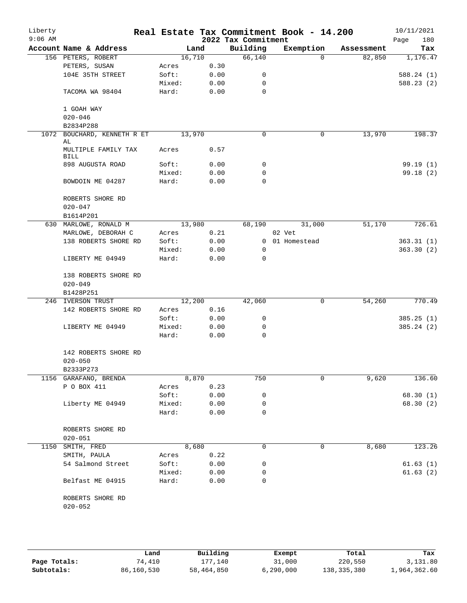| Liberty<br>$9:06$ AM |                                   |                |              | 2022 Tax Commitment | Real Estate Tax Commitment Book - 14.200 |            | 10/11/2021<br>180<br>Page |
|----------------------|-----------------------------------|----------------|--------------|---------------------|------------------------------------------|------------|---------------------------|
|                      | Account Name & Address            |                | Land         | Building            | Exemption                                | Assessment | Tax                       |
|                      | 156 PETERS, ROBERT                | 16,710         |              | 66,140              | $\Omega$                                 | 82,850     | 1,176.47                  |
|                      | PETERS, SUSAN                     | Acres          | 0.30         |                     |                                          |            |                           |
|                      | 104E 35TH STREET                  | Soft:          | 0.00         | 0                   |                                          |            | 588.24(1)                 |
|                      |                                   | Mixed:         | 0.00         | 0                   |                                          |            | 588.23(2)                 |
|                      | TACOMA WA 98404                   | Hard:          | 0.00         | $\mathbf 0$         |                                          |            |                           |
|                      | 1 GOAH WAY                        |                |              |                     |                                          |            |                           |
|                      | $020 - 046$                       |                |              |                     |                                          |            |                           |
|                      | B2834P288                         |                |              |                     |                                          |            |                           |
| 1072                 | BOUCHARD, KENNETH R ET            | 13,970         |              | 0                   | 0                                        | 13,970     | 198.37                    |
|                      | AL<br>MULTIPLE FAMILY TAX<br>BILL | Acres          | 0.57         |                     |                                          |            |                           |
|                      | 898 AUGUSTA ROAD                  | Soft:          | 0.00         | 0                   |                                          |            | 99.19(1)                  |
|                      |                                   | Mixed:         | 0.00         | $\mathbf 0$         |                                          |            | 99.18(2)                  |
|                      | BOWDOIN ME 04287                  | Hard:          | 0.00         | 0                   |                                          |            |                           |
|                      | ROBERTS SHORE RD                  |                |              |                     |                                          |            |                           |
|                      | $020 - 047$                       |                |              |                     |                                          |            |                           |
|                      | B1614P201                         |                |              |                     |                                          |            |                           |
|                      | 630 MARLOWE, RONALD M             | 13,980         |              | 68,190              | 31,000                                   | 51,170     | 726.61                    |
|                      | MARLOWE, DEBORAH C                | Acres          | 0.21         |                     | 02 Vet                                   |            |                           |
|                      | 138 ROBERTS SHORE RD              | Soft:          | 0.00         |                     | 0 01 Homestead                           |            | 363.31(1)                 |
|                      |                                   | Mixed:         | 0.00         | $\mathbf 0$         |                                          |            | 363.30(2)                 |
|                      | LIBERTY ME 04949                  | Hard:          | 0.00         | 0                   |                                          |            |                           |
|                      | 138 ROBERTS SHORE RD              |                |              |                     |                                          |            |                           |
|                      | $020 - 049$                       |                |              |                     |                                          |            |                           |
|                      | B1428P251                         |                |              |                     |                                          |            |                           |
|                      | 246 IVERSON TRUST                 | 12,200         |              | 42,060              | 0                                        | 54,260     | 770.49                    |
|                      | 142 ROBERTS SHORE RD              | Acres          | 0.16         |                     |                                          |            |                           |
|                      |                                   | Soft:          | 0.00         | 0                   |                                          |            | 385.25(1)                 |
|                      | LIBERTY ME 04949                  | Mixed:         | 0.00         | 0                   |                                          |            | 385.24 (2)                |
|                      |                                   | Hard:          | 0.00         | 0                   |                                          |            |                           |
|                      | 142 ROBERTS SHORE RD              |                |              |                     |                                          |            |                           |
|                      | $020 - 050$                       |                |              |                     |                                          |            |                           |
|                      | B2333P273                         |                |              |                     |                                          |            |                           |
|                      | 1156 GARAFANO, BRENDA             |                | 8,870        | 750                 | 0                                        | 9,620      | 136.60                    |
|                      | P O BOX 411                       | Acres          | 0.23         |                     |                                          |            |                           |
|                      |                                   | Soft:          | 0.00         | 0                   |                                          |            | 68.30(1)                  |
|                      | Liberty ME 04949                  | Mixed:         | 0.00         | 0                   |                                          |            | 68.30(2)                  |
|                      |                                   | Hard:          | 0.00         | 0                   |                                          |            |                           |
|                      | ROBERTS SHORE RD<br>$020 - 051$   |                |              |                     |                                          |            |                           |
|                      | 1150 SMITH, FRED                  |                | 8,680        | 0                   | 0                                        | 8,680      | 123.26                    |
|                      | SMITH, PAULA                      |                |              |                     |                                          |            |                           |
|                      | 54 Salmond Street                 | Acres<br>Soft: | 0.22<br>0.00 | 0                   |                                          |            | 61.63(1)                  |
|                      |                                   | Mixed:         | 0.00         | 0                   |                                          |            |                           |
|                      | Belfast ME 04915                  | Hard:          | 0.00         | 0                   |                                          |            | 61.63 (2)                 |
|                      |                                   |                |              |                     |                                          |            |                           |
|                      | ROBERTS SHORE RD                  |                |              |                     |                                          |            |                           |
|                      | $020 - 052$                       |                |              |                     |                                          |            |                           |
|                      |                                   |                |              |                     |                                          |            |                           |
|                      |                                   |                |              |                     |                                          |            |                           |

|              | Land       | Building   | Exempt      | Total       | Tax          |
|--------------|------------|------------|-------------|-------------|--------------|
| Page Totals: | 74,410     | 177,140    | 31,000      | 220,550     | 3,131.80     |
| Subtotals:   | 86,160,530 | 58,464,850 | 6, 290, 000 | 138,335,380 | 1,964,362.60 |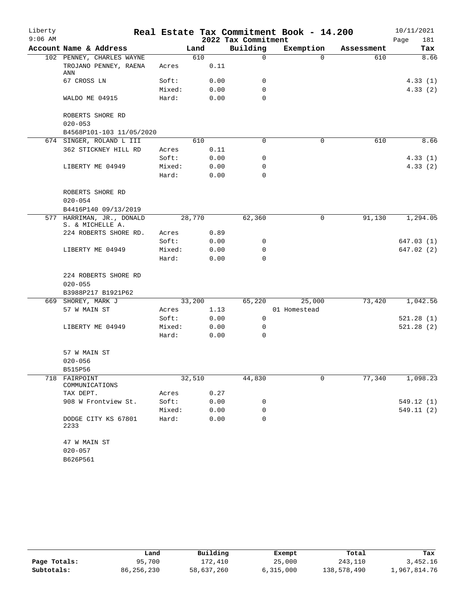| $9:06$ AM<br>2022 Tax Commitment<br>181<br>Page<br>Building<br>Account Name & Address<br>Exemption<br>Land<br>Tax<br>Assessment<br>102 PENNEY, CHARLES WAYNE<br>610<br>$\mathbf 0$<br>8.66<br>$\Omega$<br>610<br>TROJANO PENNEY, RAENA<br>0.11<br>Acres<br>ANN<br>67 CROSS LN<br>Soft:<br>0.00<br>4.33(1)<br>0<br>0.00<br>4.33(2)<br>Mixed:<br>0<br>0.00<br>WALDO ME 04915<br>Hard:<br>$\Omega$<br>ROBERTS SHORE RD<br>$020 - 053$<br>B4568P101-103 11/05/2020<br>674 SINGER, ROLAND L III<br>8.66<br>610<br>$\Omega$<br>0<br>610<br>362 STICKNEY HILL RD<br>0.11<br>Acres<br>0.00<br>Soft:<br>0<br>4.33(1)<br>0.00<br>LIBERTY ME 04949<br>Mixed:<br>0<br>4.33(2)<br>0.00<br>Hard:<br>$\Omega$<br>ROBERTS SHORE RD<br>$020 - 054$<br>B4416P140 09/13/2019<br>577 HARRIMAN, JR., DONALD<br>28,770<br>62,360<br>91,130<br>1,294.05<br>0<br>S. & MICHELLE A.<br>224 ROBERTS SHORE RD.<br>0.89<br>Acres<br>Soft:<br>0.00<br>0<br>647.03(1)<br>LIBERTY ME 04949<br>Mixed:<br>0.00<br>0<br>647.02 (2)<br>Hard:<br>0.00<br>$\Omega$<br>224 ROBERTS SHORE RD<br>$020 - 055$<br>B3988P217 B1921P62<br>669 SHOREY, MARK J<br>33,200<br>65,220<br>25,000<br>73,420<br>1,042.56<br>57 W MAIN ST<br>1.13<br>01 Homestead<br>Acres<br>Soft:<br>0.00<br>0<br>521.28(1)<br>521.28(2)<br>LIBERTY ME 04949<br>Mixed:<br>0.00<br>0<br>Hard:<br>0.00<br>$\Omega$<br>57 W MAIN ST<br>$020 - 056$<br>B515P56<br>1,098.23<br>718<br>32,510<br>44,830<br>0<br>77,340<br>FAIRPOINT<br>COMMUNICATIONS<br>0.27<br>TAX DEPT.<br>Acres<br>908 W Frontview St.<br>Soft:<br>0<br>0.00<br>549.12(1)<br>Mixed:<br>0.00<br>0<br>549.11(2)<br>Hard:<br>0.00<br>0<br>DODGE CITY KS 67801<br>2233<br>47 W MAIN ST<br>$020 - 057$<br>B626P561 | Liberty |  |  | Real Estate Tax Commitment Book - 14.200 | 10/11/2021 |
|---------------------------------------------------------------------------------------------------------------------------------------------------------------------------------------------------------------------------------------------------------------------------------------------------------------------------------------------------------------------------------------------------------------------------------------------------------------------------------------------------------------------------------------------------------------------------------------------------------------------------------------------------------------------------------------------------------------------------------------------------------------------------------------------------------------------------------------------------------------------------------------------------------------------------------------------------------------------------------------------------------------------------------------------------------------------------------------------------------------------------------------------------------------------------------------------------------------------------------------------------------------------------------------------------------------------------------------------------------------------------------------------------------------------------------------------------------------------------------------------------------------------------------------------------------------------------------------------------------------------------------------------------------------------------------------------------------|---------|--|--|------------------------------------------|------------|
|                                                                                                                                                                                                                                                                                                                                                                                                                                                                                                                                                                                                                                                                                                                                                                                                                                                                                                                                                                                                                                                                                                                                                                                                                                                                                                                                                                                                                                                                                                                                                                                                                                                                                                         |         |  |  |                                          |            |
|                                                                                                                                                                                                                                                                                                                                                                                                                                                                                                                                                                                                                                                                                                                                                                                                                                                                                                                                                                                                                                                                                                                                                                                                                                                                                                                                                                                                                                                                                                                                                                                                                                                                                                         |         |  |  |                                          |            |
|                                                                                                                                                                                                                                                                                                                                                                                                                                                                                                                                                                                                                                                                                                                                                                                                                                                                                                                                                                                                                                                                                                                                                                                                                                                                                                                                                                                                                                                                                                                                                                                                                                                                                                         |         |  |  |                                          |            |
|                                                                                                                                                                                                                                                                                                                                                                                                                                                                                                                                                                                                                                                                                                                                                                                                                                                                                                                                                                                                                                                                                                                                                                                                                                                                                                                                                                                                                                                                                                                                                                                                                                                                                                         |         |  |  |                                          |            |
|                                                                                                                                                                                                                                                                                                                                                                                                                                                                                                                                                                                                                                                                                                                                                                                                                                                                                                                                                                                                                                                                                                                                                                                                                                                                                                                                                                                                                                                                                                                                                                                                                                                                                                         |         |  |  |                                          |            |
|                                                                                                                                                                                                                                                                                                                                                                                                                                                                                                                                                                                                                                                                                                                                                                                                                                                                                                                                                                                                                                                                                                                                                                                                                                                                                                                                                                                                                                                                                                                                                                                                                                                                                                         |         |  |  |                                          |            |
|                                                                                                                                                                                                                                                                                                                                                                                                                                                                                                                                                                                                                                                                                                                                                                                                                                                                                                                                                                                                                                                                                                                                                                                                                                                                                                                                                                                                                                                                                                                                                                                                                                                                                                         |         |  |  |                                          |            |
|                                                                                                                                                                                                                                                                                                                                                                                                                                                                                                                                                                                                                                                                                                                                                                                                                                                                                                                                                                                                                                                                                                                                                                                                                                                                                                                                                                                                                                                                                                                                                                                                                                                                                                         |         |  |  |                                          |            |
|                                                                                                                                                                                                                                                                                                                                                                                                                                                                                                                                                                                                                                                                                                                                                                                                                                                                                                                                                                                                                                                                                                                                                                                                                                                                                                                                                                                                                                                                                                                                                                                                                                                                                                         |         |  |  |                                          |            |
|                                                                                                                                                                                                                                                                                                                                                                                                                                                                                                                                                                                                                                                                                                                                                                                                                                                                                                                                                                                                                                                                                                                                                                                                                                                                                                                                                                                                                                                                                                                                                                                                                                                                                                         |         |  |  |                                          |            |
|                                                                                                                                                                                                                                                                                                                                                                                                                                                                                                                                                                                                                                                                                                                                                                                                                                                                                                                                                                                                                                                                                                                                                                                                                                                                                                                                                                                                                                                                                                                                                                                                                                                                                                         |         |  |  |                                          |            |
|                                                                                                                                                                                                                                                                                                                                                                                                                                                                                                                                                                                                                                                                                                                                                                                                                                                                                                                                                                                                                                                                                                                                                                                                                                                                                                                                                                                                                                                                                                                                                                                                                                                                                                         |         |  |  |                                          |            |
|                                                                                                                                                                                                                                                                                                                                                                                                                                                                                                                                                                                                                                                                                                                                                                                                                                                                                                                                                                                                                                                                                                                                                                                                                                                                                                                                                                                                                                                                                                                                                                                                                                                                                                         |         |  |  |                                          |            |
|                                                                                                                                                                                                                                                                                                                                                                                                                                                                                                                                                                                                                                                                                                                                                                                                                                                                                                                                                                                                                                                                                                                                                                                                                                                                                                                                                                                                                                                                                                                                                                                                                                                                                                         |         |  |  |                                          |            |
|                                                                                                                                                                                                                                                                                                                                                                                                                                                                                                                                                                                                                                                                                                                                                                                                                                                                                                                                                                                                                                                                                                                                                                                                                                                                                                                                                                                                                                                                                                                                                                                                                                                                                                         |         |  |  |                                          |            |
|                                                                                                                                                                                                                                                                                                                                                                                                                                                                                                                                                                                                                                                                                                                                                                                                                                                                                                                                                                                                                                                                                                                                                                                                                                                                                                                                                                                                                                                                                                                                                                                                                                                                                                         |         |  |  |                                          |            |
|                                                                                                                                                                                                                                                                                                                                                                                                                                                                                                                                                                                                                                                                                                                                                                                                                                                                                                                                                                                                                                                                                                                                                                                                                                                                                                                                                                                                                                                                                                                                                                                                                                                                                                         |         |  |  |                                          |            |
|                                                                                                                                                                                                                                                                                                                                                                                                                                                                                                                                                                                                                                                                                                                                                                                                                                                                                                                                                                                                                                                                                                                                                                                                                                                                                                                                                                                                                                                                                                                                                                                                                                                                                                         |         |  |  |                                          |            |
|                                                                                                                                                                                                                                                                                                                                                                                                                                                                                                                                                                                                                                                                                                                                                                                                                                                                                                                                                                                                                                                                                                                                                                                                                                                                                                                                                                                                                                                                                                                                                                                                                                                                                                         |         |  |  |                                          |            |
|                                                                                                                                                                                                                                                                                                                                                                                                                                                                                                                                                                                                                                                                                                                                                                                                                                                                                                                                                                                                                                                                                                                                                                                                                                                                                                                                                                                                                                                                                                                                                                                                                                                                                                         |         |  |  |                                          |            |
|                                                                                                                                                                                                                                                                                                                                                                                                                                                                                                                                                                                                                                                                                                                                                                                                                                                                                                                                                                                                                                                                                                                                                                                                                                                                                                                                                                                                                                                                                                                                                                                                                                                                                                         |         |  |  |                                          |            |
|                                                                                                                                                                                                                                                                                                                                                                                                                                                                                                                                                                                                                                                                                                                                                                                                                                                                                                                                                                                                                                                                                                                                                                                                                                                                                                                                                                                                                                                                                                                                                                                                                                                                                                         |         |  |  |                                          |            |
|                                                                                                                                                                                                                                                                                                                                                                                                                                                                                                                                                                                                                                                                                                                                                                                                                                                                                                                                                                                                                                                                                                                                                                                                                                                                                                                                                                                                                                                                                                                                                                                                                                                                                                         |         |  |  |                                          |            |
|                                                                                                                                                                                                                                                                                                                                                                                                                                                                                                                                                                                                                                                                                                                                                                                                                                                                                                                                                                                                                                                                                                                                                                                                                                                                                                                                                                                                                                                                                                                                                                                                                                                                                                         |         |  |  |                                          |            |
|                                                                                                                                                                                                                                                                                                                                                                                                                                                                                                                                                                                                                                                                                                                                                                                                                                                                                                                                                                                                                                                                                                                                                                                                                                                                                                                                                                                                                                                                                                                                                                                                                                                                                                         |         |  |  |                                          |            |
|                                                                                                                                                                                                                                                                                                                                                                                                                                                                                                                                                                                                                                                                                                                                                                                                                                                                                                                                                                                                                                                                                                                                                                                                                                                                                                                                                                                                                                                                                                                                                                                                                                                                                                         |         |  |  |                                          |            |
|                                                                                                                                                                                                                                                                                                                                                                                                                                                                                                                                                                                                                                                                                                                                                                                                                                                                                                                                                                                                                                                                                                                                                                                                                                                                                                                                                                                                                                                                                                                                                                                                                                                                                                         |         |  |  |                                          |            |
|                                                                                                                                                                                                                                                                                                                                                                                                                                                                                                                                                                                                                                                                                                                                                                                                                                                                                                                                                                                                                                                                                                                                                                                                                                                                                                                                                                                                                                                                                                                                                                                                                                                                                                         |         |  |  |                                          |            |
|                                                                                                                                                                                                                                                                                                                                                                                                                                                                                                                                                                                                                                                                                                                                                                                                                                                                                                                                                                                                                                                                                                                                                                                                                                                                                                                                                                                                                                                                                                                                                                                                                                                                                                         |         |  |  |                                          |            |
|                                                                                                                                                                                                                                                                                                                                                                                                                                                                                                                                                                                                                                                                                                                                                                                                                                                                                                                                                                                                                                                                                                                                                                                                                                                                                                                                                                                                                                                                                                                                                                                                                                                                                                         |         |  |  |                                          |            |
|                                                                                                                                                                                                                                                                                                                                                                                                                                                                                                                                                                                                                                                                                                                                                                                                                                                                                                                                                                                                                                                                                                                                                                                                                                                                                                                                                                                                                                                                                                                                                                                                                                                                                                         |         |  |  |                                          |            |
|                                                                                                                                                                                                                                                                                                                                                                                                                                                                                                                                                                                                                                                                                                                                                                                                                                                                                                                                                                                                                                                                                                                                                                                                                                                                                                                                                                                                                                                                                                                                                                                                                                                                                                         |         |  |  |                                          |            |
|                                                                                                                                                                                                                                                                                                                                                                                                                                                                                                                                                                                                                                                                                                                                                                                                                                                                                                                                                                                                                                                                                                                                                                                                                                                                                                                                                                                                                                                                                                                                                                                                                                                                                                         |         |  |  |                                          |            |
|                                                                                                                                                                                                                                                                                                                                                                                                                                                                                                                                                                                                                                                                                                                                                                                                                                                                                                                                                                                                                                                                                                                                                                                                                                                                                                                                                                                                                                                                                                                                                                                                                                                                                                         |         |  |  |                                          |            |
|                                                                                                                                                                                                                                                                                                                                                                                                                                                                                                                                                                                                                                                                                                                                                                                                                                                                                                                                                                                                                                                                                                                                                                                                                                                                                                                                                                                                                                                                                                                                                                                                                                                                                                         |         |  |  |                                          |            |
|                                                                                                                                                                                                                                                                                                                                                                                                                                                                                                                                                                                                                                                                                                                                                                                                                                                                                                                                                                                                                                                                                                                                                                                                                                                                                                                                                                                                                                                                                                                                                                                                                                                                                                         |         |  |  |                                          |            |
|                                                                                                                                                                                                                                                                                                                                                                                                                                                                                                                                                                                                                                                                                                                                                                                                                                                                                                                                                                                                                                                                                                                                                                                                                                                                                                                                                                                                                                                                                                                                                                                                                                                                                                         |         |  |  |                                          |            |
|                                                                                                                                                                                                                                                                                                                                                                                                                                                                                                                                                                                                                                                                                                                                                                                                                                                                                                                                                                                                                                                                                                                                                                                                                                                                                                                                                                                                                                                                                                                                                                                                                                                                                                         |         |  |  |                                          |            |
|                                                                                                                                                                                                                                                                                                                                                                                                                                                                                                                                                                                                                                                                                                                                                                                                                                                                                                                                                                                                                                                                                                                                                                                                                                                                                                                                                                                                                                                                                                                                                                                                                                                                                                         |         |  |  |                                          |            |
|                                                                                                                                                                                                                                                                                                                                                                                                                                                                                                                                                                                                                                                                                                                                                                                                                                                                                                                                                                                                                                                                                                                                                                                                                                                                                                                                                                                                                                                                                                                                                                                                                                                                                                         |         |  |  |                                          |            |
|                                                                                                                                                                                                                                                                                                                                                                                                                                                                                                                                                                                                                                                                                                                                                                                                                                                                                                                                                                                                                                                                                                                                                                                                                                                                                                                                                                                                                                                                                                                                                                                                                                                                                                         |         |  |  |                                          |            |
|                                                                                                                                                                                                                                                                                                                                                                                                                                                                                                                                                                                                                                                                                                                                                                                                                                                                                                                                                                                                                                                                                                                                                                                                                                                                                                                                                                                                                                                                                                                                                                                                                                                                                                         |         |  |  |                                          |            |
|                                                                                                                                                                                                                                                                                                                                                                                                                                                                                                                                                                                                                                                                                                                                                                                                                                                                                                                                                                                                                                                                                                                                                                                                                                                                                                                                                                                                                                                                                                                                                                                                                                                                                                         |         |  |  |                                          |            |
|                                                                                                                                                                                                                                                                                                                                                                                                                                                                                                                                                                                                                                                                                                                                                                                                                                                                                                                                                                                                                                                                                                                                                                                                                                                                                                                                                                                                                                                                                                                                                                                                                                                                                                         |         |  |  |                                          |            |

|              | Land       | Building   | Exempt    | Total       | Tax          |
|--------------|------------|------------|-----------|-------------|--------------|
| Page Totals: | 95,700     | 172,410    | 25,000    | 243,110     | 3,452.16     |
| Subtotals:   | 86,256,230 | 58,637,260 | 6,315,000 | 138,578,490 | 1,967,814.76 |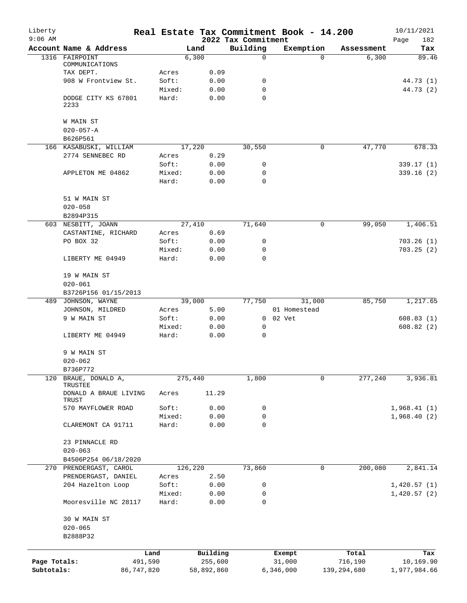| Liberty<br>$9:06$ AM |                                |        |            | 2022 Tax Commitment | Real Estate Tax Commitment Book - 14.200 |               | 10/11/2021<br>182<br>Page |
|----------------------|--------------------------------|--------|------------|---------------------|------------------------------------------|---------------|---------------------------|
|                      | Account Name & Address         |        | Land       | Building            | Exemption                                | Assessment    | Tax                       |
|                      | 1316 FAIRPOINT                 |        | 6,300      | 0                   | $\Omega$                                 | 6,300         | 89.46                     |
|                      | COMMUNICATIONS<br>TAX DEPT.    | Acres  | 0.09       |                     |                                          |               |                           |
|                      | 908 W Frontview St.            | Soft:  | 0.00       | 0                   |                                          |               | 44.73 (1)                 |
|                      |                                | Mixed: | 0.00       | $\mathbf 0$         |                                          |               | 44.73 (2)                 |
|                      | DODGE CITY KS 67801<br>2233    | Hard:  | 0.00       | $\Omega$            |                                          |               |                           |
|                      | W MAIN ST                      |        |            |                     |                                          |               |                           |
|                      | $020 - 057 - A$                |        |            |                     |                                          |               |                           |
|                      | B626P561                       |        |            |                     |                                          |               |                           |
|                      | 166 KASABUSKI, WILLIAM         |        | 17,220     | 30,550              | 0                                        | 47,770        | 678.33                    |
|                      | 2774 SENNEBEC RD               | Acres  | 0.29       |                     |                                          |               |                           |
|                      |                                | Soft:  | 0.00       | 0                   |                                          |               | 339.17(1)                 |
|                      | APPLETON ME 04862              | Mixed: | 0.00       | 0                   |                                          |               | 339.16 (2)                |
|                      |                                | Hard:  | 0.00       | $\Omega$            |                                          |               |                           |
|                      | 51 W MAIN ST                   |        |            |                     |                                          |               |                           |
|                      | $020 - 058$                    |        |            |                     |                                          |               |                           |
|                      | B2894P315                      |        |            |                     |                                          |               |                           |
|                      | 603 NESBITT, JOANN             |        | 27,410     | 71,640              | 0                                        | 99,050        | 1,406.51                  |
|                      | CASTANTINE, RICHARD            | Acres  | 0.69       |                     |                                          |               |                           |
|                      | PO BOX 32                      | Soft:  | 0.00       | 0                   |                                          |               | 703.26(1)                 |
|                      |                                | Mixed: | 0.00       | 0                   |                                          |               | 703.25(2)                 |
|                      | LIBERTY ME 04949               | Hard:  | 0.00       | $\Omega$            |                                          |               |                           |
|                      | 19 W MAIN ST                   |        |            |                     |                                          |               |                           |
|                      | $020 - 061$                    |        |            |                     |                                          |               |                           |
|                      | B3726P156 01/15/2013           |        |            |                     |                                          |               |                           |
|                      | 489 JOHNSON, WAYNE             |        | 39,000     | 77,750              | 31,000                                   | 85,750        | 1,217.65                  |
|                      | JOHNSON, MILDRED               | Acres  | 5.00       |                     | 01 Homestead                             |               |                           |
|                      | 9 W MAIN ST                    | Soft:  | 0.00       |                     | 0 02 Vet                                 |               | 608.83(1)                 |
|                      |                                | Mixed: | 0.00       | $\mathbf 0$         |                                          |               | 608.82(2)                 |
|                      | LIBERTY ME 04949               | Hard:  | 0.00       | 0                   |                                          |               |                           |
|                      | 9 W MAIN ST                    |        |            |                     |                                          |               |                           |
|                      | $020 - 062$                    |        |            |                     |                                          |               |                           |
|                      | B736P772                       |        |            |                     |                                          |               |                           |
| 120                  | BRAUE, DONALD A,<br>TRUSTEE    |        | 275,440    | 1,800               | 0                                        | 277,240       | 3,936.81                  |
|                      | DONALD A BRAUE LIVING<br>TRUST | Acres  | 11.29      |                     |                                          |               |                           |
|                      | 570 MAYFLOWER ROAD             | Soft:  | 0.00       | 0                   |                                          |               | 1,968.41(1)               |
|                      |                                | Mixed: | 0.00       | 0                   |                                          |               | 1,968.40(2)               |
|                      | CLAREMONT CA 91711             | Hard:  | 0.00       | 0                   |                                          |               |                           |
|                      | 23 PINNACLE RD                 |        |            |                     |                                          |               |                           |
|                      | $020 - 063$                    |        |            |                     |                                          |               |                           |
|                      | B4506P254 06/18/2020           |        |            |                     |                                          |               |                           |
| 270                  | PRENDERGAST, CAROL             |        | 126,220    | 73,860              | 0                                        | 200,080       | 2,841.14                  |
|                      | PRENDERGAST, DANIEL            | Acres  | 2.50       |                     |                                          |               |                           |
|                      | 204 Hazelton Loop              | Soft:  | 0.00       | 0                   |                                          |               | 1,420.57(1)               |
|                      |                                | Mixed: | 0.00       | 0                   |                                          |               | 1,420.57(2)               |
|                      | Mooresville NC 28117           | Hard:  | 0.00       | 0                   |                                          |               |                           |
|                      | 30 W MAIN ST                   |        |            |                     |                                          |               |                           |
|                      | $020 - 065$                    |        |            |                     |                                          |               |                           |
|                      | B2888P32                       |        |            |                     |                                          |               |                           |
|                      |                                | Land   | Building   |                     | Exempt                                   | Total         | Tax                       |
| Page Totals:         | 491,590                        |        | 255,600    |                     | 31,000                                   | 716,190       | 10,169.90                 |
| Subtotals:           | 86,747,820                     |        | 58,892,860 |                     | 6,346,000                                | 139, 294, 680 | 1,977,984.66              |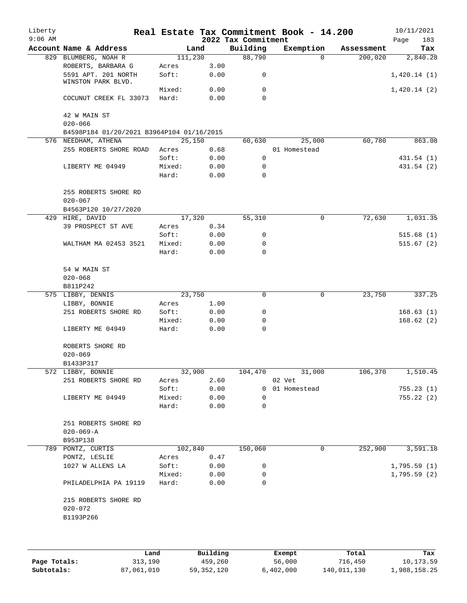| Liberty<br>$9:06$ AM |                                           |         |      | 2022 Tax Commitment | Real Estate Tax Commitment Book - 14.200 |            | 10/11/2021<br>183<br>Page |
|----------------------|-------------------------------------------|---------|------|---------------------|------------------------------------------|------------|---------------------------|
|                      | Account Name & Address                    | Land    |      | Building            | Exemption                                | Assessment | Tax                       |
|                      | 829 BLUMBERG, NOAH R                      | 111,230 |      | 88,790              | $\Omega$                                 | 200,020    | 2,840.28                  |
|                      | ROBERTS, BARBARA G                        | Acres   | 3.00 |                     |                                          |            |                           |
|                      | 5591 APT. 201 NORTH<br>WINSTON PARK BLVD. | Soft:   | 0.00 | 0                   |                                          |            | 1,420.14(1)               |
|                      |                                           | Mixed:  | 0.00 | $\mathbf 0$         |                                          |            | 1,420.14(2)               |
|                      | COCUNUT CREEK FL 33073                    | Hard:   | 0.00 | $\Omega$            |                                          |            |                           |
|                      | 42 W MAIN ST<br>$020 - 066$               |         |      |                     |                                          |            |                           |
|                      | B4598P184 01/20/2021 B3964P104 01/16/2015 |         |      |                     |                                          |            |                           |
|                      | 576 NEEDHAM, ATHENA                       | 25,150  |      | 60,630              | 25,000                                   | 60,780     | 863.08                    |
|                      | 255 ROBERTS SHORE ROAD                    | Acres   | 0.68 |                     | 01 Homestead                             |            |                           |
|                      |                                           | Soft:   | 0.00 | $\mathbf 0$         |                                          |            | 431.54 (1)                |
|                      | LIBERTY ME 04949                          | Mixed:  | 0.00 | 0                   |                                          |            | 431.54 (2)                |
|                      |                                           | Hard:   | 0.00 | $\mathbf 0$         |                                          |            |                           |
|                      | 255 ROBERTS SHORE RD<br>$020 - 067$       |         |      |                     |                                          |            |                           |
|                      | B4563P120 10/27/2020                      |         |      |                     |                                          |            |                           |
|                      | 429 HIRE, DAVID                           | 17,320  |      | 55,310              | 0                                        | 72,630     | 1,031.35                  |
|                      | 39 PROSPECT ST AVE                        | Acres   | 0.34 |                     |                                          |            |                           |
|                      |                                           | Soft:   | 0.00 | 0                   |                                          |            | 515.68(1)                 |
|                      | WALTHAM MA 02453 3521                     | Mixed:  | 0.00 | 0                   |                                          |            | 515.67(2)                 |
|                      |                                           | Hard:   | 0.00 | $\Omega$            |                                          |            |                           |
|                      | 54 W MAIN ST<br>$020 - 068$               |         |      |                     |                                          |            |                           |
|                      | B811P242                                  |         |      |                     |                                          |            |                           |
|                      | 575 LIBBY, DENNIS                         | 23,750  |      | 0                   | $\mathbf 0$                              | 23,750     | 337.25                    |
|                      | LIBBY, BONNIE                             | Acres   | 1.00 |                     |                                          |            |                           |
|                      | 251 ROBERTS SHORE RD                      | Soft:   | 0.00 | 0                   |                                          |            | 168.63(1)                 |
|                      |                                           | Mixed:  | 0.00 | 0                   |                                          |            | 168.62(2)                 |
|                      | LIBERTY ME 04949                          | Hard:   | 0.00 | $\mathbf 0$         |                                          |            |                           |
|                      | ROBERTS SHORE RD<br>$020 - 069$           |         |      |                     |                                          |            |                           |
|                      | B1433P317                                 |         |      |                     |                                          |            |                           |
|                      | 572 LIBBY, BONNIE                         | 32,900  |      | 104,470             | 31,000                                   | 106,370    | 1,510.45                  |
|                      | 251 ROBERTS SHORE RD                      | Acres   | 2.60 |                     | 02 Vet                                   |            |                           |
|                      |                                           | Soft:   | 0.00 |                     | 0 01 Homestead                           |            | 755.23(1)                 |
|                      | LIBERTY ME 04949                          | Mixed:  | 0.00 | 0                   |                                          |            | 755.22(2)                 |
|                      |                                           | Hard:   | 0.00 | $\mathbf 0$         |                                          |            |                           |
|                      | 251 ROBERTS SHORE RD                      |         |      |                     |                                          |            |                           |
|                      | $020 - 069 - A$<br>B953P138               |         |      |                     |                                          |            |                           |
|                      | 789 PONTZ, CURTIS                         | 102,840 |      | 150,060             | 0                                        | 252,900    | 3,591.18                  |
|                      | PONTZ, LESLIE                             | Acres   | 0.47 |                     |                                          |            |                           |
|                      | 1027 W ALLENS LA                          | Soft:   | 0.00 | 0                   |                                          |            | 1,795.59(1)               |
|                      |                                           | Mixed:  | 0.00 | 0                   |                                          |            | 1,795.59(2)               |
|                      | PHILADELPHIA PA 19119                     | Hard:   | 0.00 | 0                   |                                          |            |                           |
|                      | 215 ROBERTS SHORE RD<br>$020 - 072$       |         |      |                     |                                          |            |                           |
|                      | B1193P266                                 |         |      |                     |                                          |            |                           |
|                      |                                           |         |      |                     |                                          |            |                           |
|                      |                                           |         |      |                     |                                          |            |                           |

|              | Land       | Building     | Exempt    | Total       | Tax          |
|--------------|------------|--------------|-----------|-------------|--------------|
| Page Totals: | 313,190    | 459,260      | 56,000    | 716,450     | 10,173.59    |
| Subtotals:   | 87,061,010 | 59, 352, 120 | 6,402,000 | 140,011,130 | 1,988,158.25 |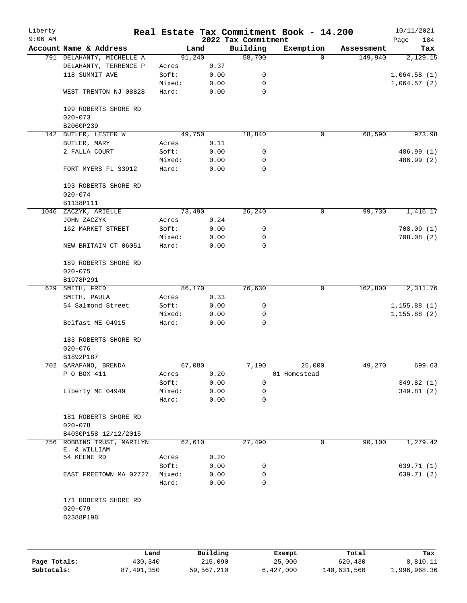| Liberty<br>$9:06$ AM |                                                    |                 |              | 2022 Tax Commitment | Real Estate Tax Commitment Book - 14.200 |            | 10/11/2021         |
|----------------------|----------------------------------------------------|-----------------|--------------|---------------------|------------------------------------------|------------|--------------------|
|                      | Account Name & Address                             | Land            |              | Building            | Exemption                                | Assessment | 184<br>Page<br>Tax |
|                      | 791 DELAHANTY, MICHELLE A                          | 91,240          |              | 58,700              | $\Omega$                                 | 149,940    | 2,129.15           |
|                      | DELAHANTY, TERRENCE P                              | Acres           | 0.37         |                     |                                          |            |                    |
|                      | 118 SUMMIT AVE                                     | Soft:           | 0.00         | 0                   |                                          |            | 1,064.58(1)        |
|                      |                                                    | Mixed:          | 0.00         | 0                   |                                          |            |                    |
|                      | WEST TRENTON NJ 08828                              | Hard:           | 0.00         | 0                   |                                          |            | 1,064.57(2)        |
|                      | 199 ROBERTS SHORE RD                               |                 |              |                     |                                          |            |                    |
|                      | $020 - 073$                                        |                 |              |                     |                                          |            |                    |
|                      | B2060P239                                          |                 |              |                     |                                          |            |                    |
|                      | 142 BUTLER, LESTER W                               | 49,750          |              | 18,840              | $\mathbf 0$                              | 68,590     | 973.98             |
|                      | BUTLER, MARY                                       | Acres           | 0.11         |                     |                                          |            |                    |
|                      | 2 FALLA COURT                                      | Soft:           | 0.00         | 0                   |                                          |            | 486.99 (1)         |
|                      |                                                    | Mixed:          | 0.00         | 0                   |                                          |            | 486.99 (2)         |
|                      | FORT MYERS FL 33912                                | Hard:           | 0.00         | $\mathbf 0$         |                                          |            |                    |
|                      | 193 ROBERTS SHORE RD                               |                 |              |                     |                                          |            |                    |
|                      | $020 - 074$                                        |                 |              |                     |                                          |            |                    |
|                      | B1138P111                                          |                 |              |                     |                                          |            |                    |
|                      | 1046 ZACZYK, ARIELLE                               | 73,490          |              | 26,240              | 0                                        | 99,730     | 1,416.17           |
|                      | JOHN ZACZYK                                        | Acres           | 0.24         |                     |                                          |            |                    |
|                      | 162 MARKET STREET                                  | Soft:           | 0.00         | 0                   |                                          |            | 708.09(1)          |
|                      |                                                    | Mixed:          | 0.00         | 0                   |                                          |            | 708.08(2)          |
|                      | NEW BRITAIN CT 06051                               | Hard:           | 0.00         | 0                   |                                          |            |                    |
|                      | 189 ROBERTS SHORE RD                               |                 |              |                     |                                          |            |                    |
|                      | $020 - 075$                                        |                 |              |                     |                                          |            |                    |
|                      | B1978P291                                          |                 |              |                     |                                          |            |                    |
| 629                  | SMITH, FRED                                        | 86,170          |              | 76,630              | 0                                        | 162,800    | 2,311.76           |
|                      | SMITH, PAULA                                       | Acres           | 0.33         |                     |                                          |            |                    |
|                      | 54 Salmond Street                                  | Soft:           | 0.00         | 0                   |                                          |            | 1, 155.88(1)       |
|                      |                                                    | Mixed:          | 0.00         | 0                   |                                          |            | 1, 155.88(2)       |
|                      | Belfast ME 04915                                   | Hard:           | 0.00         | 0                   |                                          |            |                    |
|                      | 183 ROBERTS SHORE RD                               |                 |              |                     |                                          |            |                    |
|                      | $020 - 076$                                        |                 |              |                     |                                          |            |                    |
|                      | B1892P187                                          |                 |              |                     |                                          |            |                    |
|                      | 702 GARAFANO, BRENDA                               | 67,080          |              | 7,190               | 25,000                                   | 49,270     | 699.63             |
|                      | P O BOX 411                                        | Acres           | 0.20         |                     | 01 Homestead                             |            |                    |
|                      |                                                    | Soft:           | 0.00         | 0                   |                                          |            | 349.82 (1)         |
|                      | Liberty ME 04949                                   | Mixed:          | 0.00         | 0                   |                                          |            | 349.81 (2)         |
|                      |                                                    | Hard:           | 0.00         | 0                   |                                          |            |                    |
|                      | 181 ROBERTS SHORE RD                               |                 |              |                     |                                          |            |                    |
|                      | $020 - 078$                                        |                 |              |                     |                                          |            |                    |
|                      | B4030P158 12/12/2015<br>756 ROBBINS TRUST, MARILYN | 62,610          |              | 27,490              | 0                                        | 90,100     | 1,279.42           |
|                      | E. & WILLIAM<br>54 KEENE RD                        | Acres           | 0.20         |                     |                                          |            |                    |
|                      |                                                    | Soft:           | 0.00         |                     |                                          |            | 639.71 (1)         |
|                      |                                                    |                 |              | 0                   |                                          |            |                    |
|                      | EAST FREETOWN MA 02727                             | Mixed:<br>Hard: | 0.00<br>0.00 | 0<br>0              |                                          |            | 639.71 (2)         |
|                      | 171 ROBERTS SHORE RD                               |                 |              |                     |                                          |            |                    |
|                      | $020 - 079$<br>B2388P198                           |                 |              |                     |                                          |            |                    |
|                      |                                                    |                 |              |                     |                                          |            |                    |
|                      |                                                    |                 |              |                     |                                          |            |                    |
|                      |                                                    |                 |              |                     |                                          |            |                    |

|              | Land       | Building   | Exempt    | Total       | Tax          |
|--------------|------------|------------|-----------|-------------|--------------|
| Page Totals: | 430,340    | 215,090    | 25,000    | 620,430     | 8,810.11     |
| Subtotals:   | 87,491,350 | 59,567,210 | 6,427,000 | 140,631,560 | 1,996,968.36 |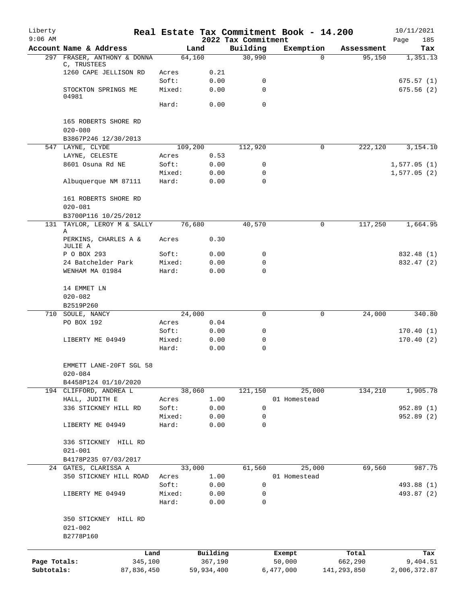| Liberty<br>$9:06$ AM |                                                     |         |                     | 2022 Tax Commitment | Real Estate Tax Commitment Book - 14.200 |                      | 10/11/2021<br>185<br>Page |
|----------------------|-----------------------------------------------------|---------|---------------------|---------------------|------------------------------------------|----------------------|---------------------------|
|                      | Account Name & Address                              |         | Land                | Building            | Exemption                                | Assessment           | Tax                       |
|                      | 297 FRASER, ANTHONY & DONNA                         |         | 64,160              | 30,990              | $\Omega$                                 | 95,150               | 1,351.13                  |
|                      | C, TRUSTEES<br>1260 CAPE JELLISON RD                | Acres   | 0.21                |                     |                                          |                      |                           |
|                      |                                                     | Soft:   | 0.00                | 0                   |                                          |                      | 675.57(1)                 |
|                      | STOCKTON SPRINGS ME                                 | Mixed:  | 0.00                | $\mathbf 0$         |                                          |                      | 675.56(2)                 |
|                      | 04981                                               |         |                     |                     |                                          |                      |                           |
|                      |                                                     | Hard:   | 0.00                | $\mathbf 0$         |                                          |                      |                           |
|                      | 165 ROBERTS SHORE RD                                |         |                     |                     |                                          |                      |                           |
|                      | $020 - 080$                                         |         |                     |                     |                                          |                      |                           |
|                      | B3867P246 12/30/2013<br>547 LAYNE, CLYDE            | 109,200 |                     | 112,920             | 0                                        | $2\overline{22,120}$ | 3,154.10                  |
|                      | LAYNE, CELESTE                                      | Acres   | 0.53                |                     |                                          |                      |                           |
|                      | 8601 Osuna Rd NE                                    | Soft:   | 0.00                | 0                   |                                          |                      | 1,577.05(1)               |
|                      |                                                     | Mixed:  | 0.00                | 0                   |                                          |                      | 1,577.05(2)               |
|                      | Albuquerque NM 87111                                | Hard:   | 0.00                | $\Omega$            |                                          |                      |                           |
|                      | 161 ROBERTS SHORE RD                                |         |                     |                     |                                          |                      |                           |
|                      | $020 - 081$                                         |         |                     |                     |                                          |                      |                           |
|                      | B3700P116 10/25/2012<br>131 TAYLOR, LEROY M & SALLY |         | 76,680              | 40,570              | 0                                        | 117,250              | 1,664.95                  |
|                      | Α                                                   |         |                     |                     |                                          |                      |                           |
|                      | PERKINS, CHARLES A &<br>JULIE A                     | Acres   | 0.30                |                     |                                          |                      |                           |
|                      | P O BOX 293                                         | Soft:   | 0.00                | 0                   |                                          |                      | 832.48 (1)                |
|                      | 24 Batchelder Park                                  | Mixed:  | 0.00                | 0                   |                                          |                      | 832.47 (2)                |
|                      | WENHAM MA 01984                                     | Hard:   | 0.00                | $\Omega$            |                                          |                      |                           |
|                      |                                                     |         |                     |                     |                                          |                      |                           |
|                      | 14 EMMET LN                                         |         |                     |                     |                                          |                      |                           |
|                      | $020 - 082$<br>B2519P260                            |         |                     |                     |                                          |                      |                           |
|                      | 710 SOULE, NANCY                                    |         | 24,000              | $\Omega$            | 0                                        | 24,000               | 340.80                    |
|                      | PO BOX 192                                          | Acres   | 0.04                |                     |                                          |                      |                           |
|                      |                                                     | Soft:   | 0.00                | 0                   |                                          |                      | 170.40(1)                 |
|                      | LIBERTY ME 04949                                    | Mixed:  | 0.00                | 0                   |                                          |                      | 170.40(2)                 |
|                      |                                                     | Hard:   | 0.00                | $\mathbf 0$         |                                          |                      |                           |
|                      | EMMETT LANE-20FT SGL 58<br>$020 - 084$              |         |                     |                     |                                          |                      |                           |
|                      | B4458P124 01/10/2020                                |         |                     |                     |                                          |                      |                           |
|                      | 194 CLIFFORD, ANDREA L                              |         | 38,060              | 121,150             | 25,000                                   | 134,210              | 1,905.78                  |
|                      | HALL, JUDITH E                                      | Acres   | 1.00                |                     | 01 Homestead                             |                      |                           |
|                      | 336 STICKNEY HILL RD                                | Soft:   | 0.00                | $\mathbf 0$         |                                          |                      | 952.89(1)                 |
|                      |                                                     | Mixed:  | 0.00                | 0                   |                                          |                      | 952.89(2)                 |
|                      | LIBERTY ME 04949                                    | Hard:   | 0.00                | $\mathbf 0$         |                                          |                      |                           |
|                      | 336 STICKNEY HILL RD<br>$021 - 001$                 |         |                     |                     |                                          |                      |                           |
|                      | B4178P235 07/03/2017                                |         |                     |                     |                                          |                      |                           |
|                      | 24 GATES, CLARISSA A                                |         | 33,000              | 61,560              | 25,000                                   | 69,560               | 987.75                    |
|                      | 350 STICKNEY HILL ROAD                              | Acres   | 1.00                |                     | 01 Homestead                             |                      |                           |
|                      |                                                     | Soft:   | 0.00                | 0                   |                                          |                      | 493.88 (1)                |
|                      | LIBERTY ME 04949                                    | Mixed:  | 0.00                | 0                   |                                          |                      | 493.87 (2)                |
|                      |                                                     | Hard:   | 0.00                | 0                   |                                          |                      |                           |
|                      | 350 STICKNEY HILL RD<br>$021 - 002$<br>B2778P160    |         |                     |                     |                                          |                      |                           |
|                      |                                                     |         |                     |                     |                                          |                      |                           |
| Page Totals:         | Land<br>345,100                                     |         | Building<br>367,190 |                     | Exempt<br>50,000                         | Total<br>662,290     | Tax<br>9,404.51           |
| Subtotals:           | 87,836,450                                          |         | 59,934,400          |                     | 6,477,000                                | 141, 293, 850        | 2,006,372.87              |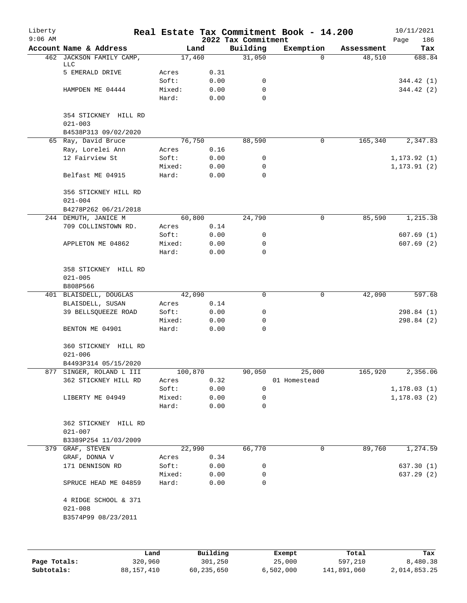| Liberty<br>$9:06$ AM |                                                            |                 |              | 2022 Tax Commitment | Real Estate Tax Commitment Book - 14.200 |            | 10/11/2021<br>186<br>Page |
|----------------------|------------------------------------------------------------|-----------------|--------------|---------------------|------------------------------------------|------------|---------------------------|
|                      | Account Name & Address                                     |                 | Land         | Building            | Exemption                                | Assessment | Tax                       |
|                      | 462 JACKSON FAMILY CAMP,<br>LLC                            |                 | 17,460       | 31,050              | $\Omega$                                 | 48,510     | 688.84                    |
|                      | 5 EMERALD DRIVE                                            | Acres           | 0.31         |                     |                                          |            |                           |
|                      |                                                            | Soft:           | 0.00         | 0                   |                                          |            | 344.42 (1)                |
|                      | HAMPDEN ME 04444                                           | Mixed:          | 0.00         | 0                   |                                          |            | 344.42 (2)                |
|                      |                                                            | Hard:           | 0.00         | $\Omega$            |                                          |            |                           |
|                      | 354 STICKNEY HILL RD<br>$021 - 003$                        |                 |              |                     |                                          |            |                           |
|                      | B4538P313 09/02/2020                                       |                 |              |                     |                                          |            |                           |
|                      | 65 Ray, David Bruce                                        |                 | 76,750       | 88,590              | 0                                        | 165,340    | 2,347.83                  |
|                      | Ray, Lorelei Ann                                           | Acres           | 0.16         |                     |                                          |            |                           |
|                      | 12 Fairview St                                             | Soft:           | 0.00         | 0                   |                                          |            | 1, 173.92(1)              |
|                      |                                                            | Mixed:          | 0.00         | 0                   |                                          |            | 1, 173.91(2)              |
|                      | Belfast ME 04915                                           | Hard:           | 0.00         | 0                   |                                          |            |                           |
|                      | 356 STICKNEY HILL RD<br>$021 - 004$                        |                 |              |                     |                                          |            |                           |
|                      | B4278P262 06/21/2018                                       |                 |              |                     |                                          |            |                           |
|                      | 244 DEMUTH, JANICE M                                       |                 | 60,800       | 24,790              | 0                                        | 85,590     | 1,215.38                  |
|                      | 709 COLLINSTOWN RD.                                        | Acres           | 0.14         |                     |                                          |            |                           |
|                      |                                                            | Soft:           | 0.00         | 0                   |                                          |            | 607.69(1)                 |
|                      | APPLETON ME 04862                                          | Mixed:          | 0.00         | 0                   |                                          |            | 607.69(2)                 |
|                      |                                                            | Hard:           | 0.00         | $\Omega$            |                                          |            |                           |
|                      | 358 STICKNEY HILL RD<br>$021 - 005$<br>B808P566            |                 |              |                     |                                          |            |                           |
|                      | 401 BLAISDELL, DOUGLAS                                     |                 | 42,090       | 0                   | 0                                        | 42,090     | 597.68                    |
|                      | BLAISDELL, SUSAN                                           | Acres           | 0.14         |                     |                                          |            |                           |
|                      | 39 BELLSQUEEZE ROAD                                        | Soft:           | 0.00         | 0                   |                                          |            | 298.84 (1)                |
|                      |                                                            | Mixed:          | 0.00         | 0                   |                                          |            | 298.84 (2)                |
|                      | BENTON ME 04901                                            | Hard:           | 0.00         | 0                   |                                          |            |                           |
|                      | 360 STICKNEY HILL RD<br>$021 - 006$                        |                 |              |                     |                                          |            |                           |
|                      | B4493P314 05/15/2020                                       |                 |              |                     |                                          |            |                           |
|                      | 877 SINGER, ROLAND L III                                   | 100,870         |              | 90,050              | 25,000                                   | 165,920    | 2,356.06                  |
|                      | 362 STICKNEY HILL RD                                       | Acres           | 0.32         |                     | 01 Homestead                             |            |                           |
|                      |                                                            | Soft:           | 0.00         | 0                   |                                          |            | 1, 178.03(1)              |
|                      | LIBERTY ME 04949                                           | Mixed:          | 0.00         | 0                   |                                          |            | 1, 178.03(2)              |
|                      |                                                            | Hard:           | 0.00         | 0                   |                                          |            |                           |
|                      | 362 STICKNEY HILL RD<br>$021 - 007$                        |                 |              |                     |                                          |            |                           |
|                      | B3389P254 11/03/2009                                       |                 |              |                     |                                          |            |                           |
|                      | 379 GRAF, STEVEN                                           |                 | 22,990       | 66,770              | 0                                        | 89,760     | 1,274.59                  |
|                      | GRAF, DONNA V                                              | Acres           | 0.34         |                     |                                          |            |                           |
|                      |                                                            | Soft:           |              |                     |                                          |            | 637.30(1)                 |
|                      | 171 DENNISON RD                                            |                 | 0.00         | 0                   |                                          |            |                           |
|                      | SPRUCE HEAD ME 04859                                       | Mixed:<br>Hard: | 0.00<br>0.00 | 0<br>0              |                                          |            | 637.29 (2)                |
|                      |                                                            |                 |              |                     |                                          |            |                           |
|                      | 4 RIDGE SCHOOL & 371<br>$021 - 008$<br>B3574P99 08/23/2011 |                 |              |                     |                                          |            |                           |
|                      |                                                            |                 |              |                     |                                          |            |                           |

|              | Land       | Building   | Exempt    | Total       | Tax          |
|--------------|------------|------------|-----------|-------------|--------------|
| Page Totals: | 320,960    | 301,250    | 25,000    | 597,210     | 8,480.38     |
| Subtotals:   | 88,157,410 | 60,235,650 | 6,502,000 | 141,891,060 | 2,014,853.25 |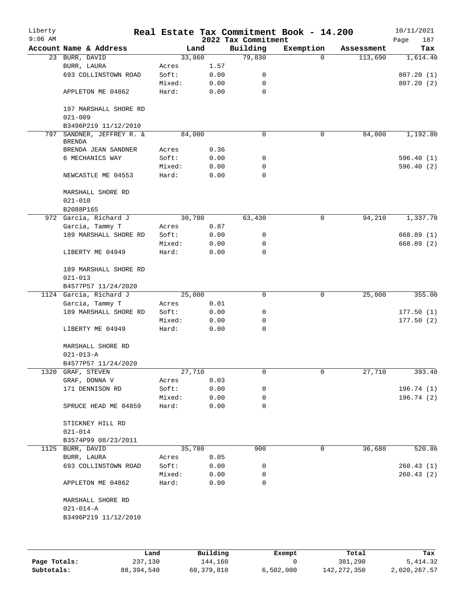| Liberty<br>$9:06$ AM |                                         |                 |              | 2022 Tax Commitment | Real Estate Tax Commitment Book - 14.200 |            | 10/11/2021<br>187<br>Page |
|----------------------|-----------------------------------------|-----------------|--------------|---------------------|------------------------------------------|------------|---------------------------|
|                      | Account Name & Address                  | Land            |              | Building            | Exemption                                | Assessment | Tax                       |
|                      | 23 BURR, DAVID                          | 33,860          |              | 79,830              | $\Omega$                                 | 113,690    | 1,614.40                  |
|                      | BURR, LAURA                             | Acres           | 1.57         |                     |                                          |            |                           |
|                      | 693 COLLINSTOWN ROAD                    | Soft:           | 0.00         | 0                   |                                          |            | 807.20(1)                 |
|                      |                                         | Mixed:          | 0.00         | 0                   |                                          |            | 807.20(2)                 |
|                      | APPLETON ME 04862                       | Hard:           | 0.00         | 0                   |                                          |            |                           |
|                      | 197 MARSHALL SHORE RD<br>$021 - 009$    |                 |              |                     |                                          |            |                           |
|                      | B3496P219 11/12/2010                    |                 |              |                     |                                          |            |                           |
| 797                  | SANDNER, JEFFREY R. &                   | 84,000          |              | 0                   | 0                                        | 84,000     | 1,192.80                  |
|                      | <b>BRENDA</b>                           |                 |              |                     |                                          |            |                           |
|                      | BRENDA JEAN SANDNER                     | Acres           | 0.36         |                     |                                          |            |                           |
|                      | 6 MECHANICS WAY                         | Soft:           | 0.00         | 0                   |                                          |            | 596.40(1)                 |
|                      |                                         | Mixed:          | 0.00         | 0                   |                                          |            | 596.40 (2)                |
|                      | NEWCASTLE ME 04553                      | Hard:           | 0.00         | 0                   |                                          |            |                           |
|                      | MARSHALL SHORE RD<br>$021 - 010$        |                 |              |                     |                                          |            |                           |
|                      | B2088P165                               |                 |              |                     |                                          |            |                           |
|                      | 972 Garcia, Richard J                   | 30,780          |              | 63,430              | 0                                        | 94,210     | 1,337.78                  |
|                      | Garcia, Tammy T                         | Acres           | 0.87         |                     |                                          |            |                           |
|                      | 189 MARSHALL SHORE RD                   | Soft:           | 0.00         | 0                   |                                          |            | 668.89 (1)                |
|                      |                                         | Mixed:          | 0.00         | 0                   |                                          |            | 668.89 (2)                |
|                      | LIBERTY ME 04949                        | Hard:           | 0.00         | 0                   |                                          |            |                           |
|                      | 189 MARSHALL SHORE RD<br>$021 - 013$    |                 |              |                     |                                          |            |                           |
|                      | B4577P57 11/24/2020                     |                 |              |                     |                                          |            |                           |
|                      | 1124 Garcia, Richard J                  | 25,000          |              | 0                   | 0                                        | 25,000     | 355.00                    |
|                      | Garcia, Tammy T                         | Acres           | 0.01         |                     |                                          |            |                           |
|                      | 189 MARSHALL SHORE RD                   | Soft:           | 0.00         | 0                   |                                          |            | 177.50(1)                 |
|                      |                                         | Mixed:          | 0.00         | 0                   |                                          |            | 177.50(2)                 |
|                      | LIBERTY ME 04949                        | Hard:           | 0.00         | 0                   |                                          |            |                           |
|                      | MARSHALL SHORE RD<br>$021 - 013 - A$    |                 |              |                     |                                          |            |                           |
|                      | B4577P57 11/24/2020                     |                 |              |                     |                                          |            |                           |
|                      | 1320 GRAF, STEVEN                       | 27,710          |              | 0                   | 0                                        | 27,710     | 393.48                    |
|                      | GRAF, DONNA V                           | Acres           | 0.03         |                     |                                          |            |                           |
|                      | 171 DENNISON RD                         | Soft:           | 0.00         | 0                   |                                          |            | 196.74(1)                 |
|                      |                                         | Mixed:          | 0.00         | 0                   |                                          |            | 196.74(2)                 |
|                      | SPRUCE HEAD ME 04859                    | Hard:           | 0.00         | 0                   |                                          |            |                           |
|                      | STICKNEY HILL RD                        |                 |              |                     |                                          |            |                           |
|                      | $021 - 014$                             |                 |              |                     |                                          |            |                           |
|                      | B3574P99 08/23/2011                     |                 |              |                     |                                          |            |                           |
|                      | 1125 BURR, DAVID                        | 35,780          |              | 900                 | 0                                        | 36,680     | 520.86                    |
|                      | BURR, LAURA                             | Acres           | 0.05         |                     |                                          |            |                           |
|                      | 693 COLLINSTOWN ROAD                    | Soft:           | 0.00         | 0                   |                                          |            | 260.43(1)                 |
|                      | APPLETON ME 04862                       | Mixed:<br>Hard: | 0.00<br>0.00 | 0<br>0              |                                          |            | 260.43(2)                 |
|                      |                                         |                 |              |                     |                                          |            |                           |
|                      | MARSHALL SHORE RD                       |                 |              |                     |                                          |            |                           |
|                      | $021 - 014 - A$<br>B3496P219 11/12/2010 |                 |              |                     |                                          |            |                           |
|                      |                                         |                 |              |                     |                                          |            |                           |
|                      |                                         |                 |              |                     |                                          |            |                           |
|                      |                                         |                 |              |                     |                                          |            |                           |

|              | Land       | Building   | Exempt    | Total         | Tax          |
|--------------|------------|------------|-----------|---------------|--------------|
| Page Totals: | 237,130    | 144,160    |           | 381,290       | 5,414.32     |
| Subtotals:   | 88,394,540 | 60,379,810 | 6.502.000 | 142, 272, 350 | 2,020,267.57 |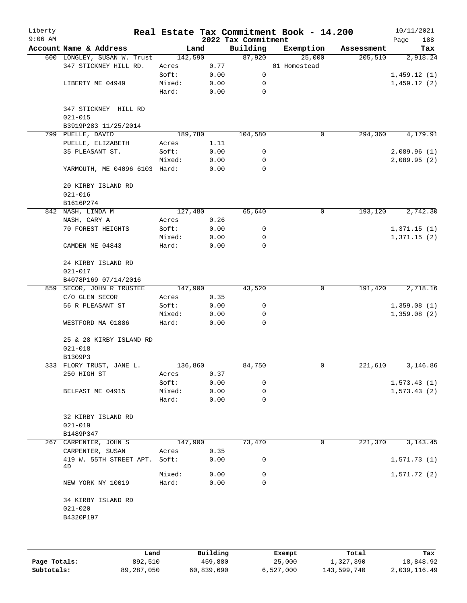| Liberty<br>$9:06$ AM |                                                |                 |              |                                 | Real Estate Tax Commitment Book - 14.200 |            | 10/11/2021         |
|----------------------|------------------------------------------------|-----------------|--------------|---------------------------------|------------------------------------------|------------|--------------------|
|                      | Account Name & Address                         |                 | Land         | 2022 Tax Commitment<br>Building | Exemption                                | Assessment | 188<br>Page<br>Tax |
|                      | 600 LONGLEY, SUSAN W. Trust                    | 142,590         |              | 87,920                          | 25,000                                   | 205,510    | 2,918.24           |
|                      | 347 STICKNEY HILL RD.                          | Acres           | 0.77         |                                 | 01 Homestead                             |            |                    |
|                      |                                                | Soft:           | 0.00         | 0                               |                                          |            | 1,459.12(1)        |
|                      | LIBERTY ME 04949                               | Mixed:          | 0.00         | 0                               |                                          |            | 1,459.12(2)        |
|                      |                                                | Hard:           | 0.00         | $\mathbf 0$                     |                                          |            |                    |
|                      | 347 STICKNEY HILL RD<br>$021 - 015$            |                 |              |                                 |                                          |            |                    |
|                      | B3919P283 11/25/2014                           |                 |              |                                 |                                          |            |                    |
|                      | 799 PUELLE, DAVID                              | 189,780         |              | 104,580                         | 0                                        | 294,360    | 4,179.91           |
|                      | PUELLE, ELIZABETH                              | Acres           | 1.11         |                                 |                                          |            |                    |
|                      | 35 PLEASANT ST.                                | Soft:           | 0.00         | 0                               |                                          |            | 2,089.96(1)        |
|                      |                                                | Mixed:          | 0.00         | 0                               |                                          |            | 2,089.95(2)        |
|                      | YARMOUTH, ME 04096 6103 Hard:                  |                 | 0.00         | $\mathbf 0$                     |                                          |            |                    |
|                      | 20 KIRBY ISLAND RD<br>$021 - 016$              |                 |              |                                 |                                          |            |                    |
|                      | B1616P274                                      |                 |              |                                 |                                          |            |                    |
|                      | 842 NASH, LINDA M                              | 127,480         |              | 65,640                          | 0                                        | 193,120    | 2,742.30           |
|                      | NASH, CARY A                                   | Acres           | 0.26         |                                 |                                          |            |                    |
|                      | 70 FOREST HEIGHTS                              | Soft:           | 0.00         | 0                               |                                          |            | 1,371.15(1)        |
|                      |                                                | Mixed:          | 0.00         | 0                               |                                          |            | 1,371.15(2)        |
|                      | CAMDEN ME 04843                                | Hard:           | 0.00         | $\mathbf 0$                     |                                          |            |                    |
|                      | 24 KIRBY ISLAND RD                             |                 |              |                                 |                                          |            |                    |
|                      | $021 - 017$                                    |                 |              |                                 |                                          |            |                    |
|                      | B4078P169 07/14/2016                           |                 |              |                                 |                                          |            |                    |
|                      | 859 SECOR, JOHN R TRUSTEE                      | 147,900         |              | 43,520                          | 0                                        | 191,420    | 2,718.16           |
|                      | C/O GLEN SECOR                                 | Acres           | 0.35         |                                 |                                          |            |                    |
|                      | 56 R PLEASANT ST                               | Soft:           | 0.00         | 0                               |                                          |            | 1,359.08(1)        |
|                      | WESTFORD MA 01886                              | Mixed:<br>Hard: | 0.00<br>0.00 | 0<br>$\mathbf 0$                |                                          |            | 1,359.08(2)        |
|                      |                                                |                 |              |                                 |                                          |            |                    |
|                      | 25 & 28 KIRBY ISLAND RD<br>$021 - 018$         |                 |              |                                 |                                          |            |                    |
|                      | B1309P3                                        |                 |              |                                 |                                          |            |                    |
|                      | 333 FLORY TRUST, JANE L.                       | 136,860         |              | 84,750                          | 0                                        | 221,610    | 3,146.86           |
|                      | 250 HIGH ST                                    | Acres           | 0.37         |                                 |                                          |            |                    |
|                      |                                                | Soft:           | 0.00         | 0                               |                                          |            | 1,573.43(1)        |
|                      | BELFAST ME 04915                               | Mixed:          | 0.00         | 0                               |                                          |            | 1,573.43(2)        |
|                      |                                                | Hard:           | 0.00         | 0                               |                                          |            |                    |
|                      |                                                |                 |              |                                 |                                          |            |                    |
|                      | 32 KIRBY ISLAND RD<br>$021 - 019$              |                 |              |                                 |                                          |            |                    |
|                      | B1489P347                                      |                 |              |                                 |                                          |            |                    |
| 267                  | CARPENTER, JOHN S                              | 147,900         |              | 73,470                          | 0                                        | 221,370    | 3, 143. 45         |
|                      | CARPENTER, SUSAN                               | Acres           | 0.35         |                                 |                                          |            |                    |
|                      | 419 W. 55TH STREET APT.                        | Soft:           | 0.00         | 0                               |                                          |            | 1,571.73(1)        |
|                      | 4D                                             |                 |              |                                 |                                          |            |                    |
|                      |                                                | Mixed:          | 0.00         | 0                               |                                          |            | 1,571.72(2)        |
|                      | NEW YORK NY 10019                              | Hard:           | 0.00         | 0                               |                                          |            |                    |
|                      | 34 KIRBY ISLAND RD<br>$021 - 020$<br>B4320P197 |                 |              |                                 |                                          |            |                    |
|                      |                                                |                 |              |                                 |                                          |            |                    |
|                      | Land                                           |                 | Building     |                                 | Exempt                                   | Total      | Tax                |

**Page Totals:** 892,510 <br>**892,510** 459,880 25,000 1,327,390 18,848.92<br>**Subtotals:** 89,287,050 6,839,690 6,527,000 143,599,740 2,039,116.49

**Subtotals:** 89,287,050 60,839,690 6,527,000 143,599,740 2,039,116.49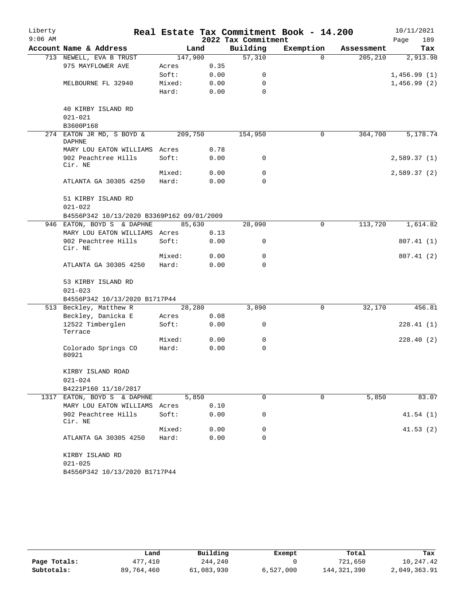| Liberty   |                                           |         |      |                     | Real Estate Tax Commitment Book - 14.200 |            | 10/11/2021  |
|-----------|-------------------------------------------|---------|------|---------------------|------------------------------------------|------------|-------------|
| $9:06$ AM |                                           |         |      | 2022 Tax Commitment |                                          |            | 189<br>Page |
|           | Account Name & Address                    | Land    |      | Building            | Exemption                                | Assessment | Tax         |
|           | 713 NEWELL, EVA B TRUST                   | 147,900 |      | 57,310              | $\Omega$                                 | 205,210    | 2,913.98    |
|           | 975 MAYFLOWER AVE                         | Acres   | 0.35 |                     |                                          |            |             |
|           |                                           | Soft:   | 0.00 | 0                   |                                          |            | 1,456.99(1) |
|           | MELBOURNE FL 32940                        | Mixed:  | 0.00 | $\Omega$            |                                          |            | 1,456.99(2) |
|           |                                           | Hard:   | 0.00 | $\Omega$            |                                          |            |             |
|           | 40 KIRBY ISLAND RD                        |         |      |                     |                                          |            |             |
|           | $021 - 021$                               |         |      |                     |                                          |            |             |
|           | B3600P168                                 |         |      |                     |                                          |            |             |
| 274       | EATON JR MD, S BOYD &<br><b>DAPHNE</b>    | 209,750 |      | 154,950             | 0                                        | 364,700    | 5,178.74    |
|           | MARY LOU EATON WILLIAMS Acres             |         | 0.78 |                     |                                          |            |             |
|           | 902 Peachtree Hills<br>Cir. NE            | Soft:   | 0.00 | 0                   |                                          |            | 2,589.37(1) |
|           |                                           | Mixed:  | 0.00 | 0                   |                                          |            | 2,589.37(2) |
|           | ATLANTA GA 30305 4250                     | Hard:   | 0.00 | $\Omega$            |                                          |            |             |
|           | 51 KIRBY ISLAND RD<br>$021 - 022$         |         |      |                     |                                          |            |             |
|           | B4556P342 10/13/2020 B3369P162 09/01/2009 |         |      |                     |                                          |            |             |
|           | 946 EATON, BOYD S & DAPHNE                | 85,630  |      | 28,090              | 0                                        | 113,720    | 1,614.82    |
|           | MARY LOU EATON WILLIAMS Acres             |         | 0.13 |                     |                                          |            |             |
|           | 902 Peachtree Hills<br>Cir. NE            | Soft:   | 0.00 | 0                   |                                          |            | 807.41(1)   |
|           |                                           | Mixed:  | 0.00 | 0                   |                                          |            | 807.41(2)   |
|           | ATLANTA GA 30305 4250                     | Hard:   | 0.00 | $\Omega$            |                                          |            |             |
|           | 53 KIRBY ISLAND RD                        |         |      |                     |                                          |            |             |
|           | $021 - 023$                               |         |      |                     |                                          |            |             |
|           | B4556P342 10/13/2020 B1717P44             |         |      |                     |                                          |            |             |
|           | 513 Beckley, Matthew R                    | 28,280  |      | 3,890               | 0                                        | 32,170     | 456.81      |
|           | Beckley, Danicka E                        | Acres   | 0.08 |                     |                                          |            |             |
|           | 12522 Timberglen<br>Terrace               | Soft:   | 0.00 | 0                   |                                          |            | 228.41(1)   |
|           |                                           | Mixed:  | 0.00 | 0                   |                                          |            | 228.40(2)   |
|           | Colorado Springs CO<br>80921              | Hard:   | 0.00 | $\Omega$            |                                          |            |             |
|           | KIRBY ISLAND ROAD                         |         |      |                     |                                          |            |             |
|           | $021 - 024$                               |         |      |                     |                                          |            |             |
|           | B4221P160 11/10/2017                      |         |      |                     |                                          |            |             |
|           | 1317 EATON, BOYD S & DAPHNE               | 5,850   |      | 0                   | 0                                        | 5,850      | 83.07       |
|           | MARY LOU EATON WILLIAMS Acres             |         | 0.10 |                     |                                          |            |             |
|           | 902 Peachtree Hills<br>Cir. NE            | Soft:   | 0.00 | 0                   |                                          |            | 41.54(1)    |
|           |                                           | Mixed:  | 0.00 | 0                   |                                          |            | 41.53(2)    |
|           | ATLANTA GA 30305 4250                     | Hard:   | 0.00 | $\Omega$            |                                          |            |             |
|           | KIRBY ISLAND RD                           |         |      |                     |                                          |            |             |
|           | $021 - 025$                               |         |      |                     |                                          |            |             |
|           | B4556P342 10/13/2020 B1717P44             |         |      |                     |                                          |            |             |

|              | Land       | Building   | Exempt    | Total         | Tax          |
|--------------|------------|------------|-----------|---------------|--------------|
| Page Totals: | 477,410    | 244,240    |           | 721,650       | 10,247.42    |
| Subtotals:   | 89,764,460 | 61,083,930 | 6,527,000 | 144, 321, 390 | 2,049,363.91 |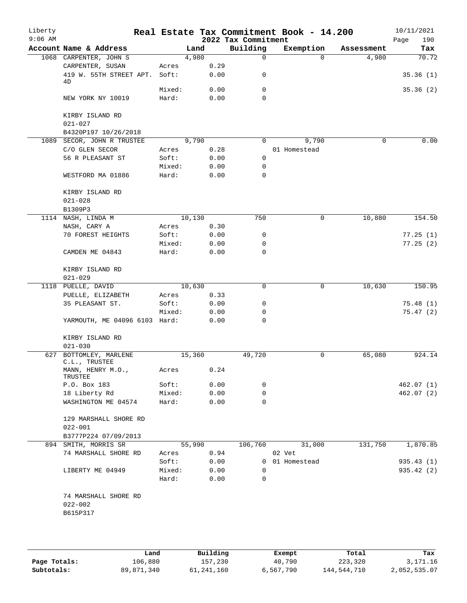| Liberty<br>$9:06$ AM |                                                 |        |        | 2022 Tax Commitment | Real Estate Tax Commitment Book - 14.200 |            | 10/11/2021<br>Page<br>190 |
|----------------------|-------------------------------------------------|--------|--------|---------------------|------------------------------------------|------------|---------------------------|
|                      | Account Name & Address                          |        | Land   | Building            | Exemption                                | Assessment | Tax                       |
|                      | 1068 CARPENTER, JOHN S                          |        | 4,980  | 0                   | $\Omega$                                 | 4,980      | 70.72                     |
|                      | CARPENTER, SUSAN                                | Acres  | 0.29   |                     |                                          |            |                           |
|                      | 419 W. 55TH STREET APT. Soft:<br>4D             |        | 0.00   | 0                   |                                          |            | 35.36(1)                  |
|                      |                                                 | Mixed: | 0.00   | 0                   |                                          |            | 35.36(2)                  |
|                      | NEW YORK NY 10019                               | Hard:  | 0.00   | $\Omega$            |                                          |            |                           |
|                      | KIRBY ISLAND RD<br>$021 - 027$                  |        |        |                     |                                          |            |                           |
|                      | B4320P197 10/26/2018                            |        |        |                     |                                          |            |                           |
|                      | 1089 SECOR, JOHN R TRUSTEE                      |        | 9,790  | $\Omega$            | 9,790                                    | $\Omega$   | 0.00                      |
|                      | C/O GLEN SECOR                                  | Acres  | 0.28   |                     | 01 Homestead                             |            |                           |
|                      | 56 R PLEASANT ST                                | Soft:  | 0.00   | $\Omega$            |                                          |            |                           |
|                      |                                                 | Mixed: | 0.00   | 0                   |                                          |            |                           |
|                      | WESTFORD MA 01886                               | Hard:  | 0.00   | 0                   |                                          |            |                           |
|                      | KIRBY ISLAND RD<br>$021 - 028$                  |        |        |                     |                                          |            |                           |
|                      | B1309P3                                         |        |        |                     |                                          |            |                           |
|                      | 1114 NASH, LINDA M                              |        | 10,130 | 750                 | $\mathbf 0$                              | 10,880     | 154.50                    |
|                      | NASH, CARY A                                    | Acres  | 0.30   |                     |                                          |            |                           |
|                      | 70 FOREST HEIGHTS                               | Soft:  | 0.00   | 0                   |                                          |            | 77.25(1)                  |
|                      |                                                 | Mixed: | 0.00   | 0                   |                                          |            | 77.25(2)                  |
|                      | CAMDEN ME 04843                                 | Hard:  | 0.00   | $\Omega$            |                                          |            |                           |
|                      | KIRBY ISLAND RD<br>$021 - 029$                  |        |        |                     |                                          |            |                           |
|                      | 1118 PUELLE, DAVID                              |        | 10,630 | $\Omega$            | $\mathbf 0$                              | 10,630     | 150.95                    |
|                      | PUELLE, ELIZABETH                               | Acres  | 0.33   |                     |                                          |            |                           |
|                      | 35 PLEASANT ST.                                 | Soft:  | 0.00   | 0                   |                                          |            | 75.48(1)                  |
|                      |                                                 | Mixed: | 0.00   | 0                   |                                          |            | 75.47(2)                  |
|                      | YARMOUTH, ME 04096 6103 Hard:                   |        | 0.00   | 0                   |                                          |            |                           |
|                      | KIRBY ISLAND RD<br>$021 - 030$                  |        |        |                     |                                          |            |                           |
|                      | 627 BOTTOMLEY, MARLENE                          |        | 15,360 | 49,720              | 0                                        | 65,080     | 924.14                    |
|                      | C.L., TRUSTEE<br>MANN, HENRY M.O.,              | Acres  | 0.24   |                     |                                          |            |                           |
|                      | TRUSTEE                                         |        |        |                     |                                          |            |                           |
|                      | P.O. Box 183                                    | Soft:  | 0.00   | 0                   |                                          |            | 462.07 (1)                |
|                      | 18 Liberty Rd                                   | Mixed: | 0.00   | 0<br>0              |                                          |            | 462.07(2)                 |
|                      | WASHINGTON ME 04574                             | Hard:  | 0.00   |                     |                                          |            |                           |
|                      | 129 MARSHALL SHORE RD<br>$022 - 001$            |        |        |                     |                                          |            |                           |
|                      | B3777P224 07/09/2013                            |        |        |                     |                                          |            |                           |
|                      | 894 SMITH, MORRIS SR                            |        | 55,990 | 106,760             | 31,000                                   | 131,750    | 1,870.85                  |
|                      | 74 MARSHALL SHORE RD                            | Acres  | 0.94   |                     | 02 Vet                                   |            |                           |
|                      |                                                 | Soft:  | 0.00   |                     | 0 01 Homestead                           |            | 935.43 (1)                |
|                      | LIBERTY ME 04949                                | Mixed: | 0.00   | 0                   |                                          |            | 935.42 (2)                |
|                      |                                                 | Hard:  | 0.00   | 0                   |                                          |            |                           |
|                      | 74 MARSHALL SHORE RD<br>$022 - 002$<br>B615P317 |        |        |                     |                                          |            |                           |
|                      |                                                 |        |        |                     |                                          |            |                           |

|              | Land       | Building     | Exempt    | Total       | Tax          |
|--------------|------------|--------------|-----------|-------------|--------------|
| Page Totals: | 106,880    | 157,230      | 40,790    | 223,320     | 3,171.16     |
| Subtotals:   | 89,871,340 | 61, 241, 160 | 6,567,790 | 144,544,710 | 2,052,535.07 |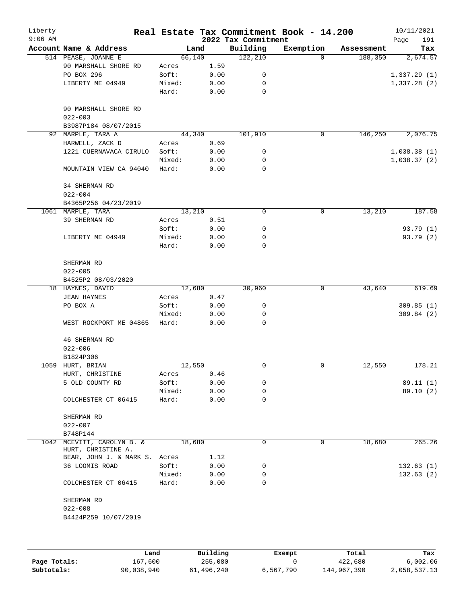| Liberty<br>$9:06$ AM |                                                  |        |      | 2022 Tax Commitment | Real Estate Tax Commitment Book - 14.200 |            | 10/11/2021<br>191<br>Page |
|----------------------|--------------------------------------------------|--------|------|---------------------|------------------------------------------|------------|---------------------------|
|                      | Account Name & Address                           | Land   |      | Building            | Exemption                                | Assessment | Tax                       |
|                      | 514 PEASE, JOANNE E                              | 66,140 |      | 122, 210            | $\Omega$                                 | 188,350    | 2,674.57                  |
|                      | 90 MARSHALL SHORE RD                             | Acres  | 1.59 |                     |                                          |            |                           |
|                      | PO BOX 296                                       | Soft:  | 0.00 | 0                   |                                          |            | 1,337.29(1)               |
|                      | LIBERTY ME 04949                                 | Mixed: | 0.00 | 0                   |                                          |            | 1,337.28(2)               |
|                      |                                                  | Hard:  | 0.00 | 0                   |                                          |            |                           |
|                      | 90 MARSHALL SHORE RD<br>$022 - 003$              |        |      |                     |                                          |            |                           |
|                      | B3987P184 08/07/2015                             |        |      |                     |                                          |            |                           |
|                      | 92 MARPLE, TARA A                                | 44,340 |      | 101,910             | $\mathbf 0$                              | 146,250    | 2,076.75                  |
|                      | HARWELL, ZACK D                                  | Acres  | 0.69 |                     |                                          |            |                           |
|                      | 1221 CUERNAVACA CIRULO                           | Soft:  | 0.00 | 0                   |                                          |            | 1,038.38(1)               |
|                      |                                                  | Mixed: | 0.00 | 0                   |                                          |            | 1,038.37(2)               |
|                      | MOUNTAIN VIEW CA 94040                           | Hard:  | 0.00 | $\mathbf 0$         |                                          |            |                           |
|                      | 34 SHERMAN RD<br>$022 - 004$                     |        |      |                     |                                          |            |                           |
|                      | B4365P256 04/23/2019                             |        |      |                     |                                          |            |                           |
|                      | 1061 MARPLE, TARA                                | 13,210 |      | 0                   | 0                                        | 13,210     | 187.58                    |
|                      | 39 SHERMAN RD                                    | Acres  | 0.51 |                     |                                          |            |                           |
|                      |                                                  | Soft:  | 0.00 | 0                   |                                          |            | 93.79(1)                  |
|                      | LIBERTY ME 04949                                 | Mixed: | 0.00 | 0                   |                                          |            | 93.79 (2)                 |
|                      |                                                  | Hard:  | 0.00 | 0                   |                                          |            |                           |
|                      | SHERMAN RD                                       |        |      |                     |                                          |            |                           |
|                      | $022 - 005$                                      |        |      |                     |                                          |            |                           |
|                      | B4525P2 08/03/2020                               |        |      |                     |                                          |            |                           |
|                      | 18 HAYNES, DAVID                                 | 12,680 |      | 30,960              | 0                                        | 43,640     | 619.69                    |
|                      | <b>JEAN HAYNES</b>                               | Acres  | 0.47 |                     |                                          |            |                           |
|                      | PO BOX A                                         | Soft:  | 0.00 | 0                   |                                          |            | 309.85(1)                 |
|                      |                                                  | Mixed: | 0.00 | 0                   |                                          |            | 309.84(2)                 |
|                      | WEST ROCKPORT ME 04865                           | Hard:  | 0.00 | 0                   |                                          |            |                           |
|                      | <b>46 SHERMAN RD</b>                             |        |      |                     |                                          |            |                           |
|                      | $022 - 006$                                      |        |      |                     |                                          |            |                           |
|                      | B1824P306                                        |        |      |                     |                                          |            |                           |
|                      | 1059 HURT, BRIAN                                 | 12,550 |      | 0                   | 0                                        | 12,550     | 178.21                    |
|                      | HURT, CHRISTINE                                  | Acres  | 0.46 |                     |                                          |            |                           |
|                      | 5 OLD COUNTY RD                                  | Soft:  | 0.00 | 0                   |                                          |            | 89.11 (1)                 |
|                      |                                                  | Mixed: | 0.00 | 0                   |                                          |            | 89.10 (2)                 |
|                      | COLCHESTER CT 06415                              | Hard:  | 0.00 | 0                   |                                          |            |                           |
|                      | SHERMAN RD                                       |        |      |                     |                                          |            |                           |
|                      | $022 - 007$                                      |        |      |                     |                                          |            |                           |
|                      | B748P144                                         |        |      |                     |                                          |            |                           |
|                      | 1042 MCEVITT, CAROLYN B. &<br>HURT, CHRISTINE A. | 18,680 |      | 0                   | 0                                        | 18,680     | 265.26                    |
|                      | BEAR, JOHN J. & MARK S. Acres                    |        | 1.12 |                     |                                          |            |                           |
|                      | 36 LOOMIS ROAD                                   | Soft:  | 0.00 | 0                   |                                          |            | 132.63(1)                 |
|                      |                                                  | Mixed: | 0.00 | 0                   |                                          |            | 132.63(2)                 |
|                      | COLCHESTER CT 06415                              | Hard:  | 0.00 | 0                   |                                          |            |                           |
|                      | SHERMAN RD                                       |        |      |                     |                                          |            |                           |
|                      | $022 - 008$                                      |        |      |                     |                                          |            |                           |
|                      | B4424P259 10/07/2019                             |        |      |                     |                                          |            |                           |
|                      |                                                  |        |      |                     |                                          |            |                           |
|                      |                                                  |        |      |                     |                                          |            |                           |
|                      |                                                  |        |      |                     |                                          |            |                           |

|              | Land       | Building   | Exempt    | Total       | Tax          |
|--------------|------------|------------|-----------|-------------|--------------|
| Page Totals: | 167,600    | 255,080    |           | 422,680     | 6.002.06     |
| Subtotals:   | 90,038,940 | 61,496,240 | 6,567,790 | 144,967,390 | 2,058,537.13 |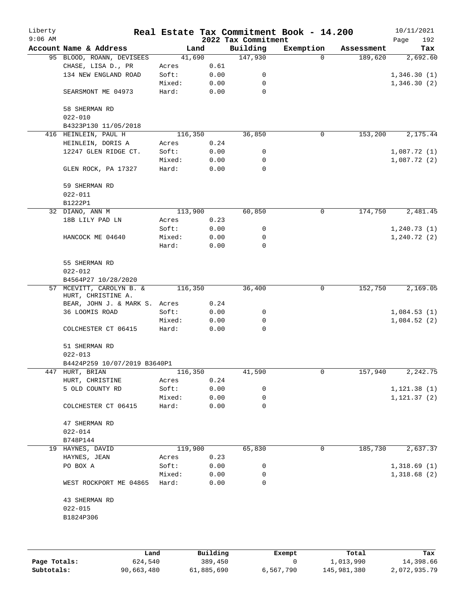| Liberty<br>$9:06$ AM |                                                |         |      | 2022 Tax Commitment | Real Estate Tax Commitment Book - 14.200 |            | 10/11/2021<br>Page<br>192 |
|----------------------|------------------------------------------------|---------|------|---------------------|------------------------------------------|------------|---------------------------|
|                      | Account Name & Address                         | Land    |      | Building            | Exemption                                | Assessment | Tax                       |
|                      | 95 BLOOD, ROANN, DEVISEES                      | 41,690  |      | 147,930             | $\Omega$                                 | 189,620    | 2,692.60                  |
|                      | CHASE, LISA D., PR                             | Acres   | 0.61 |                     |                                          |            |                           |
|                      | 134 NEW ENGLAND ROAD                           | Soft:   | 0.00 | 0                   |                                          |            | 1,346.30(1)               |
|                      |                                                | Mixed:  | 0.00 | 0                   |                                          |            | 1,346.30(2)               |
|                      | SEARSMONT ME 04973                             | Hard:   | 0.00 | $\mathbf 0$         |                                          |            |                           |
|                      | 58 SHERMAN RD                                  |         |      |                     |                                          |            |                           |
|                      | $022 - 010$                                    |         |      |                     |                                          |            |                           |
|                      | B4323P130 11/05/2018                           |         |      |                     |                                          |            |                           |
|                      | 416 HEINLEIN, PAUL H                           | 116,350 |      | 36,850              | 0                                        | 153,200    | 2,175.44                  |
|                      | HEINLEIN, DORIS A                              | Acres   | 0.24 |                     |                                          |            |                           |
|                      | 12247 GLEN RIDGE CT.                           | Soft:   | 0.00 | 0                   |                                          |            | 1,087.72(1)               |
|                      |                                                | Mixed:  | 0.00 | 0                   |                                          |            | 1,087.72(2)               |
|                      | GLEN ROCK, PA 17327                            | Hard:   | 0.00 | 0                   |                                          |            |                           |
|                      | 59 SHERMAN RD                                  |         |      |                     |                                          |            |                           |
|                      | $022 - 011$                                    |         |      |                     |                                          |            |                           |
|                      | B1222P1                                        |         |      |                     |                                          |            |                           |
|                      | 32 DIANO, ANN M                                | 113,900 |      | 60,850              | 0                                        | 174,750    | 2,481.45                  |
|                      | 18B LILY PAD LN                                | Acres   | 0.23 |                     |                                          |            |                           |
|                      |                                                | Soft:   | 0.00 | 0                   |                                          |            | 1, 240.73(1)              |
|                      | HANCOCK ME 04640                               | Mixed:  | 0.00 | 0                   |                                          |            | 1, 240.72(2)              |
|                      |                                                | Hard:   | 0.00 | $\mathbf 0$         |                                          |            |                           |
|                      | 55 SHERMAN RD                                  |         |      |                     |                                          |            |                           |
|                      | $022 - 012$                                    |         |      |                     |                                          |            |                           |
|                      | B4564P27 10/28/2020                            |         |      |                     |                                          |            |                           |
|                      | 57 MCEVITT, CAROLYN B. &<br>HURT, CHRISTINE A. | 116,350 |      | 36,400              | 0                                        | 152,750    | 2,169.05                  |
|                      | BEAR, JOHN J. & MARK S. Acres                  |         | 0.24 |                     |                                          |            |                           |
|                      | 36 LOOMIS ROAD                                 | Soft:   | 0.00 | 0                   |                                          |            | 1,084.53(1)               |
|                      |                                                | Mixed:  | 0.00 | 0                   |                                          |            | 1,084.52(2)               |
|                      | COLCHESTER CT 06415                            | Hard:   | 0.00 | $\mathbf 0$         |                                          |            |                           |
|                      | 51 SHERMAN RD                                  |         |      |                     |                                          |            |                           |
|                      | $022 - 013$                                    |         |      |                     |                                          |            |                           |
|                      | B4424P259 10/07/2019 B3640P1                   |         |      |                     |                                          |            |                           |
|                      | 447 HURT, BRIAN                                | 116,350 |      | 41,590              | 0                                        | 157,940    | 2,242.75                  |
|                      | HURT, CHRISTINE                                | Acres   | 0.24 |                     |                                          |            |                           |
|                      | 5 OLD COUNTY RD                                | Soft:   | 0.00 | 0                   |                                          |            | 1, 121.38(1)              |
|                      |                                                | Mixed:  | 0.00 | 0                   |                                          |            | 1, 121.37(2)              |
|                      | COLCHESTER CT 06415                            | Hard:   | 0.00 | 0                   |                                          |            |                           |
|                      | 47 SHERMAN RD                                  |         |      |                     |                                          |            |                           |
|                      | $022 - 014$                                    |         |      |                     |                                          |            |                           |
|                      | B748P144                                       |         |      |                     |                                          |            |                           |
|                      | 19 HAYNES, DAVID                               | 119,900 |      | 65,830              | 0                                        | 185,730    | 2,637.37                  |
|                      | HAYNES, JEAN                                   | Acres   | 0.23 |                     |                                          |            |                           |
|                      | PO BOX A                                       | Soft:   | 0.00 | 0                   |                                          |            | 1,318.69(1)               |
|                      |                                                | Mixed:  | 0.00 | 0                   |                                          |            | 1,318.68(2)               |
|                      | WEST ROCKPORT ME 04865                         | Hard:   | 0.00 | 0                   |                                          |            |                           |
|                      | 43 SHERMAN RD                                  |         |      |                     |                                          |            |                           |
|                      | $022 - 015$                                    |         |      |                     |                                          |            |                           |
|                      | B1824P306                                      |         |      |                     |                                          |            |                           |
|                      |                                                |         |      |                     |                                          |            |                           |
|                      |                                                |         |      |                     |                                          |            |                           |
|                      |                                                |         |      |                     |                                          |            |                           |

|              | Land       | Building   | Exempt    | Total       | Tax          |
|--------------|------------|------------|-----------|-------------|--------------|
| Page Totals: | 624,540    | 389,450    |           | 1,013,990   | 14,398.66    |
| Subtotals:   | 90,663,480 | 61,885,690 | 6,567,790 | 145,981,380 | 2,072,935.79 |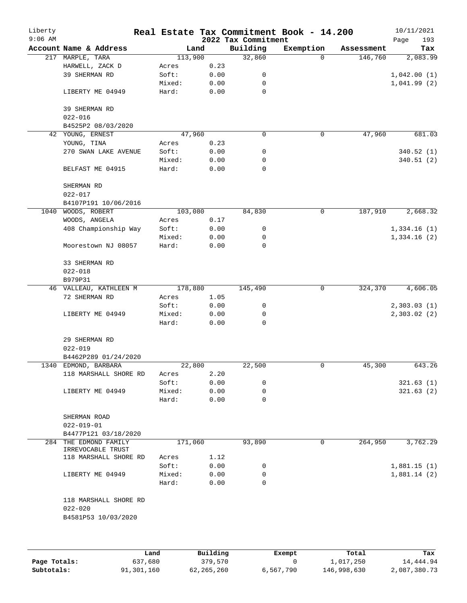| Liberty<br>$9:06$ AM |                                            |        |          | 2022 Tax Commitment | Real Estate Tax Commitment Book - 14.200 |            | 10/11/2021<br>193 |
|----------------------|--------------------------------------------|--------|----------|---------------------|------------------------------------------|------------|-------------------|
|                      | Account Name & Address                     |        | Land     | Building            | Exemption                                | Assessment | Page<br>Tax       |
| 217                  | MARPLE, TARA                               |        | 113,900  | 32,860              | $\Omega$                                 | 146,760    | 2,083.99          |
|                      | HARWELL, ZACK D                            | Acres  | 0.23     |                     |                                          |            |                   |
|                      | 39 SHERMAN RD                              | Soft:  | 0.00     | 0                   |                                          |            | 1,042.00(1)       |
|                      |                                            | Mixed: | 0.00     | 0                   |                                          |            | 1,041.99(2)       |
|                      | LIBERTY ME 04949                           | Hard:  | 0.00     | 0                   |                                          |            |                   |
|                      | 39 SHERMAN RD<br>$022 - 016$               |        |          |                     |                                          |            |                   |
|                      | B4525P2 08/03/2020                         |        |          |                     |                                          |            |                   |
|                      | 42 YOUNG, ERNEST                           |        | 47,960   | $\mathbf 0$         | 0                                        | 47,960     | 681.03            |
|                      | YOUNG, TINA                                | Acres  | 0.23     |                     |                                          |            |                   |
|                      | 270 SWAN LAKE AVENUE                       | Soft:  | 0.00     | 0                   |                                          |            | 340.52(1)         |
|                      |                                            | Mixed: | 0.00     | 0                   |                                          |            | 340.51(2)         |
|                      | BELFAST ME 04915                           | Hard:  | 0.00     | $\mathbf 0$         |                                          |            |                   |
|                      | SHERMAN RD<br>$022 - 017$                  |        |          |                     |                                          |            |                   |
|                      | B4107P191 10/06/2016                       |        |          |                     |                                          |            |                   |
| 1040                 | WOODS, ROBERT                              |        | 103,080  | 84,830              | 0                                        | 187,910    | 2,668.32          |
|                      | WOODS, ANGELA                              | Acres  | 0.17     |                     |                                          |            |                   |
|                      | 408 Championship Way                       | Soft:  | 0.00     | 0                   |                                          |            | 1,334.16(1)       |
|                      |                                            | Mixed: | 0.00     | 0                   |                                          |            | 1,334.16(2)       |
|                      | Moorestown NJ 08057                        | Hard:  | 0.00     | 0                   |                                          |            |                   |
|                      | 33 SHERMAN RD                              |        |          |                     |                                          |            |                   |
|                      | $022 - 018$                                |        |          |                     |                                          |            |                   |
|                      | B979P31                                    |        |          |                     |                                          |            |                   |
|                      | 46 VALLEAU, KATHLEEN M                     |        | 178,880  | 145,490             | $\mathbf 0$                              | 324,370    | 4,606.05          |
|                      | 72 SHERMAN RD                              | Acres  | 1.05     |                     |                                          |            |                   |
|                      |                                            | Soft:  | 0.00     | 0                   |                                          |            | 2,303.03(1)       |
|                      | LIBERTY ME 04949                           | Mixed: | 0.00     | 0                   |                                          |            | 2,303.02(2)       |
|                      |                                            | Hard:  | 0.00     | 0                   |                                          |            |                   |
|                      | 29 SHERMAN RD<br>$022 - 019$               |        |          |                     |                                          |            |                   |
|                      | B4462P289 01/24/2020                       |        |          |                     |                                          |            |                   |
|                      | 1340 EDMOND, BARBARA                       |        | 22,800   | 22,500              | 0                                        | 45,300     | 643.26            |
|                      | 118 MARSHALL SHORE RD                      | Acres  | 2.20     |                     |                                          |            |                   |
|                      |                                            | Soft:  | 0.00     | 0                   |                                          |            | 321.63(1)         |
|                      | LIBERTY ME 04949                           | Mixed: | 0.00     | 0                   |                                          |            | 321.63(2)         |
|                      |                                            | Hard:  | 0.00     | 0                   |                                          |            |                   |
|                      | SHERMAN ROAD                               |        |          |                     |                                          |            |                   |
|                      | $022 - 019 - 01$                           |        |          |                     |                                          |            |                   |
|                      | B4477P121 03/18/2020                       |        |          |                     |                                          |            |                   |
|                      | 284 THE EDMOND FAMILY<br>IRREVOCABLE TRUST |        | 171,060  | 93,890              | 0                                        | 264,950    | 3,762.29          |
|                      | 118 MARSHALL SHORE RD                      | Acres  | 1.12     |                     |                                          |            |                   |
|                      |                                            | Soft:  | 0.00     | 0                   |                                          |            | 1,881.15(1)       |
|                      | LIBERTY ME 04949                           | Mixed: | 0.00     | 0                   |                                          |            | 1,881.14(2)       |
|                      |                                            | Hard:  | 0.00     | 0                   |                                          |            |                   |
|                      | 118 MARSHALL SHORE RD                      |        |          |                     |                                          |            |                   |
|                      | $022 - 020$                                |        |          |                     |                                          |            |                   |
|                      | B4581P53 10/03/2020                        |        |          |                     |                                          |            |                   |
|                      |                                            |        |          |                     |                                          |            |                   |
|                      |                                            | Land   | Building |                     | Exempt                                   | Total      | Tax               |

|              | Land       | Building   | Exempt    | Total       | Tax          |
|--------------|------------|------------|-----------|-------------|--------------|
| Page Totals: | 637,680    | 379,570    |           | 1,017,250   | 14,444.94    |
| Subtotals:   | 91,301,160 | 62,265,260 | 6,567,790 | 146,998,630 | 2,087,380.73 |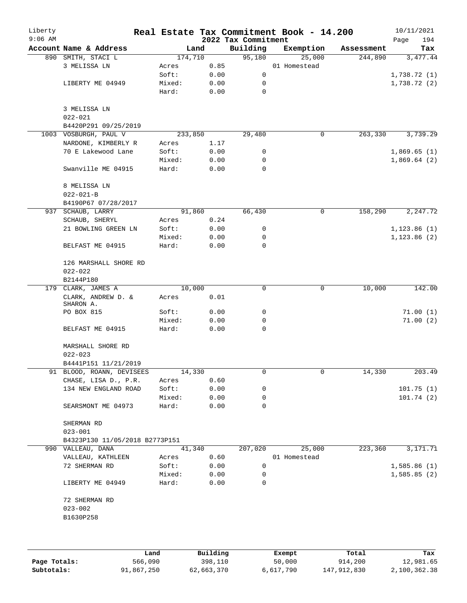| Liberty<br>$9:06$ AM |                                      |         |        | 2022 Tax Commitment | Real Estate Tax Commitment Book - 14.200 |            | 10/11/2021<br>194<br>Page |
|----------------------|--------------------------------------|---------|--------|---------------------|------------------------------------------|------------|---------------------------|
|                      | Account Name & Address               |         | Land   | Building            | Exemption                                | Assessment | Tax                       |
|                      | 890 SMITH, STACI L                   | 174,710 |        | 95,180              | 25,000                                   | 244,890    | 3,477.44                  |
|                      | 3 MELISSA LN                         | Acres   | 0.85   |                     | 01 Homestead                             |            |                           |
|                      |                                      | Soft:   | 0.00   | 0                   |                                          |            | 1,738.72(1)               |
|                      | LIBERTY ME 04949                     | Mixed:  | 0.00   | 0                   |                                          |            | 1,738.72(2)               |
|                      |                                      | Hard:   | 0.00   | 0                   |                                          |            |                           |
|                      | 3 MELISSA LN<br>$022 - 021$          |         |        |                     |                                          |            |                           |
|                      | B4420P291 09/25/2019                 |         |        |                     |                                          |            |                           |
|                      | 1003 VOSBURGH, PAUL V                | 233,850 |        | 29,480              | 0                                        | 263,330    | 3,739.29                  |
|                      | NARDONE, KIMBERLY R                  | Acres   | 1.17   |                     |                                          |            |                           |
|                      | 70 E Lakewood Lane                   | Soft:   | 0.00   | 0                   |                                          |            | 1,869.65(1)               |
|                      |                                      | Mixed:  | 0.00   | 0                   |                                          |            | 1,869.64(2)               |
|                      | Swanville ME 04915                   | Hard:   | 0.00   | $\mathbf 0$         |                                          |            |                           |
|                      | 8 MELISSA LN<br>$022 - 021 - B$      |         |        |                     |                                          |            |                           |
|                      | B4190P67 07/28/2017                  |         |        |                     |                                          |            |                           |
|                      | 937 SCHAUB, LARRY                    |         | 91,860 | 66,430              | $\mathbf 0$                              | 158,290    | 2,247.72                  |
|                      | SCHAUB, SHERYL                       | Acres   | 0.24   |                     |                                          |            |                           |
|                      | 21 BOWLING GREEN LN                  | Soft:   | 0.00   | 0                   |                                          |            | 1, 123.86(1)              |
|                      |                                      | Mixed:  | 0.00   | 0                   |                                          |            | 1, 123.86(2)              |
|                      | BELFAST ME 04915                     | Hard:   | 0.00   | 0                   |                                          |            |                           |
|                      | 126 MARSHALL SHORE RD<br>$022 - 022$ |         |        |                     |                                          |            |                           |
|                      | B2144P180                            |         |        |                     |                                          |            |                           |
|                      | 179 CLARK, JAMES A                   |         | 10,000 | $\mathbf 0$         | 0                                        | 10,000     | 142.00                    |
|                      | CLARK, ANDREW D. &<br>SHARON A.      | Acres   | 0.01   |                     |                                          |            |                           |
|                      | PO BOX 815                           | Soft:   | 0.00   | 0                   |                                          |            | 71.00(1)                  |
|                      |                                      | Mixed:  | 0.00   | 0                   |                                          |            | 71.00(2)                  |
|                      | BELFAST ME 04915                     | Hard:   | 0.00   | 0                   |                                          |            |                           |
|                      | MARSHALL SHORE RD<br>$022 - 023$     |         |        |                     |                                          |            |                           |
|                      | B4441P151 11/21/2019                 |         |        |                     |                                          |            |                           |
|                      | 91 BLOOD, ROANN, DEVISEES            | 14,330  |        | 0                   | 0                                        | 14,330     | 203.49                    |
|                      | CHASE, LISA D., P.R.                 | Acres   | 0.60   |                     |                                          |            |                           |
|                      | 134 NEW ENGLAND ROAD                 | Soft:   | 0.00   | 0                   |                                          |            | 101.75(1)                 |
|                      |                                      | Mixed:  | 0.00   | 0                   |                                          |            | 101.74(2)                 |
|                      | SEARSMONT ME 04973                   | Hard:   | 0.00   | 0                   |                                          |            |                           |
|                      | SHERMAN RD<br>$023 - 001$            |         |        |                     |                                          |            |                           |
|                      | B4323P130 11/05/2018 B2773P151       |         |        |                     |                                          |            |                           |
|                      | 990 VALLEAU, DANA                    |         | 41,340 | 207,020             | 25,000                                   | 223,360    | 3, 171. 71                |
|                      | VALLEAU, KATHLEEN                    | Acres   | 0.60   |                     | 01 Homestead                             |            |                           |
|                      | 72 SHERMAN RD                        | Soft:   | 0.00   | 0                   |                                          |            | 1,585.86(1)               |
|                      |                                      | Mixed:  | 0.00   | 0                   |                                          |            | 1,585.85(2)               |
|                      | LIBERTY ME 04949                     | Hard:   | 0.00   | 0                   |                                          |            |                           |
|                      | 72 SHERMAN RD                        |         |        |                     |                                          |            |                           |
|                      | $023 - 002$                          |         |        |                     |                                          |            |                           |
|                      | B1630P258                            |         |        |                     |                                          |            |                           |
|                      |                                      |         |        |                     |                                          |            |                           |
|                      |                                      |         |        |                     |                                          |            |                           |
|                      |                                      |         |        |                     |                                          |            |                           |

|              | Land       | Building   | Exempt    | Total       | Tax          |
|--------------|------------|------------|-----------|-------------|--------------|
| Page Totals: | 566,090    | 398,110    | 50,000    | 914,200     | 12,981.65    |
| Subtotals:   | 91,867,250 | 62,663,370 | 6,617,790 | 147,912,830 | 2,100,362.38 |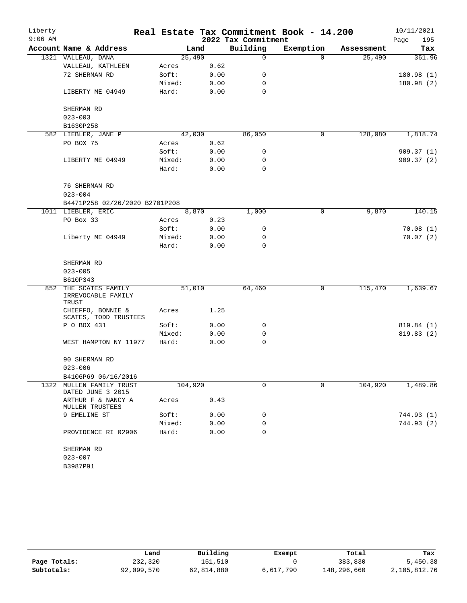| Liberty   |                                               |        |         |      |                     | Real Estate Tax Commitment Book - 14.200 |            | 10/11/2021  |
|-----------|-----------------------------------------------|--------|---------|------|---------------------|------------------------------------------|------------|-------------|
| $9:06$ AM |                                               |        |         |      | 2022 Tax Commitment |                                          |            | 195<br>Page |
|           | Account Name & Address                        |        | Land    |      | Building            | Exemption                                | Assessment | Tax         |
|           | 1321 VALLEAU, DANA                            |        | 25,490  |      | 0                   | $\Omega$                                 | 25,490     | 361.96      |
|           | VALLEAU, KATHLEEN                             | Acres  |         | 0.62 |                     |                                          |            |             |
|           | 72 SHERMAN RD                                 | Soft:  |         | 0.00 | 0                   |                                          |            | 180.98(1)   |
|           |                                               | Mixed: |         | 0.00 | 0                   |                                          |            | 180.98 (2)  |
|           | LIBERTY ME 04949                              | Hard:  |         | 0.00 | 0                   |                                          |            |             |
|           | SHERMAN RD                                    |        |         |      |                     |                                          |            |             |
|           | $023 - 003$                                   |        |         |      |                     |                                          |            |             |
|           | B1630P258                                     |        |         |      |                     |                                          |            |             |
|           | 582 LIEBLER, JANE P                           |        | 42,030  |      | 86,050              | 0                                        | 128,080    | 1,818.74    |
|           | PO BOX 75                                     | Acres  |         | 0.62 |                     |                                          |            |             |
|           |                                               | Soft:  |         | 0.00 | 0                   |                                          |            | 909.37(1)   |
|           | LIBERTY ME 04949                              | Mixed: |         | 0.00 | 0                   |                                          |            | 909.37(2)   |
|           |                                               | Hard:  |         | 0.00 | 0                   |                                          |            |             |
|           | 76 SHERMAN RD                                 |        |         |      |                     |                                          |            |             |
|           | $023 - 004$                                   |        |         |      |                     |                                          |            |             |
|           | B4471P258 02/26/2020 B2701P208                |        |         |      |                     |                                          |            |             |
|           | 1011 LIEBLER, ERIC                            |        | 8,870   |      | 1,000               | 0                                        | 9,870      | 140.15      |
|           | PO Box 33                                     | Acres  |         | 0.23 |                     |                                          |            |             |
|           |                                               | Soft:  |         | 0.00 | 0                   |                                          |            | 70.08(1)    |
|           | Liberty ME 04949                              | Mixed: |         | 0.00 | 0                   |                                          |            | 70.07(2)    |
|           |                                               | Hard:  |         | 0.00 | $\mathbf 0$         |                                          |            |             |
|           | SHERMAN RD                                    |        |         |      |                     |                                          |            |             |
|           | $023 - 005$                                   |        |         |      |                     |                                          |            |             |
|           | B610P343                                      |        |         |      |                     |                                          |            |             |
| 852       | THE SCATES FAMILY                             |        | 51,010  |      | 64,460              | 0                                        | 115,470    | 1,639.67    |
|           | IRREVOCABLE FAMILY<br>TRUST                   |        |         |      |                     |                                          |            |             |
|           | CHIEFFO, BONNIE &<br>SCATES, TODD TRUSTEES    | Acres  |         | 1.25 |                     |                                          |            |             |
|           | P O BOX 431                                   | Soft:  |         | 0.00 | 0                   |                                          |            | 819.84 (1)  |
|           |                                               | Mixed: |         | 0.00 | 0                   |                                          |            | 819.83 (2)  |
|           | WEST HAMPTON NY 11977                         | Hard:  |         | 0.00 | 0                   |                                          |            |             |
|           | 90 SHERMAN RD                                 |        |         |      |                     |                                          |            |             |
|           | $023 - 006$                                   |        |         |      |                     |                                          |            |             |
|           | B4106P69 06/16/2016                           |        |         |      |                     |                                          |            |             |
|           | 1322 MULLEN FAMILY TRUST<br>DATED JUNE 3 2015 |        | 104,920 |      | $\Omega$            | 0                                        | 104,920    | 1,489.86    |
|           | ARTHUR F & NANCY A<br>MULLEN TRUSTEES         | Acres  |         | 0.43 |                     |                                          |            |             |
|           | 9 EMELINE ST                                  | Soft:  |         | 0.00 | 0                   |                                          |            | 744.93 (1)  |
|           |                                               | Mixed: |         | 0.00 | 0                   |                                          |            | 744.93 (2)  |
|           | PROVIDENCE RI 02906                           | Hard:  |         | 0.00 | 0                   |                                          |            |             |
|           | SHERMAN RD                                    |        |         |      |                     |                                          |            |             |
|           | $023 - 007$                                   |        |         |      |                     |                                          |            |             |
|           | B3987P91                                      |        |         |      |                     |                                          |            |             |

|              | Land       | Building   | Exempt    | Total       | Tax          |
|--------------|------------|------------|-----------|-------------|--------------|
| Page Totals: | 232,320    | 151.510    |           | 383,830     | 5,450.38     |
| Subtotals:   | 92,099,570 | 62,814,880 | 6,617,790 | 148,296,660 | 2,105,812.76 |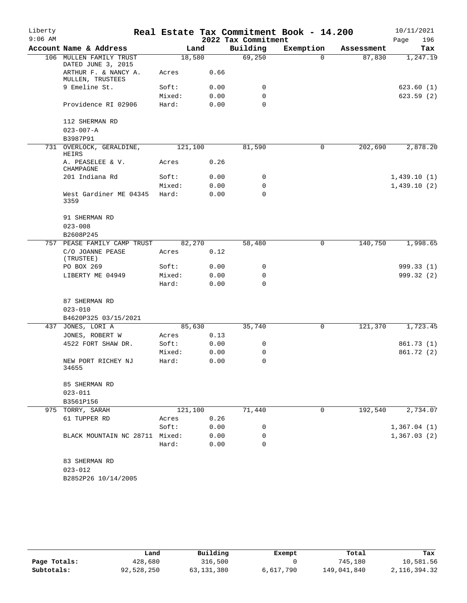| Liberty   |                                           |                 |      |                     | Real Estate Tax Commitment Book - 14.200 |            | 10/11/2021  |
|-----------|-------------------------------------------|-----------------|------|---------------------|------------------------------------------|------------|-------------|
| $9:06$ AM |                                           |                 |      | 2022 Tax Commitment |                                          |            | 196<br>Page |
|           | Account Name & Address                    |                 | Land | Building            | Exemption                                | Assessment | Tax         |
| 106       | MULLEN FAMILY TRUST<br>DATED JUNE 3, 2015 | 18,580          |      | 69,250              | $\Omega$                                 | 87,830     | 1,247.19    |
|           | ARTHUR F. & NANCY A.<br>MULLEN, TRUSTEES  | Acres           | 0.66 |                     |                                          |            |             |
|           | 9 Emeline St.                             | Soft:           | 0.00 | 0                   |                                          |            | 623.60(1)   |
|           |                                           | Mixed:          | 0.00 | 0                   |                                          |            | 623.59(2)   |
|           | Providence RI 02906                       | Hard:           | 0.00 | $\mathbf 0$         |                                          |            |             |
|           | 112 SHERMAN RD                            |                 |      |                     |                                          |            |             |
|           | $023 - 007 - A$<br>B3987P91               |                 |      |                     |                                          |            |             |
| 731       | OVERLOCK, GERALDINE,                      | 121,100         |      | 81,590              | 0                                        | 202,690    | 2,878.20    |
|           | HEIRS<br>A. PEASELEE & V.                 |                 | 0.26 |                     |                                          |            |             |
|           | CHAMPAGNE                                 | Acres           |      |                     |                                          |            |             |
|           | 201 Indiana Rd                            | Soft:           | 0.00 | 0                   |                                          |            | 1,439.10(1) |
|           |                                           | Mixed:          | 0.00 | $\mathbf 0$         |                                          |            | 1,439.10(2) |
|           | West Gardiner ME 04345<br>3359            | Hard:           | 0.00 | $\Omega$            |                                          |            |             |
|           | 91 SHERMAN RD                             |                 |      |                     |                                          |            |             |
|           | $023 - 008$                               |                 |      |                     |                                          |            |             |
|           | B2608P245                                 |                 |      |                     |                                          |            |             |
| 757       | PEASE FAMILY CAMP TRUST                   | 82,270          |      | 58,480              | 0                                        | 140,750    | 1,998.65    |
|           | C/O JOANNE PEASE<br>(TRUSTEE)             | Acres           | 0.12 |                     |                                          |            |             |
|           | PO BOX 269                                | Soft:           | 0.00 | 0                   |                                          |            | 999.33(1)   |
|           | LIBERTY ME 04949                          | Mixed:          | 0.00 | 0                   |                                          |            | 999.32 (2)  |
|           |                                           | Hard:           | 0.00 | 0                   |                                          |            |             |
|           | 87 SHERMAN RD                             |                 |      |                     |                                          |            |             |
|           | $023 - 010$                               |                 |      |                     |                                          |            |             |
|           | B4620P325 03/15/2021                      |                 |      |                     |                                          |            |             |
| 437       | JONES, LORI A                             | 85,630          |      | 35,740              | 0                                        | 121,370    | 1,723.45    |
|           | JONES, ROBERT W                           | Acres           | 0.13 |                     |                                          |            |             |
|           | 4522 FORT SHAW DR.                        | Soft:<br>Mixed: | 0.00 | 0                   |                                          |            | 861.73 (1)  |
|           |                                           |                 | 0.00 | 0<br>0              |                                          |            | 861.72 (2)  |
|           | NEW PORT RICHEY NJ<br>34655               | Hard:           | 0.00 |                     |                                          |            |             |
|           | 85 SHERMAN RD                             |                 |      |                     |                                          |            |             |
|           | $023 - 011$                               |                 |      |                     |                                          |            |             |
|           | B3561P156                                 |                 |      |                     |                                          |            |             |
|           | 975 TORRY, SARAH                          | 121,100         |      | 71,440              | $\mathbf 0$                              | 192,540    | 2,734.07    |
|           | 61 TUPPER RD                              | Acres           | 0.26 |                     |                                          |            |             |
|           |                                           | Soft:           | 0.00 | 0                   |                                          |            | 1,367.04(1) |
|           | BLACK MOUNTAIN NC 28711 Mixed:            |                 | 0.00 | 0                   |                                          |            | 1,367.03(2) |
|           |                                           | Hard:           | 0.00 | 0                   |                                          |            |             |
|           | 83 SHERMAN RD                             |                 |      |                     |                                          |            |             |
|           | $023 - 012$                               |                 |      |                     |                                          |            |             |
|           | B2852P26 10/14/2005                       |                 |      |                     |                                          |            |             |

|              | Land       | Building     | Exempt    | Total       | Tax             |
|--------------|------------|--------------|-----------|-------------|-----------------|
| Page Totals: | 428,680    | 316,500      |           | 745,180     | 10,581.56       |
| Subtotals:   | 92,528,250 | 63, 131, 380 | 6,617,790 | 149,041,840 | 2, 116, 394. 32 |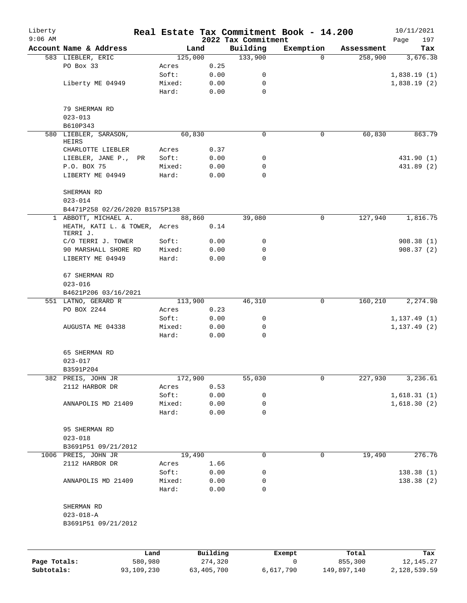| Liberty<br>$9:06$ AM |                                |         |                 |              |                                 | Real Estate Tax Commitment Book - 14.200 |            | 10/11/2021         |
|----------------------|--------------------------------|---------|-----------------|--------------|---------------------------------|------------------------------------------|------------|--------------------|
|                      | Account Name & Address         |         |                 | Land         | 2022 Tax Commitment<br>Building | Exemption                                | Assessment | 197<br>Page<br>Tax |
|                      | 583 LIEBLER, ERIC              |         | 125,000         |              | 133,900                         | $\Omega$                                 | 258,900    | 3,676.38           |
|                      | PO Box 33                      |         | Acres           | 0.25         |                                 |                                          |            |                    |
|                      |                                |         | Soft:           | 0.00         | 0                               |                                          |            | 1,838.19(1)        |
|                      | Liberty ME 04949               |         | Mixed:          | 0.00         | 0                               |                                          |            | 1,838.19(2)        |
|                      |                                |         | Hard:           | 0.00         | $\mathbf 0$                     |                                          |            |                    |
|                      | 79 SHERMAN RD                  |         |                 |              |                                 |                                          |            |                    |
|                      | $023 - 013$                    |         |                 |              |                                 |                                          |            |                    |
|                      | B610P343                       |         |                 |              |                                 |                                          |            |                    |
|                      | 580 LIEBLER, SARASON,<br>HEIRS |         | 60,830          |              | 0                               | 0                                        | 60,830     | 863.79             |
|                      | CHARLOTTE LIEBLER              |         | Acres           | 0.37         |                                 |                                          |            |                    |
|                      | LIEBLER, JANE P.,              | PR      | Soft:           | 0.00         | 0                               |                                          |            | 431.90 (1)         |
|                      | P.O. BOX 75                    |         | Mixed:          | 0.00         | 0                               |                                          |            | 431.89 (2)         |
|                      | LIBERTY ME 04949               |         | Hard:           | 0.00         | 0                               |                                          |            |                    |
|                      | SHERMAN RD<br>$023 - 014$      |         |                 |              |                                 |                                          |            |                    |
|                      | B4471P258 02/26/2020 B1575P138 |         |                 |              |                                 |                                          |            |                    |
| $\mathbf{1}$         | ABBOTT, MICHAEL A.             |         | 88,860          |              | 39,080                          | 0                                        | 127,940    | 1,816.75           |
|                      | HEATH, KATI L. & TOWER, Acres  |         |                 | 0.14         |                                 |                                          |            |                    |
|                      | TERRI J.                       |         |                 |              |                                 |                                          |            |                    |
|                      | C/O TERRI J. TOWER             |         | Soft:           | 0.00         | 0                               |                                          |            | 908.38(1)          |
|                      | 90 MARSHALL SHORE RD           |         | Mixed:          | 0.00         | 0                               |                                          |            | 908.37(2)          |
|                      | LIBERTY ME 04949               |         | Hard:           | 0.00         | $\Omega$                        |                                          |            |                    |
|                      | 67 SHERMAN RD<br>$023 - 016$   |         |                 |              |                                 |                                          |            |                    |
|                      | B4621P206 03/16/2021           |         |                 |              |                                 |                                          |            |                    |
|                      | 551 LATNO, GERARD R            |         | 113,900         |              | 46,310                          | 0                                        | 160,210    | 2,274.98           |
|                      | PO BOX 2244                    |         | Acres           | 0.23         |                                 |                                          |            |                    |
|                      |                                |         | Soft:           | 0.00         | 0                               |                                          |            | 1, 137.49(1)       |
|                      | AUGUSTA ME 04338               |         | Mixed:          | 0.00         | 0                               |                                          |            | 1, 137.49(2)       |
|                      |                                |         | Hard:           | 0.00         | 0                               |                                          |            |                    |
|                      | 65 SHERMAN RD                  |         |                 |              |                                 |                                          |            |                    |
|                      | $023 - 017$                    |         |                 |              |                                 |                                          |            |                    |
|                      | B3591P204                      |         |                 |              |                                 |                                          |            |                    |
|                      | 382 PREIS, JOHN JR             |         | 172,900         |              | 55,030                          | $\mathbf 0$                              | 227,930    | 3,236.61           |
|                      | 2112 HARBOR DR                 |         | Acres           | 0.53         |                                 |                                          |            |                    |
|                      |                                |         | Soft:           | 0.00         | 0                               |                                          |            | 1,618.31(1)        |
|                      | ANNAPOLIS MD 21409             |         | Mixed:<br>Hard: | 0.00<br>0.00 | 0<br>0                          |                                          |            | 1,618.30(2)        |
|                      |                                |         |                 |              |                                 |                                          |            |                    |
|                      | 95 SHERMAN RD<br>$023 - 018$   |         |                 |              |                                 |                                          |            |                    |
|                      | B3691P51 09/21/2012            |         |                 |              |                                 |                                          |            |                    |
|                      | 1006 PREIS, JOHN JR            |         | 19,490          |              | 0                               | 0                                        | 19,490     | 276.76             |
|                      | 2112 HARBOR DR                 |         | Acres           | 1.66         |                                 |                                          |            |                    |
|                      |                                |         | Soft:           | 0.00         | 0                               |                                          |            | 138.38(1)          |
|                      | ANNAPOLIS MD 21409             |         | Mixed:          | 0.00         | 0                               |                                          |            | 138.38(2)          |
|                      |                                |         | Hard:           | 0.00         | 0                               |                                          |            |                    |
|                      | SHERMAN RD                     |         |                 |              |                                 |                                          |            |                    |
|                      | $023 - 018 - A$                |         |                 |              |                                 |                                          |            |                    |
|                      | B3691P51 09/21/2012            |         |                 |              |                                 |                                          |            |                    |
|                      |                                |         |                 |              |                                 |                                          |            |                    |
|                      |                                | Land    |                 | Building     |                                 | Exempt                                   | Total      | Tax                |
| Page Totals:         |                                | 580,980 |                 | 274,320      |                                 | 0                                        | 855,300    | 12, 145. 27        |

**Subtotals:** 93,109,230 63,405,700 6,617,790 149,897,140 2,128,539.59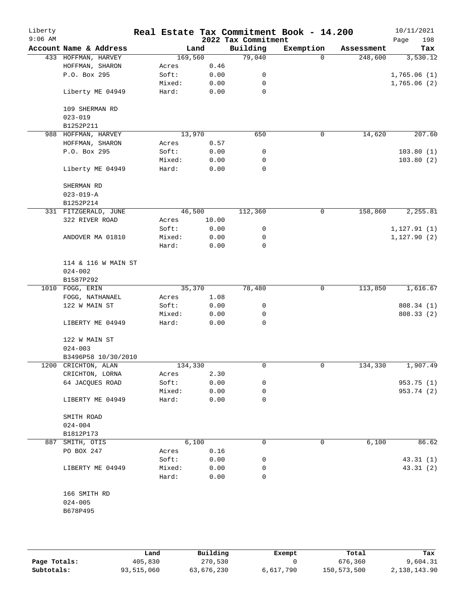| Liberty<br>$9:06$ AM |                          |                     |        |         |       | Real Estate Tax Commitment Book - 14.200<br>2022 Tax Commitment |           |             |            | 10/11/2021<br>Page | 198        |
|----------------------|--------------------------|---------------------|--------|---------|-------|-----------------------------------------------------------------|-----------|-------------|------------|--------------------|------------|
|                      | Account Name & Address   |                     |        | Land    |       | Building                                                        | Exemption |             | Assessment |                    | Tax        |
|                      | 433 HOFFMAN, HARVEY      |                     |        | 169,560 |       | 79,040                                                          |           | $\Omega$    | 248,600    |                    | 3,530.12   |
|                      | HOFFMAN, SHARON          |                     | Acres  |         | 0.46  |                                                                 |           |             |            |                    |            |
|                      | P.O. Box 295             |                     | Soft:  |         | 0.00  | 0                                                               |           |             |            | 1,765.06(1)        |            |
|                      |                          |                     | Mixed: |         | 0.00  | 0                                                               |           |             |            | 1,765.06(2)        |            |
|                      | Liberty ME 04949         |                     | Hard:  |         | 0.00  | 0                                                               |           |             |            |                    |            |
|                      | 109 SHERMAN RD           |                     |        |         |       |                                                                 |           |             |            |                    |            |
|                      | $023 - 019$              |                     |        |         |       |                                                                 |           |             |            |                    |            |
|                      | B1252P211                |                     |        |         |       |                                                                 |           |             |            |                    |            |
|                      | 988 HOFFMAN, HARVEY      |                     |        | 13,970  |       | 650                                                             |           | $\mathbf 0$ | 14,620     |                    | 207.60     |
|                      | HOFFMAN, SHARON          |                     | Acres  |         | 0.57  |                                                                 |           |             |            |                    |            |
|                      | P.O. Box 295             |                     | Soft:  |         | 0.00  | 0                                                               |           |             |            |                    | 103.80(1)  |
|                      |                          |                     | Mixed: |         | 0.00  | 0                                                               |           |             |            |                    | 103.80(2)  |
|                      | Liberty ME 04949         |                     | Hard:  |         | 0.00  | $\mathbf 0$                                                     |           |             |            |                    |            |
|                      | SHERMAN RD               |                     |        |         |       |                                                                 |           |             |            |                    |            |
|                      | $023 - 019 - A$          |                     |        |         |       |                                                                 |           |             |            |                    |            |
|                      | B1252P214                |                     |        |         |       |                                                                 |           |             |            |                    |            |
|                      | 331 FITZGERALD, JUNE     |                     |        | 46,500  |       | 112,360                                                         |           | 0           | 158,860    |                    | 2,255.81   |
|                      | 322 RIVER ROAD           |                     | Acres  |         | 10.00 |                                                                 |           |             |            |                    |            |
|                      |                          |                     | Soft:  |         | 0.00  | 0                                                               |           |             |            | 1, 127.91(1)       |            |
|                      | ANDOVER MA 01810         |                     | Mixed: |         | 0.00  | 0                                                               |           |             |            | 1, 127.90(2)       |            |
|                      |                          |                     | Hard:  |         | 0.00  | 0                                                               |           |             |            |                    |            |
|                      |                          | 114 & 116 W MAIN ST |        |         |       |                                                                 |           |             |            |                    |            |
|                      | $024 - 002$              |                     |        |         |       |                                                                 |           |             |            |                    |            |
|                      | B1587P292                |                     |        |         |       |                                                                 |           |             |            |                    |            |
|                      | 1010 FOGG, ERIN          |                     |        | 35,370  |       | 78,480                                                          |           | 0           | 113,850    |                    | 1,616.67   |
|                      | FOGG, NATHANAEL          |                     | Acres  |         | 1.08  |                                                                 |           |             |            |                    |            |
|                      | 122 W MAIN ST            |                     | Soft:  |         | 0.00  | 0                                                               |           |             |            |                    | 808.34 (1) |
|                      |                          |                     | Mixed: |         | 0.00  | 0                                                               |           |             |            |                    | 808.33 (2) |
|                      | LIBERTY ME 04949         |                     | Hard:  |         | 0.00  | 0                                                               |           |             |            |                    |            |
|                      | 122 W MAIN ST            |                     |        |         |       |                                                                 |           |             |            |                    |            |
|                      | $024 - 003$              |                     |        |         |       |                                                                 |           |             |            |                    |            |
|                      |                          | B3496P58 10/30/2010 |        |         |       |                                                                 |           |             |            |                    |            |
|                      | 1200 CRICHTON, ALAN      |                     |        | 134,330 |       | 0                                                               |           | 0           | 134,330    |                    | 1,907.49   |
|                      | CRICHTON, LORNA          |                     | Acres  |         | 2.30  |                                                                 |           |             |            |                    |            |
|                      | 64 JACQUES ROAD          |                     | Soft:  |         | 0.00  | 0                                                               |           |             |            |                    | 953.75(1)  |
|                      |                          |                     | Mixed: |         | 0.00  | 0                                                               |           |             |            |                    | 953.74 (2) |
|                      | LIBERTY ME 04949         |                     | Hard:  |         | 0.00  | 0                                                               |           |             |            |                    |            |
|                      | SMITH ROAD               |                     |        |         |       |                                                                 |           |             |            |                    |            |
|                      | $024 - 004$<br>B1812P173 |                     |        |         |       |                                                                 |           |             |            |                    |            |
|                      | 887 SMITH, OTIS          |                     |        | 6,100   |       | 0                                                               |           | 0           | 6,100      |                    | 86.62      |
|                      | PO BOX 247               |                     | Acres  |         | 0.16  |                                                                 |           |             |            |                    |            |
|                      |                          |                     | Soft:  |         | 0.00  | 0                                                               |           |             |            |                    | 43.31(1)   |
|                      | LIBERTY ME 04949         |                     | Mixed: |         | 0.00  | 0                                                               |           |             |            |                    | 43.31(2)   |
|                      |                          |                     |        |         |       | 0                                                               |           |             |            |                    |            |
|                      |                          |                     | Hard:  |         | 0.00  |                                                                 |           |             |            |                    |            |
|                      | 166 SMITH RD             |                     |        |         |       |                                                                 |           |             |            |                    |            |
|                      | $024 - 005$              |                     |        |         |       |                                                                 |           |             |            |                    |            |
|                      | B678P495                 |                     |        |         |       |                                                                 |           |             |            |                    |            |
|                      |                          |                     |        |         |       |                                                                 |           |             |            |                    |            |

|              | Land       | Building   | Exempt    | Total       | Tax          |
|--------------|------------|------------|-----------|-------------|--------------|
| Page Totals: | 405,830    | 270,530    |           | 676,360     | 9,604.31     |
| Subtotals:   | 93,515,060 | 63,676,230 | 6,617,790 | 150,573,500 | 2,138,143.90 |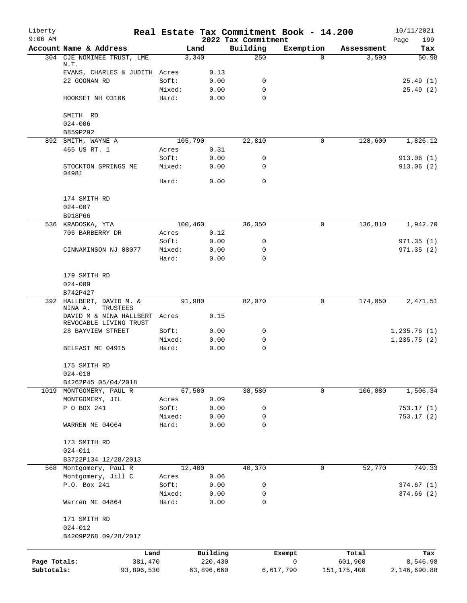| Liberty<br>$9:06$ AM       |                                                         |         |                       | 2022 Tax Commitment | Real Estate Tax Commitment Book - 14.200 |                          | 10/11/2021<br>199<br>Page |
|----------------------------|---------------------------------------------------------|---------|-----------------------|---------------------|------------------------------------------|--------------------------|---------------------------|
|                            | Account Name & Address                                  |         | Land                  | Building            | Exemption                                | Assessment               | Tax                       |
|                            | 304 CJE NOMINEE TRUST, LME<br>N.T.                      | 3,340   |                       | 250                 | $\Omega$                                 | 3,590                    | 50.98                     |
|                            | EVANS, CHARLES & JUDITH Acres                           |         | 0.13                  |                     |                                          |                          |                           |
|                            | 22 GOONAN RD                                            | Soft:   | 0.00                  | 0                   |                                          |                          | 25.49(1)                  |
|                            |                                                         | Mixed:  | 0.00                  | 0                   |                                          |                          | 25.49(2)                  |
|                            | HOOKSET NH 03106                                        | Hard:   | 0.00                  | 0                   |                                          |                          |                           |
|                            | SMITH RD                                                |         |                       |                     |                                          |                          |                           |
|                            | $024 - 006$<br>B859P292                                 |         |                       |                     |                                          |                          |                           |
|                            | 892 SMITH, WAYNE A                                      | 105,790 |                       | 22,810              | 0                                        | 128,600                  | 1,826.12                  |
|                            | 465 US RT. 1                                            | Acres   | 0.31                  |                     |                                          |                          |                           |
|                            |                                                         | Soft:   | 0.00                  | 0                   |                                          |                          | 913.06 (1)                |
|                            | STOCKTON SPRINGS ME<br>04981                            | Mixed:  | 0.00                  | 0                   |                                          |                          | 913.06(2)                 |
|                            |                                                         | Hard:   | 0.00                  | 0                   |                                          |                          |                           |
|                            | 174 SMITH RD                                            |         |                       |                     |                                          |                          |                           |
|                            | $024 - 007$                                             |         |                       |                     |                                          |                          |                           |
|                            | B918P66                                                 |         |                       |                     |                                          |                          |                           |
|                            | 536 KRADOSKA, YTA                                       | 100,460 |                       | 36,350              | 0                                        | 136,810                  | 1,942.70                  |
|                            | 706 BARBERRY DR                                         | Acres   | 0.12                  |                     |                                          |                          |                           |
|                            |                                                         | Soft:   | 0.00                  | 0                   |                                          |                          | 971.35(1)                 |
|                            | CINNAMINSON NJ 08077                                    | Mixed:  | 0.00                  | 0                   |                                          |                          | 971.35(2)                 |
|                            |                                                         | Hard:   | 0.00                  | 0                   |                                          |                          |                           |
|                            | 179 SMITH RD                                            |         |                       |                     |                                          |                          |                           |
|                            | $024 - 009$                                             |         |                       |                     |                                          |                          |                           |
|                            | B742P427                                                |         |                       |                     |                                          |                          |                           |
|                            | 392 HALLBERT, DAVID M. &<br>NINA A.<br>TRUSTEES         | 91,980  |                       | 82,070              | 0                                        | 174,050                  | 2,471.51                  |
|                            | DAVID M & NINA HALLBERT Acres<br>REVOCABLE LIVING TRUST |         | 0.15                  |                     |                                          |                          |                           |
|                            | 28 BAYVIEW STREET                                       | Soft:   | 0.00                  | 0                   |                                          |                          | 1,235.76(1)               |
|                            |                                                         | Mixed:  | 0.00                  | 0                   |                                          |                          | 1, 235.75(2)              |
|                            | BELFAST ME 04915                                        | Hard:   | 0.00                  | 0                   |                                          |                          |                           |
|                            | 175 SMITH RD                                            |         |                       |                     |                                          |                          |                           |
|                            | $024 - 010$                                             |         |                       |                     |                                          |                          |                           |
|                            | B4262P45 05/04/2018                                     |         |                       |                     |                                          |                          |                           |
|                            | 1019 MONTGOMERY, PAUL R                                 | 67,500  |                       | 38,580              | $\mathbf 0$                              | 106,080                  | 1,506.34                  |
|                            | MONTGOMERY, JIL                                         | Acres   | 0.09                  |                     |                                          |                          |                           |
|                            | P O BOX 241                                             | Soft:   | 0.00                  | 0                   |                                          |                          | 753.17(1)                 |
|                            |                                                         | Mixed:  | 0.00                  | 0                   |                                          |                          | 753.17(2)                 |
|                            | WARREN ME 04064                                         | Hard:   | 0.00                  | 0                   |                                          |                          |                           |
|                            | 173 SMITH RD                                            |         |                       |                     |                                          |                          |                           |
|                            | $024 - 011$                                             |         |                       |                     |                                          |                          |                           |
|                            | B3722P134 12/28/2013                                    |         |                       |                     |                                          |                          |                           |
| 568                        | Montgomery, Paul R                                      | 12,400  |                       | 40,370              | 0                                        | 52,770                   | 749.33                    |
|                            | Montgomery, Jill C                                      | Acres   | 0.06                  |                     |                                          |                          |                           |
|                            | P.O. Box 241                                            | Soft:   | 0.00                  | 0                   |                                          |                          | 374.67(1)                 |
|                            |                                                         | Mixed:  | 0.00                  | 0                   |                                          |                          | 374.66(2)                 |
|                            | Warren ME 04864                                         | Hard:   | 0.00                  | 0                   |                                          |                          |                           |
|                            | 171 SMITH RD                                            |         |                       |                     |                                          |                          |                           |
|                            | $024 - 012$                                             |         |                       |                     |                                          |                          |                           |
|                            | B4209P268 09/28/2017                                    |         |                       |                     |                                          |                          |                           |
|                            | Land                                                    |         | Building              |                     | Exempt                                   | Total                    | Tax                       |
| Page Totals:<br>Subtotals: | 381,470<br>93,896,530                                   |         | 220,430<br>63,896,660 |                     | 0<br>6,617,790                           | 601,900<br>151, 175, 400 | 8,546.98<br>2,146,690.88  |
|                            |                                                         |         |                       |                     |                                          |                          |                           |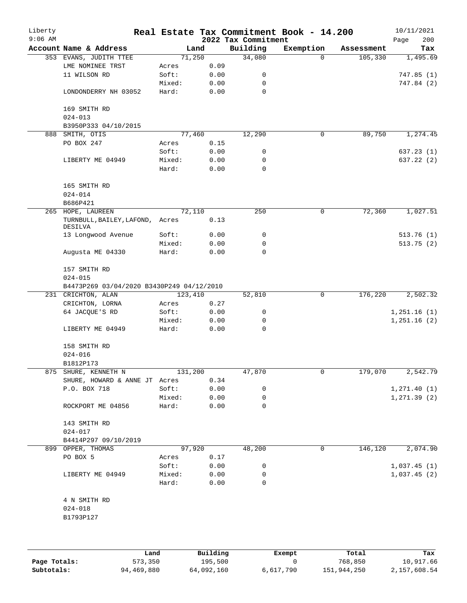| Liberty<br>$9:06$ AM |                                           |         |      | 2022 Tax Commitment | Real Estate Tax Commitment Book - 14.200 |            | 10/11/2021<br>Page<br>200 |
|----------------------|-------------------------------------------|---------|------|---------------------|------------------------------------------|------------|---------------------------|
|                      | Account Name & Address                    | Land    |      | Building            | Exemption                                | Assessment | Tax                       |
|                      | 353 EVANS, JUDITH TTEE                    | 71,250  |      | 34,080              | $\Omega$                                 | 105,330    | 1,495.69                  |
|                      | LME NOMINEE TRST                          | Acres   | 0.09 |                     |                                          |            |                           |
|                      | 11 WILSON RD                              | Soft:   | 0.00 | 0                   |                                          |            | 747.85(1)                 |
|                      |                                           | Mixed:  | 0.00 | 0                   |                                          |            | 747.84 (2)                |
|                      | LONDONDERRY NH 03052                      | Hard:   | 0.00 | $\mathbf 0$         |                                          |            |                           |
|                      | 169 SMITH RD                              |         |      |                     |                                          |            |                           |
|                      | $024 - 013$                               |         |      |                     |                                          |            |                           |
|                      | B3950P333 04/10/2015                      |         |      |                     |                                          |            |                           |
| 888                  | SMITH, OTIS                               | 77,460  |      | 12,290              | $\mathbf 0$                              | 89,750     | 1,274.45                  |
|                      | PO BOX 247                                | Acres   | 0.15 |                     |                                          |            |                           |
|                      |                                           | Soft:   | 0.00 | 0                   |                                          |            | 637.23(1)                 |
|                      | LIBERTY ME 04949                          | Mixed:  | 0.00 | 0                   |                                          |            | 637.22 (2)                |
|                      |                                           | Hard:   | 0.00 | $\mathbf 0$         |                                          |            |                           |
|                      | 165 SMITH RD                              |         |      |                     |                                          |            |                           |
|                      | $024 - 014$                               |         |      |                     |                                          |            |                           |
|                      | B686P421                                  |         |      |                     |                                          |            |                           |
|                      | 265 HOPE, LAUREEN                         | 72,110  |      | 250                 | $\mathbf 0$                              | 72,360     | 1,027.51                  |
|                      | TURNBULL, BAILEY, LAFOND,<br>DESILVA      | Acres   | 0.13 |                     |                                          |            |                           |
|                      | 13 Longwood Avenue                        | Soft:   | 0.00 | 0                   |                                          |            | 513.76(1)                 |
|                      |                                           | Mixed:  | 0.00 | 0                   |                                          |            | 513.75(2)                 |
|                      | Augusta ME 04330                          | Hard:   | 0.00 | $\mathbf 0$         |                                          |            |                           |
|                      | 157 SMITH RD<br>$024 - 015$               |         |      |                     |                                          |            |                           |
|                      | B4473P269 03/04/2020 B3430P249 04/12/2010 |         |      |                     |                                          |            |                           |
|                      | 231 CRICHTON, ALAN                        | 123,410 |      | 52,810              | $\mathbf 0$                              | 176,220    | 2,502.32                  |
|                      | CRICHTON, LORNA                           | Acres   | 0.27 |                     |                                          |            |                           |
|                      | 64 JACQUE'S RD                            | Soft:   | 0.00 | 0                   |                                          |            | 1,251.16(1)               |
|                      |                                           | Mixed:  | 0.00 | 0                   |                                          |            | 1,251.16(2)               |
|                      | LIBERTY ME 04949                          | Hard:   | 0.00 | $\mathbf 0$         |                                          |            |                           |
|                      | 158 SMITH RD                              |         |      |                     |                                          |            |                           |
|                      | $024 - 016$                               |         |      |                     |                                          |            |                           |
|                      | B1812P173                                 |         |      |                     |                                          |            |                           |
|                      | 875 SHURE, KENNETH N                      | 131,200 |      | 47,870              | 0                                        | 179,070    | 2,542.79                  |
|                      | SHURE, HOWARD & ANNE JT Acres             |         | 0.34 |                     |                                          |            |                           |
|                      | P.O. BOX 718                              | Soft:   | 0.00 | 0                   |                                          |            | 1, 271.40(1)              |
|                      |                                           | Mixed:  | 0.00 | 0                   |                                          |            | 1, 271.39(2)              |
|                      | ROCKPORT ME 04856                         | Hard:   | 0.00 | 0                   |                                          |            |                           |
|                      | 143 SMITH RD                              |         |      |                     |                                          |            |                           |
|                      | $024 - 017$                               |         |      |                     |                                          |            |                           |
|                      | B4414P297 09/10/2019                      |         |      |                     |                                          |            |                           |
|                      | 899 OPPER, THOMAS                         | 97,920  |      | 48,200              | 0                                        | 146,120    | 2,074.90                  |
|                      | PO BOX 5                                  | Acres   | 0.17 |                     |                                          |            |                           |
|                      |                                           | Soft:   | 0.00 | 0                   |                                          |            | 1,037.45(1)               |
|                      | LIBERTY ME 04949                          | Mixed:  | 0.00 | 0                   |                                          |            | 1,037.45(2)               |
|                      |                                           | Hard:   | 0.00 | 0                   |                                          |            |                           |
|                      | 4 N SMITH RD                              |         |      |                     |                                          |            |                           |
|                      | $024 - 018$                               |         |      |                     |                                          |            |                           |
|                      | B1793P127                                 |         |      |                     |                                          |            |                           |
|                      |                                           |         |      |                     |                                          |            |                           |
|                      |                                           |         |      |                     |                                          |            |                           |
|                      |                                           |         |      |                     |                                          |            |                           |

|              | Land       | Building   | Exempt    | Total       | Tax          |
|--------------|------------|------------|-----------|-------------|--------------|
| Page Totals: | 573,350    | 195,500    |           | 768,850     | 10,917.66    |
| Subtotals:   | 94,469,880 | 64,092,160 | 6,617,790 | 151,944,250 | 2,157,608.54 |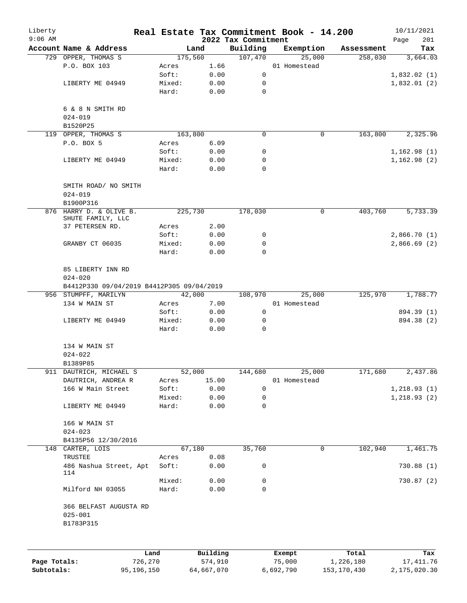| Liberty<br>$9:06$ AM |                                                                               |                 |              | 2022 Tax Commitment | Real Estate Tax Commitment Book - 14.200 |            | 10/11/2021<br>201<br>Page |
|----------------------|-------------------------------------------------------------------------------|-----------------|--------------|---------------------|------------------------------------------|------------|---------------------------|
|                      | Account Name & Address                                                        |                 | Land         | Building            | Exemption                                | Assessment | Tax                       |
|                      | 729 OPPER, THOMAS S                                                           |                 | 175,560      | 107,470             | 25,000                                   | 258,030    | 3,664.03                  |
|                      | P.O. BOX 103                                                                  | Acres           | 1.66         |                     | 01 Homestead                             |            |                           |
|                      |                                                                               | Soft:           | 0.00         | 0                   |                                          |            | 1,832.02(1)               |
|                      | LIBERTY ME 04949                                                              | Mixed:          | 0.00         | 0                   |                                          |            | 1,832.01(2)               |
|                      |                                                                               | Hard:           | 0.00         | $\mathbf 0$         |                                          |            |                           |
|                      | 6 & 8 N SMITH RD<br>$024 - 019$                                               |                 |              |                     |                                          |            |                           |
|                      | B1520P25                                                                      |                 |              |                     |                                          |            |                           |
|                      | 119 OPPER, THOMAS S                                                           |                 | 163,800      | 0                   | 0                                        | 163,800    | 2,325.96                  |
|                      | P.O. BOX 5                                                                    | Acres           | 6.09         |                     |                                          |            |                           |
|                      |                                                                               | Soft:           | 0.00         | 0                   |                                          |            | 1,162.98(1)               |
|                      | LIBERTY ME 04949                                                              | Mixed:          | 0.00         | 0                   |                                          |            | 1,162.98(2)               |
|                      |                                                                               | Hard:           | 0.00         | $\mathbf 0$         |                                          |            |                           |
|                      | SMITH ROAD/ NO SMITH<br>$024 - 019$                                           |                 |              |                     |                                          |            |                           |
|                      | B1900P316                                                                     |                 |              |                     |                                          |            |                           |
|                      | 876 HARRY D. & OLIVE B.<br>SHUTE FAMILY, LLC                                  |                 | 225,730      | 178,030             | 0                                        | 403,760    | 5,733.39                  |
|                      | 37 PETERSEN RD.                                                               | Acres           | 2.00         |                     |                                          |            |                           |
|                      |                                                                               | Soft:           | 0.00         | 0                   |                                          |            | 2,866.70(1)               |
|                      | GRANBY CT 06035                                                               | Mixed:          | 0.00         | 0                   |                                          |            | 2,866.69(2)               |
|                      |                                                                               | Hard:           | 0.00         | $\Omega$            |                                          |            |                           |
|                      | 85 LIBERTY INN RD<br>$024 - 020$<br>B4412P330 09/04/2019 B4412P305 09/04/2019 |                 |              |                     |                                          |            |                           |
|                      | 956 STUMPFF, MARILYN                                                          |                 | 42,000       | 108,970             | 25,000                                   | 125,970    | 1,788.77                  |
|                      | 134 W MAIN ST                                                                 | Acres           | 7.00         |                     | 01 Homestead                             |            |                           |
|                      |                                                                               | Soft:           | 0.00         | 0                   |                                          |            | 894.39 (1)                |
|                      | LIBERTY ME 04949                                                              | Mixed:          | 0.00         | 0                   |                                          |            | 894.38 (2)                |
|                      |                                                                               | Hard:           | 0.00         | $\mathbf 0$         |                                          |            |                           |
|                      | 134 W MAIN ST                                                                 |                 |              |                     |                                          |            |                           |
|                      | $024 - 022$                                                                   |                 |              |                     |                                          |            |                           |
|                      | B1389P85                                                                      |                 |              |                     |                                          |            |                           |
|                      | 911 DAUTRICH, MICHAEL S                                                       |                 | 52,000       | 144,680             | 25,000                                   | 171,680    | 2,437.86                  |
|                      | DAUTRICH, ANDREA R                                                            | Acres           | 15.00        |                     | 01 Homestead                             |            |                           |
|                      | 166 W Main Street                                                             | Soft:<br>Mixed: | 0.00         | 0<br>0              |                                          |            | 1, 218.93(1)              |
|                      | LIBERTY ME 04949                                                              | Hard:           | 0.00<br>0.00 | $\mathbf 0$         |                                          |            | 1,218.93(2)               |
|                      | 166 W MAIN ST                                                                 |                 |              |                     |                                          |            |                           |
|                      | $024 - 023$                                                                   |                 |              |                     |                                          |            |                           |
|                      | B4135P56 12/30/2016                                                           |                 |              |                     |                                          |            |                           |
|                      | 148 CARTER, LOIS                                                              |                 | 67,180       | 35,760              | 0                                        | 102,940    | 1,461.75                  |
|                      | TRUSTEE<br>486 Nashua Street, Apt<br>114                                      | Acres<br>Soft:  | 0.08<br>0.00 | 0                   |                                          |            | 730.88(1)                 |
|                      |                                                                               | Mixed:          | 0.00         | 0                   |                                          |            | 730.87(2)                 |
|                      | Milford NH 03055                                                              | Hard:           | 0.00         | $\mathbf 0$         |                                          |            |                           |
|                      | 366 BELFAST AUGUSTA RD<br>$025 - 001$<br>B1783P315                            |                 |              |                     |                                          |            |                           |
|                      |                                                                               |                 |              |                     |                                          |            |                           |
|                      |                                                                               | Land            | Building     |                     | Exempt                                   | Total      | Tax                       |

|              | Land       | Building   | Exempt    | Total       | Tax          |
|--------------|------------|------------|-----------|-------------|--------------|
| Page Totals: | 726,270    | 574,910    | 75,000    | 1,226,180   | 17,411.76    |
| Subtotals:   | 95,196,150 | 64,667,070 | 6,692,790 | 153,170,430 | 2,175,020.30 |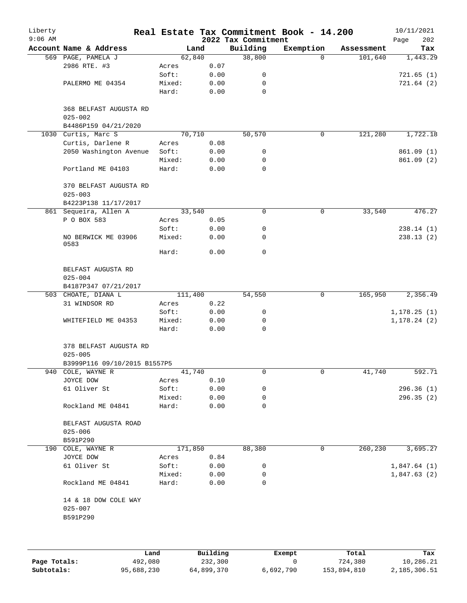| Liberty<br>$9:06$ AM |                                                 |         |      | 2022 Tax Commitment | Real Estate Tax Commitment Book - 14.200 |            | 10/11/2021<br>202 |
|----------------------|-------------------------------------------------|---------|------|---------------------|------------------------------------------|------------|-------------------|
|                      | Account Name & Address                          | Land    |      | Building            | Exemption                                | Assessment | Page<br>Tax       |
|                      | 569 PAGE, PAMELA J                              | 62,840  |      | 38,800              | $\Omega$                                 | 101,640    | 1,443.29          |
|                      | 2986 RTE. #3                                    | Acres   | 0.07 |                     |                                          |            |                   |
|                      |                                                 | Soft:   | 0.00 | 0                   |                                          |            | 721.65(1)         |
|                      | PALERMO ME 04354                                | Mixed:  | 0.00 | 0                   |                                          |            | 721.64(2)         |
|                      |                                                 | Hard:   | 0.00 | $\mathbf 0$         |                                          |            |                   |
|                      | 368 BELFAST AUGUSTA RD<br>$025 - 002$           |         |      |                     |                                          |            |                   |
|                      | B4486P159 04/21/2020                            |         |      |                     |                                          |            |                   |
|                      | 1030 Curtis, Marc S                             | 70,710  |      | 50,570              | 0                                        | 121,280    | 1,722.18          |
|                      | Curtis, Darlene R                               | Acres   | 0.08 |                     |                                          |            |                   |
|                      | 2050 Washington Avenue                          | Soft:   | 0.00 | 0                   |                                          |            | 861.09(1)         |
|                      |                                                 | Mixed:  | 0.00 | 0                   |                                          |            | 861.09(2)         |
|                      | Portland ME 04103                               | Hard:   | 0.00 | $\mathbf 0$         |                                          |            |                   |
|                      | 370 BELFAST AUGUSTA RD<br>$025 - 003$           |         |      |                     |                                          |            |                   |
|                      | B4223P138 11/17/2017                            |         |      |                     |                                          |            |                   |
|                      | 861 Sequeira, Allen A                           | 33,540  |      | 0                   | 0                                        | 33,540     | 476.27            |
|                      | P O BOX 583                                     | Acres   | 0.05 |                     |                                          |            |                   |
|                      |                                                 | Soft:   | 0.00 | 0                   |                                          |            | 238.14(1)         |
|                      | NO BERWICK ME 03906<br>0583                     | Mixed:  | 0.00 | 0                   |                                          |            | 238.13(2)         |
|                      |                                                 | Hard:   | 0.00 | $\mathbf 0$         |                                          |            |                   |
|                      | BELFAST AUGUSTA RD<br>$025 - 004$               |         |      |                     |                                          |            |                   |
|                      | B4187P347 07/21/2017                            |         |      |                     |                                          |            |                   |
|                      | 503 CHOATE, DIANA L                             | 111,400 |      | 54,550              | 0                                        | 165,950    | 2,356.49          |
|                      | 31 WINDSOR RD                                   | Acres   | 0.22 |                     |                                          |            |                   |
|                      |                                                 | Soft:   | 0.00 | 0                   |                                          |            | 1, 178.25(1)      |
|                      | WHITEFIELD ME 04353                             | Mixed:  | 0.00 | 0                   |                                          |            | 1, 178.24(2)      |
|                      |                                                 | Hard:   | 0.00 | $\mathsf{O}$        |                                          |            |                   |
|                      | 378 BELFAST AUGUSTA RD<br>$025 - 005$           |         |      |                     |                                          |            |                   |
|                      | B3999P116 09/10/2015 B1557P5                    |         |      |                     |                                          |            |                   |
|                      | 940 COLE, WAYNE R                               | 41,740  |      | 0                   | 0                                        | 41,740     | 592.71            |
|                      | JOYCE DOW                                       | Acres   | 0.10 |                     |                                          |            |                   |
|                      | 61 Oliver St                                    | Soft:   | 0.00 | 0                   |                                          |            | 296.36 (1)        |
|                      |                                                 | Mixed:  | 0.00 | 0                   |                                          |            | 296.35(2)         |
|                      | Rockland ME 04841                               | Hard:   | 0.00 | 0                   |                                          |            |                   |
|                      | BELFAST AUGUSTA ROAD<br>$025 - 006$             |         |      |                     |                                          |            |                   |
|                      | B591P290                                        |         |      |                     |                                          |            |                   |
|                      | 190 COLE, WAYNE R                               | 171,850 |      | 88,380              | 0                                        | 260,230    | 3,695.27          |
|                      | JOYCE DOW                                       | Acres   | 0.84 |                     |                                          |            |                   |
|                      | 61 Oliver St                                    | Soft:   | 0.00 | 0                   |                                          |            | 1,847.64(1)       |
|                      |                                                 | Mixed:  | 0.00 | 0                   |                                          |            | 1,847.63(2)       |
|                      | Rockland ME 04841                               | Hard:   | 0.00 | 0                   |                                          |            |                   |
|                      | 14 & 18 DOW COLE WAY<br>$025 - 007$<br>B591P290 |         |      |                     |                                          |            |                   |
|                      |                                                 |         |      |                     |                                          |            |                   |
|                      |                                                 |         |      |                     |                                          |            |                   |
|                      |                                                 |         |      |                     |                                          |            |                   |

|              | Land       | Building   | Exempt    | Total       | Tax          |
|--------------|------------|------------|-----------|-------------|--------------|
| Page Totals: | 492,080    | 232,300    |           | 724,380     | 10,286.21    |
| Subtotals:   | 95,688,230 | 64,899,370 | 6,692,790 | 153,894,810 | 2,185,306.51 |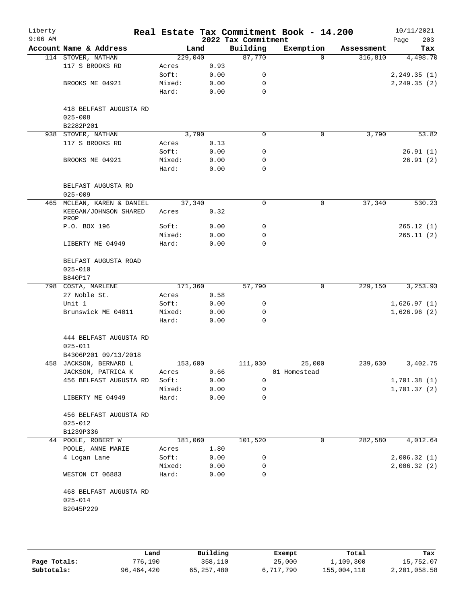| Liberty<br>$9:06$ AM |                                     |                 |              | 2022 Tax Commitment | Real Estate Tax Commitment Book - 14.200 |            | 10/11/2021<br>Page<br>203 |
|----------------------|-------------------------------------|-----------------|--------------|---------------------|------------------------------------------|------------|---------------------------|
|                      | Account Name & Address              | Land            |              | Building            | Exemption                                | Assessment | Tax                       |
|                      | 114 STOVER, NATHAN                  | 229,040         |              | 87,770              | $\Omega$                                 | 316,810    | 4,498.70                  |
|                      | 117 S BROOKS RD                     | Acres           | 0.93         |                     |                                          |            |                           |
|                      |                                     | Soft:           | 0.00         | 0                   |                                          |            | 2, 249.35(1)              |
|                      | BROOKS ME 04921                     | Mixed:          | 0.00         | 0                   |                                          |            | 2, 249.35(2)              |
|                      |                                     | Hard:           | 0.00         | $\mathbf 0$         |                                          |            |                           |
|                      | 418 BELFAST AUGUSTA RD              |                 |              |                     |                                          |            |                           |
|                      | $025 - 008$<br>B2282P201            |                 |              |                     |                                          |            |                           |
|                      | 938 STOVER, NATHAN                  | 3,790           |              | $\mathbf 0$         | $\mathsf{O}$                             | 3,790      | 53.82                     |
|                      | 117 S BROOKS RD                     | Acres           | 0.13         |                     |                                          |            |                           |
|                      |                                     | Soft:           | 0.00         | 0                   |                                          |            | 26.91(1)                  |
|                      | BROOKS ME 04921                     | Mixed:          | 0.00         | 0                   |                                          |            | 26.91(2)                  |
|                      |                                     | Hard:           | 0.00         | 0                   |                                          |            |                           |
|                      | BELFAST AUGUSTA RD<br>$025 - 009$   |                 |              |                     |                                          |            |                           |
|                      | 465 MCLEAN, KAREN & DANIEL          | 37,340          |              | 0                   | 0                                        | 37,340     | 530.23                    |
|                      | KEEGAN/JOHNSON SHARED<br>PROP       | Acres           | 0.32         |                     |                                          |            |                           |
|                      | P.O. BOX 196                        | Soft:           | 0.00         | 0                   |                                          |            | 265.12(1)                 |
|                      |                                     | Mixed:          | 0.00         | 0                   |                                          |            | 265.11(2)                 |
|                      | LIBERTY ME 04949                    | Hard:           | 0.00         | $\Omega$            |                                          |            |                           |
|                      | BELFAST AUGUSTA ROAD<br>$025 - 010$ |                 |              |                     |                                          |            |                           |
|                      | B840P17                             |                 |              |                     |                                          |            |                           |
|                      | 798 COSTA, MARLENE                  | 171,360         |              | 57,790              | 0                                        | 229,150    | 3,253.93                  |
|                      | 27 Noble St.                        | Acres           | 0.58         |                     |                                          |            |                           |
|                      | Unit 1                              | Soft:           | 0.00         | 0                   |                                          |            | 1,626.97(1)               |
|                      | Brunswick ME 04011                  | Mixed:          | 0.00         | 0                   |                                          |            | 1,626.96(2)               |
|                      |                                     | Hard:           | 0.00         | 0                   |                                          |            |                           |
|                      | 444 BELFAST AUGUSTA RD              |                 |              |                     |                                          |            |                           |
|                      | $025 - 011$                         |                 |              |                     |                                          |            |                           |
|                      | B4306P201 09/13/2018                |                 |              |                     |                                          |            |                           |
|                      | 458 JACKSON, BERNARD L              | 153,600         |              | 111,030             | 25,000                                   | 239,630    | 3,402.75                  |
|                      | JACKSON, PATRICA K                  | Acres           | 0.66         |                     | 01 Homestead                             |            |                           |
|                      | 456 BELFAST AUGUSTA RD              | Soft:           | 0.00         | 0                   |                                          |            | 1,701.38(1)               |
|                      | LIBERTY ME 04949                    | Mixed:<br>Hard: | 0.00<br>0.00 | 0<br>0              |                                          |            | 1,701.37(2)               |
|                      |                                     |                 |              |                     |                                          |            |                           |
|                      | 456 BELFAST AUGUSTA RD              |                 |              |                     |                                          |            |                           |
|                      | $025 - 012$                         |                 |              |                     |                                          |            |                           |
|                      | B1239P336                           |                 |              |                     |                                          |            |                           |
|                      | 44 POOLE, ROBERT W                  | 181,060         |              | 101,520             | 0                                        | 282,580    | 4,012.64                  |
|                      | POOLE, ANNE MARIE                   | Acres           | 1.80         |                     |                                          |            |                           |
|                      | 4 Logan Lane                        | Soft:           | 0.00         | 0                   |                                          |            | 2,006.32(1)               |
|                      | WESTON CT 06883                     | Mixed:<br>Hard: | 0.00<br>0.00 | 0<br>0              |                                          |            | 2,006.32(2)               |
|                      | 468 BELFAST AUGUSTA RD              |                 |              |                     |                                          |            |                           |
|                      | $025 - 014$                         |                 |              |                     |                                          |            |                           |
|                      | B2045P229                           |                 |              |                     |                                          |            |                           |
|                      |                                     |                 |              |                     |                                          |            |                           |
|                      |                                     |                 |              |                     |                                          |            |                           |
|                      |                                     |                 |              |                     |                                          |            |                           |

|              | Land       | Building   | Exempt    | Total       | Tax          |
|--------------|------------|------------|-----------|-------------|--------------|
| Page Totals: | 776,190    | 358,110    | 25,000    | 1,109,300   | 15,752.07    |
| Subtotals:   | 96,464,420 | 65,257,480 | 6,717,790 | 155,004,110 | 2,201,058.58 |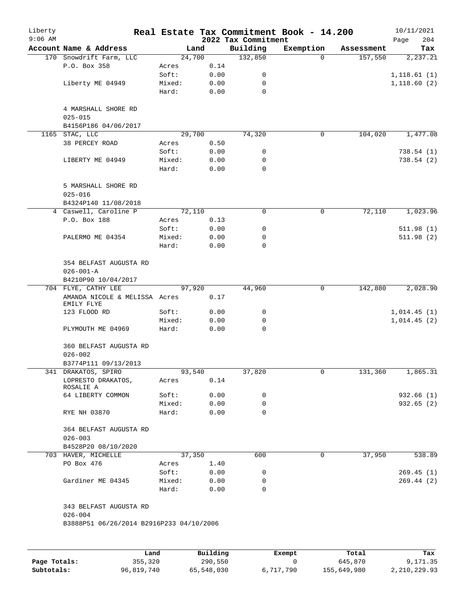| Liberty<br>$9:06$ AM |                                             |        |      | 2022 Tax Commitment | Real Estate Tax Commitment Book - 14.200 |            | 10/11/2021<br>Page<br>204 |
|----------------------|---------------------------------------------|--------|------|---------------------|------------------------------------------|------------|---------------------------|
|                      | Account Name & Address                      | Land   |      | Building            | Exemption                                | Assessment | Tax                       |
|                      | 170 Snowdrift Farm, LLC                     | 24,700 |      | 132,850             | $\Omega$                                 | 157,550    | 2, 237.21                 |
|                      | P.O. Box 358                                | Acres  | 0.14 |                     |                                          |            |                           |
|                      |                                             | Soft:  | 0.00 | 0                   |                                          |            | 1,118.61(1)               |
|                      | Liberty ME 04949                            | Mixed: | 0.00 | 0                   |                                          |            | 1,118.60(2)               |
|                      |                                             | Hard:  | 0.00 | $\mathbf 0$         |                                          |            |                           |
|                      | 4 MARSHALL SHORE RD<br>$025 - 015$          |        |      |                     |                                          |            |                           |
|                      | B4156P186 04/06/2017                        |        |      |                     |                                          |            |                           |
|                      | 1165 STAC, LLC                              | 29,700 |      | 74,320              | 0                                        | 104,020    | 1,477.08                  |
|                      | 38 PERCEY ROAD                              | Acres  | 0.50 |                     |                                          |            |                           |
|                      |                                             | Soft:  | 0.00 | 0                   |                                          |            | 738.54(1)                 |
|                      | LIBERTY ME 04949                            | Mixed: | 0.00 | 0                   |                                          |            | 738.54 (2)                |
|                      |                                             | Hard:  | 0.00 | $\mathbf 0$         |                                          |            |                           |
|                      | 5 MARSHALL SHORE RD<br>$025 - 016$          |        |      |                     |                                          |            |                           |
|                      | B4324P140 11/08/2018                        |        |      |                     |                                          |            |                           |
|                      | 4 Caswell, Caroline P                       | 72,110 |      | 0                   | 0                                        | 72,110     | 1,023.96                  |
|                      | P.O. Box 188                                | Acres  | 0.13 |                     |                                          |            |                           |
|                      |                                             | Soft:  | 0.00 | 0                   |                                          |            | 511.98(1)                 |
|                      | PALERMO ME 04354                            | Mixed: | 0.00 | 0                   |                                          |            | 511.98(2)                 |
|                      |                                             | Hard:  | 0.00 | 0                   |                                          |            |                           |
|                      | 354 BELFAST AUGUSTA RD                      |        |      |                     |                                          |            |                           |
|                      | $026 - 001 - A$                             |        |      |                     |                                          |            |                           |
|                      | B4210P90 10/04/2017                         |        |      |                     |                                          |            |                           |
|                      | 704 FLYE, CATHY LEE                         | 97,920 |      | 44,960              | 0                                        | 142,880    | 2,028.90                  |
|                      | AMANDA NICOLE & MELISSA Acres<br>EMILY FLYE |        | 0.17 |                     |                                          |            |                           |
|                      | 123 FLOOD RD                                | Soft:  | 0.00 | 0                   |                                          |            | 1,014.45(1)               |
|                      |                                             | Mixed: | 0.00 | 0                   |                                          |            | 1,014.45(2)               |
|                      | PLYMOUTH ME 04969                           | Hard:  | 0.00 | $\mathbf 0$         |                                          |            |                           |
|                      | 360 BELFAST AUGUSTA RD<br>$026 - 002$       |        |      |                     |                                          |            |                           |
|                      | B3774P111 09/13/2013                        |        |      |                     |                                          |            |                           |
|                      | 341 DRAKATOS, SPIRO                         | 93,540 |      | 37,820              | $\mathsf{O}$                             | 131,360    | 1,865.31                  |
|                      | LOPRESTO DRAKATOS,<br>ROSALIE A             | Acres  | 0.14 |                     |                                          |            |                           |
|                      | 64 LIBERTY COMMON                           | Soft:  | 0.00 | 0                   |                                          |            | 932.66 (1)                |
|                      |                                             | Mixed: | 0.00 | 0                   |                                          |            | 932.65(2)                 |
|                      | RYE NH 03870                                | Hard:  | 0.00 | $\Omega$            |                                          |            |                           |
|                      | 364 BELFAST AUGUSTA RD                      |        |      |                     |                                          |            |                           |
|                      | $026 - 003$                                 |        |      |                     |                                          |            |                           |
|                      | B4528P20 08/10/2020                         |        |      |                     |                                          |            |                           |
|                      | 703 HAVER, MICHELLE                         | 37,350 |      | 600                 | $\mathbf 0$                              | 37,950     | 538.89                    |
|                      | PO Box 476                                  | Acres  | 1.40 |                     |                                          |            |                           |
|                      |                                             | Soft:  | 0.00 | 0                   |                                          |            | 269.45(1)                 |
|                      | Gardiner ME 04345                           | Mixed: | 0.00 | 0                   |                                          |            | 269.44(2)                 |
|                      |                                             | Hard:  | 0.00 | 0                   |                                          |            |                           |
|                      | 343 BELFAST AUGUSTA RD<br>$026 - 004$       |        |      |                     |                                          |            |                           |
|                      | B3888P51 06/26/2014 B2916P233 04/10/2006    |        |      |                     |                                          |            |                           |
|                      |                                             |        |      |                     |                                          |            |                           |
|                      |                                             |        |      |                     |                                          |            |                           |

|              | Land       | Building   | Exempt    | Total       | Tax          |
|--------------|------------|------------|-----------|-------------|--------------|
| Page Totals: | 355,320    | 290,550    |           | 645,870     | 9,171.35     |
| Subtotals:   | 96,819,740 | 65,548,030 | 6,717,790 | 155,649,980 | 2,210,229.93 |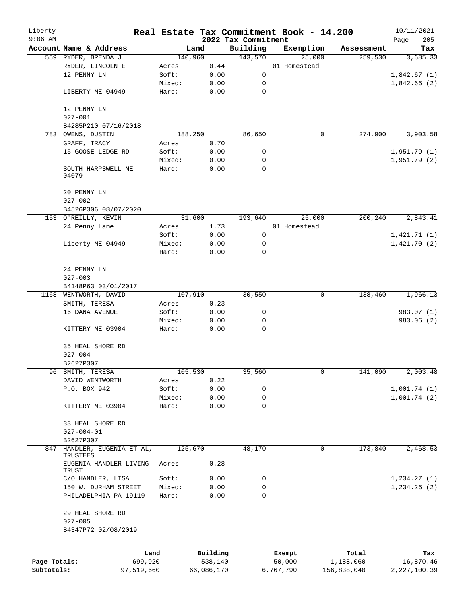| Liberty      |                                               |        |                 |                     | Real Estate Tax Commitment Book - 14.200 |                       | 10/11/2021     |
|--------------|-----------------------------------------------|--------|-----------------|---------------------|------------------------------------------|-----------------------|----------------|
| $9:06$ AM    |                                               |        |                 | 2022 Tax Commitment |                                          |                       | 205<br>Page    |
|              | Account Name & Address<br>559 RYDER, BRENDA J |        | Land<br>140,960 | Building<br>143,570 | Exemption<br>25,000                      | Assessment<br>259,530 | Tax            |
|              | RYDER, LINCOLN E                              | Acres  | 0.44            |                     | 01 Homestead                             |                       | 3,685.33       |
|              | 12 PENNY LN                                   | Soft:  | 0.00            | 0                   |                                          |                       | 1,842.67(1)    |
|              |                                               | Mixed: | 0.00            | 0                   |                                          |                       | 1,842.66(2)    |
|              | LIBERTY ME 04949                              | Hard:  | 0.00            | 0                   |                                          |                       |                |
|              |                                               |        |                 |                     |                                          |                       |                |
|              | 12 PENNY LN                                   |        |                 |                     |                                          |                       |                |
|              | $027 - 001$                                   |        |                 |                     |                                          |                       |                |
|              | B4285P210 07/16/2018                          |        |                 |                     |                                          |                       |                |
|              | 783 OWENS, DUSTIN                             |        | 188,250         | 86,650              | $\mathbf 0$                              | 274,900               | 3,903.58       |
|              | GRAFF, TRACY                                  | Acres  | 0.70            |                     |                                          |                       |                |
|              | 15 GOOSE LEDGE RD                             | Soft:  | 0.00            | 0                   |                                          |                       | 1,951.79(1)    |
|              |                                               | Mixed: | 0.00            | 0                   |                                          |                       | 1,951.79(2)    |
|              | SOUTH HARPSWELL ME<br>04079                   | Hard:  | 0.00            | $\mathbf 0$         |                                          |                       |                |
|              | 20 PENNY LN                                   |        |                 |                     |                                          |                       |                |
|              | $027 - 002$                                   |        |                 |                     |                                          |                       |                |
|              |                                               |        |                 |                     |                                          |                       |                |
|              | B4526P306 08/07/2020<br>153 O'REILLY, KEVIN   |        | 31,600          | 193,640             | 25,000                                   | 200,240               | 2,843.41       |
|              | 24 Penny Lane                                 | Acres  | 1.73            |                     | 01 Homestead                             |                       |                |
|              |                                               | Soft:  | 0.00            | 0                   |                                          |                       | 1,421.71(1)    |
|              | Liberty ME 04949                              | Mixed: | 0.00            | 0                   |                                          |                       | 1,421.70(2)    |
|              |                                               | Hard:  | 0.00            | 0                   |                                          |                       |                |
|              |                                               |        |                 |                     |                                          |                       |                |
|              | 24 PENNY LN                                   |        |                 |                     |                                          |                       |                |
|              | $027 - 003$                                   |        |                 |                     |                                          |                       |                |
|              | B4148P63 03/01/2017                           |        |                 |                     |                                          |                       |                |
|              | 1168 WENTWORTH, DAVID                         |        | 107,910         | 30,550              | 0                                        | 138,460               | 1,966.13       |
|              | SMITH, TERESA                                 | Acres  | 0.23            |                     |                                          |                       |                |
|              | 16 DANA AVENUE                                | Soft:  | 0.00            | 0                   |                                          |                       | 983.07 (1)     |
|              |                                               | Mixed: | 0.00            | 0                   |                                          |                       | 983.06 (2)     |
|              | KITTERY ME 03904                              | Hard:  | 0.00            | $\mathbf 0$         |                                          |                       |                |
|              |                                               |        |                 |                     |                                          |                       |                |
|              | 35 HEAL SHORE RD                              |        |                 |                     |                                          |                       |                |
|              | $027 - 004$                                   |        |                 |                     |                                          |                       |                |
|              | B2627P307                                     |        |                 |                     |                                          |                       |                |
| 96           | SMITH, TERESA                                 |        | 105,530         | 35,560              | 0                                        | 141,090               | 2,003.48       |
|              | DAVID WENTWORTH                               | Acres  | 0.22            |                     |                                          |                       |                |
|              | P.O. BOX 942                                  | Soft:  | 0.00            | 0                   |                                          |                       | 1,001.74(1)    |
|              |                                               | Mixed: | 0.00            | 0                   |                                          |                       | 1,001.74(2)    |
|              | KITTERY ME 03904                              | Hard:  | 0.00            | 0                   |                                          |                       |                |
|              | 33 HEAL SHORE RD                              |        |                 |                     |                                          |                       |                |
|              | $027 - 004 - 01$                              |        |                 |                     |                                          |                       |                |
|              | B2627P307                                     |        |                 |                     |                                          |                       |                |
| 847          | HANDLER, EUGENIA ET AL,<br>TRUSTEES           |        | 125,670         | 48,170              | $\mathbf 0$                              | 173,840               | 2,468.53       |
|              | EUGENIA HANDLER LIVING                        | Acres  | 0.28            |                     |                                          |                       |                |
|              | TRUST<br>C/O HANDLER, LISA                    | Soft:  | 0.00            | 0                   |                                          |                       | 1,234.27(1)    |
|              | 150 W. DURHAM STREET                          | Mixed: | 0.00            | 0                   |                                          |                       | 1,234.26(2)    |
|              | PHILADELPHIA PA 19119                         | Hard:  | 0.00            | $\Omega$            |                                          |                       |                |
|              | 29 HEAL SHORE RD                              |        |                 |                     |                                          |                       |                |
|              | $027 - 005$                                   |        |                 |                     |                                          |                       |                |
|              | B4347P72 02/08/2019                           |        |                 |                     |                                          |                       |                |
|              |                                               |        |                 |                     |                                          |                       |                |
|              |                                               | Land   | Building        |                     | Exempt                                   | Total                 | Tax            |
| Page Totals: | 699,920                                       |        | 538,140         |                     | 50,000                                   | 1,188,060             | 16,870.46      |
| Subtotals:   | 97,519,660                                    |        | 66,086,170      |                     | 6,767,790                                | 156,838,040           | 2, 227, 100.39 |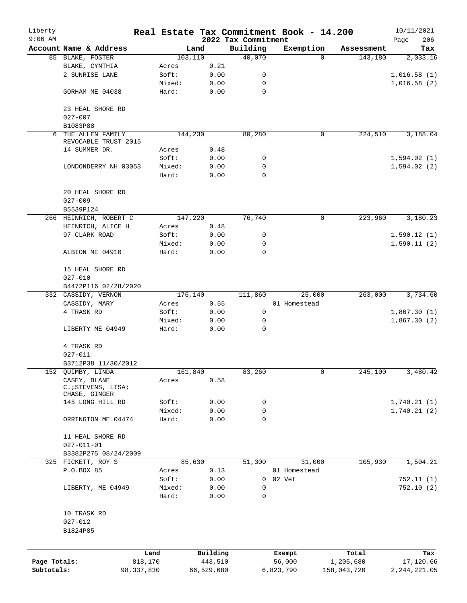| Liberty                    |                                                      |                         |          |                       |                     | Real Estate Tax Commitment Book - 14.200 |                          | 10/11/2021                  |
|----------------------------|------------------------------------------------------|-------------------------|----------|-----------------------|---------------------|------------------------------------------|--------------------------|-----------------------------|
| $9:06$ AM                  |                                                      |                         |          |                       | 2022 Tax Commitment |                                          |                          | 206<br>Page                 |
|                            | Account Name & Address<br>85 BLAKE, FOSTER           |                         | 103, 110 | Land                  | Building<br>40,070  | Exemption<br>$\Omega$                    | Assessment<br>143,180    | Tax<br>2,033.16             |
|                            | BLAKE, CYNTHIA                                       |                         | Acres    | 0.21                  |                     |                                          |                          |                             |
|                            | 2 SUNRISE LANE                                       |                         | Soft:    | 0.00                  | 0                   |                                          |                          | 1,016.58(1)                 |
|                            |                                                      |                         | Mixed:   | 0.00                  | 0                   |                                          |                          | 1,016.58(2)                 |
|                            | GORHAM ME 04038                                      |                         | Hard:    | 0.00                  | $\mathbf 0$         |                                          |                          |                             |
|                            | 23 HEAL SHORE RD                                     |                         |          |                       |                     |                                          |                          |                             |
|                            | $027 - 007$                                          |                         |          |                       |                     |                                          |                          |                             |
|                            | B1083P88                                             |                         |          |                       |                     |                                          |                          |                             |
| 6                          | THE ALLEN FAMILY<br>REVOCABLE TRUST 2015             |                         | 144,230  |                       | 80,280              | 0                                        | 224,510                  | 3,188.04                    |
|                            | 14 SUMMER DR.                                        |                         | Acres    | 0.48                  |                     |                                          |                          |                             |
|                            |                                                      |                         | Soft:    | 0.00                  | 0                   |                                          |                          | 1,594.02(1)                 |
|                            | LONDONDERRY NH 03053                                 |                         | Mixed:   | 0.00                  | 0<br>0              |                                          |                          | 1,594.02(2)                 |
|                            |                                                      |                         | Hard:    | 0.00                  |                     |                                          |                          |                             |
|                            | 20 HEAL SHORE RD                                     |                         |          |                       |                     |                                          |                          |                             |
|                            | $027 - 009$                                          |                         |          |                       |                     |                                          |                          |                             |
|                            | B5539P124                                            |                         |          |                       |                     |                                          |                          |                             |
|                            | 266 HEINRICH, ROBERT C                               |                         | 147,220  |                       | 76,740              | 0                                        | 223,960                  | 3,180.23                    |
|                            | HEINRICH, ALICE H                                    |                         | Acres    | 0.48                  |                     |                                          |                          |                             |
|                            | 97 CLARK ROAD                                        |                         | Soft:    | 0.00                  | 0                   |                                          |                          | 1,590.12(1)                 |
|                            |                                                      |                         | Mixed:   | 0.00                  | 0                   |                                          |                          | 1,590.11(2)                 |
|                            | ALBION ME 04910                                      |                         | Hard:    | 0.00                  | $\Omega$            |                                          |                          |                             |
|                            | 15 HEAL SHORE RD<br>$027 - 010$                      |                         |          |                       |                     |                                          |                          |                             |
|                            | B4472P116 02/28/2020                                 |                         |          |                       |                     |                                          |                          |                             |
|                            | 332 CASSIDY, VERNON                                  |                         | 176,140  |                       | 111,860             | 25,000                                   | 263,000                  | 3,734.60                    |
|                            | CASSIDY, MARY                                        |                         | Acres    | 0.55                  |                     | 01 Homestead                             |                          |                             |
|                            | 4 TRASK RD                                           |                         | Soft:    | 0.00                  | 0                   |                                          |                          | 1,867.30(1)                 |
|                            |                                                      |                         | Mixed:   | 0.00                  | 0                   |                                          |                          | 1,867.30(2)                 |
|                            | LIBERTY ME 04949                                     |                         | Hard:    | 0.00                  | $\mathbf 0$         |                                          |                          |                             |
|                            | 4 TRASK RD                                           |                         |          |                       |                     |                                          |                          |                             |
|                            | $027 - 011$                                          |                         |          |                       |                     |                                          |                          |                             |
|                            | B3712P38 11/30/2012                                  |                         |          |                       |                     |                                          |                          |                             |
|                            | 152 QUIMBY, LINDA                                    |                         | 161,840  |                       | 83,260              | 0                                        | 245,100                  | 3,480.42                    |
|                            | CASEY, BLANE<br>C. ; STEVENS, LISA;<br>CHASE, GINGER |                         | Acres    | 0.58                  |                     |                                          |                          |                             |
|                            | 145 LONG HILL RD                                     |                         | Soft:    | 0.00                  | 0                   |                                          |                          | 1,740.21(1)                 |
|                            |                                                      |                         | Mixed:   | 0.00                  | 0                   |                                          |                          | 1,740.21(2)                 |
|                            | ORRINGTON ME 04474                                   |                         | Hard:    | 0.00                  | 0                   |                                          |                          |                             |
|                            | 11 HEAL SHORE RD                                     |                         |          |                       |                     |                                          |                          |                             |
|                            | $027 - 011 - 01$                                     |                         |          |                       |                     |                                          |                          |                             |
|                            | B3382P275 08/24/2009                                 |                         |          |                       |                     |                                          |                          |                             |
|                            | 325 FICKETT, ROY S                                   |                         | 85,630   |                       | 51,300              | 31,000                                   | 105,930                  | 1,504.21                    |
|                            | P.O.BOX 85                                           |                         | Acres    | 0.13                  |                     | 01 Homestead                             |                          |                             |
|                            |                                                      |                         | Soft:    | 0.00                  | 0                   | 02 Vet                                   |                          | 752.11 (1)                  |
|                            | LIBERTY, ME 04949                                    |                         | Mixed:   | 0.00                  | 0                   |                                          |                          | 752.10(2)                   |
|                            |                                                      |                         | Hard:    | 0.00                  | 0                   |                                          |                          |                             |
|                            | 10 TRASK RD                                          |                         |          |                       |                     |                                          |                          |                             |
|                            | $027 - 012$                                          |                         |          |                       |                     |                                          |                          |                             |
|                            | B1824P85                                             |                         |          |                       |                     |                                          |                          |                             |
|                            |                                                      |                         |          |                       |                     |                                          |                          |                             |
|                            |                                                      | Land                    |          | Building              |                     | Exempt                                   | Total                    | Tax                         |
| Page Totals:<br>Subtotals: |                                                      | 818,170<br>98, 337, 830 |          | 443,510<br>66,529,680 |                     | 56,000<br>6,823,790                      | 1,205,680<br>158,043,720 | 17,120.66<br>2, 244, 221.05 |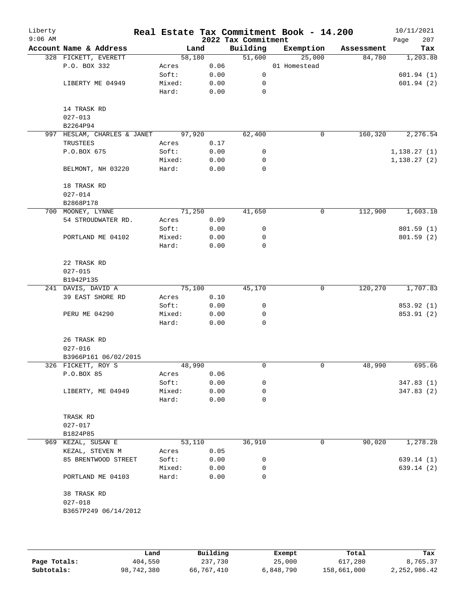| Liberty<br>$9:06$ AM |                             |        |      | 2022 Tax Commitment | Real Estate Tax Commitment Book - 14.200 |            | 10/11/2021<br>Page<br>207 |
|----------------------|-----------------------------|--------|------|---------------------|------------------------------------------|------------|---------------------------|
|                      | Account Name & Address      | Land   |      | Building            | Exemption                                | Assessment | Tax                       |
|                      | 328 FICKETT, EVERETT        | 58,180 |      | 51,600              | 25,000                                   | 84,780     | 1,203.88                  |
|                      | P.O. BOX 332                | Acres  | 0.06 |                     | 01 Homestead                             |            |                           |
|                      |                             | Soft:  | 0.00 | 0                   |                                          |            | 601.94(1)                 |
|                      | LIBERTY ME 04949            | Mixed: | 0.00 | 0                   |                                          |            | 601.94(2)                 |
|                      |                             | Hard:  | 0.00 | 0                   |                                          |            |                           |
|                      | 14 TRASK RD                 |        |      |                     |                                          |            |                           |
|                      | $027 - 013$                 |        |      |                     |                                          |            |                           |
|                      | B2264P94                    |        |      |                     |                                          |            |                           |
|                      | 997 HESLAM, CHARLES & JANET | 97,920 |      | 62,400              | 0                                        | 160,320    | 2,276.54                  |
|                      | TRUSTEES                    | Acres  | 0.17 |                     |                                          |            |                           |
|                      | P.O.BOX 675                 | Soft:  | 0.00 | 0                   |                                          |            | 1,138.27(1)               |
|                      |                             | Mixed: | 0.00 | 0                   |                                          |            | 1,138.27(2)               |
|                      | BELMONT, NH 03220           | Hard:  | 0.00 | 0                   |                                          |            |                           |
|                      | 18 TRASK RD                 |        |      |                     |                                          |            |                           |
|                      | $027 - 014$                 |        |      |                     |                                          |            |                           |
|                      | B2868P178                   |        |      |                     |                                          |            |                           |
|                      | 700 MOONEY, LYNNE           | 71,250 |      | 41,650              | 0                                        | 112,900    | 1,603.18                  |
|                      | 54 STROUDWATER RD.          | Acres  | 0.09 |                     |                                          |            |                           |
|                      |                             | Soft:  | 0.00 | 0                   |                                          |            | 801.59(1)                 |
|                      | PORTLAND ME 04102           | Mixed: | 0.00 | 0                   |                                          |            | 801.59(2)                 |
|                      |                             | Hard:  | 0.00 | 0                   |                                          |            |                           |
|                      | 22 TRASK RD                 |        |      |                     |                                          |            |                           |
|                      | $027 - 015$                 |        |      |                     |                                          |            |                           |
|                      | B1942P135                   |        |      |                     |                                          |            |                           |
|                      | 241 DAVIS, DAVID A          | 75,100 |      | 45,170              | 0                                        | 120,270    | 1,707.83                  |
|                      | 39 EAST SHORE RD            | Acres  | 0.10 |                     |                                          |            |                           |
|                      |                             | Soft:  | 0.00 | 0                   |                                          |            | 853.92 (1)                |
|                      | PERU ME 04290               | Mixed: | 0.00 | 0                   |                                          |            | 853.91 (2)                |
|                      |                             | Hard:  | 0.00 | 0                   |                                          |            |                           |
|                      | 26 TRASK RD                 |        |      |                     |                                          |            |                           |
|                      | $027 - 016$                 |        |      |                     |                                          |            |                           |
|                      | B3966P161 06/02/2015        |        |      |                     |                                          |            |                           |
|                      | 326 FICKETT, ROY S          | 48,990 |      | 0                   | 0                                        | 48,990     | 695.66                    |
|                      | P.O.BOX 85                  | Acres  | 0.06 |                     |                                          |            |                           |
|                      |                             | Soft:  | 0.00 | 0                   |                                          |            | 347.83 (1)                |
|                      | LIBERTY, ME 04949           | Mixed: | 0.00 | 0                   |                                          |            | 347.83(2)                 |
|                      |                             | Hard:  | 0.00 | 0                   |                                          |            |                           |
|                      | TRASK RD                    |        |      |                     |                                          |            |                           |
|                      | $027 - 017$                 |        |      |                     |                                          |            |                           |
|                      | B1824P85                    |        |      |                     |                                          |            |                           |
|                      | 969 KEZAL, SUSAN E          | 53,110 |      | 36,910              | 0                                        | 90,020     | 1,278.28                  |
|                      | KEZAL, STEVEN M             | Acres  | 0.05 |                     |                                          |            |                           |
|                      | 85 BRENTWOOD STREET         | Soft:  | 0.00 | 0                   |                                          |            | 639.14(1)                 |
|                      |                             | Mixed: | 0.00 | 0                   |                                          |            | 639.14(2)                 |
|                      | PORTLAND ME 04103           | Hard:  | 0.00 | 0                   |                                          |            |                           |
|                      | 38 TRASK RD                 |        |      |                     |                                          |            |                           |
|                      | $027 - 018$                 |        |      |                     |                                          |            |                           |
|                      | B3657P249 06/14/2012        |        |      |                     |                                          |            |                           |
|                      |                             |        |      |                     |                                          |            |                           |
|                      |                             |        |      |                     |                                          |            |                           |
|                      |                             |        |      |                     |                                          |            |                           |

|              | Land       | Building   | Exempt    | Total       | Tax          |
|--------------|------------|------------|-----------|-------------|--------------|
| Page Totals: | 404,550    | 237,730    | 25,000    | 617,280     | 8,765.37     |
| Subtotals:   | 98,742,380 | 66,767,410 | 6,848,790 | 158,661,000 | 2,252,986.42 |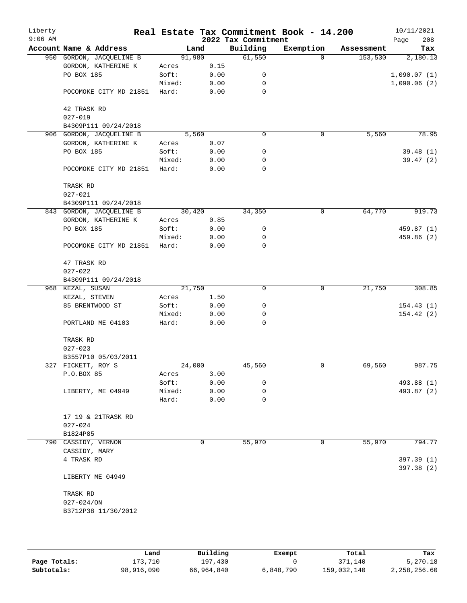| Liberty   |                                                 |                 |              |                     | Real Estate Tax Commitment Book - 14.200 |            | 10/11/2021  |
|-----------|-------------------------------------------------|-----------------|--------------|---------------------|------------------------------------------|------------|-------------|
| $9:06$ AM |                                                 |                 |              | 2022 Tax Commitment |                                          |            | 208<br>Page |
|           | Account Name & Address                          | Land            |              | Building            | Exemption                                | Assessment | Tax         |
|           | 950 GORDON, JACQUELINE B                        | 91,980          |              | 61,550              | $\mathbf 0$                              | 153,530    | 2,180.13    |
|           | GORDON, KATHERINE K                             | Acres           | 0.15         |                     |                                          |            |             |
|           | PO BOX 185                                      | Soft:           | 0.00         | 0                   |                                          |            | 1,090.07(1) |
|           |                                                 | Mixed:          | 0.00         | 0                   |                                          |            | 1,090.06(2) |
|           | POCOMOKE CITY MD 21851                          | Hard:           | 0.00         | $\mathbf 0$         |                                          |            |             |
|           |                                                 |                 |              |                     |                                          |            |             |
|           | 42 TRASK RD                                     |                 |              |                     |                                          |            |             |
|           | $027 - 019$                                     |                 |              |                     |                                          |            |             |
|           | B4309P111 09/24/2018                            | 5,560           |              | 0                   | 0                                        | 5,560      | 78.95       |
|           | 906 GORDON, JACQUELINE B<br>GORDON, KATHERINE K |                 | 0.07         |                     |                                          |            |             |
|           | PO BOX 185                                      | Acres<br>Soft:  | 0.00         | 0                   |                                          |            | 39.48(1)    |
|           |                                                 | Mixed:          | 0.00         | 0                   |                                          |            | 39.47(2)    |
|           | POCOMOKE CITY MD 21851                          | Hard:           | 0.00         | $\mathbf 0$         |                                          |            |             |
|           |                                                 |                 |              |                     |                                          |            |             |
|           | TRASK RD                                        |                 |              |                     |                                          |            |             |
|           | $027 - 021$                                     |                 |              |                     |                                          |            |             |
|           | B4309P111 09/24/2018                            |                 |              |                     |                                          |            |             |
|           | 843 GORDON, JACQUELINE B                        | 30,420          |              | 34,350              | 0                                        | 64,770     | 919.73      |
|           | GORDON, KATHERINE K                             | Acres           | 0.85         |                     |                                          |            |             |
|           | PO BOX 185                                      | Soft:           | 0.00         | 0                   |                                          |            | 459.87 (1)  |
|           |                                                 | Mixed:          | 0.00         | 0                   |                                          |            | 459.86 (2)  |
|           | POCOMOKE CITY MD 21851                          | Hard:           | 0.00         | 0                   |                                          |            |             |
|           |                                                 |                 |              |                     |                                          |            |             |
|           | 47 TRASK RD                                     |                 |              |                     |                                          |            |             |
|           | $027 - 022$                                     |                 |              |                     |                                          |            |             |
|           | B4309P111 09/24/2018                            |                 |              |                     |                                          |            |             |
|           | 968 KEZAL, SUSAN                                | 21,750          |              | 0                   | $\mathbf 0$                              | 21,750     | 308.85      |
|           | KEZAL, STEVEN                                   | Acres           | 1.50         |                     |                                          |            |             |
|           | 85 BRENTWOOD ST                                 | Soft:           | 0.00         | 0                   |                                          |            | 154.43(1)   |
|           |                                                 | Mixed:          | 0.00         | 0                   |                                          |            | 154.42(2)   |
|           | PORTLAND ME 04103                               | Hard:           | 0.00         | 0                   |                                          |            |             |
|           |                                                 |                 |              |                     |                                          |            |             |
|           | TRASK RD                                        |                 |              |                     |                                          |            |             |
|           | $027 - 023$                                     |                 |              |                     |                                          |            |             |
|           | B3557P10 05/03/2011                             |                 |              |                     |                                          |            |             |
|           | 327 FICKETT, ROY S                              | 24,000          |              | 45,560              | 0                                        | 69,560     | 987.75      |
|           | P.O.BOX 85                                      | Acres           | 3.00         |                     |                                          |            |             |
|           |                                                 | Soft:           | 0.00         | 0<br>0              |                                          |            | 493.88 (1)  |
|           | LIBERTY, ME 04949                               | Mixed:<br>Hard: | 0.00<br>0.00 | 0                   |                                          |            | 493.87 (2)  |
|           |                                                 |                 |              |                     |                                          |            |             |
|           | 17    19         &         21TRASK RD           |                 |              |                     |                                          |            |             |
|           | $027 - 024$                                     |                 |              |                     |                                          |            |             |
|           | B1824P85                                        |                 |              |                     |                                          |            |             |
|           | 790 CASSIDY, VERNON                             |                 | 0            | 55,970              | 0                                        | 55,970     | 794.77      |
|           | CASSIDY, MARY                                   |                 |              |                     |                                          |            |             |
|           | 4 TRASK RD                                      |                 |              |                     |                                          |            | 397.39 (1)  |
|           |                                                 |                 |              |                     |                                          |            | 397.38 (2)  |
|           | LIBERTY ME 04949                                |                 |              |                     |                                          |            |             |
|           |                                                 |                 |              |                     |                                          |            |             |
|           | TRASK RD                                        |                 |              |                     |                                          |            |             |
|           | $027 - 024 / ON$                                |                 |              |                     |                                          |            |             |
|           | B3712P38 11/30/2012                             |                 |              |                     |                                          |            |             |
|           |                                                 |                 |              |                     |                                          |            |             |
|           |                                                 |                 |              |                     |                                          |            |             |

|              | Land       | Building   | Exempt    | Total       | Tax          |
|--------------|------------|------------|-----------|-------------|--------------|
| Page Totals: | 173.710    | 197,430    |           | 371,140     | 5,270.18     |
| Subtotals:   | 98,916,090 | 66,964,840 | 6,848,790 | 159,032,140 | 2,258,256.60 |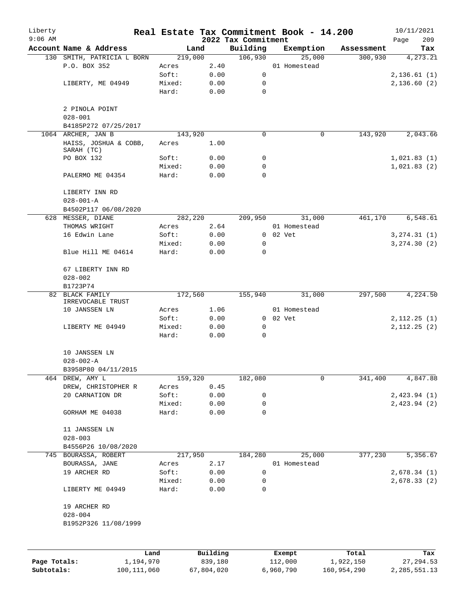| Liberty<br>$9:06$ AM |                                     |      |         |          | Real Estate Tax Commitment Book - 14.200<br>2022 Tax Commitment |                |        |            | 10/11/2021<br>Page<br>209 |
|----------------------|-------------------------------------|------|---------|----------|-----------------------------------------------------------------|----------------|--------|------------|---------------------------|
|                      | Account Name & Address              |      | Land    |          | Building                                                        | Exemption      |        | Assessment | Tax                       |
|                      | 130 SMITH, PATRICIA L BORN          |      | 219,000 |          | 106,930                                                         |                | 25,000 | 300,930    | $\overline{4,273.21}$     |
|                      | P.O. BOX 352                        |      | Acres   | 2.40     |                                                                 | 01 Homestead   |        |            |                           |
|                      |                                     |      | Soft:   | 0.00     | 0                                                               |                |        |            | 2,136.61(1)               |
|                      | LIBERTY, ME 04949                   |      | Mixed:  | 0.00     | 0                                                               |                |        |            | 2,136.60(2)               |
|                      |                                     |      | Hard:   | 0.00     | $\mathbf 0$                                                     |                |        |            |                           |
|                      | 2 PINOLA POINT<br>$028 - 001$       |      |         |          |                                                                 |                |        |            |                           |
|                      | B4185P272 07/25/2017                |      |         |          |                                                                 |                |        |            |                           |
|                      | 1064 ARCHER, JAN B                  |      | 143,920 |          | 0                                                               |                | 0      | 143,920    | 2,043.66                  |
|                      | HAISS, JOSHUA & COBB,<br>SARAH (TC) |      | Acres   | 1.00     |                                                                 |                |        |            |                           |
|                      | PO BOX 132                          |      | Soft:   | 0.00     | 0                                                               |                |        |            | 1,021.83(1)               |
|                      |                                     |      | Mixed:  | 0.00     | 0                                                               |                |        |            | 1,021.83(2)               |
|                      | PALERMO ME 04354                    |      | Hard:   | 0.00     | 0                                                               |                |        |            |                           |
|                      | LIBERTY INN RD<br>$028 - 001 - A$   |      |         |          |                                                                 |                |        |            |                           |
|                      | B4502P117 06/08/2020                |      |         |          |                                                                 |                |        |            |                           |
|                      | 628 MESSER, DIANE                   |      | 282,220 |          | 209,950                                                         |                | 31,000 | 461,170    | 6,548.61                  |
|                      | THOMAS WRIGHT                       |      | Acres   | 2.64     |                                                                 | 01 Homestead   |        |            |                           |
|                      | 16 Edwin Lane                       |      | Soft:   | 0.00     |                                                                 | $0$ $02$ $Vet$ |        |            | 3, 274.31 (1)             |
|                      |                                     |      | Mixed:  | 0.00     | 0                                                               |                |        |            | 3, 274.30(2)              |
|                      | Blue Hill ME 04614                  |      | Hard:   | 0.00     | 0                                                               |                |        |            |                           |
|                      | 67 LIBERTY INN RD                   |      |         |          |                                                                 |                |        |            |                           |
|                      | $028 - 002$<br>B1723P74             |      |         |          |                                                                 |                |        |            |                           |
| 82                   | BLACK FAMILY<br>IRREVOCABLE TRUST   |      | 172,560 |          | 155,940                                                         |                | 31,000 | 297,500    | 4,224.50                  |
|                      | 10 JANSSEN LN                       |      | Acres   | 1.06     |                                                                 | 01 Homestead   |        |            |                           |
|                      |                                     |      | Soft:   | 0.00     |                                                                 | $0$ $02$ $Vet$ |        |            | 2,112.25(1)               |
|                      | LIBERTY ME 04949                    |      | Mixed:  | 0.00     | $\mathbf 0$                                                     |                |        |            | 2,112.25(2)               |
|                      |                                     |      | Hard:   | 0.00     | $\mathbf 0$                                                     |                |        |            |                           |
|                      | 10 JANSSEN LN<br>$028 - 002 - A$    |      |         |          |                                                                 |                |        |            |                           |
|                      | B3958P80 04/11/2015                 |      |         |          |                                                                 |                |        |            |                           |
| 464                  | DREW, AMY L                         |      | 159,320 |          | 182,080                                                         |                | 0      | 341,400    | 4,847.88                  |
|                      | DREW, CHRISTOPHER R                 |      | Acres   | 0.45     |                                                                 |                |        |            |                           |
|                      | 20 CARNATION DR                     |      | Soft:   | 0.00     | 0                                                               |                |        |            | 2,423.94(1)               |
|                      |                                     |      | Mixed:  | 0.00     | 0                                                               |                |        |            | 2,423.94(2)               |
|                      | GORHAM ME 04038                     |      | Hard:   | 0.00     | 0                                                               |                |        |            |                           |
|                      | 11 JANSSEN LN<br>$028 - 003$        |      |         |          |                                                                 |                |        |            |                           |
|                      | B4556P26 10/08/2020                 |      |         |          |                                                                 |                |        |            |                           |
|                      | 745 BOURASSA, ROBERT                |      | 217,950 |          | 184,280                                                         |                | 25,000 | 377,230    | 5,356.67                  |
|                      | BOURASSA, JANE                      |      | Acres   | 2.17     |                                                                 | 01 Homestead   |        |            |                           |
|                      | 19 ARCHER RD                        |      | Soft:   | 0.00     | 0                                                               |                |        |            | 2,678.34(1)               |
|                      |                                     |      | Mixed:  | 0.00     | 0                                                               |                |        |            | 2,678.33(2)               |
|                      | LIBERTY ME 04949                    |      | Hard:   | 0.00     | 0                                                               |                |        |            |                           |
|                      | 19 ARCHER RD                        |      |         |          |                                                                 |                |        |            |                           |
|                      | $028 - 004$                         |      |         |          |                                                                 |                |        |            |                           |
|                      | B1952P326 11/08/1999                |      |         |          |                                                                 |                |        |            |                           |
|                      |                                     |      |         |          |                                                                 |                |        |            |                           |
|                      |                                     | Land |         | Building |                                                                 | Exempt         |        | Total      | Tax                       |

**Page Totals:** 1,194,970 839,180 112,000 1,922,150 27,294.53 **Subtotals:** 100,111,060 67,804,020 6,960,790 160,954,290 2,285,551.13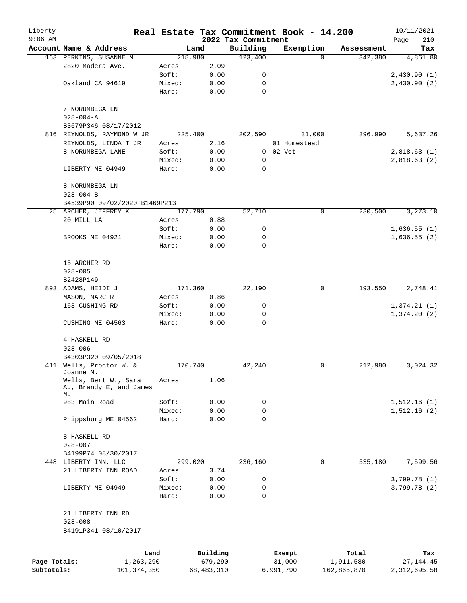| Liberty      |                                                       |                 |              |                                 | Real Estate Tax Commitment Book - 14.200 |             |             | 10/11/2021      |
|--------------|-------------------------------------------------------|-----------------|--------------|---------------------------------|------------------------------------------|-------------|-------------|-----------------|
| $9:06$ AM    | Account Name & Address                                |                 | Land         | 2022 Tax Commitment<br>Building | Exemption                                |             | Assessment  | 210<br>Page     |
|              | 163 PERKINS, SUSANNE M                                |                 | 218,980      | 123,400                         |                                          | $\Omega$    | 342,380     | Tax<br>4,861.80 |
|              | 2820 Madera Ave.                                      | Acres           | 2.09         |                                 |                                          |             |             |                 |
|              |                                                       | Soft:           | 0.00         | 0                               |                                          |             |             | 2,430.90(1)     |
|              | Oakland CA 94619                                      | Mixed:          | 0.00         | 0                               |                                          |             |             | 2,430.90(2)     |
|              |                                                       | Hard:           | 0.00         | 0                               |                                          |             |             |                 |
|              | 7 NORUMBEGA LN                                        |                 |              |                                 |                                          |             |             |                 |
|              | $028 - 004 - A$                                       |                 |              |                                 |                                          |             |             |                 |
|              | B3679P346 08/17/2012                                  |                 |              |                                 |                                          |             |             |                 |
|              | 816 REYNOLDS, RAYMOND W JR                            |                 | 225,400      | 202,590                         | 31,000                                   |             | 396,990     | 5,637.26        |
|              | REYNOLDS, LINDA T JR<br>8 NORUMBEGA LANE              | Acres<br>Soft:  | 2.16<br>0.00 |                                 | 01 Homestead<br>0 02 Vet                 |             |             | 2,818.63(1)     |
|              |                                                       | Mixed:          | 0.00         | 0                               |                                          |             |             | 2,818.63(2)     |
|              | LIBERTY ME 04949                                      | Hard:           | 0.00         | 0                               |                                          |             |             |                 |
|              | 8 NORUMBEGA LN                                        |                 |              |                                 |                                          |             |             |                 |
|              | $028 - 004 - B$                                       |                 |              |                                 |                                          |             |             |                 |
|              | B4539P90 09/02/2020 B1469P213                         |                 |              |                                 |                                          |             |             |                 |
|              | 25 ARCHER, JEFFREY K                                  |                 | 177,790      | 52,710                          |                                          | $\mathbf 0$ | 230,500     | 3,273.10        |
|              | 20 MILL LA                                            | Acres           | 0.88         |                                 |                                          |             |             |                 |
|              |                                                       | Soft:           | 0.00         | 0                               |                                          |             |             | 1,636.55(1)     |
|              | BROOKS ME 04921                                       | Mixed:          | 0.00         | 0                               |                                          |             |             | 1,636.55(2)     |
|              |                                                       | Hard:           | 0.00         | $\mathbf 0$                     |                                          |             |             |                 |
|              | 15 ARCHER RD                                          |                 |              |                                 |                                          |             |             |                 |
|              | $028 - 005$                                           |                 |              |                                 |                                          |             |             |                 |
|              | B2428P149                                             |                 |              |                                 |                                          |             |             |                 |
|              | 893 ADAMS, HEIDI J                                    |                 | 171,360      | 22,190                          |                                          | 0           | 193,550     | 2,748.41        |
|              | MASON, MARC R                                         | Acres           | 0.86         |                                 |                                          |             |             |                 |
|              | 163 CUSHING RD                                        | Soft:           | 0.00         | 0                               |                                          |             |             | 1,374.21(1)     |
|              | CUSHING ME 04563                                      | Mixed:<br>Hard: | 0.00<br>0.00 | 0<br>$\mathbf 0$                |                                          |             |             | 1,374.20(2)     |
|              |                                                       |                 |              |                                 |                                          |             |             |                 |
|              | 4 HASKELL RD<br>$028 - 006$                           |                 |              |                                 |                                          |             |             |                 |
|              | B4303P320 09/05/2018                                  |                 |              |                                 |                                          |             |             |                 |
|              | 411 Wells, Proctor W. &                               |                 | 170,740      | 42,240                          |                                          | 0           | 212,980     | 3,024.32        |
|              | Joanne M.                                             |                 |              |                                 |                                          |             |             |                 |
|              | Wells, Bert W., Sara<br>A., Brandy E, and James<br>М. | Acres           | 1.06         |                                 |                                          |             |             |                 |
|              | 983 Main Road                                         | Soft:           | 0.00         | 0                               |                                          |             |             | 1,512.16(1)     |
|              |                                                       | Mixed:          | 0.00         | 0                               |                                          |             |             | 1,512.16(2)     |
|              | Phippsburg ME 04562                                   | Hard:           | 0.00         | $\mathbf 0$                     |                                          |             |             |                 |
|              | 8 HASKELL RD                                          |                 |              |                                 |                                          |             |             |                 |
|              | $028 - 007$                                           |                 |              |                                 |                                          |             |             |                 |
|              | B4199P74 08/30/2017                                   |                 |              |                                 |                                          |             |             |                 |
|              | 448 LIBERTY INN, LLC                                  |                 | 299,020      | 236,160                         |                                          | 0           | 535,180     | 7,599.56        |
|              | 21 LIBERTY INN ROAD                                   | Acres           | 3.74         |                                 |                                          |             |             |                 |
|              |                                                       | Soft:           | 0.00         | 0<br>0                          |                                          |             |             | 3,799.78(1)     |
|              | LIBERTY ME 04949                                      | Mixed:<br>Hard: | 0.00<br>0.00 | $\Omega$                        |                                          |             |             | 3,799.78 (2)    |
|              | 21 LIBERTY INN RD                                     |                 |              |                                 |                                          |             |             |                 |
|              | $028 - 008$                                           |                 |              |                                 |                                          |             |             |                 |
|              | B4191P341 08/10/2017                                  |                 |              |                                 |                                          |             |             |                 |
|              |                                                       | Land            | Building     |                                 | Exempt                                   |             | Total       | Tax             |
| Page Totals: | 1,263,290                                             |                 | 679,290      |                                 | 31,000                                   |             | 1,911,580   | 27, 144. 45     |
| Subtotals:   | 101, 374, 350                                         |                 | 68, 483, 310 |                                 | 6,991,790                                |             | 162,865,870 | 2, 312, 695.58  |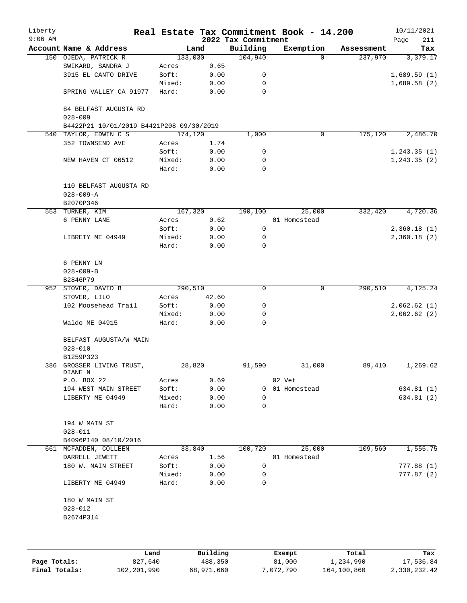| Liberty<br>$9:06$ AM |                                                    |         |       | 2022 Tax Commitment | Real Estate Tax Commitment Book - 14.200 |            | 10/11/2021         |
|----------------------|----------------------------------------------------|---------|-------|---------------------|------------------------------------------|------------|--------------------|
|                      | Account Name & Address                             | Land    |       | Building            | Exemption                                | Assessment | Page<br>211<br>Tax |
|                      | 150 OJEDA, PATRICK R                               | 133,030 |       | 104,940             | $\Omega$                                 | 237,970    | 3,379.17           |
|                      | SWIKARD, SANDRA J                                  | Acres   | 0.65  |                     |                                          |            |                    |
|                      | 3915 EL CANTO DRIVE                                | Soft:   | 0.00  | 0                   |                                          |            | 1,689.59(1)        |
|                      |                                                    | Mixed:  | 0.00  | 0                   |                                          |            | 1,689.58(2)        |
|                      | SPRING VALLEY CA 91977                             | Hard:   | 0.00  | 0                   |                                          |            |                    |
|                      | 84 BELFAST AUGUSTA RD<br>$028 - 009$               |         |       |                     |                                          |            |                    |
|                      | B4422P21 10/01/2019 B4421P208 09/30/2019           |         |       |                     |                                          |            |                    |
|                      | 540 TAYLOR, EDWIN C S                              | 174,120 |       | 1,000               | 0                                        | 175,120    | 2,486.70           |
|                      | 352 TOWNSEND AVE                                   | Acres   | 1.74  |                     |                                          |            |                    |
|                      |                                                    | Soft:   | 0.00  | 0                   |                                          |            | 1, 243.35(1)       |
|                      | NEW HAVEN CT 06512                                 | Mixed:  | 0.00  | 0                   |                                          |            | 1, 243.35(2)       |
|                      |                                                    | Hard:   | 0.00  | $\mathbf 0$         |                                          |            |                    |
|                      | 110 BELFAST AUGUSTA RD<br>$028 - 009 - A$          |         |       |                     |                                          |            |                    |
|                      | B2070P346                                          |         |       |                     |                                          |            |                    |
|                      | 553 TURNER, KIM                                    | 167,320 |       | 190,100             | 25,000                                   | 332,420    | 4,720.36           |
|                      | 6 PENNY LANE                                       | Acres   | 0.62  |                     | 01 Homestead                             |            |                    |
|                      |                                                    | Soft:   | 0.00  | 0                   |                                          |            | 2,360.18(1)        |
|                      | LIBRETY ME 04949                                   | Mixed:  | 0.00  | 0                   |                                          |            | 2,360.18(2)        |
|                      |                                                    | Hard:   | 0.00  | 0                   |                                          |            |                    |
|                      | 6 PENNY LN                                         |         |       |                     |                                          |            |                    |
|                      | $028 - 009 - B$                                    |         |       |                     |                                          |            |                    |
|                      | B2846P79                                           |         |       |                     |                                          |            |                    |
|                      | 952 STOVER, DAVID B                                | 290,510 |       | $\mathbf 0$         | $\mathbf 0$                              | 290,510    | 4,125.24           |
|                      | STOVER, LILO                                       | Acres   | 42.60 |                     |                                          |            |                    |
|                      | 102 Moosehead Trail                                | Soft:   | 0.00  | 0                   |                                          |            | 2,062.62(1)        |
|                      |                                                    | Mixed:  | 0.00  | 0                   |                                          |            | 2,062.62(2)        |
|                      | Waldo ME 04915                                     | Hard:   | 0.00  | $\mathbf 0$         |                                          |            |                    |
|                      | BELFAST AUGUSTA/W MAIN<br>$028 - 010$<br>B1259P323 |         |       |                     |                                          |            |                    |
|                      | 386 GROSSER LIVING TRUST,                          | 28,820  |       | 91,590              | 31,000                                   | 89,410     | 1,269.62           |
|                      | DIANE N                                            |         |       |                     |                                          |            |                    |
|                      | P.O. BOX 22                                        | Acres   | 0.69  |                     | 02 Vet                                   |            |                    |
|                      | 194 WEST MAIN STREET                               | Soft:   | 0.00  |                     | 0 01 Homestead                           |            | 634.81 (1)         |
|                      | LIBERTY ME 04949                                   | Mixed:  | 0.00  | 0                   |                                          |            | 634.81 (2)         |
|                      |                                                    | Hard:   | 0.00  | 0                   |                                          |            |                    |
|                      | 194 W MAIN ST                                      |         |       |                     |                                          |            |                    |
|                      | $028 - 011$                                        |         |       |                     |                                          |            |                    |
|                      | B4096P140 08/10/2016                               |         |       |                     |                                          |            |                    |
|                      | 661 MCFADDEN, COLLEEN                              | 33,840  |       | 100,720             | 25,000                                   | 109,560    | 1,555.75           |
|                      | DARRELL JEWETT                                     | Acres   | 1.56  |                     | 01 Homestead                             |            |                    |
|                      | 180 W. MAIN STREET                                 | Soft:   | 0.00  | 0                   |                                          |            | 777.88(1)          |
|                      |                                                    | Mixed:  | 0.00  | 0                   |                                          |            | 777.87 (2)         |
|                      | LIBERTY ME 04949                                   | Hard:   | 0.00  | 0                   |                                          |            |                    |
|                      | 180 W MAIN ST                                      |         |       |                     |                                          |            |                    |
|                      | $028 - 012$                                        |         |       |                     |                                          |            |                    |
|                      | B2674P314                                          |         |       |                     |                                          |            |                    |
|                      |                                                    |         |       |                     |                                          |            |                    |
|                      |                                                    |         |       |                     |                                          |            |                    |
|                      |                                                    |         |       |                     |                                          |            |                    |

|               | Land        | Building   | Exempt    | Total       | Tax          |
|---------------|-------------|------------|-----------|-------------|--------------|
| Page Totals:  | 827,640     | 488,350    | 81,000    | 1,234,990   | 17,536.84    |
| Final Totals: | 102,201,990 | 68,971,660 | 7,072,790 | 164,100,860 | 2,330,232.42 |